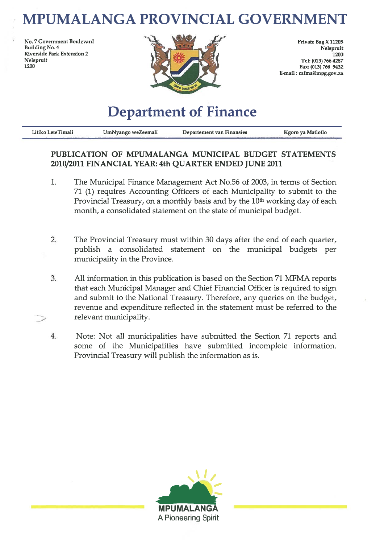# **MPUMALANGA PROVINCIAL GOVERNMENT**

No. 7 Government Boulevard **Building No. 4 Riverside Park Extension 2** Nelspruit 1200



Private Bag X 11205 Nelspruit  $1200$ Tel: (013) 766 4287 Fax: (013) 766 9432 E-mail: mfma@mpg.gov.za

# **Department of Finance**

| Litiko LeteTimali | UmNyango weZeemali | Departement van Finansies | Kgoro ya Matlotlo |
|-------------------|--------------------|---------------------------|-------------------|
|                   |                    |                           |                   |

## PUBLICATION OF MPUMALANGA MUNICIPAL BUDGET STATEMENTS 2010/2011 FINANCIAL YEAR: 4th QUARTER ENDED JUNE 2011

- $1<sub>1</sub>$ The Municipal Finance Management Act No.56 of 2003, in terms of Section 71 (1) requires Accounting Officers of each Municipality to submit to the Provincial Treasury, on a monthly basis and by the 10<sup>th</sup> working day of each month, a consolidated statement on the state of municipal budget.
- $2.$ The Provincial Treasury must within 30 days after the end of each quarter, publish a consolidated statement on the municipal budgets per municipality in the Province.
- 3. All information in this publication is based on the Section 71 MFMA reports that each Municipal Manager and Chief Financial Officer is required to sign and submit to the National Treasury. Therefore, any queries on the budget, revenue and expenditure reflected in the statement must be referred to the relevant municipality.
- $4.$ Note: Not all municipalities have submitted the Section 71 reports and some of the Municipalities have submitted incomplete information. Provincial Treasury will publish the information as is.

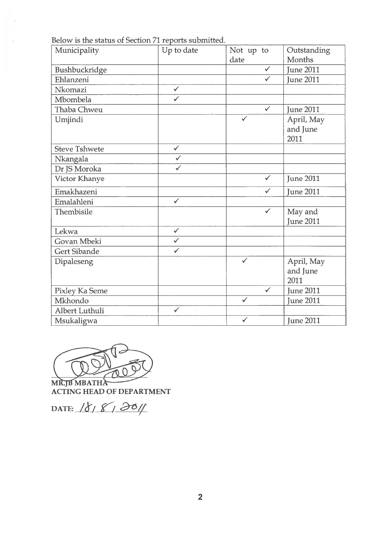Below is the status of Section 71 reports submitted.

| Municipality          | Up to date              | Not up to    | Outstanding                    |
|-----------------------|-------------------------|--------------|--------------------------------|
|                       |                         | date         | Months                         |
| Bushbuckridge         |                         | $\checkmark$ | <b>June 2011</b>               |
| Ehlanzeni             |                         | $\checkmark$ | <b>June 2011</b>               |
| Nkomazi               | $\checkmark$            |              |                                |
| Mbombela              | $\checkmark$            |              |                                |
| <b>Thaba Chweu</b>    |                         | $\checkmark$ | <b>June 2011</b>               |
| Umjindi               |                         | ✓            | April, May<br>and June<br>2011 |
| <b>Steve Tshwete</b>  | $\checkmark$            |              |                                |
| Nkangala              | $\checkmark$            |              |                                |
| Dr JS Moroka          | $\overline{\checkmark}$ |              |                                |
| Victor Khanye         |                         | $\checkmark$ | <b>June 2011</b>               |
| Emakhazeni            |                         | ✓            | <b>June 2011</b>               |
| Emalahleni            | $\checkmark$            |              |                                |
| Thembisile            |                         | $\checkmark$ | May and<br><b>June 2011</b>    |
| Lekwa                 | $\checkmark$            |              |                                |
| Govan Mbeki           | $\checkmark$            |              |                                |
| <b>Gert Sibande</b>   | $\checkmark$            |              |                                |
| Dipaleseng            |                         | $\checkmark$ | April, May<br>and June<br>2011 |
| Pixley Ka Seme        |                         | ✓            | <b>June 2011</b>               |
| Mkhondo               |                         | $\checkmark$ | <b>June 2011</b>               |
| <b>Albert Luthuli</b> | $\checkmark$            |              |                                |
| Msukaligwa            |                         | $\checkmark$ | <b>June 2011</b>               |

 $\cap$ 0

MR.JB MBATHA **ACTING HEAD OF DEPARTMENT** 

DATE:  $1881001$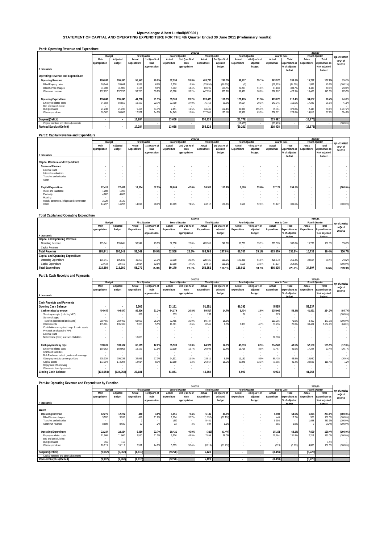## Mpumalanga: Albert Luthuli(MP301)<br>STATEMENT OF CAPITAL AND OPERATING EXPENDITURE FOR THE 4th Quarter Ended 30 June 2011 (Preliminary results)

| Part1: Operating Revenue and Expenditure |  |
|------------------------------------------|--|
|                                          |  |

|                                         |               | 2010/11  |                          |               |             |                       |                      |               |                |               |             |                          |             | 2009/10        |               |
|-----------------------------------------|---------------|----------|--------------------------|---------------|-------------|-----------------------|----------------------|---------------|----------------|---------------|-------------|--------------------------|-------------|----------------|---------------|
|                                         | Budget        |          | <b>First Quarter</b>     |               |             | <b>Second Quarter</b> | <b>Third Quarter</b> |               | Fourth Quarter |               |             | Year to Date             |             | Fourth Quarter | Q4 of 2009/10 |
|                                         | Main          | Adjusted | Actual                   | 1st Q as % of | Actual      | 2nd Q as % of         | Actual               | 3rd Q as % of | Actual         | 4th Q as % of | Actual      | Total                    | Actual      | Total          | to Q4 of      |
|                                         | appropriation | Budget   | Expenditure              | Main          | Expenditure | Main                  | Expenditure          | adjusted      | Expenditure    | adjusted      | Expenditure | Expenditure as           | Expenditure | Expenditure as | 2010/11       |
|                                         |               |          |                          | appropriation |             | appropriation         |                      | budget        |                | budget        |             | % of adjusted            |             | % of adjusted  |               |
| R thousands                             |               |          |                          |               |             |                       |                      |               |                |               |             | hudget                   |             | budget         |               |
|                                         |               |          |                          |               |             |                       |                      |               |                |               |             |                          |             |                |               |
| Operating Revenue and Expenditure       |               |          |                          |               |             |                       |                      |               |                |               |             |                          |             |                |               |
| <b>Operating Revenue</b>                | 195,841       | 195.841  | 58,542                   | 29.9%         | 52,558      | 26.8%                 | 483.763              | 247.0%        | 68.707         | 35.1%         | 663.570     | 338.8%                   | 15,732      | 107.8%         | 336.7%        |
| <b>Billed Property rates</b>            | 26.644        | 26.644   | 1.588                    | 6.0%          | 2.378       | 89%                   | (23,690)             | (88.9%)       |                |               | (19, 725)   | (74.0%                   | 1.889       | 45.7%          | $(100.1\%)$   |
| <b>Billed Service charges</b>           | 31.900        | 31.900   | 3.174                    | 9.9%          | 4.592       | 14.4%                 | 60.195               | 188.7%        | 29.227         | 91.6%         | 97.188      | 304.7%                   | 3.435       | 40.8%          | 750.9%        |
| Other own revenue                       | 137,297       | 137.297  | 53.780                   | 39.2%         | 45.588      | 33.2%                 | 447,259              | 325.8%        | 39.481         | 28.8%         | 586.107     | 426.9%                   | 10.408      | 145.3%         | 279.3%        |
|                                         |               |          |                          |               |             |                       |                      |               |                |               |             |                          |             |                |               |
| <b>Operating Expenditure</b>            | 195.841       | 195.841  | 41.258                   | 21.1%         | 39.500      | 20.2%                 | 228.435              | 116.6%        | 120.485        | 61.5%         | 429.678     | 219.4%                   | 34.607      | 78.4%          | 248.2%        |
| Employee related costs                  | 84.550        | 84.550   | 19.193                   | 22.7%         | 22.799      | 27.0%                 | 76.750               | 90.8%         | 24.604         | 29.1%         | 143.346     | 169.5%                   | 17.345      | 95.5%          | 41.9%         |
| Bad and doubtful debt                   |               |          | $\overline{\phantom{a}}$ |               |             |                       |                      |               |                |               |             | $\overline{\phantom{a}}$ |             |                |               |
| <b>Bulk purchases</b>                   | 21,230        | 21.230   | 9.494                    | 44.7%         | 2.451       | 11.5%                 | 34.486               | 162.4%        | 32.931         | 155.1%        | 79.361      | 373.8%                   | 2.443       | 58.1%          | 1.247.7%      |
| Other expenditure                       | 90.062        | 90.062   | 12.571                   | 14.0%         | 14.249      | 15.8%                 | 117.200              | 130.1%        | 62.950         | 69 9%         | 206.971     | 229.8%                   | 14.818      | 67.7%          | 324.8%        |
|                                         |               |          |                          |               |             |                       |                      |               |                |               |             |                          |             |                |               |
| Surplus/(Deficit)                       | ٠             | $\cdot$  | 17.284                   |               | 13.058      |                       | 255,328              |               | (51, 778)      |               | 233.892     |                          | (18, 875)   |                |               |
| Capital transfers and other adjustments |               |          |                          |               |             |                       |                      |               | (17, 483)      |               | (17, 483)   |                          |             |                | (100.0%       |
| <b>Revised Surplus/(Deficit)</b>        | ۰             |          | 17.284                   |               | 13.058      |                       | 255,328              |               | (69, 261)      |               | 216,408     |                          | (18, 875)   |                |               |

#### **Part 2: Capital Revenue and Expenditure**

|                                           |               |          |                          |               |             | 2010/11               |                          |               |                |               |                          |                |             | 2009/10        |               |
|-------------------------------------------|---------------|----------|--------------------------|---------------|-------------|-----------------------|--------------------------|---------------|----------------|---------------|--------------------------|----------------|-------------|----------------|---------------|
|                                           | Budget        |          | <b>First Quarter</b>     |               |             | <b>Second Quarter</b> | <b>Third Quarter</b>     |               | Fourth Quarter |               |                          | Year to Date   |             | Fourth Quarter | Q4 of 2009/10 |
|                                           | Main          | Adjusted | Actual                   | 1st Q as % of | Actual      | 2nd Q as % of         | Actual                   | 3rd Q as % of | Actual         | 4th Q as % of | Actual                   | Total          | Actual      | Total          | to Q4 of      |
|                                           | appropriation | Budget   | Expenditure              | Main          | Expenditure | Main                  | Expenditure              | adjusted      | Expenditure    | adjusted      | Expenditure              | Expenditure as | Expenditure | Expenditure as | 2010/11       |
|                                           |               |          |                          | appropriation |             | appropriation         |                          | budget        |                | budget        |                          | % of adjusted  |             | % of adjusted  |               |
| R thousands                               |               |          |                          |               |             |                       |                          |               |                |               |                          | hudget         |             | hudget         |               |
|                                           |               |          |                          |               |             |                       |                          |               |                |               |                          |                |             |                |               |
| Capital Revenue and Expenditure           |               |          |                          |               |             |                       |                          |               |                |               |                          |                |             |                |               |
| Source of Finance                         |               |          | ٠                        |               |             |                       |                          |               |                |               | $\sim$                   |                |             |                |               |
| External loans                            |               | ۰        | $\overline{\phantom{a}}$ |               |             |                       |                          |               |                |               |                          |                |             |                | $\sim$        |
| Internal contributions                    |               | ۰        | $\overline{\phantom{a}}$ | $\sim$        | $\sim$      | $\sim$                |                          |               |                | $\sim$        | ۰                        |                | ٠           |                | . .           |
| Transfers and subsidies                   |               |          | $\overline{\phantom{a}}$ |               |             |                       |                          |               |                |               |                          |                |             |                | $\sim$        |
| Other                                     |               |          | $\overline{\phantom{a}}$ |               |             |                       |                          |               |                |               |                          |                |             |                | $\sim$        |
|                                           |               |          |                          |               |             |                       |                          |               |                |               |                          |                |             |                |               |
| Capital Expenditure                       | 22,419        | 22,419   | 14,014                   | 62.5%         | 10,669      | 47.6%                 | 24,917                   | 111.1%        | 7.526          | 33.6%         | 57.127                   | 254.8%         | ٠           | $\sim$         | $(100.0\%)$   |
| Water and Sanitation                      | 1,200         | 1.200    | $\sim$                   | $\sim$        |             | $\sim$                | $\overline{\phantom{a}}$ |               |                |               | $\overline{\phantom{a}}$ |                | ٠.          | $\sim$         | $\sim$        |
| Electricity                               | 4.802         | 4.802    | $\sim$                   |               |             | $\sim$                | $\sim$                   |               |                |               |                          |                |             |                | $\sim$        |
| Housing                                   |               | $\sim$   | $\sim$                   | $\sim$        |             | $\sim$                |                          |               |                |               |                          |                |             |                | $\sim$        |
| Roads, pavements, bridges and storm water | 2,120         | 2,120    | $\sim$                   |               |             |                       |                          |               |                |               |                          |                |             |                | . .           |
| Other                                     | 14.297        | 14.297   | 14.014                   | 98.0%         | 10,669      | 74.6%                 | 24.917                   | 174.3%        | 7.526          | 52.6%         | 57.127                   | 399.6%         |             |                | (100.0%       |
|                                           |               |          |                          |               |             |                       |                          |               |                |               |                          |                |             |                |               |

### **Total Capital and Operating Expenditure**

|                                          |               | 2010/11  |                      |               |             |                |                      |               |             |                |             |                       |                       | 2009/10        |               |
|------------------------------------------|---------------|----------|----------------------|---------------|-------------|----------------|----------------------|---------------|-------------|----------------|-------------|-----------------------|-----------------------|----------------|---------------|
|                                          | Budget        |          | <b>First Ouarter</b> |               |             | Second Quarter | <b>Third Ouarter</b> |               |             | Fourth Ouarter |             | Year to Date          | <b>Fourth Quarter</b> |                | Q4 of 2009/10 |
|                                          | Main          | Adiusted | Actual               | 1st Q as % of | Actual      | 2nd Q as % of  | Actual               | 3rd Q as % of | Actual      | 4th Q as % of  | Actual      | Total                 | Actual                | Total          | to Q4 of      |
|                                          | appropriation | Budget   | Expenditure          | Main          | Expenditure | Main           | Expenditure          | adiusted      | Expenditure | adjusted       | Expenditure | <b>Expenditure as</b> | Expenditure           | Expenditure as | 2010/11       |
|                                          |               |          |                      | appropriation |             | appropriation  |                      | budget        |             | budget         |             | % of adjusted         |                       | % of adjusted  |               |
| R thousands                              |               |          |                      |               |             |                |                      |               |             |                |             | hudget                |                       | hudget         |               |
| <b>Capital and Operating Revenue</b>     |               |          |                      |               |             |                |                      |               |             |                |             |                       |                       |                |               |
| Operating Revenue                        | 195.841       | 195.841  | 58.542               | 29.9%         | 52.558      | 26.8%          | 483.763              | 247.0%        | 68.707      | 35.1%          | 663.570     | 338.89                | 15.732                | 107.8%         | 336.7%        |
| Capital Revenue                          |               |          |                      |               |             |                |                      |               |             |                |             |                       |                       |                |               |
| <b>Total Revenue</b>                     | 195.841       | 195.841  | 58.542               | 29.9%         | 52.558      | 26.8%          | 483.763              | 247.0%        | 68.707      | 35.1%          | 663.570     | 338.8%                | 15.732                | 99.4%          | 336.7%        |
| <b>Capital and Operating Expenditure</b> |               |          |                      |               |             |                |                      |               |             |                |             |                       |                       |                |               |
| Operating Expenditure                    | 195.841       | 195.841  | 41.258               | 21.1%         | 39.500      | 20.2%          | 228.435              | 116.6%        | 120.485     | 61.5%          | 429.678     | 219.4%                | 34.607                | 78.4%          | 248.2%        |
| Capital Expenditure                      | 22.419        | 22.419   | 14.014               | 62.5%         | 10.669      | 47.6%          | 24.917               | 111.1%        | 7.526       | 33.6%          | 57.127      | 254.8%                |                       |                | $(100.0\%)$   |
| <b>Total Expenditure</b>                 | 218.260       | 218.260  | 55.272               | 25.3%         | 50.170      | 23.0%          | 253.352              | 116.1%        | 128.011     | 58.7%          | 486.805     | 223.0%                | 34.607                | 56.6%          | 269.9%        |
|                                          |               |          |                      |               |             |                |                      |               |             |                |             |                       |                       |                |               |

### **Part 3: Cash Receipts and Payments**

|                                                       |                    |                          |                          |               |                  | 2010/11               |                      |               |                  |               |                  |                |                  | 2009/10               |                 |
|-------------------------------------------------------|--------------------|--------------------------|--------------------------|---------------|------------------|-----------------------|----------------------|---------------|------------------|---------------|------------------|----------------|------------------|-----------------------|-----------------|
|                                                       | Budget             |                          | <b>First Quarter</b>     |               |                  | <b>Second Quarter</b> | <b>Third Quarter</b> |               | Fourth Quarter   |               |                  | Year to Date   |                  | Fourth Quarter        | Q4 of 2009/10   |
|                                                       | Main               | Adjusted                 | Actual                   | 1st Q as % of | Actual           | 2nd Q as % of         | Actual               | 3rd Q as % of | Actual           | 4th Q as % of | Actual           | Total          | Actual           | Total                 | to Q4 of        |
|                                                       | appropriation      | Budget                   | Expenditure              | Main          | Expenditure      | Main                  | Expenditure          | adjusted      | Expenditure      | adjusted      | Expenditure      | Expenditure as | Expenditure      | <b>Expenditure as</b> | 2010/11         |
|                                                       |                    |                          |                          | appropriation |                  | appropriation         |                      | budget        |                  | budget        |                  | % of adjusted  |                  | % of adjusted         |                 |
| R thousands                                           |                    |                          |                          |               |                  |                       |                      |               |                  |               |                  | hudget         |                  | hudoot                |                 |
| <b>Cash Receipts and Payments</b>                     |                    |                          |                          |               |                  |                       |                      |               |                  |               |                  |                |                  |                       |                 |
| <b>Opening Cash Balance</b>                           |                    | $\sim$                   | 5,565                    |               | 23,181           |                       | 51,851               |               | 46,392           |               | 5,565            |                | 52,237           |                       |                 |
| Cash receipts by source                               | 404.647            | 404.647                  | 85,806                   | 21.2%         | 84,179           | 20.8%                 | 59,517               | 14.7%         | 6.404            | 1.6%          | 235,906          | 58.3%          | 41.851           | 234.2%                | (84.7%)         |
| Statutory receipts (including VAT)                    |                    | $\sim$                   | 358                      |               | 133              |                       | 236                  |               | 96               |               | 823              | $\sim$         | ۰.               |                       | (100.0%         |
| Service charges                                       |                    |                          | $\overline{\phantom{a}}$ |               |                  |                       |                      |               |                  |               |                  |                |                  |                       |                 |
| Transfers (operational and capital)                   | 269.466            | 269.466                  | 68.065                   | 25.3%         | 72.485           | 26.9%                 | 50.737               | 18.8%         |                  | $\sim$        | 191.286          | 71.0%          | 2.450            | 173.7%                | (100.0%         |
| Other receipts                                        | 135,181            | 135.181                  | 7.383                    | 5.5%          | 11.561           | 8.6%                  | 8.545                | 6.3%          | 6.307            | 4.7%          | 33.796           | 25.0%          | 39.401           | 3.154.4%              | $(84.0\%)$      |
| Contributions recognised - cap. & contr. assets       |                    |                          | $\overline{\phantom{a}}$ |               |                  |                       |                      |               |                  |               |                  | $\sim$         | $\sim$           |                       |                 |
| Proceeds on disposal of PPE                           |                    | $\sim$                   | $\overline{\phantom{a}}$ |               |                  |                       |                      |               |                  |               |                  |                |                  |                       |                 |
| <b>External Inans</b>                                 |                    | $\sim$                   |                          |               |                  |                       |                      |               |                  |               |                  |                |                  |                       |                 |
| Net increase (decr.) in assets / liabilities          |                    |                          | 10.000                   |               |                  |                       |                      |               |                  |               | 10.000           |                |                  |                       |                 |
|                                                       |                    |                          |                          |               |                  |                       |                      |               |                  |               |                  |                |                  |                       |                 |
| Cash payments by type                                 | 539.602            | 539.602                  | 68.189                   | 12.6%         | 55,509           | 10.3%                 | 64.976               | 12.0%         | 45.893           | 8.5%          | 234.567          | 43.5%          | 52,130           | 135.5%                | $(12.0\%)$      |
| Employee related costs                                | 160,962            | 160.962                  | 19.195                   | 11.9%         | 20,509           | 12.7%                 | 20,008               | 12.4%         | 13.756           | 8.5%          | 73.467           | 45.6%          | 17.344           | 93.4%                 | (20.7%)         |
| Grant and subsidies                                   | $\sim$             | $\overline{\phantom{a}}$ |                          |               |                  |                       |                      |               |                  |               |                  |                |                  |                       |                 |
| Bulk Purchases - electr., water and sewerage          |                    | $\sim$                   |                          |               |                  |                       |                      |               |                  | . .           |                  |                |                  |                       |                 |
| Other payments to service providers<br>Capital assets | 205,336<br>173,304 | 205,336<br>173.304       | 34.981<br>14.014         | 17.0%<br>8.1% | 24.331<br>10.669 | 11.8%<br>6.2%         | 18.911<br>26,057     | 9.2%<br>15.0% | 11.192<br>20.945 | 5.5%<br>12.1% | 89.415<br>71.685 | 43.5%<br>41.4% | 14.090<br>20.696 | . .<br>115.4%         | (20.6%)<br>1.2% |
| Repayment of borrowing                                |                    |                          |                          |               |                  |                       |                      |               |                  |               |                  |                |                  |                       |                 |
| Other cash flows / payments                           |                    | $\overline{\phantom{a}}$ | $\overline{\phantom{a}}$ |               |                  |                       |                      |               |                  |               |                  |                |                  |                       |                 |
|                                                       |                    | $\overline{\phantom{a}}$ |                          |               |                  |                       |                      |               |                  |               |                  |                |                  |                       |                 |
| <b>Closing Cash Balance</b>                           | (134, 954)         | (134, 954)               | 23,181                   |               | 51,851           |                       | 46,392               |               | 6.903            |               | 6.903            |                | 41.958           |                       |                 |
|                                                       |                    |                          |                          |               |                  |                       |                      |               |                  |               |                  |                |                  |                       |                 |

|                                         |                          | 2010/11  |                          |                      |             |                          |             |                      |              |                |             |                       |             | 2009/10               |               |
|-----------------------------------------|--------------------------|----------|--------------------------|----------------------|-------------|--------------------------|-------------|----------------------|--------------|----------------|-------------|-----------------------|-------------|-----------------------|---------------|
|                                         | Budget                   |          |                          | <b>First Quarter</b> |             | <b>Second Quarter</b>    |             | <b>Third Quarter</b> |              | Fourth Quarter |             | Year to Date          |             | Fourth Quarter        | Q4 of 2009/10 |
|                                         | Main                     | Adjusted | Actual                   | 1st Q as % of        | Actual      | 2nd Q as % of            | Actual      | 3rd Q as % of        | Actual       | 4th Q as % of  | Actual      | Total                 | Actual      | Total                 | to Q4 of      |
|                                         | appropriation            | Budget   | Expenditure              | Main                 | Expenditure | Main                     | Expenditure | adjusted             | Expenditure  | adjusted       | Expenditure | <b>Expenditure as</b> | Expenditure | <b>Expenditure as</b> | 2010/11       |
|                                         |                          |          |                          | appropriation        |             | appropriation            |             | budget               |              | budget         |             | % of adjusted         |             | % of adjusted         |               |
| R thousands                             |                          |          |                          |                      |             |                          |             |                      |              |                |             | budget                |             | <b>budoot</b>         |               |
| Water                                   |                          |          |                          |                      |             |                          |             |                      |              |                |             |                       |             |                       |               |
|                                         |                          |          |                          |                      |             |                          |             |                      |              |                |             |                       |             |                       |               |
| <b>Operating Revenue</b>                | 12,272                   | 12,272   | 440                      | 3.6%                 | 1.151       | 9.4%                     | 5.102       | 41.6%                | $\mathbf{r}$ | ٠              | 6.693       | 54.5%                 | 1.874       | 263.6%                | $(100.0\%)$   |
| <b>Billed Service charges</b>           | 3.592                    | 3.592    | 418                      | 11.6%                | 1.174       | 32.7%                    | (1, 152)    | (32.1%               |              |                | 440         | 12.2%                 | 366         | 107.0%                | (100.0%       |
| Transfers and subsidies                 | <b>.</b>                 |          |                          |                      | (55)        | $\sim$                   | 5.451       |                      |              |                | 5.398       | ۰.                    | 1.498       | 283.6%                | (100.0%       |
| Other own revenue                       | 8.680                    | 8.680    | 20                       | .2%                  | 32          | .4%                      | 804         | 9.3%                 |              |                | 856         | 9.9%                  |             | (2.2%)                | (100.0%       |
|                                         |                          |          |                          |                      |             |                          |             |                      |              |                |             |                       |             |                       |               |
| <b>Operating Expenditure</b>            | 22,234                   | 22,234   | 5.050                    | 22.7%                | 10,421      | 46.9%                    | (320)       | (1.4%                |              | ٠              | 15,151      | 68.1%                 | 7.099       | 129.4%                | $(100.0\%)$   |
| Employee related costs                  | 11.960                   | 11.960   | 2.540                    | 21.2%                | 5.326       | 44.5%                    | 7.899       | 66.0%                |              |                | 15.764      | 131.8%                | 2.213       | 130.0%                | (100.0%       |
| Bad and doubtful debt                   | $\overline{\phantom{a}}$ |          |                          |                      |             |                          |             |                      |              |                | $\sim$      | $\sim$                |             |                       |               |
| <b>Bulk purchases</b>                   | 155                      | 155      | $\overline{\phantom{a}}$ |                      |             | $\overline{\phantom{a}}$ |             |                      |              |                |             |                       |             | 1.4%                  | $\sim$        |
| Other expenditure                       | 10.119                   | 10.119   | 2.511                    | 24.8%                | 5.095       | 50.4%                    | (8, 219)    | (81.2%)              |              |                | (613)       | (6.1%                 | 4.886       | 132.6%                | (100.0%       |
|                                         |                          |          |                          |                      |             |                          |             |                      |              |                |             |                       |             |                       |               |
| Surplus/(Deficit)                       | (9,962)                  | (9,962)  | (4,610)                  |                      | (9,270)     |                          | 5.423       |                      |              |                | (8, 458)    |                       | (5, 225)    |                       |               |
| Capital transfers and other adjustments |                          |          |                          |                      |             |                          |             |                      |              |                |             |                       |             |                       | $\sim$        |
| <b>Revised Surplus/(Deficit)</b>        | (9,962)                  | (9,962)  | (4,610)                  |                      | (9,270)     |                          | 5,423       |                      |              |                | (8, 458)    |                       | (5,225)     |                       |               |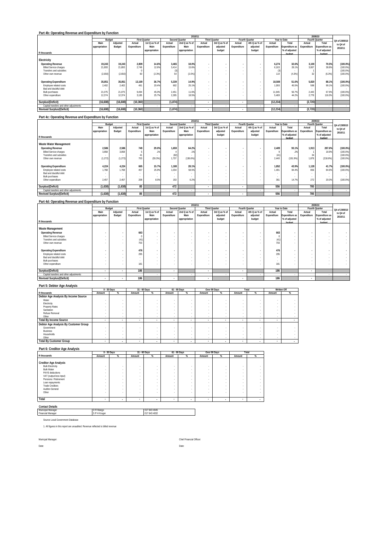|                                         |                          | 2010/11   |             |                      |             |                          |                |                      |              |                          |             |                |             | 2009/10        |               |
|-----------------------------------------|--------------------------|-----------|-------------|----------------------|-------------|--------------------------|----------------|----------------------|--------------|--------------------------|-------------|----------------|-------------|----------------|---------------|
|                                         |                          | Budget    |             | <b>First Quarter</b> |             | <b>Second Quarter</b>    |                | <b>Third Quarter</b> |              | Fourth Quarter           |             | Year to Date   |             | Fourth Quarter | Q4 of 2009/10 |
|                                         | Main                     | Adjusted  | Actual      | 1st Q as % of        | Actual      | 2nd Q as % of            | Actual         | 3rd Q as % of        | Actual       | 4th Q as % of            | Actual      | Total          | Actual      | Total          | to Q4 of      |
|                                         | appropriation            | Budget    | Expenditure | Main                 | Expenditure | Main                     | Expenditure    | adjusted             | Expenditure  | adjusted                 | Expenditure | Expenditure as | Expenditure | Expenditure as | 2010/11       |
|                                         |                          |           |             | appropriation        |             | appropriation            |                | budget               |              | budget                   |             | % of adjusted  |             | % of adjusted  |               |
| R thousands                             |                          |           |             |                      |             |                          |                |                      |              |                          |             | hudget         |             | hudget         |               |
| Electricity                             |                          |           |             |                      |             |                          |                |                      |              |                          |             |                |             |                |               |
| <b>Operating Revenue</b>                | 19.243                   | 19.243    | 2.809       | 14.6%                | 3.465       | 18.0%                    |                |                      | $\mathbf{r}$ | ٠                        | 6.274       | 32.6%          | 3.100       | 70.5%          | $(100.0\%)$   |
| <b>Billed Service charges</b>           | 21.893                   | 21.893    | 2.749       | 12.6%                | 3.414       | 15.6%                    |                |                      | $\sim$       | $\overline{\phantom{a}}$ | 6,163       | 28.1%          | 3.067       | 38.8%          | (100.0%       |
| Transfers and subsidies                 | . .                      |           |             |                      | (3)         |                          |                |                      | $\sim$       | $\overline{\phantom{a}}$ | (3)         |                |             | $\sim$         | (100.0%       |
| Other own revenue                       | (2,650)                  | (2,650)   | 60          | (2.3%)               | 54          | (2.0%                    |                |                      |              |                          | 114         | (4.3%)         | 32          | (6.3%          | (100.0%       |
|                                         |                          |           |             |                      |             |                          |                |                      |              |                          |             |                |             |                |               |
| <b>Operating Expenditure</b>            | 35,851                   | 35,851    | 13,169      | 36.7%                | 5.339       | 14.9%                    | $\sim$         |                      | $\mathbf{r}$ | ٠                        | 18,508      | 51.6%          | 5,820       | 88.1%          | $(100.0\%)$   |
| Employee related costs                  | 2.402                    | 2.402     | 491         | 20.4%                | 602         | 25.1%                    |                |                      |              |                          | 1.093       | 45.5%          | 598         | 99.1%          | (100.0%       |
| Bad and doubtful debt                   | $\overline{\phantom{a}}$ | ٠.        |             |                      |             | $\sim$                   |                |                      | $\sim$       | $\overline{\phantom{a}}$ |             |                |             | . .            |               |
| <b>Bulk purchases</b>                   | 21.075                   | 21.075    | 9.494       | 45.0%                | 2.451       | 11.6%                    | $\sim$         |                      | $\sim$       | $\overline{\phantom{a}}$ | 11,945      | 56.7%          | 2.443       | 67.9%          | (100.0%       |
| Other expenditure                       | 12,374                   | 12.374    | 3.185       | 25.7%                | 2.285       | 18.5%                    |                |                      | $\sim$       | $\overline{\phantom{a}}$ | 5.469       | 44.2%          | 2.778       | 116.0%         | (100.0%       |
|                                         |                          |           |             |                      |             |                          |                |                      |              |                          |             |                |             |                |               |
| Surplus/(Deficit)                       | (16, 608)                | (16, 608) | (10, 360)   |                      | (1, 874)    |                          | $\blacksquare$ |                      | $\sim$       |                          | (12, 234)   |                | (2,720)     |                |               |
| Capital transfers and other adjustments |                          |           |             |                      |             | $\overline{\phantom{a}}$ |                |                      |              | $\overline{\phantom{a}}$ |             | ۰              |             | $\sim$         |               |
| <b>Revised Surplus/(Deficit)</b>        | (16, 608)                | (16, 608) | (10, 360)   |                      | (1, 874)    |                          | ۰              |                      |              |                          | (12, 234)   |                | (2,720)     |                |               |
|                                         |                          |           |             |                      |             |                          |                |                      |              |                          |             |                |             |                |               |

#### **Part 4c: Operating Revenue and Expenditure by Function**

|                                         |               |          |                          |                      |             |                       | 2010/11                  |                      |             |                |             |                |             | 2009/10        |               |
|-----------------------------------------|---------------|----------|--------------------------|----------------------|-------------|-----------------------|--------------------------|----------------------|-------------|----------------|-------------|----------------|-------------|----------------|---------------|
|                                         |               | Budget   |                          | <b>First Quarter</b> |             | <b>Second Quarter</b> |                          | <b>Third Quarter</b> |             | Fourth Quarter |             | Year to Date   |             | Fourth Quarter | Q4 of 2009/10 |
|                                         | Main          | Adjusted | Actual                   | 1st Q as % of        | Actual      | 2nd Q as % of         | Actual                   | 3rd Q as % of        | Actual      | 4th Q as % of  | Actual      | Total          | Actual      | Total          | to Q4 of      |
|                                         | appropriation | Budget   | Expenditure              | Main                 | Expenditure | Main                  | Expenditure              | adjusted             | Expenditure | adjusted       | Expenditure | Expenditure as | Expenditure | Expenditure as | 2010/11       |
|                                         |               |          |                          | appropriation        |             | appropriation         |                          | budget               |             | budget         |             | % of adjusted  |             | % of adjusted  |               |
| R thousands                             |               |          |                          |                      |             |                       |                          |                      |             |                |             | hudget         |             | budget         |               |
| Waste Water Management                  |               |          |                          |                      |             |                       |                          |                      |             |                |             |                |             |                |               |
| <b>Operating Revenue</b>                | 2,586         | 2.586    | 749                      | 29.0%                | 1.659       | 64.2%                 | ٠                        |                      |             |                | 2.409       | 93.1%          | 1.913       | 287.6%         | $(100.0\%)$   |
| <b>Billed Service charges</b>           | 3.858         | 3.858    |                          | .1%                  |             | .1%                   |                          |                      |             |                |             | .2%            |             | 18.9%          | (100.0%       |
| Transfers and subsidies                 |               |          |                          |                      | (82)        |                       |                          |                      |             |                | (41)        |                | 34          |                | (100.0%       |
| Other own revenue                       | (1, 272)      | (1, 272) | 703                      | (55.3%)              | 1.737       | (136.6%)              |                          |                      |             |                | 2.440       | (191.9%        | 1.878       | (218.6%)       | (100.0%       |
| <b>Operating Expenditure</b>            | 4,224         | 4.224    | 665                      | 15.7%                | 1.188       | 28.1%                 | ٠                        |                      |             |                | 1.852       | 43.9%          | 1,128       | 41.7%          | $(100.0\%)$   |
| Employee related costs                  | 1.768         | 1.768    | 457                      | 25.9%                | 1.034       | 58.5%                 | $\overline{\phantom{a}}$ |                      |             |                | 1.491       | 84.4%          | 856         | 84.6%          | $(100.0\%)$   |
| Bad and doubtful debt                   |               | $\sim$   |                          |                      |             |                       |                          |                      |             |                |             |                |             |                | $\sim$        |
| <b>Bulk purchases</b>                   | $\sim$        | $\sim$   | $\overline{\phantom{a}}$ |                      |             |                       |                          |                      |             |                |             |                |             |                | $\sim$        |
| Other expenditure                       | 2.457         | 2.457    | 208                      | 8.5%                 | 153         | 6.2%                  |                          |                      |             |                | 361         | 14.7%          | 272         | 20.0%          | (100.0%       |
| Surplus/(Deficit)                       | (1,638)       | (1,638)  | 85                       |                      | 472         |                       | ۰                        |                      | $\sim$      |                | 556         |                | 785         |                |               |
| Capital transfers and other adjustments |               |          |                          |                      |             |                       |                          |                      |             |                |             |                |             |                |               |
| <b>Revised Surplus/(Deficit)</b>        | (1.638)       | (1,638)  | 85                       |                      | 472         |                       |                          |                      | $\sim$      |                | 556         |                | 785         |                |               |

### **Part 4d: Operating Revenue and Expenditure by Function**

|                                         |               | 2010/11                  |                      |               |                          |                       |                          |                      |             |                |             |                       |             | 2009/10               |               |
|-----------------------------------------|---------------|--------------------------|----------------------|---------------|--------------------------|-----------------------|--------------------------|----------------------|-------------|----------------|-------------|-----------------------|-------------|-----------------------|---------------|
|                                         |               | Budget                   | <b>First Quarter</b> |               |                          | <b>Second Quarter</b> |                          | <b>Third Quarter</b> |             | Fourth Quarter |             | Year to Date          |             | Fourth Quarter        | Q4 of 2009/10 |
|                                         | Main          | Adjusted                 | Actual               | 1st Q as % of | Actual                   | 2nd Q as % of         | Actual                   | 3rd Q as % of        | Actual      | 4th Q as % of  | Actual      | Total                 | Actual      | Total                 | to Q4 of      |
|                                         | appropriation | Budget                   | Expenditure          | Main          | Expenditure              | Main                  | Expenditure              | adjusted             | Expenditure | adjusted       | Expenditure | <b>Expenditure as</b> | Expenditure | <b>Expenditure as</b> | 2010/11       |
|                                         |               |                          |                      | appropriation |                          | appropriation         |                          | budget               |             | budget         |             | % of adjusted         |             | % of adjusted         |               |
| R thousands                             |               |                          |                      |               |                          |                       |                          |                      |             |                |             | hudget                |             | hudget                |               |
|                                         |               |                          |                      |               |                          |                       |                          |                      |             |                |             |                       |             |                       |               |
| Waste Management                        |               |                          |                      |               |                          |                       |                          |                      |             |                |             |                       |             |                       |               |
| <b>Operating Revenue</b>                |               | $\mathbf{r}$             | 663                  |               |                          |                       |                          |                      |             |                | 663         |                       |             |                       |               |
| <b>Billed Service charges</b>           |               | $\overline{\phantom{a}}$ |                      |               |                          |                       |                          | $\sim$               |             | $\sim$         |             |                       |             |                       |               |
| Transfers and subsidies                 |               |                          | (41)                 |               |                          |                       |                          |                      |             |                | (41)        |                       |             |                       |               |
| Other own revenue                       |               |                          | 703                  |               |                          |                       |                          |                      |             |                | 703         |                       |             |                       |               |
|                                         |               |                          |                      |               |                          |                       |                          |                      |             |                |             |                       |             |                       |               |
| <b>Operating Expenditure</b>            |               | ٠                        | 476                  |               |                          |                       |                          |                      |             |                | 476         | ٠                     |             |                       |               |
| Employee related costs                  |               | $\sim$                   | 295                  |               |                          |                       |                          |                      |             |                | 295         |                       |             |                       | $\sim$        |
| Bad and doubtful debt                   |               | $\sim$                   |                      |               |                          |                       |                          | $\sim$               |             | $\sim$         |             |                       |             |                       |               |
| <b>Bulk purchases</b>                   |               |                          |                      |               |                          |                       |                          |                      |             | $\sim$         |             |                       |             | $\sim$                |               |
| Other expenditure                       |               | $\sim$                   | 181                  |               |                          |                       |                          |                      |             |                | 181         |                       |             | $\sim$                |               |
|                                         |               |                          |                      |               |                          |                       |                          |                      |             |                |             |                       |             |                       |               |
| Surplus/(Deficit)                       |               | $\overline{\phantom{a}}$ | 186                  |               | $\overline{\phantom{a}}$ |                       | $\overline{\phantom{a}}$ |                      |             |                | 186         |                       | ۰           |                       |               |
| Capital transfers and other adjustments |               |                          |                      |               |                          |                       |                          |                      |             |                |             |                       |             | $\sim$                |               |
| <b>Revised Surplus/(Deficit)</b>        | $\sim$        | $\cdot$                  | 186                  |               | $\overline{\phantom{a}}$ |                       | $\overline{\phantom{a}}$ |                      | $\sim$      |                | 186         |                       | $\sim$      |                       |               |

### **Part 5: Debtor Age Analysis**

|                                       |        | 0 - 30 Days              | 31 - 60 Days |                          | 61 - 90 Days             |                          |        | Over 90 Days | Total  |   | Written Off |   |
|---------------------------------------|--------|--------------------------|--------------|--------------------------|--------------------------|--------------------------|--------|--------------|--------|---|-------------|---|
| R thousands                           | Amount | %                        | Amount       | %                        | Amount                   | %                        | Amount | %            | Amount | % | Amount      | % |
| Debtor Age Analysis By Income Source  |        |                          |              |                          |                          |                          |        |              |        |   |             |   |
| Water                                 |        |                          |              |                          |                          |                          |        |              |        |   |             |   |
| Electricity                           |        |                          | $\sim$       |                          |                          |                          |        |              |        |   |             |   |
| Property Rates                        |        |                          |              |                          |                          |                          |        |              |        |   |             |   |
| Sanitation                            |        |                          | ٠            |                          |                          |                          |        |              |        |   |             |   |
| Refuse Removal                        |        |                          |              |                          |                          |                          |        |              |        |   |             |   |
| Other                                 |        | $\sim$                   | $\sim$       | $\sim$                   | ۰                        |                          | $\sim$ | $\sim$       |        |   |             |   |
| <b>Total By Income Source</b>         |        | $\overline{\phantom{a}}$ |              |                          |                          | $\overline{\phantom{a}}$ |        |              |        |   |             |   |
| Debtor Age Analysis By Customer Group |        |                          |              |                          |                          |                          |        |              |        |   |             |   |
| Government                            |        |                          |              |                          |                          |                          |        |              |        |   |             |   |
| Business                              |        |                          | ٠            |                          |                          |                          |        |              |        |   | ٠           |   |
| Households                            |        |                          | $\sim$       |                          |                          |                          | $\sim$ |              |        |   |             |   |
| Other                                 |        | $\sim$                   | $\sim$       | $\sim$                   | ۰                        |                          | $\sim$ |              |        |   |             |   |
| <b>Total By Customer Group</b>        |        | ٠                        |              | $\overline{\phantom{a}}$ | $\overline{\phantom{a}}$ | $\overline{\phantom{a}}$ |        |              | ۰      |   | ۰           |   |

### **Part 6: Creditor Age Analysis**

|                              | 0 - 30 Days |                          | 31 - 60 Days             |   | 61 - 90 Days |                          | Over 90 Days |   | Total  |   |
|------------------------------|-------------|--------------------------|--------------------------|---|--------------|--------------------------|--------------|---|--------|---|
| R thousands                  | Amount      | %                        | Amount                   | % | Amount       | %                        | Amount       | % | Amount | % |
|                              |             |                          |                          |   |              |                          |              |   |        |   |
| <b>Creditor Age Analysis</b> |             |                          |                          |   |              |                          |              |   |        |   |
| <b>Bulk Electricity</b>      | $\sim$      | ٠                        | $\sim$                   |   |              | ٠                        |              |   | ٠      |   |
| <b>Bulk Water</b>            | $\sim$      | $\sim$                   | $\sim$                   |   |              | ٠                        |              |   | ٠      | ٠ |
| PAYE deductions              | $\sim$      | $\sim$                   | $\sim$                   |   |              | ٠                        |              |   |        |   |
| VAT (output less input)      |             | $\sim$                   | $\sim$                   |   |              | $\sim$                   | $\sim$       |   |        |   |
| Pensions / Retirement        | $\sim$      | $\sim$                   | $\sim$                   |   |              | ٠                        |              |   |        |   |
| Loan repayments              |             | $\sim$                   | $\sim$                   |   | ۰            | $\sim$                   |              |   |        |   |
| <b>Trade Creditors</b>       |             | $\sim$                   | $\sim$                   |   | ۰            | $\sim$                   | $\sim$       |   | $\sim$ | ٠ |
| Auditor-General              | $\sim$      | $\sim$                   | $\sim$                   |   |              | ٠                        |              |   | ٠      |   |
| Other                        | $\sim$      | ٠                        |                          |   |              | ٠                        |              |   |        |   |
|                              |             |                          |                          |   |              |                          |              |   |        |   |
| Total                        | ٠           | $\overline{\phantom{a}}$ | $\overline{\phantom{a}}$ |   | ٠            | $\overline{\phantom{a}}$ | ۰            |   | $\sim$ |   |

## **Contact Details**

| D R Mango    | 017 843 4045 |  |
|--------------|--------------|--|
| S P H Kruger | 017 843 4032 |  |
|              |              |  |
|              |              |  |

1. All figures in this report are unaudited. Revenue reflected is billed revenue

Date: Date: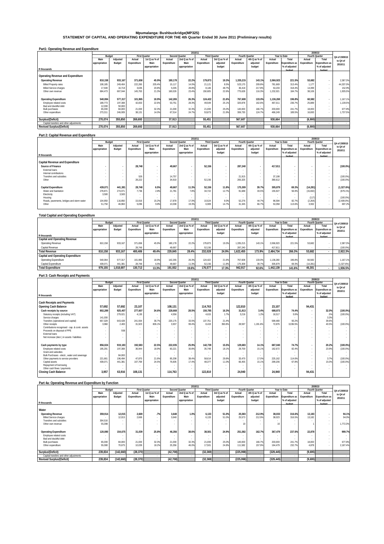**Mpumalanga: Bushbuckridge(MP325) STATEMENT OF CAPITAL AND OPERATING EXPENDITURE FOR THE 4th Quarter Ended 30 June 2011 (Preliminary results)**

| Part1: Operating Revenue and Expenditure |  |
|------------------------------------------|--|
|                                          |  |

|                                         |               |          |                      |               |             | 2010/11        |             |                      |                |               |             |                |             | 2009/10               |               |
|-----------------------------------------|---------------|----------|----------------------|---------------|-------------|----------------|-------------|----------------------|----------------|---------------|-------------|----------------|-------------|-----------------------|---------------|
|                                         | Budget        |          | <b>First Quarter</b> |               |             | Second Quarter |             | <b>Third Quarter</b> | Fourth Quarter |               |             | Year to Date   |             | Fourth Quarter        | Q4 of 2009/10 |
|                                         | Main          | Adjusted | Actual               | 1st Q as % of | Actual      | 2nd Q as % of  | Actual      | 3rd Q as % of        | Actual         | 4th Q as % of | Actual      | Total          | Actual      | Total                 | to Q4 of      |
|                                         | appropriation | Budget   | Expenditure          | Main          | Expenditure | Main           | Expenditure | adjusted             | Expenditure    | adjusted      | Expenditure | Expenditure as | Expenditure | <b>Expenditure as</b> | 2010/11       |
|                                         |               |          |                      | appropriation |             | appropriation  |             | budget               |                | budget        |             | % of adjusted  |             | % of adjusted         |               |
| R thousands                             |               |          |                      |               |             |                |             |                      |                |               |             | hudget         |             | hudget                |               |
|                                         |               |          |                      |               |             |                |             |                      |                |               |             |                |             |                       |               |
| Operating Revenue and Expenditure       |               |          |                      |               |             |                |             |                      |                |               |             |                |             |                       |               |
| <b>Operating Revenue</b>                | 810.158       | 933.167  | 371.658              | 45.9%         | 180,178     | 22.2%          | 179,873     | 19.3%                | 1,335,215      | 143.1%        | 2.066.923   | 221.5%         | 53.682      |                       | 2.387.3%      |
| <b>Billed Property rates</b>            | 108.185       | 249.404  | 222.260              | 205.4%        | 15.117      | 14.0%          | 21.121      | 8.5%                 | 523.170        | 209.8%        | 781.669     | 313.4%         | 1.177       | . .                   | 44,337.0%     |
| <b>Billed Service charges</b>           | 17.500        | 16.718   | 3.635                | 20.8%         | 5.035       | 28.8%          | 8.146       | 48.7%                | 36.418         | 217.8%        | 53.233      | 318.4%         | 14.399      | . .                   | 152.9%        |
| Other own revenue                       | 684.473       | 667.044  | 145.763              | 21.3%         | 160,026     | 23.4%          | 150,605     | 22.6%                | 775.628        | 116.3%        | 1.232.021   | 184.7%         | 38.106      |                       | 1,935.5%      |
|                                         |               |          |                      |               |             |                |             |                      |                |               |             |                |             |                       |               |
| <b>Operating Expenditure</b>            | 540,084       | 577,317  | 101,965              | 18.9%         | 142,265     | 26.3%          | 124,422     | 21.6%                | 767.608        | 133.0%        | 1,136,260   | 196.8%         | 60,582      | $\sim$                | 1,167.1%      |
| Employee related costs                  | 189.773       | 197.308  | 42.833               | 22.6%         | 53.751      | 28.3%          | 49.549      | 25.1%                | 320.878        | 162.6%        | 467.011     | 236.7%         | 25.889      | <b>.</b>              | 1,139.5%      |
| Bad and doubtful debt                   | 12.000        | 50.000   |                      |               |             |                |             |                      |                |               |             |                |             |                       |               |
| <b>Bulk purchases</b>                   | 65.000        | 84.000   | 21,000               | 32.3%         | 21,000      | 32.3%          | 21.000      | 25.0%                | 140.000        | 166.7%        | 203.000     | 241.7%         | 18.000      |                       | 677.8%        |
| Other expenditure                       | 273,311       | 246.009  | 38.131               | 14.0%         | 67,514      | 24.7%          | 53.873      | 21 9%                | 306.730        | 124.7%        | 466.249     | 189.5%         | 16.693      |                       | 1,737.5%      |
|                                         |               |          |                      |               |             |                |             |                      |                |               |             |                |             |                       |               |
| Surplus/(Deficit)                       | 270.074       | 355.850  | 269.693              |               | 37.913      |                | 55,451      |                      | 567.607        |               | 930.664     |                | (6,900)     |                       |               |
| Capital transfers and other adjustments |               |          |                      |               |             |                |             |                      |                |               |             |                |             |                       |               |
| <b>Revised Surplus/(Deficit)</b>        | 270,074       | 355,850  | 269.693              |               | 37,913      |                | 55,451      |                      | 567.607        |               | 930.664     |                | (6,900)     |                       |               |

#### **Part 2: Capital Revenue and Expenditure**

|                                           |               |                          |                          |               |             |                       | 2010/11              |               |                |               |             |                |             | 2009/10               |               |
|-------------------------------------------|---------------|--------------------------|--------------------------|---------------|-------------|-----------------------|----------------------|---------------|----------------|---------------|-------------|----------------|-------------|-----------------------|---------------|
|                                           |               | Budget                   | <b>First Quarter</b>     |               |             | <b>Second Quarter</b> | <b>Third Quarter</b> |               | Fourth Quarter |               |             | Year to Date   |             | Fourth Quarter        | Q4 of 2009/10 |
|                                           | Main          | Adjusted                 | Actual                   | 1st Q as % of | Actual      | 2nd Q as % of         | Actual               | 3rd Q as % of | Actual         | 4th Q as % of | Actual      | Total          | Actual      | Total                 | to Q4 of      |
|                                           | appropriation | Budget                   | Expenditure              | Main          | Expenditure | Main                  | Expenditure          | adjusted      | Expenditure    | adjusted      | Expenditure | Expenditure as | Expenditure | <b>Expenditure as</b> | 2010/11       |
|                                           |               |                          |                          | appropriation |             | appropriation         |                      | budget        |                | budget        |             | % of adjusted  |             | % of adjusted         |               |
| R thousands                               |               |                          |                          |               |             |                       |                      |               |                |               |             | hudget         |             | hudget                |               |
|                                           |               |                          |                          |               |             |                       |                      |               |                |               |             |                |             |                       |               |
| Capital Revenue and Expenditure           |               |                          |                          |               |             |                       |                      |               |                |               |             |                |             |                       |               |
| Source of Finance                         |               | $\mathbf{r}$             | 28,748                   | $\sim$        | 49,667      | $\sim$                | 52,156               |               | 287.240        |               | 417.811     |                |             |                       | $(100.0\%)$   |
| External loans                            |               | $\sim$                   |                          |               |             |                       |                      |               |                |               |             |                |             |                       |               |
| Internal contributions                    |               | $\overline{\phantom{a}}$ | $\overline{\phantom{a}}$ |               |             |                       |                      |               |                |               |             |                |             |                       |               |
| Transfers and subsidies                   |               |                          | 526                      |               | 14.757      |                       |                      |               | 21.915         |               | 37.198      |                |             |                       | (100.0%       |
| Other                                     |               |                          | 28,222                   |               | 34,910      |                       | 52,156               |               | 265,325        |               | 380.612     |                |             |                       | (100.0%       |
|                                           |               |                          |                          |               |             |                       |                      |               |                |               |             |                |             |                       |               |
| <b>Capital Expenditure</b>                | 439.071       | 441.381                  | 28,748                   | 6.5%          | 49.667      | 11.3%                 | 52.156               | 11.8%         | 175.309        | 39.7%         | 305.879     | 69.3%          | (14, 281)   |                       | (1,327.6%)    |
| Water and Sanitation                      | 278.871       | 274.071                  | 7,736                    | 2.8%          | 21.781      | 7.8%                  | 34.722               | 127%          | 91.688         | 33.5%         | 155.927     | 56.9%          | (15, 832)   | $\sim$                | (679.1%       |
| Electricity                               | 3.500         | 3.500                    | $\overline{\phantom{a}}$ |               |             |                       |                      |               |                |               |             |                |             |                       |               |
| Housing                                   |               |                          |                          |               |             | $\sim$                |                      |               |                |               |             |                | (117)       |                       | (100.0%       |
| Roads, pavements, bridges and storm water | 104,950       | 116,850                  | 15,916                   | 15.2%         | 17,878      | 17.0%                 | 10,524               | 9.0%          | 52,276         | 44.7%         | 96.594      | 82.7%          | (2, 264)    |                       | $(2,409.0\%)$ |
| Other                                     | 51.750        | 46.960                   | 5.096                    | 9.8%          | 10.008      | 19.3%                 | 6.909                | 14.7%         | 31.345         | 66.7%         | 53.358      | 113.6%         | 3.932       |                       | 697.2%        |
|                                           |               |                          |                          |               |             |                       |                      |               |                |               |             |                |             |                       |               |

### **Total Capital and Operating Expenditure**

|                                          |               | 2010/11  |                      |               |                |               |               |               |                |               |             |                       | 2009/10        |                       |               |
|------------------------------------------|---------------|----------|----------------------|---------------|----------------|---------------|---------------|---------------|----------------|---------------|-------------|-----------------------|----------------|-----------------------|---------------|
|                                          | Budget        |          | <b>First Quarter</b> |               | Second Quarter |               | Third Quarter |               | Fourth Quarter |               |             | Year to Date          | Fourth Quarter |                       | Q4 of 2009/10 |
|                                          | Main          | Adjusted | Actual               | 1st Q as % of | Actual         | 2nd Q as % of | Actual        | 3rd Q as % of | Actual         | 4th Q as % of | Actual      | Total                 | Actual         | Total                 | to Q4 of      |
|                                          | appropriation | Budget   | Expenditure          | Main          | Expenditure    | Main          | Expenditure   | adjusted      | Expenditure    | adjusted      | Expenditure | <b>Expenditure as</b> | Expenditure    | <b>Expenditure as</b> | 2010/11       |
|                                          |               |          |                      | appropriation |                | appropriation |               | budget        |                | budget        |             | % of adjusted         |                | % of adjusted         |               |
| R thousands                              |               |          |                      |               |                |               |               |               |                |               |             | hudget                |                | hudget                |               |
| Capital and Operating Revenue            |               |          |                      |               |                |               |               |               |                |               |             |                       |                |                       |               |
| <b>Operating Revenue</b>                 | 810.158       | 933.167  | 371.658              | 45.9%         | 180.178        | 22.29         | 179.873       | 19.3%         | .335.215       | 143.19        | 2.066.923   | 221.5%                | 53.682         |                       | 2.387.3%      |
| Capital Revenue                          |               |          | 28.748               |               | 49.667         |               | 52.156        |               | 287.240        |               | 417.811     |                       |                |                       | (100.0%       |
| <b>Total Revenue</b>                     | 810.158       | 933.167  | 400.406              | 49.4%         | 229.845        | 28.4%         | 232.028       | 24.9%         | 1.622.455      | 173.9%        | 2.484.734   | 266.3%                | 53.682         |                       | 2.922.3%      |
| <b>Capital and Operating Expenditure</b> |               |          |                      |               |                |               |               |               |                |               |             |                       |                |                       |               |
| Operating Expenditure                    | 540.084       | 577.317  | 101.965              | 18.9%         | 142.265        | 26.3%         | 124.422       | 21.6%         | 767.608        | 133.0%        | .136.260    | 196.8%                | 60.582         |                       | 1,167.1%      |
| Capital Expenditure                      | 439.071       | 441.381  | 28.748               | 6.5%          | 49.667         | 11.3%         | 52.156        | 11.8%         | 175.309        | 39.7%         | 305.879     | 69.3%                 | (14, 281)      |                       | (1,327.6%     |
| <b>Total Expenditure</b>                 | 979.155       | .018.697 | 130.713              | 13.3%         | 191.932        | 19.6%         | 176.577       | 17.3%         | 942.917        | 92.6%         | 1.442.139   | 141.6%                | 46.301         |                       | 1,936.5%      |
|                                          |               |          |                      |               |                |               |               |               |                |               |             |                       |                |                       |               |

### **Part 3: Cash Receipts and Payments**

|                                                 |               |                          |                                    |                      |             | 2010/11        |                      |                          |                |                          |                   |                       |                  | 2009/10               |               |
|-------------------------------------------------|---------------|--------------------------|------------------------------------|----------------------|-------------|----------------|----------------------|--------------------------|----------------|--------------------------|-------------------|-----------------------|------------------|-----------------------|---------------|
|                                                 | Budget        |                          |                                    | <b>First Quarter</b> |             | Second Quarter | <b>Third Quarter</b> |                          | Fourth Quarter |                          |                   | Year to Date          |                  | Fourth Quarter        | Q4 of 2009/10 |
|                                                 | Main          | Adjusted                 | Actual                             | 1st Q as % of        | Actual      | 2nd Q as % of  | Actual               | 3rd Q as % of            | Actual         | 4th Q as % of            | Actual            | Total                 | Actual           | Total                 | to Q4 of      |
|                                                 | appropriation | Budget                   | Expenditure                        | Main                 | Expenditure | Main           | Expenditure          | adjusted                 | Expenditure    | adjusted                 | Expenditure       | <b>Expenditure as</b> | Expenditure      | <b>Expenditure as</b> | 2010/11       |
|                                                 |               |                          |                                    | appropriation        |             | appropriation  |                      | budget                   |                | budget                   |                   | % of adjusted         |                  | % of adjusted         |               |
| R thousands                                     |               |                          |                                    |                      |             |                |                      |                          |                |                          |                   | hudget                |                  | hudoot                |               |
| <b>Cash Receipts and Payments</b>               |               |                          |                                    |                      |             |                |                      |                          |                |                          |                   |                       |                  |                       |               |
| <b>Opening Cash Balance</b>                     | 57,692        | 57.692                   | 23,107                             |                      | 108,131     |                | 114,763              |                          | 122,810        |                          | 23,107            |                       | 94,431           |                       |               |
| Cash receipts by source                         | 802,289       | 925,407                  | 277,607                            | 34.6%                | 228,668     | 28.5%          | 150,785              | 16.3%                    | 31.813         | 3.4%                     | 688,873           | 74.4%                 |                  | 32.0%                 | $(100.0\%)$   |
| Statutory receipts (including VAT)              |               | 279.021                  | 4.130                              | $\sim$               | 4,556       |                | 4.615                | 1.7%                     | 3.216          | 1.2%                     | 16.517            | 5.9%                  |                  | .5%                   | (100.0%       |
| Service charges                                 | 141.000       |                          |                                    |                      |             |                |                      |                          |                |                          |                   |                       |                  | 3.3%                  |               |
| Transfers (operational and capital)             | 657,329       | 643.428                  | 241.554                            | 36.7%                | 220.175     | 33.5%          | 137.751              | 21.4%                    |                | $\overline{\phantom{a}}$ | 599.480           | 93.2%                 | $\sim$           | 39.6%                 |               |
| Other receipts                                  | 3.960         | 2.400                    | 31.923                             | 806.1%               | 3.937       | 99.4%          | 8.419                | 350.8%                   | 28.597         | 1.191.6%                 | 72.876            | 3.036.5%              |                  | 40.5%                 | (100.0%       |
| Contributions recognised - cap. & contr. assets |               | $\overline{\phantom{a}}$ | $\overline{\phantom{a}}$           |                      |             |                |                      |                          |                |                          |                   |                       | $\sim$           |                       |               |
| Proceeds on disposal of PPE                     |               | 558                      | $\sim$                             | $\sim$               |             |                |                      | $\overline{\phantom{a}}$ |                | $\overline{\phantom{a}}$ |                   |                       |                  |                       |               |
| <b>External Inans</b>                           |               |                          | $\overline{\phantom{a}}$           |                      |             |                |                      |                          |                |                          |                   |                       |                  |                       |               |
| Net increase (decr.) in assets / liabilities    |               |                          |                                    |                      |             |                |                      |                          |                |                          |                   |                       |                  |                       |               |
|                                                 |               |                          |                                    | 22.5%                |             | 25.9%          | 142.739              | 15.5%                    | 129.683        | 14.1%                    | 687.040           | 74.7%                 |                  | 20.2%                 |               |
| Cash payments by type                           | 856,024       | 919,183                  | 192,583                            |                      | 222,035     |                |                      |                          |                |                          |                   |                       | $\mathbf{r}$     |                       | $(100.0\%)$   |
| Employee related costs<br>Grant and subsidies   | 195,291       | 197,308                  | 36.944                             | 18.9%                | 60.221      | 30.8%          | 35,748               | 18.1%                    | 29.759         | 15.1%                    | 162,672           | 82.4%                 |                  | 23.9%                 | (100.0%       |
| Bulk Purchases - electr., water and sewerage    |               | 84,000                   |                                    |                      |             |                |                      |                          |                | $\sim$                   |                   |                       |                  |                       |               |
| Other payments to service providers             | 221.661       | 196.494                  | $\overline{\phantom{a}}$<br>47.870 | 21.6%                | 85,208      | 38.4%          | 58.614               | 29.8%                    | 33.470         | 17.0%                    | $\sim$<br>225.162 | 114.6%                | $\sim$<br>$\sim$ | 3.7%                  | (100.0%       |
| Capital assets                                  | 439.071       | 441.381                  | 107.769                            | 24.5%                | 76,605      | 17.4%          | 48.377               | 11.0%                    | 66.455         | 15.1%                    | 299.206           | 67.8%                 | $\sim$           | 15.0%                 | $(100.0\%)$   |
| Repayment of borrowing                          |               | $\sim$                   | $\overline{\phantom{a}}$           | $\sim$               |             |                |                      |                          |                |                          |                   |                       | ٠.               |                       |               |
| Other cash flows / payments                     |               |                          |                                    | $\sim$               |             |                |                      |                          |                |                          |                   |                       |                  |                       |               |
| <b>Closing Cash Balance</b>                     | 3.957         | 63,916                   | 108,131                            |                      | 114,763     |                | 122,810              |                          | 24,940         |                          | 24,940            |                       | 94,431           |                       |               |
|                                                 |               |                          |                                    |                      |             |                |                      |                          |                |                          |                   |                       |                  |                       |               |

|                                         |               |                          |             |                      |             | 2010/11        |                      |               |                |               |                  |                |             | 2009/10        |               |
|-----------------------------------------|---------------|--------------------------|-------------|----------------------|-------------|----------------|----------------------|---------------|----------------|---------------|------------------|----------------|-------------|----------------|---------------|
|                                         |               | Budget                   |             | <b>First Quarter</b> |             | Second Quarter | <b>Third Quarter</b> |               | Fourth Quarter |               |                  | Year to Date   |             | Fourth Quarter | Q4 of 2009/10 |
|                                         | Main          | Adjusted                 | Actual      | 1st Q as % of        | Actual      | 2nd Q as % of  | Actual               | 3rd Q as % of | Actual         | 4th Q as % of | Actual           | Total          | Actual      | Total          | to Q4 of      |
|                                         | appropriation | Budget                   | Expenditure | Main                 | Expenditure | Main           | Expenditure          | adjusted      | Expenditure    | adjusted      | Expenditure      | Expenditure as | Expenditure | Expenditure as | 2010/11       |
|                                         |               |                          |             | appropriation        |             | appropriation  |                      | budget        |                | budget        |                  | % of adjusted  |             | % of adjusted  |               |
| R thousands                             |               |                          |             |                      |             |                |                      |               |                |               |                  | hudget         |             | <b>budoot</b>  |               |
|                                         |               |                          |             |                      |             |                |                      |               |                |               |                  |                |             |                |               |
| Water                                   |               |                          |             |                      |             |                |                      |               |                |               |                  |                |             |                |               |
| <b>Operating Revenue</b>                | 359.914       | 12,015                   | 2.669       | .7%                  | 3.648       | 1.0%           | 6.133                | 51.0%         | 25.583         | 212.9%        | 38.033           | 316.6%         | 13.183      |                | 94.1%         |
| <b>Billed Service charges</b>           |               | 12.015                   | 2.669       |                      | 3.648       |                | 6.133                | 51.0%         | 25.573         | 212.9%        | 38.023           | 316.5%         | 13.182      |                | 94.0%         |
| Transfers and subsidies                 | 304.516       | $\overline{\phantom{a}}$ |             |                      |             |                |                      |               |                |               |                  |                |             |                |               |
| Other own revenue                       | 55.398        | $\overline{\phantom{a}}$ |             |                      |             |                |                      |               | 10             |               | 10 <sup>10</sup> |                |             |                | 1.772.3%      |
|                                         |               |                          |             |                      |             |                |                      |               |                |               |                  |                |             |                |               |
| <b>Operating Expenditure</b>            | 120,080       | 154.675                  | 31,039      | 25.8%                | 46,356      | 38.6%          | 38.501               | 24.9%         | 251.582        | 162.7%        | 367.479          | 237.6%         | 22,878      |                | 999.7%        |
| Employee related costs                  |               | $\sim$                   |             |                      |             |                |                      |               |                |               |                  |                |             |                |               |
| Bad and doubtful debt                   |               | $\overline{\phantom{a}}$ |             |                      |             |                |                      |               |                |               |                  |                |             |                |               |
| <b>Bulk purchases</b>                   | 65,000        | 84,000                   | 21,000      | 32.3%                | 21,000      | 32.3%          | 21,000               | 25.0%         | 140,000        | 166.7%        | 203.000          | 241.7%         | 18,000      | $\sim$         | 677.8%        |
| Other expenditure                       | 55.080        | 70,675                   | 10.039      | 18.2%                | 25.356      | 46.09          | 17.501               | 24.8%         | 111.582        | 157.9%        | 164.479          | 232.7%         | 4.878       |                | 2.187.4%      |
|                                         |               |                          |             |                      |             |                |                      |               |                |               |                  |                |             |                |               |
| Surplus/(Deficit)                       | 239.834       | (142, 660)               | (28, 370)   |                      | (42,708)    |                | (32, 369)            |               | (225,998)      |               | (329, 445)       |                | (9,695)     |                |               |
| Capital transfers and other adjustments |               |                          |             |                      |             |                |                      |               |                |               |                  |                |             |                |               |
| <b>Revised Surplus/(Deficit)</b>        | 239,834       | (142, 660)               | (28, 370)   |                      | (42,708)    |                | (32, 369)            |               | (225,998)      |               | (329, 445)       |                | (9,695)     |                |               |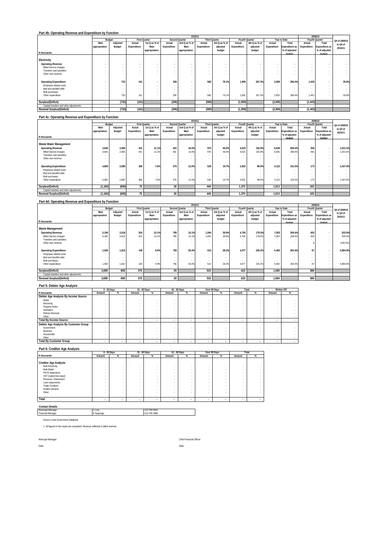|                                         |                          |                |             |                      |             |                       | 2010/11     |                      |             |                |                          |                |             | 2009/10                  |               |
|-----------------------------------------|--------------------------|----------------|-------------|----------------------|-------------|-----------------------|-------------|----------------------|-------------|----------------|--------------------------|----------------|-------------|--------------------------|---------------|
|                                         |                          | Budget         |             | <b>First Quarter</b> |             | <b>Second Quarter</b> |             | <b>Third Quarter</b> |             | Fourth Quarter |                          | Year to Date   |             | Fourth Quarter           | Q4 of 2009/10 |
|                                         | Main                     | Adjusted       | Actual      | 1st Q as % of        | Actual      | 2nd Q as % of         | Actual      | 3rd Q as % of        | Actual      | 4th Q as % of  | Actual                   | Total          | Actual      | Total                    | to Q4 of      |
|                                         | appropriation            | Budget         | Expenditure | Main                 | Expenditure | Main                  | Expenditure | adjusted             | Expenditure | adjusted       | Expenditure              | Expenditure as | Expenditure | <b>Expenditure as</b>    | 2010/11       |
|                                         |                          |                |             | appropriation        |             | appropriation         |             | budget               |             | budget         |                          | % of adjusted  |             | % of adjusted            |               |
| R thousands                             |                          |                |             |                      |             |                       |             |                      |             |                |                          | hudget         |             | hudget                   |               |
| Electricity                             |                          |                |             |                      |             |                       |             |                      |             |                |                          |                |             |                          |               |
| <b>Operating Revenue</b>                |                          | $\overline{a}$ | $\sim$      |                      | $\sim$      | ٠                     |             |                      |             |                |                          |                |             |                          |               |
| <b>Billed Service charges</b>           | ٠                        | $\sim$         |             |                      | $\sim$      |                       |             |                      |             | $\sim$         | $\overline{\phantom{a}}$ | ۰              |             |                          |               |
| Transfers and subsidies                 |                          | $\sim$         |             |                      |             |                       |             |                      |             | $\sim$         | ۰.                       |                |             |                          |               |
| Other own revenue                       |                          |                |             |                      |             |                       |             |                      |             | ۰              |                          |                |             | $\overline{\phantom{a}}$ | $\sim$        |
|                                         |                          |                |             |                      |             |                       |             |                      |             |                |                          |                |             |                          |               |
| <b>Operating Expenditure</b>            | ٠                        | 733            | 161         |                      | 206         |                       | 580         | 79.1%                | 1.959       | 267.3%         | 2.905                    | 396.4%         | 1,443       |                          | 35.8%         |
| Employee related costs                  |                          |                |             |                      |             |                       |             |                      |             |                |                          |                |             |                          | . .           |
| Bad and doubtful debt                   | $\sim$                   | $\sim$         |             |                      | $\sim$      |                       |             |                      |             |                | $\overline{\phantom{a}}$ |                | $\sim$      |                          | . .           |
| <b>Bulk purchases</b>                   |                          |                |             |                      | $\sim$      |                       |             |                      |             |                |                          |                |             |                          | $\sim$        |
| Other expenditure                       | ٠                        | 733            | 161         |                      | 206         |                       | 580         | 79.1%                | 1.959       | 267.3%         | 2.905                    | 396.4%         | 1.443       |                          | 35.8%         |
|                                         |                          |                |             |                      |             |                       |             |                      |             |                |                          |                |             |                          |               |
| Surplus/(Deficit)                       | $\overline{\phantom{a}}$ | (733)          | (161)       |                      | (206)       |                       | (580)       |                      | (1,959)     |                | (2,905)                  |                | (1, 443)    |                          |               |
| Capital transfers and other adjustments |                          |                |             |                      |             |                       |             |                      |             |                |                          |                |             |                          | . .           |
| <b>Revised Surplus/(Deficit)</b>        | $\sim$                   | (733)          | (161)       |                      | (206)       |                       | (580)       |                      | (1,959)     |                | (2,905)                  |                | (1, 443)    |                          |               |
|                                         |                          |                |             |                      |             |                       |             |                      |             |                |                          |                |             |                          |               |

#### **Part 4c: Operating Revenue and Expenditure by Function**

|                                         |               | 2010/11                  |             |                      |                 |                       |             |                      |             |                |             |                       |             | 2009/10               |               |
|-----------------------------------------|---------------|--------------------------|-------------|----------------------|-----------------|-----------------------|-------------|----------------------|-------------|----------------|-------------|-----------------------|-------------|-----------------------|---------------|
|                                         | Budget        |                          |             | <b>First Quarter</b> |                 | <b>Second Quarter</b> |             | <b>Third Quarter</b> |             | Fourth Quarter |             | Year to Date          |             | Fourth Quarter        | Q4 of 2009/10 |
|                                         | Main          | Adjusted                 | Actual      | 1st Q as % of        | Actual          | 2nd Q as % of         | Actual      | 3rd Q as % of        | Actual      | 4th Q as % of  | Actual      | Total                 | Actual      | Total                 | to Q4 of      |
|                                         | appropriation | Budget                   | Expenditure | Main                 | Expenditure     | Main                  | Expenditure | adjusted             | Expenditure | adjusted       | Expenditure | <b>Expenditure as</b> | Expenditure | <b>Expenditure as</b> | 2010/11       |
|                                         |               |                          |             | appropriation        |                 | appropriation         |             | budget               |             | budget         |             | % of adjusted         |             | % of adjusted         |               |
| R thousands                             |               |                          |             |                      |                 |                       |             |                      |             |                |             | hudget                |             | hudget                |               |
| Waste Water Management                  |               |                          |             |                      |                 |                       |             |                      |             |                |             |                       |             |                       |               |
| <b>Operating Revenue</b>                | 3,640         | 2.085                    | 441         | 12.1%                | 601             | 16.5%                 | 970         | 46.5%                | 4.023       | 192.9%         | 6.036       | 289.4%                | 356         | $\mathbf{r}$          | 1.031.5%      |
| <b>Billed Service charges</b>           | 3.640         | 2.085                    | 441         | 12.1%                | 601             | 16.5%                 | 970         | 46.5%                | 4.023       | 192.9%         | 6.036       | 289.4%                | 356         |                       | 1.031.5%      |
| Transfers and subsidies                 |               | $\sim$                   |             |                      |                 |                       |             |                      |             |                |             |                       |             |                       | $\sim$        |
| Other own revenue                       |               | $\overline{\phantom{a}}$ |             |                      |                 |                       |             |                      |             |                |             |                       |             |                       | $\sim$        |
|                                         |               |                          |             |                      |                 |                       |             |                      |             |                |             |                       |             |                       |               |
| <b>Operating Expenditure</b>            | 4.800         | 2.690                    | 366         | 7.6%                 | 575             | 12.0%                 | 530         | 19.7%                | 2.652       | 98.6%          | 4.123       | 153.3%                | 173         | $\sim$                | 1.437.0%      |
| Employee related costs                  |               | $\overline{\phantom{a}}$ |             |                      |                 |                       |             |                      |             |                |             |                       |             |                       | $\sim$        |
| Bad and doubtful debt                   |               | $\overline{\phantom{a}}$ |             |                      |                 |                       |             |                      |             |                |             |                       |             |                       | $\sim$        |
| <b>Bulk purchases</b>                   |               | $\overline{\phantom{a}}$ |             |                      |                 |                       |             |                      |             | $\sim$         |             |                       |             | $\sim$                |               |
| Other expenditure                       | 4.800         | 2.690                    | 366         | 7.6%                 | 575             | 12.0%                 | 530         | 19.7%                | 2.652       | 98.6%          | 4.123       | 153.3%                | 173         |                       | 1.437.0%      |
|                                         |               |                          |             |                      |                 |                       |             |                      |             |                |             |                       |             |                       |               |
| Surplus/(Deficit)                       | (1, 160)      | (605)                    | 75          |                      | 26              |                       | 440         |                      | 1.370       |                | 1.913       |                       | 183         |                       |               |
| Capital transfers and other adjustments |               |                          |             |                      |                 |                       |             |                      |             |                |             |                       |             |                       |               |
| <b>Revised Surplus/(Deficit)</b>        | (1.160)       | (605)                    | 75          |                      | 26 <sup>1</sup> |                       | 440         |                      | 1.370       |                | 1.913       |                       | 183         |                       |               |

### **Part 4d: Operating Revenue and Expenditure by Function**

|                                         |               | 2010/11                  |             |                          |             |                       |             |                      |                |               |             | 2009/10        |             |                          |               |
|-----------------------------------------|---------------|--------------------------|-------------|--------------------------|-------------|-----------------------|-------------|----------------------|----------------|---------------|-------------|----------------|-------------|--------------------------|---------------|
|                                         |               | Budget                   |             | <b>First Quarter</b>     |             | <b>Second Quarter</b> |             | <b>Third Quarter</b> | Fourth Quarter |               |             | Year to Date   |             | Fourth Quarter           | Q4 of 2009/10 |
|                                         | Main          | Adjusted                 | Actual      | 1st Q as % of            | Actual      | 2nd Q as % of         | Actual      | 3rd Q as % of        | Actual         | 4th Q as % of | Actual      | Total          | Actual      | Total                    | to Q4 of      |
|                                         | appropriation | Budget                   | Expenditure | Main                     | Expenditure | Main                  | Expenditure | adjusted             | Expenditure    | adjusted      | Expenditure | Expenditure as | Expenditure | Expenditure as           | 2010/11       |
|                                         |               |                          |             | appropriation            |             | appropriation         |             | budget               |                | budget        |             | % of adjusted  |             | % of adjusted            |               |
| R thousands                             |               |                          |             |                          |             |                       |             |                      |                |               |             | hudget         |             | hudget                   |               |
| Waste Management                        |               |                          |             |                          |             |                       |             |                      |                |               |             |                |             |                          |               |
| <b>Operating Revenue</b>                | 5,190         | 2.618                    | 524         | 10.1%                    | 785         | 15.1%                 | 1.044       | 39.9%                | 4.700          | 179.5%        | 7.053       | 269.4%         | 455         |                          | 933.9%        |
| <b>Billed Service charges</b>           | 5.190         | 2.618                    | 524         | 10.1%                    | 785         | 15.1%                 | 1.044       | 39.9%                | 4.700          | 179.5%        | 7.053       | 269.4%         | 454         | $\overline{\phantom{a}}$ | 934.5%        |
| Transfers and subsidies                 | . .           | $\overline{\phantom{a}}$ | $\sim$      | $\sim$                   |             |                       |             |                      |                |               |             |                |             |                          | . .           |
| Other own revenue                       |               | ۰                        |             | $\sim$                   |             |                       |             |                      |                |               | $\sim$      |                |             |                          | (100.0%       |
|                                         |               |                          |             |                          |             |                       |             |                      |                |               |             |                |             |                          |               |
| <b>Operating Expenditure</b>            | 1,500         | 1,810                    | 149         | 9.9%                     | 756         | 50.4%                 | 510         | 28.2%                | 4.077          | 225.2%        | 5.492       | 303.4%         | 67          |                          | 5,984.9%      |
| Employee related costs                  |               | $\overline{\phantom{a}}$ |             |                          |             |                       |             |                      |                |               |             |                |             |                          |               |
| Bad and doubtful debt                   |               | ۰                        | ٠.          |                          |             |                       |             |                      |                |               |             |                |             |                          |               |
| <b>Bulk purchases</b>                   |               | $\overline{\phantom{a}}$ | $\sim$      | $\overline{\phantom{a}}$ |             |                       | $\sim$      |                      |                |               | $\sim$      |                |             |                          |               |
| Other expenditure                       | 1.500         | 1.810                    | 149         | 9.99                     | 756         | 50.4%                 | 510         | 28.2%                | 4.077          | 225.2%        | 5.492       | 303.49         | 67          |                          | 5,984.9%      |
|                                         |               |                          |             |                          |             |                       |             |                      |                |               |             |                |             |                          |               |
| Surplus/(Deficit)                       | 3.690         | 808                      | 375         |                          | 29          |                       | 533         |                      | 623            |               | 1.560       |                | 388         |                          |               |
| Capital transfers and other adjustments |               |                          |             |                          |             |                       |             |                      |                |               |             |                |             |                          |               |
| <b>Revised Surplus/(Deficit)</b>        | 3.690         | 808                      | 375         |                          | 29          |                       | 533         |                      | 623            |               | 1.560       |                | 388         |                          |               |

 $\overline{\phantom{a}}$ 

### **Part 5: Debtor Age Analysis**

|                                       |                          | 0 - 30 Days |        | 31 - 60 Days             |                          | 61 - 90 Davs |        | Over 90 Days |        | Total  |        | Written Off |
|---------------------------------------|--------------------------|-------------|--------|--------------------------|--------------------------|--------------|--------|--------------|--------|--------|--------|-------------|
| R thousands                           | Amount                   | %           | Amount | %                        | Amount                   | %            | Amount | %            | Amount | %      | Amount | %           |
| Debtor Age Analysis By Income Source  |                          |             |        |                          |                          |              |        |              |        |        |        |             |
| Water                                 |                          |             |        |                          |                          |              |        |              |        |        |        |             |
| Electricity                           |                          |             |        |                          |                          |              |        |              |        |        |        |             |
| <b>Property Rates</b>                 |                          |             |        |                          |                          |              |        |              |        |        |        |             |
| Sanitation                            |                          |             |        |                          |                          |              |        |              |        |        |        |             |
| Refuse Removal                        |                          |             |        |                          |                          |              |        |              |        |        |        |             |
| Other                                 |                          | $\sim$      | ۰      |                          |                          |              |        | $\sim$       |        |        |        |             |
| <b>Total By Income Source</b>         | $\overline{\phantom{a}}$ | ۰           |        | $\overline{\phantom{a}}$ | $\overline{\phantom{a}}$ | $\sim$       |        |              | $\sim$ |        | $\sim$ |             |
| Debtor Age Analysis By Customer Group |                          |             |        |                          |                          |              |        |              |        |        |        |             |
| Government                            |                          |             |        |                          |                          |              |        |              |        |        |        |             |
| Business                              |                          |             |        |                          |                          |              |        |              |        |        |        |             |
| Households                            |                          |             |        |                          |                          |              |        |              |        |        |        |             |
| Other                                 |                          | $\sim$      | ۰      | $\sim$                   |                          |              |        | $\sim$       |        | $\sim$ |        |             |
| <b>Total By Customer Group</b>        |                          | ۰           |        | $\overline{\phantom{a}}$ |                          | $\sim$       |        |              |        |        | $\sim$ |             |

#### **Part 6: Creditor Age Analysis**

|                              |        | 0 - 30 Days              |                          | 31 - 60 Days             |        | 61 - 90 Days             |                          | Over 90 Days | Total             |        |
|------------------------------|--------|--------------------------|--------------------------|--------------------------|--------|--------------------------|--------------------------|--------------|-------------------|--------|
| R thousands                  | Amount | %                        | Amount                   | %                        | Amount | %                        | Amount                   | %            | Amount            | %      |
|                              |        |                          |                          |                          |        |                          |                          |              |                   |        |
| <b>Creditor Age Analysis</b> |        |                          |                          |                          |        |                          |                          |              |                   |        |
| <b>Bulk Electricity</b>      | $\sim$ |                          | ٠                        |                          |        | ۰                        | ٠                        | $\sim$       | ٠                 |        |
| <b>Bulk Water</b>            | ٠      |                          | ٠                        |                          |        | ۰                        | ٠                        |              | ٠                 |        |
| PAYE deductions              | ٠      |                          | ٠                        | $\sim$                   |        | ۰                        | ٠                        |              | ٠                 |        |
| VAT (output less input)      | $\sim$ |                          | $\sim$                   | $\sim$                   |        | ۰                        | $\sim$                   | $\sim$       |                   |        |
| Pensions / Retirement        | $\sim$ |                          | ٠                        | $\sim$                   |        | ۰                        | ٠                        | $\sim$       | ٠                 |        |
| Loan repayments              |        | $\overline{\phantom{a}}$ | ٠                        | $\sim$                   |        | ۰                        | $\overline{\phantom{a}}$ | $\sim$       |                   | ٠      |
| <b>Trade Creditors</b>       |        |                          | $\overline{\phantom{a}}$ |                          |        | ۰                        | $\overline{\phantom{a}}$ |              | <b>CONTRACTOR</b> | $\sim$ |
| Auditor-General              | ٠      |                          | ٠                        | $\overline{\phantom{a}}$ |        | ۰                        | ٠                        |              | ٠                 | ٠      |
| Other                        |        | $\overline{\phantom{a}}$ | $\overline{\phantom{a}}$ | $\sim$                   | $\sim$ | ۰                        | $\overline{\phantom{a}}$ |              |                   |        |
|                              |        |                          |                          |                          |        |                          |                          |              |                   |        |
| Total                        | ٠      | $\overline{\phantom{a}}$ | $\overline{\phantom{a}}$ | $\overline{\phantom{a}}$ |        | $\overline{\phantom{a}}$ |                          |              | $\sim$            |        |

#### **Contact Details**

| C Lisa     | 013 708 6018 |
|------------|--------------|
| E Nvalungu | 013 799 1889 |
|            |              |
|            |              |

1. All figures in this report are unaudited. Revenue reflected is billed revenue

Date: Date: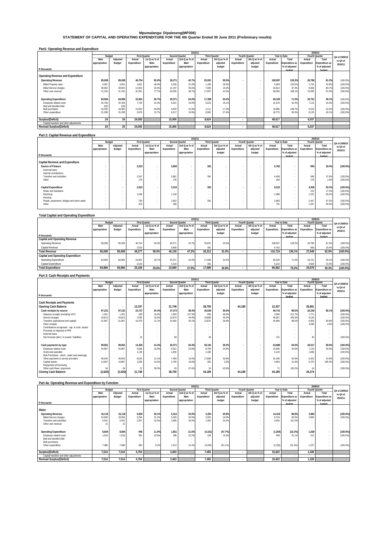## **Mpumalanga: Dipaleseng(MP306) STATEMENT OF CAPITAL AND OPERATING EXPENDITURE FOR THE 4th Quarter Ended 30 June 2011 (Preliminary results)**

| Part1: Operating Revenue and Expenditure |  |
|------------------------------------------|--|
|                                          |  |

|                                         |               |          |                          |               |             | 2010/11        |                      |               |             |                |             |                       |             | 2009/10        |               |
|-----------------------------------------|---------------|----------|--------------------------|---------------|-------------|----------------|----------------------|---------------|-------------|----------------|-------------|-----------------------|-------------|----------------|---------------|
|                                         | Budget        |          | <b>First Quarter</b>     |               |             | Second Quarter | <b>Third Quarter</b> |               |             | Fourth Quarter |             | Year to Date          |             | Fourth Quarter | Q4 of 2009/10 |
|                                         | Main          | Adjusted | Actual                   | 1st Q as % of | Actual      | 2nd Q as % of  | Actual               | 3rd Q as % of | Actual      | 4th Q as % of  | Actual      | Total                 | Actual      | Total          | to Q4 of      |
|                                         | appropriation | Budget   | Expenditure              | Main          | Expenditure | Main           | Expenditure          | adjusted      | Expenditure | adjusted       | Expenditure | <b>Expenditure as</b> | Expenditure | Expenditure as | 2010/11       |
|                                         |               |          |                          | appropriation |             | appropriation  |                      | budget        |             | budget         |             | % of adjusted         |             | % of adjusted  |               |
| R thousands                             |               |          |                          |               |             |                |                      |               |             |                |             | budget                |             | budget         |               |
| Operating Revenue and Expenditure       |               |          |                          |               |             |                |                      |               |             |                |             |                       |             |                |               |
| <b>Operating Revenue</b>                | 85,008        | 85.008   | 46,754                   | 55.0%         | 36,271      | 42.7%          | 25.931               | 30.5%         | ٠           |                | 108.957     | 128.2%                | 26,788      | 81.3%          | $(100.0\%)$   |
| <b>Billed Property rates</b>            | 4.001         | 4.001    | 1.841                    | 46.0%         | 2.039       | 51.0%          | 1.180                | 29.5%         |             |                | 5.059       | 126.5%                | 1.724       | 42.6%          | (100.0%       |
| <b>Billed Service charges</b>           | 39,902        | 39.902   | 12,963                   | 32.5%         | 14.197      | 35.6%          | 7.655                | 19.2%         |             |                | 34.814      | 87.3%                 | 9.566       | 80.7%          | $(100.0\%)$   |
| Other own revenue                       | 41,105        | 41.105   | 31.951                   | 77.7%         | 20,035      | 48.7%          | 17.097               | 41.6%         |             |                | 69.083      | 168.1%                | 15.499      | 91.6%          | $(100.0\%)$   |
|                                         |               |          |                          |               |             |                |                      |               |             |                |             |                       |             |                |               |
| <b>Operating Expenditure</b>            | 84.984        | 84.984   | 22,661                   | 26.7%         | 20.371      | 24.0%          | 17.308               | 20.4%         |             |                | 60.340      | 71.0%                 | 20,751      | 49.1%          | $(100.0\%)$   |
| Employee related costs                  | 34.766        | 34.766   | 7.743                    | 22.3%         | 8.321       | 23.9%          | 5.615                | 16.1%         |             |                | 21.678      | 62.4%                 | 7.115       | 54.3%          | $(100.0\%)$   |
| Bad and doubtful debt                   | 620           | 620      | $\overline{\phantom{a}}$ |               |             |                |                      |               | $\sim$      |                |             |                       |             |                |               |
| <b>Bulk purchases</b>                   | 18,300        | 18,300   | 10,943                   | 59.8%         | 5.833       | 31 9%          | 3.111                | 17.0%         |             |                | 19.886      | 108.7%                | 5.516       | 62.5%          | $(100.0\%)$   |
| Other expenditure                       | 31.298        | 31.298   | 3.976                    | 12.7%         | 6.217       | 19 9%          | 8.582                | 27 4%         |             |                | 18.775      | 60.0%                 | 8.120       | 40.1%          | $(100.0\%)$   |
|                                         |               |          |                          |               |             |                |                      |               |             |                |             |                       |             |                |               |
| Surplus/(Deficit)                       | 24            | 24       | 24.093                   |               | 15,900      |                | 8,624                |               | . .         |                | 48.617      |                       | 6.037       |                |               |
| Capital transfers and other adjustments |               |          |                          |               |             |                |                      |               |             |                |             |                       |             |                |               |
| <b>Revised Surplus/(Deficit)</b>        | 24            | 24       | 24,093                   |               | 15,900      |                | 8,624                |               | $\sim$      |                | 48,617      |                       | 6,037       |                |               |

#### **Part 2: Capital Revenue and Expenditure**

|                                           |               |              |                          |                          |             |                | 2010/11                  |               |             |                |                          |                |             | 2009/10        |               |
|-------------------------------------------|---------------|--------------|--------------------------|--------------------------|-------------|----------------|--------------------------|---------------|-------------|----------------|--------------------------|----------------|-------------|----------------|---------------|
|                                           |               | Budget       |                          | <b>First Quarter</b>     |             | Second Quarter | <b>Third Quarter</b>     |               |             | Fourth Quarter |                          | Year to Date   |             | Fourth Quarter | Q4 of 2009/10 |
|                                           | Main          | Adjusted     | Actual                   | 1st Q as % of            | Actual      | 2nd Q as % of  | Actual                   | 3rd Q as % of | Actual      | 4th Q as % of  | Actual                   | Total          | Actual      | Total          | to Q4 of      |
|                                           | appropriation | Budget       | Expenditure              | Main                     | Expenditure | Main           | Expenditure              | adjusted      | Expenditure | adjusted       | Expenditure              | Expenditure as | Expenditure | Expenditure as | 2010/11       |
|                                           |               |              |                          | appropriation            |             | appropriation  |                          | budget        |             | budget         |                          | % of adjusted  |             | % of adjusted  |               |
| R thousands                               |               |              |                          |                          |             |                |                          |               |             |                |                          | hudget         |             | hudget         |               |
| <b>Capital Revenue and Expenditure</b>    |               |              |                          |                          |             |                |                          |               |             |                |                          |                |             |                |               |
| Source of Finance                         |               | $\mathbf{r}$ | 2,523                    | $\sim$                   | 3,858       |                | 381                      |               |             |                | 6.762                    |                | 860         | 18.4%          | $(100.0\%)$   |
| External loans                            |               | $\sim$       |                          |                          |             |                |                          |               |             |                |                          |                |             |                | $\sim$        |
| Internal contributions                    |               | $\sim$       | $\sim$                   |                          |             |                | $\overline{\phantom{a}}$ |               |             |                | $\overline{\phantom{a}}$ |                |             |                | $\sim$        |
| <b>Transfers and subsidies</b>            |               | $\sim$       | 2,347                    |                          | 3.681       |                | 381                      |               |             |                | 6.408                    |                | 585         | 37.9%          | (100.0%       |
| Other                                     |               |              | 176                      |                          | 178         |                |                          |               |             |                | 354                      |                | 276         | 1.6%           | (100.0%       |
|                                           |               |              |                          |                          |             |                |                          |               |             |                |                          |                |             |                |               |
| Capital Expenditure                       |               | $\mathbf{r}$ | 2.523                    | $\sim$                   | 3.319       |                | 381                      |               |             |                | 6.222                    |                | 4.928       | 53.3%          | $(100.0\%)$   |
| Water and Sanitation                      |               | $\sim$       | $\sim$                   |                          |             |                |                          |               |             |                |                          |                | 222         | 17.4%          | (100.0%       |
| Electricity                               |               |              | 1.349                    |                          | 1.139       |                |                          |               |             |                | 2.488                    |                | 1.222       | 89.2%          | $(100.0\%)$   |
| Housing                                   |               | $\sim$       | $\overline{\phantom{a}}$ | $\sim$                   |             |                |                          |               |             |                |                          |                |             |                | $\sim$        |
| Roads, pavements, bridges and storm water |               |              | 750                      | $\overline{\phantom{a}}$ | 1,852       |                | 381                      |               |             |                | 2,983                    |                | 2,447       | 97.3%          | (100.0%       |
| Other                                     |               |              | 423                      |                          | 328         |                |                          |               |             |                | 751                      |                | 1.037       | 65.9%          | $(100.0\%)$   |
|                                           |               |              |                          |                          |             |                |                          |               |             |                |                          |                |             |                |               |

### **Total Capital and Operating Expenditure**

|                                          |               | 2010/11  |             |                      |             |                |                      |               |             |                |             |                       |                | 2009/10        |               |
|------------------------------------------|---------------|----------|-------------|----------------------|-------------|----------------|----------------------|---------------|-------------|----------------|-------------|-----------------------|----------------|----------------|---------------|
|                                          |               | Budget   |             | <b>First Quarter</b> |             | Second Quarter | <b>Third Quarter</b> |               |             | Fourth Ouarter |             | Year to Date          | Fourth Quarter |                | Q4 of 2009/10 |
|                                          | Main          | Adjusted | Actual      | 1st Q as % of        | Actual      | 2nd Q as % of  | Actual               | 3rd Q as % of | Actual      | 4th Q as % of  | Actual      | Total                 | Actual         | Total          | to Q4 of      |
|                                          | appropriation | Budget   | Expenditure | Main                 | Expenditure | Main           | Expenditure          | adiusted      | Expenditure | adiusted       | Expenditure | <b>Expenditure as</b> | Expenditure    | Expenditure as | 2010/11       |
|                                          |               |          |             | appropriation        |             | appropriation  |                      | budget        |             | budget         |             | % of adjusted         |                | % of adjusted  |               |
| R thousands                              |               |          |             |                      |             |                |                      |               |             |                |             | hudget                |                | hudget         |               |
| <b>Capital and Operating Revenue</b>     |               |          |             |                      |             |                |                      |               |             |                |             |                       |                |                |               |
| Operating Revenue                        | 85.008        | 85.008   | 46.754      | 55.0%                | 36.271      | 42.7%          | 25.931               | 30.5%         |             |                | 108.957     | 128.2%                | 26.788         | 81.3%          | $(100.0\%)$   |
| Capital Revenue                          |               |          | 2.523       |                      | 3,858       |                | 381                  |               |             |                | 6.762       |                       | 860            | 18.4%          | $(100.0\%)$   |
| <b>Total Revenue</b>                     | 85.008        | 85,008   | 49.277      | 58.0%                | 40.130      | 47.2%          | 26.312               | 31.0%         |             |                | 115.719     | 136.1%                | 27.649         | 62.0%          | $(100.0\%)$   |
| <b>Capital and Operating Expenditure</b> |               |          |             |                      |             |                |                      |               |             |                |             |                       |                |                |               |
| Operating Expenditure                    | 84.984        | 84.984   | 22.661      | 26.7%                | 20.371      | 24.0%          | 17.308               | 20.4%         |             |                | 60.340      | 71.0%                 | 20.751         | 49.1%          | (100.0%)      |
| Capital Expenditure                      |               |          | 2.523       |                      | 3.319       |                | 381                  |               |             |                | 6.222       |                       | 4.928          | 53.3%          | (100.0%       |
| <b>Total Expenditure</b>                 | 84.984        | 84.984   | 25.184      | 29.6%                | 23.690      | 27.9%          | 17.689               | 20.8%         |             |                | 66.562      | 78.3%                 | 25.679         | 50.3%          | $(100.0\%)$   |
|                                          |               |          |             |                      |             |                |                      |               |             |                |             |                       |                |                |               |

### **Part 3: Cash Receipts and Payments**

|                                                 |                          |          |                                   |               |                | 2010/11        |                      |               |                  |                |                 |                |                | 2009/10        |               |
|-------------------------------------------------|--------------------------|----------|-----------------------------------|---------------|----------------|----------------|----------------------|---------------|------------------|----------------|-----------------|----------------|----------------|----------------|---------------|
|                                                 |                          | Budget   | <b>First Quarter</b>              |               |                | Second Quarter | <b>Third Quarter</b> |               |                  | Fourth Quarter |                 | Year to Date   |                | Fourth Quarter | Q4 of 2009/10 |
|                                                 | Main                     | Adjusted | Actual                            | 1st Q as % of | Actual         | 2nd Q as % of  | Actual               | 3rd Q as % of | Actual           | 4th Q as % of  | Actual          | Total          | Actual         | Total          | to Q4 of      |
|                                                 | appropriation            | Budget   | Expenditure                       | Main          | Expenditure    | Main           | Expenditure          | adjusted      | Expenditure      | adjusted       | Expenditure     | Expenditure as | Expenditure    | Expenditure as | 2010/11       |
|                                                 |                          |          |                                   | appropriation |                | appropriation  |                      | budget        |                  | budget         |                 | % of adjusted  |                | % of adjusted  |               |
| R thousands                                     |                          |          |                                   |               |                |                |                      |               |                  |                |                 | hudget         |                | hudget         |               |
| <b>Cash Receipts and Payments</b>               |                          |          |                                   |               |                |                |                      |               |                  |                |                 |                |                |                |               |
| <b>Opening Cash Balance</b>                     | $\overline{\phantom{a}}$ | $\cdot$  | 12,337                            |               | 21,748         |                | 38,750               |               | 44.189           |                | 12,337          |                | 26,661         |                |               |
| Cash receipts by source                         | 97,231                   | 97,231   | 23,737                            | 24.4%         | 37,373         | 38.4%          | 34.630               | 35.6%         | ٠                |                | 95,741          | 98.5%          | 20,230         | 80.1%          | $(100.0\%)$   |
| Statutory receipts (including VAT)              | 1.451                    | 1.451    | 238                               | 16.4%         | 1.993          | 137.3%         | 855                  | 58.9%         | $\sim$           |                | 3.086           | 212.7%         | 1.771          |                | (100.0%       |
| Service charges                                 | 43.813                   | 43.813   | 7.005                             | 16.0%         | 19.673         | 44.9%          | 19.889               | 45.4%         | $\sim$           |                | 46.567          | 106.3%         | 9.126          |                | (100.0%       |
| Transfers (operational and capital)             | 51,967                   | 51.967   | 16.479                            | 31.7%         | 15,650         | 30.1%          | 13.837               | 26.6%         | $\sim$           |                | 45.966          | 88.5%          | 6.000          | 80.8%          | (100.0%       |
| Other receipts                                  |                          |          | $\overline{\phantom{a}}$          |               |                |                |                      |               | . .              |                |                 |                | 3.288          | 4.9%           | (100.0%       |
| Contributions recognised - cap. & contr. assets |                          | ٠        | $\overline{\phantom{a}}$          |               |                |                |                      |               | $\sim$           |                |                 |                |                |                |               |
| Proceeds on disposal of PPE                     | . .                      | $\sim$   | $\sim$                            |               |                |                |                      | $\sim$        |                  |                |                 | $\sim$         |                |                |               |
| <b>External Inans</b>                           | . .                      |          | $\overline{\phantom{a}}$          |               |                |                |                      |               |                  |                |                 |                |                |                |               |
| Net increase (decr.) in assets / liabilities    |                          |          | 15                                |               | 58             |                | 49                   |               |                  |                | 121             |                | 45             |                | (100.0%       |
|                                                 | 99,851                   | 99,851   | 14,326                            | 14.3%         | 20,371         | 20.4%          | 29.191               | 29.2%         |                  |                | 63,888          | 64.0%          | 20,517         | 59.0%          | $(100.0\%)$   |
| Cash payments by type                           |                          |          |                                   |               |                |                |                      | 24 9%         |                  |                |                 |                |                |                |               |
| Employee related costs<br>Grant and subsidies   | 34.987                   | 34.987   | 5.566<br>1,139                    | 15.9%         | 8.321<br>1.800 | 23.8%          | 8.709<br>2.180       |               | $\sim$           |                | 22.596<br>5.120 | 64.6%          | 7.115<br>1.696 | 93.3%          | (100.0%       |
| Bulk Purchases - electr., water and sewerage    |                          |          |                                   |               |                |                |                      |               | $\sim$           |                |                 |                |                |                | (100.0%       |
| Other payments to service providers             | 49.943                   | 49.943   | $\overline{\phantom{a}}$<br>6.042 | 12.1%         | 7.469          | 15.0%          | 17.896               | 35.8%         | $\sim$<br>$\sim$ |                | 31.408          | 62.9%          | 6.423          | 24.9%          | (100.0%       |
| Capital assets                                  | 14.867                   | 14.867   | 1.558                             | 10.5%         | 2.755          | 18.5%          | 381                  | 2.6%          | $\sim$           |                | 4.694           | 31.6%          | 5.270          | 545.4%         | (100.0%       |
| Repayment of borrowing                          |                          |          | $\overline{\phantom{a}}$          |               |                |                |                      |               | $\sim$           |                |                 |                |                |                |               |
| Other cash flows / payments                     | 54                       | 54       | 21                                | 39.3%         | 26             | 47.4%          | 24                   | 43.5%         |                  |                | 71              | 130.2%         | 14             |                | (100.0%       |
| <b>Closing Cash Balance</b>                     | (2,620)                  | (2,620)  | 21,748                            |               | 38,750         |                | 44,189               |               | 44,189           |                | 44,189          |                | 26,374         |                |               |
|                                                 |                          |          |                                   |               |                |                |                      |               |                  |                |                 |                |                |                |               |
|                                                 |                          |          |                                   |               |                |                |                      |               |                  |                |                 |                |                |                |               |

|                                         |               |                          |             |                      |             | 2010/11        |                      |               |             |                |             |                |             | 2009/10        |               |
|-----------------------------------------|---------------|--------------------------|-------------|----------------------|-------------|----------------|----------------------|---------------|-------------|----------------|-------------|----------------|-------------|----------------|---------------|
|                                         |               | Budget                   |             | <b>First Quarter</b> |             | Second Quarter | <b>Third Quarter</b> |               |             | Fourth Quarter |             | Year to Date   |             | Fourth Quarter | Q4 of 2009/10 |
|                                         | Main          | Adjusted                 | Actual      | 1st Q as % of        | Actual      | 2nd Q as % of  | Actual               | 3rd Q as % of | Actual      | 4th Q as % of  | Actual      | Total          | Actual      | Total          | to Q4 of      |
|                                         | appropriation | Budget                   | Expenditure | Main                 | Expenditure | Main           | Expenditure          | adjusted      | Expenditure | adjusted       | Expenditure | Expenditure as | Expenditure | Expenditure as | 2010/11       |
|                                         |               |                          |             | appropriation        |             | appropriation  |                      | budget        |             | budget         |             | % of adjusted  |             | % of adjusted  |               |
| R thousands                             |               |                          |             |                      |             |                |                      |               |             |                |             | hudget         |             | <b>budget</b>  |               |
|                                         |               |                          |             |                      |             |                |                      |               |             |                |             |                |             |                |               |
| Water                                   |               |                          |             |                      |             |                |                      |               |             |                |             |                |             |                |               |
| <b>Operating Revenue</b>                | 16,118        | 16.118                   | 5.650       | 35.1%                | 5.314       | 33.0%          | 3.354                | 20.8%         |             |                | 14.318      | 88.8%          | 2.866       |                | $(100.0\%)$   |
| <b>Billed Service charges</b>           | 10.556        | 10.556                   | 3.294       | 31.2%                | 3.429       | 32.5%          | 2.002                | 19.0%         |             |                | 8.724       | 82.6%          | 2.866       |                | (100.0%       |
| Transfers and subsidies                 | 5.541         | 5.541                    | 2.357       | 42.5%                | 1.885       | 34.09          | 1.352                | 24.4%         |             |                | 5.594       | 101.0%         |             |                |               |
| Other own revenue                       | $2^{\circ}$   | 21                       |             |                      |             |                |                      |               |             |                |             |                |             |                |               |
|                                         |               |                          |             |                      |             |                |                      |               |             |                |             |                |             |                |               |
| <b>Operating Expenditure</b>            | 8,604         | 8.604                    | 946         | 11.0%                | 1.851       | 21.5%          | (4, 101)             | (47.7%)       |             |                | (1, 304)    | (15.2%)        | 1.538       |                | $(100.0\%)$   |
| Employee related costs                  | 1.518         | 1.518                    | 362         | 23.9%                | 338         | 22.2%          | 228                  | 15.0%         |             |                | 928         | 61.1%          | 311         |                | $(100.0\%)$   |
| Bad and doubtful debt                   |               | $\overline{\phantom{a}}$ |             |                      |             |                |                      |               |             |                |             |                |             |                |               |
| <b>Bulk purchases</b>                   |               | $\overline{\phantom{a}}$ |             |                      |             |                |                      |               |             |                |             |                |             |                |               |
| Other expenditure                       | 7.086         | 7.086                    | 584         | 8.2%                 | 1.513       | 21.4%          | (4, 330)             | (61.1%)       |             |                | (2.233)     | (31.5%)        | 1.227       |                | (100.0%       |
|                                         |               |                          |             |                      |             |                |                      |               |             |                |             |                |             |                |               |
| Surplus/(Deficit)                       | 7.514         | 7.514                    | 4,704       |                      | 3,463       |                | 7,455                |               |             |                | 15,622      |                | 1,328       |                |               |
| Capital transfers and other adjustments |               |                          |             |                      |             |                |                      |               |             |                |             |                |             |                |               |
| <b>Revised Surplus/(Deficit)</b>        | 7.514         | 7,514                    | 4,704       |                      | 3,463       |                | 7,455                |               |             |                | 15,622      |                | 1,328       |                |               |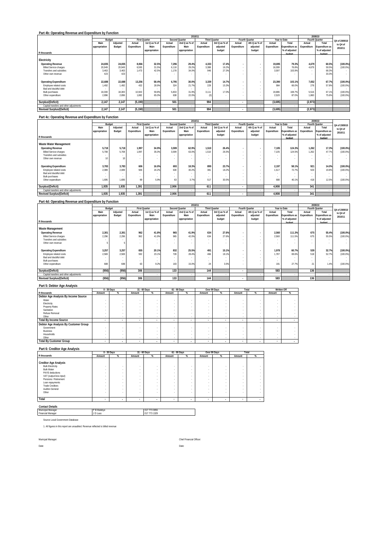|                                         |               |          |             |                      |             |                          | 2010/11     |                      |             |                          |             |                |             | 2009/10        |               |
|-----------------------------------------|---------------|----------|-------------|----------------------|-------------|--------------------------|-------------|----------------------|-------------|--------------------------|-------------|----------------|-------------|----------------|---------------|
|                                         |               | Budget   |             | <b>First Quarter</b> |             | <b>Second Quarter</b>    |             | <b>Third Quarter</b> |             | Fourth Quarter           |             | Year to Date   |             | Fourth Quarter | Q4 of 2009/10 |
|                                         | Main          | Adjusted | Actual      | 1st Q as % of        | Actual      | 2nd Q as % of            | Actual      | 3rd Q as % of        | Actual      | 4th Q as % of            | Actual      | Total          | Actual      | Total          | to Q4 of      |
|                                         | appropriation | Budget   | Expenditure | Main                 | Expenditure | Main                     | Expenditure | adjusted             | Expenditure | adjusted                 | Expenditure | Expenditure as | Expenditure | Expenditure as | 2010/11       |
|                                         |               |          |             | appropriation        |             | appropriation            |             | budget               |             | budget                   |             | % of adjusted  |             | % of adjusted  |               |
| R thousands                             |               |          |             |                      |             |                          |             |                      |             |                          |             | budget         |             | hudget         |               |
| Electricity                             |               |          |             |                      |             |                          |             |                      |             |                          |             |                |             |                |               |
| <b>Operating Revenue</b>                | 24.835        | 24.835   | 8.066       | 32.5%                | 7.296       | 29.4%                    | 4.333       | 17.4%                |             | ٠                        | 19.695      | 79.3%          | 4.679       | 60.5%          | $(100.0\%)$   |
| <b>Billed Service charges</b>           | 20,949        | 20,949   | 6.593       | 31.5%                | 6.118       | 29.2%                    | 3.388       | 16.2%                |             | $\overline{\phantom{a}}$ | 16,099      | 76.8%          | 4.679       | 59.5%          | (100.0%       |
| Transfers and subsidies                 | 3.463         | 3.463    | 1.473       | 42.5%                | 1.178       | 34.0%                    | 946         | 27.3%                |             | $\overline{\phantom{a}}$ | 3.597       | 103.9%         |             | 68.3%          | $\sim$        |
| Other own revenue                       | 423           | 423      |             |                      |             | $\overline{\phantom{a}}$ |             |                      |             | $\overline{\phantom{a}}$ |             |                |             | 33.3%          | $\sim$        |
|                                         |               |          |             |                      |             |                          |             |                      |             |                          |             |                |             |                |               |
| <b>Operating Expenditure</b>            | 22,688        | 22,688   | 13,256      | 58.4%                | 6.795       | 30.0%                    | 3.339       | 14.7%                |             |                          | 23,390      | 103.1%         | 7.652       | 67.7%          | $(100.0\%)$   |
| Employee related costs                  | 1.492         | 1.492    | 432         | 28.9%                | 324         | 21.7%                    | 229         | 15.3%                |             | $\overline{\phantom{a}}$ | 984         | 66.0%          | 276         | 57.8%          | (100.0%       |
| Bad and doubtful debt                   | . .           | $\sim$   |             |                      |             | $\overline{\phantom{a}}$ |             |                      | $\sim$      | $\sim$                   |             |                |             | $\sim$         |               |
| <b>Bulk purchases</b>                   | 18,300        | 18.300   | 10,943      | 59.8%                | 5.833       | 31.9%                    | 3.111       | 17.0%                |             | $\overline{\phantom{a}}$ | 19.886      | 108.7%         | 5.516       | 67.1%          | (100.0%       |
| Other expenditure                       | 2.896         | 2.896    | 1.882       | 65.0%                | 638         | 22.0%                    | (0)         |                      |             |                          | 2.520       | 87.0%          | 1.860       | 75.6%          | (100.0%       |
| Surplus/(Deficit)                       | 2.147         | 2.147    | (5, 190)    |                      | 501         |                          | 994         |                      | . .         |                          | (3,695)     |                | (2,973)     |                |               |
| Capital transfers and other adjustments |               |          |             |                      |             |                          |             |                      |             |                          |             |                |             |                |               |
| <b>Revised Surplus/(Deficit)</b>        | 2,147         | 2,147    | (5, 190)    |                      | 501         |                          | 994         |                      | $\sim$      |                          | (3,695)     |                | (2,973)     |                |               |
|                                         |               |          |             |                      |             |                          |             |                      |             |                          |             |                |             |                |               |

#### **Part 4c: Operating Revenue and Expenditure by Function**

|                                         |               |                          |             |                      |             |                       | 2010/11                  |                      |             |                |             |                |             | 2009/10        |               |
|-----------------------------------------|---------------|--------------------------|-------------|----------------------|-------------|-----------------------|--------------------------|----------------------|-------------|----------------|-------------|----------------|-------------|----------------|---------------|
|                                         |               | Budget                   |             | <b>First Quarter</b> |             | <b>Second Quarter</b> |                          | <b>Third Quarter</b> |             | Fourth Quarter |             | Year to Date   |             | Fourth Quarter | Q4 of 2009/10 |
|                                         | Main          | Adjusted                 | Actual      | 1st Q as % of        | Actual      | 2nd Q as % of         | Actual                   | 3rd Q as % of        | Actual      | 4th Q as % of  | Actual      | Total          | Actual      | Total          | to Q4 of      |
|                                         | appropriation | Budget                   | Expenditure | Main                 | Expenditure | Main                  | Expenditure              | adjusted             | Expenditure | adjusted       | Expenditure | Expenditure as | Expenditure | Expenditure as | 2010/11       |
|                                         |               |                          |             | appropriation        |             | appropriation         |                          | budget               |             | budget         |             | % of adjusted  |             | % of adjusted  |               |
| R thousands                             |               |                          |             |                      |             |                       |                          |                      |             |                |             | hudget         |             | hudget         |               |
| Waste Water Management                  |               |                          |             |                      |             |                       |                          |                      |             |                |             |                |             |                |               |
| <b>Operating Revenue</b>                | 5,718         | 5.718                    | 1.997       | 34.9%                | 3.599       | 62.9%                 | 1.510                    | 26.4%                |             |                | 7,105       | 124.3%         | 1.262       | 17.3%          | $(100.0\%)$   |
| <b>Billed Service charges</b>           | 5.708         | 5.708                    | 1.997       | 35.0%                | 3.599       | 63.0%                 | 1.510                    | 26.5%                |             |                | 7.105       | 124.5%         | 1.262       | 47.7%          | (100.0%       |
| Transfers and subsidies                 |               | ۰                        | $\sim$      |                      |             |                       |                          |                      |             |                |             | $\sim$         |             |                |               |
| Other own revenue                       | 10            | 10                       |             |                      |             |                       |                          |                      |             |                | $\sim$      |                |             |                |               |
|                                         |               |                          |             |                      |             |                       |                          |                      |             |                |             |                |             |                |               |
| <b>Operating Expenditure</b>            | 3,783         | 3,783                    | 606         | 16.0%                | 693         | 18.3%                 | 899                      | 23.7%                |             |                | 2.197       | 58.1%          | 921         | 14.0%          | $(100.0\%)$   |
| Employee related costs                  | 2.089         | 2.089                    | 506         | 24.2%                | 630         | 30.2%                 | 381                      | 18.2%                |             |                | 1.517       | 72.7%          | 503         | 19.8%          | (100.0%       |
| Bad and doubtful debt                   |               | $\overline{\phantom{a}}$ | $\sim$      |                      |             |                       |                          |                      |             |                | $\sim$      | $\sim$         |             |                |               |
| <b>Bulk purchases</b>                   |               | ٠                        | $\sim$      |                      |             |                       | $\overline{\phantom{a}}$ |                      |             |                |             |                |             |                |               |
| Other expenditure                       | 1.695         | 1.695                    | 99          | 5.9%                 | 63          | 3.7%                  | 517                      | 30.5%                |             |                | 680         | 40.19          | 418         | 12.5%          | $(100.0\%)$   |
|                                         |               |                          |             |                      |             |                       |                          |                      |             |                |             |                |             |                |               |
| Surplus/(Deficit)                       | 1.935         | 1.935                    | 1,391       |                      | 2,906       |                       | 611                      |                      | $\sim$      |                | 4.908       |                | 341         |                |               |
| Capital transfers and other adjustments |               |                          |             |                      |             |                       |                          |                      |             |                |             |                |             |                |               |
| <b>Revised Surplus/(Deficit)</b>        | 1.935         | 1.935                    | 1.391       |                      | 2.906       |                       | 611                      |                      | $\sim$      |                | 4.908       |                | 341         |                |               |

### **Part 4d: Operating Revenue and Expenditure by Function**

|                                         |               | 2010/11  |             |                      |             |                |             |                      |             |                |             |                |             | 2009/10               |               |
|-----------------------------------------|---------------|----------|-------------|----------------------|-------------|----------------|-------------|----------------------|-------------|----------------|-------------|----------------|-------------|-----------------------|---------------|
|                                         |               | Budget   |             | <b>First Quarter</b> |             | Second Quarter |             | <b>Third Quarter</b> |             | Fourth Quarter |             | Year to Date   |             | Fourth Quarter        | Q4 of 2009/10 |
|                                         | Main          | Adjusted | Actual      | 1st Q as % of        | Actual      | 2nd Q as % of  | Actual      | 3rd Q as % of        | Actual      | 4th Q as % of  | Actual      | Total          | Actual      | Total                 | to Q4 of      |
|                                         | appropriation | Budget   | Expenditure | Main                 | Expenditure | Main           | Expenditure | adjusted             | Expenditure | adjusted       | Expenditure | Expenditure as | Expenditure | <b>Expenditure as</b> | 2010/11       |
|                                         |               |          |             | appropriation        |             | appropriation  |             | budget               |             | budget         |             | % of adjusted  |             | % of adjusted         |               |
| R thousands                             |               |          |             |                      |             |                |             |                      |             |                |             | hudget         |             | hudget                |               |
| Waste Management                        |               |          |             |                      |             |                |             |                      |             |                |             |                |             |                       |               |
| <b>Operating Revenue</b>                | 2,301         | 2,301    | 962         | 41.8%                | 965         | 41.9%          | 634         | 27.6%                |             |                | 2.560       | 111.3%         | 675         | 55.4%                 | $(100.0\%)$   |
| <b>Billed Service charges</b>           | 2,296         | 2.296    | 962         | 41.9%                | 965         | 42.0%          | 634         | 27.6%                |             |                | 2.560       | 111.5%         | 675         | 55.5%                 | (100.0%       |
| Transfers and subsidies                 |               |          |             |                      |             |                |             |                      |             |                |             |                |             |                       | $\sim$        |
| Other own revenue                       |               |          |             |                      |             |                |             |                      |             | $\sim$         |             |                |             | $\sim$                | $\sim$        |
|                                         |               |          |             |                      |             |                |             |                      |             |                |             |                |             |                       |               |
| <b>Operating Expenditure</b>            | 3,257         | 3,257    | 655         | 20.1%                | 832         | 25.5%          | 491         | 15.1%                |             |                | 1,978       | 60.7%          | 539         | 32.7%                 | $(100.0\%)$   |
| Employee related costs                  | 2,569         | 2.569    | 592         | 23.1%                | 728         | 28.4%          | 466         | 18.1%                |             | $\sim$         | 1.787       | 69.6%          | 518         | 52.7%                 | (100.0%       |
| Bad and doubtful debt                   |               | $\sim$   |             |                      |             |                |             |                      |             | $\sim$         |             |                |             |                       |               |
| <b>Bulk purchases</b>                   |               |          |             |                      |             |                |             |                      |             | $\sim$         |             |                |             | $\sim$                | $\sim$        |
| Other expenditure                       | 688           | 688      | 63          | 9.2%                 | 103         | 15.0%          | 24          | 3.5%                 |             | $\sim$         | 191         | 27.7%          | 21          | 1.4%                  | (100.0%       |
|                                         |               |          |             |                      |             |                |             |                      |             |                |             |                |             |                       |               |
| Surplus/(Deficit)                       | (956)         | (956)    | 306         |                      | 133         |                | 144         |                      |             |                | 583         |                | 136         |                       |               |
| Capital transfers and other adjustments |               |          |             |                      |             |                |             |                      |             |                |             |                |             |                       | . .           |
| <b>Revised Surplus/(Deficit)</b>        | (956)         | (956)    | 306         |                      | 133         |                | 144         |                      |             |                | 583         |                | 136         |                       |               |

 $\overline{\phantom{a}}$ 

### **Part 5: Debtor Age Analysis**

|                                       |                          | $0 - 30$ Days            | 31 - 60 Days             |                          | 61 - 90 Davs |        |        | Over 90 Days |        | Total  | Written Off |   |
|---------------------------------------|--------------------------|--------------------------|--------------------------|--------------------------|--------------|--------|--------|--------------|--------|--------|-------------|---|
| R thousands                           | Amount                   | %                        | Amount                   | %                        | Amount       | %      | Amount | %            | Amount | %      | Amount      | % |
| Debtor Age Analysis By Income Source  |                          |                          |                          |                          |              |        |        |              |        |        |             |   |
| Water                                 |                          |                          | ٠                        |                          |              |        |        |              |        |        |             |   |
| Electricity                           |                          |                          |                          |                          |              |        |        |              |        |        |             |   |
| Property Rates                        |                          |                          |                          |                          |              |        |        |              |        |        |             |   |
| Sanitation                            |                          |                          |                          |                          |              |        |        |              |        |        |             |   |
| Refuse Removal                        |                          |                          | ٠                        |                          |              |        |        |              |        |        |             |   |
| Other                                 | $\sim$                   |                          | $\overline{\phantom{a}}$ |                          | $\sim$       |        | $\sim$ | $\sim$       |        |        |             |   |
| <b>Total By Income Source</b>         | $\overline{\phantom{a}}$ | ۰                        | $\sim$                   | $\overline{\phantom{a}}$ | $\sim$       |        |        |              |        |        | $\sim$      |   |
| Debtor Age Analysis By Customer Group |                          |                          |                          |                          |              |        |        |              |        |        |             |   |
| Government                            |                          |                          | ٠                        |                          |              |        |        |              |        |        |             |   |
| Business                              |                          |                          |                          |                          |              |        |        |              |        |        |             |   |
| Households                            |                          |                          |                          |                          |              |        |        |              |        |        |             |   |
| Other                                 |                          | $\sim$                   | $\overline{\phantom{a}}$ | $\sim$                   | $\sim$       | $\sim$ | $\sim$ | $\sim$       |        | $\sim$ |             |   |
| <b>Total By Customer Group</b>        |                          | $\overline{\phantom{a}}$ |                          | $\overline{\phantom{a}}$ | $\sim$       | $\sim$ |        |              |        |        | $\sim$      |   |

### **Part 6: Creditor Age Analysis**

|                                                                                                                            |                            | 0 - 30 Days              |                                         | 31 - 60 Days                                                   |        | 61 - 90 Days             |             | Over 90 Days               | Total  |        |
|----------------------------------------------------------------------------------------------------------------------------|----------------------------|--------------------------|-----------------------------------------|----------------------------------------------------------------|--------|--------------------------|-------------|----------------------------|--------|--------|
| R thousands                                                                                                                | Amount                     | %                        | Amount                                  | %                                                              | Amount | %                        | Amount      | %                          | Amount | %      |
| <b>Creditor Age Analysis</b><br><b>Bulk Electricity</b><br><b>Bulk Water</b><br>PAYE deductions<br>VAT (output less input) | ٠<br>$\sim$<br>$\sim$      | $\overline{\phantom{a}}$ | ٠<br>٠<br>$\overline{\phantom{a}}$<br>٠ | $\overline{\phantom{a}}$<br>$\sim$<br>$\sim$<br>$\sim$         |        | ۰<br>۰<br>۰<br>۰         | ٠<br>٠<br>٠ | $\sim$                     |        | ٠<br>٠ |
| Pensions / Retirement<br>Loan repayments<br><b>Trade Creditors</b>                                                         | $\sim$<br>$\sim$<br>$\sim$ | $\overline{\phantom{a}}$ | ٠<br>$\overline{\phantom{a}}$<br>٠      | $\overline{\phantom{a}}$<br>$\overline{\phantom{a}}$<br>$\sim$ |        | ۰<br>۰<br>۰              | ٠<br>٠      | $\sim$<br>$\sim$<br>$\sim$ | ٠<br>٠ |        |
| Auditor-General<br>Other                                                                                                   | ٠<br>$\sim$                | $\overline{\phantom{a}}$ | ٠<br>٠                                  | $\overline{\phantom{a}}$                                       |        | ۰<br>۰                   | ٠<br>٠      |                            | ٠<br>٠ |        |
| Total                                                                                                                      | ٠                          | ٠                        | $\overline{\phantom{a}}$                | $\overline{\phantom{a}}$                                       |        | $\overline{\phantom{a}}$ |             |                            |        |        |

#### **Contact Details**

| P B Malebve | 017 773 0055 |  |
|-------------|--------------|--|
| J D Luus    | 017 773 1329 |  |
|             |              |  |
|             |              |  |

1. All figures in this report are unaudited. Revenue reflected is billed revenue

Date: Date: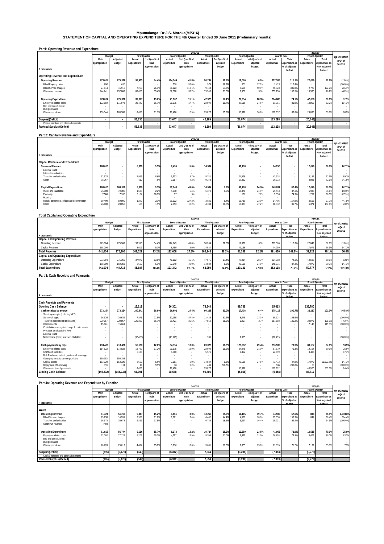#### **Mpumalanga: Dr J.S. Moroka(MP316)**

### **STATEMENT OF CAPITAL AND OPERATING EXPENDITURE FOR THE 4th Quarter Ended 30 June 2011 (Preliminary results)**

| Part1: Operating Revenue and Expenditure |  |
|------------------------------------------|--|
|------------------------------------------|--|

|                                         |                          |          |                          |               |             | 2010/11        |             |                      |                |               |             |                |                          | 2009/10               |               |
|-----------------------------------------|--------------------------|----------|--------------------------|---------------|-------------|----------------|-------------|----------------------|----------------|---------------|-------------|----------------|--------------------------|-----------------------|---------------|
|                                         |                          | Budget   | <b>First Quarter</b>     |               |             | Second Quarter |             | <b>Third Quarter</b> | Fourth Quarter |               |             | Year to Date   |                          | Fourth Quarter        | Q4 of 2009/10 |
|                                         | Main                     | Adjusted | Actual                   | 1st Q as % of | Actual      | 2nd Q as % of  | Actual      | 3rd Q as % of        | Actual         | 4th Q as % of | Actual      | Total          | Actual                   | Total                 | to Q4 of      |
|                                         | appropriation            | Budget   | Expenditure              | Main          | Expenditure | Main           | Expenditure | adjusted             | Expenditure    | adjusted      | Expenditure | Expenditure as | Expenditure              | <b>Expenditure as</b> | 2010/11       |
|                                         |                          |          |                          | appropriation |             | appropriation  |             | budget               |                | budget        |             | % of adjusted  |                          | % of adjusted         |               |
| R thousands                             |                          |          |                          |               |             |                |             |                      |                |               |             | hudget         |                          | hudget                |               |
|                                         |                          |          |                          |               |             |                |             |                      |                |               |             |                |                          |                       |               |
| Operating Revenue and Expenditure       |                          |          |                          |               |             |                |             |                      |                |               |             |                |                          |                       |               |
| <b>Operating Revenue</b>                | 273,004                  | 275,366  | 93,913                   | 34.4%         | 114,149     | 41.8%          | 90,264      | 32.8%                | 19.060         | 6.9%          | 317,386     | 115.3%         | 22.049                   | 82.9%                 | (13.6%)       |
| <b>Billed Property rates</b>            | 650                      | 650      | $\overline{\phantom{a}}$ |               | 338         | 52.0%          | 574         | 88.2%                | 502            | 77.2%         | 1.413       | 217.4%         | $\sim$                   | . .                   | (100.0%       |
| <b>Billed Service charges</b>           | 27.614                   | 16.910   | 7.250                    | 26.3%         | 31.223      | 113.1%         | 9 7 4 4     | 57.6%                | 8.606          | 50.9%         | 56.823      | 336.0%         | 2.720                    | 122.7%                | 216.4%        |
| Other own revenue                       | 244.741                  | 257.806  | 86.663                   | 35.4%         | 82,588      | 33.7%          | 79.946      | 31.0%                | 9.952          | 3 9%          | 259.150     | 100.5%         | 19.330                   | 78.2%                 | (48.5%)       |
|                                         |                          |          |                          |               |             |                |             |                      |                |               |             |                |                          |                       |               |
| <b>Operating Expenditure</b>            | 273,004                  | 275,366  | 37,077                   | 13.6%         | 41,102      | 15.1%          | 47.975      | 17.4%                | 77.934         | 28.3%         | 204.088     | 74.1%          | 42.698                   | 60.6%                 | 82.5%         |
| Employee related costs                  | 122.660                  | 111.978  | 20.442                   | 16.7%         | 21,675      | 17.7%          | 22.099      | 19.7%                | 27.536         | 24.6%         | 91.751      | 81.9%          | 12.862                   | 62.2%                 | 114.1%        |
| Bad and doubtful debt                   |                          |          | $\overline{\phantom{a}}$ |               |             |                |             |                      |                |               |             |                | $\overline{\phantom{a}}$ |                       |               |
| <b>Bulk purchases</b>                   |                          |          |                          |               |             |                |             |                      |                |               |             |                | $\overline{\phantom{a}}$ |                       |               |
| Other expenditure                       | 150.344                  | 163.388  | 16.635                   | 11.1%         | 19.426      | 12.9%          | 25.877      | 15.8%                | 50.398         | 30.8%         | 112.337     | 68.8%          | 29.835                   | 59.6%                 | 68.9%         |
|                                         |                          |          |                          |               |             |                |             |                      |                |               |             |                |                          |                       |               |
| Surplus/(Deficit)                       | $\overline{\phantom{a}}$ | $\cdot$  | 56.835                   |               | 73.047      |                | 42,289      |                      | (58, 874)      |               | 113.298     |                | (20, 648)                |                       |               |
| Capital transfers and other adjustments |                          |          |                          |               |             |                |             |                      |                |               |             |                |                          |                       |               |
| <b>Revised Surplus/(Deficit)</b>        | ٠                        |          | 56,835                   |               | 73.047      |                | 42,289      |                      | (58, 874)      |               | 113.298     |                | (20, 648)                |                       |               |

#### **Part 2: Capital Revenue and Expenditure**

|                                           |               |              |                          |                      |             | 2010/11               |                      |               |             |                |             |                |             | 2009/10        |               |
|-------------------------------------------|---------------|--------------|--------------------------|----------------------|-------------|-----------------------|----------------------|---------------|-------------|----------------|-------------|----------------|-------------|----------------|---------------|
|                                           |               | Budget       |                          | <b>First Quarter</b> |             | <b>Second Quarter</b> | <b>Third Quarter</b> |               |             | Fourth Quarter |             | Year to Date   |             | Fourth Quarter | Q4 of 2009/10 |
|                                           | Main          | Adjusted     | Actual                   | 1st Q as % of        | Actual      | 2nd Q as % of         | Actual               | 3rd Q as % of | Actual      | 4th Q as % of  | Actual      | Total          | Actual      | Total          | to Q4 of      |
|                                           | appropriation | Budget       | Expenditure              | Main                 | Expenditure | Main                  | Expenditure          | adjusted      | Expenditure | adjusted       | Expenditure | Expenditure as | Expenditure | Expenditure as | 2010/11       |
|                                           |               |              |                          | appropriation        |             | appropriation         |                      | budget        |             | budget         |             | % of adjusted  |             | % of adjusted  |               |
| R thousands                               |               |              |                          |                      |             |                       |                      |               |             |                |             | hudget         |             | hudget         |               |
|                                           |               |              |                          |                      |             |                       |                      |               |             |                |             |                |             |                |               |
| Capital Revenue and Expenditure           |               |              |                          |                      |             |                       |                      |               |             |                |             |                |             |                |               |
| Source of Finance                         | 168,000       | $\mathbf{r}$ | 8.609                    | 5.1%                 | 8.459       | 5.0%                  | 14.984               |               | 42.198      | $\sim$         | 74.250      |                | 17.079      | 66.9%          | 147.1%        |
| External loans                            |               | $\sim$       | $\overline{\phantom{a}}$ |                      |             |                       |                      |               |             | $\sim$         | $\sim$      |                |             |                |               |
| Internal contributions                    |               |              | $\overline{\phantom{a}}$ |                      |             |                       |                      |               |             | $\sim$         | $\sim$      | $\sim$         |             | $\sim$         |               |
| Transfers and subsidies                   | 92.933        | $\sim$       | 7.999                    | 8.6%                 | 5.302       | 5.7%                  | 5.741                |               | 24.876      | $\sim$         | 43.918      |                | 13.156      | 62.6%          | 89.1%         |
| Other                                     | 75.067        |              | 610                      | .8%                  | 3.157       | 4.2%                  | 9.243                |               | 17.322      |                | 30.332      |                | 3.923       | 72.1%          | 341.6%        |
|                                           |               |              |                          |                      |             |                       |                      |               |             |                |             |                |             |                |               |
| Capital Expenditure                       | 168,000       | 169.350      | 8.609                    | 5.1%                 | 82,240      | 49.0%                 | 14.984               | 8.8%          | 42.198      | 24.9%          | 148.031     | 87.4%          | 17.079      | 80.3%          | 147.1%        |
| Water and Sanitation                      | 75,000        | 79.300       | 1,675                    | 2.2%                 | 4.018       | 5.4%                  | 6.379                | 8.0%          | 17.371      | 21.9%          | 29.443      | 37.1%          | 6.935       | 36.1%          | 150.5%        |
| Electricity                               | 7.500         | 7.200        | 5.154                    | 68.7%                | 37          | .5%                   |                      |               | 160         | 2.2%           | 5.350       | 74.3%          | 1.257       | 98.3%          | (87.3%)       |
| Housing                                   |               | $\sim$       | $\sim$                   |                      |             |                       |                      |               |             |                | $\sim$      | $\sim$         |             |                |               |
| Roads, pavements, bridges and storm water | 59,400        | 59.800       | 1.272                    | 2.1%                 | 75,532      | 127.2%                | 3.821                | 6.4%          | 13.780      | 23.0%          | 94.405      | 157.9%         | 2,516       | 97.7%          | 447.8%        |
| Other                                     | 26,100        | 23.050       | 508                      | 1.9%                 | 2.653       | 10.2%                 | 4.784                | 20.8%         | 10.887      | 47.2%          | 18.832      | 81.7%          | 6.371       | 164.4%         | 70.9%         |
|                                           |               |              |                          |                      |             |                       |                      |               |             |                |             |                |             |                |               |

#### **Total Capital and Operating Expenditure**

**Part 3: Cash Receipts and Payments**

|                                   |               |          |                      |               |                       | 2010/11       |               |               |                |               |             |                       |                | 2009/10               |               |
|-----------------------------------|---------------|----------|----------------------|---------------|-----------------------|---------------|---------------|---------------|----------------|---------------|-------------|-----------------------|----------------|-----------------------|---------------|
|                                   | Budget        |          | <b>First Quarter</b> |               | <b>Second Quarter</b> |               | Third Quarter |               | Fourth Quarter |               |             | Year to Date          | Fourth Quarter |                       | Q4 of 2009/10 |
|                                   | Main          | Adjusted | Actual               | 1st Q as % of | Actual                | 2nd Q as % of | Actual        | 3rd Q as % of | Actual         | 4th Q as % of | Actual      | Total                 | Actual         | Total                 | to Q4 of      |
|                                   | appropriation | Budget   | Expenditure          | Main          | Expenditure           | Main          | Expenditure   | adjusted      | Expenditure    | adjusted      | Expenditure | <b>Expenditure as</b> | Expenditure    | <b>Expenditure as</b> | 2010/11       |
|                                   |               |          |                      | appropriation |                       | appropriation |               | budget        |                | budget        |             | % of adjusted         |                | % of adjusted         |               |
| R thousands                       |               |          |                      |               |                       |               |               |               |                |               |             | hudget                |                | hudget                |               |
| Capital and Operating Revenue     |               |          |                      |               |                       |               |               |               |                |               |             |                       |                |                       |               |
| Operating Revenue                 | 273.004       | 275.366  | 93.913               | 34.4%         | 114.149               | 41.8%         | 90.264        | 32.8%         | 19.060         | 6.9%          | 317.386     | 115.3%                | 22.049         | 82.9%                 | (13.6%)       |
| Capital Revenue                   | 168,000       |          | 8.609                | 5.1%          | 8.459                 | 5.0%          | 14.984        |               | 42.198         |               | 74.250      |                       | 17.079         | 66.9%                 | 147.1%        |
| <b>Total Revenue</b>              | 441.004       | 275.366  | 102.522              | 23.2%         | 122.608               | 27.8%         | 105.248       | 38.2%         | 61.258         | 22.2%         | 391.636     | 142.2%                | 39.128         | 78.1%                 | 56.6%         |
| Capital and Operating Expenditure |               |          |                      |               |                       |               |               |               |                |               |             |                       |                |                       |               |
| Operating Expenditure             | 273.004       | 275.366  | 37.077               | 13.6%         | 41,102                | 15.1%         | 47.975        | 17.4%         | 77.934         | 28.3%         | 204.088     | 74.1%                 | 42.698         | 60.6%                 | 82.5%         |
| Capital Expenditure               | 168,000       | 169.350  | 8.609                | 5.1%          | 82.240                | 49.0%         | 14.984        | 8.8%          | 42.198         | 24.9%         | 148.031     | 87.4%                 | 17.079         | 80.3%                 | 147.1%        |
| <b>Total Expenditure</b>          | 441.004       | 444.716  | 45,687               | 10.4%         | 123.342               | 28.0%         | 62.959        | 14.2%         | 120.131        | 27.0%         | 352.118     | 79.2%                 | 59.777         | 67.2%                 | 101.0%        |
|                                   |               |          |                      |               |                       |               |               |               |                |               |             |                       |                |                       |               |

 **Total Expenditure as % of adjusted budget** 

 **Q4 of 2009/10 to Q4 of 2010/11** 

#### **R thousands Main appropriation Adjusted Budget First**<br>**Actual Expenditure 1st Q as % of Main appropriation Secon**<br>**Actual Expenditure 2nd Q as % of Main appropriation Actual Expenditure 3rd Q as % of adjusted budget Actual Expenditure 4th Q as % of adjusted budget Actual Expenditure Total Expenditure as % of adjusted budget Actual Expenditure Cash Receipts and Payments** Clearly receipts by source<br>
Clearly receipts by source<br>
Schich Selarce (second and capital)<br>
Schich Selarce (second and capital)<br>
Schich Selarce (second and capital)<br>
The Clearly receipts of the clear of the clear of the **Cash payments by type 418,486 418,486 50,153 12.0% 54,355 13.0% 69,029 16.5% 123,062 29.4% 296,599 70.9% 80,187 97.6% 53.5%** Employee related costs 114,822 114,822 19,722 17.2% 21,675 18.9% 22,099 19.2% 24,075 21.0% 87,570 76.3% 19,164 80.9% 25.6% Grant and subsidies - - 5,176 - 5,560 - 5,571 - 6,392 - 22,699 - 3,406 - 87.7% Bulk Purchases - electr., water and sewerage - - - - - - - - - - - - - - - Other payments to service providers 150,153 150,153 - - - - - - - - - - - - - Capital assets 153,320 153,320 8,609 5.6% 7,681 5.0% 14,984 9.8% 42,198 27.5% 73,472 47.9% 17,079 61,603.7% 147.1% Repayment of borrowing 191 191 19 9.9% 18 9.2% 499 261.7% - - 536 280.8% 20 - (100.0%) Other cash flows / payments - - 16,626 - 19,420 - 25,877 - 50,398 - 112,322 - 40,520 505.6% 24.4% **Closing Cash Balance (145,232) (145,232) 66,301 78,548 99,786 (5,868) (5,868) 87,710 2010/11 2009/10 Budget First Quarter | Second Quarter | Third Quarter | Fourth Quarter | Year to Date | Fourth Quarter**

|                                         |                          |          |             |                      |             |                | 2010/11     |                      |             |                |             |                |                          | 2009/10        |               |
|-----------------------------------------|--------------------------|----------|-------------|----------------------|-------------|----------------|-------------|----------------------|-------------|----------------|-------------|----------------|--------------------------|----------------|---------------|
|                                         |                          | Budget   |             | <b>First Quarter</b> |             | Second Quarter |             | <b>Third Quarter</b> |             | Fourth Quarter |             | Year to Date   |                          | Fourth Quarter | Q4 of 2009/10 |
|                                         | Main                     | Adjusted | Actual      | 1st Q as % of        | Actual      | 2nd Q as % of  | Actual      | 3rd Q as % of        | Actual      | 4th Q as % of  | Actual      | Total          | Actual                   | Total          | to Q4 of      |
|                                         | appropriation            | Budget   | Expenditure | Main                 | Expenditure | Main           | Expenditure | adjusted             | Expenditure | adjusted       | Expenditure | Expenditure as | Expenditure              | Expenditure as | 2010/11       |
|                                         |                          |          |             | appropriation        |             | appropriation  |             | budget               |             | budget         |             | % of adjusted  |                          | % of adjusted  |               |
| R thousands                             |                          |          |             |                      |             |                |             |                      |             |                |             | budget         |                          | budget         |               |
| Water                                   |                          |          |             |                      |             |                |             |                      |             |                |             |                |                          |                |               |
| <b>Operating Revenue</b>                | 61,424                   | 51,269   | 9,347       | 15.2%                | 1.861       | 3.0%           | 13.267      | 25.9%                | 10.115      | 19.7%          | 34,590      | 67.5%          | 844                      | 56.4%          | 1,098.8%      |
| <b>Billed Service charges</b>           | 25.238                   | 14.591   | 2.928       | 11.6%                | 1.861       | 7.4%           | 6.482       | 44.4%                | 4.087       | 28.0%          | 15.358      | 105.3%         | 844                      | 38.4%          | 384.4%        |
| Transfers and subsidies                 | 36.678                   | 36,678   | 6.419       | 17.5%                |             |                | 6.785       | 18.5%                | 6.027       | 16.4%          | 19.231      | 52.4%          | $\overline{\phantom{a}}$ | 64.9%          | (100.0%       |
| Other own revenue                       | (493)                    |          |             |                      |             |                |             |                      |             |                |             |                |                          |                |               |
| <b>Operating Expenditure</b>            | 61.818                   | 56.744   | 9.696       | 15.7%                | 8.173       | 13.2%          | 10.734      | 18.9%                | 13.350      | 23.5%          | 41.953      | 73.9%          | 10.615                   | 70.0%          | 25.8%         |
| Employee related costs                  | 33.092                   | 27.127   | 5.202       | 15.7%                | 4.257       | 12.9%          | 5.703       | 21.0%                | 5.695       | 21.0%          | 20.858      | 76.9%          | 3.479                    | 79.0%          | 63.7%         |
| Bad and doubtful debt                   | $\sim$                   | $\sim$   |             |                      |             |                |             |                      |             |                |             | ۰.             |                          |                | $\sim$        |
| <b>Bulk purchases</b>                   | $\overline{\phantom{a}}$ | $\sim$   |             |                      |             |                |             | $\sim$               |             | $\sim$         |             |                |                          |                | $\sim$        |
| Other expenditure                       | 28,726                   | 29.617   | 4.494       | 15.6%                | 3.916       | 13.6%          | 5.031       | 17.0%                | 7.655       | 25.8%          | 21.095      | 71.2%          | 7.137                    | 65.8%          | 7.3%          |
| Surplus/(Deficit)                       | (395)                    | (5, 476) | (349)       |                      | (6, 312)    |                | 2,534       |                      | (3,236)     |                | (7, 363)    |                | (9, 772)                 |                |               |
| Capital transfers and other adjustments |                          |          |             |                      |             |                |             |                      |             |                |             |                |                          |                |               |
| <b>Revised Surplus/(Deficit)</b>        | (395)                    | (5, 476) | (349)       |                      | (6, 312)    |                | 2,534       |                      | (3,236)     |                | (7, 363)    |                | (9, 772)                 |                |               |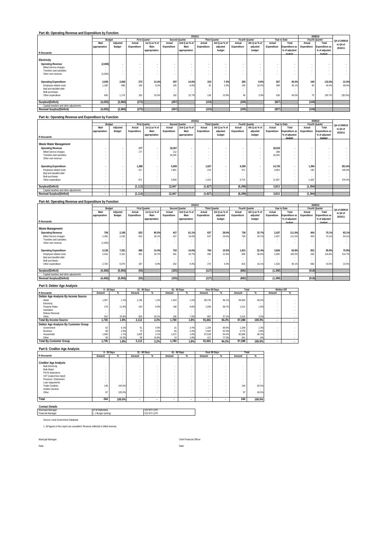|                                         |               |                          |                          |                      |             |                          | 2010/11     |                      |             |                          |             |                       |             | 2009/10        |               |
|-----------------------------------------|---------------|--------------------------|--------------------------|----------------------|-------------|--------------------------|-------------|----------------------|-------------|--------------------------|-------------|-----------------------|-------------|----------------|---------------|
|                                         |               | Budget                   |                          | <b>First Quarter</b> |             | <b>Second Quarter</b>    |             | <b>Third Quarter</b> |             | Fourth Quarter           |             | Year to Date          |             | Fourth Quarter | Q4 of 2009/10 |
|                                         | Main          | Adjusted                 | Actual                   | 1st Q as % of        | Actual      | 2nd Q as % of            | Actual      | 3rd Q as % of        | Actual      | 4th Q as % of            | Actual      | Total                 | Actual      | Total          | to Q4 of      |
|                                         | appropriation | Budget                   | Expenditure              | Main                 | Expenditure | Main                     | Expenditure | adjusted             | Expenditure | adjusted                 | Expenditure | <b>Expenditure as</b> | Expenditure | Expenditure as | 2010/11       |
|                                         |               |                          |                          | appropriation        |             | appropriation            |             | budget               |             | budget                   |             | % of adjusted         |             | % of adjusted  |               |
| R thousands                             |               |                          |                          |                      |             |                          |             |                      |             |                          |             | budget                |             | hudget         |               |
| Electricity                             |               |                          |                          |                      |             |                          |             |                      |             |                          |             |                       |             |                |               |
| <b>Operating Revenue</b>                | (2,000)       | $\overline{a}$           | $\mathbf{r}$             |                      |             |                          |             |                      |             | ٠                        |             |                       |             | ٠              |               |
| <b>Billed Service charges</b>           | . .           | $\sim$                   | $\overline{\phantom{a}}$ |                      |             | $\overline{\phantom{a}}$ |             |                      | $\sim$      | $\overline{\phantom{a}}$ |             |                       |             |                |               |
| Transfers and subsidies                 | . .           | $\overline{\phantom{a}}$ |                          |                      |             | $\overline{\phantom{a}}$ |             |                      | $\sim$      | $\overline{\phantom{a}}$ |             |                       |             |                |               |
| Other own revenue                       | (2,000)       | $\overline{\phantom{a}}$ |                          |                      |             |                          |             |                      |             |                          |             |                       |             |                |               |
| <b>Operating Expenditure</b>            | 2,035         | 2,060                    | 272                      | 13.4%                | 297         | 14.6%                    | 153         | 7.4%                 | 205         | 9.9%                     | 927         | 45.0%                 | 169         | 115.5%         | 21.0%         |
| Employee related costs                  | 1,190         | 886                      | 109                      | 9.2%                 | 105         | 8.9%                     | 25          | 2.9%                 | 159         | 18.0%                    | 399         | 45.1%                 | 94          | 40.4%          | 69.0%         |
| Bad and doubtful debt                   |               | $\overline{\phantom{a}}$ |                          |                      |             |                          |             |                      |             |                          |             |                       |             | . .            |               |
| <b>Bulk purchases</b>                   |               | $\overline{\phantom{a}}$ |                          |                      |             |                          |             |                      |             |                          |             |                       |             |                |               |
| Other expenditure                       | 845           | 1.174                    | 163                      | 19.3%                | 192         | 22.7%                    | 128         | 10.9%                | 45          | 3.9%                     | 528         | 45.0%                 | 75          | 193.7%         | (39.3%)       |
|                                         |               |                          |                          |                      |             |                          |             |                      |             |                          |             |                       |             |                |               |
| Surplus/(Deficit)                       | (4,035)       | (2,060)                  | (272)                    |                      | (297)       |                          | (153)       |                      | (205)       |                          | (927)       |                       | (169)       |                |               |
| Capital transfers and other adjustments |               |                          |                          |                      |             |                          |             |                      |             |                          |             |                       |             | ۰              |               |
| <b>Revised Surplus/(Deficit)</b>        | (4, 035)      | (2,060)                  | (272)                    |                      | (297)       |                          | (153)       |                      | (205)       |                          | (927)       |                       | (169)       |                |               |
|                                         |               |                          |                          |                      |             |                          |             |                      |             |                          |             |                       |             |                |               |

#### **Part 4c: Operating Revenue and Expenditure by Function**

|                                         |               |                          |             |                      |             |                       | 2010/11     |                      |                |               |             |                |             | 2009/10               |               |
|-----------------------------------------|---------------|--------------------------|-------------|----------------------|-------------|-----------------------|-------------|----------------------|----------------|---------------|-------------|----------------|-------------|-----------------------|---------------|
|                                         |               | Budget                   |             | <b>First Quarter</b> |             | <b>Second Quarter</b> |             | <b>Third Quarter</b> | Fourth Quarter |               |             | Year to Date   |             | Fourth Quarter        | Q4 of 2009/10 |
|                                         | Main          | Adjusted                 | Actual      | 1st Q as % of        | Actual      | 2nd Q as % of         | Actual      | 3rd Q as % of        | Actual         | 4th Q as % of | Actual      | Total          | Actual      | Total                 | to Q4 of      |
|                                         | appropriation | Budget                   | Expenditure | Main                 | Expenditure | Main                  | Expenditure | adjusted             | Expenditure    | adjusted      | Expenditure | Expenditure as | Expenditure | <b>Expenditure as</b> | 2010/11       |
|                                         |               |                          |             | appropriation        |             | appropriation         |             | budget               |                | budget        |             | % of adjusted  |             | % of adjusted         |               |
| R thousands                             |               |                          |             |                      |             |                       |             |                      |                |               |             | hudget         |             | hudget                |               |
|                                         |               |                          |             |                      |             |                       |             |                      |                |               |             |                |             |                       |               |
| Waste Water Management                  |               |                          |             |                      |             |                       |             |                      |                |               |             |                |             |                       |               |
| <b>Operating Revenue</b>                |               |                          | 177         | $\sim$               | 18,357      |                       |             |                      |                |               | 18,533      |                |             |                       |               |
| <b>Billed Service charges</b>           |               |                          | 177         | $\sim$               | 112         |                       |             |                      |                |               | 288         |                |             |                       |               |
| Transfers and subsidies                 |               |                          | $\sim$      | $\sim$               | 18,245      |                       |             |                      |                |               | 18,245      |                |             |                       |               |
| Other own revenue                       |               |                          |             |                      |             |                       |             |                      |                |               |             |                |             |                       |               |
|                                         |               |                          |             |                      |             |                       |             |                      |                |               |             |                |             |                       |               |
| <b>Operating Expenditure</b>            |               | ٠                        | 1,288       | $\mathbf{r}$         | 5.509       |                       | 1.627       |                      | 6.296          |               | 14,720      | $\sim$         | 1,394       |                       | 351.6%        |
| Employee related costs                  |               |                          | 417         | $\sim$               | 1.861       |                       | 213         |                      | 571            |               | 3.063       |                | 192         |                       | 196.9%        |
| Bad and doubtful debt                   |               |                          | $\sim$      |                      |             |                       |             |                      |                |               |             |                |             |                       | $\sim$        |
| <b>Bulk purchases</b>                   |               |                          | $\sim$      |                      |             |                       |             |                      |                |               |             |                |             |                       | $\sim$        |
| Other expenditure                       |               |                          | 87          |                      | 3.648       |                       | 1.414       |                      | 5.724          |               | 11.657      |                | 1,202       |                       | 376.4%        |
| Surplus/(Deficit)                       | ۰             | $\overline{\phantom{a}}$ | (1, 112)    |                      | 12,847      |                       | (1,627)     |                      | (6, 296)       |               | 3,813       |                | (1, 394)    |                       |               |
| Capital transfers and other adjustments |               |                          |             |                      |             |                       |             |                      |                |               |             |                |             |                       |               |
| <b>Revised Surplus/(Deficit)</b>        |               | $\sim$                   | (1, 112)    |                      | 12,847      |                       | (1,627)     |                      | (6, 296)       |               | 3,813       |                | (1, 394)    |                       |               |

**Part 4d: Operating Revenue and Expenditure by Function**

|                                         |               |          |             |                      |             | 2010/11        |             |                      |             |                |             |                |             | 2009/10               |               |
|-----------------------------------------|---------------|----------|-------------|----------------------|-------------|----------------|-------------|----------------------|-------------|----------------|-------------|----------------|-------------|-----------------------|---------------|
|                                         |               | Budget   |             | <b>First Quarter</b> |             | Second Quarter |             | <b>Third Quarter</b> |             | Fourth Quarter |             | Year to Date   |             | Fourth Quarter        | Q4 of 2009/10 |
|                                         | Main          | Adjusted | Actual      | 1st Q as % of        | Actual      | 2nd Q as % of  | Actual      | 3rd Q as % of        | Actual      | 4th Q as % of  | Actual      | Total          | Actual      | Total                 | to Q4 of      |
|                                         | appropriation | Budget   | Expenditure | Main                 | Expenditure | Main           | Expenditure | adiusted             | Expenditure | adjusted       | Expenditure | Expenditure as | Expenditure | <b>Expenditure as</b> | 2010/11       |
|                                         |               |          |             | appropriation        |             | appropriation  |             | budget               |             | budget         |             | % of adjusted  |             | % of adjusted         |               |
| R thousands                             |               |          |             |                      |             |                |             |                      |             |                |             | hudget         |             | hudget                |               |
| Waste Management                        |               |          |             |                      |             |                |             |                      |             |                |             |                |             |                       |               |
| <b>Operating Revenue</b>                | 700           | 2.195    | 633         | 90.5%                | 427         | 61.1%          | 637         | 29.0%                | 739         | 33.7%          | 2.437       | 111.0%         | 404         | 70.1%                 | 83.1%         |
| <b>Billed Service charges</b>           | 2.250         | 2,195    | 633         | 28.1%                | 427         | 19.0%          | 637         | 29.0%                | 739         | 33.7%          | 2.437       | 111.0%         | 404         | 70.1%                 | 83.1%         |
| Transfers and subsidies                 | <b>.</b>      | $\sim$   |             |                      |             |                |             |                      |             | $\sim$         |             |                |             |                       | $\sim$        |
| Other own revenue                       | (1.550)       | $\sim$   |             |                      |             |                |             |                      |             |                |             |                |             | $\sim$                | $\sim$        |
|                                         |               |          |             |                      |             |                |             |                      |             |                |             |                |             |                       |               |
| <b>Operating Expenditure</b>            | 5,136         | 7,251    | 688         | 13.4%                | 752         | 14.6%          | 764         | 10.5%                | 1.621       | 22.4%          | 3.826       | 52.8%          | 922         | 55.9%                 | 75.9%         |
| Employee related costs                  | 2.416         | 2.181    | 501         | 20.7%                | 501         | 20.7%          | 492         | 22.6%                | 806         | 36.9%          | 2.300       | 105.5%         | 256         | 116.6%                | 214.7%        |
| Bad and doubtful debt                   |               |          |             |                      |             |                |             |                      |             |                |             |                |             |                       | . .           |
| <b>Bulk purchases</b>                   | $\sim$        | $\sim$   |             |                      | $\sim$      |                |             |                      |             |                |             |                |             |                       | $\sim$        |
| Other expenditure                       | 2.720         | 5.070    | 187         | 6.9%                 | 252         | 9.3%           | 272         | 5.4%                 | 816         | 16.19          | 1,526       | 30.1%          | 666         | 43.09                 | 22.5%         |
|                                         |               |          |             |                      |             |                |             |                      |             |                |             |                |             |                       |               |
| Surplus/(Deficit)                       | (4, 436)      | (5,056)  | (55)        |                      | (325)       |                | (127)       |                      | (882)       |                | (1, 390)    |                | (518)       |                       |               |
| Capital transfers and other adjustments |               |          |             |                      |             |                |             |                      |             |                |             |                |             |                       | $\sim$        |
| <b>Revised Surplus/(Deficit)</b>        | (4, 436)      | (5,056)  | (55)        |                      | (325)       |                | (127)       |                      | (882)       |                | (1, 390)    |                | (518)       |                       |               |

### **Part 5: Debtor Age Analysis**

|                                       |        | 0 - 30 Days |        | 31 - 60 Days | 61 - 90 Days |      | Over 90 Days |       | Total  |        | Written Off |   |
|---------------------------------------|--------|-------------|--------|--------------|--------------|------|--------------|-------|--------|--------|-------------|---|
| R thousands                           | Amount | %           | Amount | %            | Amount       | %    | Amount       | %     | Amount | %      | Amount      | % |
| Debtor Age Analysis By Income Source  |        |             |        |              |              |      |              |       |        |        |             |   |
| Water                                 | 1.057  | 1.1%        | 1.136  | 1.2%         | 1.443        | 1.5% | 89.725       | 96.1% | 93.360 | 96.0%  |             |   |
| Electricity                           |        |             |        |              |              |      |              |       |        |        |             |   |
| Property Rates                        | 176    | 11.6%       | 150    | 9.9%         | 148          | 9.8% | 1.039        | 68.7% | 1.512  | 1.6%   |             |   |
| Sanitation                            |        |             |        |              |              |      |              |       |        |        |             |   |
| Refuse Removal                        |        |             |        |              |              |      |              |       |        |        |             |   |
| Other                                 | 502    | 20.8%       | 826    | 34.2%        | 190          | 7.9% | 897          | 37.2% | 2.415  | 2.5%   |             |   |
| <b>Total By Income Source</b>         | 1.735  | 1.8%        | 2.112  | 2.2%         | 1.780        | 1.8% | 91.661       | 94.2% | 97.288 | 100.0% |             |   |
| Debtor Age Analysis By Customer Group |        |             |        |              |              |      |              |       |        |        |             |   |
| Government                            | 52     | 4.1%        |        | 4.0%         | 31           | 2.4% | 1,154        | 89.5% | 1.289  | 1.3%   |             |   |
| <b>Business</b>                       |        | 2.5%        |        | 2.6%         | 66           | 2.4% | 2.563        | 92.5% | 2.770  | 2.8%   |             |   |
| Households                            | 1.559  | 1.7%        | 1.929  | 2.1%         | 1.672        | 1.8% | 87.528       | 94.4% | 92.688 | 95.3%  |             |   |
| Other                                 | 56     | 10.3%       | 59     | 10.8%        |              | 1.9% |              | 77.0% | 541    | .6%    |             |   |
| <b>Total By Customer Group</b>        | 1.735  | 1.8%        | 2.112  | 2.2%         | 1.780        | 1.8% | 91.661       | 94.2% | 97.288 | 100.0% |             |   |

**Part 6: Creditor Age Analysis**

|                              | 0 - 30 Days |                          |        | 31 - 60 Days |                          | 61 - 90 Days             |        | Over 90 Days | Total  |        |
|------------------------------|-------------|--------------------------|--------|--------------|--------------------------|--------------------------|--------|--------------|--------|--------|
| R thousands                  | Amount      | %                        | Amount | %            | Amount                   | %                        | Amount | %            | Amount | %      |
|                              |             |                          |        |              |                          |                          |        |              |        |        |
| <b>Creditor Age Analysis</b> |             |                          |        |              |                          |                          |        |              |        |        |
| <b>Bulk Electricity</b>      |             |                          |        | ٠            |                          | ٠                        |        |              | ٠      |        |
| <b>Bulk Water</b>            | $\sim$      | ٠                        | ٠      | ۰            |                          | ٠                        | $\sim$ |              |        |        |
| PAYE deductions              | $\sim$      | ٠                        | $\sim$ | $\sim$       |                          | $\sim$                   | $\sim$ |              |        |        |
| VAT (output less input)      |             | ٠                        |        | ٠            |                          | $\sim$                   | $\sim$ |              |        |        |
| Pensions / Retirement        | $\sim$      | ٠                        |        | ٠            |                          | ٠                        | $\sim$ |              | ٠      |        |
| Loan repayments              |             | $\sim$                   | $\sim$ | ۰            |                          | $\sim$                   | $\sim$ | ۰            |        |        |
| <b>Trade Creditors</b>       | 146         | 100.0%                   | ٠      | ٠            |                          | ٠                        | $\sim$ | ۰            | 146    | 60.0%  |
| Auditor-General              |             | $\overline{\phantom{a}}$ |        | ٠            |                          | ٠                        | $\sim$ |              |        |        |
| Other                        | 97          | 100.0%                   |        | ٠            |                          | $\overline{\phantom{a}}$ | $\sim$ |              | 97     | 40.0%  |
|                              |             |                          |        |              |                          |                          |        |              |        |        |
| Total                        | 244         | 100.0%                   |        | $\sim$       | $\overline{\phantom{a}}$ | ۰                        | ۰      |              | 244    | 100.0% |

| <b>Contact Details</b>           |                     |              |  |
|----------------------------------|---------------------|--------------|--|
| Municipal Manager                | M M Mathebela       | 013 973 1270 |  |
| <b>Financial Manager</b>         | L J Burger (acting) | 013 973 1270 |  |
| Source Local Government Database |                     |              |  |

1. All figures in this report are unaudited. Revenue reflected is billed revenue

Date: Date: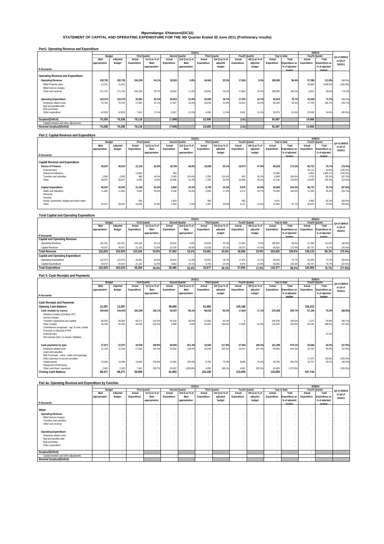## **Mpumalanga: Ehlanzeni(DC32) STATEMENT OF CAPITAL AND OPERATING EXPENDITURE FOR THE 4th Quarter Ended 30 June 2011 (Preliminary results)**

| Part1: Operating Revenue and Expenditure |  |
|------------------------------------------|--|
|                                          |  |

|                                         | 2010/11<br>2009/10<br><b>First Quarter</b><br><b>Second Quarter</b><br><b>Third Quarter</b><br>Fourth Quarter<br>Year to Date<br>Fourth Quarter<br>Budget<br>2nd Q as % of<br>3rd Q as % of<br>1st Q as % of<br>4th Q as % of<br>Total<br>Main<br>Total<br>Adjusted<br>Actual<br>Actual<br>Actual<br>Actual<br>Actual<br>Actual<br>Budget<br>Expenditure<br>Expenditure<br>Expenditure<br>Main<br>Main<br>Expenditure<br>Expenditure<br>Expenditure<br>appropriation<br>adjusted<br>adjusted<br>Expenditure as<br><b>Expenditure as</b><br>budget<br>budget<br>% of adjusted<br>% of adjusted<br>appropriation<br>appropriation<br>hudget<br>hudget<br>9.8%<br>9.3%<br>192.781<br>192,781<br>104,199<br>54.1%<br>18,924<br>44.943<br>23.3%<br>17.834<br>185.900<br>96.4%<br>111.8%<br>57.396<br>21.041<br>21.041<br>50.894<br>1.696.5%<br>$\sim$<br>$\sim$<br>$\sim$<br>$\sim$<br>$\overline{\phantom{a}}$<br>18.924<br>171.740<br>171.740<br>104.199<br>60.7%<br>11.0%<br>26.2%<br>17.834<br>10.4%<br>185,900<br>108.2%<br>6.501<br>83.9%<br>44.943<br>122.573<br>122.573<br>25,081<br>20.5%<br>26.823<br>21.9%<br>22.934<br>17.975<br>14.7%<br>75.7%<br>73.7%<br>18.7%<br>92.813<br>43.328<br>16.3%<br>79.740<br>79.740<br>17,630<br>22.1%<br>17.557<br>22.0%<br>22.9%<br>83.3%<br>18,239<br>66.439<br>17.763<br>100.7%<br>13.014<br>$\overline{\phantom{a}}$<br>$\sim$<br>$\overline{\phantom{a}}$<br>$\overline{\phantom{a}}$<br>42.833<br>42.833<br>7.451<br>17.4%<br>9.267<br>21.6%<br>4.695<br>26.374<br>25.565<br>54.6%<br>11.0%<br>4.961<br>11.6%<br>61.69 |        |        |  |          |  |        |  |       |  |        |  |        |  |               |
|-----------------------------------------|---------------------------------------------------------------------------------------------------------------------------------------------------------------------------------------------------------------------------------------------------------------------------------------------------------------------------------------------------------------------------------------------------------------------------------------------------------------------------------------------------------------------------------------------------------------------------------------------------------------------------------------------------------------------------------------------------------------------------------------------------------------------------------------------------------------------------------------------------------------------------------------------------------------------------------------------------------------------------------------------------------------------------------------------------------------------------------------------------------------------------------------------------------------------------------------------------------------------------------------------------------------------------------------------------------------------------------------------------------------------------------------------------------------------------------------------------------------------------------------------------------------------------------------------------------------------|--------|--------|--|----------|--|--------|--|-------|--|--------|--|--------|--|---------------|
|                                         |                                                                                                                                                                                                                                                                                                                                                                                                                                                                                                                                                                                                                                                                                                                                                                                                                                                                                                                                                                                                                                                                                                                                                                                                                                                                                                                                                                                                                                                                                                                                                                     |        |        |  |          |  |        |  |       |  |        |  |        |  | Q4 of 2009/10 |
|                                         |                                                                                                                                                                                                                                                                                                                                                                                                                                                                                                                                                                                                                                                                                                                                                                                                                                                                                                                                                                                                                                                                                                                                                                                                                                                                                                                                                                                                                                                                                                                                                                     |        |        |  |          |  |        |  |       |  |        |  |        |  | to Q4 of      |
|                                         |                                                                                                                                                                                                                                                                                                                                                                                                                                                                                                                                                                                                                                                                                                                                                                                                                                                                                                                                                                                                                                                                                                                                                                                                                                                                                                                                                                                                                                                                                                                                                                     |        |        |  |          |  |        |  |       |  |        |  |        |  | 2010/11       |
|                                         |                                                                                                                                                                                                                                                                                                                                                                                                                                                                                                                                                                                                                                                                                                                                                                                                                                                                                                                                                                                                                                                                                                                                                                                                                                                                                                                                                                                                                                                                                                                                                                     |        |        |  |          |  |        |  |       |  |        |  |        |  |               |
| R thousands                             |                                                                                                                                                                                                                                                                                                                                                                                                                                                                                                                                                                                                                                                                                                                                                                                                                                                                                                                                                                                                                                                                                                                                                                                                                                                                                                                                                                                                                                                                                                                                                                     |        |        |  |          |  |        |  |       |  |        |  |        |  |               |
|                                         |                                                                                                                                                                                                                                                                                                                                                                                                                                                                                                                                                                                                                                                                                                                                                                                                                                                                                                                                                                                                                                                                                                                                                                                                                                                                                                                                                                                                                                                                                                                                                                     |        |        |  |          |  |        |  |       |  |        |  |        |  |               |
| Operating Revenue and Expenditure       |                                                                                                                                                                                                                                                                                                                                                                                                                                                                                                                                                                                                                                                                                                                                                                                                                                                                                                                                                                                                                                                                                                                                                                                                                                                                                                                                                                                                                                                                                                                                                                     |        |        |  |          |  |        |  |       |  |        |  |        |  |               |
| <b>Operating Revenue</b>                |                                                                                                                                                                                                                                                                                                                                                                                                                                                                                                                                                                                                                                                                                                                                                                                                                                                                                                                                                                                                                                                                                                                                                                                                                                                                                                                                                                                                                                                                                                                                                                     |        |        |  |          |  |        |  |       |  |        |  |        |  | (68.9%)       |
| <b>Billed Property rates</b>            |                                                                                                                                                                                                                                                                                                                                                                                                                                                                                                                                                                                                                                                                                                                                                                                                                                                                                                                                                                                                                                                                                                                                                                                                                                                                                                                                                                                                                                                                                                                                                                     |        |        |  |          |  |        |  |       |  |        |  |        |  | (100.0%       |
| <b>Billed Service charges</b>           |                                                                                                                                                                                                                                                                                                                                                                                                                                                                                                                                                                                                                                                                                                                                                                                                                                                                                                                                                                                                                                                                                                                                                                                                                                                                                                                                                                                                                                                                                                                                                                     |        |        |  |          |  |        |  |       |  |        |  |        |  |               |
| Other own revenue                       |                                                                                                                                                                                                                                                                                                                                                                                                                                                                                                                                                                                                                                                                                                                                                                                                                                                                                                                                                                                                                                                                                                                                                                                                                                                                                                                                                                                                                                                                                                                                                                     |        |        |  |          |  |        |  |       |  |        |  |        |  | 174.3%        |
|                                         |                                                                                                                                                                                                                                                                                                                                                                                                                                                                                                                                                                                                                                                                                                                                                                                                                                                                                                                                                                                                                                                                                                                                                                                                                                                                                                                                                                                                                                                                                                                                                                     |        |        |  |          |  |        |  |       |  |        |  |        |  |               |
| <b>Operating Expenditure</b>            |                                                                                                                                                                                                                                                                                                                                                                                                                                                                                                                                                                                                                                                                                                                                                                                                                                                                                                                                                                                                                                                                                                                                                                                                                                                                                                                                                                                                                                                                                                                                                                     |        |        |  |          |  |        |  |       |  |        |  |        |  | (58.5%)       |
| Employee related costs                  |                                                                                                                                                                                                                                                                                                                                                                                                                                                                                                                                                                                                                                                                                                                                                                                                                                                                                                                                                                                                                                                                                                                                                                                                                                                                                                                                                                                                                                                                                                                                                                     |        |        |  |          |  |        |  |       |  |        |  |        |  | (26.7%)       |
| Bad and doubtful debt                   |                                                                                                                                                                                                                                                                                                                                                                                                                                                                                                                                                                                                                                                                                                                                                                                                                                                                                                                                                                                                                                                                                                                                                                                                                                                                                                                                                                                                                                                                                                                                                                     |        |        |  |          |  |        |  |       |  |        |  |        |  |               |
| <b>Bulk purchases</b>                   |                                                                                                                                                                                                                                                                                                                                                                                                                                                                                                                                                                                                                                                                                                                                                                                                                                                                                                                                                                                                                                                                                                                                                                                                                                                                                                                                                                                                                                                                                                                                                                     |        |        |  |          |  |        |  |       |  |        |  |        |  |               |
| Other expenditure                       |                                                                                                                                                                                                                                                                                                                                                                                                                                                                                                                                                                                                                                                                                                                                                                                                                                                                                                                                                                                                                                                                                                                                                                                                                                                                                                                                                                                                                                                                                                                                                                     |        |        |  |          |  |        |  |       |  |        |  |        |  | (80.6%)       |
|                                         |                                                                                                                                                                                                                                                                                                                                                                                                                                                                                                                                                                                                                                                                                                                                                                                                                                                                                                                                                                                                                                                                                                                                                                                                                                                                                                                                                                                                                                                                                                                                                                     |        |        |  |          |  |        |  |       |  |        |  |        |  |               |
| Surplus/(Deficit)                       | 70.208                                                                                                                                                                                                                                                                                                                                                                                                                                                                                                                                                                                                                                                                                                                                                                                                                                                                                                                                                                                                                                                                                                                                                                                                                                                                                                                                                                                                                                                                                                                                                              | 70.208 | 79.118 |  | (7, 899) |  | 22.008 |  | (141) |  | 93.087 |  | 14.068 |  |               |
| Capital transfers and other adjustments |                                                                                                                                                                                                                                                                                                                                                                                                                                                                                                                                                                                                                                                                                                                                                                                                                                                                                                                                                                                                                                                                                                                                                                                                                                                                                                                                                                                                                                                                                                                                                                     |        |        |  |          |  |        |  |       |  |        |  |        |  |               |
| <b>Revised Surplus/(Deficit)</b>        | 70.208                                                                                                                                                                                                                                                                                                                                                                                                                                                                                                                                                                                                                                                                                                                                                                                                                                                                                                                                                                                                                                                                                                                                                                                                                                                                                                                                                                                                                                                                                                                                                              | 70.208 | 79.118 |  | (7, 899) |  | 22,008 |  | (141) |  | 93.087 |  | 14.068 |  |               |

#### **Part 2: Capital Revenue and Expenditure**

|                                           |               |                          |                          |                      |             | 2010/11        |                      |               |                |               |             |                |             | 2009/10        |               |
|-------------------------------------------|---------------|--------------------------|--------------------------|----------------------|-------------|----------------|----------------------|---------------|----------------|---------------|-------------|----------------|-------------|----------------|---------------|
|                                           |               | Budget                   |                          | <b>First Quarter</b> |             | Second Quarter | <b>Third Quarter</b> |               | Fourth Quarter |               |             | Year to Date   |             | Fourth Quarter | Q4 of 2009/10 |
|                                           | Main          | Adjusted                 | Actual                   | 1st Q as % of        | Actual      | 2nd Q as % of  | Actual               | 3rd Q as % of | Actual         | 4th Q as % of | Actual      | Total          | Actual      | Total          | to Q4 of      |
|                                           | appropriation | Budget                   | Expenditure              | Main                 | Expenditure | Main           | Expenditure          | adjusted      | Expenditure    | adjusted      | Expenditure | Expenditure as | Expenditure | Expenditure as | 2010/11       |
|                                           |               |                          |                          | appropriation        |             | appropriation  |                      | budget        |                | budget        |             | % of adjusted  |             | % of adjusted  |               |
| R thousands                               |               |                          |                          |                      |             |                |                      |               |                |               |             | hudget         |             | hudget         |               |
| Capital Revenue and Expenditure           |               |                          |                          |                      |             |                |                      |               |                |               |             |                |             |                |               |
| Source of Finance                         | 40.047        | 40.047                   | 21.155                   | 52.8%                | 18.759      | 46.8%          | 10.038               | 25.1%         | 19.073         | 47.6%         | 69.025      | 172.4%         | 80.737      | 76.7%          | (76.4%)       |
| External loans                            |               | $\overline{\phantom{a}}$ | $\overline{\phantom{a}}$ |                      |             |                |                      |               |                |               |             |                | 45.113      | 64.8%          | (100.0%       |
| Internal contributions                    |               | $\sim$                   | 14.992                   | $\sim$               | 994         |                |                      |               |                |               | 15.986      | ۰.             | 6.953       | 1.809.1%       | (100.0%       |
| Transfers and subsidies                   | 2.000         | 2.000                    | 898                      | 44.9%                | 2.069       | 103.4%         | 2.329                | 116.4%        | 603            | 30.2%         | 5.899       | 294.9%         | 4.722       | 132.2%         | (87.2%)       |
| Other                                     | 38.047        | 38.047                   | 5.265                    | 13.8%                | 15.696      | 41.3%          | 7.709                | 20.3%         | 18.469         | 48.5%         | 47.140      | 123.9%         | 23.948      | 320.3%         | (22.9%)       |
|                                           |               |                          |                          |                      |             |                |                      |               |                |               |             |                |             |                |               |
| Capital Expenditure                       | 40,047        | 40.047                   | 21,183                   | 52.9%                | 9.662       | 24.1%          | 9.743                | 24.3%         | 9.975          | 24.9%         | 50.563      | 126.3%         | 80,737      | 76.7%          | (87.6%)       |
| Water and Sanitation                      | 11,800        | 11.800                   | 5.952                    | 50.4%                | 6.258       | 53.0%          | 2.056                | 17 4%         | 5.273          | 44.7%         | 19.538      | 165.6%         | 11.383      | 50.6%          | (53.7%)       |
| Electricity                               |               | $\overline{\phantom{a}}$ | $\overline{\phantom{a}}$ |                      |             |                |                      |               |                |               |             |                |             |                | $\sim$        |
| Housing                                   |               | ٠                        | $\sim$                   |                      |             |                |                      |               |                |               |             |                |             |                | $\sim$        |
| Roads, pavements, bridges and storm water |               |                          | 595                      | $\sim$               | 1.854       | $\sim$         | 380                  |               | 592            | $\sim$        | 3.421       | . .            | 3.480       | 85.3%          | $(83.0\%)$    |
| Other                                     | 28.247        | 28.247                   | 14,636                   | 51.8%                | 1.549       | 5.5%           | 7.307                | 25.9%         | 4.111          | 14.6%         | 27.604      | 97.7%          | 65.875      | 79.6%          | (93.8%)       |
|                                           |               |                          |                          |                      |             |                |                      |               |                |               |             |                |             |                |               |

### **Total Capital and Operating Expenditure**

|                                          | 2010/11<br>2009/10<br><b>First Quarter</b><br>Budget<br>Third Quarter<br>Fourth Ouarter<br>Year to Date<br>Fourth Quarter<br>Second Quarter<br>2nd Q as % of<br>3rd Q as % of<br>1st Q as % of<br>4th Q as % of<br>Mair<br>Total<br>Total<br>Adjusted<br>Actual<br>Actual<br>Actual<br>Actual<br>Actual<br>Actual<br>Main<br>Main<br>Expenditure<br>adjusted<br>Expenditure<br>Expenditure<br>Budget<br>Expenditure<br>Expenditure<br>adjusted<br><b>Expenditure as</b><br>Expenditure<br>appropriation<br><b>Expenditure as</b><br>% of adjusted<br>% of adjusted<br>budget<br>budget<br>appropriation<br>appropriation<br>hudget<br>hudget<br>192.781<br>185.900<br>192.781<br>17.834<br>57.396<br>104.199<br>54.1%<br>18.924<br>9.8%<br>23.3%<br>9.3%<br>96.4%<br>44.943<br>111.8%<br>21.155<br>52.8%<br>18.759<br>46.89<br>10.038<br>25.1%<br>172.4%<br>80.737<br>76.7%<br>40.047<br>40.047<br>19.073<br>47.6%<br>69.025<br>232.829<br>232.829<br>125.354<br>53.8%<br>16.2%<br>23.6%<br>15.9%<br>37.683<br>54.981<br>254.925<br>109.5%<br>89.1%<br>36.906<br>138.133<br>122.573<br>75.7%<br>122.573<br>25.081<br>20.5%<br>26,823<br>22.934<br>17.975<br>92.813<br>73.7%<br>21.9%<br>18.7%<br>14.7%<br>43.328<br>76.7%<br>40.047<br>52.9%<br>9.975<br>50.563<br>126.3%<br>80.737<br>40.047<br>21.183<br>9.662<br>24.1%<br>9.743<br>24.3%<br>24.9%<br>143.377<br>88.2%<br>75.7%<br>162.620<br>46.264<br>28.4%<br>22.4%<br>17.2%<br>32.677<br>20.1%<br>27.950<br>124.065<br>162.620<br>36.485 |  |  |  |  |  |  |  |  |  |  |  |  |               |
|------------------------------------------|------------------------------------------------------------------------------------------------------------------------------------------------------------------------------------------------------------------------------------------------------------------------------------------------------------------------------------------------------------------------------------------------------------------------------------------------------------------------------------------------------------------------------------------------------------------------------------------------------------------------------------------------------------------------------------------------------------------------------------------------------------------------------------------------------------------------------------------------------------------------------------------------------------------------------------------------------------------------------------------------------------------------------------------------------------------------------------------------------------------------------------------------------------------------------------------------------------------------------------------------------------------------------------------------------------------------------------------------------------------------------------------------------------------------------------------------------------------------------------------------|--|--|--|--|--|--|--|--|--|--|--|--|---------------|
|                                          |                                                                                                                                                                                                                                                                                                                                                                                                                                                                                                                                                                                                                                                                                                                                                                                                                                                                                                                                                                                                                                                                                                                                                                                                                                                                                                                                                                                                                                                                                                |  |  |  |  |  |  |  |  |  |  |  |  | Q4 of 2009/10 |
|                                          |                                                                                                                                                                                                                                                                                                                                                                                                                                                                                                                                                                                                                                                                                                                                                                                                                                                                                                                                                                                                                                                                                                                                                                                                                                                                                                                                                                                                                                                                                                |  |  |  |  |  |  |  |  |  |  |  |  | to Q4 of      |
|                                          |                                                                                                                                                                                                                                                                                                                                                                                                                                                                                                                                                                                                                                                                                                                                                                                                                                                                                                                                                                                                                                                                                                                                                                                                                                                                                                                                                                                                                                                                                                |  |  |  |  |  |  |  |  |  |  |  |  | 2010/11       |
|                                          |                                                                                                                                                                                                                                                                                                                                                                                                                                                                                                                                                                                                                                                                                                                                                                                                                                                                                                                                                                                                                                                                                                                                                                                                                                                                                                                                                                                                                                                                                                |  |  |  |  |  |  |  |  |  |  |  |  |               |
| R thousands                              |                                                                                                                                                                                                                                                                                                                                                                                                                                                                                                                                                                                                                                                                                                                                                                                                                                                                                                                                                                                                                                                                                                                                                                                                                                                                                                                                                                                                                                                                                                |  |  |  |  |  |  |  |  |  |  |  |  |               |
| Capital and Operating Revenue            |                                                                                                                                                                                                                                                                                                                                                                                                                                                                                                                                                                                                                                                                                                                                                                                                                                                                                                                                                                                                                                                                                                                                                                                                                                                                                                                                                                                                                                                                                                |  |  |  |  |  |  |  |  |  |  |  |  |               |
| <b>Operating Revenue</b>                 |                                                                                                                                                                                                                                                                                                                                                                                                                                                                                                                                                                                                                                                                                                                                                                                                                                                                                                                                                                                                                                                                                                                                                                                                                                                                                                                                                                                                                                                                                                |  |  |  |  |  |  |  |  |  |  |  |  | (68.9%        |
| Capital Revenue                          |                                                                                                                                                                                                                                                                                                                                                                                                                                                                                                                                                                                                                                                                                                                                                                                                                                                                                                                                                                                                                                                                                                                                                                                                                                                                                                                                                                                                                                                                                                |  |  |  |  |  |  |  |  |  |  |  |  | (76.4%        |
| <b>Total Revenue</b>                     |                                                                                                                                                                                                                                                                                                                                                                                                                                                                                                                                                                                                                                                                                                                                                                                                                                                                                                                                                                                                                                                                                                                                                                                                                                                                                                                                                                                                                                                                                                |  |  |  |  |  |  |  |  |  |  |  |  | (73.3%)       |
| <b>Capital and Operating Expenditure</b> |                                                                                                                                                                                                                                                                                                                                                                                                                                                                                                                                                                                                                                                                                                                                                                                                                                                                                                                                                                                                                                                                                                                                                                                                                                                                                                                                                                                                                                                                                                |  |  |  |  |  |  |  |  |  |  |  |  |               |
| Operating Expenditure                    |                                                                                                                                                                                                                                                                                                                                                                                                                                                                                                                                                                                                                                                                                                                                                                                                                                                                                                                                                                                                                                                                                                                                                                                                                                                                                                                                                                                                                                                                                                |  |  |  |  |  |  |  |  |  |  |  |  | (58.5%)       |
| Capital Expenditure                      |                                                                                                                                                                                                                                                                                                                                                                                                                                                                                                                                                                                                                                                                                                                                                                                                                                                                                                                                                                                                                                                                                                                                                                                                                                                                                                                                                                                                                                                                                                |  |  |  |  |  |  |  |  |  |  |  |  | (87.6%        |
| <b>Total Expenditure</b>                 |                                                                                                                                                                                                                                                                                                                                                                                                                                                                                                                                                                                                                                                                                                                                                                                                                                                                                                                                                                                                                                                                                                                                                                                                                                                                                                                                                                                                                                                                                                |  |  |  |  |  |  |  |  |  |  |  |  | (77.5%)       |
|                                          |                                                                                                                                                                                                                                                                                                                                                                                                                                                                                                                                                                                                                                                                                                                                                                                                                                                                                                                                                                                                                                                                                                                                                                                                                                                                                                                                                                                                                                                                                                |  |  |  |  |  |  |  |  |  |  |  |  |               |

#### **Part 3: Cash Receipts and Payments**

|                                                 |               |                          |                          |                      |             |                | 2010/11                  |               |             |                |             |                |             | 2009/10        |               |
|-------------------------------------------------|---------------|--------------------------|--------------------------|----------------------|-------------|----------------|--------------------------|---------------|-------------|----------------|-------------|----------------|-------------|----------------|---------------|
|                                                 |               | Budget                   |                          | <b>First Quarter</b> |             | Second Quarter | <b>Third Quarter</b>     |               |             | Fourth Quarter |             | Year to Date   |             | Fourth Quarter | Q4 of 2009/10 |
|                                                 | Main          | Adjusted                 | Actual                   | 1st Q as % of        | Actual      | 2nd Q as % of  | Actual                   | 3rd Q as % of | Actual      | 4th Q as % of  | Actual      | Total          | Actual      | Total          | to Q4 of      |
|                                                 | appropriation | Budget                   | Expenditure              | Main                 | Expenditure | Main           | Expenditure              | adjusted      | Expenditure | adiusted       | Expenditure | Expenditure as | Expenditure | Expenditure as | 2010/11       |
|                                                 |               |                          |                          | appropriation        |             | appropriation  |                          | budget        |             | budget         |             | % of adjusted  |             | % of adjusted  |               |
| R thousands                                     |               |                          |                          |                      |             |                |                          |               |             |                |             | hudget         |             | hudget         |               |
|                                                 |               |                          |                          |                      |             |                |                          |               |             |                |             |                |             |                |               |
| <b>Cash Receipts and Payments</b>               |               |                          |                          |                      |             |                |                          |               |             |                |             |                |             |                |               |
| Opening Cash Balance                            | 12,297        | 12.297                   | $\overline{\phantom{a}}$ |                      | 59,669      |                | 61.983                   |               | 125,168     |                | $\sim$      |                | 104,223     |                |               |
| Cash receipts by source                         | 104,044       | 104.044                  | 104,199                  | 100.1%               | 58,407      | 56.1%          | 96,018                   | 92.3%         | 17.834      | 17.1%          | 276,458     | 265.7%         | 57,105      | 79.3%          | $(68.8\%)$    |
| Statutory receipts (including VAT)              |               |                          | $\overline{\phantom{a}}$ |                      |             |                |                          |               |             |                |             |                |             |                |               |
| Service charges                                 |               |                          |                          |                      |             |                |                          |               |             |                |             |                |             |                |               |
| Transfers (operational and capital)             | 69,264        | 69,264                   | 69.271                   | 100.0%               | 55,418      | 80.0%          | 41.565                   | 60.0%         |             | $\sim$         | 166.258     | 240.0%         | 1.570       | 60.8%          | (99.7%)       |
| Other receipts                                  | 34.780        | 34,780                   | 34,928                   | 100.4%               | 2.989       | 8.6%           | 54.453                   | 156.6%        | 17.829      | 51.3%          | 110.200     | 316.8%         | 55.535      | 588.0%         | (67.9%)       |
| Contributions recognised - cap. & contr. assets | . .           | $\sim$                   | $\overline{\phantom{a}}$ |                      |             |                |                          |               |             |                |             |                |             |                |               |
| Proceeds on disposal of PPE                     |               | $\overline{\phantom{a}}$ | $\overline{\phantom{a}}$ |                      |             |                |                          |               |             |                |             |                |             |                |               |
| <b>External Inans</b>                           |               | $\overline{\phantom{a}}$ | $\overline{\phantom{a}}$ |                      |             |                |                          |               |             |                |             |                | $\sim$      | 67.9%          |               |
| Net increase (decr.) in assets / liabilities    |               |                          |                          |                      |             |                |                          |               |             |                |             |                |             |                |               |
|                                                 |               |                          |                          |                      |             |                |                          |               |             |                |             |                |             |                |               |
| Cash payments by type                           | 27.871        | 27.871                   | 44,530                   | 159.8%               | 56,094      | 201.3%         | 32,832                   | 117.8%        | 27.944      | 100.3%         | 161,399     | 579.1%         | 53,584      | 63.3%          | (47.9%)       |
| Employee related costs                          | 12.133        | 12.133                   | 17.630                   | 145.3%               | 16.918      | 139.4%         | 18.239                   | 150.3%        | 13.014      | 107.3%         | 65.800      | 542.3%         | 16.755      | 85.9%          | (22.3%)       |
| Grant and subsidies                             |               | $\overline{\phantom{a}}$ | $\overline{\phantom{a}}$ |                      |             |                |                          |               |             |                |             |                |             |                |               |
| Bulk Purchases - electr., water and sewerage    |               |                          |                          |                      |             |                |                          |               |             |                |             |                |             |                |               |
| Other payments to service providers             |               | $\overline{\phantom{a}}$ |                          |                      |             |                |                          |               | $\sim$      |                |             |                | 17.072      | 118.6%         | (100.0%       |
| Capital assets                                  | 13,286        | 13.286                   | 19.449                   | 146.4%               | 14,554      | 109.5%         | 9.735                    | 73.3%         | 9.969       | 75.0%          | 53.706      | 404.2%         | 19.757      | 60.2%          | (49.5%)       |
| Repayment of borrowing                          | . .           | $\sim$                   | $\overline{\phantom{a}}$ |                      |             |                | $\overline{\phantom{a}}$ |               | $\sim$      | $\sim$         | $\sim$      |                |             |                |               |
| Other cash flows / payments                     | 2.453         | 2.453                    | 7.451                    | 303.7%               | 24,622      | 1,003.8%       | 4.859                    | 198.1%        | 4.961       | 202.3%         | 41.893      | 1.707.8%       |             |                | (100.0%       |
| <b>Closing Cash Balance</b>                     | 88.471        | 88.471                   | 59.669                   |                      | 61,983      |                | 125.168                  |               | 115.059     |                | 115.059     |                | 107.744     |                |               |
|                                                 |               |                          |                          |                      |             |                |                          |               |             |                |             |                |             |                |               |

|                                         |               |                          |                          |                          |                |                       | 2010/11     |                      |                          |                |             |                |             | 2009/10          |               |
|-----------------------------------------|---------------|--------------------------|--------------------------|--------------------------|----------------|-----------------------|-------------|----------------------|--------------------------|----------------|-------------|----------------|-------------|------------------|---------------|
|                                         |               | Budget                   |                          | <b>First Quarter</b>     |                | <b>Second Quarter</b> |             | <b>Third Quarter</b> |                          | Fourth Quarter |             | Year to Date   |             | Fourth Quarter   | Q4 of 2009/10 |
|                                         | Main          | Adjusted                 | Actual                   | 1st Q as % of            | Actual         | 2nd Q as % of         | Actual      | 3rd Q as % of        | Actual                   | 4th Q as % of  | Actual      | Total          | Actual      | Total            | to Q4 of      |
|                                         | appropriation | Budget                   | Expenditure              | Main                     | Expenditure    | Main                  | Expenditure | adjusted             | Expenditure              | adjusted       | Expenditure | Expenditure as | Expenditure | Expenditure as   | 2010/11       |
|                                         |               |                          |                          | appropriation            |                | appropriation         |             | budget               |                          | budget         |             | % of adjusted  |             | % of adjusted    |               |
| R thousands                             |               |                          |                          |                          |                |                       |             |                      |                          |                |             | hudoot.        |             | <b>Insurance</b> |               |
|                                         |               |                          |                          |                          |                |                       |             |                      |                          |                |             |                |             |                  |               |
| Water                                   |               |                          |                          |                          |                |                       |             |                      |                          |                |             |                |             |                  |               |
| <b>Operating Revenue</b>                |               | $\mathbf{r}$             |                          |                          | $\overline{a}$ |                       |             |                      |                          | ٠              |             |                |             |                  |               |
| <b>Billed Service charges</b>           |               |                          |                          |                          |                |                       |             |                      |                          |                | $\sim$      |                |             |                  |               |
| Transfers and subsidies                 |               |                          |                          |                          |                |                       |             |                      |                          | $\sim$         | ۰.          |                |             |                  |               |
| Other own revenue                       |               |                          |                          |                          |                |                       |             |                      |                          |                |             |                |             |                  |               |
|                                         |               |                          |                          |                          |                |                       |             |                      |                          |                |             |                |             |                  |               |
| <b>Operating Expenditure</b>            |               | $\mathbf{r}$             |                          |                          | $\mathbf{r}$   |                       |             |                      |                          | ٠              |             |                |             |                  |               |
| Employee related costs                  |               |                          |                          |                          |                |                       |             |                      |                          | $\sim$         |             |                |             |                  |               |
| Bad and doubtful debt                   |               |                          |                          |                          |                |                       |             |                      |                          |                | . .         |                |             | $\sim$           |               |
| <b>Bulk purchases</b>                   |               |                          |                          |                          |                |                       |             |                      |                          | $\sim$         |             |                |             |                  | $\sim$        |
| Other expenditure                       |               |                          |                          |                          |                |                       |             |                      |                          |                |             |                |             |                  |               |
|                                         |               |                          |                          |                          |                |                       |             |                      |                          |                |             |                |             |                  |               |
| Surplus/(Deficit)                       | $\sim$        | $\overline{\phantom{a}}$ | $\overline{\phantom{a}}$ |                          | $\cdot$        |                       | $\sim$      |                      | $\overline{\phantom{a}}$ |                | ۰           |                |             |                  |               |
| Capital transfers and other adjustments |               |                          |                          | $\overline{\phantom{a}}$ |                |                       |             |                      |                          | $\sim$         |             | ٠              |             | $\sim$           | $\sim$        |
| <b>Revised Surplus/(Deficit)</b>        | $\sim$        | $\overline{\phantom{a}}$ | $\cdot$                  |                          | $\sim$         |                       |             |                      |                          |                | ۰           |                |             |                  |               |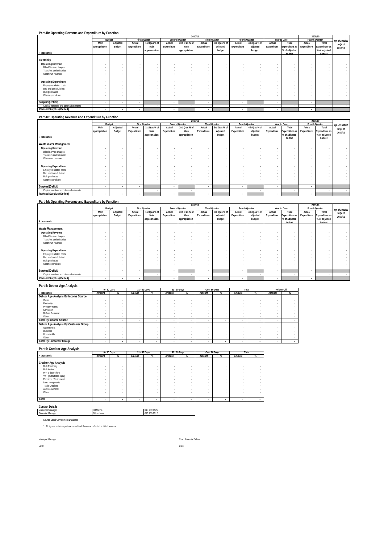|                                         |                          |                |                          |                      |                          |                          | 2010/11     |               |             |                          |                          |                |             | 2009/10        |               |
|-----------------------------------------|--------------------------|----------------|--------------------------|----------------------|--------------------------|--------------------------|-------------|---------------|-------------|--------------------------|--------------------------|----------------|-------------|----------------|---------------|
|                                         |                          | Budget         |                          | <b>First Quarter</b> |                          | Second Quarter           |             | Third Quarter |             | Fourth Quarter           |                          | Year to Date   |             | Fourth Quarter | Q4 of 2009/10 |
|                                         | Main                     | Adjusted       | Actual                   | 1st Q as % of        | Actual                   | 2nd Q as % of            | Actual      | 3rd Q as % of | Actual      | 4th Q as % of            | Actual                   | Total          | Actual      | Total          | to Q4 of      |
|                                         | appropriation            | Budget         | Expenditure              | Main                 | Expenditure              | Main                     | Expenditure | adjusted      | Expenditure | adjusted                 | Expenditure              | Expenditure as | Expenditure | Expenditure as | 2010/11       |
|                                         |                          |                |                          | appropriation        |                          | appropriation            |             | budget        |             | budget                   |                          | % of adjusted  |             | % of adjusted  |               |
| R thousands                             |                          |                |                          |                      |                          |                          |             |               |             |                          |                          | hudget         |             | hudget         |               |
|                                         |                          |                |                          |                      |                          |                          |             |               |             |                          |                          |                |             |                |               |
| Electricity                             |                          |                |                          |                      |                          |                          |             |               |             |                          |                          |                |             |                |               |
| <b>Operating Revenue</b>                |                          | $\overline{a}$ | $\overline{a}$           |                      |                          | $\overline{\phantom{a}}$ |             |               |             | ٠                        |                          |                |             | ٠              |               |
| <b>Billed Service charges</b>           | $\sim$                   | $\sim$         | $\overline{\phantom{a}}$ |                      |                          |                          |             |               |             | $\overline{\phantom{a}}$ | $\sim$                   |                |             | $\sim$         |               |
| Transfers and subsidies                 |                          | ٠.             |                          |                      |                          |                          |             |               |             | $\overline{\phantom{a}}$ |                          |                |             | $\sim$         |               |
| Other own revenue                       |                          |                |                          |                      |                          |                          |             |               |             |                          |                          |                |             | $\sim$         |               |
|                                         |                          |                |                          |                      |                          |                          |             |               |             |                          |                          |                |             |                |               |
| <b>Operating Expenditure</b>            |                          | $\overline{a}$ | $\mathbf{r}$             |                      |                          | $\overline{\phantom{a}}$ |             |               | ٠           | ٠                        |                          |                |             | ٠              |               |
| Employee related costs                  |                          |                |                          |                      |                          |                          |             |               |             |                          |                          |                |             |                |               |
| Bad and doubtful debt                   | $\sim$                   | $\sim$         | $\sim$                   |                      |                          |                          |             |               | $\sim$      | $\overline{\phantom{a}}$ |                          |                |             | $\sim$         |               |
| <b>Bulk purchases</b>                   |                          | ٠.             |                          |                      |                          |                          |             |               |             | ٠.                       |                          |                |             | $\sim$         |               |
| Other expenditure                       | $\overline{\phantom{a}}$ | ٠.             |                          |                      |                          |                          |             |               |             |                          |                          |                |             | $\sim$         |               |
|                                         |                          |                |                          |                      |                          |                          |             |               |             |                          |                          |                |             |                |               |
| Surplus/(Deficit)                       | $\overline{\phantom{a}}$ | ۰              | $\sim$                   |                      | $\overline{\phantom{a}}$ |                          | ٠           |               | $\sim$      |                          | $\overline{\phantom{a}}$ |                | ٠           |                |               |
| Capital transfers and other adjustments |                          |                |                          |                      |                          | ٠.                       |             |               |             |                          |                          |                |             |                |               |
| <b>Revised Surplus/(Deficit)</b>        | $\sim$                   | ۰              | $\overline{\phantom{a}}$ |                      | $\overline{\phantom{a}}$ |                          | $\sim$      |               |             |                          | $\sim$                   |                | $\sim$      |                |               |
|                                         |                          |                |                          |                      |                          |                          |             |               |             |                          |                          |                |             |                |               |

#### **Part 4c: Operating Revenue and Expenditure by Function**

|                                         |               |                          |                          |                      |                          |                | 2010/11     |                      |             |                |             |                       |             | 2009/10               |               |
|-----------------------------------------|---------------|--------------------------|--------------------------|----------------------|--------------------------|----------------|-------------|----------------------|-------------|----------------|-------------|-----------------------|-------------|-----------------------|---------------|
|                                         |               | Budget                   |                          | <b>First Quarter</b> |                          | Second Quarter |             | <b>Third Quarter</b> |             | Fourth Quarter |             | Year to Date          |             | Fourth Quarter        | Q4 of 2009/10 |
|                                         | Main          | Adjusted                 | Actual                   | 1st Q as % of        | Actual                   | 2nd Q as % of  | Actual      | 3rd Q as % of        | Actual      | 4th Q as % of  | Actual      | Total                 | Actual      | Total                 | to Q4 of      |
|                                         | appropriation | Budget                   | Expenditure              | Main                 | Expenditure              | Main           | Expenditure | adjusted             | Expenditure | adjusted       | Expenditure | <b>Expenditure as</b> | Expenditure | <b>Expenditure as</b> | 2010/11       |
|                                         |               |                          |                          | appropriation        |                          | appropriation  |             | budget               |             | budget         |             | % of adjusted         |             | % of adjusted         |               |
| R thousands                             |               |                          |                          |                      |                          |                |             |                      |             |                |             | hudget                |             | hudget                |               |
| Waste Water Management                  |               |                          |                          |                      |                          |                |             |                      |             |                |             |                       |             |                       |               |
| <b>Operating Revenue</b>                |               | $\mathbf{r}$             | $\sim$                   |                      |                          | ٠              |             | $\mathbf{r}$         |             | $\mathbf{r}$   |             |                       | $\sim$      |                       |               |
| <b>Billed Service charges</b>           |               | $\sim$                   |                          |                      |                          |                |             |                      |             | $\sim$         |             |                       |             |                       | $\sim$        |
| Transfers and subsidies                 |               | $\overline{\phantom{a}}$ |                          |                      |                          |                |             |                      |             | $\sim$         |             |                       |             |                       |               |
| Other own revenue                       |               |                          |                          |                      |                          |                |             |                      |             |                |             |                       |             | $\sim$                |               |
|                                         |               |                          |                          |                      |                          |                |             |                      |             |                |             |                       |             |                       |               |
| <b>Operating Expenditure</b>            |               | ٠                        |                          |                      |                          |                |             |                      |             | ٠              |             |                       |             | ٠                     |               |
| Employee related costs                  |               | $\sim$                   |                          |                      |                          |                |             | $\sim$               |             | $\sim$         |             |                       |             |                       | $\sim$        |
| Bad and doubtful debt                   |               | $\overline{\phantom{a}}$ |                          |                      |                          |                |             | $\sim$               | $\sim$      | $\sim$         |             |                       | $\sim$      | $\sim$                |               |
| <b>Bulk purchases</b>                   |               |                          |                          |                      |                          |                |             |                      |             | $\sim$         |             |                       |             | $\sim$                |               |
| Other expenditure                       |               |                          |                          |                      |                          |                |             |                      |             |                |             |                       |             | $\sim$                |               |
|                                         |               |                          |                          |                      |                          |                |             |                      |             |                |             |                       |             |                       |               |
| Surplus/(Deficit)                       |               | $\cdot$                  | $\overline{\phantom{a}}$ |                      | $\overline{\phantom{a}}$ |                | ٠           |                      | $\sim$      |                | ۰           |                       | ٠           |                       |               |
| Capital transfers and other adjustments |               |                          |                          |                      |                          |                |             |                      |             |                |             |                       |             | $\sim$                | $\sim$        |
| <b>Revised Surplus/(Deficit)</b>        | $\sim$        | $\cdot$                  | $\overline{\phantom{a}}$ |                      |                          |                | ٠           |                      | ۰           |                | $\sim$      |                       | $\sim$      |                       |               |

### **Part 4d: Operating Revenue and Expenditure by Function**

|                                         |                          |              |                          |                      |                          |                | 2010/11     |                      |             |                          |             |                |             | 2009/10        |               |
|-----------------------------------------|--------------------------|--------------|--------------------------|----------------------|--------------------------|----------------|-------------|----------------------|-------------|--------------------------|-------------|----------------|-------------|----------------|---------------|
|                                         |                          | Budget       |                          | <b>First Quarter</b> |                          | Second Quarter |             | <b>Third Quarter</b> |             | Fourth Quarter           |             | Year to Date   |             | Fourth Quarter | Q4 of 2009/10 |
|                                         | Main                     | Adjusted     | Actual                   | 1st Q as % of        | Actual                   | 2nd Q as % of  | Actual      | 3rd Q as % of        | Actual      | 4th Q as % of            | Actual      | Total          | Actual      | Total          | to Q4 of      |
|                                         | appropriation            | Budget       | Expenditure              | Main                 | Expenditure              | Main           | Expenditure | adjusted             | Expenditure | adjusted                 | Expenditure | Expenditure as | Expenditure | Expenditure as | 2010/11       |
|                                         |                          |              |                          | appropriation        |                          | appropriation  |             | budget               |             | budget                   |             | % of adjusted  |             | % of adjusted  |               |
| R thousands                             |                          |              |                          |                      |                          |                |             |                      |             |                          |             | hudget         |             | hudget         |               |
| Waste Management                        |                          |              |                          |                      |                          |                |             |                      |             |                          |             |                |             |                |               |
| <b>Operating Revenue</b>                |                          | $\mathbf{r}$ |                          |                      |                          |                |             |                      |             |                          |             |                |             |                |               |
| <b>Billed Service charges</b>           | $\sim$                   |              | $\sim$                   |                      |                          |                |             |                      |             |                          |             |                |             |                |               |
| Transfers and subsidies                 |                          | $\sim$       |                          |                      |                          |                |             |                      |             | $\overline{\phantom{a}}$ |             |                |             |                |               |
| Other own revenue                       |                          |              |                          |                      |                          |                |             |                      |             |                          |             |                |             |                |               |
|                                         |                          |              |                          |                      |                          |                |             |                      |             |                          |             |                |             |                |               |
| <b>Operating Expenditure</b>            | ٠                        | $\mathbf{r}$ |                          |                      |                          |                |             |                      |             | ٠                        |             |                |             |                |               |
| Employee related costs                  | $\sim$                   |              |                          |                      |                          |                |             |                      |             |                          |             |                |             |                |               |
| Bad and doubtful debt                   | $\sim$                   |              | $\sim$                   |                      |                          |                |             |                      |             |                          |             |                |             |                |               |
| <b>Bulk purchases</b>                   |                          |              |                          |                      |                          |                |             |                      |             |                          |             |                |             |                |               |
| Other expenditure                       |                          | $\sim$       |                          |                      |                          |                |             |                      |             |                          |             |                |             | $\sim$         |               |
|                                         |                          |              |                          |                      |                          |                |             |                      |             |                          |             |                |             |                |               |
| Surplus/(Deficit)                       | $\sim$                   | ۰            | $\overline{\phantom{a}}$ |                      | $\overline{\phantom{a}}$ |                | ۰           |                      | $\sim$      |                          | $\sim$      |                | ۰           |                |               |
| Capital transfers and other adjustments |                          |              |                          |                      |                          |                |             |                      |             |                          |             |                |             |                |               |
| <b>Revised Surplus/(Deficit)</b>        | $\overline{\phantom{a}}$ | ۰            | $\overline{\phantom{a}}$ |                      |                          |                |             |                      | . .         |                          | $\sim$      |                |             |                |               |

### **Part 5: Debtor Age Analysis**

|                                       |                          | 0 - 30 Days |        | 31 - 60 Days             |                          | 61 - 90 Davs |        | Over 90 Days |        | Total  |        | Written Off |
|---------------------------------------|--------------------------|-------------|--------|--------------------------|--------------------------|--------------|--------|--------------|--------|--------|--------|-------------|
| R thousands                           | Amount                   | %           | Amount | %                        | Amount                   | %            | Amount | %            | Amount | %      | Amount | %           |
| Debtor Age Analysis By Income Source  |                          |             |        |                          |                          |              |        |              |        |        |        |             |
| Water                                 |                          |             |        |                          |                          |              |        |              |        |        |        |             |
| Electricity                           |                          |             |        |                          |                          |              |        |              |        |        |        |             |
| <b>Property Rates</b>                 |                          |             |        |                          |                          |              |        |              |        |        |        |             |
| Sanitation                            |                          |             |        |                          |                          |              |        |              |        |        |        |             |
| Refuse Removal                        |                          |             |        |                          |                          |              |        |              |        |        |        |             |
| Other                                 |                          | $\sim$      | ۰      |                          |                          |              |        | $\sim$       |        |        |        |             |
| <b>Total By Income Source</b>         | $\overline{\phantom{a}}$ | ۰           |        | $\overline{\phantom{a}}$ | $\overline{\phantom{a}}$ | $\sim$       |        |              | $\sim$ |        | $\sim$ |             |
| Debtor Age Analysis By Customer Group |                          |             |        |                          |                          |              |        |              |        |        |        |             |
| Government                            |                          |             |        |                          |                          |              |        |              |        |        |        |             |
| Business                              |                          |             |        |                          |                          |              |        |              |        |        |        |             |
| Households                            |                          |             |        |                          |                          |              |        |              |        |        |        |             |
| Other                                 |                          | $\sim$      | ۰      | $\sim$                   |                          |              |        | $\sim$       |        | $\sim$ |        |             |
| <b>Total By Customer Group</b>        |                          | ۰           |        | $\overline{\phantom{a}}$ |                          | $\sim$       |        |              |        |        | $\sim$ |             |

#### **Part 6: Creditor Age Analysis**

|                              | 0 - 30 Days              |                          |                          | 31 - 60 Days             |                          | 61 - 90 Days             |        | Over 90 Days             | Total  |        |
|------------------------------|--------------------------|--------------------------|--------------------------|--------------------------|--------------------------|--------------------------|--------|--------------------------|--------|--------|
| R thousands                  | Amount                   | %                        | Amount                   | %                        | Amount                   | %                        | Amount | %                        | Amount | %      |
|                              |                          |                          |                          |                          |                          |                          |        |                          |        |        |
| <b>Creditor Age Analysis</b> |                          |                          |                          |                          |                          |                          |        |                          |        |        |
| <b>Bulk Electricity</b>      | ٠                        | $\overline{\phantom{a}}$ | $\overline{\phantom{a}}$ | ۰                        |                          | $\sim$                   |        | ٠                        | ٠      |        |
| <b>Bulk Water</b>            | ٠                        | $\overline{\phantom{a}}$ | $\sim$                   | ۰                        | ٠                        | $\sim$                   | $\sim$ |                          | ٠      | ٠      |
| PAYE deductions              | ٠                        | $\overline{\phantom{a}}$ | $\overline{\phantom{a}}$ | ۰                        |                          | $\sim$                   |        | ٠                        | ٠      |        |
| VAT (output less input)      |                          | $\overline{\phantom{a}}$ | $\sim$                   | ۰                        | <b>The Story</b>         | $\sim$                   | $\sim$ |                          | ٠      |        |
| Pensions / Retirement        |                          | $\overline{\phantom{a}}$ | $\overline{\phantom{a}}$ | ۰                        | ٠                        | $\sim$                   | $\sim$ | $\overline{\phantom{a}}$ | ٠      | $\sim$ |
| Loan repayments              |                          | $\overline{\phantom{a}}$ | $\overline{\phantom{a}}$ | ۰                        | ٠                        | $\sim$                   |        | $\overline{\phantom{a}}$ | ٠      | ٠      |
| <b>Trade Creditors</b>       | ٠                        | $\sim$                   | $\sim$                   | ۰                        | $\overline{\phantom{a}}$ |                          | $\sim$ | $\overline{\phantom{a}}$ | ٠      |        |
| Auditor-General              | ٠                        | $\overline{\phantom{a}}$ | $\sim$                   | ۰                        | ٠                        |                          | $\sim$ |                          | ٠      | ٠      |
| Other                        | ٠                        |                          |                          | ۰                        | ٠                        | $\sim$                   |        | ٠                        | ٠      |        |
|                              |                          |                          |                          |                          |                          |                          |        |                          |        |        |
| Total                        | $\overline{\phantom{a}}$ | $\overline{\phantom{a}}$ |                          | $\overline{\phantom{a}}$ | $\overline{\phantom{a}}$ | $\overline{\phantom{a}}$ | ۰      |                          | $\sim$ |        |

## **Contact Details**

| H Mhatha | 013 759 8525 |
|----------|--------------|
| Glandman | 013 759 8512 |
|          |              |
|          |              |

1. All figures in this report are unaudited. Revenue reflected is billed revenue

Date: Date: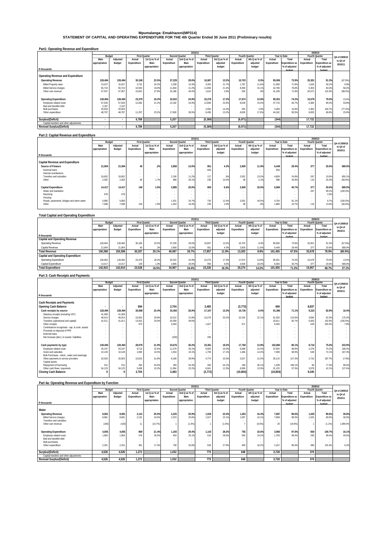## **Mpumalanga: Emakhazeni(MP314) STATEMENT OF CAPITAL AND OPERATING EXPENDITURE FOR THE 4th Quarter Ended 30 June 2011 (Preliminary results)**

| Part1: Operating Revenue and Expenditure |  |  |
|------------------------------------------|--|--|
|                                          |  |  |

|                                         |                       |          |                          |               |             | 2010/11               |             |                      |                |               |             |                |             | 2009/10               |               |
|-----------------------------------------|-----------------------|----------|--------------------------|---------------|-------------|-----------------------|-------------|----------------------|----------------|---------------|-------------|----------------|-------------|-----------------------|---------------|
|                                         | Budget                |          | <b>First Quarter</b>     |               |             | <b>Second Quarter</b> |             | <b>Third Quarter</b> | Fourth Quarter |               |             | Year to Date   |             | Fourth Quarter        | Q4 of 2009/10 |
|                                         | Main                  | Adjusted | Actual                   | 1st Q as % of | Actual      | 2nd Q as % of         | Actual      | 3rd Q as % of        | Actual         | 4th Q as % of | Actual      | Total          | Actual      | Total                 | to Q4 of      |
|                                         | appropriation         | Budget   | Expenditure              | Main          | Expenditure | Main                  | Expenditure | adjusted             | Expenditure    | adjusted      | Expenditure | Expenditure as | Expenditure | <b>Expenditure as</b> | 2010/11       |
|                                         |                       |          |                          | appropriation |             | appropriation         |             | budget               |                | budget        |             | % of adjusted  |             | % of adjusted         |               |
| R thousands                             |                       |          |                          |               |             |                       |             |                      |                |               |             | hudget         |             | hudget                |               |
|                                         |                       |          |                          |               |             |                       |             |                      |                |               |             |                |             |                       |               |
| Operating Revenue and Expenditure       |                       |          |                          |               |             |                       |             |                      |                |               |             |                |             |                       |               |
| <b>Operating Revenue</b>                | 128.494               | 128.494  | 30,168                   | 23.5%         | 37,229      | 29.0%                 | 16.907      | 13.2%                | 10.703         | 8.3%          | 95.006      | 73.9%          | 33,301      | 91.3%                 | (67.9%)       |
| <b>Billed Property rates</b>            | 15.427                | 15.427   | 3.731                    | 24.2%         | 2.208       | 14.3%                 | 3.343       | 21 7%                | 1.787          | 11.6%         | 11.069      | 71.8%          | 1.626       | 56.2%                 | 9.9%          |
| <b>Billed Service charges</b>           | 55.710                | 55.710   | 10.594                   | 19.0%         | 11.834      | 21.2%                 | 11.950      | 21 4%                | 8.390          | 15.1%         | 42.769      | 76.8%          | 5.303       | 84.0%                 | 58.2%         |
| Other own revenue                       | 57.357                | 57.357   | 15.842                   | 27.6%         | 23,186      | 40.4%                 | 1.614       | 2.8%                 | 526            | 9%            | 41.168      | 71.8%          | 26.372      | 115.3%                | $(98.0\%)$    |
|                                         |                       |          |                          |               |             |                       |             |                      |                |               |             |                |             |                       |               |
| <b>Operating Expenditure</b>            | 128.494               | 128.494  | 23,379                   | 18.2%         | 32.022      | 24.9%                 | 22.276      | 17.3%                | 17.674         | 13.8%         | 95.351      | 74.2%          | 15.579      | 79.0%                 | 13.4%         |
| Employee related costs                  | 57,026                | 57.026   | 12.082                   | 21.2%         | 14.192      | 24.9%                 | 12,906      | 22.6%                | 8.539          | 15.0%         | 47.719      | 83.7%          | 6.384       | 89.3%                 | 33.8%         |
| Bad and doubtful debt                   | 2.167                 | 2.167    | $\sim$                   |               |             |                       |             |                      |                |               |             |                |             |                       |               |
| <b>Bulk purchases</b>                   | 20,503                | 20,503   | $\overline{\phantom{a}}$ |               |             |                       | 2.934       | 14.3%                | 535            | 2.6%          | 3.469       | 16.9%          | 2,363       | 103.7%                | (77.4%)       |
| Other expenditure                       | 48.797                | 48.797   | 11.297                   | 23.2%         | 17.830      | 36.5%                 | 6.436       | 13.2%                | 8.600          | 17.6%         | 44.162      | 90.5%          | 6.833       | 66.8%                 | 25.9%         |
|                                         |                       |          |                          |               |             |                       |             |                      |                |               |             |                |             |                       |               |
| Surplus/(Deficit)                       | $\tilde{\phantom{a}}$ | $\sim$   | 6.789                    |               | 5.207       |                       | (5, 369)    |                      | (6,971)        |               | (344)       |                | 17.722      |                       |               |
| Capital transfers and other adjustments |                       |          |                          |               |             |                       |             |                      |                |               |             |                |             |                       |               |
| <b>Revised Surplus/(Deficit)</b>        | $\tilde{\phantom{a}}$ | $\sim$   | 6.789                    |               | 5.207       |                       | (5, 369)    |                      | (6,971)        |               | (344)       |                | 17.722      |                       |               |

#### **Part 2: Capital Revenue and Expenditure**

|                                           |               |                          |                          |                          |             | 2010/11               |                      |               |             |                |             |                       |             | 2009/10        |               |
|-------------------------------------------|---------------|--------------------------|--------------------------|--------------------------|-------------|-----------------------|----------------------|---------------|-------------|----------------|-------------|-----------------------|-------------|----------------|---------------|
|                                           |               | Budget                   |                          | <b>First Quarter</b>     |             | <b>Second Quarter</b> | <b>Third Quarter</b> |               |             | Fourth Quarter |             | Year to Date          |             | Fourth Quarter | Q4 of 2009/10 |
|                                           | Main          | Adjusted                 | Actual                   | 1st Q as % of            | Actual      | 2nd Q as % of         | Actual               | 3rd Q as % of | Actual      | 4th Q as % of  | Actual      | Total                 | Actual      | Total          | to Q4 of      |
|                                           | appropriation | Budget                   | Expenditure              | Main                     | Expenditure | Main                  | Expenditure          | adjusted      | Expenditure | adjusted       | Expenditure | <b>Expenditure as</b> | Expenditure | Expenditure as | 2010/11       |
|                                           |               |                          |                          | appropriation            |             | appropriation         |                      | budget        |             | budget         |             | % of adjusted         |             | % of adjusted  |               |
| R thousands                               |               |                          |                          |                          |             |                       |                      |               |             |                |             | hudget                |             | hudget         |               |
|                                           |               |                          |                          |                          |             |                       |                      |               |             |                |             |                       |             |                |               |
| <b>Capital Revenue and Expenditure</b>    |               |                          |                          |                          |             |                       |                      |               |             |                |             |                       |             |                |               |
| Source of Finance                         | 21.904        | 21.904                   | 40                       | .2%                      | 2.858       | 13.0%                 | 951                  | 4.3%          | 2.600       | 11.9%          | 6.449       | 29.4%                 | 377         | 20.6%          | 589.0%        |
| External loans                            |               | $\overline{\phantom{a}}$ | $\sim$                   |                          |             |                       | 603                  | $\sim$        |             |                | 603         |                       |             |                | $\sim$        |
| Internal contributions                    |               | $\overline{\phantom{a}}$ | $\sim$                   | $\overline{\phantom{a}}$ |             |                       | $\sim$               |               |             | $\sim$         | $\sim$      |                       |             | $\sim$         | $\sim$        |
| <b>Transfers and subsidies</b>            | 19.602        | 19.602                   | $\overline{\phantom{a}}$ | $\overline{\phantom{a}}$ | 2.190       | 11.2%                 | 117                  | .6%           | 2.552       | 13.0%          | 4.859       | 24.8%                 | 267         | 19.9%          | 855.1%        |
| Other                                     | 2.302         | 2.302                    | $40^{\circ}$             | 1.7%                     | 669         | 29.1%                 | 230                  | 10.0%         | 48          | 2.1%           | 986         | 42.8%                 | 110         | 26.3%          | (56.8%)       |
|                                           |               |                          |                          |                          |             |                       |                      |               |             |                |             |                       |             |                |               |
| Capital Expenditure                       | 14.417        | 14.417                   | 149                      | 1.0%                     | 2.885       | 20.0%                 | 950                  | 6.6%          | 2.600       | 18.0%          | 6.584       | 45.7%                 | 377         | 20.6%          | 589.0%        |
| Water and Sanitation                      |               | $\overline{\phantom{a}}$ | $\sim$                   |                          |             |                       |                      | $\sim$        |             |                | $\sim$      |                       | 267         | 99.2%          | (100.0%       |
| Electricity                               | 678           | 678                      | $\sim$                   |                          |             |                       |                      |               |             |                |             |                       |             | 2.9%           | $\sim$        |
| Housing                                   |               | $\sim$                   | $\sim$                   |                          |             | $\sim$                | $\sim$               | $\sim$        | $\sim$      | $\sim$         | $\sim$      |                       | $\sim$      | $\sim$         |               |
| Roads, pavements, bridges and storm water | 5,800         | 5.800                    |                          |                          | 1.431       | 24.7%                 | 720                  | 12.4%         | 2.552       | 44.0%          | 4.704       | 81.1%                 | $\sim$      | 8.7%           | (100.0%       |
| Other                                     | 7.938         | 7.938                    | 149                      | 1.9%                     | 1.454       | 18.3%                 | 230                  | 2.9%          |             |                | 1.880       | 23.7%                 | 110         | 13.6%          | (56.8%)       |
|                                           |               |                          |                          |                          |             |                       |                      |               |             |                |             |                       |             |                |               |

### **Total Capital and Operating Expenditure**

|                                          |               |          |             |                      |             |                | 2010/11              |               |                |               |             |                       |             | 2009/10               |               |
|------------------------------------------|---------------|----------|-------------|----------------------|-------------|----------------|----------------------|---------------|----------------|---------------|-------------|-----------------------|-------------|-----------------------|---------------|
|                                          | Budget        |          |             | <b>First Quarter</b> |             | Second Quarter | <b>Third Quarter</b> |               | Fourth Quarter |               |             | Year to Date          |             | Fourth Quarter        | Q4 of 2009/10 |
|                                          | Main          | Adiusted | Actual      | 1st Q as % of        | Actual      | 2nd Q as % of  | Actual               | 3rd Q as % of | Actual         | 4th Q as % of | Actual      | Total                 | Actual      | Total                 | to Q4 of      |
|                                          | appropriation | Budget   | Expenditure | Main                 | Expenditure | Main           | Expenditure          | adiusted      | Expenditure    | adjusted      | Expenditure | <b>Expenditure as</b> | Expenditure | <b>Expenditure as</b> | 2010/11       |
|                                          |               |          |             | appropriation        |             | appropriation  |                      | budget        |                | budget        |             | % of adjusted         |             | % of adjusted         |               |
| R thousands                              |               |          |             |                      |             |                |                      |               |                |               |             | hudget                |             | hudget                |               |
| <b>Capital and Operating Revenue</b>     |               |          |             |                      |             |                |                      |               |                |               |             |                       |             |                       |               |
| Operating Revenue                        | 128.494       | 128.494  | 30.168      | 23.5%                | 37.229      | 29.0%          | 16.907               | 13.2%         | 10.703         | 8.3%          | 95.006      | 73.9%                 | 33.301      | 91.3%                 | (67.9%)       |
| Capital Revenue                          | 21.904        | 21.904   | 40          | .2%                  | 2.858       | 13.0%          | 951                  | 4.3%          | 2.600          | 11.9%         | 6.449       | 29.4%                 | 377         | 20.6%                 | 589.0%        |
| <b>Total Revenue</b>                     | 150.398       | 150.398  | 30.207      | 20.1%                | 40.087      | 26.7%          | 17.857               | 11.9%         | 13.303         | 8.8%          | 101.455     | 67.5%                 | 33.678      | 78.9%                 | (60.5%)       |
| <b>Capital and Operating Expenditure</b> |               |          |             |                      |             |                |                      |               |                |               |             |                       |             |                       |               |
| Operating Expenditure                    | 128.494       | 128.494  | 23.379      | 18.2%                | 32,022      | 24.9%          | 22.276               | 17.3%         | 17.674         | 13.8%         | 95.351      | 74.2%                 | 15.579      | 79.0%                 | 13.4%         |
| Capital Expenditure                      | 14.417        | 14.417   | 149         | 1.0%                 | 2.885       | 20.0%          | 950                  | 6.6%          | 2.600          | 18.0%         | 6.584       | 45.79                 | 377         | 20.6%                 | 589.0%        |
| <b>Total Expenditure</b>                 | 142.910       | 142.910  | 23,528      | 16.5%                | 34.907      | 24.4%          | 23,226               | 16.3%         | 20.274         | 14.2%         | 101.935     | 71.3%                 | 15.957      | 68.7%                 | 27.1%         |
|                                          |               |          |             |                      |             |                |                      |               |                |               |             |                       |             |                       |               |

#### **Part 3: Cash Receipts and Payments**

|                                                 |               |                          |                          |                      |             | 2010/11               |                      |               |                |               |             |                |                          | 2009/10               |               |
|-------------------------------------------------|---------------|--------------------------|--------------------------|----------------------|-------------|-----------------------|----------------------|---------------|----------------|---------------|-------------|----------------|--------------------------|-----------------------|---------------|
|                                                 |               | Budget                   |                          | <b>First Quarter</b> |             | <b>Second Quarter</b> | <b>Third Quarter</b> |               | Fourth Quarter |               |             | Year to Date   |                          | Fourth Quarter        | Q4 of 2009/10 |
|                                                 | Main          | Adjusted                 | Actual                   | 1st Q as % of        | Actual      | 2nd Q as % of         | Actual               | 3rd Q as % of | Actual         | 4th Q as % of | Actual      | Total          | Actual                   | Total                 | to Q4 of      |
|                                                 | appropriation | Budget                   | Expenditure              | Main                 | Expenditure | Main                  | Expenditure          | adjusted      | Expenditure    | adjusted      | Expenditure | Expenditure as | Expenditure              | <b>Expenditure as</b> | 2010/11       |
|                                                 |               |                          |                          | appropriation        |             | appropriation         |                      | budget        |                | budget        |             | % of adjusted  |                          | % of adjusted         |               |
| R thousands                                     |               |                          |                          |                      |             |                       |                      |               |                |               |             | hudget         |                          | hudget                |               |
| <b>Cash Receipts and Payments</b>               |               |                          |                          |                      |             |                       |                      |               |                |               |             |                |                          |                       |               |
| Opening Cash Balance                            |               | $\cdot$                  | 694                      |                      | 2,704       |                       | 2,483                |               | (3, 772)       |               | 694         |                | 8,837                    |                       |               |
| Cash receipts by source                         | 128.494       | 128.494                  | 30,088                   | 23.4%                | 33,455      | 26.0%                 | 17,107               | 13.3%         | 10.736         | 8.4%          | 91.386      | 71.1%          | 9.223                    | 82.8%                 | 16.4%         |
| Statutory receipts (including VAT)              | 41.469        | 41,469                   |                          |                      |             |                       |                      |               |                |               |             |                |                          |                       |               |
| Service charges                                 | 46.014        | 46.014                   | 15,563                   | 33.8%                | 10.012      | 21.8%                 | 15,279               | 33.2%         | 10.165         | 22.1%         | 51.020      | 110.9%         | 3.694                    | 62.3%                 | 175.2%        |
| Transfers (operational and capital)             | 41.011        | 41.011                   | 13,552                   | 33.0%                | 20.359      | 49.6%                 |                      |               |                |               | 33.911      | 82 7%          | 5.000                    | 102.6%                | $(100.0\%)$   |
| Other receipts                                  |               | $\overline{\phantom{a}}$ | 973                      |                      | 3.284       |                       | 1.627                |               | 571            |               | 6.455       | $\sim$         | 529                      | 203.2%                | 7.8%          |
| Contributions recognised - cap. & contr. assets | . .           | $\overline{\phantom{a}}$ | $\overline{\phantom{a}}$ |                      |             |                       |                      |               |                |               |             |                |                          |                       |               |
| Proceeds on disposal of PPE                     | . .           | . п.                     | $\sim$                   |                      |             |                       |                      |               |                |               |             |                |                          |                       |               |
| <b>External Inans</b>                           |               | $\sim$                   | $\overline{\phantom{a}}$ |                      |             |                       |                      |               |                |               |             |                | $\overline{\phantom{a}}$ |                       |               |
| Net increase (decr.) in assets / liabilities    |               |                          | $\overline{\phantom{a}}$ |                      | (200)       |                       | 200                  |               |                |               |             |                |                          |                       |               |
|                                                 |               |                          |                          |                      |             |                       |                      |               |                |               |             |                |                          |                       |               |
| Cash payments by type                           | 128.494       | 128.494                  | 28,078                   | 21.9%                | 33,676      | 26.2%                 | 23,361               | 18.2%         | 17.768         | 13.8%         | 102.884     | 80.1%          | 8.716                    | 75.0%                 | 103.9%        |
| Employee related costs                          | 43.197        | 43.197                   | 9.713                    | 22.5%                | 11.279      | 26.1%                 | 9.925                | 23.0%         | 6.588          | 15.3%         | 37.504      | 86.8%          | 2.278                    | 75.2%                 | 189.2%        |
| Grant and subsidies                             | 10,149        | 10.149                   | 1.960                    | 19.3%                | 1.934       | 19.1%                 | 1.739                | 17.1%         | 1.466          | 14.4%         | 7.099       | 69.9%          | 548                      | 72.1%                 | 167.3%        |
| Bulk Purchases - electr., water and sewerage    |               | $\sim$                   |                          |                      |             |                       |                      |               |                |               |             |                | $\sim$                   |                       |               |
| Other payments to service providers             | 20.503        | 20.503                   | 10.623                   | 51.8%                | 8.186       | 39.9%                 | 4.774                | 23.3%         | 2.527          | 12.3%         | 26.110      | 127.3%         | 2.716                    | 187.7%                | (7.0%         |
| Capital assets                                  |               | $\sim$                   | $\overline{\phantom{a}}$ |                      |             |                       |                      |               |                |               |             | . .            | $\sim$                   |                       |               |
| Repayment of borrowing                          | 521           | 521                      | 284                      | 54.6%                | 283         | 54.3%                 | 282                  | 54.1%         | 188            | 36.1%         | 1.038       | 199.1%         | 95                       | 77.4%                 | 98.4%         |
| Other cash flows / payments                     | 54,123        | 54,123                   | 5.498                    | 10.2%                | 11,994      | 22.2%                 | 6.641                | 12.3%         | 6.999          | 12 9%         | 31.132      | 57.5%          | 3.078                    | 42.1%                 | 127.4%        |
| <b>Closing Cash Balance</b>                     |               |                          | 2.704                    |                      | 2.483       |                       | (3, 772)             |               | (10, 804)      |               | (10, 804)   |                | 9,345                    |                       |               |
|                                                 |               |                          |                          |                      |             |                       |                      |               |                |               |             |                |                          |                       |               |

|                                         |               |                          |             |                      |             | 2010/11        |                      |               |                |               |             |                |             | 2009/10        |               |
|-----------------------------------------|---------------|--------------------------|-------------|----------------------|-------------|----------------|----------------------|---------------|----------------|---------------|-------------|----------------|-------------|----------------|---------------|
|                                         |               | Budget                   |             | <b>First Quarter</b> |             | Second Quarter | <b>Third Quarter</b> |               | Fourth Quarter |               |             | Year to Date   |             | Fourth Quarter | Q4 of 2009/10 |
|                                         | Main          | Adjusted                 | Actual      | 1st Q as % of        | Actual      | 2nd Q as % of  | Actual               | 3rd Q as % of | Actual         | 4th Q as % of | Actual      | Total          | Actual      | Total          | to Q4 of      |
|                                         | appropriation | Budget                   | Expenditure | Main                 | Expenditure | Main           | Expenditure          | adjusted      | Expenditure    | adjusted      | Expenditure | Expenditure as | Expenditure | Expenditure as | 2010/11       |
|                                         |               |                          |             | appropriation        |             | appropriation  |                      | budget        |                | budget        |             | % of adjusted  |             | % of adjusted  |               |
| R thousands                             |               |                          |             |                      |             |                |                      |               |                |               |             | hudget         |             | <b>budget</b>  |               |
|                                         |               |                          |             |                      |             |                |                      |               |                |               |             |                |             |                |               |
| Water                                   |               |                          |             |                      |             |                |                      |               |                |               |             |                |             |                |               |
| <b>Operating Revenue</b>                | 8.581         | 8.581                    | 2.141       | 25.0%                | 2.225       | 25.9%          | 1.918                | 22.4%         | 1.403          | 16.4%         | 7.687       | 89.6%          | 1.025       | 89.6%          | 36.8%         |
| <b>Billed Service charges</b>           | 8.681         | 8.681                    | 2.131       | 24.5%                | 2.223       | 25.6%          | 1.917                | 22.1%         | 1.397          | 16.1%         | 7.668       | 88.3%          | 1.025       | 80.9%          | 36.3%         |
| Transfers and subsidies                 |               | $\overline{\phantom{a}}$ |             |                      |             |                |                      |               |                |               |             |                |             |                |               |
| Other own revenue                       | (100)         | (100)                    | 11          | (10.7%)              |             | (1.4%          |                      | (1.0%         |                | (6.5%         | 20          | (19.6%         |             | (1.1%)         | 1.099.4%      |
|                                         |               |                          |             |                      |             |                |                      |               |                |               |             |                |             |                |               |
| <b>Operating Expenditure</b>            | 4,055         | 4.055                    | 869         | 21.4%                | 1.193       | 29.4%          | 1.143                | 28.2%         | 755            | 18.6%         | 3.960       | 97.6%          | 650         | 100.7%         | 16.1%         |
| Employee related costs                  | 1.804         | 1.804                    | 478         | 26.5%                | 454         | 25.19          | 515                  | 28.5%         | 346            | 19.2%         | 1.793       | 99.4%          | 265         | 99.4%          | 30.5%         |
| Bad and doubtful debt                   |               | $\overline{\phantom{a}}$ |             |                      |             |                |                      |               |                |               |             |                |             |                |               |
| <b>Bulk purchases</b>                   |               | $\overline{\phantom{a}}$ |             |                      |             |                |                      |               |                |               |             |                |             |                | $\sim$        |
| Other expenditure                       | 2.251         | 2.251                    | 391         | 17.3%                | 739         | 32.89          | 629                  | 27.9%         | 409            | 18.2%         | 2.167       | 96.3%          | 385         | 101.6%         | 6.2%          |
|                                         |               |                          |             |                      |             |                |                      |               |                |               |             |                |             |                |               |
| Surplus/(Deficit)                       | 4,526         | 4.526                    | 1,272       |                      | 1,032       |                | 775                  |               | 648            |               | 3.728       |                | 376         |                |               |
| Capital transfers and other adjustments |               |                          |             |                      |             |                |                      |               |                |               |             |                |             |                |               |
| <b>Revised Surplus/(Deficit)</b>        | 4,526         | 4,526                    | 1,272       |                      | 1,032       |                | 775                  |               | 648            |               | 3,728       |                | 376         |                |               |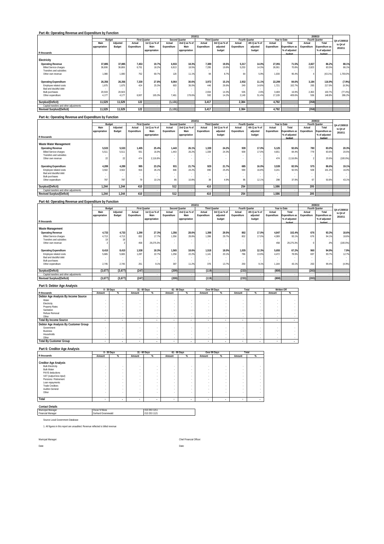|                                         |               |                          |             |                      |             |                       | 2010/11     |                      |             |                |             |                |             | 2009/10               |               |
|-----------------------------------------|---------------|--------------------------|-------------|----------------------|-------------|-----------------------|-------------|----------------------|-------------|----------------|-------------|----------------|-------------|-----------------------|---------------|
|                                         |               | Budget                   |             | <b>First Quarter</b> |             | <b>Second Quarter</b> |             | <b>Third Quarter</b> |             | Fourth Quarter |             | Year to Date   |             | Fourth Quarter        | Q4 of 2009/10 |
|                                         | Main          | Adjusted                 | Actual      | 1st Q as % of        | Actual      | 2nd Q as % of         | Actual      | 3rd Q as % of        | Actual      | 4th Q as % of  | Actual      | Total          | Actual      | Total                 | to Q4 of      |
|                                         | appropriation | Budget                   | Expenditure | Main                 | Expenditure | Main                  | Expenditure | adjusted             | Expenditure | adjusted       | Expenditure | Expenditure as | Expenditure | <b>Expenditure as</b> | 2010/11       |
|                                         |               |                          |             | appropriation        |             | appropriation         |             | budget               |             | budget         |             | % of adjusted  |             | % of adjusted         |               |
| R thousands                             |               |                          |             |                      |             |                       |             |                      |             |                |             | hudget         |             | hudget                |               |
| Electricity                             |               |                          |             |                      |             |                       |             |                      |             |                |             |                |             |                       |               |
|                                         |               |                          |             |                      |             |                       |             |                      |             |                |             |                |             |                       |               |
| <b>Operating Revenue</b>                | 37.885        | 37.885                   | 7,453       | 19.7%                | 6.933       | 18.3%                 | 7.389       | 19.5%                | 5.317       | 14.0%          | 27.091      | 71.5%          | 2.827       | 86.2%                 | 88.1%         |
| <b>Billed Service charges</b>           | 36.806        | 36.806                   | 6.701       | 18.2%                | 6.813       | 18.5%                 | 7.295       | 19.8%                | 5.253       | 14.3%          | 26.061      | 70.8%          | 2.823       | 83.5%                 | 86.1%         |
| Transfers and subsidies                 |               |                          |             |                      |             |                       |             |                      |             |                |             |                |             |                       |               |
| Other own revenue                       | 1.080         | 1.080                    | 752         | 69.7%                | 120         | 11.1%                 | 94          | 8.7%                 | 64          | 5.9%           | 1.030       | 95.4%          |             | (43.1%)               | 1.700.0%      |
|                                         |               |                          |             |                      |             |                       |             |                      |             |                |             |                |             |                       |               |
| <b>Operating Expenditure</b>            | 26,356        | 26,356                   | 7,330       | 27.8%                | 8.064       | 30.6%                 | 3.972       | 15.1%                | 2.932       | 11.1%          | 22.299      | 84.6%          | 3.184       | 116.9%                | (7.9%)        |
| Employee related costs                  | 1.675         | 1.675                    | 424         | 25.3%                | 603         | 36.0%                 | 446         | 26.6%                | 249         | 14.8%          | 1.721       | 102.7%         | 265         | 217.0%                | (6.3%)        |
| Bad and doubtful debt                   |               | $\overline{\phantom{a}}$ | $\sim$      |                      |             |                       |             |                      |             |                |             |                |             | $\sim$                |               |
| <b>Bulk purchases</b>                   | 20,503        | 20.503                   |             |                      |             |                       | 2.934       | 14.3%                | 535         | 2.6%           | 3.469       | 16.9%          | 2.363       | 103.7%                | (77.4%)       |
| Other expenditure                       | 4.177         | 4.177                    | 6.907       | 165.3%               | 7.461       | 178.6%                | 592         | 14.2%                | 2.149       | 51.4%          | 17.109      | 409.6%         | 556         | 148.8%                | 286.2%        |
| Surplus/(Deficit)                       | 11.529        | 11.529                   | 122         |                      | (1, 131)    |                       | 3.417       |                      | 2,384       |                | 4.792       |                | (358)       |                       |               |
| Capital transfers and other adjustments |               |                          |             |                      |             |                       |             | $\sim$               |             | $\sim$         |             |                |             |                       | $\sim$        |
| <b>Revised Surplus/(Deficit)</b>        | 11,529        | 11,529                   | 122         |                      | (1, 131)    |                       | 3.417       |                      | 2,384       |                | 4,792       |                | (358)       |                       |               |
|                                         |               |                          |             |                      |             |                       |             |                      |             |                |             |                |             |                       |               |

#### **Part 4c: Operating Revenue and Expenditure by Function**

|                                         |               |          |             |                      |             |                | 2010/11                  |                      |             |                |             |                       |             | 2009/10        |               |
|-----------------------------------------|---------------|----------|-------------|----------------------|-------------|----------------|--------------------------|----------------------|-------------|----------------|-------------|-----------------------|-------------|----------------|---------------|
|                                         |               | Budget   |             | <b>First Quarter</b> |             | Second Quarter |                          | <b>Third Quarter</b> |             | Fourth Quarter |             | Year to Date          |             | Fourth Quarter | Q4 of 2009/10 |
|                                         | Main          | Adjusted | Actual      | 1st Q as % of        | Actual      | 2nd Q as % of  | Actual                   | 3rd Q as % of        | Actual      | 4th Q as % of  | Actual      | Total                 | Actual      | Total          | to Q4 of      |
|                                         | appropriation | Budget   | Expenditure | Main                 | Expenditure | Main           | Expenditure              | adjusted             | Expenditure | adjusted       | Expenditure | <b>Expenditure as</b> | Expenditure | Expenditure as | 2010/11       |
|                                         |               |          |             | appropriation        |             | appropriation  |                          | budget               |             | budget         |             | % of adjusted         |             | % of adjusted  |               |
| R thousands                             |               |          |             |                      |             |                |                          |                      |             |                |             | hudget                |             | hudget         |               |
| Waste Water Management                  |               |          |             |                      |             |                |                          |                      |             |                |             |                       |             |                |               |
| <b>Operating Revenue</b>                | 5,533         | 5.533    | 1,405       | 25.4%                | 1.443       | 26.1%          | 1.339                    | 24.2%                | 939         | 17.0%          | 5.125       | 92.6%                 | 780         | 83.0%          | 20.3%         |
| <b>Billed Service charges</b>           | 5.511         | 5.511    | 931         | 16.9%                | 1.443       | 26.2%          | 1.339                    | 24.3%                | 939         | 17.0%          | 4.651       | 84.4%                 | 779         | 83.6%          | 20.5%         |
| Transfers and subsidies                 |               |          | $\sim$      |                      |             |                | $\overline{\phantom{a}}$ |                      |             |                |             |                       |             |                | $\sim$        |
| Other own revenue                       | 22            | 22       | 474         | 2.116.8%             |             |                |                          |                      |             |                | 474         | 2.116.8%              |             | 20.6%          | (100.0%       |
| <b>Operating Expenditure</b>            | 4,289         | 4.289    | 995         | 23.2%                | 931         | 21.7%          | 929                      | 21.7%                | 685         | 16.0%          | 3.539       | 82.5%                 | 575         | 86.6%          | 19.1%         |
| Employee related costs                  | 3.502         | 3.502    | 916         | 26.1%                | 846         | 24.2%          | 890                      | 25.4%                | 590         | 16.8%          | 3.241       | 92.5%                 | 508         | 101.2%         | 16.0%         |
| Bad and doubtful debt                   |               | $\sim$   |             |                      |             |                |                          |                      |             |                |             |                       |             |                | $\sim$        |
| <b>Bulk purchases</b>                   |               | $\sim$   |             |                      |             |                |                          |                      |             |                |             |                       |             |                | $\sim$        |
| Other expenditure                       | 787           | 787      | 79          | 10.1%                | 85          | 10.8%          | 39                       | 4.9%                 | 95          | 12.1%          | 298         | 37.9%                 | 67          | 50.8%          | 43.1%         |
| Surplus/(Deficit)                       | 1.244         | 1.244    | 410         |                      | 512         |                | 410                      |                      | 254         |                | 1.586       |                       | 205         |                |               |
| Capital transfers and other adjustments |               |          |             |                      |             |                |                          |                      |             |                |             |                       |             |                | $\sim$        |
| <b>Revised Surplus/(Deficit)</b>        | 1.244         | 1,244    | 410         |                      | 512         |                | 410                      |                      | 254         |                | 1.586       |                       | 205         |                |               |

### **Part 4d: Operating Revenue and Expenditure by Function**

|                                         |               |          |             |                      |             |                | 2010/11     |                      |             |                |             |                |             | 2009/10                  |               |
|-----------------------------------------|---------------|----------|-------------|----------------------|-------------|----------------|-------------|----------------------|-------------|----------------|-------------|----------------|-------------|--------------------------|---------------|
|                                         |               | Budget   |             | <b>First Quarter</b> |             | Second Quarter |             | <b>Third Quarter</b> |             | Fourth Quarter |             | Year to Date   |             | Fourth Quarter           | Q4 of 2009/10 |
|                                         | Main          | Adjusted | Actual      | 1st Q as % of        | Actual      | 2nd Q as % of  | Actual      | 3rd Q as % of        | Actual      | 4th Q as % of  | Actual      | Total          | Actual      | Total                    | to Q4 of      |
|                                         | appropriation | Budget   | Expenditure | Main                 | Expenditure | Main           | Expenditure | adjusted             | Expenditure | adjusted       | Expenditure | Expenditure as | Expenditure | <b>Expenditure as</b>    | 2010/11       |
|                                         |               |          |             | appropriation        |             | appropriation  |             | budget               |             | budget         |             | % of adjusted  |             | % of adjusted            |               |
| R thousands                             |               |          |             |                      |             |                |             |                      |             |                |             | hudget         |             | hudget                   |               |
| Waste Management                        |               |          |             |                      |             |                |             |                      |             |                |             |                |             |                          |               |
| <b>Operating Revenue</b>                | 4.733         | 4.733    | 1.290       | 27.3%                | 1.356       | 28.6%          | 1.398       | 29.5%                | 802         | 17.0%          | 4.847       | 102.4%         | 676         | 93.3%                    | 18.6%         |
| <b>Billed Service charges</b>           | 4.713         | 4.713    | 832         | 17.7%                | 1.356       | 28.8%          | 1.398       | 29.7%                | 802         | 17.0%          | 4.389       | 93.1%          | 676         | 94.1%                    | 18.6%         |
| Transfers and subsidies                 | 19            | 19       |             |                      |             |                |             |                      |             |                |             |                |             | . .                      |               |
| Other own revenue                       |               |          | 458         | 29.275.3%            |             |                |             |                      |             | $\sim$         | 458         | 29.275.3%      |             | .9%                      | (100.0%       |
|                                         |               |          |             |                      |             |                |             |                      |             |                |             |                |             |                          |               |
| <b>Operating Expenditure</b>            | 8,410         | 8,410    | 1,538       | 18.3%                | 1.565       | 18.6%          | 1.518       | 18.0%                | 1.035       | 12.3%          | 5.655       | 67.2%          | 960         | 94.9%                    | 7.9%          |
| Employee related costs                  | 5,665         | 5.665    | 1.287       | 22.7%                | 1.258       | 22.2%          | 1.141       | 20.1%                | 786         | 13.9%          | 4.472       | 78.9%          | 697         | 93.7%                    | 12.7%         |
| Bad and doubtful debt                   |               | $\sim$   |             |                      |             |                |             |                      |             | $\sim$         |             |                |             |                          | $\sim$        |
| <b>Bulk purchases</b>                   |               |          |             |                      |             |                |             |                      |             |                |             |                |             | $\overline{\phantom{a}}$ | $\sim$        |
| Other expenditure                       | 2.745         | 2.745    | 251         | 9.1%                 | 307         | 11.2%          | 376         | 13.7%                | 250         | 9.1%           | 1.184       | 43.1%          | 263         | 99.4%                    | (4.9%)        |
|                                         |               |          |             |                      |             |                |             |                      |             |                |             |                |             |                          |               |
| Surplus/(Deficit)                       | (3,677)       | (3,677)  | (247)       |                      | (209)       |                | (119)       |                      | (233)       |                | (808)       |                | (283)       |                          |               |
| Capital transfers and other adjustments |               |          |             |                      |             |                |             |                      |             |                |             |                |             |                          | . .           |
| <b>Revised Surplus/(Deficit)</b>        | (3.677)       | (3.677)  | (247)       |                      | (209)       |                | (119)       |                      | (233)       |                | (808)       |                | (283)       |                          |               |

 $\overline{\phantom{a}}$ 

### **Part 5: Debtor Age Analysis**

|                                       |                          | 0 - 30 Days |        | 31 - 60 Days             |                          | 61 - 90 Davs |        | Over 90 Days |        | Total  |        | Written Off |
|---------------------------------------|--------------------------|-------------|--------|--------------------------|--------------------------|--------------|--------|--------------|--------|--------|--------|-------------|
| R thousands                           | Amount                   | %           | Amount | %                        | Amount                   | %            | Amount | %            | Amount | %      | Amount | %           |
| Debtor Age Analysis By Income Source  |                          |             |        |                          |                          |              |        |              |        |        |        |             |
| Water                                 |                          |             |        |                          |                          |              |        |              |        |        |        |             |
| Electricity                           |                          |             |        |                          |                          |              |        |              |        |        |        |             |
| <b>Property Rates</b>                 |                          |             |        |                          |                          |              |        |              |        |        |        |             |
| Sanitation                            |                          |             |        |                          |                          |              |        |              |        |        |        |             |
| Refuse Removal                        |                          |             |        |                          |                          |              |        |              |        |        |        |             |
| Other                                 |                          | $\sim$      | ۰      |                          |                          |              |        | $\sim$       |        |        |        |             |
| <b>Total By Income Source</b>         | $\overline{\phantom{a}}$ | ۰           |        | $\overline{\phantom{a}}$ | $\overline{\phantom{a}}$ | $\sim$       |        |              | $\sim$ |        | $\sim$ |             |
| Debtor Age Analysis By Customer Group |                          |             |        |                          |                          |              |        |              |        |        |        |             |
| Government                            |                          |             |        |                          |                          |              |        |              |        |        |        |             |
| Business                              |                          |             |        |                          |                          |              |        |              |        |        |        |             |
| Households                            |                          |             |        |                          |                          |              |        |              |        |        |        |             |
| Other                                 |                          | $\sim$      | ۰      | $\sim$                   |                          |              |        | $\sim$       |        | $\sim$ |        |             |
| <b>Total By Customer Group</b>        |                          | ۰           |        | $\overline{\phantom{a}}$ |                          | $\sim$       |        |              |        |        | $\sim$ |             |

### **Part 6: Creditor Age Analysis**

|                                                                                                 |                          | $0 - 30$ Days            |                          | 31 - 60 Days                                                   |        | 61 - 90 Days             |             | Over 90 Days     |        | Total |
|-------------------------------------------------------------------------------------------------|--------------------------|--------------------------|--------------------------|----------------------------------------------------------------|--------|--------------------------|-------------|------------------|--------|-------|
| R thousands                                                                                     | Amount                   | %                        | Amount                   | %                                                              | Amount | %                        | Amount      | %                | Amount | %     |
| <b>Creditor Age Analysis</b><br><b>Bulk Electricity</b><br><b>Bulk Water</b><br>PAYE deductions | $\sim$<br>٠<br>$\sim$    |                          | ٠<br>٠<br>٠              | $\overline{\phantom{a}}$<br>$\overline{\phantom{a}}$<br>$\sim$ |        | ۰<br>۰<br>۰              | ٠<br>٠<br>٠ | $\sim$           | ٠      |       |
| VAT (output less input)<br>Pensions / Retirement                                                | $\sim$<br>٠              | $\sim$                   | ٠<br>٠                   | $\sim$                                                         |        | ۰<br>٠                   | ٠           | $\sim$           |        |       |
| Loan repayments<br><b>Trade Creditors</b>                                                       | $\sim$<br>$\sim$         | ٠                        | $\sim$<br>٠              | $\sim$<br>$\sim$                                               |        | ۰<br>۰                   | ٠<br>٠      | $\sim$<br>$\sim$ | ٠      | ٠     |
| Auditor-General<br>Other                                                                        | ٠                        | $\sim$                   | ٠<br>٠                   | $\sim$<br>$\sim$                                               | $\sim$ | ۰<br>۰                   | ٠           | $\sim$           | ٠      |       |
| Total                                                                                           | $\overline{\phantom{a}}$ | $\overline{\phantom{a}}$ | $\overline{\phantom{a}}$ | $\overline{\phantom{a}}$                                       |        | $\overline{\phantom{a}}$ |             |                  |        |       |

| <b>Contact Details</b>           |                    |              |
|----------------------------------|--------------------|--------------|
| Municipal Manager                | Oscar N Nkosi      | 013 253 1211 |
| <b>Financial Manager</b>         | Gerhard Groenewald | 013 253 1121 |
| Source Local Government Database |                    |              |

1. All figures in this report are unaudited. Revenue reflected is billed revenue

Date: Date: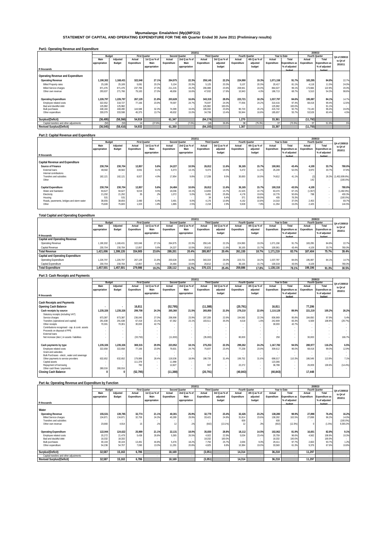**Mpumalanga: Emalahleni (Mp)(MP312) STATEMENT OF CAPITAL AND OPERATING EXPENDITURE FOR THE 4th Quarter Ended 30 June 2011 (Preliminary results)**

| Part1: Operating Revenue and Expenditure |  |
|------------------------------------------|--|
|                                          |  |

|                                         |               | 2010/11   |                          |                      |             |                       |                      |               |                |               |             |                |             | 2009/10               |               |
|-----------------------------------------|---------------|-----------|--------------------------|----------------------|-------------|-----------------------|----------------------|---------------|----------------|---------------|-------------|----------------|-------------|-----------------------|---------------|
|                                         | Budget        |           |                          | <b>First Quarter</b> |             | <b>Second Quarter</b> | <b>Third Quarter</b> |               | Fourth Quarter |               |             | Year to Date   |             | Fourth Quarter        | Q4 of 2009/10 |
|                                         | Main          | Adjusted  | Actual                   | 1st Q as % of        | Actual      | 2nd Q as % of         | Actual               | 3rd Q as % of | Actual         | 4th Q as % of | Actual      | Total          | Actual      | Total                 | to Q4 of      |
|                                         | appropriation | Budget    | Expenditure              | Main                 | Expenditure | Main                  | Expenditure          | adjusted      | Expenditure    | adjusted      | Expenditure | Expenditure as | Expenditure | <b>Expenditure as</b> | 2010/11       |
|                                         |               |           |                          | appropriation        |             | appropriation         |                      | budget        |                | budget        |             | % of adjusted  |             | % of adjusted         |               |
| R thousands                             |               |           |                          |                      |             |                       |                      |               |                |               |             | hudget         |             | hudget                |               |
|                                         |               |           |                          |                      |             |                       |                      |               |                |               |             |                |             |                       |               |
| Operating Revenue and Expenditure       |               |           |                          |                      |             |                       |                      |               |                |               |             |                |             |                       |               |
| <b>Operating Revenue</b>                | ,190,302      | 1.168.431 | 322,048                  | 27.1%                | 264,975     | 22.3%                 | 259,145              | 22.2%         | 224.990        | 19.3%         | 1.071.158   | 91.7%          | 183.295     | 84.8%                 | 22.7%         |
| <b>Billed Property rates</b>            | 25.189        | 25.189    | 5.081                    | 20.2%                | 5.104       | 20.3%                 | 5.125                | 20.3%         | 5.107          | 20.3%         | 20.417      | 81.1%          | 4.118       | 11.5%                 | 24.0%         |
| <b>Billed Service charges</b>           | 871.476       | 871.476   | 237.783                  | 27.3%                | 211.215     | 24.2%                 | 206.088              | 23.6%         | 208.941        | 24.0%         | 864.027     | 99.1%          | 173.666     | 122.9%                | 20.3%         |
| Other own revenue                       | 293.637       | 271.766   | 79.183                   | 27.0%                | 48.656      | 16.6%                 | 47.932               | 17.6%         | 10.943         | 4.0%          | 186.713     | 68.7%          | 5.510       | 54.3%                 | 98.6%         |
|                                         |               |           |                          |                      |             |                       |                      |               |                |               |             |                |             |                       |               |
| <b>Operating Expenditure</b>            | .226.797      | 1.226.797 | 267.129                  | 21.8%                | 203,628     | 16.6%                 | 343.319              | 28.0%         | 223.721        | 18.2%         | 1.037.797   | 84.6%          | 195.087     | 84.1%                 | 14.7%         |
| Employee related costs                  | 322,552       | 318.727   | 77.166                   | 23.9%                | 79.597      | 24.7%                 | 76.597               | 24.0%         | 77.056         | 24.2%         | 310.416     | 97 4%          | 68.418      | 99 4%                 | 12.6%         |
| Bad and doubtful debt                   | 125.982       | 125.982   | $\overline{\phantom{a}}$ |                      |             |                       | 125.982              | 100.0%        |                |               | 125.982     | 100.0%         | $\sim$      | 91.1%                 |               |
| <b>Bulk purchases</b>                   | 448.184       | 448.490   | 144.588                  | 32.3%                | 74.399      | 16.69                 | 106,034              | 23.6%         | 90.720         | 20.2%         | 415.742     | 92.7%          | 73.140      | 96.4%                 | 24.0%         |
| Other expenditure                       | 330.079       | 333.598   | 45.375                   | 13.7%                | 49.632      | 15.0%                 | 34.706               | 10.4%         | 55.944         | 16.8%         | 185.657     | 55.7%          | 53.528      | 60.4%                 | 4.5%          |
|                                         |               |           |                          |                      |             |                       |                      |               |                |               |             |                |             |                       |               |
| Surplus/(Deficit)                       | (36, 495)     | (58, 366) | 54.919                   |                      | 61.347      |                       | (84, 174)            |               | 1.270          |               | 33.361      |                | (11, 792)   |                       |               |
| Capital transfers and other adjustments | (50)          | (50)      | 14                       | (27.8%               |             | (7.0%                 | (18)                 | 36.8%         | 38             | (75.3%)       | 37          | (73.3%)        | 37          | 51.9%                 | .5%           |
| <b>Revised Surplus/(Deficit)</b>        | (36, 545)     | (58, 416) | 54.933                   |                      | 61.350      |                       | (84, 193)            |               | 1.307          |               | 33.397      |                | (11, 755)   |                       |               |

#### **Part 2: Capital Revenue and Expenditure**

|                                           |               |          |                          |                      |             | 2009/10               |                      |               |                |               |             |                |                          |                |                   |
|-------------------------------------------|---------------|----------|--------------------------|----------------------|-------------|-----------------------|----------------------|---------------|----------------|---------------|-------------|----------------|--------------------------|----------------|-------------------|
|                                           | Budget        |          |                          | <b>First Quarter</b> |             | <b>Second Quarter</b> | <b>Third Quarter</b> |               | Fourth Quarter |               |             | Year to Date   | Fourth Quarter           |                | Q4 of 2009/10     |
|                                           | Main          | Adiusted | Actual                   | 1st Q as % of        | Actual      | 2nd Q as % of         | Actual               | 3rd Q as % of | Actual         | 4th Q as % of | Actual      | Total          | Actual                   | Total          | to Q4 of          |
|                                           | appropriation | Budget   | Expenditure              | Main                 | Expenditure | Main                  | Expenditure          | adiusted      | Expenditure    | adjusted      | Expenditure | Expenditure as | Expenditure              | Expenditure as | 2010/11           |
|                                           |               |          |                          | appropriation        |             | appropriation         |                      | budget        |                | budget        |             | % of adjusted  |                          | % of adjusted  |                   |
| R thousands                               |               |          |                          |                      |             |                       |                      |               |                |               |             | hudget         |                          | hudget         |                   |
|                                           |               |          |                          |                      |             |                       |                      |               |                |               |             |                |                          |                |                   |
| Capital Revenue and Expenditure           |               |          |                          |                      |             |                       |                      |               |                |               |             |                |                          |                |                   |
| Source of Finance                         | 230.704       | 230.704  | 12.857                   | 5.6%                 | 24.227      | 10.5%                 | 26.812               | 11.6%         | 36.165         | 15.7%         | 100.061     | 43.4%          | 4.109                    | 33.7%          | 780.0%            |
| External loans                            | 48.582        | 48.582   | 3.931                    | 8.1%                 | 6.373       | 13.1%                 | 9.474                | 19.5%         | 5.472          | 11.3%         | 25.249      | 52.0%          | 3.970                    | 33.7%          | 37.8%             |
| Internal contributions                    |               |          | $\overline{\phantom{a}}$ |                      |             |                       |                      | $\sim$        |                |               | $\sim$      | $\sim$         | $\overline{\phantom{a}}$ |                |                   |
| Transfers and subsidies                   | 182.121       | 182.121  | 8.927                    | 4.9%                 | 17.854      | 9.8%                  | 17.338               | 9.5%          | 30.693         | 16.9%         | 74.812      | 41.1%          | (2)                      | 26.3%          | $(1.452.699.6\%)$ |
| Other                                     |               | $\sim$   | $\overline{\phantom{a}}$ |                      |             |                       |                      |               |                |               |             |                | 142                      |                | $(100.0\%)$       |
|                                           |               |          |                          |                      |             |                       |                      |               |                |               |             |                |                          |                |                   |
| Capital Expenditure                       | 230,704       | 230.704  | 12,857                   | 5.6%                 | 24.484      | 10.6%                 | 26.812               | 11.6%         | 36.165         | 15.7%         | 100.318     | 43.5%          | 4.109                    |                | 780.0%            |
| Water and Sanitation                      | 94,627        | 94.627   | 9.019                    | 9.5%                 | 18,036      | 19.1%                 | 14.893               | 15.7%         | 21.525         | 22.7%         | 63.474      | 67.1%          | (1,557)                  | $\sim$         | $(1,482.9\%)$     |
| Electricity                               | 21,292        | 21.292   | 35                       | .2%                  | 1.072       | 5.0%                  | 5.49                 | 25.8%         | 4.178          | 19.6%         | 10.776      | 50.6%          | 788                      | $\sim$         | 430.3%            |
| Housing                                   | 531           | 531      | $\overline{\phantom{a}}$ |                      |             |                       | 34                   | 6.4%          | 371            | 69.9%         | 405         | 76.3%          |                          | . .            | $(100.0\%)$       |
| Roads, pavements, bridges and storm water | 38,655        | 38,655   | 2,480                    | 6.4%                 | 3.491       | 9.0%                  | 4.176                | 10.8%         | 4.162          | 10.8%         | 14.310      | 37.0%          | 2,453                    | $\sim$         | 69.7%             |
| Other                                     | 75.600        | 75.600   | 1,323                    | 1.8%                 | 1.885       | 2.5%                  | 2.218                | 29%           | 5.928          | 7.8%          | 11.354      | 15.0%          | 2.425                    |                | 144.5%            |
|                                           |               |          |                          |                      |             |                       |                      |               |                |               |             |                |                          |                |                   |

### **Total Capital and Operating Expenditure**

|                                   |               | 2010/11  |                      |               |                |               |               |               |                |               |             |                       |                | 2009/10               |               |
|-----------------------------------|---------------|----------|----------------------|---------------|----------------|---------------|---------------|---------------|----------------|---------------|-------------|-----------------------|----------------|-----------------------|---------------|
|                                   | Budget        |          | <b>First Quarter</b> |               | Second Quarter |               | Third Quarter |               | Fourth Ouarter |               |             | Year to Date          | Fourth Quarter |                       | Q4 of 2009/10 |
|                                   | Mair          | Adjusted | Actual               | 1st Q as % of | Actual         | 2nd Q as % of | Actual        | 3rd Q as % of | Actual         | 4th Q as % of | Actual      | Total                 | Actual         | Total                 | to Q4 of      |
|                                   | appropriation | Budget   | Expenditure          | Main          | Expenditure    | Main          | Expenditure   | adjusted      | Expenditure    | adiusted      | Expenditure | <b>Expenditure as</b> | Expenditure    | <b>Expenditure as</b> | 2010/11       |
|                                   |               |          |                      | appropriation |                | appropriation |               | budget        |                | budget        |             | % of adjusted         |                | % of adjusted         |               |
| R thousands                       |               |          |                      |               |                |               |               |               |                |               |             | hudget                |                | hudget                |               |
| Capital and Operating Revenue     |               |          |                      |               |                |               |               |               |                |               |             |                       |                |                       |               |
| Operating Revenue                 | .190.302      | .168.431 | 322.048              | 27.1%         | 264.975        | 22.39         | 259.145       | 22.2%         | 224.990        | 19.3%         | .071.158    | 91.7%                 | 183.295        | 84.8%                 | 22.7%         |
| Capital Revenue                   | 230.704       | 230.704  | 12.857               | 5.6%          | 24.227         | 10.5%         | 26.812        | 11.6%         | 36.165         | 15.7%         | 100.061     | 43.4%                 | 4.109          | 33.7%                 | 780.0%        |
| <b>Total Revenue</b>              | 1.421.006     | .399.135 | 334.905              | 23.6%         | 289.201        | 20.4%         | 285.957       | 20.4%         | 261.155        | 18.7%         | 1.171.219   | 83.7%                 | 187.404        | 75.7%                 | 39.4%         |
| Capital and Operating Expenditure |               |          |                      |               |                |               |               |               |                |               |             |                       |                |                       |               |
| Operating Expenditure             | 1.226.797     | .226.797 | 267.129              | 21.8%         | 203,628        | 16.69         | 343.319       | 28.0%         | 223.721        | 18.2%         | .037.797    | 84.6%                 | 195.087        | 84.1%                 | 14.7%         |
| Capital Expenditure               | 230.704       | 230.704  | 12.857               | 5.6%          | 24.484         | 10.6%         | 26.812        | 11.6%         | 36.165         | 15.7%         | 100.318     | 43.5%                 | 4.109          |                       | 780.0%        |
| <b>Total Expenditure</b>          | 1.457.501     | .457.501 | 279.986              | 19.2%         | 228.112        | 15.7%         | 370.131       | 25.4%         | 259.886        | 17.8%         | 1.138.116   | 78.1%                 | 199.196        | 91.3%                 | 30.5%         |
|                                   |               |          |                      |               |                |               |               |               |                |               |             |                       |                |                       |               |

| Part 3: Cash Receipts and Payments |  |
|------------------------------------|--|
|                                    |  |

|                                                 |               |                          |             |                      |             | 2010/11        |                      |               |                |               |             |                       |             | 2009/10        |               |
|-------------------------------------------------|---------------|--------------------------|-------------|----------------------|-------------|----------------|----------------------|---------------|----------------|---------------|-------------|-----------------------|-------------|----------------|---------------|
|                                                 |               | Budget                   |             | <b>First Quarter</b> |             | Second Quarter | <b>Third Quarter</b> |               | Fourth Quarter |               |             | Year to Date          |             | Fourth Quarter | Q4 of 2009/10 |
|                                                 | Main          | Adjusted                 | Actual      | 1st Q as % of        | Actual      | 2nd Q as % of  | Actual               | 3rd Q as % of | Actual         | 4th Q as % of | Actual      | Total                 | Actual      | Total          | to Q4 of      |
|                                                 | appropriation | Budget                   | Expenditure | Main                 | Expenditure | Main           | Expenditure          | adjusted      | Expenditure    | adiusted      | Expenditure | <b>Expenditure as</b> | Expenditure | Expenditure as | 2010/11       |
|                                                 |               |                          |             | appropriation        |             | appropriation  |                      | budget        |                | budget        |             | % of adjusted         |             | % of adjusted  |               |
| R thousands                                     |               |                          |             |                      |             |                |                      |               |                |               |             | hudget                |             | budget         |               |
| <b>Cash Receipts and Payments</b>               |               |                          |             |                      |             |                |                      |               |                |               |             |                       |             |                |               |
| Opening Cash Balance                            |               | $\cdot$                  | 16,811      |                      | (52, 795)   |                | (11, 388)            |               | (20, 791)      |               | 16,811      |                       | 77,206      |                |               |
| Cash receipts by source                         | 1,235,326     | 1,235,326                | 299.708     | 24.3%                | 265,360     | 21.5%          | 265,850              | 21.5%         | 279,210        | 22.6%         | 1,110,128   | 89.9%                 | 221,219     | 105.2%         | 26.2%         |
| Statutory receipts (including VAT)              |               | $\sim$                   | $\sim$      | $\sim$               |             |                |                      | $\sim$        |                | $\sim$        |             | $\sim$                |             |                |               |
| Service charges                                 | 873,387       | 873,387                  | 236,040     | 27.0%                | 208.998     | 23.9%          | 197.339              | 22.6%         | 194.592        | 22.3%         | 836.969     | 95.8%                 | 184.650     | 97.9%          | 5.4%          |
| Transfers (operational and capital)             | 291.638       | 291.638                  | 67.418      | 23.1%                | 67,362      | 23.1%          | 103,511              | 35.5%         | 4.618          | 1.6%          | 242.909     | 83.3%                 | 6.569       | 108.9%         | (29.7%)       |
| Other receipts                                  | 70.301        | 70,301                   | 30,000      | 42.7%                |             |                |                      |               |                |               | 30.000      | 42.7%                 |             |                |               |
| Contributions recognised - cap. & contr. assets |               |                          |             |                      |             |                |                      |               |                |               |             |                       |             |                |               |
| Proceeds on disposal of PPE                     |               |                          |             |                      |             |                |                      |               |                |               |             |                       |             |                |               |
| <b>External Inans</b>                           |               | $\overline{\phantom{a}}$ |             | $\sim$               |             |                |                      |               |                |               |             |                       |             |                |               |
| Net increase (decr.) in assets / liabilities    |               |                          | (33, 750)   |                      | (11,000)    |                | (35,000)             |               | 80,000         |               | 250         |                       | 30.000      |                | 166.7%        |
|                                                 |               |                          |             |                      |             |                |                      |               |                |               |             |                       |             |                |               |
| Cash payments by type                           | 1,235,326     | 1,235,326                | 369,315     | 29.9%                | 223,952     | 18.1%          | 275,253              | 22.3%         | 299,262        | 24.2%         | 1.167.782   | 94.5%                 | 280,977     | 116.2%         | 6.5%          |
| Employee related costs                          | 322.658       | 322.658                  | 77.166      | 23.9%                | 79.601      | 24.7%          | 75.607               | 23.4%         | 77.238         | 23.9%         | 309.612     | 96.0%                 | 68.418      | 99.0%          | 12.9%         |
| Grant and subsidies                             |               |                          |             | $\sim$               |             |                |                      |               |                | $\sim$        |             |                       |             |                |               |
| Bulk Purchases - electr., water and sewerage    |               |                          |             | $\sim$               |             |                |                      |               |                | $\sim$        |             |                       |             |                |               |
| Other payments to service providers             | 632,652       | 632.652                  | 179.989     | 28.4%                | 119,536     | 18.9%          | 198,739              | 31.4%         | 199,752        | 31.6%         | 698.017     | 110.3%                | 186.549     | 113.9%         | 7.1%          |
| Capital assets                                  |               | $\sim$                   | 111.378     | $\sim$               | 11.988      |                |                      |               |                | $\sim$        | 123.366     | $\sim$                | $\sim$      | $\sim$         |               |
| Repayment of borrowing                          |               |                          | 782         | $\sim$               | 12,827      |                | 907                  |               | 22,272         |               | 36,788      |                       | 26.009      | 130.6%         | (14.4%)       |
| Other cash flows / payments                     | 280.016       | 280.016                  |             | $\sim$               |             |                |                      |               |                |               |             |                       |             |                |               |
| <b>Closing Cash Balance</b>                     |               | $\Omega$                 | (52, 795)   |                      | (11, 388)   |                | (20, 791)            |               | (40, 843)      |               | (40, 843)   |                       | 17.448      |                |               |
|                                                 |               |                          |             |                      |             |                |                      |               |                |               |             |                       |             |                |               |

|                                         |               | 2010/11  |             |                      |             |                |                      |               |             |                |             |                |             | 2009/10        |               |
|-----------------------------------------|---------------|----------|-------------|----------------------|-------------|----------------|----------------------|---------------|-------------|----------------|-------------|----------------|-------------|----------------|---------------|
|                                         | Budget        |          |             | <b>First Quarter</b> |             | Second Quarter | <b>Third Quarter</b> |               |             | Fourth Quarter |             | Year to Date   |             | Fourth Quarter | Q4 of 2009/10 |
|                                         | Main          | Adjusted | Actual      | 1st Q as % of        | Actual      | 2nd Q as % of  | Actual               | 3rd Q as % of | Actual      | 4th Q as % of  | Actual      | Total          | Actual      | Total          | to Q4 of      |
|                                         | appropriation | Budget   | Expenditure | Main                 | Expenditure | Main           | Expenditure          | adjusted      | Expenditure | adjusted       | Expenditure | Expenditure as | Expenditure | Expenditure as | 2010/11       |
|                                         |               |          |             | appropriation        |             | appropriation  |                      | budget        |             | budget         |             | % of adjusted  |             | % of adjusted  |               |
| R thousands                             |               |          |             |                      |             |                |                      |               |             |                |             | hudget         |             | budget         |               |
|                                         |               |          |             |                      |             |                |                      |               |             |                |             |                |             |                |               |
| Water                                   |               |          |             |                      |             |                |                      |               |             |                |             |                |             |                |               |
| <b>Operating Revenue</b>                | 155,531       | 139,785  | 32,774      | 21.1%                | 40,301      | 25.9%          | 32.779               | 23.4%         | 32.426      | 23.2%          | 138.280     | 98.9%          | 27,898      | 76.4%          | 16.2%         |
| <b>Billed Service charges</b>           | 134.871       | 134.871  | 32.759      | 24.3%                | 40.289      | 29.9%          | 33.421               | 24.8%         | 31.814      | 23.6%          | 138.282     | 102.5%         | 27.898      | 96.2%          | 14.0%         |
| <b>Transfers and subsidies</b>          |               |          |             |                      |             |                |                      |               | 600         |                | 600         |                |             | $\sim$         | $(100.0\%)$   |
| Other own revenue                       | 20.660        | 4.914    | 15          | .1%                  | 12          | 1%             | (642)                | (13.1%)       | 12          | 3%             | (602)       | (12.3%)        |             | (1.5%)         | 9,355.3%      |
|                                         |               |          |             |                      |             |                |                      |               |             |                |             |                |             |                |               |
| <b>Operating Expenditure</b>            | 122.944       | 124.622  | 25.989      | 21.1%                | 22.131      | 18.0%          | 35.830               | 28.8%         | 18.112      | 14.5%          | 102.062     | 81.9%          | 16,601      | 82.8%          | 9.1%          |
| Employee related costs                  | 20,272        | 21.479   | 5.438       | 26.8%                | 5.365       | 26.5%          | 4.922                | 22.9%         | 5.034       | 23.4%          | 20.759      | 96.6%          | 4.562       | 108.9%         | 10.3%         |
| Bad and doubtful debt                   | 18.332        | 18.332   |             |                      |             |                | 18.332               | 100.0%        |             |                | 18.332      | 100.0%         |             | 100.0%         |               |
| <b>Bulk purchases</b>                   | 30.104        | 30.104   | 13,491      | 44.8%                | 5.476       | 18.2%          | 7.750                | 25.7%         | 2.694       | 9.0%           | 29.411      | 97.7%          | 2.663       | 93.7%          | 1.2%          |
| Other expenditure                       | 54.236        | 54.707   | 7.060       | 13.0%                | 11.291      | 20.8%          | 4.825                | 8.8%          | 10,384      | 19.0%          | 33.560      | 61.3%          | 9.376       | 67.6%          | 10.8%         |
|                                         |               |          |             |                      |             |                |                      |               |             |                |             |                |             |                |               |
| Surplus/(Deficit)                       | 32,587        | 15,163   | 6,786       |                      | 18.169      |                | (3,051)              |               | 14.314      |                | 36,218      |                | 11.297      |                |               |
| Capital transfers and other adjustments |               |          |             |                      |             |                |                      |               |             |                |             |                |             |                |               |
| <b>Revised Surplus/(Deficit)</b>        | 32,587        | 15.163   | 6,786       |                      | 18,169      |                | (3,051)              |               | 14,314      |                | 36,218      |                | 11,297      |                |               |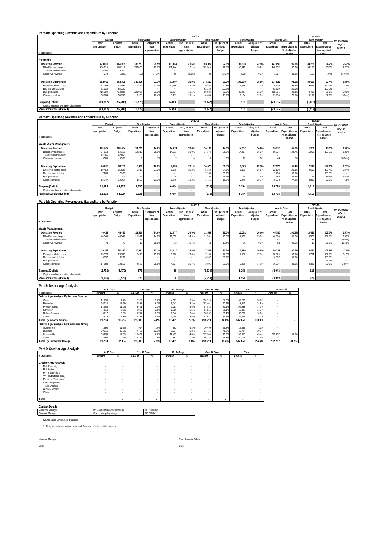|                                         |               | 2010/11   |             |                      |             |                       |             |                      |             |                |             |                       |             | 2009/10               |               |
|-----------------------------------------|---------------|-----------|-------------|----------------------|-------------|-----------------------|-------------|----------------------|-------------|----------------|-------------|-----------------------|-------------|-----------------------|---------------|
|                                         |               | Budget    |             | <b>First Quarter</b> |             | <b>Second Quarter</b> |             | <b>Third Quarter</b> |             | Fourth Quarter |             | Year to Date          |             | Fourth Quarter        | Q4 of 2009/10 |
|                                         | Main          | Adjusted  | Actual      | 1st Q as % of        | Actual      | 2nd Q as % of         | Actual      | 3rd Q as % of        | Actual      | 4th Q as % of  | Actual      | Total                 | Actual      | Total                 | to Q4 of      |
|                                         | appropriation | Budget    | Expenditure | Main                 | Expenditure | Main                  | Expenditure | adjusted             | Expenditure | adjusted       | Expenditure | <b>Expenditure as</b> | Expenditure | <b>Expenditure as</b> | 2010/11       |
|                                         |               |           |             | appropriation        |             | appropriation         |             | budget               |             | budget         |             | % of adjusted         |             | % of adjusted         |               |
| R thousands                             |               |           |             |                      |             |                       |             |                      |             |                |             | hudget                |             | hudget                |               |
|                                         |               |           |             |                      |             |                       |             |                      |             |                |             |                       |             |                       |               |
| Electricity                             |               |           |             |                      |             |                       |             |                      |             |                |             |                       |             |                       |               |
| <b>Operating Revenue</b>                | 470,691       | 465,039   | 136,257     | 28.9%                | 101,664     | 21.6%                 | 103.377     | 22.2%                | 106.393     | 22.9%          | 447.690     | 96.3%                 | 84.258      | 94.2%                 | 26.3%         |
| <b>Billed Service charges</b>           | 460.119       | 460.119   | 136.866     | 29.7%                | 101.744     | 22.1%                 | 103.349     | 22.5%                | 106.948     | 23.2%          | 448.907     | 97.6%                 | 84.150      | 98.3%                 | 27.1%         |
| Transfers and subsidies                 | 6.300         | 6.300     |             |                      |             |                       |             |                      |             |                |             |                       |             |                       |               |
| Other own revenue                       | 4.272         | (1.380)   | (609)       | (14.3%)              | (80)        | (1.9%                 | 28          | (2.0%                | (555)       | 40.3%          | (1.217)     | 88.2%                 | 107         | (7.6%                 | (617.3%)      |
|                                         |               |           |             |                      |             |                       |             |                      |             |                |             |                       |             |                       |               |
| <b>Operating Expenditure</b>            | 552,008       | 562.825   | 149.429     | 27.1%                | 87.597      | 15.9%                 | 174.519     | 31.0%                | 106.280     | 18.9%          | 517.826     | 92.0%                 | 89.669      | 97.4%                 | 18.5%         |
| Employee related costs                  | 32.705        | 42.494    | 10.472      | 32.0%                | 10.566      | 32.3%                 | 9.462       | 22.3%                | 9.219       | 21.7%          | 39.720      | 93.5%                 | 9.056       | 120.2%                | 1.8%          |
| Bad and doubtful debt                   | 62.320        | 62.320    |             |                      |             |                       | 62.320      | 100.0%               |             | $\sim$         | 62,320      | 100.0%                |             | 100.0%                |               |
| <b>Bulk purchases</b>                   | 418,080       | 418.080   | 131.027     | 31.3%                | 68.814      | 16.5%                 | 98.084      | 23.5%                | 87.927      | 21.0%          | 385,851     | 92.3%                 | 70.416      | 96.8%                 | 24.9%         |
| Other expenditure                       | 38.904        | 39.932    | 7.930       | 20.4%                | 8.217       | 21.1%                 | 4.654       | 11 7%                | 9.134       | 22.9%          | 29.935      | 75.0%                 | 10.197      | 82.6%                 | (10.4%)       |
|                                         |               |           |             |                      |             |                       |             |                      |             |                |             |                       |             |                       |               |
| Surplus/(Deficit)                       | (81, 317)     | (97, 786) | (13, 173)   |                      | 14.066      |                       | (71, 142)   |                      | 113         |                | (70, 135)   |                       | (5, 412)    |                       |               |
| Capital transfers and other adjustments |               |           |             |                      |             |                       |             |                      |             |                |             |                       |             |                       |               |
| <b>Revised Surplus/(Deficit)</b>        | (81, 317)     | (97, 786) | (13, 173)   |                      | 14,066      |                       | (71, 142)   |                      | 113         |                | (70, 135)   |                       | (5, 412)    |                       |               |
|                                         |               |           |             |                      |             |                       |             |                      |             |                |             |                       |             |                       |               |

#### **Part 4c: Operating Revenue and Expenditure by Function**

|                                         |               |          |                 |                      |             | 2010/11               |             |                      |             |                |             |                       |             | 2009/10               |               |
|-----------------------------------------|---------------|----------|-----------------|----------------------|-------------|-----------------------|-------------|----------------------|-------------|----------------|-------------|-----------------------|-------------|-----------------------|---------------|
|                                         |               | Budget   |                 | <b>First Quarter</b> |             | <b>Second Quarter</b> |             | <b>Third Quarter</b> |             | Fourth Quarter |             | Year to Date          |             | Fourth Quarter        | Q4 of 2009/10 |
|                                         | Main          | Adjusted | Actual          | 1st Q as % of        | Actual      | 2nd Q as % of         | Actual      | 3rd Q as % of        | Actual      | 4th Q as % of  | Actual      | Total                 | Actual      | Total                 | to Q4 of      |
|                                         | appropriation | Budget   | Expenditure     | Main                 | Expenditure | Main                  | Expenditure | adjusted             | Expenditure | adjusted       | Expenditure | <b>Expenditure as</b> | Expenditure | <b>Expenditure as</b> | 2010/11       |
|                                         |               |          |                 | appropriation        |             | appropriation         |             | budget               |             | budget         |             | % of adjusted         |             | % of adjusted         |               |
| R thousands                             |               |          |                 |                      |             |                       |             |                      |             |                |             | hudget                |             | hudget                |               |
| Waste Water Management                  |               |          |                 |                      |             |                       |             |                      |             |                |             |                       |             |                       |               |
| <b>Operating Revenue</b>                | 101.684       | 101.684  | 14.219          | 14.0%                | 14.078      | 13.8%                 | 14.189      | 14.0%                | 14.232      | 14.0%          | 56.718      | 55.8%                 | 11.956      | 48.5%                 | 19.0%         |
| <b>Billed Service charges</b>           | 54.118        | 54.118   | 14.212          | 26.3%                | 14.071      | 26.0%                 | 14.174      | 26.2%                | 14.217      | 26.3%          | 56.674      | 104.7%                | 11.956      | 103.9%                | 18.9%         |
| Transfers and subsidies                 | 42.066        | 42.066   |                 |                      |             |                       |             |                      |             |                |             |                       |             | . .                   |               |
| Other own revenue                       | 5.500         | 5.500    |                 | 1%                   |             | 1%                    |             | 3%                   |             | 3%             | 44          | 8%                    |             |                       | (100.0%       |
| <b>Operating Expenditure</b>            | 40.059        | 39.756   | 6.883           | 17.2%                | 7.633       | 19.1%                 | 14.525      | 36.5%                | 8.879       | 22.3%          | 37.920      | 95.4%                 | 7.546       | 107.6%                | 17.7%         |
| Employee related costs                  | 19,452        | 21.823   | 5.310           | 27.3%                | 5.679       | 29.2%                 | 5.310       | 24.3%                | 5.803       | 26.6%          | 22,102      | 101.3%                | 4.665       | 125.4%                | 24.4%         |
| Bad and doubtful debt                   | 7.260         | 7,260    |                 |                      |             |                       | 7.260       | 100.0%               |             |                | 7.260       | 100.0%                |             | 100.0%                | . .           |
| <b>Bulk purchases</b>                   |               | 306      | $\overline{\ }$ |                      | 110         |                       | 200         | 65.4%                | 99          | 32.5%          | 480         | 156.8%                | 61          | 39.9%                 | 63.3%         |
| Other expenditure                       | 13.347        | 10.367   | 1.502           | 11.3%                | 1.845       | 13.89                 | 1.755       | 16.9%                | 2.976       | 28.7%          | 8.078       | 77.9%                 | 2.820       | 92.3%                 | 5.5%          |
| Surplus/(Deficit)                       | 61.624        | 61.927   | 7,336           |                      | 6.444       |                       | (336)       |                      | 5.354       |                | 18.798      |                       | 4.410       |                       |               |
| Capital transfers and other adjustments |               |          |                 |                      |             |                       |             |                      |             |                |             |                       |             |                       | . .           |
| <b>Revised Surplus/(Deficit)</b>        | 61.624        | 61.927   | 7,336           |                      | 6.444       |                       | (336)       |                      | 5.354       |                | 18.798      |                       | 4.410       |                       |               |

### **Part 4d: Operating Revenue and Expenditure by Function**

|                                         |               | 2010/11  |             |                      |             |                |             |               |             |                |             |                       |             | 2009/10               |               |
|-----------------------------------------|---------------|----------|-------------|----------------------|-------------|----------------|-------------|---------------|-------------|----------------|-------------|-----------------------|-------------|-----------------------|---------------|
|                                         |               | Budget   |             | <b>First Quarter</b> |             | Second Quarter |             | Third Quarter |             | Fourth Quarter |             | Year to Date          |             | Fourth Quarter        | Q4 of 2009/10 |
|                                         | Main          | Adjusted | Actual      | 1st Q as % of        | Actual      | 2nd Q as % of  | Actual      | 3rd Q as % of | Actual      | 4th Q as % of  | Actual      | Total                 | Actual      | Total                 | to Q4 of      |
|                                         | appropriation | Budget   | Expenditure | Main                 | Expenditure | Main           | Expenditure | adjusted      | Expenditure | adjusted       | Expenditure | <b>Expenditure as</b> | Expenditure | <b>Expenditure as</b> | 2010/11       |
|                                         |               |          |             | appropriation        |             | appropriation  |             | budget        |             | budget         |             | % of adjusted         |             | % of adjusted         |               |
| R thousands                             |               |          |             |                      |             |                |             |               |             |                |             | hudget                |             | hudget                |               |
| Waste Management                        |               |          |             |                      |             |                |             |               |             |                |             |                       |             |                       |               |
| <b>Operating Revenue</b>                | 46,423        | 46.423   | 11.558      | 24.9%                | 11.577      | 24.9%          | 11.593      | 25.0%         | 12.052      | 26.0%          | 46.780      | 100.8%                | 10.415      | 102.7%                | 15.7%         |
| <b>Billed Service charges</b>           | 46.349        | 46.349   | 11.511      | 24.8%                | 11.552      | 24.9%          | 11.581      | 25.0%         | 12.022      | 25.9%          | 46.666      | 100.7%                | 10.372      | 102.3%                | 15.9%         |
| Transfers and subsidies                 | ٠             |          | 35          |                      |             |                |             |               |             |                |             |                       | 31          | $\sim$                | (100.0%       |
| Other own revenue                       | 73            | 73       | 12          | 16.0%                | 13          | 18.4%          | 13          | 17.4%         | 30          | 40.9%          | 68          | 92.6%                 | 12          | 66.5%                 | 155.6%        |
|                                         |               |          |             |                      |             |                |             |               |             |                |             |                       |             |                       |               |
| <b>Operating Expenditure</b>            | 49,158        | 51,892   | 10,982      | 22.3%                | 11.517      | 23.4%          | 17.427      | 33.6%         | 10.796      | 20.8%          | 50,723      | 97.7%                 | 10.091      | 103.8%                | 7.0%          |
| Employee related costs                  | 25,073        | 26.980   | 6.410       | 25.6%                | 6.980       | 27.8%          | 7.139       | 26.5%         | 7.500       | 27.8%          | 28.029      | 103.9%                | 5.704       | 107.9%                | 31.5%         |
| Bad and doubtful debt                   | 6.397         | 6.397    |             |                      |             |                | 6.397       | 100.0%        |             |                | 6.397       | 100.0%                |             | 100.0%                | . .           |
| <b>Bulk purchases</b>                   |               |          |             |                      |             |                |             |               |             |                |             |                       |             | 24.1%                 | . .           |
| Other expenditure                       | 17,688        | 18.515   | 4.573       | 25.9%                | 4.537       | 25.7%          | 3.891       | 21.0%         | 3.296       | 17.89          | 16.297      | 88.0%                 | 4.388       | 99.0%                 | (24.9%)       |
|                                         |               |          |             |                      |             |                |             |               |             |                |             |                       |             |                       |               |
| Surplus/(Deficit)                       | (2,736)       | (5, 470) | 576         |                      | 59          |                | (5,834)     |               | 1,256       |                | (3,943)     |                       | 323         |                       |               |
| Capital transfers and other adjustments |               |          |             |                      |             |                |             |               |             | $\sim$         |             |                       |             |                       | . .           |
| <b>Revised Surplus/(Deficit)</b>        | (2,736)       | (5, 470) | 576         |                      | 59          |                | (5,834)     |               | 1,256       |                | (3,943)     |                       | 323         |                       |               |

### **Part 5: Debtor Age Analysis**

|                                       | 0 - 30 Days |       |        | 31 - 60 Days | 61 - 90 Days |      | Over 90 Days |       |         | Total  | Written Off |        |
|---------------------------------------|-------------|-------|--------|--------------|--------------|------|--------------|-------|---------|--------|-------------|--------|
| R thousands                           | Amount      |       | Amount | %            | Amount       | %    | Amount       | %     | Amount  | %      | Amount      | $\%$   |
| Debtor Age Analysis By Income Source  |             |       |        |              |              |      |              |       |         |        |             |        |
| Water                                 | 11.799      | 7.4%  | 5.989  | 3.8%         | 4.569        | 2.9% | 136.913      | 86.0% | 159.269 | 26.6%  |             |        |
| Electricity                           | 26.110      | 17.6% | 9.888  | 6.7%         | 5.047        | 3.4% | 107.464      | 72.4% | 148.510 | 24.8%  |             |        |
| Property Rates                        | 11,583      | 11.0% | 3.491  | 3.3%         | 2.751        | 2.6% | 87.812       | 83.1% | 105.636 | 17.7%  |             |        |
| Sanitation                            | 4.519       | 6.5%  | 2.056  | 2.9%         | 1.760        | 2.5% | 61.556       | 88.1% | 69.891  | 11.7%  |             |        |
| Refuse Removal                        | 3.617       | 5.5%  | 1.747  | 2.7%         | 1.546        | 2.4% | 58.352       | 89.4% | 65.262  | 10.9%  |             |        |
| Other                                 | 3.576       | 7.3%  | 2.138  | 4.4%         | 1.749        | 3.6% | 41.621       | 84.8% | 49.084  | 8.2%   |             |        |
| <b>Total By Income Source</b>         | 61.204      | 10.2% | 25.309 | 4.2%         | 17.421       | 2.9% | 493.719      | 82.6% | 597.653 | 100.0% |             |        |
| Debtor Age Analysis By Customer Group |             |       |        |              |              |      |              |       |         |        |             |        |
| Government                            | 1.592       | 11.5% | 964    | 7.0%         | 802          | 5.8% | 10.499       | 75.8% | 13.858  | 2.3%   |             |        |
| <b>Business</b>                       | 20.916      | 32.8% | 7.736  | 12.1%        | 3.317        | 5.2% | 31.755       | 49.8% | 63.724  | 10.7%  |             |        |
| Households                            | 36.233      | 14.0% | 15.432 | 6.0%         | 12.439       | 4.8% | 195.248      | 75.3% | 259.351 | 43.4%  | 282.737     | 109.0% |
| Other                                 | 2.463       | .9%   | 1.176  | .5%          | 863          | 3%   | 256.216      | 98.3% | 260.719 | 43.6%  |             |        |
| <b>Total By Customer Group</b>        | 61.204      | 10.2% | 25.309 | 4.2%         | 17.421       | 2.9% | 493.719      | 82.6% | 597.653 | 100.0% | 282.737     | 47.3%  |

## **Part 6: Creditor Age Analysis**

|                              |                          | 0 - 30 Days              |        | 31 - 60 Days             |        | $61 - 90$ Days           |        | Over 90 Days | Total  |   |
|------------------------------|--------------------------|--------------------------|--------|--------------------------|--------|--------------------------|--------|--------------|--------|---|
| R thousands                  | Amount                   | %                        | Amount | %                        | Amount | %                        | Amount | %            | Amount | % |
|                              |                          |                          |        |                          |        |                          |        |              |        |   |
| <b>Creditor Age Analysis</b> |                          |                          |        |                          |        |                          |        |              |        |   |
| <b>Bulk Electricity</b>      | $\sim$                   | ٠                        | $\sim$ |                          | ٠      | $\sim$                   |        | ٠            |        |   |
| <b>Bulk Water</b>            | $\sim$                   | ٠                        | $\sim$ |                          | ٠      | $\sim$                   |        | ٠            |        |   |
| PAYE deductions              | $\sim$                   | ٠                        | $\sim$ | $\sim$                   | ٠      | $\sim$                   |        | ٠            |        |   |
| VAT (output less input)      | $\sim$                   | ٠                        | $\sim$ |                          | ٠      | $\sim$                   |        | ٠            |        |   |
| Pensions / Retirement        | $\sim$                   | ٠                        | ٠      |                          | ٠      | $\sim$                   |        | ٠            |        |   |
| Loan repayments              |                          | ٠                        | ۰      | $\sim$                   | ٠      | $\sim$                   | $\sim$ | ٠            |        |   |
| <b>Trade Creditors</b>       | $\sim$                   | ٠                        | ٠      |                          | ٠      | $\sim$                   |        | ٠            |        |   |
| Auditor-General              | $\sim$                   | ٠                        | $\sim$ | $\sim$                   | ٠      | $\sim$                   |        | ٠            |        |   |
| Other                        |                          | $\sim$                   | $\sim$ |                          | ۰      |                          | $\sim$ | ٠            |        |   |
|                              |                          |                          |        |                          |        |                          |        |              |        |   |
| Total                        | $\overline{\phantom{a}}$ | $\overline{\phantom{a}}$ |        | $\overline{\phantom{a}}$ | ۰      | $\overline{\phantom{a}}$ | ۰      | $\sim$       |        |   |

| <b>Contact Details</b>           |                                 |              |
|----------------------------------|---------------------------------|--------------|
| Municipal Manager                | Mr. Ronnie Mukondeleli (acting) | 013 690 6208 |
| Financial Manager                | Mr A. L Makgale (acting)        | 013 690 241  |
| Source Local Government Database |                                 |              |

1. All figures in this report are unaudited. Revenue reflected is billed revenue

Date: Date: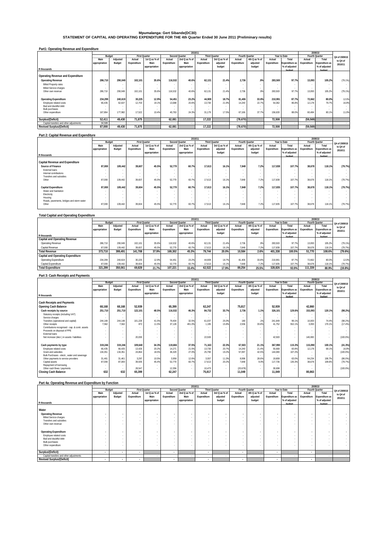## **Mpumalanga: Gert Sibande(DC30) STATEMENT OF CAPITAL AND OPERATING EXPENDITURE FOR THE 4th Quarter Ended 30 June 2011 (Preliminary results)**

| Part1: Operating Revenue and Expenditure |  |  |
|------------------------------------------|--|--|
|                                          |  |  |

|                                                               |               |                          |                          |                      |             | 2010/11               |                      |               |                |               |             |                          |             | 2009/10                 |               |
|---------------------------------------------------------------|---------------|--------------------------|--------------------------|----------------------|-------------|-----------------------|----------------------|---------------|----------------|---------------|-------------|--------------------------|-------------|-------------------------|---------------|
|                                                               | Budget        |                          |                          | <b>First Quarter</b> |             | <b>Second Quarter</b> | <b>Third Quarter</b> |               | Fourth Quarter |               |             | Year to Date             |             | Fourth Quarter          | Q4 of 2009/10 |
|                                                               | Main          | Adjusted                 | Actual                   | 1st Q as % of        | Actual      | 2nd Q as % of         | Actual               | 3rd Q as % of | Actual         | 4th Q as % of | Actual      | Total                    | Actual      | Total                   | to Q4 of      |
|                                                               | appropriation | Budget                   | Expenditure              | Main                 | Expenditure | Main                  | Expenditure          | adjusted      | Expenditure    | adjusted      | Expenditure | Expenditure as           | Expenditure | Expenditure as          | 2010/11       |
| R thousands                                                   |               |                          |                          | appropriation        |             | appropriation         |                      | budget        |                | budget        |             | % of adjusted<br>hudget  |             | % of adjusted<br>hudget |               |
|                                                               |               |                          |                          |                      |             |                       |                      |               |                |               |             |                          |             |                         |               |
| Operating Revenue and Expenditure                             |               |                          |                          |                      |             |                       |                      |               |                |               |             |                          |             |                         |               |
| <b>Operating Revenue</b>                                      | 286.710       | 290.049                  | 102.101                  | 35.6%                | 116.532     | 40.6%                 | 62.131               | 21.4%         | 2.736          | .9%           | 283.500     | 97.7%                    | 13.093      | 105.2%                  | (79.1%)       |
| <b>Billed Property rates</b><br><b>Billed Service charges</b> |               | $\overline{\phantom{a}}$ | $\sim$                   | $\sim$               |             |                       |                      |               |                |               |             | $\overline{\phantom{a}}$ | $\sim$      |                         |               |
| Other own revenue                                             | 286,710       | 290.049                  | 102.101                  | 35.6%                | 116,532     | 40.6%                 | 62,131               | 21.4%         | 2.736          | 9%            | 283.500     | 97.7%                    | 13.093      | 105.2%                  | $(79.1\%)$    |
| <b>Operating Expenditure</b>                                  | 234.299       | 240.619                  | 30.225                   | 12.9%                | 54.451      | 23.2%                 | 44.909               | 18.7%         | 81.406         | 33.8%         | 210.991     | 87.7%                    | 72.662      | 80.0%                   | 12.0%         |
| Employee related costs                                        | 66.435        | 62.637                   | 12.703                   | 19.1%                | 13.688      | 20.6%                 | 13.730               | 21 9%         | 14.240         | 22.7%         | 54.362      | 86.8%                    | 12.178      | 79.7%                   | 16.9%         |
| Bad and doubtful debt                                         |               |                          | $\overline{\phantom{a}}$ |                      |             |                       |                      |               |                |               |             |                          |             |                         |               |
| <b>Bulk purchases</b>                                         |               |                          |                          |                      |             |                       |                      |               |                |               |             |                          |             |                         |               |
| Other expenditure                                             | 167.864       | 177.982                  | 17.522                   | 10.4%                | 40.763      | 24.3%                 | 31.179               | 17.5%         | 67.166         | 37.7%         | 156.630     | 88.0%                    | 60.484      | 80.1%                   | 11.0%         |
| Surplus/(Deficit)                                             | 52.411        | 49.430                   | 71.875                   |                      | 62.081      |                       | 17,222               |               | (78, 670)      |               | 72.508      |                          | (59, 569)   |                         |               |
| Capital transfers and other adjustments                       | 34.589        |                          |                          |                      |             |                       |                      |               |                |               |             |                          |             |                         |               |
| <b>Revised Surplus/(Deficit)</b>                              | 87.000        | 49,430                   | 71.875                   |                      | 62,081      |                       | 17.222               |               | (78, 670)      |               | 72,508      |                          | (59, 569)   |                         |               |

#### **Part 2: Capital Revenue and Expenditure**

|                                           |                          |                          |                          |                          |             | 2010/11        |                      |               |                |               |             |                          |                | 2009/10        |               |
|-------------------------------------------|--------------------------|--------------------------|--------------------------|--------------------------|-------------|----------------|----------------------|---------------|----------------|---------------|-------------|--------------------------|----------------|----------------|---------------|
|                                           | Budget                   |                          | <b>First Quarter</b>     |                          |             | Second Quarter | <b>Third Quarter</b> |               | Fourth Quarter |               |             | Year to Date             | Fourth Quarter |                | Q4 of 2009/10 |
|                                           | Main                     | Adjusted                 | Actual                   | 1st Q as % of            | Actual      | 2nd Q as % of  | Actual               | 3rd Q as % of | Actual         | 4th Q as % of | Actual      | Total                    | Actual         | Total          | to Q4 of      |
|                                           | appropriation            | Budget                   | Expenditure              | Main                     | Expenditure | Main           | Expenditure          | adjusted      | Expenditure    | adjusted      | Expenditure | <b>Expenditure as</b>    | Expenditure    | Expenditure as | 2010/11       |
|                                           |                          |                          |                          | appropriation            |             | appropriation  |                      | budget        |                | budget        |             | % of adjusted            |                | % of adjusted  |               |
| R thousands                               |                          |                          |                          |                          |             |                |                      |               |                |               |             | hudget                   |                | hudget         |               |
| Capital Revenue and Expenditure           |                          |                          |                          |                          |             |                |                      |               |                |               |             |                          |                |                |               |
| Source of Finance                         | 87,000                   | 109.442                  | 39,607                   | 45.5%                    | 52,770      | 60.7%          | 17,613               | 16.1%         | 7.848          | 7.2%          | 117.838     | 107.7%                   | 38,678         | 118.1%         | (79.7%)       |
| External loans                            |                          | $\overline{\phantom{a}}$ | $\sim$                   |                          |             |                |                      |               |                |               |             | $\overline{\phantom{a}}$ |                |                |               |
| Internal contributions                    | $\overline{\phantom{a}}$ | $\overline{\phantom{a}}$ | $\sim$                   | $\sim$                   |             |                |                      |               |                |               |             | $\overline{\phantom{a}}$ |                |                |               |
| Transfers and subsidies                   |                          |                          | $\sim$                   |                          |             |                |                      |               |                |               |             |                          |                |                |               |
| Other                                     | 87,000                   | 109.442                  | 39.607                   | 45.5%                    | 52,770      | 60.7%          | 17,613               | 16.1%         | 7.848          | 7.2%          | 117.838     | 107.7%                   | 38.678         | 118.1%         | (79.7%)       |
|                                           |                          |                          |                          |                          |             |                |                      |               |                |               |             |                          |                |                |               |
| <b>Capital Expenditure</b>                | 87.000                   | 109.442                  | 39.604                   | 45.5%                    | 52.770      | 60.7%          | 17.613               | 16.1%         | 7.848          | 7.2%          | 117.835     | 107.7%                   | 38.678         | 118.1%         | (79.7%)       |
| Water and Sanitation                      | $\overline{\phantom{a}}$ | $\overline{\phantom{a}}$ | $\sim$                   | $\sim$                   |             |                |                      |               |                | $\sim$        |             | $\overline{\phantom{a}}$ |                |                |               |
| Electricity                               |                          |                          | $\sim$                   |                          |             |                |                      |               |                |               |             |                          |                |                |               |
| Housing                                   |                          | $\sim$                   | $\overline{\phantom{a}}$ | $\overline{\phantom{a}}$ |             |                |                      |               |                |               |             |                          |                |                |               |
| Roads, pavements, bridges and storm water |                          |                          |                          |                          |             |                |                      |               |                |               |             |                          |                |                |               |
| Other                                     | 87.000                   | 109.442                  | 39.604                   | 45.5%                    | 52,770      | 60.79          | 17.613               | 16.1%         | 7.848          | 7.2%          | 117.835     | 107.7%                   | 38.678         | 118.1%         | (79.7%)       |
|                                           |                          |                          |                          |                          |             |                |                      |               |                |               |             |                          |                |                |               |

### **Total Capital and Operating Expenditure**

|                                   |               |          |                      |               |             | 2010/11               |               |               |                |               |             |                       |                | 2009/10               |               |
|-----------------------------------|---------------|----------|----------------------|---------------|-------------|-----------------------|---------------|---------------|----------------|---------------|-------------|-----------------------|----------------|-----------------------|---------------|
|                                   | Budget        |          | <b>First Quarter</b> |               |             | <b>Second Quarter</b> | Third Quarter |               | Fourth Quarter |               |             | Year to Date          | Fourth Quarter |                       | Q4 of 2009/10 |
|                                   | Mair          | Adjusted | Actual               | 1st Q as % of | Actual      | 2nd Q as % of         | Actual        | 3rd Q as % of | Actual         | 4th Q as % of | Actual      | Total                 | Actual         | Total                 | to Q4 of      |
|                                   | appropriation | Budget   | Expenditure          | Main          | Expenditure | Main                  | Expenditure   | adjusted      | Expenditure    | adjusted      | Expenditure | <b>Expenditure as</b> | Expenditure    | <b>Expenditure as</b> | 2010/11       |
|                                   |               |          |                      | appropriation |             | appropriation         |               | budget        |                | budget        |             | % of adjusted         |                | % of adjusted         |               |
| R thousands                       |               |          |                      |               |             |                       |               |               |                |               |             | hudget                |                | hudget                |               |
| Capital and Operating Revenue     |               |          |                      |               |             |                       |               |               |                |               |             |                       |                |                       |               |
| Operating Revenue                 | 286.710       | 290.049  | 102.101              | 35.6%         | 116.532     | 40.6%                 | 62.131        | 21.4%         | 2.736          | .9%           | 283.500     | 97.7%                 | 13.093         | 105.2%                | (79.1%        |
| Capital Revenue                   | 87.000        | 109.442  | 39.607               | 45.5%         | 52.770      | 60.79                 | 17.613        | 16.1%         | 7.848          | 7.2%          | 117.838     | 107.7%                | 38.678         | 118.1%                | (79.7%)       |
| <b>Total Revenue</b>              | 373,710       | 399.491  | 141.708              | 37.9%         | 169.302     | 45.3%                 | 79.744        | 20.0%         | 10.584         | 2.6%          | 401.338     | 100.5%                | 51.770         | 108.6%                | (79.6%)       |
| Capital and Operating Expenditure |               |          |                      |               |             |                       |               |               |                |               |             |                       |                |                       |               |
| Operating Expenditure             | 234.299       | 240.619  | 30.225               | 12.9%         | 54.451      | 23.29                 | 44.909        | 18.7%         | 81.406         | 33.8%         | 210.991     | 87.7%                 | 72.662         | 80.0%                 | 12.0%         |
| Capital Expenditure               | 87.000        | 109.442  | 39.604               | 45.5%         | 52.770      | 60.79                 | 17.613        | 16.1%         | 7.848          | 7.2%          | 117.835     | 107.7%                | 38.678         | 118.1%                | (79.7%)       |
| <b>Total Expenditure</b>          | 321.299       | 350.061  | 69.829               | 21.7%         | 107.221     | 33.4%                 | 62.522        | 17.9%         | 89.254         | 25.5%         | 328.826     | 93.9%                 | 111.339        | 88.9%                 | (19.8%)       |
|                                   |               |          |                      |               |             |                       |               |               |                |               |             |                       |                |                       |               |

#### **Part 3: Cash Receipts and Payments**

|                                                 |               |                          |                          |                      |             |                | 2010/11              |               |             |                |             |                       |             | 2009/10        |               |
|-------------------------------------------------|---------------|--------------------------|--------------------------|----------------------|-------------|----------------|----------------------|---------------|-------------|----------------|-------------|-----------------------|-------------|----------------|---------------|
|                                                 |               | Budget                   |                          | <b>First Quarter</b> |             | Second Quarter | <b>Third Quarter</b> |               |             | Fourth Quarter |             | Year to Date          |             | Fourth Quarter | Q4 of 2009/10 |
|                                                 | Main          | Adjusted                 | Actual                   | 1st Q as % of        | Actual      | 2nd Q as % of  | Actual               | 3rd Q as % of | Actual      | 4th Q as % of  | Actual      | Total                 | Actual      | Total          | to Q4 of      |
|                                                 | appropriation | Budget                   | Expenditure              | Main                 | Expenditure | Main           | Expenditure          | adjusted      | Expenditure | adiusted       | Expenditure | <b>Expenditure as</b> | Expenditure | Expenditure as | 2010/11       |
|                                                 |               |                          |                          | appropriation        |             | appropriation  |                      | budget        |             | budget         |             | % of adjusted         |             | % of adjusted  |               |
| R thousands                                     |               |                          |                          |                      |             |                |                      |               |             |                |             | hudoot                |             | hudoot         |               |
|                                                 |               |                          |                          |                      |             |                |                      |               |             |                |             |                       |             |                |               |
| <b>Cash Receipts and Payments</b>               |               |                          |                          |                      |             |                |                      |               |             |                |             |                       |             |                |               |
| <b>Opening Cash Balance</b>                     | 68,168        | 68.168                   | 52.939                   |                      | 65,399      |                | 62,247               |               | 75,817      |                | 52.939      |                       | 42.860      |                |               |
| Cash receipts by source                         | 251,710       | 251,710                  | 122,101                  | 48.5%                | 116,532     | 46.3%          | 84,732               | 33.7%         | 2.736       | 1.1%           | 326,101     | 129.6%                | 153,093     | 120.1%         | (98.2%)       |
| Statutory receipts (including VAT)              |               |                          |                          |                      |             |                |                      |               |             |                |             |                       |             |                |               |
| Service charges                                 |               |                          |                          |                      |             |                |                      |               |             |                |             | $\sim$                |             |                |               |
| Transfers (operational and capital)             | 244,148       | 244.148                  | 101,228                  | 41.5%                | 79.404      | 32.5%          | 61.037               | 25.0%         | 180         | .1%            | 241.849     | 99.1%                 | 10,000      | 74.4%          | (98.2%)       |
| Other receipts                                  | 7.562         | 7.562                    | 872                      | 11.5%                | 37,128      | 491.0%         | 1.195                | 15.8%         | 2.556       | 33.8%          | 41.752      | 552.1%                | 3.093       | 170.1%         | (17.4%)       |
| Contributions recognised - cap. & contr. assets | $\sim$        | $\sim$                   | $\overline{\phantom{a}}$ |                      |             |                |                      |               |             |                |             |                       |             |                |               |
| Proceeds on disposal of PPE                     |               | $\overline{\phantom{a}}$ | $\overline{\phantom{a}}$ |                      |             |                |                      |               |             |                |             |                       |             |                |               |
| <b>External Inans</b>                           |               | ٠                        |                          |                      |             | $\sim$         |                      |               |             |                |             | $\sim$                |             |                |               |
| Net increase (decr.) in assets / liabilities    |               | ÷.                       | 20,000                   |                      |             |                | 22,500               |               |             |                | 42,500      |                       | 140,000     |                | (100.0%       |
|                                                 |               |                          |                          |                      |             |                |                      |               |             |                |             |                       |             |                |               |
| Cash payments by type                           | 319,246       | 319,246                  | 109,640                  | 34.3%                | 119,684     | 37.5%          | 71.163               | 22.3%         | 67.503      | 21.1%          | 367.990     | 115.3%                | 115,090     | 100.1%         | (41.3%)       |
| Employee related costs                          | 66.435        | 66,435                   | 13,426                   | 20.2%                | 14.271      | 21.5%          | 13.730               | 20.7%         | 14.240      | 21.4%          | 55.668      | 83.8%                 | 12,178      | 68.1%          | 16.9%         |
| Grant and subsidies                             | 134,351       | 134,351                  | 24,864                   | 18.5%                | 36,329      | 27.0%          | 25.790               | 19.2%         | 57.097      | 42.5%          | 144.080     | 107.2%                |             |                | (100.0%       |
| Bulk Purchases - electr., water and sewerage    |               |                          |                          |                      |             |                |                      |               |             |                |             |                       |             |                |               |
| Other payments to service providers             | 31.461        | 31.461                   | 3.297                    | 10.5%                | 3.958       | 12.6%          | 3.557                | 11.3%         | 8.996       | 28.6%          | 19,808      | 63.0%                 | 64.234      | 106.7%         | $(86.0\%)$    |
| Capital assets                                  | 87.000        | 87.000                   | 39,505                   | 45.4%                | 52,770      | 60.7%          | 17.613               | 20.2%         | 7.848       | 9.0%           | 117.736     | 135.3%                | 38.678      | 109.6%         | (79.7%)       |
| Repayment of borrowing                          |               | $\sim$                   |                          | $\sim$               |             |                |                      |               |             |                | ۰.          |                       |             |                |               |
| Other cash flows / payments                     |               | $\sim$                   | 28,547                   | $\sim$               | 12,356      |                | 10,473               |               | (20,678)    |                | 30.698      | . .                   |             |                | (100.0%       |
| <b>Closing Cash Balance</b>                     | 632           | 632                      | 65,399                   |                      | 62,247      |                | 75,817               |               | 11,049      |                | 11.049      |                       | 80.863      |                |               |
|                                                 |               |                          |                          |                      |             |                |                      |               |             |                |             |                       |             |                |               |

|                                         |               |                          |                |                      |                          |                       | 2010/11                  |                      |             |                |                          |                |                          | 2009/10               |               |
|-----------------------------------------|---------------|--------------------------|----------------|----------------------|--------------------------|-----------------------|--------------------------|----------------------|-------------|----------------|--------------------------|----------------|--------------------------|-----------------------|---------------|
|                                         |               | Budget                   |                | <b>First Quarter</b> |                          | <b>Second Quarter</b> |                          | <b>Third Quarter</b> |             | Fourth Quarter |                          | Year to Date   |                          | Fourth Quarter        | Q4 of 2009/10 |
|                                         | Main          | Adjusted                 | Actual         | 1st Q as % of        | Actual                   | 2nd Q as % of         | Actual                   | 3rd Q as % of        | Actual      | 4th Q as % of  | Actual                   | Total          | Actual                   | Total                 | to Q4 of      |
|                                         | appropriation | Budget                   | Expenditure    | Main                 | Expenditure              | Main                  | Expenditure              | adjusted             | Expenditure | adjusted       | Expenditure              | Expenditure as | Expenditure              | <b>Expenditure as</b> | 2010/11       |
|                                         |               |                          |                | appropriation        |                          | appropriation         |                          | budget               |             | budget         |                          | % of adjusted  |                          | % of adjusted         |               |
| R thousands                             |               |                          |                |                      |                          |                       |                          |                      |             |                |                          | hudgot         |                          | <b>Insurance</b>      |               |
|                                         |               |                          |                |                      |                          |                       |                          |                      |             |                |                          |                |                          |                       |               |
| Water                                   |               |                          |                |                      |                          |                       |                          |                      |             |                |                          |                |                          |                       |               |
| <b>Operating Revenue</b>                |               | ٠                        | $\overline{a}$ |                      |                          |                       |                          |                      |             |                |                          |                |                          |                       |               |
| <b>Billed Service charges</b>           |               | $\sim$                   |                |                      |                          |                       |                          | $\sim$               |             |                | $\sim$                   | . .            |                          |                       | $\sim$        |
| Transfers and subsidies                 |               | $\overline{\phantom{a}}$ |                |                      |                          |                       |                          | $\sim$               |             |                | $\overline{\phantom{a}}$ |                |                          |                       | $\sim$        |
| Other own revenue                       |               |                          |                |                      |                          |                       |                          |                      |             |                | $\overline{\phantom{a}}$ |                |                          |                       | $\sim$        |
|                                         |               |                          |                |                      |                          |                       |                          |                      |             |                |                          |                |                          |                       |               |
| <b>Operating Expenditure</b>            |               | ٠                        | $\overline{a}$ |                      |                          |                       |                          |                      |             |                |                          |                |                          | ٠                     | $\sim$        |
| Employee related costs                  |               | $\overline{\phantom{a}}$ |                |                      |                          |                       |                          |                      |             |                | $\sim$                   |                |                          |                       | $\sim$        |
| Bad and doubtful debt                   |               | $\overline{\phantom{a}}$ |                |                      |                          |                       |                          | $\sim$               |             |                | $\sim$                   | . .            |                          |                       | $\sim$        |
| <b>Bulk purchases</b>                   |               |                          |                |                      |                          |                       |                          | $\sim$               |             |                |                          |                |                          |                       | $\sim$        |
| Other expenditure                       |               |                          |                |                      |                          |                       |                          |                      |             |                |                          |                |                          |                       | $\sim$        |
|                                         |               |                          |                |                      |                          |                       |                          |                      |             |                |                          |                |                          |                       |               |
| Surplus/(Deficit)                       | $\cdot$       | $\overline{\phantom{a}}$ | $\sim$         |                      | $\overline{\phantom{a}}$ |                       | $\blacksquare$           |                      | $\sim$      |                | $\sim$                   |                | $\overline{\phantom{a}}$ |                       |               |
| Capital transfers and other adjustments |               |                          |                |                      |                          |                       |                          | $\sim$               |             |                |                          | . .            |                          | $\sim$                | $\sim$        |
| <b>Revised Surplus/(Deficit)</b>        | $\sim$        | ۰                        | $\sim$         |                      |                          |                       | $\overline{\phantom{a}}$ |                      |             |                |                          |                | . .                      |                       |               |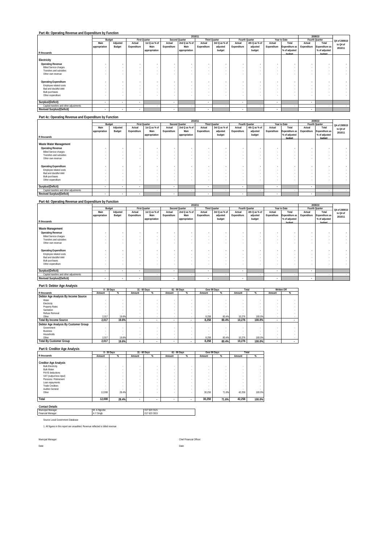|                                         |                          |                          |                          |                      |                          |                | 2010/11     |                      |             |                |             |                       |             | 2009/10               |               |
|-----------------------------------------|--------------------------|--------------------------|--------------------------|----------------------|--------------------------|----------------|-------------|----------------------|-------------|----------------|-------------|-----------------------|-------------|-----------------------|---------------|
|                                         |                          | Budget                   |                          | <b>First Quarter</b> |                          | Second Quarter |             | <b>Third Quarter</b> |             | Fourth Quarter |             | Year to Date          |             | Fourth Quarter        | Q4 of 2009/10 |
|                                         | Main                     | Adjusted                 | Actual                   | 1st Q as % of        | Actual                   | 2nd Q as % of  | Actual      | 3rd Q as % of        | Actual      | 4th Q as % of  | Actual      | Total                 | Actual      | Total                 | to Q4 of      |
|                                         | appropriation            | Budget                   | Expenditure              | Main                 | Expenditure              | Main           | Expenditure | adjusted             | Expenditure | adjusted       | Expenditure | <b>Expenditure as</b> | Expenditure | <b>Expenditure as</b> | 2010/11       |
|                                         |                          |                          |                          | appropriation        |                          | appropriation  |             | budget               |             | budget         |             | % of adjusted         |             | % of adjusted         |               |
| R thousands                             |                          |                          |                          |                      |                          |                |             |                      |             |                |             | hudget                |             | hudget                |               |
|                                         |                          |                          |                          |                      |                          |                |             |                      |             |                |             |                       |             |                       |               |
| Electricity                             |                          |                          |                          |                      |                          |                |             |                      |             |                |             |                       |             |                       |               |
| <b>Operating Revenue</b>                |                          | $\mathbf{r}$             |                          |                      | $\sim$                   | ٠              |             |                      |             | $\mathbf{r}$   |             |                       |             |                       |               |
| <b>Billed Service charges</b>           |                          | $\overline{\phantom{a}}$ |                          |                      | $\overline{\phantom{a}}$ |                |             |                      |             | $\sim$         | $\sim$      | ٠                     |             |                       | $\sim$        |
| Transfers and subsidies                 |                          | ٠.                       |                          |                      |                          |                |             |                      |             | $\sim$         | ۰.          |                       |             |                       |               |
| Other own revenue                       |                          |                          |                          |                      |                          |                |             |                      |             | $\sim$         |             |                       |             | ٠                     |               |
|                                         |                          |                          |                          |                      |                          |                |             |                      |             |                |             |                       |             |                       |               |
| <b>Operating Expenditure</b>            |                          | $\overline{a}$           |                          |                      | $\sim$                   |                |             |                      |             | $\mathbf{r}$   |             |                       |             |                       |               |
| Employee related costs                  |                          |                          |                          |                      |                          |                |             |                      |             | $\sim$         |             |                       |             |                       |               |
| Bad and doubtful debt                   |                          | $\overline{\phantom{a}}$ |                          |                      | $\sim$                   |                |             |                      |             | $\sim$         | $\sim$      |                       |             |                       | $\sim$        |
| <b>Bulk purchases</b>                   |                          |                          |                          |                      |                          |                |             |                      |             | $\sim$         | ۰.          |                       |             |                       | $\sim$        |
| Other expenditure                       |                          | ٠.                       |                          |                      |                          |                |             |                      |             | $\sim$         |             |                       |             |                       |               |
|                                         |                          |                          |                          |                      |                          |                |             |                      |             |                |             |                       |             |                       |               |
| Surplus/(Deficit)                       | $\overline{\phantom{a}}$ | ۰                        | $\bullet$                |                      | $\overline{\phantom{a}}$ |                | ٠           |                      |             |                | ۰           |                       | ٠           |                       |               |
| Capital transfers and other adjustments |                          |                          |                          |                      |                          |                |             |                      |             |                |             |                       |             |                       | . .           |
| <b>Revised Surplus/(Deficit)</b>        | $\sim$                   | ۰                        | $\overline{\phantom{a}}$ |                      | $\sim$                   |                | $\sim$      |                      | ۰           |                | $\sim$      |                       | ۰           |                       |               |
|                                         |                          |                          |                          |                      |                          |                |             |                      |             |                |             |                       |             |                       |               |

#### **Part 4c: Operating Revenue and Expenditure by Function**

|                                         |               |                          |                          |                      |                          |                | 2010/11     |                      |             |                |             |                       |                          | 2009/10               |               |
|-----------------------------------------|---------------|--------------------------|--------------------------|----------------------|--------------------------|----------------|-------------|----------------------|-------------|----------------|-------------|-----------------------|--------------------------|-----------------------|---------------|
|                                         |               | Budget                   |                          | <b>First Quarter</b> |                          | Second Quarter |             | <b>Third Quarter</b> |             | Fourth Quarter |             | Year to Date          |                          | Fourth Quarter        | Q4 of 2009/10 |
|                                         | Main          | Adjusted                 | Actual                   | 1st Q as % of        | Actual                   | 2nd Q as % of  | Actual      | 3rd Q as % of        | Actual      | 4th Q as % of  | Actual      | Total                 | Actual                   | Total                 | to Q4 of      |
|                                         | appropriation | Budget                   | Expenditure              | Main                 | Expenditure              | Main           | Expenditure | adjusted             | Expenditure | adjusted       | Expenditure | <b>Expenditure as</b> | Expenditure              | <b>Expenditure as</b> | 2010/11       |
|                                         |               |                          |                          | appropriation        |                          | appropriation  |             | budget               |             | budget         |             | % of adjusted         |                          | % of adjusted         |               |
| R thousands                             |               |                          |                          |                      |                          |                |             |                      |             |                |             | hudget                |                          | hudget                |               |
|                                         |               |                          |                          |                      |                          |                |             |                      |             |                |             |                       |                          |                       |               |
| Waste Water Management                  |               |                          |                          |                      |                          |                |             |                      |             |                |             |                       |                          |                       |               |
| <b>Operating Revenue</b>                |               | $\overline{a}$           | $\sim$                   |                      |                          | ٠              |             | $\mathbf{r}$         |             | $\mathbf{r}$   |             | ٠                     | $\mathbf{r}$             |                       |               |
| <b>Billed Service charges</b>           |               |                          |                          |                      |                          |                |             |                      |             | $\sim$         |             |                       |                          | $\sim$                |               |
| Transfers and subsidies                 |               | $\overline{\phantom{a}}$ |                          |                      |                          |                |             |                      |             | $\sim$         |             | ٠                     | $\overline{\phantom{a}}$ |                       | $\sim$        |
| Other own revenue                       |               |                          |                          |                      |                          |                |             |                      |             | ۰              |             |                       |                          | $\sim$                |               |
|                                         |               |                          |                          |                      |                          |                |             |                      |             |                |             |                       |                          |                       |               |
| <b>Operating Expenditure</b>            |               | ٠                        | $\sim$                   |                      |                          |                |             |                      |             | $\mathbf{r}$   |             |                       |                          |                       | $\mathbf{r}$  |
| Employee related costs                  |               | $\overline{\phantom{a}}$ |                          |                      |                          |                |             | $\sim$               |             | $\sim$         |             |                       |                          | $\sim$                |               |
| Bad and doubtful debt                   |               |                          |                          |                      |                          |                |             |                      |             | $\sim$         |             |                       |                          | $\sim$                |               |
| <b>Bulk purchases</b>                   |               |                          |                          |                      |                          |                |             |                      |             |                |             |                       |                          |                       |               |
| Other expenditure                       |               |                          |                          |                      |                          |                |             |                      |             |                |             |                       |                          | $\sim$                |               |
|                                         |               |                          |                          |                      |                          |                |             |                      |             |                |             |                       |                          |                       |               |
| Surplus/(Deficit)                       | ٠             | $\cdot$                  | $\overline{\phantom{a}}$ |                      | $\overline{\phantom{a}}$ |                | ٠           |                      | ۰           |                | ۰           |                       | $\overline{\phantom{a}}$ |                       |               |
| Capital transfers and other adjustments |               |                          |                          |                      |                          |                |             |                      |             |                |             |                       |                          |                       | . .           |
| <b>Revised Surplus/(Deficit)</b>        | $\sim$        | $\overline{\phantom{a}}$ | $\cdot$                  |                      |                          |                |             |                      |             |                | $\sim$      |                       |                          |                       |               |

### **Part 4d: Operating Revenue and Expenditure by Function**

|                                         |                          |                          |                          |               |                          |                | 2010/11              |               |             |                |             |                       |             | 2009/10               |               |
|-----------------------------------------|--------------------------|--------------------------|--------------------------|---------------|--------------------------|----------------|----------------------|---------------|-------------|----------------|-------------|-----------------------|-------------|-----------------------|---------------|
|                                         |                          | Budget                   | <b>First Quarter</b>     |               |                          | Second Quarter | <b>Third Quarter</b> |               |             | Fourth Quarter |             | Year to Date          |             | Fourth Quarter        | Q4 of 2009/10 |
|                                         | Main                     | Adjusted                 | Actual                   | 1st Q as % of | Actual                   | 2nd Q as % of  | Actual               | 3rd Q as % of | Actual      | 4th Q as % of  | Actual      | Total                 | Actual      | Total                 | to Q4 of      |
|                                         | appropriation            | Budget                   | Expenditure              | Main          | Expenditure              | Main           | Expenditure          | adjusted      | Expenditure | adjusted       | Expenditure | <b>Expenditure as</b> | Expenditure | <b>Expenditure as</b> | 2010/11       |
|                                         |                          |                          |                          | appropriation |                          | appropriation  |                      | budget        |             | budget         |             | % of adjusted         |             | % of adjusted         |               |
| R thousands                             |                          |                          |                          |               |                          |                |                      |               |             |                |             | hudget                |             | hudget                |               |
|                                         |                          |                          |                          |               |                          |                |                      |               |             |                |             |                       |             |                       |               |
| Waste Management                        |                          |                          |                          |               |                          |                |                      |               |             |                |             |                       |             |                       |               |
| <b>Operating Revenue</b>                |                          | ٠                        |                          |               |                          |                |                      |               |             |                |             |                       |             | ٠                     |               |
| <b>Billed Service charges</b>           |                          | $\overline{\phantom{a}}$ |                          |               |                          |                |                      | $\sim$        |             | $\sim$         |             |                       |             |                       | $\sim$        |
| Transfers and subsidies                 |                          | $\overline{\phantom{a}}$ |                          |               |                          |                |                      | $\sim$        |             | $\sim$         |             |                       |             |                       |               |
| Other own revenue                       |                          | $\sim$                   |                          |               |                          |                |                      |               |             |                |             |                       |             |                       |               |
|                                         |                          |                          |                          |               |                          |                |                      |               |             |                |             |                       |             |                       |               |
| <b>Operating Expenditure</b>            |                          | ٠                        |                          |               |                          |                |                      | ٠             |             | ٠              |             |                       | ٠           |                       |               |
| Employee related costs                  |                          |                          |                          |               |                          |                |                      |               |             | $\sim$         |             |                       |             |                       |               |
| Bad and doubtful debt                   |                          |                          |                          |               |                          |                |                      |               |             | $\sim$         |             |                       |             | $\sim$                |               |
| <b>Bulk purchases</b>                   |                          |                          |                          |               |                          |                |                      |               |             | $\sim$         |             |                       |             |                       | $\sim$        |
| Other expenditure                       |                          |                          |                          |               |                          |                |                      |               |             |                |             |                       |             | $\sim$                |               |
|                                         |                          |                          |                          |               |                          |                |                      |               |             |                |             |                       |             |                       |               |
| Surplus/(Deficit)                       |                          | $\cdot$                  | $\overline{\phantom{a}}$ |               |                          |                | ٠                    |               |             |                |             |                       | ٠           |                       |               |
| Capital transfers and other adjustments |                          |                          |                          |               |                          |                |                      |               |             |                |             |                       |             |                       |               |
| <b>Revised Surplus/(Deficit)</b>        | $\overline{\phantom{a}}$ | $\cdot$                  | $\cdot$                  |               | $\overline{\phantom{a}}$ |                | ۰                    |               | ۰           |                | $\sim$      |                       |             |                       |               |

## **Part 5: Debtor Age Analysis**

|                                       | 0 - 30 Days |       | 31 - 60 Days |                          | 61 - 90 Days |   | Over 90 Days |       | Total  |        | Written Off |   |
|---------------------------------------|-------------|-------|--------------|--------------------------|--------------|---|--------------|-------|--------|--------|-------------|---|
| R thousands                           | Amount      | %     | Amount       | %                        | Amount       | % | Amount       | %     | Amount | %      | Amount      | % |
| Debtor Age Analysis By Income Source  |             |       |              |                          |              |   |              |       |        |        |             |   |
| Water                                 |             |       |              |                          |              |   |              |       |        |        |             |   |
| Electricity                           |             |       |              |                          |              |   |              |       |        |        |             |   |
| Property Rates                        |             |       |              |                          |              |   |              |       |        |        |             |   |
| Sanitation                            |             |       |              |                          |              |   |              |       |        |        |             |   |
| Refuse Removal                        |             |       |              |                          |              |   |              |       |        |        |             |   |
| Other                                 | 2.017       | 19.6% |              |                          |              |   | 8,258        | 80.4% | 10.276 | 100.0% |             |   |
| <b>Total By Income Source</b>         | 2.017       | 19.6% |              | $\overline{\phantom{a}}$ |              |   | 8.258        | 80.4% | 10.276 | 100.0% |             |   |
| Debtor Age Analysis By Customer Group |             |       |              |                          |              |   |              |       |        |        |             |   |
| Government                            |             |       |              |                          |              |   |              |       |        |        |             |   |
| <b>Business</b>                       |             |       |              |                          |              |   |              |       |        |        |             |   |
| <b>Households</b>                     |             |       |              |                          |              |   |              |       |        |        |             |   |
| Other                                 | 2.017       | 19.6% |              | $\sim$                   | ۰            |   | 8.258        | 80.4% | 10.276 | 100.0% |             |   |
| <b>Total By Customer Group</b>        | 2.017       | 19.6% |              | ۰                        |              |   | 8.258        | 80.4% | 10.276 | 100.0% |             |   |

#### **Part 6: Creditor Age Analysis**

|                              |        | $0 - 30$ Days |                          | 31 - 60 Days             |        | 61 - 90 Days | Over 90 Days |                 | Total  |        |
|------------------------------|--------|---------------|--------------------------|--------------------------|--------|--------------|--------------|-----------------|--------|--------|
| R thousands                  | Amount | %             | Amount                   | %                        | Amount | %            | Amount       | %               | Amount | %      |
|                              |        |               |                          |                          |        |              |              |                 |        |        |
| <b>Creditor Age Analysis</b> |        |               |                          |                          |        |              |              |                 |        |        |
| <b>Bulk Electricity</b>      |        |               | $\sim$                   |                          |        | ٠            |              |                 | ٠      |        |
| <b>Bulk Water</b>            | ۰      | $\sim$        | $\sim$                   | ٠                        | $\sim$ | ٠            | ٠            |                 | ٠      |        |
| PAYE deductions              | ۰      |               | $\sim$                   |                          |        | ٠            | ٠            | <b>Contract</b> |        |        |
| VAT (output less input)      | ٠      |               |                          |                          |        | ٠            |              |                 |        |        |
| Pensions / Retirement        |        |               | $\sim$                   |                          |        | ٠            | ٠            |                 | ٠      |        |
| Loan repayments              |        |               | $\sim$                   |                          |        | ٠            |              |                 |        |        |
| <b>Trade Creditors</b>       | ۰      | $\sim$        | $\sim$                   | ٠                        | $\sim$ | ٠            | ٠            |                 | ٠      |        |
| Auditor-General              | $\sim$ | $\sim$        | $\sim$                   | ٠                        |        | ٠            | ٠            |                 | ٠      |        |
| Other                        | 12.008 | 28.4%         | ٠                        |                          |        | ٠            | 30.250       | 71.6%           | 42.258 | 100.0% |
|                              |        |               |                          |                          |        |              |              |                 |        |        |
| Total                        | 12,008 | 28.4%         | $\overline{\phantom{a}}$ | $\overline{\phantom{a}}$ |        | ۰            | 30,250       | 71.6%           | 42,258 | 100.0% |

### **Contact Details**

| <b>Contact Details</b>           |             |              |
|----------------------------------|-------------|--------------|
| Municipal Manager                | M. A Nacobo | 017 620 3121 |
| <b>Financial Manager</b>         | A Y Singh   | 017 620 3015 |
| Source Local Government Database |             |              |

1. All figures in this report are unaudited. Revenue reflected is billed revenue

Date: Date: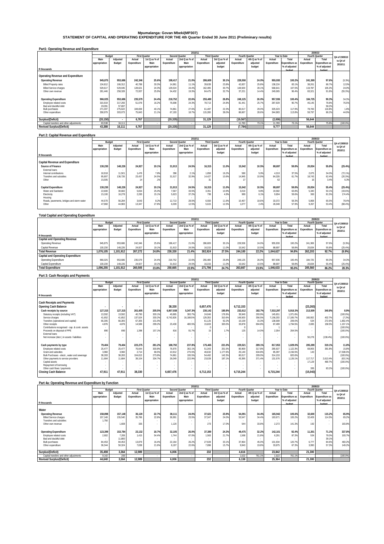#### **Mpumalanga: Govan Mbeki(MP307)**

#### **STATEMENT OF CAPITAL AND OPERATING EXPENDITURE FOR THE 4th Quarter Ended 30 June 2011 (Preliminary results)**

| Part1: Operating Revenue and Expenditure |
|------------------------------------------|
|------------------------------------------|

|                                         |               |          |                      |               |             | 2010/11               |                      |               |                |               |             |                |             | 2009/10               |               |
|-----------------------------------------|---------------|----------|----------------------|---------------|-------------|-----------------------|----------------------|---------------|----------------|---------------|-------------|----------------|-------------|-----------------------|---------------|
|                                         | Budget        |          | <b>First Quarter</b> |               |             | <b>Second Quarter</b> | <b>Third Quarter</b> |               | Fourth Quarter |               |             | Year to Date   |             | Fourth Quarter        | Q4 of 2009/10 |
|                                         | Main          | Adjusted | Actual               | 1st Q as % of | Actual      | 2nd Q as % of         | Actual               | 3rd Q as % of | Actual         | 4th Q as % of | Actual      | Total          | Actual      | Total                 | to Q4 of      |
|                                         | appropriation | Budget   | Expenditure          | Main          | Expenditure | Main                  | Expenditure          | adjusted      | Expenditure    | adjusted      | Expenditure | Expenditure as | Expenditure | <b>Expenditure as</b> | 2010/11       |
|                                         |               |          |                      | appropriation |             | appropriation         |                      | budget        |                | budget        |             | % of adjusted  |             | % of adjusted         |               |
| R thousands                             |               |          |                      |               |             |                       |                      |               |                |               |             | hudget         |             | hudget                |               |
|                                         |               |          |                      |               |             |                       |                      |               |                |               |             |                |             |                       |               |
| Operating Revenue and Expenditure       |               |          |                      |               |             |                       |                      |               |                |               |             |                |             |                       |               |
| <b>Operating Revenue</b>                | 945.875       | 953.686  | 242,346              | 25.6%         | 198,417     | 21.0%                 | 286,609              | 30.1%         | 228,558        | 24.0%         | 955.930     | 100.2%         | 241.369     | 97.6%                 | (5.3%)        |
| <b>Billed Property rates</b>            | 134.812       | 166.312  | 40.788               | 30.3%         | 14.961      | 11.1%                 | 39.639               | 23.8%         | 42.837         | 25.8%         | 138.224     | 83.1%          | 38.261      | 86.7%                 | 12.0%         |
| <b>Billed Service charges</b>           | 529.617       | 529.045  | 128.621              | 24.3%         | 129.024     | 24.4%                 | 162.495              | 30.7%         | 148.500        | 28.1%         | 568.641     | 107.5%         | 119.787     | 105.2%                | 24.0%         |
| Other own revenue                       | 281.446       | 258.328  | 72.937               | 25.9%         | 54.432      | 19.3%                 | 84.475               | 32.7%         | 37.221         | 14 4%         | 249.065     | 96.4%          | 83.321      | 91.8%                 | (55.3%)       |
|                                         |               |          |                      |               |             |                       |                      |               |                |               |             |                |             |                       |               |
| <b>Operating Expenditure</b>            | 966,025       | 953.686  | 235,579              | 24.4%         | 218,752     | 22.6%                 | 255,480              | 26.8%         | 248.125        | 26.0%         | 957.936     | 100.4%         | 184.725     | 90.3%                 | 34.3%         |
| Employee related costs                  | 315.919       | 317.293  | 51.078               | 16.2%         | 76.698      | 24.3%                 | 78.713               | 24.8%         | 81.441         | 25.7%         | 287.929     | 90.7%          | 46.145      | 78.8%                 | 76.5%         |
| Bad and doubtful debt                   | 20.091        | 57.697   |                      |               |             |                       |                      |               |                |               |             |                |             | 58.2%                 |               |
| <b>Bulk purchases</b>                   | 271.037       | 275.622  | 108.659              | 40.1%         | 74.861      | 27.6%                 | 61.487               | 22.3%         | 80.017         | 29.0%         | 325.023     | 117.9%         | 78.783      | 116.8%                | 1.6%          |
| Other expenditure                       | 358.979       | 303.073  | 75.843               | 21.1%         | 67,193      | 18.7%                 | 115,280              | 38.0%         | 86.667         | 28.6%         | 344.983     | 113.8%         | 59.797      | 86.2%                 | 44.9%         |
|                                         |               |          |                      |               |             |                       |                      |               |                |               |             |                |             |                       |               |
| Surplus/(Deficit)                       | (20, 150)     | $\sim$   | 6.767                |               | (20, 335)   |                       | 31.129               |               | (19, 567)      |               | (2,006)     |                | 56.644      |                       |               |
| Capital transfers and other adjustments | 63,538        | 16.111   |                      |               |             |                       |                      |               | 11.783         | 73.1%         | 11.783      | 73.1%          |             | 75.8%                 | (100.0%       |
| <b>Revised Surplus/(Deficit)</b>        | 43.388        | 16.111   | 6,767                |               | (20, 335)   |                       | 31,129               |               | (7,784)        |               | 9.777       |                | 56.644      |                       |               |

#### **Part 2: Capital Revenue and Expenditure**

|                                           |               | 2010/11  |             |                      |             |                |                      |               |             |                |             |                |             | 2009/10        |               |
|-------------------------------------------|---------------|----------|-------------|----------------------|-------------|----------------|----------------------|---------------|-------------|----------------|-------------|----------------|-------------|----------------|---------------|
|                                           |               | Budget   |             | <b>First Quarter</b> |             | Second Quarter | <b>Third Quarter</b> |               |             | Fourth Quarter |             | Year to Date   |             | Fourth Quarter | Q4 of 2009/10 |
|                                           | Mair          | Adjusted | Actual      | 1st Q as % of        | Actual      | 2nd Q as % of  | Actual               | 3rd Q as % of | Actual      | 4th Q as % of  | Actual      | Total          | Actual      | Total          | to Q4 of      |
|                                           | appropriation | Budget   | Expenditure | Main                 | Expenditure | Main           | Expenditure          | adjusted      | Expenditure | adjusted       | Expenditure | Expenditure as | Expenditure | Expenditure as | 2010/11       |
|                                           |               |          |             | appropriation        |             | appropriation  |                      | budget        |             | budget         |             | % of adiusted  |             | % of adjusted  |               |
| R thousands                               |               |          |             |                      |             |                |                      |               |             |                |             | hudget         |             | hudget         |               |
|                                           |               |          |             |                      |             |                |                      |               |             |                |             |                |             |                |               |
| Capital Revenue and Expenditure           |               |          |             |                      |             |                |                      |               |             |                |             |                |             |                |               |
| Source of Finance                         | 130.230       | 148.226  | 24.927      | 19.1%                | 31.913      | 24.5%          | 16.315               | 11.0%         | 15.542      | 10.5%          | 88.697      | 59.8%          | 20.834      | 55.8%          | (25.4%)       |
| External loans                            |               | $\sim$   | $\sim$      | $\sim$               |             | $\sim$         |                      |               |             |                | $\sim$      | $\sim$         |             |                |               |
| Internal contributions                    | 18.918        | 11.501   | 1,476       | 7.8%                 | 396         | 2.1%           | 1.858                | 16.2%         | 580         | 5.0%           | 4.310       | 37.5%          | 2.075       | 34.0%          | (72.1%)       |
| Transfers and subsidies                   | 95.807        | 136.726  | 23.437      | 24.5%                | 31.517      | 32.9%          | 14.427               | 10.6%         | 14,945      | 10.9%          | 84.326      | 61.7%          | 18.743      | 62.4%          | (20.3%)       |
| Other                                     | 15,505        | $\sim$   | 14          | .1%                  |             |                | 31                   |               | 17          |                |             |                | 16          | 3.4%           | 6.3%          |
|                                           |               |          |             |                      |             |                |                      |               |             |                |             |                |             |                |               |
| Capital Expenditure                       | 130,230       | 148.226  | 24,927      | 19.1%                | 31.913      | 24.5%          | 16.315               | 11.0%         | 15.542      | 10.5%          | 88.697      | 59.8%          | 20,834      | 55.4%          | (25.4%)       |
| Water and Sanitation                      | 22,600        | 30.682   | 5.654       | 25.0%                | 7.567       | 33.5%          | 3.351                | 10.9%         | 3.010       | 9.8%           | 19.582      | 63.8%          | 5.340       | 50.1%          | (43.6%)       |
| Electricity                               | 15.100        | 16.278   | 2.283       | 15.1%                | 5.623       | 37.2%          | 799                  | 4.9%          | 989         | 6.1%           | 9.694       | 59.6%          | 360         | 81.5%          | 174.4%        |
| Housing                                   |               | $\sim$   | $\sim$      | $\sim$               |             |                |                      |               |             | $\sim$         | $\sim$      | $\sim$         |             |                |               |
| Roads, pavements, bridges and storm water | 44,570        | 56,284   | 3,643       | 8.2%                 | 12,713      | 28.5%          | 6.550                | 11.6%         | 10.467      | 18.6%          | 33.372      | 59.3%          | 5.868       | 65.5%          | 78.4%         |
| Other                                     | 47.960        | 44.983   | 13.347      | 27.8%                | 6.009       | 12.5%          | 5.615                | 12.5%         | 1.077       | 2.4%           | 26.048      | 57.9%          | 9.267       | 53.4%          | (88.4%)       |
|                                           |               |          |             |                      |             |                |                      |               |             |                |             |                |             |                |               |

### **Total Capital and Operating Expenditure**

|                                          |               |          |                      |               | 2010/11     |                |                      |               |             |                |             | 2009/10               |                |                |               |
|------------------------------------------|---------------|----------|----------------------|---------------|-------------|----------------|----------------------|---------------|-------------|----------------|-------------|-----------------------|----------------|----------------|---------------|
|                                          | Budget        |          | <b>First Ouarter</b> |               |             | Second Quarter | <b>Third Ouarter</b> |               |             | Fourth Ouarter |             | Year to Date          | Fourth Ouarter |                | Q4 of 2009/10 |
|                                          | Main          | Adiusted | Actual               | 1st Q as % of | Actual      | 2nd Q as % of  | Actual               | 3rd Q as % of | Actual      | 4th Q as % of  | Actual      | Total                 | Actual         | Total          | to Q4 of      |
|                                          | appropriation | Budget   | Expenditure          | Main          | Expenditure | Main           | Expenditure          | adiusted      | Expenditure | adiusted       | Expenditure | <b>Expenditure as</b> | Expenditure    | Expenditure as | 2010/11       |
|                                          |               |          |                      | appropriation |             | appropriation  |                      | budget        |             | budget         |             | % of adjusted         |                | % of adjusted  |               |
| R thousands                              |               |          |                      |               |             |                |                      |               |             |                |             | hudget                |                | hudget         |               |
| <b>Capital and Operating Revenue</b>     |               |          |                      |               |             |                |                      |               |             |                |             |                       |                |                |               |
| Operating Revenue                        | 945.875       | 953.686  | 242.346              | 25.6%         | 198.417     | 21.0%          | 286.609              | 30.19         | 228.558     | 24.0%          | 955.930     | 100.2%                | 241.369        | 97.6%          | (5.3%)        |
| Capital Revenue                          | 130.230       | 148.226  | 24.927               | 19.1%         | 31.913      | 24.5%          | 16.315               | 11.0%         | 15.542      | 10.5%          | 88.697      | 59.8%                 | 20.834         | 55.8%          | (25.4%)       |
| <b>Total Revenue</b>                     | 1.076.105     | .101.912 | 267.272              | 24.8%         | 230.330     | 21.4%          | 302.924              | 27.5%         | 244.100     | 22.2%          | .044.627    | 94.8%                 | 262.203        | 92.7%          | (6.9%)        |
| <b>Capital and Operating Expenditure</b> |               |          |                      |               |             |                |                      |               |             |                |             |                       |                |                |               |
| Operating Expenditure                    | 966.025       | 953.686  | 235.579              | 24.4%         | 218.752     | 22.6%          | 255.480              | 26.8%         | 248.125     | 26.0%          | 957.936     | 100.4%                | 184.725        | 90.3%          | 34.3%         |
| Capital Expenditure                      | 130.230       | 148.226  | 24.927               | 19.1%         | 31.913      | 24.5%          | 16.315               | 11.0%         | 15.542      | 10.5%          | 88.697      | 59.8%                 | 20.834         | 55.4%          | (25.4%)       |
| <b>Total Expenditure</b>                 | 1.096.255     | .101.912 | 260.505              | 23.8%         | 250.665     | 22.9%          | 271.796              | 24.7%         | 263.667     | 23.9%          | .046.633    | 95.0%                 | 205.560        | 86.2%          | 28.3%         |
|                                          |               |          |                      |               |             |                |                      |               |             |                |             |                       |                |                |               |

| Part 3: Cash Receipts and Payments |  |
|------------------------------------|--|
|                                    |  |

|                                                 |                       |                          |                          |               |             | 2010/11               |             |                      |                |               |             |                |                          | 2009/10               |               |
|-------------------------------------------------|-----------------------|--------------------------|--------------------------|---------------|-------------|-----------------------|-------------|----------------------|----------------|---------------|-------------|----------------|--------------------------|-----------------------|---------------|
|                                                 |                       | Budget                   | <b>First Quarter</b>     |               |             | <b>Second Quarter</b> |             | <b>Third Quarter</b> | Fourth Quarter |               |             | Year to Date   |                          | Fourth Quarter        | O4 of 2009/10 |
|                                                 | Main                  | Adjusted                 | Actual                   | 1st Q as % of | Actual      | 2nd Q as % of         | Actual      | 3rd Q as % of        | Actual         | 4th Q as % of | Actual      | Total          | Actual                   | Total                 | to Q4 of      |
|                                                 | appropriation         | Budget                   | Expenditure              | Main          | Expenditure | Main                  | Expenditure | adjusted             | Expenditure    | adiusted      | Expenditure | Expenditure as | Expenditure              | <b>Expenditure as</b> | 2010/11       |
|                                                 |                       |                          |                          | appropriation |             | appropriation         |             | budget               |                | budget        |             | % of adjusted  |                          | % of adjusted         |               |
| R thousands                                     |                       |                          |                          |               |             |                       |             |                      |                |               |             | hudget         |                          | hudget                |               |
|                                                 |                       |                          |                          |               |             |                       |             |                      |                |               |             |                |                          |                       |               |
| <b>Cash Receipts and Payments</b>               |                       |                          |                          |               |             |                       |             |                      |                |               |             |                |                          |                       |               |
| <b>Opening Cash Balance</b>                     | $\tilde{\phantom{a}}$ | $\cdot$                  | ۰                        |               | 38,330      |                       | 6,657,476   |                      | 6,712,153      |               | $\sim$      |                | (23, 263)                |                       |               |
| Cash receipts by source                         | 127,315               | 127,315                  | 261,605                  | 205.5%        | 6,807,938   | 5,347.3%              | 230,142     | 180.8%               | 232,612        | 182.7%        | 7,532,297   | 5,916.3%       | 213,509                  | 340.8%                | 8.9%          |
| Statutory receipts (including VAT)              | 13.592                | 13.592                   | 40.790                   | 300.1%        | 40.865      | 300.7%                | 24.046      | 176 9%               | 39.949         | 293.9%        | 145.651     | 1.071.6%       | $\sim$                   | . .                   | (100.0%       |
| Service charges                                 | 41.652                | 41.652                   | 137.524                  | 330.2%        | 6,742,826   | 16,188.5%             | 129,353     | 310.6%               | 148.500        | 356.5%        | 7,158,203   | 17.185.7%      | 160.002                  | 402.7%                | (7.2%         |
| Transfers (operational and capital)             | 66,305                | 66,305                   | 67,305                   | 101.5%        |             |                       | 61,125      | 92.2%                | 10.159         | 15.3%         | 138.589     | 209.0%         | 534                      | 272.6%                | 1,802.4%      |
| Other receipts                                  | 4.876                 | 4.876                    | 14,588                   | 299.2%        | 23,430      | 480.5%                | 15,603      | 320.0%               | 33.878         | 694.8%        | 87.499      | 1.794.5%       | 2,695                    | 158.5%                | 1,157.1%      |
| Contributions recognised - cap. & contr. assets | . .                   | $\sim$                   | $\overline{\phantom{a}}$ |               |             |                       |             |                      |                |               |             |                |                          |                       | (100.0%       |
| Proceeds on disposal of PPE                     | 890                   | 890                      | 1.398                    | 157.1%        | 816         | 91.7%                 | 15          | 17%                  | 125            | 14.0%         | 2.354       | 264.5%         |                          |                       | $(100.0\%)$   |
| <b>External Inans</b>                           | $\sim$                | $\sim$                   | $\overline{\phantom{a}}$ |               |             |                       |             |                      |                |               |             |                | $\overline{\phantom{a}}$ |                       |               |
| Net increase (decr.) in assets / liabilities    |                       |                          | $\overline{\phantom{a}}$ |               |             |                       |             |                      |                |               |             |                | 50.278                   | (138.4%)              | (100.0%       |
|                                                 |                       |                          |                          |               |             |                       |             |                      |                |               |             |                |                          |                       |               |
| Cash payments by type                           | 79.404                | 79,404                   | 223,275                  | 281.2%        | 188,792     | 237.8%                | 175,465     | 221.0%               | 229,521        | 289.1%        | 817.053     | 1,029.0%       | 205,289                  | 319.1%                | 11.8%         |
| Employee related costs                          | 25.477                | 25.477                   | 76.644                   | 300.8%        | 76,970      | 302.1%                | 51.343      | 201.5%               | 80,969         | 317.8%        | 285.927     | 1,122.3%       | 69.905                   | 391.8%                | 15.8%         |
| Grant and subsidies                             | 3.960                 | 3.960                    | 2.714                    | 68.5%         | 10.912      | 275.5%                | 46.632      | 1.177.6%             | 25.140         | 634.8%        | 85.397      | 2.156.5%       | 143                      |                       | 17,538.0%     |
| Bulk Purchases - electr., water and sewerage    | 38.283                | 38.283                   | 104.813                  | 273.8%        | 74.861      | 195.5%                | 54.462      | 142.3%               | 80.017         | 209.0%        | 314.153     | 820.6%         |                          |                       | (100.0%       |
| Other payments to service providers             | 11,684                | 11.684                   | 39.104                   | 334.7%        | 26.049      | 222.9%                | 23,028      | 197.1%               | 43.395         | 371.4%        | 131,576     | 1.126.1%       | 117.717                  | 2,613.4%              | (63.1%        |
| Capital assets                                  |                       | $\sim$                   | $\overline{\phantom{a}}$ |               |             |                       |             |                      |                |               |             | $\sim$         | 17,129                   | 480.7%                | (100.0%       |
| Repayment of borrowing                          |                       | $\sim$                   | $\overline{\phantom{a}}$ |               |             |                       |             |                      |                |               |             |                |                          |                       |               |
| Other cash flows / payments                     |                       | $\overline{\phantom{a}}$ |                          |               |             |                       |             |                      |                |               |             |                | 395                      | 83.2%                 | (100.0%       |
| <b>Closing Cash Balance</b>                     | 47,911                | 47,911                   | 38,330                   |               | 6,657,476   |                       | 6,712,153   |                      | 6,715,244      |               | 6,715,244   |                | (15, 043)                |                       |               |
|                                                 |                       |                          |                          |               |             |                       |             |                      |                |               |             |                |                          |                       |               |

**Part 4a: Operating Revenue and Expenditure by Function R thousands Main appropriation Adjusted Budget Actual Expenditure 1st Q as % of Main appropriation Actual Expenditure 2nd Q as % of Main appropriation Actual Expenditure 3rd Q as % of adjusted budget Actual Expenditure 4th Q as % of adjusted budget Expenditure Expenditure as** <br> **1** % of adjusted budget **budget Actual Expenditure Total Expenditure as % of adjusted budget Water<br>
Operating Revenue<br>
Billed Service charges<br>
Transfers and subsidies<br>
Other own revenue Operating Revenue 158,898 157,148 36,120 22.7% 38,111 24.0% 37,621 23.9% 54,091 34.4% 165,942 105.6% 32,600 115.2% 65.9%** Billed Service charges 157,148 155,540 35,786 22.8% 36,991 23.5% 37,347 24.0% 53,547 34.4% 163,671 105.2% 32,409 114.3% 65.2% Transfers and subsidies [ ] [ ],750 | - - - | - - | - - | - - | - - | - - | - - | - - | - - | - - | - - | - - | Other own revenue - - 1,608 - 1,608 - 1,120 - 1,120 - 1,273 17.0% 544 33.8% 2,272 141.3% 192 - 183.8% **Operating Expenditure 123,399 153,784 23,132 18.7% 32,105 26.0% 37,389 24.3% 49,475 32.2% 142,101 92.4% 11,301 71.1% 337.8%** Employee related costs 2,602 7,206 1,415 54.4% 1,744 67.0% 1,563 21.7% 1,568 21.8% 6,291 87.3% 534 78.0% 193.7% Bad and doubtful debt - 11,800 - - - - - - - - - - - 39.1% - Bulk purchases 84,453 84,453 13,879 16.4% 22,164 26.2% 27,928 33.1% 37,964 45.0% 101,934 120.7% 6,777 84.6% 460.2% Other expenditure 36,344 50,324 7,838 21.6% 8,197 22.6% 7,898 15.7% 9,943 19.8% 33,875 67.3% 3,990 57.3% 149.2% **Surplus/(Deficit) 35,498 3,364 12,989 6,006 232 4,616 23,842 21,300**  Capital transfers and other adjustments | 9,142 200 | | | | | | | | | | | | | | | 1,522 | 761.1% | 761.1% | | | | (100.0%) Revised Surplus/(Deficit) 44,640 | 3,564 | 12,989 | 6,006 | | 232 | 6,138 | | 25,364 | | 21,300  **2010/11 2009/10 Q4 of 2009/10 to Q4 of 2010/11 Budget** | First Quarter | Second Quarter | Third Quarter | Fourth Quarter | Year to Date | Fourth Quarter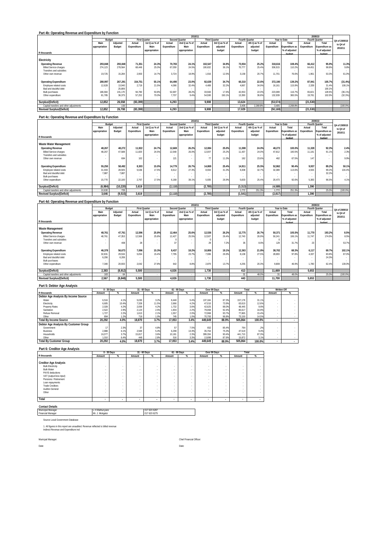|                                         |               |          |             |                      |             |                       | 2010/11     |                      |             |                |             |                       |             | 2009/10               |               |
|-----------------------------------------|---------------|----------|-------------|----------------------|-------------|-----------------------|-------------|----------------------|-------------|----------------|-------------|-----------------------|-------------|-----------------------|---------------|
|                                         |               | Budget   |             | <b>First Quarter</b> |             | <b>Second Quarter</b> |             | <b>Third Quarter</b> |             | Fourth Quarter |             | Year to Date          |             | Fourth Quarter        | Q4 of 2009/10 |
|                                         | Main          | Adjusted | Actual      | 1st Q as % of        | Actual      | 2nd Q as % of         | Actual      | 3rd Q as % of        | Actual      | 4th Q as % of  | Actual      | Total                 | Actual      | Total                 | to Q4 of      |
|                                         | appropriation | Budget   | Expenditure | Main                 | Expenditure | Main                  | Expenditure | adjusted             | Expenditure | adjusted       | Expenditure | <b>Expenditure as</b> | Expenditure | <b>Expenditure as</b> | 2010/11       |
|                                         |               |          |             | appropriation        |             | appropriation         |             | budget               |             | budget         |             | % of adjusted         |             | % of adjusted         |               |
| R thousands                             |               |          |             |                      |             |                       |             |                      |             |                |             | hudget                |             | hudget                |               |
|                                         |               |          |             |                      |             |                       |             |                      |             |                |             |                       |             |                       |               |
| Electricity                             |               |          |             |                      |             |                       |             |                      |             |                |             |                       |             |                       |               |
| <b>Operating Revenue</b>                | 293.848       | 293.848  | 71,351      | 24.3%                | 70.783      | 24.1%                 | 102.547     | 34.9%                | 73.934      | 25.2%          | 318,616     | 108.4%                | 66.412      | 95.9%                 | 11.3%         |
| <b>Billed Service charges</b>           | 274.123       | 278.564  | 68.448      | 25.0%                | 67.059      | 24.5%                 | 100.632     | 36.1%                | 70.777      | 25.4%          | 306.915     | 110.2%                | 64.451      | 98.8%                 | 9.8%          |
| Transfers and subsidies                 |               |          |             |                      |             |                       |             |                      |             | $\sim$         |             |                       |             |                       | $\sim$        |
| Other own revenue                       | 19.725        | 15.284   | 2.903       | 14.7%                | 3.724       | 18.9%                 | 1.916       | 12.5%                | 3.158       | 20.7%          | 11.701      | 76.6%                 | 1.961       | 53.3%                 | 61.0%         |
|                                         |               |          |             |                      |             |                       |             |                      |             |                |             |                       |             |                       |               |
| <b>Operating Expenditure</b>            | 280,997       | 267,291  | 154,751     | 55.1%                | 64.490      | 23.0%                 | 92,639      | 34.7%                | 60.310      | 22.6%          | 372,190     | 139.2%                | 87,941      | 105.7%                | (31.4%)       |
| Employee related costs                  | 12.628        | 13.940   | 2.719       | 21.5%                | 4.086       | 32.4%                 | 4.489       | 32.2%                | 4.867       | 34.9%          | 16.161      | 115.9%                | 2.339       | 31.4%                 | 108.1%        |
| Bad and doubtful debt                   |               | 25,806   |             |                      |             |                       |             |                      |             | $\sim$         |             |                       |             | 100.1%                |               |
| <b>Bulk purchases</b>                   | 186,584       | 191.170  | 94,780      | 50.8%                | 52.697      | 28.2%                 | 33.560      | 17.6%                | 42.053      | 22.0%          | 223,089     | 116.7%                | 65.821      | 128.5%                | $(36.1\%)$    |
| Other expenditure                       | 81.785        | 36.375   | 57.252      | 70.0%                | 7.707       | 9.4%                  | 54.590      | 150.1%               | 13.390      | 36.8%          | 132.939     | 365.5%                | 19,781      | 102.0%                | (32.3%)       |
|                                         |               |          |             |                      |             |                       |             |                      |             |                |             |                       |             |                       |               |
| Surplus/(Deficit)                       | 12,852        | 26,558   | (83, 399)   |                      | 6,293       |                       | 9.908       |                      | 13,624      |                | (53, 574)   |                       | (21, 530)   |                       |               |
| Capital transfers and other adjustments |               | 150      |             |                      |             |                       |             |                      | 3.405       | 2.269.8%       | 3.405       | 2.269.8%              |             |                       | (100.0%       |
| <b>Revised Surplus/(Deficit)</b>        | 12,852        | 26,708   | (83, 399)   |                      | 6,293       |                       | 9.908       |                      | 17.029      |                | (50, 169)   |                       | (21, 530)   |                       |               |
|                                         |               |          |             |                      |             |                       |             |                      |             |                |             |                       |             |                       |               |

#### **Part 4c: Operating Revenue and Expenditure by Function**

|                                         |               | 2010/11   |             |                      |             |                       |             |                      |                |               |             |                       | 2009/10     |                |               |
|-----------------------------------------|---------------|-----------|-------------|----------------------|-------------|-----------------------|-------------|----------------------|----------------|---------------|-------------|-----------------------|-------------|----------------|---------------|
|                                         |               | Budget    |             | <b>First Quarter</b> |             | <b>Second Quarter</b> |             | <b>Third Quarter</b> | Fourth Quarter |               |             | Year to Date          |             | Fourth Quarter | Q4 of 2009/10 |
|                                         | Main          | Adjusted  | Actual      | 1st Q as % of        | Actual      | 2nd Q as % of         | Actual      | 3rd Q as % of        | Actual         | 4th Q as % of | Actual      | Total                 | Actual      | Total          | to Q4 of      |
|                                         | appropriation | Budget    | Expenditure | Main                 | Expenditure | Main                  | Expenditure | adjusted             | Expenditure    | adjusted      | Expenditure | <b>Expenditure as</b> | Expenditure | Expenditure as | 2010/11       |
|                                         |               |           |             | appropriation        |             | appropriation         |             | budget               |                | budget        |             | % of adjusted         |             | % of adjusted  |               |
| R thousands                             |               |           |             |                      |             |                       |             |                      |                |               |             | hudget                |             | hudget         |               |
| Waste Water Management                  |               |           |             |                      |             |                       |             |                      |                |               |             |                       |             |                |               |
| <b>Operating Revenue</b>                | 48,267        | 48.272    | 11,922      | 24.7%                | 12.669      | 26.2%                 | 12.084      | 25.0%                | 11.598         | 24.0%         | 48.273      | 100.0%                | 11.328      | 92.3%          | 2.4%          |
| <b>Billed Service charges</b>           | 48.267        | 47.588    | 11.820      | 24.5%                | 12.548      | 26.0%                 | 12.007      | 25.2%                | 11.437         | 24.0%         | 47.812      | 100.5%                | 11.181      | 91.1%          | 2.3%          |
| Transfers and subsidies                 |               |           |             |                      |             |                       |             |                      |                |               |             |                       |             |                |               |
| Other own revenue                       |               | 684       | 102         |                      | 121         |                       | 77          | 11.3%                | 162            | 23.6%         | 462         | 67.5%                 | 147         |                | 9.9%          |
|                                         |               |           |             |                      |             |                       |             |                      |                |               |             |                       |             |                |               |
| <b>Operating Expenditure</b>            | 55,250        | 58.492    | 8.303       | 15.0%                | 14.779      | 26.7%                 | 14.869      | 25.4%                | 14.911         | 25.5%         | 52.862      | 90.4%                 | 9.937       | 89.2%          | 50.1%         |
| Employee related costs                  | 31.593        | 28.505    | 5.536       | 17.5%                | 8.612       | 27.3%                 | 8.934       | 31.3%                | 9.308          | 32.7%         | 32.389      | 113.6%                | 4.555       | 99.2%          | 104.4%        |
| Bad and doubtful debt                   | 7.887         | 7.887     | $\sim$      |                      |             |                       |             |                      |                |               |             |                       |             | 32.2%          |               |
| <b>Bulk purchases</b>                   |               |           | ٠.          |                      |             |                       |             |                      |                |               | $\sim$      |                       | ۰.          |                |               |
| Other expenditure                       | 15.770        | 22.100    | 2.767       | 17.5%                | 6.168       | 39.1%                 | 5.935       | 26.9%                | 5.603          | 25.4%         | 20.473      | 92.69                 | 5.383       | 96.5%          | 4.1%          |
| Surplus/(Deficit)                       | (6,984)       | (10, 220) | 3,619       |                      | (2, 110)    |                       | (2,785)     |                      | (3, 313)       |               | (4,589)     |                       | 1,390       |                |               |
| Capital transfers and other adjustments | 10,630        | 705       |             |                      |             |                       |             |                      | 1.772          | 251.3%        | 1.772       | 251.3%                |             | 25.0%          | (100.0%       |
| <b>Revised Surplus/(Deficit)</b>        | 3.646         | (9.515)   | 3,619       |                      | (2, 110)    |                       | (2,785)     |                      | (1,541)        |               | (2,817)     |                       | 1,390       |                |               |

### **Part 4d: Operating Revenue and Expenditure by Function**

|                                         |               |          |             |                      |             |                | 2010/11     |                      |             |                |             |                |             | 2009/10               |               |
|-----------------------------------------|---------------|----------|-------------|----------------------|-------------|----------------|-------------|----------------------|-------------|----------------|-------------|----------------|-------------|-----------------------|---------------|
|                                         |               | Budget   |             | <b>First Quarter</b> |             | Second Quarter |             | <b>Third Quarter</b> |             | Fourth Quarter |             | Year to Date   |             | Fourth Quarter        | Q4 of 2009/10 |
|                                         | Main          | Adjusted | Actual      | 1st Q as % of        | Actual      | 2nd Q as % of  | Actual      | 3rd Q as % of        | Actual      | 4th Q as % of  | Actual      | Total          | Actual      | Total                 | to Q4 of      |
|                                         | appropriation | Budget   | Expenditure | Main                 | Expenditure | Main           | Expenditure | adiusted             | Expenditure | adjusted       | Expenditure | Expenditure as | Expenditure | <b>Expenditure as</b> | 2010/11       |
|                                         |               |          |             | appropriation        |             | appropriation  |             | budget               |             | budget         |             | % of adjusted  |             | % of adjusted         |               |
| R thousands                             |               |          |             |                      |             |                |             |                      |             |                |             | budget         |             | budget                |               |
| Waste Management                        |               |          |             |                      |             |                |             |                      |             |                |             |                |             |                       |               |
| <b>Operating Revenue</b>                | 48,761        | 47,761   | 12,596      | 25.8%                | 12.464      | 25.6%          | 12.536      | 26.2%                | 12.775      | 26.7%          | 50.371      | 105.5%         | 11.770      | 193.2%                | 8.5%          |
| <b>Billed Service charges</b>           | 48.761        | 47.353   | 12.568      | 25.8%                | 12.427      | 25.5%          | 12.507      | 26.4%                | 12.740      | 26.9%          | 50.241      | 106.1%         | 11.747      | 174.0%                | 8.5%          |
| Transfers and subsidies                 | $\sim$        | $\sim$   |             |                      |             |                |             |                      |             |                |             |                |             |                       | $\sim$        |
| Other own revenue                       | ٠             | 408      | 28          |                      | 37          |                | 29          | 7.2%                 | 35          | 8.6%           | 129         | 31.7%          | 23          |                       | 53.7%         |
|                                         |               |          |             |                      |             |                |             |                      |             |                |             |                |             |                       |               |
| <b>Operating Expenditure</b>            | 46,378        | 56,673   | 7,096       | 15.3%                | 8.437       | 18.2%          | 10.806      | 19.1%                | 12.363      | 21.8%          | 38.702      | 68.3%          | 6.117       | 69.7%                 | 102.1%        |
| Employee related costs                  | 32,831        | 29,534   | 5.054       | 15.4%                | 7.795       | 23.7%          | 7.936       | 26.9%                | 8.108       | 27.5%          | 28.893      | 97.8%          | 4.337       | 83.8%                 | 87.0%         |
| Bad and doubtful debt                   | 6.206         | 6.206    |             |                      |             |                |             |                      |             |                |             |                |             | 24.3%                 | $\sim$        |
| <b>Bulk purchases</b>                   |               | $\sim$   |             |                      |             |                |             | $\sim$               |             |                |             |                |             |                       | $\sim$        |
| Other expenditure                       | 7.340         | 20.933   | 2.042       | 27.8%                | 642         | 8.8%           | 2.870       | 13.7%                | 4.255       | 20.3%          | 9.808       | 46.9%          | 1.780       | 62.4%                 | 139.0%        |
|                                         |               |          |             |                      |             |                |             |                      |             |                |             |                |             |                       |               |
| Surplus/(Deficit)                       | 2,383         | (8,912)  | 5,500       |                      | 4.026       |                | 1.730       |                      | 413         |                | 11.669      |                | 5,653       |                       |               |
| Capital transfers and other adjustments | 183           | 64       |             |                      |             |                |             |                      | 31          | 48.0%          | 21          | 48.0%          |             | 25.0%                 | $(100.0\%)$   |
| <b>Revised Surplus/(Deficit)</b>        | 2.567         | (8.848)  | 5.500       |                      | 4.026       |                | 1.730       |                      | 443         |                | 11.700      |                | 5.653       |                       |               |

J.

### **Part 5: Debtor Age Analysis**

|                                       |        | 0 - 30 Days |        | 31 - 60 Days | 61 - 90 Days |       | Over 90 Days |       | Total   |        |        | Written Off |
|---------------------------------------|--------|-------------|--------|--------------|--------------|-------|--------------|-------|---------|--------|--------|-------------|
| R thousands                           | Amount | %           | Amount | %            | Amount       | %     | Amount       | %     | Amount  | %      | Amount | %           |
| Debtor Age Analysis By Income Source  |        |             |        |              |              |       |              |       |         |        |        |             |
| Water                                 | 6.516  | 4.1%        | 5.030  | 3.2%         | 8.448        | 5.4%  | 137.184      | 87.3% | 157.178 | 31.1%  |        |             |
| Electricity                           | 6.605  | 10.4%       | 7.328  | 11.5%        | 2.666        | 4.2%  | 47.010       | 73.9% | 63.610  | 12.6%  |        |             |
| <b>Property Rates</b>                 | 2.028  | 4.2%        | 2.059  | 4.2%         | 1.732        | 3.6%  | 42.625       | 88.0% | 48.445  | 9.6%   |        |             |
| Sanitation                            | 2.522  | 2.9%        | 2.123  | 2.5%         | 1.904        | 2.2%  | 79.068       | 92.4% | 85.617  | 16.9%  |        |             |
| Refuse Removal                        | 1.727  | 2.2%        | 1.613  | 2.1%         | 1.557        | 2.0%  | 72.968       | 93.7% | 77.865  | 15.4%  |        |             |
| Other                                 | 894    | 1.2%        | 718    | 1.0%         | 745          | 1.0%  | 70.793       | 96.8% | 73.150  | 14.5%  | ٠      |             |
| <b>Total By Income Source</b>         | 20.292 | 4.0%        | 18.870 | 3.7%         | 17.053       | 3.4%  | 449.649      | 88.9% | 505.864 | 100.0% |        |             |
| Debtor Age Analysis By Customer Group |        |             |        |              |              |       |              |       |         |        |        |             |
| Government                            |        | 2.3%        |        | 4.8%         | 57           | 7.5%  | 652          | 85.4% | 764     | .2%    |        |             |
| <b>Business</b>                       | 2.888  | 6.1%        | 2.569  | 5.4%         | 6.298        | 13.3% | 35.764       | 75.3% | 47.519  | 9.4%   |        |             |
| Households                            | 16.377 | 3.7%        | 15.817 | 3.6%         | 10.181       | 2.3%  | 399.334      | 90.4% | 441.710 | 87.3%  |        |             |
| Other                                 | 1.010  | 6.4%        | 448    | 2.8%         | 516          | 3.3%  | 13.898       | 87.6% | 15.872  | 3.1%   | ٠      |             |
| <b>Total By Customer Group</b>        | 20.292 | 4.0%        | 18.870 | 3.7%         | 17.053       | 3.4%  | 449.649      | 88.9% | 505.864 | 100.0% |        |             |

### **Part 6: Creditor Age Analysis**

|                              |                          | $0 - 30$ Days    |                          | 31 - 60 Days             | 61 - 90 Days     |                          | Over 90 Days |        | Total  |   |
|------------------------------|--------------------------|------------------|--------------------------|--------------------------|------------------|--------------------------|--------------|--------|--------|---|
| R thousands                  | Amount                   | %                | Amount                   | %                        | Amount           | %                        | Amount       | %      | Amount | % |
|                              |                          |                  |                          |                          |                  |                          |              |        |        |   |
| <b>Creditor Age Analysis</b> |                          |                  |                          |                          |                  |                          |              |        |        |   |
| <b>Bulk Electricity</b>      | $\sim$                   |                  | $\sim$                   | $\sim$                   | ۰                | $\sim$                   | $\sim$       | ٠      |        |   |
| <b>Bulk Water</b>            | $\sim$                   | <b>The State</b> | $\sim$                   | $\sim$                   | ۰                | ٠                        |              | ٠      |        |   |
| PAYE deductions              | $\overline{\mathcal{L}}$ |                  | $\sim$                   | $\sim$                   | <b>The State</b> | $\sim$                   |              | ٠      |        |   |
| VAT (output less input)      | ٠                        |                  | $\sim$                   | $\sim$                   |                  | ٠                        |              | ٠      |        |   |
| Pensions / Retirement        | $\sim$                   | ٠                | $\sim$                   | $\sim$                   |                  | $\sim$                   | $\sim$       | ٠      |        |   |
| Loan repayments              | ٠                        |                  | $\sim$                   | $\sim$                   |                  | ٠                        |              | ٠      |        |   |
| <b>Trade Creditors</b>       | $\sim$                   | <b>The State</b> | $\sim$                   | $\sim$                   | ۰                | ٠                        | $\sim$       | $\sim$ |        |   |
| Auditor-General              | ٠                        |                  | $\sim$                   | $\sim$                   | ٠                | ٠                        |              | ٠      |        |   |
| Other                        | $\sim$                   |                  | $\sim$                   | $\sim$                   | ۰                | ٠                        |              | ٠      |        |   |
|                              |                          |                  |                          |                          |                  |                          |              |        |        |   |
| Total                        | $\overline{\phantom{a}}$ | ٠                | $\overline{\phantom{a}}$ | $\overline{\phantom{a}}$ | ٠                | $\overline{\phantom{a}}$ | ۰            | $\sim$ |        |   |

| <b>Contact Details</b>           |                 |              |
|----------------------------------|-----------------|--------------|
| Municipal Manager                | L H Mathunyane  | 017 620 6287 |
| <b>Financial Manager</b>         | Mr. J. Mokgatsi | 017 620 6275 |
| Source Local Government Database |                 |              |

1. All figures in this report are unaudited. Revenue reflected is billed revenue Indirect Revenue and Expenditure incl

Date: Date: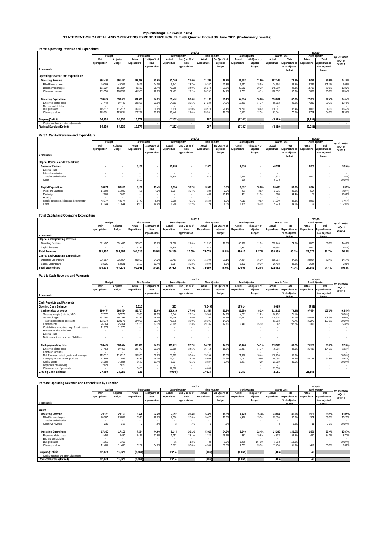## **Mpumalanga: Lekwa(MP305) STATEMENT OF CAPITAL AND OPERATING EXPENDITURE FOR THE 4th Quarter Ended 30 June 2011 (Preliminary results)**

| Part1: Operating Revenue and Expenditure |               |          |             |                      |             |                       |             |                      |             |                |             |                |             |                |               |
|------------------------------------------|---------------|----------|-------------|----------------------|-------------|-----------------------|-------------|----------------------|-------------|----------------|-------------|----------------|-------------|----------------|---------------|
|                                          |               |          |             |                      |             | 2010/11               |             |                      |             |                |             |                |             | 2009/10        |               |
|                                          |               | Budget   |             | <b>First Quarter</b> |             | <b>Second Quarter</b> |             | <b>Third Quarter</b> |             | Fourth Quarter |             | Year to Date   |             | Fourth Quarter | Q4 of 2009/10 |
|                                          | Main          | Adjusted | Actual      | 1st Q as % of        | Actual      | 2nd Q as % of         | Actual      | 3rd Q as % of        | Actual      | 4th Q as % of  | Actual      | Total          | Actual      | Total          | to Q4 of      |
|                                          | appropriation | Budget   | Expenditure | Main                 | Expenditure | Main                  | Expenditure | adjusted             | Expenditure | adjusted       | Expenditure | Expenditure as | Expenditure | Expenditure as | 2010/11       |
|                                          |               |          |             | appropriation        |             | appropriation         |             | budget               |             | budget         |             | % of adjusted  |             | % of adjusted  |               |
| R thousands                              |               |          |             |                      |             |                       |             |                      |             |                |             | hudget         |             | hudget         |               |
|                                          |               |          |             |                      |             |                       |             |                      |             |                |             |                |             |                |               |
| Operating Revenue and Expenditure        |               |          |             |                      |             |                       |             |                      |             |                |             |                |             |                |               |
| <b>Operating Revenue</b>                 | 391.487       | 391,487  | 92.386      | 23.6%                | 82,300      | 21.0%                 | 71.397      | 18.2%                | 46.662      | 11.9%          | 292.745     | 74.8%          | 19.076      | 86.9%          | 144.6%        |
| <b>Billed Property rates</b>             | 40.209        | 40.209   | 9.646       | 24.0%                | 9.543       | 23.7%                 | 9.367       | 23.3%                | 6.242       | 15.5%          | 34.798      | 86.5%          | 3.269       | 101.4%         | 90.9%         |
| <b>Billed Service charges</b>            | 161.927       | 161.927  | 41,160      | 25.4%                | 40.269      | 24 9%                 | 35.278      | 21.8%                | 32.682      | 20.2%          | 149.389     | 92.3%          | 13.718      | 79.6%          | 138.2%        |
| Other own revenue                        | 189.350       | 189.350  | 41.580      | 22.0%                | 32.487      | 17.2%                 | 26.752      | 14 1%                | 7.737       | 4.1%           | 108.557     | 57.3%          | 2.089       | 95.9%          | 270.4%        |
|                                          |               |          |             |                      |             |                       |             |                      |             |                |             |                |             |                |               |
| <b>Operating Expenditure</b>             | 336,657       | 336,657  | 81,509      | 24.2%                | 89,451      | 26.6%                 | 71.100      | 21.1%                | 54.004      | 16.0%          | 296,064     | 87.9%          | 22,007      | 72.4%          | 145.4%        |
| Employee related costs                   | 97.449        | 97.449   | 22,396      | 23.0%                | 24.893      | 25.5%                 | 24.220      | 24.9%                | 17.203      | 17.7%          | 88.712      | 91.0%          | 7.239       | 80.7%          | 137.6%        |
| Bad and doubtful debt                    |               |          |             |                      |             |                       |             |                      |             |                |             |                |             |                |               |
| <b>Bulk purchases</b>                    | 115,517       | 115,517  | 35.320      | 30.6%                | 38.118      | 33.0%                 | 23,579      | 20.4%                | 21.293      | 18.4%          | 118.311     | 102.4%         | 8.013       | 84.0%          | 165.7%        |
| Other expenditure                        | 123.691       | 123.691  | 23.792      | 19.2%                | 26.440      | 21 4%                 | 23.301      | 18.8%                | 15.507      | 12.5%          | 89.041      | 72.0%          | 6.754       | 54.6%          | 129.6%        |
|                                          |               |          |             |                      |             |                       |             |                      |             |                |             |                |             |                |               |
| Surplus/(Deficit)                        | 54,830        | 54.830   | 10,877      |                      | (7, 152)    |                       | 297         |                      | (7, 342)    |                | (3, 319)    |                | (2,931)     |                |               |
| Capital transfers and other adjustments  |               |          |             |                      |             |                       |             |                      |             |                |             |                |             |                |               |
| <b>Revised Surplus/(Deficit)</b>         | 54,830        | 54.830   | 10.877      |                      | (7, 152)    |                       | 297         |                      | (7, 342)    |                | (3, 319)    |                | (2,931)     |                |               |

#### **Part 2: Capital Revenue and Expenditure**

|                                           |               |          |                          |                      |             |                       | 2010/11              |               |             |                |             |                       |                | 2009/10               |               |
|-------------------------------------------|---------------|----------|--------------------------|----------------------|-------------|-----------------------|----------------------|---------------|-------------|----------------|-------------|-----------------------|----------------|-----------------------|---------------|
|                                           |               | Budget   |                          | <b>First Quarter</b> |             | <b>Second Quarter</b> | <b>Third Quarter</b> |               |             | Fourth Quarter |             | Year to Date          | Fourth Quarter |                       | Q4 of 2009/10 |
|                                           | Main          | Adjusted | Actual                   | 1st Q as % of        | Actual      | 2nd Q as % of         | Actual               | 3rd Q as % of | Actual      | 4th Q as % of  | Actual      | Total                 | Actual         | Total                 | to Q4 of      |
|                                           | appropriation | Budget   | Expenditure              | Main                 | Expenditure | Main                  | Expenditure          | adjusted      | Expenditure | adjusted       | Expenditure | <b>Expenditure as</b> | Expenditure    | <b>Expenditure as</b> | 2010/11       |
|                                           |               |          |                          | appropriation        |             | appropriation         |                      | budget        |             | budget         |             | % of adjusted         |                | % of adjusted         |               |
| R thousands                               |               |          |                          |                      |             |                       |                      |               |             |                |             | hudget                |                | hudget                |               |
|                                           |               |          |                          |                      |             |                       |                      |               |             |                |             |                       |                |                       |               |
| Capital Revenue and Expenditure           |               |          |                          |                      |             |                       |                      |               |             |                |             |                       |                |                       |               |
| Source of Finance                         |               |          | 9,132                    | $\sim$               | 25,830      |                       | 2.678                |               | 2.953       | $\sim$         | 40.594      |                       | 10,000         |                       | (70.5%)       |
| External loans                            |               |          | $\overline{\phantom{a}}$ | . .                  |             |                       |                      |               |             | $\sim$         | $\sim$      |                       |                | $\sim$                |               |
| Internal contributions                    |               | $\sim$   | $\overline{\phantom{a}}$ |                      |             |                       |                      |               |             |                |             |                       |                | $\sim$                |               |
| Transfers and subsidies                   |               |          | $\overline{\phantom{a}}$ | $\sim$               | 25.830      |                       | 2.678                |               | 2.814       | $\sim$         | 31,322      | $\sim$                | 10,000         | $\sim$                | (71.9%)       |
| Other                                     |               |          | 9.132                    |                      |             |                       |                      |               | 139         |                | 9.272       |                       |                |                       | (100.0%       |
|                                           |               |          |                          |                      |             |                       |                      |               |             |                |             |                       |                |                       |               |
| <b>Capital Expenditure</b>                | 68,021        | 68,021   | 9,132                    | 13.4%                | 6,954       | 10.2%                 | 3.599                | 5.3%          | 6.802       | 10.0%          | 26.488      | 38.9%                 | 5.644          |                       | 20.5%         |
| Water and Sanitation                      | 11,600        | 11.600   | 485                      | 4.2%                 | 1.204       | 10.4%                 | 229                  | 2.0%          | 403         | 3.5%           | 2.321       | 20.0%                 | 504            |                       | (19.9%)       |
| Electricity                               | 2.000         | 2.000    | $\sim$                   |                      |             |                       | 468                  | 23.4%         | 421         | 21.0%          | 889         | 44.4%                 | 52             | $\sim$                | 703.2%        |
| Housing                                   |               | $\sim$   | $\overline{\phantom{a}}$ |                      |             |                       |                      |               |             |                |             | $\sim$                |                | $\sim$                |               |
| Roads, pavements, bridges and storm water | 43,377        | 43,377   | 3,742                    | 8.6%                 | 3,965       | 9.1%                  | 2,180                | 5.0%          | 4.113       | 9.5%           | 14.000      | 32.3%                 | 4.992          | $\sim$                | (17.6%)       |
| Other                                     | 11.044        | 11.044   | 4.905                    | 44.4%                | 1.786       | 16.2%                 | 723                  | 6.5%          | 1.865       | 16.9%          | 9.279       | 84.0%                 | 97             |                       | 1.829.1%      |
|                                           |               |          |                          |                      |             |                       |                      |               |             |                |             |                       |                |                       |               |

### **Total Capital and Operating Expenditure**

|                                          |               | 2010/11  |             |                      |             |                |                      |               |                |               |             |                       |                | 2009/10        |               |
|------------------------------------------|---------------|----------|-------------|----------------------|-------------|----------------|----------------------|---------------|----------------|---------------|-------------|-----------------------|----------------|----------------|---------------|
|                                          | Budget        |          |             | <b>First Quarter</b> |             | Second Quarter | <b>Third Quarter</b> |               | Fourth Quarter |               |             | Year to Date          | Fourth Quarter |                | Q4 of 2009/10 |
|                                          | Main          | Adiusted | Actual      | 1st Q as % of        | Actual      | 2nd Q as % of  | Actual               | 3rd Q as % of | Actual         | 4th Q as % of | Actual      | Total                 | Actual         | Total          | to Q4 of      |
|                                          | appropriation | Budget   | Expenditure | Main                 | Expenditure | Main           | Expenditure          | adiusted      | Expenditure    | adjusted      | Expenditure | <b>Expenditure as</b> | Expenditure    | Expenditure as | 2010/11       |
|                                          |               |          |             | appropriation        |             | appropriation  |                      | budget        |                | budget        |             | % of adjusted         |                | % of adjusted  |               |
| R thousands                              |               |          |             |                      |             |                |                      |               |                |               |             | hudget                |                | hudget         |               |
| <b>Capital and Operating Revenue</b>     |               |          |             |                      |             |                |                      |               |                |               |             |                       |                |                |               |
| Operating Revenue                        | 391.487       | 391.487  | 92.386      | 23.6%                | 82.300      | 21.0%          | 71.397               | 18.2%         | 46.662         | 11.9%         | 292.745     | 74.8%                 | 19.076         | 86.9%          | 144.6%        |
| Capital Revenue                          |               |          | 9.132       |                      | 25.830      |                | 2.678                |               | 2.953          |               | 40.594      |                       | 10.000         |                | (70.5%)       |
| Total Revenue                            | 391.487       | 391.487  | 101.518     | 25.9%                | 108.130     | 27.6%          | 74.075               | 18.9%         | 49.615         | 12.7%         | 333.339     | 85.1%                 | 29.076         | 90.7%          | 70.6%         |
| <b>Capital and Operating Expenditure</b> |               |          |             |                      |             |                |                      |               |                |               |             |                       |                |                |               |
| Operating Expenditure                    | 336.657       | 336.657  | 81.509      | 24.2%                | 89.451      | 26.6%          | 71.100               | 21.1%         | 54.004         | 16.0%         | 296.064     | 87.9%                 | 22.007         | 72.4%          | 145.4%        |
| Capital Expenditure                      | 68.021        | 68.021   | 9.132       | 13.4%                | 6.954       | 10.2%          | 3.599                | 5.3%          | 6.802          | 10.0%         | 26.488      | 38.9%                 | 5.644          |                | 20.5%         |
| <b>Total Expenditure</b>                 | 404.678       | 404.678  | 90.641      | 22.4%                | 96.406      | 23.8%          | 74.699               | 18.5%         | 60.806         | 15.0%         | 322.552     | 79.7%                 | 27.651         | 79.1%          | 119.9%        |
|                                          |               |          |             |                      |             |                |                      |               |                |               |             |                       |                |                |               |

|  |  |  | Part 3: Cash Receipts and Payments |  |
|--|--|--|------------------------------------|--|
|  |  |  |                                    |  |

|                                                 |                          |                          |                          |                          |             | 2010/11        |                      |               |                |               |             |                       |             | 2009/10               |               |
|-------------------------------------------------|--------------------------|--------------------------|--------------------------|--------------------------|-------------|----------------|----------------------|---------------|----------------|---------------|-------------|-----------------------|-------------|-----------------------|---------------|
|                                                 | Budget                   |                          |                          | <b>First Quarter</b>     |             | Second Quarter | <b>Third Quarter</b> |               | Fourth Quarter |               |             | Year to Date          |             | Fourth Quarter        | Q4 of 2009/10 |
|                                                 | Main                     | Adjusted                 | Actual                   | 1st Q as % of            | Actual      | 2nd Q as % of  | Actual               | 3rd Q as % of | Actual         | 4th Q as % of | Actual      | Total                 | Actual      | Total                 | to Q4 of      |
|                                                 | appropriation            | Budget                   | Expenditure              | Main                     | Expenditure | Main           | Expenditure          | adjusted      | Expenditure    | adjusted      | Expenditure | <b>Expenditure as</b> | Expenditure | <b>Expenditure as</b> | 2010/11       |
|                                                 |                          |                          |                          | appropriation            |             | appropriation  |                      | budget        |                | budget        |             | % of adjusted         |             | % of adjusted         |               |
| R thousands                                     |                          |                          |                          |                          |             |                |                      |               |                |               |             | hudget                |             | hudget                |               |
| <b>Cash Receipts and Payments</b>               |                          |                          |                          |                          |             |                |                      |               |                |               |             |                       |             |                       |               |
| <b>Opening Cash Balance</b>                     | $\overline{\phantom{a}}$ | $\cdot$                  | 3,615                    |                          | 333         |                | (9,649)              |               | 17,614         |               | 3,615       |                       | (732)       |                       |               |
| Cash receipts by source                         | 390,474                  | 390,474                  | 85,727                   | 22.0%                    | 109,039     | 27.9%          | 81,464               | 20.9%         | 35,686         | 9.1%          | 311,916     | 79.9%                 | 97,484      | 107.1%                | (63.4%)       |
| Statutory receipts (including VAT)              | 37.572                   | 37.572                   | 8.595                    | 22.9%                    | 8.346       | 22.2%          | 5.540                | 14 7%         | 4.221          | 11.2%         | 26.702      | 71.1%                 | $\sim$      | - 1                   | (100.0%       |
| Service charges                                 | 191.292                  | 191.292                  | 31.382                   | 16.4%                    | 33.706      | 17.6%          | 27.793               | 14.5%         | 22.022         | 11.5%         | 114.904     | 60.1%                 | 64,822      | 108.9%                | (66.0%        |
| Transfers (operational and capital)             | 123,270                  | 123,270                  | 27.995                   | 22.7%                    | 46,878      | 38.0%          | 18.396               | 14 9%         |                | $\sim$        | 93,268      | 75.7%                 | 31,270      | 100.6%                | (100.0%       |
| Other receipts                                  | 26.364                   | 26.364                   | 17.755                   | 67.3%                    | 20,109      | 76.3%          | 29.736               | 112.8%        | 9 4 4 3        | 35.8%         | 77.042      | 292.2%                | 1.392       |                       | 578.5%        |
| Contributions recognised - cap. & contr. assets | 11.976                   | 11.976                   | ٠                        | $\sim$                   |             |                |                      |               |                | $\sim$        |             |                       |             |                       |               |
| Proceeds on disposal of PPE                     |                          |                          | $\overline{\phantom{a}}$ | $\sim$                   |             |                |                      |               |                |               |             |                       |             |                       |               |
| <b>External Inans</b>                           |                          | $\sim$                   | $\overline{\phantom{a}}$ |                          |             |                |                      |               |                | $\sim$        |             |                       |             |                       |               |
| Net increase (decr.) in assets / liabilities    |                          |                          |                          |                          |             |                |                      |               |                |               |             |                       |             |                       |               |
| Cash payments by type                           | 363,424                  | 363,424                  | 89,009                   | 24.5%                    | 119,021     | 32.7%          | 54,202               | 14.9%         | 51.148         | 14.1%         | 313,380     | 86.2%                 | 75,596      | 99.7%                 | (32.3%)       |
| Employee related costs                          | 97,452                   | 97,452                   | 22,479                   | 23.1%                    | 23,856      | 24.5%          | 16,412               | 16.8%         | 17.237         | 17.7%         | 79,984      | 82.1%                 | 25.438      | 104.7%                | (32.2%)       |
| Grant and subsidies                             |                          | $\overline{\phantom{a}}$ | ٠.                       | $\overline{\phantom{a}}$ |             |                |                      | $\sim$        |                | $\sim$        |             | $\sim$                |             |                       |               |
| Bulk Purchases - electr., water and sewerage    | 115,512                  | 115,512                  | 35,335                   | 30.6%                    | 38,103      | 33.0%          | 15.954               | 13.8%         | 21,308         | 18.4%         | 110.700     | 95.8%                 |             |                       | (100.0%       |
| Other payments to service providers             | 71.856                   | 71.856                   | 13.839                   | 19.3%                    | 23,127      | 32.2%          | 15.009               | 20.9%         | 7.117          | 9.9%          | 59.092      | 82.2%                 | 50.158      | 97.8%                 | (85.8%)       |
| Capital assets                                  | 75.984                   | 75.984                   | 8.672                    | 11.4%                    | 6.934       | 9.1%           | 2.827                | 3.7%          | 5.487          | 7.2%          | 23.919      | 31.5%                 | $\sim$      | . .                   | (100.0%       |
| Repayment of borrowing                          | 2,620                    | 2,620                    | $\sim$                   | $\overline{\phantom{a}}$ |             |                |                      |               |                |               |             |                       | ٠.          |                       |               |
| Other cash flows / payments                     |                          | $\overline{\phantom{a}}$ | 8.685                    | $\sim$                   | 27.000      |                | 4.000                |               |                |               | 39.685      |                       |             |                       |               |
| <b>Closing Cash Balance</b>                     | 27.050                   | 27.050                   | 333                      |                          | (9,649)     |                | 17,614               |               | 2,151          |               | 2.151       |                       | 21,155      |                       |               |
|                                                 |                          |                          |                          |                          |             |                |                      |               |                |               |             |                       |             |                       |               |

#### **Part 4a: Operating Revenue and Expenditure by Function R thousands Main appropriation Adjusted Budget Actual Expenditure 1st Q as % of Main appropriation Actual Expenditure 2nd Q as % of Main appropriation Actual Expenditure 3rd Q as % of adjusted budget Actual Expenditure 4th Q as % of adjusted budget Expenditure Expenditure as** <br> **1** % of adjusted budget **budget Actual Expenditure Total Expenditure as % of adjusted budget Water<br>
Operating Revenue<br>
Billed Service charges<br>
Transfers and subsidies<br>
Other own revenue Operating Revenue 29,123 29,123 6,520 22.4% 7,397 25.4% 5,477 18.8% 4,470 15.3% 23,864 81.9% 1,936 68.5% 130.9%** Billed Service charges 28,887 28,887 6,518 22.6% 7,396 25.6% 5,477 19.0% 4,470 15.5% 23,860 82.6% 1,924 69.0% 132.3% Transfers and subsidies - - - - - - - - - - - - - - - Other own revenue 236 | 21 8% | 2 | 7% | 1 | 3% | - | 4 | 1.8% | 11 | 7.0% | (100.0%) **Operating Expenditure 17,100 17,100 7,684 44.9% 5,144 30.1% 5,913 34.6% 5,540 32.4% 24,280 142.0% 1,886 56.4% 193.7%** Employee related costs 4,450 4,450 1,417 31.8% 1,252 28.1% 1,322 29.7% 882 19.8% 4,873 109.5% 470 84.2% 87.7% Bad and doubtful debt - - - - - - - - - - - - - - - Bulk purchases | 1,165 | 1,165 | - | -| 15 | 1.3% | 22 | 1.920 | 164.8% | 1,958 | 168.0% | - | - | (100.0%) Other expenditure 11,485 11,485 6,267 54.6% 3,877 33.8% 4,569 39.8% 2,737 23.8% 17,450 151.9% 1,417 53.0% 93.2% **Surplus/(Deficit) 12,023 12,023 (1,164) 2,254 (436) (1,069) (416) 49**  Capital transfers and other adjustments - - - - - - - **Revised Surplus/(Deficit) 12,023 12,023 (1,164) 2,254 (436) (1,069) (416) 49 2010/11 2009/10 Q4 of 2009/10 to Q4 of 2010/11 Budget** | First Quarter | Second Quarter | Third Quarter | Fourth Quarter | Year to Date | Fourth Quarter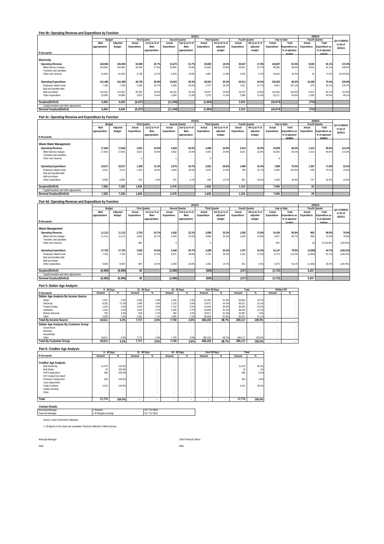|                                         |               |          |             |                      |             |                       | 2010/11     |                      |             |                |             |                       |                  | 2009/10               |               |
|-----------------------------------------|---------------|----------|-------------|----------------------|-------------|-----------------------|-------------|----------------------|-------------|----------------|-------------|-----------------------|------------------|-----------------------|---------------|
|                                         |               | Budget   |             | <b>First Quarter</b> |             | <b>Second Quarter</b> |             | <b>Third Quarter</b> |             | Fourth Quarter |             | Year to Date          |                  | Fourth Quarter        | Q4 of 2009/10 |
|                                         | Main          | Adjusted | Actual      | 1st Q as % of        | Actual      | 2nd Q as % of         | Actual      | 3rd Q as % of        | Actual      | 4th Q as % of  | Actual      | Total                 | Actual           | Total                 | to Q4 of      |
|                                         | appropriation | Budget   | Expenditure | Main                 | Expenditure | Main                  | Expenditure | adjusted             | Expenditure | adjusted       | Expenditure | <b>Expenditure as</b> | Expenditure      | <b>Expenditure as</b> | 2010/11       |
|                                         |               |          |             | appropriation        |             | appropriation         |             | budget               |             | budget         |             | % of adjusted         |                  | % of adjusted         |               |
| R thousands                             |               |          |             |                      |             |                       |             |                      |             |                |             | hudget                |                  | hudget                |               |
|                                         |               |          |             |                      |             |                       |             |                      |             |                |             |                       |                  |                       |               |
| Electricity                             |               |          |             |                      |             |                       |             |                      |             |                |             |                       |                  |                       |               |
| <b>Operating Revenue</b>                | 145.904       | 145.904  | 34.508      | 23.7%                | 31.673      | 21.7%                 | 26.650      | 18.3%                | 26.027      | 17.8%          | 118.857     | 81.5%                 | 9.525            | 81.1%                 | 173.3%        |
| <b>Billed Service charges</b>           | 104.084       | 104.084  | 28.769      | 27.6%                | 25.854      | 24.8%                 | 21.663      | 20.8%                | 23.651      | 22.7%          | 99.938      | 96.0%                 | 9.515            | 81.1%                 | 148.6%        |
| Transfers and subsidies                 |               | $\sim$   |             |                      |             |                       |             |                      |             | $\sim$         |             |                       |                  | $\sim$                |               |
| Other own revenue                       | 41.820        | 41.820   | 5.738       | 13.7%                | 5.819       | 13.9%                 | 4.987       | 11 9%                | 2.376       | 5.7%           | 18.919      | 45.2%                 | 10 <sup>10</sup> | 71.4%                 | 23.219.9%     |
|                                         |               |          |             |                      |             |                       |             |                      |             |                |             |                       |                  |                       |               |
| <b>Operating Expenditure</b>            | 141,480       | 141,480  | 40,745      | 28.8%                | 43,022      | 30.4%                 | 28,554      | 20.2%                | 23.511      | 16.6%          | 135,832     | 96.0%                 | 10,228           | 79.4%                 | 129.9%        |
| Employee related costs                  | 7.138         | 7.138    | 2.548       | 35.7%                | 2.535       | 35.5%                 | 2.727       | 38.2%                | 1.551       | 21.7%          | 9.361       | 131.1%                | 675              | 85.1%                 | 129.7%        |
| Bad and doubtful debt                   |               |          |             |                      |             |                       |             |                      |             | . .            |             |                       |                  |                       |               |
| <b>Bulk purchases</b>                   | 114,352       | 114.352  | 35,320      | 30.9%                | 38,103      | 33.3%                 | 23,557      | 20.6%                | 19.373      | 16.9%          | 116,354     | 101.8%                | 8.013            | 85.1%                 | 141.8%        |
| Other expenditure                       | 19.990        | 19.990   | 2.876       | 14.4%                | 2.384       | 11.9%                 | 2.270       | 11 4%                | 2.588       | 12.9%          | 10.117      | 50.6%                 | 1.539            | 48.9%                 | 68.1%         |
|                                         |               |          |             |                      |             |                       |             |                      |             |                |             |                       |                  |                       |               |
| Surplus/(Deficit)                       | 4.424         | 4.424    | (6, 237)    |                      | (11, 349)   |                       | (1,904)     |                      | 2,515       |                | (16, 974)   |                       | (703)            |                       |               |
| Capital transfers and other adjustments |               |          |             |                      |             |                       |             |                      |             |                |             |                       |                  |                       | $\sim$        |
| <b>Revised Surplus/(Deficit)</b>        | 4.424         | 4,424    | (6, 237)    |                      | (11, 349)   |                       | (1,904)     |                      | 2,515       |                | (16, 974)   |                       | (703)            |                       |               |
|                                         |               |          |             |                      |             |                       |             |                      |             |                |             |                       |                  |                       |               |

#### **Part 4c: Operating Revenue and Expenditure by Function**

|                                         |               |                          |             |                      |             |                | 2010/11     |                      |             |                |             |                       |             | 2009/10               |               |
|-----------------------------------------|---------------|--------------------------|-------------|----------------------|-------------|----------------|-------------|----------------------|-------------|----------------|-------------|-----------------------|-------------|-----------------------|---------------|
|                                         |               | Budget                   |             | <b>First Quarter</b> |             | Second Quarter |             | <b>Third Quarter</b> |             | Fourth Quarter |             | Year to Date          |             | Fourth Quarter        | Q4 of 2009/10 |
|                                         | Main          | Adjusted                 | Actual      | 1st Q as % of        | Actual      | 2nd Q as % of  | Actual      | 3rd Q as % of        | Actual      | 4th Q as % of  | Actual      | Total                 | Actual      | Total                 | to Q4 of      |
|                                         | appropriation | Budget                   | Expenditure | Main                 | Expenditure | Main           | Expenditure | adjusted             | Expenditure | adjusted       | Expenditure | <b>Expenditure as</b> | Expenditure | <b>Expenditure as</b> | 2010/11       |
|                                         |               |                          |             | appropriation        |             | appropriation  |             | budget               |             | budget         |             | % of adjusted         |             | % of adjusted         |               |
| R thousands                             |               |                          |             |                      |             |                |             |                      |             |                |             | hudget                |             | hudget                |               |
| Waste Water Management                  |               |                          |             |                      |             |                |             |                      |             |                |             |                       |             |                       |               |
| <b>Operating Revenue</b>                | 17,843        | 17,843                   | 3,021       | 16.9%                | 4.553       | 25.5%          | 4.448       | 24.9%                | 3.014       | 16.9%          | 15,036      | 84.3%                 | 1.413       | 90.6%                 | 113.4%        |
| <b>Billed Service charges</b>           | 17.843        | 17.843                   | 3.021       | 16.9%                | 4.552       | 25.5%          | 4.443       | 24.9%                | 3.014       | 16.9%          | 15.030      | 84.2%                 | 1.413       | 90.6%                 | 113.4%        |
| Transfers and subsidies                 |               | $\overline{\phantom{a}}$ |             |                      |             |                |             |                      |             |                |             |                       |             |                       | $\sim$        |
| Other own revenue                       |               |                          |             |                      |             |                |             |                      |             |                |             |                       |             | $\sim$                | $\sim$        |
|                                         |               |                          |             |                      |             |                |             |                      |             |                |             |                       |             |                       |               |
| <b>Operating Expenditure</b>            | 10,517        | 10,517                   | 1.395       | 13.3%                | 2.075       | 19.7%          | 2.821       | 26.8%                | 1.699       | 16.2%          | 7.990       | 76.0%                 | 1.387       | 71.8%                 | 22.5%         |
| Employee related costs                  | 4.512         | 4.512                    | 1.153       | 25.6%                | 1.829       | 40.5%          | 1.875       | 41.6%                | 708         | 15.7%          | 5.565       | 123.3%                | 639         | 79.2%                 | 10.8%         |
| Bad and doubtful debt                   |               | $\overline{\phantom{a}}$ |             |                      |             |                |             |                      |             |                |             |                       |             |                       | . .           |
| <b>Bulk purchases</b>                   |               | $\overline{\phantom{a}}$ |             |                      |             |                |             |                      |             | $\sim$         |             |                       | $\sim$      | $\sim$                | $\sim$        |
| Other expenditure                       | 6.005         | 6.005                    | 242         | 4.0%                 | 247         | 4 1%           | 946         | 15.7%                | 991         | 16.5%          | 2.425       | 40.4%                 | 747         | 62.49                 | 32.6%         |
|                                         |               |                          |             |                      |             |                |             |                      |             |                |             |                       |             |                       |               |
| Surplus/(Deficit)                       | 7,326         | 7,326                    | 1.626       |                      | 2,478       |                | 1,628       |                      | 1.315       |                | 7,046       |                       | 26          |                       |               |
| Capital transfers and other adjustments |               |                          |             |                      |             |                |             |                      |             | $\sim$         |             |                       |             |                       |               |
| <b>Revised Surplus/(Deficit)</b>        | 7,326         | 7.326                    | 1.626       |                      | 2,478       |                | 1,628       |                      | 1.315       |                | 7.046       |                       | 26          |                       |               |

### **Part 4d: Operating Revenue and Expenditure by Function**

|                                         |               |                          |             |                      |             |                       | 2010/11              |               |                |               |             |                |             | 2009/10        |               |
|-----------------------------------------|---------------|--------------------------|-------------|----------------------|-------------|-----------------------|----------------------|---------------|----------------|---------------|-------------|----------------|-------------|----------------|---------------|
|                                         |               | Budget                   |             | <b>First Quarter</b> |             | <b>Second Quarter</b> | <b>Third Quarter</b> |               | Fourth Quarter |               |             | Year to Date   |             | Fourth Quarter | Q4 of 2009/10 |
|                                         | Main          | Adjusted                 | Actual      | 1st Q as % of        | Actual      | 2nd Q as % of         | Actual               | 3rd Q as % of | Actual         | 4th Q as % of | Actual      | Total          | Actual      | Total          | to Q4 of      |
|                                         | appropriation | Budget                   | Expenditure | Main                 | Expenditure | Main                  | Expenditure          | adjusted      | Expenditure    | adjusted      | Expenditure | Expenditure as | Expenditure | Expenditure as | 2010/11       |
|                                         |               |                          |             | appropriation        |             | appropriation         |                      | budget        |                | budget        |             | % of adiusted  |             | % of adjusted  |               |
| R thousands                             |               |                          |             |                      |             |                       |                      |               |                |               |             | hudget         |             | hudget         |               |
| Waste Management                        |               |                          |             |                      |             |                       |                      |               |                |               |             |                |             |                |               |
| <b>Operating Revenue</b>                | 11,113        | 11.113                   | 2.743       | 24.7%                | 2.452       | 22.1%                 | 3.699                | 33.3%         | 1.530          | 13.8%         | 10.424      | 93.8%          | 865         | 89.5%          | 76.9%         |
| <b>Billed Service charges</b>           | 11,113        | 11.113                   | 1.853       | 16.7%                | 2.449       | 22.0%                 | 3.696                | 33.3%         | 1.530          | 13.8%         | 9.527       | 85.7%          | 866         | 76.3%          | 76.6%         |
| Transfers and subsidies                 | . .           | ٠                        |             | $\sim$               |             |                       |                      |               |                |               |             |                |             |                |               |
| Other own revenue                       |               | ٠                        | 891         |                      |             |                       |                      |               |                |               | 897         |                | (2)         | 12.224.8%      | (100.0%       |
|                                         |               |                          |             |                      |             |                       |                      |               |                |               |             |                |             |                |               |
| <b>Operating Expenditure</b>            | 17,703        | 17.703                   | 2.652       | 15.0%                | 5.440       | 30.7%                 | 4.288                | 24.2%         | 1.767          | 10.0%         | 14.147      | 79.9%          | (4, 393)    | 44.7%          | (140.2%)      |
| Employee related costs                  | 7,763         | 7.763                    | 1.655       | 21.3%                | 3.071       | 39.6%                 | 2.732                | 35.2%         | 1.316          | 17.0%         | 8.774       | 113.0%         | (2,909)     | 51.7%          | (145.2%)      |
| Bad and doubtful debt                   |               | $\overline{\phantom{a}}$ |             |                      |             |                       |                      |               |                |               |             |                |             |                |               |
| <b>Bulk purchases</b>                   |               | ٠                        | $\sim$      |                      |             |                       |                      |               |                |               | $\sim$      |                |             |                |               |
| Other expenditure                       | 9,940         | 9.940                    | 997         | 10.0%                | 2.369       | 23.8%                 | 1.556                | 15.7%         | 451            | 4.5%          | 5.373       | 54.19          | (1,484)     | 30.2%          | (130.4%)      |
|                                         |               |                          |             |                      |             |                       |                      |               |                |               |             |                |             |                |               |
| Surplus/(Deficit)                       | (6, 590)      | (6, 590)                 | 92          |                      | (2,989)     |                       | (589)                |               | (237)          |               | (3, 723)    |                | 5,257       |                |               |
| Capital transfers and other adjustments |               |                          |             |                      |             |                       |                      |               |                |               |             |                |             |                |               |
| <b>Revised Surplus/(Deficit)</b>        | (6, 590)      | (6, 590)                 | 92          |                      | (2,989)     |                       | (589)                |               | (237)          |               | (3, 723)    |                | 5,257       |                |               |

## **Part 5: Debtor Age Analysis** R housands<br>
R housands **Example 19 (1998)**<br>
Water Christian Marketten (1998)<br>
Water Christian (1998)<br>
Water Christian (1998)<br>
Property Rates (1998)<br>
Property Rates (1998)<br>
Property Rates (1998)<br>
The Christian (1998)<br>
Prope 10da By Income Source 18,511 6.2% 7,717 2.6% 7,730 2.6% 266,159 88.7% 300,117 100.0% .<br>Debtor Age Analysis By Customer Group<br>- Government<br>- Households<br>- Households - 18,511 18,511 18,517 18,521 18,517 2.6% 7,730 2.6% 2.66,159 88.7% 300,117 100.0% - -**Total By Customer Group 18,511 6.2% 7,717 2.6% 7,730 2.6% 266,159 88.7% 300,117 100.0% - -**  0 - 30 Days **1 - 61 - 90 Days 1 - 61 - 90 Days** 90 Days 90 Days 90 Days 1 - 1 - 1 - Written Off

**Part 6: Creditor Age Analysis**

|                                                                                                                                                                                                                              |                                                                        | 0 - 30 Days                                                                                    |                          | 31 - 60 Days                              | 61 - 90 Days                              |                          |                            | Over 90 Days | Total                               |                                       |
|------------------------------------------------------------------------------------------------------------------------------------------------------------------------------------------------------------------------------|------------------------------------------------------------------------|------------------------------------------------------------------------------------------------|--------------------------|-------------------------------------------|-------------------------------------------|--------------------------|----------------------------|--------------|-------------------------------------|---------------------------------------|
| R thousands                                                                                                                                                                                                                  | Amount                                                                 | %                                                                                              | Amount                   | %                                         | Amount                                    | %                        | Amount                     | %            | Amount                              | %                                     |
| <b>Creditor Age Analysis</b><br><b>Bulk Electricity</b><br><b>Bulk Water</b><br>PAYE deductions<br>VAT (output less input)<br>Pensions / Retirement<br>Loan repayments<br><b>Trade Creditors</b><br>Auditor-General<br>Other | 11.078<br>15<br>965<br>$\sim$<br>503<br>$\sim$<br>5.214<br>٠<br>$\sim$ | 100.0%<br>100.0%<br>100.0%<br>$\sim$<br>100.0%<br>$\sim$<br>100.0%<br>$\overline{\phantom{a}}$ |                          | ٠<br>٠<br>٠<br>٠<br>٠<br>٠<br>٠<br>٠<br>٠ | ۰<br>٠<br>٠<br>٠<br>٠<br>٠<br>٠<br>٠<br>٠ | $\sim$                   | ٠<br>٠<br>٠<br>٠<br>٠<br>٠ | ٠<br>٠<br>٠  | 11.078<br>15<br>965<br>503<br>5.214 | 62.3%<br>.1%<br>5.4%<br>2.8%<br>29.3% |
| Total                                                                                                                                                                                                                        | 17,774                                                                 | 100.0%                                                                                         | $\overline{\phantom{a}}$ | $\overline{\phantom{a}}$                  | $\overline{\phantom{a}}$                  | $\overline{\phantom{a}}$ |                            |              | 17,774                              | 100.0%                                |

#### **Contact Details**

| Contact Details                  |                       |              |
|----------------------------------|-----------------------|--------------|
| Municipal Manager                | Sindane               | 017 712 9613 |
| <b>Financial Manager</b>         | J M Mokgatsi (acting) | 017 712 9613 |
| Source Local Government Database |                       |              |

1. All figures in this report are unaudited. Revenue reflected is billed revenue

Date: Date: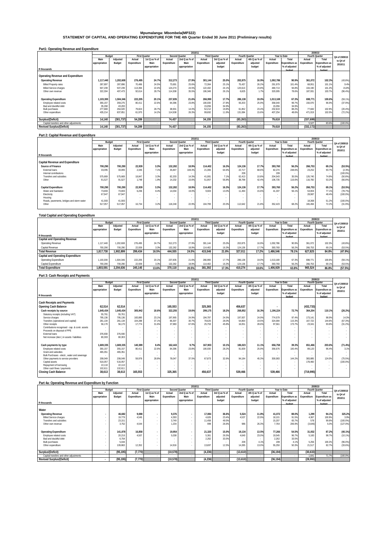#### **Mpumalanga: Mbombela(MP322)**

#### **STATEMENT OF CAPITAL AND OPERATING EXPENDITURE FOR THE 4th Quarter Ended 30 June 2011 (Preliminary results)**

|  | Part1: Operating Revenue and Expenditure |
|--|------------------------------------------|
|--|------------------------------------------|

|                                         |               |            |                          |               |             | 2010/11               |                      |               |                |               |             |                |                          | 2009/10               |               |
|-----------------------------------------|---------------|------------|--------------------------|---------------|-------------|-----------------------|----------------------|---------------|----------------|---------------|-------------|----------------|--------------------------|-----------------------|---------------|
|                                         | Budget        |            | <b>First Quarter</b>     |               |             | <b>Second Quarter</b> | <b>Third Quarter</b> |               | Fourth Quarter |               |             | Year to Date   |                          | Fourth Quarter        | Q4 of 2009/10 |
|                                         | Main          | Adjusted   | Actual                   | 1st Q as % of | Actual      | 2nd Q as % of         | Actual               | 3rd Q as % of | Actual         | 4th Q as % of | Actual      | Total          | Actual                   | Total                 | to Q4 of      |
|                                         | appropriation | Budget     | Expenditure              | Main          | Expenditure | Main                  | Expenditure          | adjusted      | Expenditure    | adjusted      | Expenditure | Expenditure as | Expenditure              | <b>Expenditure as</b> | 2010/11       |
|                                         |               |            |                          | appropriation |             | appropriation         |                      | budget        |                | budget        |             | % of adjusted  |                          | % of adjusted         |               |
| R thousands                             |               |            |                          |               |             |                       |                      |               |                |               |             | hudget         |                          | hudget                |               |
|                                         |               |            |                          |               |             |                       |                      |               |                |               |             |                |                          |                       |               |
| Operating Revenue and Expenditure       |               |            |                          |               |             |                       |                      |               |                |               |             |                |                          |                       |               |
| <b>Operating Revenue</b>                | 117,440       | 1,202,608  | 276.495                  | 24.7%         | 312,273     | 27.9%                 | 301,144              | 25.0%         | 202,875        | 16.9%         | 1.092.786   | 90.9%          | 361.072                  | 102.3%                | (43.8%)       |
| <b>Billed Property rates</b>            | 287.897       | 287.896    | 70.486                   | 24.5%         | 73.691      | 25.6%                 | 72.364               | 25.1%         | 75.437         | 26.2%         | 291.979     | 101.4%         | 68.951                   | 101.1%                | 9.4%          |
| <b>Billed Service charges</b>           | 507.239       | 507.239    | 113.394                  | 22.4%         | 124.274     | 24.5%                 | 122.432              | 24 1%         | 120.613        | 23.8%         | 480.713     | 94.8%          | 104.190                  | 101.2%                | 15.8%         |
| Other own revenue                       | 322,304       | 407.473    | 92.614                   | 28.7%         | 114,308     | 35.5%                 | 106,348              | 26.1%         | 6.825          | 1.7%          | 320.095     | 78.6%          | 187.931                  | 103.7%                | (96.4%)       |
|                                         |               |            |                          |               |             |                       |                      |               |                |               |             |                |                          |                       |               |
| <b>Operating Expenditure</b>            | ,103,300      | 1.504.346  | 222.205                  | 20.1%         | 237.835     | 21.6%                 | 266.990              | 17.7%         | 286.138        | 19.0%         | 1.013.169   | 67.3%          | 698.771                  | 100.6%                | $(59.1\%)$    |
| Employee related costs                  | 355,157       | 359.275    | 80.411                   | 22.6%         | 84,396      | 23.8%                 | 100,030              | 27.8%         | 93.203         | 25.9%         | 358,040     | 99.7%          | 150.070                  | 96.9%                 | (37.9%        |
| Bad and doubtful debt                   | 35.260        | 43.200     | $\overline{\phantom{a}}$ |               |             |                       | 15.056               | 34 9%         |                |               | 15.056      | 34.9%          | $\overline{\phantom{a}}$ |                       |               |
| <b>Bulk purchases</b>                   | 277.669       | 264.020    | 79.824                   | 28.7%         | 38.931      | 14.09                 | 52.212               | 19.8%         | 61.852         | 23.4%         | 232.819     | 88.2%          | 77.682                   | 102.9%                | (20.4%)       |
| Other expenditure                       | 435.214       | 837.851    | 61.970                   | 14.2%         | 114.508     | 26.3%                 | 99.692               | 11 9%         | 131.084        | 15.6%         | 407.254     | 48.6%          | 471.019                  | 102.0%                | (72.2%        |
|                                         |               |            |                          |               |             |                       |                      |               |                |               |             |                |                          |                       |               |
| Surplus/(Deficit)                       | 14.140        | (301, 737) | 54.289                   |               | 74.437      |                       | 34.155               |               | (83, 263)      |               | 79.618      |                | (337,699)                |                       |               |
| Capital transfers and other adjustments |               |            |                          |               |             |                       |                      |               |                |               |             |                | 5.527                    | 83.6%                 | (100.0%       |
| <b>Revised Surplus/(Deficit)</b>        | 14,140        | (301, 737) | 54.289                   |               | 74.437      |                       | 34.155               |               | (83, 263)      |               | 79.618      |                | (332, 172)               |                       |               |

#### **Part 2: Capital Revenue and Expenditure**

|                                           | 2010/11       |                          |                          |                      |             |                       |                      |               |             |                |             | 2009/10        |             |                       |               |
|-------------------------------------------|---------------|--------------------------|--------------------------|----------------------|-------------|-----------------------|----------------------|---------------|-------------|----------------|-------------|----------------|-------------|-----------------------|---------------|
|                                           | Budget        |                          |                          | <b>First Quarter</b> |             | <b>Second Quarter</b> | <b>Third Quarter</b> |               |             | Fourth Quarter |             | Year to Date   |             | Fourth Quarter        | Q4 of 2009/10 |
|                                           | Mair          | Adjusted                 | Actual                   | 1st Q as % of        | Actual      | 2nd Q as % of         | Actual               | 3rd Q as % of | Actual      | 4th Q as % of  | Actual      | Total          | Actual      | Total                 | to Q4 of      |
|                                           | appropriation | Budget                   | Expenditure              | Main                 | Expenditure | Main                  | Expenditure          | adjusted      | Expenditure | adjusted       | Expenditure | Expenditure as | Expenditure | <b>Expenditure as</b> | 2010/11       |
|                                           |               |                          |                          | appropriation        |             | appropriation         |                      | budget        |             | budget         |             | % of adjusted  |             | % of adjusted         |               |
| R thousands                               |               |                          |                          |                      |             |                       |                      |               |             |                |             | hudget         |             | hudget                |               |
|                                           |               |                          |                          |                      |             |                       |                      |               |             |                |             |                |             |                       |               |
| Capital Revenue and Expenditure           |               |                          |                          |                      |             |                       |                      |               |             |                |             |                |             |                       |               |
| Source of Finance                         | 700,290       | 700,290                  | 22,939                   | 3.3%                 | 132,282     | 18.9%                 | 114.402              | 16.3%         | 124.136     | 17.7%          | 393,760     | 56.2%          | 266,753     | 69.1%                 | (53.5%)       |
| External loans                            | 33.095        | 33.095                   | 2.345                    | 7.1%                 | 35.847      | 108.3%                | 21.365               | 64.6%         | 22.717      | 68.6%          | 82.274      | 248.6%         | 23.252      | 93.7%                 | (2.3%)        |
| Internal contributions                    |               | $\sim$                   | $\sim$                   |                      |             |                       |                      |               | 209         |                | 209         | $\sim$         |             | $\sim$                | (100.0%       |
| Transfers and subsidies                   | 575.669       | 575.669                  | 18.847                   | 3.3%                 | 82.203      | 14.3%                 | 41.081               | 7 1%          | 62.413      | 10.8%          | 204.543     | 35.5%          | 126.740     | 74.8%                 | (50.8%)       |
| Other                                     | 91,527        | 91.527                   | 1.748                    | 1.9%                 | 14.232      | 15.6%                 | 51,957               | 56.8%         | 38.798      | 42.4%          | 106.735     | 116.6%         | 116,760     | 53.2%                 | (66.8%)       |
|                                           |               |                          |                          |                      |             |                       |                      |               |             |                |             |                |             |                       |               |
| <b>Capital Expenditure</b>                | 700.290       | 700.290                  | 22,939                   | 3.3%                 | 132.282     | 18.9%                 | 114.402              | 16.3%         | 124.136     | 17.7%          | 393.760     | 56.2%          | 266.753     | 69.1%                 | (53.5%)       |
| Water and Sanitation                      | 73.693        | 73.693                   | 6.206                    | 8.4%                 | 14.034      | 19.0%                 | 9.603                | 13.0%         | 11.494      | 15.6%          | 41.337      | 56.1%          | 53,904      | 77.1%                 | (78.7%)       |
| Electricity                               | 67.947        | 67.947                   |                          |                      |             |                       |                      |               |             |                |             |                | 28.987      | 48.4%                 | (100.0%       |
| Housing                                   |               | $\overline{\phantom{a}}$ | $\overline{\phantom{a}}$ |                      |             |                       |                      |               |             |                | $\sim$      |                |             |                       |               |
| Roads, pavements, bridges and storm water | 41,593        | 41,593                   |                          |                      |             |                       |                      |               |             |                |             | $\sim$         | 18,368      | 51.2%                 | (100.0%       |
| Other                                     | 517.057       | 517.057                  | 16.734                   | 3.2%                 | 118,248     | 22.99                 | 104.799              | 20.3%         | 112.642     | 21.8%          | 352.423     | 68.2%          | 165.494     | 72.2%                 | (31.9%)       |
|                                           |               |                          |                          |                      |             |                       |                      |               |             |                |             |                |             |                       |               |

### **Total Capital and Operating Expenditure**

|                                   | 2010/11       |           |                      |               |             |                |                      |               |                |               | 2009/10     |                       |                |                |               |
|-----------------------------------|---------------|-----------|----------------------|---------------|-------------|----------------|----------------------|---------------|----------------|---------------|-------------|-----------------------|----------------|----------------|---------------|
|                                   | Budget        |           | <b>First Quarter</b> |               |             | Second Quarter | <b>Third Quarter</b> |               | Fourth Ouarter |               |             | Year to Date          | Fourth Quarter |                | Q4 of 2009/10 |
|                                   | Main          | Adiusted  | Actual               | 1st Q as % of | Actual      | 2nd Q as % of  | Actual               | 3rd Q as % of | Actual         | 4th Q as % of | Actual      | Total                 | Actual         | Total          | to Q4 of      |
|                                   | appropriation | Budget    | Expenditure          | Main          | Expenditure | Main           | Expenditure          | adiusted      | Expenditure    | adjusted      | Expenditure | <b>Expenditure as</b> | Expenditure    | Expenditure as | 2010/11       |
|                                   |               |           |                      | appropriation |             | appropriation  |                      | budget        |                | budget        |             | % of adjusted         |                | % of adjusted  |               |
| R thousands                       |               |           |                      |               |             |                |                      |               |                |               |             | hudget                |                | hudget         |               |
| Capital and Operating Revenue     |               |           |                      |               |             |                |                      |               |                |               |             |                       |                |                |               |
| Operating Revenue                 | ,117,440      | .202.608  | 276.495              | 24.7%         | 312.273     | 27.9%          | 301.144              | 25.09         | 202.875        | 16.9%         | 1.092.786   | 90.9%                 | 361.072        | 102.3%         | (43.8%)       |
| Capital Revenue                   | 700.290       | 700.290   | 22.939               | 3.3%          | 132.282     | 18.9%          | 114.402              | 16.39         | 124.136        | 17.7%         | 393.760     | 56.2%                 | 266.753        | 69.1%          | (53.5%)       |
| <b>Total Revenue</b>              | 1.817.730     | .902.899  | 299.434              | 16.5%         | 444.555     | 24.5%          | 415.546              | 21.8%         | 327.011        | 17.2%         | 1.486.546   | 78.1%                 | 627.825        | 84.8%          | (47.9%)       |
| Capital and Operating Expenditure |               |           |                      |               |             |                |                      |               |                |               |             |                       |                |                |               |
| Operating Expenditure             | .103.300      | .504.346  | 222.205              | 20.1%         | 237.835     | 21.6%          | 266.990              | 17.7%         | 286.138        | 19.0%         | 1.013.169   | 67.3%                 | 698.771        | 100.6%         | $(59.1\%)$    |
| Capital Expenditure               | 700.290       | 700.290   | 22.939               | 3.3%          | 132.282     | 18.9%          | 114.402              | 16.39         | 124.136        | 17.7%         | 393.760     | 56.2%                 | 266.753        | 69.1%          | (53.5%)       |
| <b>Total Expenditure</b>          | 1.803.591     | 2.204.636 | 245.145              | 13.6%         | 370.118     | 20.5%          | 381.392              | 17.3%         | 410.274        | 18.6%         | 1.406.929   | 63.8%                 | 965.524        | 86.8%          | (57.5%)       |
|                                   |               |           |                      |               |             |                |                      |               |                |               |             |                       |                |                |               |

| Part 3: Cash Receipts and Payments |  |
|------------------------------------|--|
|                                    |  |

|                                                 |               |           |                          |                      |             | 2010/11        |                      |               |                |               |             |                       |             | 2009/10               |               |
|-------------------------------------------------|---------------|-----------|--------------------------|----------------------|-------------|----------------|----------------------|---------------|----------------|---------------|-------------|-----------------------|-------------|-----------------------|---------------|
|                                                 | Budget        |           |                          | <b>First Quarter</b> |             | Second Quarter | <b>Third Quarter</b> |               | Fourth Quarter |               |             | Year to Date          |             | Fourth Quarter        | Q4 of 2009/10 |
|                                                 | Main          | Adjusted  | Actual                   | 1st Q as % of        | Actual      | 2nd Q as % of  | Actual               | 3rd Q as % of | Actual         | 4th Q as % of | Actual      | Total                 | Actual      | Total                 | to Q4 of      |
|                                                 | appropriation | Budget    | Expenditure              | Main                 | Expenditure | Main           | Expenditure          | adjusted      | Expenditure    | adjusted      | Expenditure | <b>Expenditure as</b> | Expenditure | <b>Expenditure as</b> | 2010/11       |
|                                                 |               |           |                          | appropriation        |             | appropriation  |                      | budget        |                | budget        |             | % of adjusted         |             | % of adjusted         |               |
| R thousands                                     |               |           |                          |                      |             |                |                      |               |                |               |             | hudget                |             | hudget                |               |
| <b>Cash Receipts and Payments</b>               |               |           |                          |                      |             |                |                      |               |                |               |             |                       |             |                       |               |
| <b>Opening Cash Balance</b>                     | 62,514        | 62.514    | $\cdot$                  |                      | 165,553     |                | 325,365              |               | 456,637        |               | ۰           |                       | (432, 733)  |                       |               |
| Cash receipts by source                         | 1,645,434     | 1,645,434 | 305,942                  | 18.6%                | 322,255     | 19.6%          | 299,175              | 18.2%         | 268,852        | 16.3%         | 1,196,224   | 72.7%                 | 364,204     | 110.1%                | (26.2%)       |
| Statutory receipts (including VAT)              | 55.761        | 55.761    | $\sim$                   | $\sim$               |             |                |                      |               |                | $\sim$        |             | ۰.                    | $\sim$      |                       |               |
| Service charges                                 | 795.136       | 795.136   | 183.880                  | 23.1%                | 197.965     | 24.9%          | 194.797              | 24.5%         | 197.937        | 24 9%         | 774.579     | 97.4%                 | 173.141     | 98.9%                 | 14.3%         |
| Transfers (operational and capital)             | 281,134       | 281,134   | 104,288                  | 37.1%                | 86,307      | 30.7%          | 78,625               | 28.0%         | 54.864         | 19.5%         | 324.084     | 115.3%                | 167,722     | 144.6%                | (67.3%)       |
| Other receipts                                  | 56.170        | 56.170    | 17.774                   | 31.6%                | 37,983      | 67.6%          | 25.753               | 45.8%         | 16.051         | 28.6%         | 97.561      | 173.7%                | 23.341      | 93.8%                 | (31.2%)       |
| Contributions recognised - cap. & contr. assets |               |           | $\overline{\phantom{a}}$ | $\sim$               |             |                |                      |               |                |               |             |                       |             |                       |               |
| Proceeds on disposal of PPE                     |               |           | $\overline{\phantom{a}}$ |                      |             |                |                      |               |                |               |             |                       |             |                       |               |
| <b>External Inans</b>                           | 376,930       | 376.930   | $\overline{\phantom{a}}$ |                      |             |                |                      |               |                |               |             |                       |             |                       |               |
| Net increase (decr.) in assets / liabilities    | 80.303        | 80.303    |                          |                      |             |                |                      |               |                |               |             |                       |             |                       |               |
|                                                 |               |           |                          |                      |             |                |                      |               |                |               |             |                       |             |                       |               |
| Cash payments by type                           | 1,669,335     | 1,669,335 | 140,389                  | 8.4%                 | 162,443     | 9.7%           | 167,903              | 10.1%         | 186,023        | 11.1%         | 656.758     | 39.3%                 | 651,466     | 203.6%                | (71.4%)       |
| Employee related costs                          | 355,157       | 355.157   | 80.411                   | 22.6%                | 84,396      | 23.8%          | 100,030              | 28.2%         | 91.839         | 25.9%         | 356,676     | 100.4%                | 89,120      | 96.4%                 | 3.1%          |
| Grant and subsidies                             | 465,351       | 465.351   | $\sim$                   | $\sim$               |             |                |                      | $\sim$        |                |               |             |                       |             |                       |               |
| Bulk Purchases - electr., water and sewerage    |               | $\sim$    |                          |                      |             |                |                      | $\sim$        |                | $\sim$        |             |                       |             |                       |               |
| Other payments to service providers             | 208.049       | 208.049   | 59.978                   | 28.8%                | 78.047      | 37.5%          | 67.873               | 32.6%         | 94.184         | 45.3%         | 300.083     | 144.2%                | 383.885     | 124.0%                | (75.5%)       |
| Capital assets                                  | 516,057       | 516.057   | $\sim$                   | $\sim$               | $\sim$      |                |                      |               |                | . .           |             | $\sim$                | 178.460     | . .                   | (100.0%       |
| Repayment of borrowing                          | 22,110        | 22.110    | ÷                        | $\sim$               |             |                |                      |               |                |               |             |                       |             |                       |               |
| Other cash flows / payments                     | 102,611       | 102.611   |                          |                      |             |                |                      |               |                |               |             |                       |             |                       |               |
| <b>Closing Cash Balance</b>                     | 38,613        | 38,613    | 165,553                  |                      | 325,365     |                | 456,637              |               | 539,466        |               | 539,466     |                       | (719, 995)  |                       |               |
|                                                 |               |           |                          |                      |             |                |                      |               |                |               |             |                       |             |                       |               |

#### **Part 4a: Operating Revenue and Expenditure by Function R thousands Main appropriation Adjusted Budget Actual Expenditure 1st Q as % of Main appropriation Actual Expenditure 2nd Q as % of Main appropriation Actual Expenditure 3rd Q as % of adjusted budget Actual Expenditure 4th Q as % of adjusted budget Expenditure Expenditure as** <br> **1** % of adjusted budget **budget Expenditure** <br> **Expenditure as** <br> **1** % of adjusted budget<br> **budget Water**<br> **Operating Revenue**<br> **Billed Service charges<br>
Transfers and subsidies<br>
Other own revenue Operating Revenue - 46,682 9,088 - 9,376 - 17,084 36.6% 5,524 11.8% 41,072 88.0% 1,299 94.1% 325.2%** Billed Service charges - 19,779 4,545 - 4,393 - 4,626 23.4% 4,537 22.9% 18,101 91.5% 4,367 100.9% 3.9% Transfers and subsidies - 23,151 - - - 3,749 - 11,458 - 49.5% - - 15,207 65.7% 578 99.8% (100.0%) Other own revenue - - 3,752 4,544 - 1,234 - 999 26.6% 986 26.3% 7,764 206.9% (3,646) 5.0% (127.0%) **Operating Expenditure - 141,878 16,858 - 19,954 - 21,320 15.0% 19,134 13.5% 77,266 54.5% 31,932 87.2% (40.1%)** Employee related costs - | 20,216 | 4,507 | 5,038 | - | 5,361 26.5% | 4,640 | 23.0% 19,545 96.7% | 5,160 | 98.7% (10.1%) Bad and doubtful debt - 6,754 - - - - 2,262 33.5% - - 2,262 33.5% - - - Bulk purchases - 5,044 - - - - - - 209 4.1% 209 4.1% 5,256 100.2% (96.0%) Other expenditure - - 109,863 12,352 - 14,916 - 14,976 - 13,697 12.5% 14,285 13.0% 55,250 50.3% 21,517 82.7% (33.6%) **Surplus/(Deficit) - (95,195) (7,770) (10,578) (4,236) (13,610) (36,194) (30,633)**  Capital transfers and other adjustments - - - - - 1,641 71.7% (100.0%) Revised Surplus/(Deficit) (95,195) (7,770) (10,578) (4,236) (13,610) (36,194) (28,993)  **2010/11 2009/10 Q4 of 2009/10 to Q4 of 2010/11 Budget** | First Quarter | Second Quarter | Third Quarter | Fourth Quarter | Year to Date | Fourth Quarter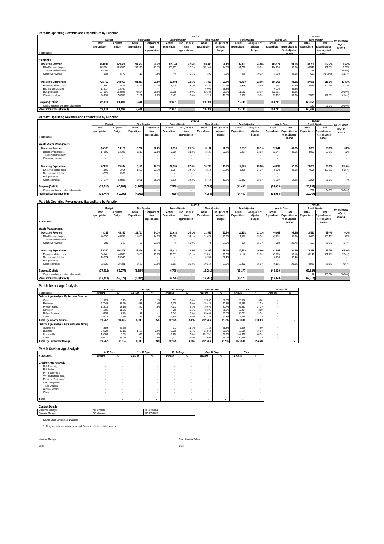|                                         |               |          |             |                      |             |                       | 2010/11     |                      |             |                |             |                |             | 2009/10               |               |
|-----------------------------------------|---------------|----------|-------------|----------------------|-------------|-----------------------|-------------|----------------------|-------------|----------------|-------------|----------------|-------------|-----------------------|---------------|
|                                         |               | Budget   |             | <b>First Quarter</b> |             | <b>Second Quarter</b> |             | <b>Third Quarter</b> |             | Fourth Quarter |             | Year to Date   |             | Fourth Quarter        | Q4 of 2009/10 |
|                                         | Main          | Adjusted | Actual      | 1st Q as % of        | Actual      | 2nd Q as % of         | Actual      | 3rd Q as % of        | Actual      | 4th Q as % of  | Actual      | Total          | Actual      | Total                 | to Q4 of      |
|                                         | appropriation | Budget   | Expenditure | Main                 | Expenditure | Main                  | Expenditure | adjusted             | Expenditure | adjusted       | Expenditure | Expenditure as | Expenditure | <b>Expenditure as</b> | 2010/11       |
|                                         |               |          |             | appropriation        |             | appropriation         |             | budget               |             | budget         |             | % of adjusted  |             | % of adjusted         |               |
| R thousands                             |               |          |             |                      |             |                       |             |                      |             |                |             | hudget         |             | hudgot                |               |
|                                         |               |          |             |                      |             |                       |             |                      |             |                |             |                |             |                       |               |
| Electricity                             |               |          |             |                      |             |                       |             |                      |             |                |             |                |             |                       |               |
| <b>Operating Revenue</b>                | 468.011       | 429.480  | 94.592      | 20.2%                | 105.743     | 22.6%                 | 103.448     | 24.1%                | 102.191     | 23.8%          | 405.974     | 94.5%          | 88.736      | 102.7%                | 15.2%         |
| <b>Billed Service charges</b>           | 445.081       | 425.302  | 93.976      | 21.1%                | 105.297     | 23.7%                 | 103.148     | 24.3%                | 101.766     | 23.9%          | 404.186     | 95.0%          | 86.349      | 101.5%                | 17.9%         |
| Transfers and subsidies                 | 15.000        |          |             |                      |             |                       |             |                      |             |                |             |                | 1.752       | . .                   | (100.0%       |
| Other own revenue                       | 7.930         | 4.178    | 616         | 7.8%                 | 446         | 5.6%                  | 301         | 7.2%                 | 425         | 10.2%          | 1.788       | 42.8%          | 635         | $(454.5\%)$           | (33.1%)       |
|                                         |               |          |             |                      |             |                       |             |                      |             |                |             |                |             |                       |               |
| <b>Operating Expenditure</b>            | 425.702       | 348.071  | 91,351      | 21.5%                | 53.092      | 12.5%                 | 74.359      | 21.4%                | 76.460      | 22.0%          | 295.263     | 84.8%          | 27.978      | 115.9%                | 173.3%        |
| Employee related costs                  | 43.891        | 23.527   | 5.366       | 12.2%                | 5.779       | 13.2%                 | 6.452       | 27.4%                | 5.996       | 25.5%          | 23.593      | 100.3%         | 5.095       | 100.9%                | 17.7%         |
| Bad and doubtful debt                   | 13.917        | 10.140   |             |                      |             |                       | 6.008       | 59.3%                |             | $\sim$         | 6.008       | 59.3%          |             | $\sim$                | . .           |
| <b>Bulk purchases</b>                   | 277.595       | 258.902  | 79.824      | 28.8%                | 38.905      | 14.0%                 | 52.183      | 20.2%                | 61.642      | 23.8%          | 232.555     | 89.8%          |             | $\sim$                | (100.0%       |
| Other expenditure                       | 90.299        | 55.503   | 6.161       | 6.89                 | 8.407       | 9.3%                  | 9.716       | 17.5%                | 8.822       | 15.9%          | 33.107      | 59.6%          | 22.883      | 122.3%                | (61.4%)       |
|                                         |               |          |             |                      |             |                       |             |                      |             |                |             |                |             |                       |               |
| Surplus/(Deficit)                       | 42.309        | 81.409   | 3.241       |                      | 52.651      |                       | 29.089      |                      | 25,731      |                | 110.711     |                | 60,758      |                       |               |
| Capital transfers and other adjustments |               |          |             |                      |             |                       |             |                      |             |                |             |                | 145         | 36.8%                 | $(100.0\%)$   |
| <b>Revised Surplus/(Deficit)</b>        | 42.309        | 81.409   | 3.241       |                      | 52,651      |                       | 29,089      |                      | 25,731      |                | 110.711     |                | 60,903      |                       |               |
|                                         |               |          |             |                      |             |                       |             |                      |             |                |             |                |             |                       |               |

#### **Part 4c: Operating Revenue and Expenditure by Function**

|                                         |               |           |             |                      |             |                | 2010/11                  |               |             |                |             |                |             | 2009/10        |               |
|-----------------------------------------|---------------|-----------|-------------|----------------------|-------------|----------------|--------------------------|---------------|-------------|----------------|-------------|----------------|-------------|----------------|---------------|
|                                         | Budget        |           |             | <b>First Quarter</b> |             | Second Quarter | <b>Third Quarter</b>     |               |             | Fourth Quarter |             | Year to Date   |             | Fourth Quarter | Q4 of 2009/10 |
|                                         | Main          | Adjusted  | Actual      | 1st Q as % of        | Actual      | 2nd Q as % of  | Actual                   | 3rd Q as % of | Actual      | 4th Q as % of  | Actual      | Total          | Actual      | Total          | to Q4 of      |
|                                         | appropriation | Budget    | Expenditure | Main                 | Expenditure | Main           | Expenditure              | adjusted      | Expenditure | adjusted       | Expenditure | Expenditure as | Expenditure | Expenditure as | 2010/11       |
|                                         |               |           |             | appropriation        |             | appropriation  |                          | budget        |             | budget         |             | % of adjusted  |             | % of adjusted  |               |
| R thousands                             |               |           |             |                      |             |                |                          |               |             |                |             | hudget         |             | hudget         |               |
| Waste Water Management                  |               |           |             |                      |             |                |                          |               |             |                |             |                |             |                |               |
| Operating Revenue                       | 14,106        | 14.106    | 3.210       | 22.8%                | 2.996       | 21.2%          | 3.181                    | 22.6%         | 3.257       | 23.1%          | 12.644      | 89.6%          | 3.065       | 98.6%          | 6.2%          |
| <b>Billed Service charges</b>           | 14.106        | 14.106    | 3.210       | 22.8%                | 2.996       | 21.2%          | 3.181                    | 22.6%         | 3.257       | 23.1%          | 12.644      | 89.6%          | 3.065       | 97.5%          | 6.2%          |
| <b>Transfers and subsidies</b>          |               |           | $\sim$      |                      |             |                | $\overline{\phantom{a}}$ |               |             |                |             |                |             |                | $\sim$        |
| Other own revenue                       |               | ÷.        |             |                      |             |                |                          |               |             |                |             |                |             |                | $\sim$        |
| <b>Operating Expenditure</b>            | 47,852        | 75.014    | 8.173       | 17.1%                | 10,535      | 22.0%          | 10.269                   | 13.7%         | 17.720      | 23.6%          | 46.697      | 62.3%          | 23,809      | 90.6%          | (25.6%)       |
| Employee related costs                  | 5.506         | 5.664     | 1.302       | 23.7%                | 1.357       | 24.6%          | 1.550                    | 27.4%         | 1.398       | 24.7%          | 5.608       | 99.0%          | 7.554       | 102.5%         | (81.5%)       |
| Bad and doubtful debt                   | 4.370         | 5.362     | $\sim$      |                      |             |                |                          |               |             |                |             |                |             |                | $\sim$        |
| <b>Bulk purchases</b>                   |               |           | $\sim$      |                      |             |                |                          |               |             |                |             |                |             |                | $\sim$        |
| Other expenditure                       | 37.977        | 63.988    | 6.871       | 18.1%                | 9.178       | 24.2%          | 8.719                    | 13.6%         | 16.322      | 25.5%          | 41.089      | 64.2%          | 16.254      | 86.5%          | .4%           |
| Surplus/(Deficit)                       | (33, 747)     | (60, 909) | (4,963)     |                      | (7, 539)    |                | (7,088)                  |               | (14, 463)   |                | (34, 053)   |                | (20, 743)   |                |               |
| Capital transfers and other adjustments |               |           |             |                      |             |                |                          |               |             |                |             |                | 777         | 94.0%          | (100.0%       |
| <b>Revised Surplus/(Deficit)</b>        | (33.747)      | (60.909)  | (4.963)     |                      | (7,539)     |                | (7.088)                  |               | (14, 463)   |                | (34.053)    |                | (19, 967)   |                |               |

### **Part 4d: Operating Revenue and Expenditure by Function**

|                                         |               |          |             |                      |             |                | 2010/11     |                      |                |               |             |                |             | 2009/10        |               |
|-----------------------------------------|---------------|----------|-------------|----------------------|-------------|----------------|-------------|----------------------|----------------|---------------|-------------|----------------|-------------|----------------|---------------|
|                                         |               | Budget   |             | <b>First Quarter</b> |             | Second Quarter |             | <b>Third Quarter</b> | Fourth Quarter |               |             | Year to Date   |             | Fourth Quarter | Q4 of 2009/10 |
|                                         | Main          | Adjusted | Actual      | 1st Q as % of        | Actual      | 2nd Q as % of  | Actual      | 3rd Q as % of        | Actual         | 4th Q as % of | Actual      | Total          | Actual      | Total          | to Q4 of      |
|                                         | appropriation | Budget   | Expenditure | Main                 | Expenditure | Main           | Expenditure | adjusted             | Expenditure    | adjusted      | Expenditure | Expenditure as | Expenditure | Expenditure as | 2010/11       |
|                                         |               |          |             | appropriation        |             | appropriation  |             | budget               |                | budget        |             | % of adiusted  |             | % of adjusted  |               |
| R thousands                             |               |          |             |                      |             |                |             |                      |                |               |             | hudget         |             | hudget         |               |
| Waste Management                        |               |          |             |                      |             |                |             |                      |                |               |             |                |             |                |               |
| <b>Operating Revenue</b>                | 48,332        | 48.332   | 11.723      | 24.3%                | 11.633      | 24.1%          | 11.556      | 23.9%                | 11.152         | 23.1%         | 46.063      | 95.3%          | 10.511      | 99.4%          | 6.1%          |
| <b>Billed Service charges</b>           | 48.052        | 48.052   | 11.663      | 24.3%                | 11.588      | 24.1%          | 11.478      | 23.9%                | 11.052         | 23.0%         | 45.782      | 95.3%          | 10.408      | 100.1%         | 6.2%          |
| Transfers and subsidies                 |               |          |             |                      |             |                |             |                      |                |               |             |                |             |                |               |
| Other own revenue                       | 280           | 280      | 59          | 21.1%                | 45          | 16.0%          | 78          | 27.9%                | 100            | 35.7%         | 282         | 100.7%         | 103         | 79.7%          | (2.7%)        |
|                                         |               |          |             |                      |             |                |             |                      |                |               |             |                |             |                |               |
| <b>Operating Expenditure</b>            | 85,750        | 101.409  | 17,306      | 20.2%                | 18.412      | 21.5%          | 29.836      | 29.4%                | 27.329         | 26.9%         | 92.883      | 91.6%          | 78.139      | 87.7%          | $(65.0\%)$    |
| Employee related costs                  | 36.741        | 43.285   | 8.655       | 23.6%                | 10.311      | 28.1%          | 12.831      | 29.6%                | 14.116         | 32.6%         | 45.913      | 106.1%         | 33.147      | 101.7%         | (57.4%)       |
| Bad and doubtful debt                   | 16.974        | 20.943   |             |                      |             |                | 6.786       | 32.4%                |                |               | 6.786       | 32.4%          |             |                |               |
| <b>Bulk purchases</b>                   |               |          |             |                      |             |                |             |                      |                |               |             |                |             |                |               |
| Other expenditure                       | 32,035        | 37.181   | 8.652       | 27.0%                | 8.101       | 25.3%          | 10,219      | 27.5%                | 13.212         | 35.5%         | 40.185      | 108.1%         | 44,992      | 78.1%          | (70.6%)       |
|                                         |               |          |             |                      |             |                |             |                      |                |               |             |                |             |                |               |
| Surplus/(Deficit)                       | (37, 418)     | (53,077) | (5,584)     |                      | (6, 779)    |                | (18, 281)   |                      | (16, 177)      |               | (46, 820)   |                | (67, 627)   |                |               |
| Capital transfers and other adjustments |               |          |             |                      |             |                |             |                      |                |               |             |                | 13.         | 100.0%         | (100.0%       |
| <b>Revised Surplus/(Deficit)</b>        | (37, 418)     | (53,077) | (5,584)     |                      | (6, 779)    |                | (18, 281)   |                      | (16, 177)      |               | (46, 820)   |                | (67, 614)   |                |               |

 $\overline{\phantom{a}}$ 

### **Part 5: Debtor Age Analysis**

|                                       |        | 0 - 30 Days |        | 31 - 60 Days | 61 - 90 Days |       | Over 90 Days |       | Total   |        | Written Off |   |
|---------------------------------------|--------|-------------|--------|--------------|--------------|-------|--------------|-------|---------|--------|-------------|---|
| R thousands                           | Amount | %           | Amount | %            | Amount       | %     | Amount       | %     | Amount  | %      | Amount      | % |
| Debtor Age Analysis By Income Source  |        |             |        |              |              |       |              |       |         |        |             |   |
| Water                                 | 1.626  | 8.1%        | 25     | .1%          | 599          | 3.0%  | 17.837       | 88.8% | 20.086  | 5.6%   |             |   |
| Electricity                           | 27.249 | 57.9%       | 638    | 1.4%         | 3.725        | 7.9%  | 15.425       | 32.8% | 47.038  | 13.1%  |             |   |
| Property Rates                        | 12.818 | 13.1%       | 870    | .9%          | 4.172        | 4.3%  | 79.693       | 81.7% | 97.553  | 27.2%  |             |   |
| Sanitation                            | 1.106  | 11.0%       |        |              | 308          | 3.1%  | 8.596        | 85.8% | 10.014  | 2.8%   |             |   |
| Refuse Removal                        | 3.233  | 4.7%        |        |              | 1.542        | 2.3%  | 63.405       | 93.0% | 68.201  | 19.0%  |             |   |
| Other                                 | 5,516  | 4.8%        | 381    | .3%          | 1.830        | 1.6%  | 107.770      | 93.3% | 115.496 | 32.2%  |             |   |
| <b>Total By Income Source</b>         | 51.547 | 14.4%       | 1.939  | .5%          | 12.175       | 3.4%  | 292.726      | 81.7% | 358.388 | 100.0% |             |   |
| Debtor Age Analysis By Customer Group |        |             |        |              |              |       |              |       |         |        |             |   |
| Government                            | 1.659  | 49.6%       |        |              | 372          | 11.1% | 1.315        | 39.3% | 3.346   | .9%    |             |   |
| <b>Business</b>                       | 23.324 | 39.1%       | 1.198  | 2.0%         | 3.205        | 5.4%  | 31.853       | 53.5% | 59.580  | 16.6%  |             |   |
| Households                            | 15.888 | 6.5%        | 510    | .2%          | 6.286        | 2.6%  | 221.952      | 90.7% | 244.636 | 68.3%  |             |   |
| Other                                 | 10.677 | 21.0%       | 230    | .5%          | 2.313        | 4.6%  | 37.606       | 74.0% | 50.826  | 14.2%  |             |   |
| <b>Total By Customer Group</b>        | 51.547 | 14.4%       | 1.939  | .5%          | 12.175       | 3.4%  | 292.726      | 81.7% | 358.388 | 100.0% |             |   |

### **Part 6: Creditor Age Analysis**

|                                           |                          | 0 - 30 Days              | 31 - 60 Days                  |                                                      | 61 - 90 Days             |                          |                       | Over 90 Days     | Total  |   |
|-------------------------------------------|--------------------------|--------------------------|-------------------------------|------------------------------------------------------|--------------------------|--------------------------|-----------------------|------------------|--------|---|
| R thousands                               | Amount                   | %                        | Amount                        | %                                                    | Amount                   | %                        | Amount                | %                | Amount | % |
| <b>Creditor Age Analysis</b>              |                          |                          |                               |                                                      |                          |                          |                       |                  |        |   |
| <b>Bulk Electricity</b>                   | $\sim$                   |                          | ٠                             | $\sim$                                               |                          | ۰                        | ٠                     |                  |        |   |
| <b>Bulk Water</b><br>PAYE deductions      | $\sim$<br><b>County</b>  |                          | ٠<br>٠                        | $\sim$                                               |                          | ۰<br>۰                   | ٠<br><b>The Story</b> |                  | $\sim$ |   |
| VAT (output less input)                   | ٠                        |                          | ٠                             |                                                      |                          | ۰                        | ٠                     |                  |        |   |
| Pensions / Retirement                     | $\sim$                   | $\overline{\phantom{a}}$ | ٠                             | $\sim$                                               |                          | ۰                        | ٠                     | $\sim$           |        |   |
| Loan repayments<br><b>Trade Creditors</b> | ٠<br>$\sim$              |                          | ٠<br>$\overline{\phantom{a}}$ | $\overline{\phantom{a}}$<br>$\overline{\phantom{a}}$ |                          | ۰<br>۰                   | ٠<br>٠                | $\sim$<br>$\sim$ | ٠      |   |
| Auditor-General                           | ٠                        |                          | ٠                             | $\sim$                                               |                          | ۰                        |                       |                  |        | ٠ |
| Other                                     | $\sim$                   |                          | ٠                             | $\sim$                                               |                          | ۰                        | ٠                     |                  |        | ٠ |
| Total                                     | $\overline{\phantom{a}}$ | ۰                        | $\overline{\phantom{a}}$      | $\overline{\phantom{a}}$                             | $\overline{\phantom{a}}$ | $\overline{\phantom{a}}$ |                       |                  |        |   |

| <b>Contact Details</b>           |            |              |
|----------------------------------|------------|--------------|
| Municipal Manager                | NT Mthembu | 013 759 2004 |
| <b>Financial Manager</b>         | OP Mokoena | 013 759 2005 |
| Source Local Government Database |            |              |

1. All figures in this report are unaudited. Revenue reflected is billed revenue

Date: Date: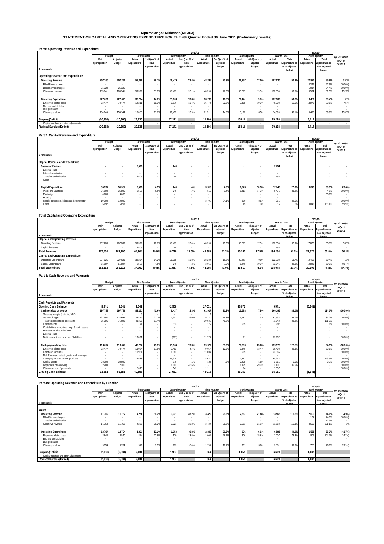## **Mpumalanga: Mkhondo(MP303) STATEMENT OF CAPITAL AND OPERATING EXPENDITURE FOR THE 4th Quarter Ended 30 June 2011 (Preliminary results)**

| Part1: Operating Revenue and Expenditure |  |
|------------------------------------------|--|
|                                          |  |

|                                         |               |           |                          |               |             | 2010/11               |                      |                          |                |               |             |                |                          | 2009/10               |               |
|-----------------------------------------|---------------|-----------|--------------------------|---------------|-------------|-----------------------|----------------------|--------------------------|----------------|---------------|-------------|----------------|--------------------------|-----------------------|---------------|
|                                         | Budget        |           | <b>First Quarter</b>     |               |             | <b>Second Quarter</b> | <b>Third Quarter</b> |                          | Fourth Quarter |               |             | Year to Date   |                          | Fourth Quarter        | Q4 of 2009/10 |
|                                         | Main          | Adjusted  | Actual                   | 1st Q as % of | Actual      | 2nd Q as % of         | Actual               | 3rd Q as % of            | Actual         | 4th Q as % of | Actual      | Total          | Actual                   | Total                 | to Q4 of      |
|                                         | appropriation | Budget    | Expenditure              | Main          | Expenditure | Main                  | Expenditure          | adjusted                 | Expenditure    | adjusted      | Expenditure | Expenditure as | Expenditure              | <b>Expenditure as</b> | 2010/11       |
|                                         |               |           |                          | appropriation |             | appropriation         |                      | budget                   |                | budget        |             | % of adjusted  |                          | % of adjusted         |               |
| R thousands                             |               |           |                          |               |             |                       |                      |                          |                |               |             | hudget         |                          | hudget                |               |
|                                         |               |           |                          |               |             |                       |                      |                          |                |               |             |                |                          |                       |               |
| Operating Revenue and Expenditure       |               |           |                          |               |             |                       |                      |                          |                |               |             |                |                          |                       |               |
| <b>Operating Revenue</b>                | 207.260       | 207.260   | 59,399                   | 28.7%         | 48,479      | 23.4%                 | 48,395               | 23.3%                    | 36.257         | 17.5%         | 192.530     | 92.9%          | 27.870                   | 55.8%                 | 30.1%         |
| <b>Billed Property rates</b>            |               | $\sim$    | $\overline{\phantom{a}}$ |               |             |                       |                      | $\sim$                   |                |               |             |                | 10.349                   | 42.9%                 | (100.0%       |
| <b>Billed Service charges</b>           | 21.320        | 21.320    | $\overline{\phantom{a}}$ |               |             |                       |                      | $\overline{\phantom{a}}$ |                |               |             | $\sim$         | 1.937                    | 34.4%                 | (100.0%       |
| Other own revenue                       | 185.941       | 185.941   | 59.399                   | 31.9%         | 48,479      | 26.1%                 | 48.395               | 26.0%                    | 36.257         | 19.5%         | 192.530     | 103.5%         | 15.584                   | 81.3%                 | 132.7%        |
|                                         |               |           |                          |               |             |                       |                      |                          |                |               |             |                |                          |                       |               |
| <b>Operating Expenditure</b>            | 227.621       | 227.621   | 32,264                   | 14.2%         | 31,308      | 13.8%                 | 38.289               | 16.8%                    | 20.441         | 9.0%          | 122.302     | 53.7%          | 19.456                   | 69.4%                 | 5.1%          |
| Employee related costs                  | 73.477        | 73.477    | 14.211                   | 19.3%         | 9.876       | 13.4%                 | 16,778               | 22.8%                    | 7.339          | 10.0%         | 48.203      | 65.6%          | 13,976                   | 83.6%                 | (47.5%)       |
| Bad and doubtful debt                   |               | $\sim$    | $\overline{\phantom{a}}$ |               |             |                       |                      |                          |                |               |             |                |                          |                       |               |
| <b>Bulk purchases</b>                   |               |           | $\overline{\phantom{a}}$ |               |             |                       |                      |                          |                |               |             |                | $\overline{\phantom{a}}$ |                       |               |
| Other expenditure                       | 154.144       | 154.144   | 18.053                   | 11.7%         | 21.433      | 13.9%                 | 21.511               | 14.0%                    | 13.102         | 8.5%          | 74.099      | 48.1%          | 5.480                    | 59.9%                 | 139.1%        |
|                                         |               |           |                          |               |             |                       |                      |                          |                |               |             |                |                          |                       |               |
| Surplus/(Deficit)                       | (20, 360)     | (20, 360) | 27.135                   |               | 17.171      |                       | 10.106               |                          | 15.816         |               | 70.228      |                | 8.414                    |                       |               |
| Capital transfers and other adjustments |               |           |                          |               |             |                       |                      |                          |                |               |             |                |                          |                       |               |
| <b>Revised Surplus/(Deficit)</b>        | (20, 360)     | (20, 360) | 27.135                   |               | 17.171      |                       | 10.106               |                          | 15.816         |               | 70.228      |                | 8.414                    |                       |               |

#### **Part 2: Capital Revenue and Expenditure**

|                                           |               |          |                          |                          |             | 2010/11               |                      |               |                |               |             |                          |                          | 2009/10        |               |
|-------------------------------------------|---------------|----------|--------------------------|--------------------------|-------------|-----------------------|----------------------|---------------|----------------|---------------|-------------|--------------------------|--------------------------|----------------|---------------|
|                                           |               | Budget   | <b>First Quarter</b>     |                          |             | <b>Second Quarter</b> | <b>Third Quarter</b> |               | Fourth Quarter |               |             | Year to Date             |                          | Fourth Quarter | Q4 of 2009/10 |
|                                           | Main          | Adjusted | Actual                   | 1st Q as % of            | Actual      | 2nd Q as % of         | Actual               | 3rd Q as % of | Actual         | 4th Q as % of | Actual      | Total                    | Actual                   | Total          | to Q4 of      |
|                                           | appropriation | Budget   | Expenditure              | Main                     | Expenditure | Main                  | Expenditure          | adjusted      | Expenditure    | adjusted      | Expenditure | Expenditure as           | Expenditure              | Expenditure as | 2010/11       |
|                                           |               |          |                          | appropriation            |             | appropriation         |                      | budget        |                | budget        |             | % of adjusted            |                          | % of adjusted  |               |
| R thousands                               |               |          |                          |                          |             |                       |                      |               |                |               |             | hudget                   |                          | hudget         |               |
|                                           |               |          |                          |                          |             |                       |                      |               |                |               |             |                          |                          |                |               |
| Capital Revenue and Expenditure           |               |          |                          |                          |             |                       |                      |               |                |               |             |                          |                          |                |               |
| Source of Finance                         |               |          | 2.505                    | $\sim$                   | 249         |                       |                      |               |                |               | 2.754       | $\sim$                   |                          |                |               |
| External loans                            |               |          | $\sim$                   |                          |             |                       |                      | $\sim$        |                |               | $\sim$      |                          |                          |                |               |
| Internal contributions                    |               | ۰        | $\sim$                   | $\sim$                   |             | $\sim$                |                      | $\sim$        |                |               | $\sim$      | $\overline{\phantom{a}}$ | $\overline{\phantom{a}}$ |                |               |
| <b>Transfers and subsidies</b>            |               |          | 2.505                    | $\overline{\phantom{a}}$ | 249         | $\sim$                |                      | $\sim$        |                |               | 2.754       | $\overline{\phantom{a}}$ |                          | $\sim$         |               |
| Other                                     |               |          | $\sim$                   |                          |             |                       |                      |               |                |               |             |                          |                          | $\sim$         | . .           |
|                                           |               |          |                          |                          |             |                       |                      |               |                |               |             |                          |                          |                |               |
| Capital Expenditure                       | 55,597        | 55,597   | 2,505                    | 4.5%                     | 249         | .4%                   | 3.916                | 7.0%          | 6.076          | 10.9%         | 12,746      | 22.9%                    | 19,843                   | 60.9%          | (69.4%)       |
| Water and Sanitation                      | 36,500        | 36,500   | 2.505                    | 6.9%                     | 249         | 7%                    | 511                  | 1.4%          | 5.211          | 14.3%         | 8.475       | 23.2%                    | . .                      | 4.8%           | (100.0%       |
| Electricity                               | 4.000         | 4.000    | $\overline{\phantom{a}}$ |                          |             | $\sim$                |                      | $\sim$        |                |               | $\sim$      | $\sim$                   | $\sim$                   | 35.9%          | $\sim$        |
| Housing                                   |               | $\sim$   | $\sim$                   |                          |             |                       |                      |               |                |               |             |                          |                          |                |               |
| Roads, pavements, bridges and storm water | 10,000        | 10.000   | $\sim$                   |                          |             |                       | 3.405                | 34.1%         | 850            | 8.5%          | 4,255       | 42.6%                    |                          | $\sim$         | (100.0%       |
| Other                                     | 5.097         | 5.097    |                          |                          |             |                       |                      |               |                | 3%            | <b>AP</b>   | .3%                      | 19.843                   | 156.1%         | (99.9%        |
|                                           |               |          |                          |                          |             |                       |                      |               |                |               |             |                          |                          |                |               |

### **Total Capital and Operating Expenditure**

|                                          |               | 2010/11<br>2009/10<br><b>First Ouarter</b><br><b>Third Ouarter</b><br>Fourth Ouarter<br>Budget<br>Fourth Quarter<br>Year to Date<br>Second Quarter<br>2nd Q as % of<br>3rd Q as % of<br>4th Q as % of<br>1st Q as % of<br>Total<br>Total<br>Adiusted<br>Actual<br>Actual<br>Actual<br>Actual<br>Actual<br>Actual<br>Main<br>Main<br>Expenditure<br>Budget<br>adiusted<br>Expenditure<br>adiusted<br>Expenditure<br>Expenditure as<br>Expenditure<br>Expenditure<br><b>Expenditure as</b><br>Expenditure<br>% of adjusted<br>% of adjusted<br>budget<br>budget<br>appropriation<br>appropriation<br>hudget<br>hudget<br>207.260<br>55.8%<br>36.257<br>59.399<br>28.7%<br>48.479<br>23.4%<br>48.395<br>17.5%<br>192.530<br>92.9%<br>27.870<br>23.3%<br>2.505<br>249<br>2.754 |        |       |        |       |        |       |        |       |         |       |        |       |               |
|------------------------------------------|---------------|----------------------------------------------------------------------------------------------------------------------------------------------------------------------------------------------------------------------------------------------------------------------------------------------------------------------------------------------------------------------------------------------------------------------------------------------------------------------------------------------------------------------------------------------------------------------------------------------------------------------------------------------------------------------------------------------------------------------------------------------------------------------------|--------|-------|--------|-------|--------|-------|--------|-------|---------|-------|--------|-------|---------------|
|                                          |               |                                                                                                                                                                                                                                                                                                                                                                                                                                                                                                                                                                                                                                                                                                                                                                            |        |       |        |       |        |       |        |       |         |       |        |       | Q4 of 2009/10 |
|                                          | Main          |                                                                                                                                                                                                                                                                                                                                                                                                                                                                                                                                                                                                                                                                                                                                                                            |        |       |        |       |        |       |        |       |         |       |        |       | to Q4 of      |
|                                          | appropriation |                                                                                                                                                                                                                                                                                                                                                                                                                                                                                                                                                                                                                                                                                                                                                                            |        |       |        |       |        |       |        |       |         |       |        |       | 2010/11       |
|                                          |               |                                                                                                                                                                                                                                                                                                                                                                                                                                                                                                                                                                                                                                                                                                                                                                            |        |       |        |       |        |       |        |       |         |       |        |       |               |
| R thousands                              |               |                                                                                                                                                                                                                                                                                                                                                                                                                                                                                                                                                                                                                                                                                                                                                                            |        |       |        |       |        |       |        |       |         |       |        |       |               |
| <b>Capital and Operating Revenue</b>     |               |                                                                                                                                                                                                                                                                                                                                                                                                                                                                                                                                                                                                                                                                                                                                                                            |        |       |        |       |        |       |        |       |         |       |        |       |               |
| Operating Revenue                        | 207.260       |                                                                                                                                                                                                                                                                                                                                                                                                                                                                                                                                                                                                                                                                                                                                                                            |        |       |        |       |        |       |        |       |         |       |        |       | 30.1%         |
| Capital Revenue                          |               |                                                                                                                                                                                                                                                                                                                                                                                                                                                                                                                                                                                                                                                                                                                                                                            |        |       |        |       |        |       |        |       |         |       |        |       |               |
| <b>Total Revenue</b>                     | 207.260       | 207.260                                                                                                                                                                                                                                                                                                                                                                                                                                                                                                                                                                                                                                                                                                                                                                    | 61.904 | 29.9% | 48.728 | 23.5% | 48.395 | 23.3% | 36.257 | 17.5% | 195.284 | 94.2% | 27.870 | 55.8% | 30.1%         |
| <b>Capital and Operating Expenditure</b> |               |                                                                                                                                                                                                                                                                                                                                                                                                                                                                                                                                                                                                                                                                                                                                                                            |        |       |        |       |        |       |        |       |         |       |        |       |               |
| Operating Expenditure                    | 227.621       | 227.621                                                                                                                                                                                                                                                                                                                                                                                                                                                                                                                                                                                                                                                                                                                                                                    | 32.264 | 14.2% | 31.308 | 13.8% | 38.289 | 16.8% | 20.441 | 9.0%  | 122.302 | 53.79 | 19.456 | 69.4% | 5.1%          |
| Capital Expenditure                      | 55.597        | 55.597                                                                                                                                                                                                                                                                                                                                                                                                                                                                                                                                                                                                                                                                                                                                                                     | 2.505  | 4.5%  | 249    |       | 3.916  | 7.0%  | 6.076  | 10.9% | 12.746  | 22.9% | 19.843 | 60.9% | (69.4%)       |
| <b>Total Expenditure</b>                 | 283,218       | 283.218                                                                                                                                                                                                                                                                                                                                                                                                                                                                                                                                                                                                                                                                                                                                                                    | 34.769 | 12.3% | 31.557 | 11.1% | 42.205 | 14.9% | 26.517 | 9.4%  | 135.048 | 47.7% | 39.299 | 66.8% | (32.5%)       |
|                                          |               |                                                                                                                                                                                                                                                                                                                                                                                                                                                                                                                                                                                                                                                                                                                                                                            |        |       |        |       |        |       |        |       |         |       |        |       |               |

### **Part 3: Cash Receipts and Payments**

|                                                 |               |                          |                          |               |             | 2010/11               |                      |               |                |               |             |                |             | 2009/10        |               |
|-------------------------------------------------|---------------|--------------------------|--------------------------|---------------|-------------|-----------------------|----------------------|---------------|----------------|---------------|-------------|----------------|-------------|----------------|---------------|
|                                                 | Budget        |                          | <b>First Quarter</b>     |               |             | <b>Second Quarter</b> | <b>Third Quarter</b> |               | Fourth Quarter |               |             | Year to Date   |             | Fourth Quarter | Q4 of 2009/10 |
|                                                 | Main          | Adjusted                 | Actual                   | 1st Q as % of | Actual      | 2nd Q as % of         | Actual               | 3rd Q as % of | Actual         | 4th Q as % of | Actual      | Total          | Actual      | Total          | to Q4 of      |
|                                                 | appropriation | Budget                   | Expenditure              | Main          | Expenditure | Main                  | Expenditure          | adiusted      | Expenditure    | adiusted      | Expenditure | Expenditure as | Expenditure | Expenditure as | 2010/11       |
|                                                 |               |                          |                          | appropriation |             | appropriation         |                      | budget        |                | budget        |             | % of adjusted  |             | % of adjusted  |               |
| R thousands                                     |               |                          |                          |               |             |                       |                      |               |                |               |             | hudoot         |             | hudoot         |               |
| <b>Cash Receipts and Payments</b>               |               |                          |                          |               |             |                       |                      |               |                |               |             |                |             |                |               |
| <b>Opening Cash Balance</b>                     | 9.541         | 9.541                    | 9,541                    |               | 42,558      |                       | 27,031               |               | 48,972         |               | 9,541       |                | (5, 341)    |                |               |
| Cash receipts by source                         | 197,788       | 197.788                  | 82,253                   | 41.6%         | 6.437       | 3.3%                  | 61,917               | 31.3%         | 15,588         | 7.9%          | 166.195     | 84.0%          | $\sim$      | 114.0%         | $(100.0\%)$   |
| Statutory receipts (including VAT)              |               | $\sim$                   |                          |               |             |                       |                      | $\sim$        |                |               | 11          |                |             |                |               |
| Service charges                                 | 122.692       | 122,692                  | 25,874                   | 21.1%         | 7.302       | 6.0%                  | 19.331               | 15.8%         | 15.032         | 12.3%         | 67.538      | 55.0%          | $\sim$      | 81.2%          | (100.0%       |
| Transfers (operational and capital)             | 75.096        | 75.096                   | 43,106                   | 57.4%         |             |                       | 30,636               | 40.8%         |                |               | 73.742      | 98.2%          |             | 161.7%         |               |
| Other receipts                                  |               |                          | 174                      |               | 113         |                       | 175                  |               | 535            |               | 997         |                |             | .6%            | (100.0%       |
| Contributions recognised - cap. & contr. assets | . .           | ÷.                       | $\overline{\phantom{a}}$ |               |             |                       |                      |               | $\sim$         |               |             |                |             |                |               |
| Proceeds on disposal of PPE                     |               | $\sim$                   | $\overline{\phantom{a}}$ |               |             |                       |                      |               |                |               |             |                |             |                |               |
| External loans                                  | . .           | ÷.                       |                          |               |             |                       |                      |               |                |               |             |                |             |                |               |
| Net increase (decr.) in assets / liabilities    |               |                          | 13.091                   |               | (977)       |                       | 11,773               |               | 21             |               | 23.907      |                |             |                | (100.0%       |
|                                                 |               |                          |                          |               |             |                       |                      |               |                |               |             |                |             |                |               |
| Cash payments by type                           | 113.677       | 113.677                  | 49,236                   | 43.3%         | 21,964      | 19.3%                 | 39.977               | 35.2%         | 28.399         | 25.0%         | 139.576     | 122.8%         |             | 84.1%          | $(100.0\%)$   |
| Employee related costs                          | 73.477        | 73.477                   | 13.084                   | 17.8%         | 3.482       | 4 7%                  | 9.057                | 12.3%         | 9.876          | 13 4%         | 35.498      | 48.3%          |             | 53.1%          | (100.0%       |
| Grant and subsidies                             |               | $\overline{\phantom{a}}$ | 10.954                   |               | 1.382       |                       | 11.004               |               | 525            |               | 23.865      |                |             |                | (100.0%       |
| Bulk Purchases - electr., water and sewerage    |               | $\overline{\phantom{a}}$ |                          |               |             |                       |                      |               |                |               |             | $\sim$         |             |                |               |
| Other payments to service providers             |               | $\sim$                   | 19.588                   | $\sim$        | 15,378      |                       | 18.681               |               | 14.597         |               | 68.243      |                | . .         | 149.5%         | (100.0%       |
| Capital assets                                  | 38,000        | 38.000                   | $\overline{\phantom{a}}$ |               | 178         | .5%                   | 124                  | .3%           | 2.209          | 5.8%          | 2.511       | 6.6%           |             | 3.7%           | (100.0%       |
| Repayment of borrowing                          | 2.200         | 2.200                    |                          | $\sim$        | 1.002       | 45.6%                 |                      |               | 1.099          | 49 9%         | 2.101       | 95.59          |             |                | (100.0%       |
| Other cash flows / payments                     |               |                          | 5.610                    | $\sim$        | 542         |                       | 1.111                |               | 94             |               | 7.357       |                |             |                | (100.0%       |
| <b>Closing Cash Balance</b>                     | 93.652        | 93,652                   | 42.558                   |               | 27,031      |                       | 48,972               |               | 36,161         |               | 36.161      |                | (5, 341)    |                |               |
|                                                 |               |                          |                          |               |             |                       |                      |               |                |               |             |                |             |                |               |

|                                         |                          |          |             |                      |             |                          | 2010/11     |                      |             |                |             |                |             | 2009/10        |               |
|-----------------------------------------|--------------------------|----------|-------------|----------------------|-------------|--------------------------|-------------|----------------------|-------------|----------------|-------------|----------------|-------------|----------------|---------------|
|                                         |                          | Budget   |             | <b>First Quarter</b> |             | Second Quarter           |             | <b>Third Quarter</b> |             | Fourth Quarter |             | Year to Date   |             | Fourth Quarter | Q4 of 2009/10 |
|                                         | Main                     | Adjusted | Actual      | 1st Q as % of        | Actual      | 2nd Q as % of            | Actual      | 3rd Q as % of        | Actual      | 4th Q as % of  | Actual      | Total          | Actual      | Total          | to Q4 of      |
|                                         | appropriation            | Budget   | Expenditure | Main                 | Expenditure | Main                     | Expenditure | adjusted             | Expenditure | adjusted       | Expenditure | Expenditure as | Expenditure | Expenditure as | 2010/11       |
|                                         |                          |          |             | appropriation        |             | appropriation            |             | budget               |             | budget         |             | % of adjusted  |             | % of adjusted  |               |
| R thousands                             |                          |          |             |                      |             |                          |             |                      |             |                |             | budget         |             | budget         |               |
|                                         |                          |          |             |                      |             |                          |             |                      |             |                |             |                |             |                |               |
| Water                                   |                          |          |             |                      |             |                          |             |                      |             |                |             |                |             |                |               |
| <b>Operating Revenue</b>                | 11.762                   | 11.762   | 4.256       | 36.2%                | 3.321       | 28.2%                    | 3.429       | 29.2%                | 2.561       | 21.8%          | 13.568      | 115.3%         | 2.693       | 74.0%          | (4.9%)        |
| <b>Billed Service charges</b>           | $\sim$                   |          |             |                      |             |                          |             |                      |             |                |             |                | 134         | 44.0%          | (100.0%       |
| <b>Transfers and subsidies</b>          | $\overline{\phantom{a}}$ | $\sim$   |             |                      |             |                          |             |                      |             |                | ٠           |                |             | 12.3%          | . .           |
| Other own revenue                       | 11.762                   | 11.762   | 4.256       | 36.2%                | 3.321       | 28.2%                    | 3.429       | 29.2%                | 2.561       | 21.8%          | 13.568      | 115.3%         | 2.559       | 631.1%         | .1%           |
|                                         |                          |          |             |                      |             |                          |             |                      |             |                |             |                |             |                |               |
| <b>Operating Expenditure</b>            | 13.794                   | 13.794   | 1.823       | 13.2%                | 1.353       | 9.8%                     | 2.806       | 20.3%                | 906         | 6.6%           | 6.888       | 49.9%          | 1.555       | 66.2%          | (41.7%)       |
| Employee related costs                  | 3.840                    | 3.840    | 874         | 22.8%                | 520         | 13.5%                    | 1.008       | 26.2%                | 606         | 15.8%          | 3.007       | 78.3%          | 805         | 104.2%         | (24.7%)       |
| Bad and doubtful debt                   | $\sim$                   | $\sim$   |             |                      |             |                          |             |                      |             |                |             |                | $\sim$      |                |               |
| <b>Bulk purchases</b>                   | $\sim$                   | $\sim$   |             |                      |             | $\overline{\phantom{a}}$ | $\sim$      |                      |             | $\sim$         | ۰.          |                |             |                | $\sim$        |
| Other expenditure                       | 9.954                    | 9.954    | 949         | 9.5%                 | 833         | 8.4%                     | 1.798       | 18.1%                | 301         | 3.0%           | 3.881       | 39.0%          | 750         | 46.6%          | (59.9%)       |
|                                         |                          |          |             |                      |             |                          |             |                      |             |                |             |                |             |                |               |
| Surplus/(Deficit)                       | (2,031)                  | (2,031)  | 2,434       |                      | 1.967       |                          | 624         |                      | 1,655       |                | 6.679       |                | 1,137       |                |               |
| Capital transfers and other adjustments |                          |          |             |                      |             |                          |             |                      |             |                |             |                |             |                |               |
| <b>Revised Surplus/(Deficit)</b>        | (2,031)                  | (2,031)  | 2,434       |                      | 1,967       |                          | 624         |                      | 1,655       |                | 6,679       |                | 1,137       |                |               |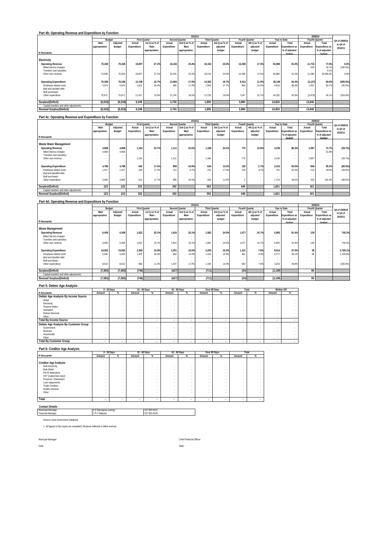|                                         |                          |          |             |                      |             |                          | 2010/11     |                      |             |                |             |                |             | 2009/10        |               |
|-----------------------------------------|--------------------------|----------|-------------|----------------------|-------------|--------------------------|-------------|----------------------|-------------|----------------|-------------|----------------|-------------|----------------|---------------|
|                                         |                          | Budget   |             | <b>First Quarter</b> |             | <b>Second Quarter</b>    |             | <b>Third Quarter</b> |             | Fourth Quarter |             | Year to Date   |             | Fourth Quarter | Q4 of 2009/10 |
|                                         | Main                     | Adjusted | Actual      | 1st Q as % of        | Actual      | 2nd Q as % of            | Actual      | 3rd Q as % of        | Actual      | 4th Q as % of  | Actual      | Total          | Actual      | Total          | to Q4 of      |
|                                         | appropriation            | Budget   | Expenditure | Main                 | Expenditure | Main                     | Expenditure | adjusted             | Expenditure | adjusted       | Expenditure | Expenditure as | Expenditure | Expenditure as | 2010/11       |
|                                         |                          |          |             | appropriation        |             | appropriation            |             | budget               |             | budget         |             | % of adjusted  |             | % of adjusted  |               |
| R thousands                             |                          |          |             |                      |             |                          |             |                      |             |                |             | hudget         |             | budget         |               |
| Electricity                             |                          |          |             |                      |             |                          |             |                      |             |                |             |                |             |                |               |
| <b>Operating Revenue</b>                | 70.328                   | 70.328   | 19,097      | 27.2%                | 16.434      | 23.4%                    | 16.153      | 23.0%                | 12.298      | 17.5%          | 63.980      | 91.0%          | 11,715      | 77.6%          | 5.0%          |
| <b>Billed Service charges</b>           |                          | $\sim$   |             |                      |             |                          |             |                      |             |                |             |                | 429         | 32.7%          | (100.0%       |
| Transfers and subsidies                 |                          | $\sim$   |             |                      |             |                          |             |                      |             |                |             |                |             | 8.1%           |               |
| Other own revenue                       | 70.328                   | 70.328   | 19.097      | 27.2%                | 16.434      | 23.4%                    | 16.153      | 23.0%                | 12.298      | 17.5%          | 63.980      | 91.0%          | 11.286      | 18.936.4%      | 9.0%          |
|                                         |                          |          |             |                      |             |                          |             |                      |             |                |             |                |             |                |               |
| <b>Operating Expenditure</b>            | 76,346                   | 76,346   | 12,748      | 16.7%                | 13,684      | 17.9%                    | 14.302      | 18.7%                | 8.414       | 11.0%          | 49.148      | 64.4%          | (2, 127)    | 50.6%          | (495.5%       |
| Employee related costs                  | 5.674                    | 5.674    | 1.501       | 26.4%                | 980         | 17.3%                    | 1.569       | 27.7%                | 866         | 15.3%          | 4.916       | 86.6%          | 1.352       | 85.7%          | (35.9%)       |
| Bad and doubtful debt                   |                          | $\sim$   |             |                      |             |                          |             |                      |             |                |             |                |             |                |               |
| <b>Bulk purchases</b>                   | $\overline{\phantom{a}}$ |          |             |                      |             | $\overline{\phantom{a}}$ |             |                      |             |                |             |                |             |                |               |
| Other expenditure                       | 70.671                   | 70.671   | 11,247      | 15.9%                | 12,704      | 18.0%                    | 12.733      | 18.0%                | 7.547       | 10.7%          | 44.232      | 62.6%          | (3, 479)    | 46.1%          | (316.9%)      |
|                                         |                          |          |             |                      |             |                          |             |                      |             |                |             |                |             |                |               |
| Surplus/(Deficit)                       | (6,018)                  | (6,018)  | 6,349       |                      | 2,750       |                          | 1.850       |                      | 3,884       |                | 14.833      |                | 13,842      |                |               |
| Capital transfers and other adjustments |                          |          |             |                      |             |                          |             |                      |             |                |             |                |             | $\sim$         |               |
| <b>Revised Surplus/(Deficit)</b>        | (6,018)                  | (6,018)  | 6,349       |                      | 2,750       |                          | 1.850       |                      | 3,884       |                | 14,833      |                | 13,842      |                |               |
|                                         |                          |          |             |                      |             |                          |             |                      |             |                |             |                |             |                |               |

#### **Part 4c: Operating Revenue and Expenditure by Function**

|                                         |               |          |             |                      |             |                | 2010/11                  |                      |             |                |             |                       |             | 2009/10        |               |
|-----------------------------------------|---------------|----------|-------------|----------------------|-------------|----------------|--------------------------|----------------------|-------------|----------------|-------------|-----------------------|-------------|----------------|---------------|
|                                         |               | Budget   |             | <b>First Quarter</b> |             | Second Quarter |                          | <b>Third Quarter</b> |             | Fourth Quarter |             | Year to Date          |             | Fourth Quarter | Q4 of 2009/10 |
|                                         | Main          | Adjusted | Actual      | 1st Q as % of        | Actual      | 2nd Q as % of  | Actual                   | 3rd Q as % of        | Actual      | 4th Q as % of  | Actual      | Total                 | Actual      | Total          | to Q4 of      |
|                                         | appropriation | Budget   | Expenditure | Main                 | Expenditure | Main           | Expenditure              | adjusted             | Expenditure | adjusted       | Expenditure | <b>Expenditure as</b> | Expenditure | Expenditure as | 2010/11       |
|                                         |               |          |             | appropriation        |             | appropriation  |                          | budget               |             | budget         |             | % of adjusted         |             | % of adjusted  |               |
| R thousands                             |               |          |             |                      |             |                |                          |                      |             |                |             | hudget                |             | hudget         |               |
| Waste Water Management                  |               |          |             |                      |             |                |                          |                      |             |                |             |                       |             |                |               |
| <b>Operating Revenue</b>                | 4.908         | 4.908    | 1,164       | 23.7%                | 1.111       | 22.6%          | 1.186                    | 24.2%                | 775         | 15.8%          | 4.236       | 86.3%                 | 1.087       | 72.7%          | (28.7%)       |
| <b>Billed Service charges</b>           | 4.908         | 4.908    | $\sim$      |                      |             |                |                          |                      |             |                |             |                       |             | 31.8%          | $\sim$        |
| Transfers and subsidies                 |               | $\sim$   | $\sim$      |                      |             |                | $\overline{\phantom{a}}$ |                      |             |                |             |                       |             | . .            | $\sim$        |
| Other own revenue                       |               |          | 1.164       |                      | 1.111       |                | 1,186                    |                      | 775         |                | 4.236       |                       | 1.087       |                | (28.7%)       |
| <b>Operating Expenditure</b>            | 4,786         | 4.786    | 842         | 17.6%                | 809         | 16.9%          | 634                      | 13.2%                | 130         | 2.7%           | 2.415       | 50.5%                 | 666         | 95.2%          | (80.5%)       |
| Employee related costs                  | 1.317         | 1.317    | 228         | 17.3%                | 114         | 8.7%           | 231                      | 17.5%                | 128         | 9.7%           | 702         | 53.3%                 | 213         | 49.6%          | (39.8%)       |
| Bad and doubtful debt                   |               | $\sim$   |             |                      |             |                |                          |                      |             |                |             |                       |             |                | $\sim$        |
| <b>Bulk purchases</b>                   | $\sim$        | $\sim$   | $\sim$      |                      |             |                |                          |                      |             |                |             |                       |             |                | $\sim$        |
| Other expenditure                       | 3.469         | 3.469    | 613         | 17.7%                | 695         | 20.0%          | 403                      | 11.6%                |             |                | 1.713       | 49.4%                 | 452         | 151.5%         | (99.6%)       |
|                                         |               |          |             |                      |             |                |                          |                      |             |                |             |                       |             |                |               |
| Surplus/(Deficit)                       | 123           | 123      | 323         |                      | 302         |                | 552                      |                      | 645         |                | 1.821       |                       | 421         |                |               |
| Capital transfers and other adjustments |               |          |             |                      |             |                |                          |                      |             |                |             |                       |             |                | $\sim$        |
| <b>Revised Surplus/(Deficit)</b>        | 123           | 123      | 323         |                      | 302         |                | 552                      |                      | 645         |                | 1.821       |                       | 421         |                |               |

### **Part 4d: Operating Revenue and Expenditure by Function**

|                                         |               |                          |             |                      |             |                | 2010/11                  |                      |                |               |             |                |             | 2009/10                  |               |
|-----------------------------------------|---------------|--------------------------|-------------|----------------------|-------------|----------------|--------------------------|----------------------|----------------|---------------|-------------|----------------|-------------|--------------------------|---------------|
|                                         |               | Budget                   |             | <b>First Quarter</b> |             | Second Quarter |                          | <b>Third Quarter</b> | Fourth Quarter |               |             | Year to Date   |             | Fourth Quarter           | Q4 of 2009/10 |
|                                         | Main          | Adjusted                 | Actual      | 1st Q as % of        | Actual      | 2nd Q as % of  | Actual                   | 3rd Q as % of        | Actual         | 4th Q as % of | Actual      | Total          | Actual      | Total                    | to Q4 of      |
|                                         | appropriation | Budget                   | Expenditure | Main                 | Expenditure | Main           | Expenditure              | adjusted             | Expenditure    | adjusted      | Expenditure | Expenditure as | Expenditure | Expenditure as           | 2010/11       |
|                                         |               |                          |             | appropriation        |             | appropriation  |                          | budget               |                | budget        |             | % of adjusted  |             | % of adjusted            |               |
| R thousands                             |               |                          |             |                      |             |                |                          |                      |                |               |             | hudget         |             | hudget                   |               |
| Waste Management                        |               |                          |             |                      |             |                |                          |                      |                |               |             |                |             |                          |               |
| <b>Operating Revenue</b>                | 6.459         | 6.459                    | 1.622       | 25.1%                | 1.624       | 25.1%          | 1.582                    | 24.5%                | 1.077          | 16.7%         | 5.905       | 91.4%          | 128         |                          | 740.3%        |
| <b>Billed Service charges</b>           |               | $\overline{\phantom{a}}$ | $\sim$      |                      |             |                |                          |                      |                |               |             |                |             |                          |               |
| Transfers and subsidies                 | . .           | $\sim$                   |             |                      |             |                |                          |                      |                |               |             |                |             | $\sim$                   |               |
| Other own revenue                       | 6.459         | 6.459                    | 1.622       | 25.1%                | 1.624       | 25.1%          | 1.582                    | 24.5%                | 1.077          | 16.7%         | 5.905       | 91.4%          | 128         |                          | 740.3%        |
|                                         |               |                          |             |                      |             |                |                          |                      |                |               |             |                |             |                          |               |
| <b>Operating Expenditure</b>            | 14,052        | 14,052                   | 2,369       | 16.9%                | 2,251       | 16.0%          | 2.293                    | 16.3%                | 1.101          | 7.8%          | 8.014       | 57.0%          | 38          | $\overline{\phantom{a}}$ | 2,789.1%      |
| Employee related costs                  | 5.540         | 5.540                    | 1.402       | 25.3%                | 804         | 14.5%          | 1.103                    | 19 9%                | 461            | 8.3%          | 3.771       | 68.1%          | 38          |                          | 1,109.9%      |
| Bad and doubtful debt                   |               | $\overline{\phantom{a}}$ |             |                      |             |                |                          |                      |                |               |             |                |             |                          |               |
| <b>Bulk purchases</b>                   | <b>.</b>      | $\overline{\phantom{a}}$ | $\sim$      |                      |             |                | $\overline{\phantom{a}}$ |                      |                |               |             |                |             |                          |               |
| Other expenditure                       | 8.513         | 8.513                    | 966         | 11.4%                | 1.447       | 17.0%          | 1.190                    | 14.0%                | 640            | 7.5%          | 4.243       | 49.8%          |             |                          | (100.0%       |
|                                         |               |                          |             |                      |             |                |                          |                      |                |               |             |                |             |                          |               |
| Surplus/(Deficit)                       | (7, 593)      | (7, 593)                 | (746)       |                      | (627)       |                | (711)                    |                      | (24)           |               | (2, 109)    |                | 90          |                          |               |
| Capital transfers and other adjustments |               |                          |             |                      |             |                |                          |                      |                |               |             |                |             |                          |               |
| <b>Revised Surplus/(Deficit)</b>        | (7, 593)      | (7, 593)                 | (746)       |                      | (627)       |                | (711)                    |                      | (24)           |               | (2, 109)    |                | 90          |                          |               |

 $\overline{\phantom{0}}$ 

### **Part 5: Debtor Age Analysis**

|                                       |        | 0 - 30 Days |        | 31 - 60 Days | 61 - 90 Days |        |        | Over 90 Days | Total  |        |        | Written Off |
|---------------------------------------|--------|-------------|--------|--------------|--------------|--------|--------|--------------|--------|--------|--------|-------------|
| R thousands                           | Amount | %           | Amount | %            | Amount       | %      | Amount | %            | Amount | %      | Amount | %           |
| Debtor Age Analysis By Income Source  |        |             |        |              |              |        |        |              |        |        |        |             |
| Water                                 |        |             |        |              |              |        |        |              |        |        |        |             |
| Electricity                           |        |             |        |              |              |        |        |              |        |        |        |             |
| Property Rates                        |        |             |        |              |              |        |        |              |        |        | ٠      |             |
| Sanitation                            |        |             |        |              |              |        |        |              |        |        |        |             |
| Refuse Removal                        |        |             |        |              |              |        |        |              |        |        |        |             |
| Other                                 |        | $\sim$      | ٠      |              |              |        |        |              |        |        |        |             |
| <b>Total By Income Source</b>         |        | ۰           |        |              |              |        |        |              | . .    |        | $\sim$ |             |
| Debtor Age Analysis By Customer Group |        |             |        |              |              |        |        |              |        |        |        |             |
| Government                            |        |             |        |              |              |        |        |              |        |        | ٠      |             |
| <b>Business</b>                       |        |             |        |              |              |        |        |              |        |        |        |             |
| Households                            |        |             |        |              |              |        |        |              |        |        |        |             |
| Other                                 |        | $\sim$      | ۰      | $\sim$       |              | $\sim$ |        | $\sim$       | $\sim$ | $\sim$ | $\sim$ |             |
| <b>Total By Customer Group</b>        |        |             |        | $\sim$       |              |        |        |              |        |        | . .    |             |

### **Part 6: Creditor Age Analysis**

|                                                                                                                                                     |                  | 0 - 30 Days                                                              |                                                                                                              | 31 - 60 Days                                                                                         |        | 61 - 90 Days                                                        |                                                                                  | Over 90 Days             | Total       |   |
|-----------------------------------------------------------------------------------------------------------------------------------------------------|------------------|--------------------------------------------------------------------------|--------------------------------------------------------------------------------------------------------------|------------------------------------------------------------------------------------------------------|--------|---------------------------------------------------------------------|----------------------------------------------------------------------------------|--------------------------|-------------|---|
| R thousands                                                                                                                                         | Amount           | %                                                                        | Amount                                                                                                       | %                                                                                                    | Amount | %                                                                   | Amount                                                                           | %                        | Amount      | % |
| <b>Creditor Age Analysis</b><br><b>Bulk Electricity</b><br><b>Bulk Water</b><br>PAYE deductions<br>VAT (output less input)<br>Pensions / Retirement | $\sim$<br>$\sim$ | <b>The State</b><br>$\overline{\phantom{a}}$<br>$\overline{\phantom{a}}$ | $\overline{\phantom{a}}$<br>$\overline{\phantom{a}}$<br>$\overline{\phantom{a}}$<br>$\overline{\phantom{a}}$ | $\overline{\phantom{a}}$<br>$\overline{\phantom{a}}$<br>$\sim$<br>$\sim$<br>$\overline{\phantom{a}}$ | ۰      | ٠<br>٠<br>$\overline{\phantom{a}}$<br>$\overline{\phantom{a}}$<br>٠ | $\overline{\phantom{a}}$<br>$\overline{\phantom{a}}$                             | $\overline{\phantom{a}}$ | ٠<br>٠      |   |
| Loan repayments<br><b>Trade Creditors</b><br>Auditor-General<br>Other                                                                               | $\sim$<br>$\sim$ | ٠<br>٠<br>$\sim$                                                         | $\overline{\phantom{a}}$<br>$\overline{\phantom{a}}$<br>$\overline{\phantom{a}}$<br>$\sim$                   | $\sim$<br>$\sim$<br>$\overline{\phantom{a}}$<br>$\sim$                                               | ۰      | ٠<br>$\overline{\phantom{a}}$<br>٠<br>$\sim$                        | $\overline{\phantom{a}}$<br>$\overline{\phantom{a}}$<br>$\overline{\phantom{a}}$ | $\sim$<br>$\sim$         | $\sim$<br>٠ |   |
| Total                                                                                                                                               | ٠                | ۰                                                                        | $\overline{\phantom{a}}$                                                                                     | $\overline{\phantom{a}}$                                                                             |        | $\overline{\phantom{a}}$                                            | ۰                                                                                |                          |             |   |

| <b>Contact Details</b>           |                       |              |
|----------------------------------|-----------------------|--------------|
| Municipal Manager                | K E Mpungose (acting) | 017 826 8121 |
| <b>Financial Manager</b>         | J P C Mabuza          | 017 826 8120 |
| Source Local Government Database |                       |              |

1. All figures in this report are unaudited. Revenue reflected is billed revenue

Date: Date: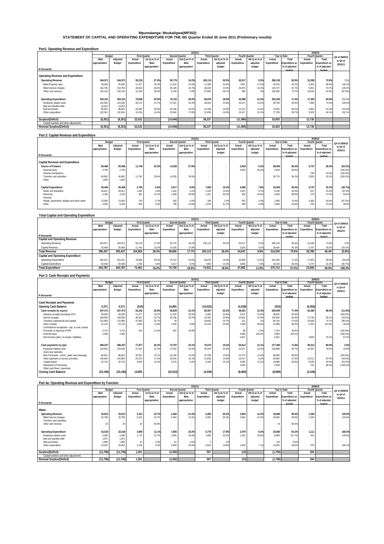## **Mpumalanga: Msukaligwa(MP302) STATEMENT OF CAPITAL AND OPERATING EXPENDITURE FOR THE 4th Quarter Ended 30 June 2011 (Preliminary results)**

| Part1: Operating Revenue and Expenditure |
|------------------------------------------|
|------------------------------------------|

|                                         |               |          |                      |               |             |                | 2010/11              |               |             |                |             |                       |             | 2009/10        |               |
|-----------------------------------------|---------------|----------|----------------------|---------------|-------------|----------------|----------------------|---------------|-------------|----------------|-------------|-----------------------|-------------|----------------|---------------|
|                                         | Budget        |          | <b>First Quarter</b> |               |             | Second Quarter | <b>Third Quarter</b> |               |             | Fourth Quarter |             | Year to Date          |             | Fourth Quarter | Q4 of 2009/10 |
|                                         | Main          | Adjusted | Actual               | 1st Q as % of | Actual      | 2nd Q as % of  | Actual               | 3rd Q as % of | Actual      | 4th Q as % of  | Actual      | Total                 | Actual      | Total          | to Q4 of      |
|                                         | appropriation | Budget   | Expenditure          | Main          | Expenditure | Main           | Expenditure          | adjusted      | Expenditure | adjusted       | Expenditure | <b>Expenditure as</b> | Expenditure | Expenditure as | 2010/11       |
|                                         |               |          |                      | appropriation |             | appropriation  |                      | budget        |             | budget         |             | % of adjusted         |             | % of adjusted  |               |
| R thousands                             |               |          |                      |               |             |                |                      |               |             |                |             | hudget                |             | hudget         |               |
|                                         |               |          |                      |               |             |                |                      |               |             |                |             |                       |             |                |               |
| Operating Revenue and Expenditure       |               |          |                      |               |             |                |                      |               |             |                |             |                       |             |                |               |
| <b>Operating Revenue</b>                | 344.971       | 344.971  | 93.218               | 27.0%         | 55,776      | 16.2%          | 105.115              | 30.5%         | 32.017      | 9.3%           | 286.126     | 82.9%                 | 31.038      | 72.8%          | 3.2%          |
| <b>Billed Property rates</b>            | 45.093        | 45.093   | 11.377               | 25.2%         | 11.519      | 25.5%          | 11.469               | 25.4%         | 7.651       | 17.0%          | 42.016      | 93.2%                 | 3.354       | 86.4%          | 128.1%        |
| <b>Billed Service charges</b>           | 154.755       | 154.755  | 40.602               | 26.2%         | 35.109      | 22.7%          | 36.040               | 23.3%         | 23.976      | 15.5%          | 135.727     | 87.7%                 | 9.651       | 79.7%          | 148.4%        |
| Other own revenue                       | 145,123       | 145,123  | 41.239               | 28.4%         | 9.148       | 6.3%           | 57,605               | 39.7%         | 390         | 3%             | 108.382     | 74.7%                 | 18,033      | 61.8%          | (97.8%)       |
|                                         |               |          |                      |               |             |                |                      |               |             |                |             |                       |             |                |               |
| <b>Operating Expenditure</b>            | 353.321       | 353.321  | 70.696               | 20.0%         | 70.722      | 20.0%          | 66.878               | 18.9%         | 43.998      | 12.5%          | 252.293     | 71.4%                 | 17.303      | 65.8%          | 154.3%        |
| Employee related costs                  | 120,526       | 120.526  | 26.175               | 21.7%         | 27.021      | 22.4%          | 28.444               | 23.6%         | 18 10 7     | 15.0%          | 99.748      | 82.89                 | 7.999       | 74.4%          | 126.4%        |
| Bad and doubtful debt                   | 13.613        | 13.613   |                      |               |             |                |                      |               |             |                |             |                       |             |                |               |
| <b>Bulk purchases</b>                   | 86.841        | 86.841   | 25.385               | 29.2%         | 20,160      | 23.2%          | 16.798               | 19.3%         | 12.473      | 14.4%          | 74.816      | 86.2%                 | 3.981       | 81.6%          | 213.3%        |
| Other expenditure                       | 132.341       | 132.341  | 19.136               | 14.5%         | 23.540      | 17.8%          | 21.636               | 16.3%         | 13 4 17     | 10.1%          | 77.730      | 58.79                 | 5.322       | 46.1%          | 152.1%        |
|                                         |               |          |                      |               |             |                |                      |               |             |                |             |                       |             |                |               |
| Surplus/(Deficit)                       | (8, 351)      | (8, 351) | 22.522               |               | (14, 946)   |                | 38.237               |               | (11,980)    |                | 33.833      |                       | 13.735      |                |               |
| Capital transfers and other adjustments |               |          |                      |               |             |                |                      |               |             |                |             |                       |             |                |               |
| <b>Revised Surplus/(Deficit)</b>        | (8, 351)      | (8, 351) | 22.522               |               | (14, 946)   |                | 38.237               |               | (11,980)    |                | 33,833      |                       | 13.735      |                |               |

#### **Part 2: Capital Revenue and Expenditure**

|                                           |               | 2010/11                  |                          |                      |             |                       |                      |               |                |               |             |                |             | 2009/10               |               |
|-------------------------------------------|---------------|--------------------------|--------------------------|----------------------|-------------|-----------------------|----------------------|---------------|----------------|---------------|-------------|----------------|-------------|-----------------------|---------------|
|                                           |               | Budget                   |                          | <b>First Quarter</b> |             | <b>Second Quarter</b> | <b>Third Quarter</b> |               | Fourth Quarter |               |             | Year to Date   |             | Fourth Quarter        | Q4 of 2009/10 |
|                                           | Mair          | Adjusted                 | Actual                   | 1st Q as % of        | Actual      | 2nd Q as % of         | Actual               | 3rd Q as % of | Actual         | 4th Q as % of | Actual      | Total          | Actual      | Total                 | to Q4 of      |
|                                           | appropriation | Budget                   | Expenditure              | Main                 | Expenditure | Main                  | Expenditure          | adjusted      | Expenditure    | adjusted      | Expenditure | Expenditure as | Expenditure | <b>Expenditure as</b> | 2010/11       |
|                                           |               |                          |                          | appropriation        |             | appropriation         |                      | budget        |                | budget        |             | % of adjusted  |             | % of adjusted         |               |
| R thousands                               |               |                          |                          |                      |             |                       |                      |               |                |               |             | hudget         |             | hudget                |               |
|                                           |               |                          |                          |                      |             |                       |                      |               |                |               |             |                |             |                       |               |
| Capital Revenue and Expenditure           |               |                          |                          |                      |             |                       |                      |               |                |               |             |                |             |                       |               |
| Source of Finance                         | 50,466        | 50,466                   | 11,745                   | 23.3%                | 14,030      | 27.8%                 |                      |               | 2.629          | 5.2%          | 28.404      | 56.3%          | 5.747       | 28.3%                 | (54.2%)       |
| External loans                            | 2.750         | 2.750                    | $\overline{\phantom{a}}$ |                      |             |                       |                      |               | 2.629          | 95.6%         | 2.629       | 95.6%          |             | $\sim$                | (100.0%       |
| Internal contributions                    |               | $\overline{\phantom{a}}$ |                          |                      |             |                       |                      |               |                |               |             |                | 239         | 24.4%                 | (100.0%       |
| Transfers and subsidies                   | 45.891        | 45.891                   | 11.745                   | 25.6%                | 14,030      | 30.6%                 |                      |               |                |               | 25.775      | 56.2%          | 5.509       | 30.1%                 | (100.0%       |
| Other                                     | 1.825         | 1.825                    | $\sim$                   |                      |             |                       |                      |               |                |               |             |                |             |                       |               |
|                                           |               |                          |                          |                      |             |                       |                      |               |                |               |             |                |             |                       |               |
| Capital Expenditure                       | 50.466        | 50.466                   | 2.765                    | 5.5%                 | 4.017       | 8.0%                  | 7.653                | 15.2%         | 3.985          | 7.9%          | 18.420      | 36.5%          | 5.747       | 32.2%                 | (30.7%)       |
| Water and Sanitation                      | 26.811        | 26.811                   | 1.035                    | 3.9%                 | 1.402       | 5.2%                  | 4.154                | 15.5%         | 2.607          | 9.7%          | 9.198       | 34.3%          | 847         | 31.6%                 | 207.8%        |
| Electricity                               | 4.100         | 4.100                    | 581                      | 14.2%                | 1.388       | 33.8%                 | 1.241                | 30.3%         | 436            | 10.6%         | 3.646       | 88.9%          | 279         | 27.4%                 | 56.4%         |
| Housing                                   | . .           | $\overline{\phantom{a}}$ | $\sim$                   |                      |             |                       |                      |               |                | $\sim$        |             | $\sim$         |             | $\sim$                | . .           |
| Roads, pavements, bridges and storm water | 13,000        | 13.000                   | 743                      | 5.7%                 | 520         | 4.0%                  | 180                  | 1.4%          | 553            | 4.3%          | 1.996       | 15.4%          | 4.360       | 50.6%                 | (87.3%)       |
| Other                                     | 6.555         | 6.555                    | 406                      | 6.2%                 | 708         | 10.8%                 | 2.078                | 31.7%         | 388            | 5.9%          | 3.580       | 54.6%          | 262         | 23.2%                 | 48.0%         |
|                                           |               |                          |                          |                      |             |                       |                      |               |                |               |             |                |             |                       |               |

### **Total Capital and Operating Expenditure**

|                                          |               |          |             |                      |             |                | 2010/11              |               |                |               |             |                       |                | 2009/10        |               |
|------------------------------------------|---------------|----------|-------------|----------------------|-------------|----------------|----------------------|---------------|----------------|---------------|-------------|-----------------------|----------------|----------------|---------------|
|                                          | Budget        |          |             | <b>First Ouarter</b> |             | Second Quarter | <b>Third Ouarter</b> |               | Fourth Quarter |               |             | Year to Date          | Fourth Ouarter |                | Q4 of 2009/10 |
|                                          | Main          | Adiusted | Actual      | 1st Q as % of        | Actual      | 2nd Q as % of  | Actual               | 3rd Q as % of | Actual         | 4th Q as % of | Actual      | Total                 | Actual         | Total          | to Q4 of      |
|                                          | appropriation | Budget   | Expenditure | Main                 | Expenditure | Main           | Expenditure          | adiusted      | Expenditure    | adiusted      | Expenditure | <b>Expenditure as</b> | Expenditure    | Expenditure as | 2010/11       |
|                                          |               |          |             | appropriation        |             | appropriation  |                      | budget        |                | budget        |             | % of adjusted         |                | % of adjusted  |               |
| R thousands                              |               |          |             |                      |             |                |                      |               |                |               |             | hudget                |                | hudget         |               |
| <b>Capital and Operating Revenue</b>     |               |          |             |                      |             |                |                      |               |                |               |             |                       |                |                |               |
| Operating Revenue                        | 344.971       | 344.971  | 93.218      | 27.0%                | 55.776      | 16.2%          | 105.115              | 30.5%         | 32.017         | 9.3%          | 286.126     | 82.99                 | 31.038         | 72.8%          | 3.2%          |
| Capital Revenue                          | 50.466        | 50.466   | 11,745      | 23.3%                | 14.030      | 27.8%          |                      |               | 2.629          | 5.2%          | 28.404      | 56.39                 | 5.747          | 28.3%          | (54.2%)       |
| <b>Total Revenue</b>                     | 395.437       | 395.437  | 104.963     | 26.5%                | 69.806      | 17.7%          | 105.115              | 26.6%         | 34.647         | 8.8%          | 314.530     | 79.5%                 | 36.785         | 66.4%          | (5.8%)        |
| <b>Capital and Operating Expenditure</b> |               |          |             |                      |             |                |                      |               |                |               |             |                       |                |                |               |
| Operating Expenditure                    | 353.321       | 353.321  | 70,696      | 20.0%                | 70,722      | 20.0%          | 66.878               | 18.9%         | 43.998         | 12.5%         | 252.293     | 71.4%                 | 17.303         | 65.8%          | 154.3%        |
| Capital Expenditure                      | 50,466        | 50.466   | 2.765       | 5.5%                 | 4.017       | 8.0%           | 7.653                | 15.2%         | 3.985          | 7.9%          | 18.420      | 36.5%                 | 5.747          | 32.2%          | (30.7%)       |
| <b>Total Expenditure</b>                 | 403.787       | 403.787  | 73.461      | 18.2%                | 74.739      | 18.5%          | 74.531               | 18.5%         | 47.982         | 11.9%         | 270.713     | 67.0%                 | 23.050         | 60.5%          | 108.2%        |
|                                          |               |          |             |                      |             |                |                      |               |                |               |             |                       |                |                |               |

| Part 3: Cash Receipts and Payments |  |
|------------------------------------|--|
|                                    |  |

|                                                 |               |                          |                                    |                      |             | 2010/11               |                      |               |                |                 |             |                |             | 2009/10               |               |
|-------------------------------------------------|---------------|--------------------------|------------------------------------|----------------------|-------------|-----------------------|----------------------|---------------|----------------|-----------------|-------------|----------------|-------------|-----------------------|---------------|
|                                                 | Budget        |                          |                                    | <b>First Quarter</b> |             | <b>Second Quarter</b> | <b>Third Ouarter</b> |               | Fourth Quarter |                 |             | Year to Date   |             | Fourth Quarter        | Q4 of 2009/10 |
|                                                 | Main          | Adjusted                 | Actual                             | 1st Q as % of        | Actual      | 2nd Q as % of         | Actual               | 3rd Q as % of | Actual         | 4th Q as % of   | Actual      | Total          | Actual      | Total                 | to Q4 of      |
|                                                 | appropriation | Budget                   | Expenditure                        | Main                 | Expenditure | Main                  | Expenditure          | adjusted      | Expenditure    | adjusted        | Expenditure | Expenditure as | Expenditure | <b>Expenditure as</b> | 2010/11       |
|                                                 |               |                          |                                    | appropriation        |             | appropriation         |                      | budget        |                | budget          |             | % of adjusted  |             | % of adjusted         |               |
| R thousands                                     |               |                          |                                    |                      |             |                       |                      |               |                |                 |             | hudget         |             | hudget                |               |
| <b>Cash Receipts and Payments</b>               |               |                          |                                    |                      |             |                       |                      |               |                |                 |             |                |             |                       |               |
| <b>Opening Cash Balance</b>                     | 5.371         | 5.371                    | (510)                              |                      | 14,855      |                       | (10, 022)            |               | (4,538)        |                 | (510)       |                | (6, 356)    |                       |               |
| Cash receipts by source                         | 347,471       | 347.471                  | 93,242                             | 26.8%                | 48,920      | 14.1%                 | 80,557               | 23.2%         | 46,281         | 13.3%           | 269,000     | 77.4%          | 52,560      | 88.4%                 | (11.9%        |
| Statutory receipts (including VAT)              | 45.093        | 45.093                   | 11.377                             | 25.2%                | 11.520      | 25.5%                 | 9.280                | 20.6%         | 5.873          | 13.0%           | 38.050      | 84.4%          | $\sim$      | - 1                   | (100.0%       |
| Service charges                                 | 158,050       | 158,050                  | 40.651                             | 25.7%                | 35,108      | 22.2%                 | 32.481               | 20.6%         | 22.604         | 14.3%           | 130.844     | 82.8%          | 27.739      | 89.1%                 | (18.5%)       |
| Transfers (operational and capital)             | 115,993       | 115.993                  | 37,956                             | 32.7%                | 30          | $\sim$                | 28.656               | 24.7%         | 122            | .1%             | 66,763      | 57.6%          | 16,569      | 74.7%                 | (99.3%)       |
| Other receipts                                  | 22.120        | 22.120                   | 2.834                              | 12.8%                | 1.305       | 5.9%                  | 10.140               | 45.8%         | 7.689          | 34.8%           | 21.968      | 99.3%          | 5.252       | 157.6%                | 46.4%         |
| Contributions recognised - cap. & contr. assets |               | $\sim$                   | $\overline{\phantom{a}}$           |                      |             |                       |                      |               |                |                 |             | $\sim$         | $\sim$      |                       |               |
| Proceeds on disposal of PPE                     | 3.715         | 3.715                    | 424                                | 11.4%                | 957         | 25.8%                 | $\sim$               |               | 89             | 24%             | 1.470       | 39.6%          |             |                       | (100.0%       |
| <b>External Inans</b>                           | 2.500         | 2.500                    | $\overline{\phantom{a}}$           |                      |             |                       |                      |               | 3.983          | 159.3%          | 3.983       | 159.3%         |             | . .                   | (100.0%       |
| Net increase (decr.) in assets / liabilities    |               |                          |                                    |                      |             |                       |                      |               | 5.921          |                 | 5.921       |                | 3.000       | 20.1%                 | 97.4%         |
|                                                 | 386,037       | 386,037                  | 77,877                             | 20.2%                | 73,797      | 19.1%                 | 75,074               | 19.4%         | 50.612         | 13.1%           | 277.360     | 71.8%          | 49,313      | 89.0%                 | 2.6%          |
| Cash payments by type                           |               |                          |                                    | 22.7%                |             |                       |                      |               |                |                 |             | 83.7%          | 16.331      | 78.5%                 | 10.9%         |
| Employee related costs<br>Grant and subsidies   | 120,526       | 120,526                  | 27,315<br>$\overline{\phantom{a}}$ | $\sim$               | 27,022      | 22.4%                 | 28.444               | 23.6%         | 18.107         | 15.0%<br>$\sim$ | 100.888     | $\sim$         |             |                       |               |
| Bulk Purchases - electr., water and sewerage    | 86.841        | 86.841                   | 20,552                             | 23.7%                | 20,160      | 23.2%                 | 16.798               | 19.3%         | 12.473         | 14.4%           | 69.983      | 80.6%          |             | . .                   | (100.0%       |
| Other payments to service providers             | 145.954       | 145.954                  | 25.370                             | 17.4%                | 23,540      | 16.1%                 | 21.636               | 14.8%         | 13.417         | 9.2%            | 83.963      | 57.5%          | 24.211      | 97.0%                 | (44.6%)       |
| Capital assets                                  | 32.716        | 32.716                   | 4.640                              | 14.2%                | 3.075       | 9.4%                  | 8.196                | 25.1%         | 3.985          | 12.2%           | 19.896      | 60.8%          | 8.539       | 92.6%                 | (53.3%)       |
| Repayment of borrowing                          |               | $\overline{\phantom{a}}$ | $\overline{\phantom{a}}$           | $\sim$               |             |                       |                      |               | 2.629          |                 | 2.629       |                | 231         | 88.2%                 | 1,040.4%      |
| Other cash flows / payments                     |               |                          |                                    |                      |             |                       |                      |               |                |                 |             |                |             |                       |               |
| <b>Closing Cash Balance</b>                     | (33, 196)     | (33, 196)                | 14.855                             |                      | (10, 022)   |                       | (4,538)              |               | (8, 869)       |                 | (8, 869)    |                | (3, 108)    |                       |               |
|                                                 |               |                          |                                    |                      |             |                       |                      |               |                |                 |             |                |             |                       |               |

#### **Part 4a: Operating Revenue and Expenditure by Function R thousands Main appropriation Adjusted Budget Actual Expenditure 1st Q as % of Main appropriation Actual Expenditure 2nd Q as % of Main appropriation Actual Expenditure 3rd Q as % of adjusted budget Actual Expenditure 4th Q as % of adjusted budget Expenditure Expenditure as** <br> **1** % of adjusted budget **budget Actual Expenditure Total Expenditure as % of adjusted budget Water<br>
Operating Revenue<br>
Billed Service charges<br>
Transfers and subsidies<br>
Other own revenue Operating Revenue 20,813 20,813 5,151 24.7% 4,462 21.4% 6,282 30.2% 2,964 14.2% 18,860 90.6% 1,294 - 129.0%** Billed Service charges 20,789 20,789 5,132 24.7% 4,462 21.5% 6,282 30.2% 2,964 14.3% 18,840 90.6% 1,294 - 129.0% Transfers and subsidies - - - - - - - - - - - - - - - Other own revenue 24 24 19 80.5% - - - - - - 19 80.5% - - - **Operating Expenditure 32,518 32,518 3,950 12.1% 7,855 24.2% 5,776 17.8% 2,979 9.2% 20,560 63.2% 1,111 - 168.3%** Employee related costs 5,596 5,596 1,773 31.7% 1,845 33.0% 1,859 33.2% 1,332 23.8% 6,809 121.7% 541 - 146.3% Bad and doubtful debt 1,871 1,871 - - - - - - - - - - - - - Bulk purchases 1,800 1,800 41 2.3% 81 4.5% 2 .1% - - 125 6.9% - - - Other expenditure 23,252 23,252 23,252 2,135 9.2% 5,928 25.5% 3,914 16.8% 1,648 7.1% 13,626 58.6% 570 - 189.1% **Surplus/(Deficit) (11,706) (11,706) 1,201 (3,392) 507 (15) (1,700) 184**  Capital transfers and other adjustments - - - - - - - Revised Surplus/(Deficit) (11,706) (11,706) 1,201 | (3,392) 507 | (15) (1,700) 184  **2010/11 2009/10 Q4 of 2009/10 to Q4 of 2010/11 Budget** | First Quarter | Second Quarter | Third Quarter | Fourth Quarter | Year to Date | Fourth Quarter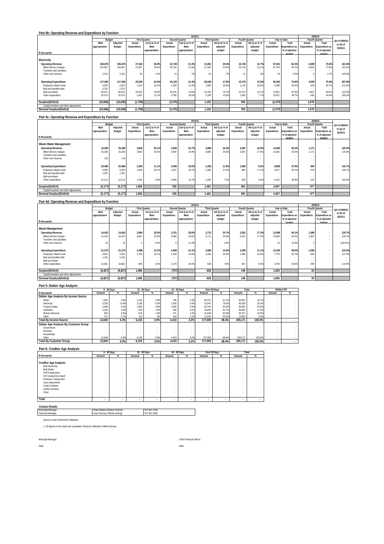| 2010/11       |                           |                                                             |                       |                                                                         |                                                     |                                                                                           |                                   |                                              |                 |                                 |                  |                                                                                              |                                         |                                                     |
|---------------|---------------------------|-------------------------------------------------------------|-----------------------|-------------------------------------------------------------------------|-----------------------------------------------------|-------------------------------------------------------------------------------------------|-----------------------------------|----------------------------------------------|-----------------|---------------------------------|------------------|----------------------------------------------------------------------------------------------|-----------------------------------------|-----------------------------------------------------|
|               |                           |                                                             |                       |                                                                         |                                                     |                                                                                           |                                   |                                              |                 |                                 |                  |                                                                                              |                                         | Q4 of 2009/10                                       |
| Main          | Adjusted                  | Actual                                                      | 1st Q as % of         | Actual                                                                  | 2nd Q as % of                                       | Actual                                                                                    | 3rd Q as % of                     | Actual                                       | 4th Q as % of   | Actual                          | Total            | Actual                                                                                       | Total                                   | to Q4 of                                            |
| appropriation | Budget                    | Expenditure                                                 | Main                  | Expenditure                                                             | Main                                                | Expenditure                                                                               | adjusted                          | Expenditure                                  | adjusted        | Expenditure                     |                  | Expenditure                                                                                  | Expenditure as                          | 2010/11                                             |
|               |                           |                                                             | appropriation         |                                                                         | appropriation                                       |                                                                                           | budget                            |                                              | budget          |                                 | % of adjusted    |                                                                                              | % of adjusted                           |                                                     |
|               |                           |                                                             |                       |                                                                         |                                                     |                                                                                           |                                   |                                              |                 |                                 | hudget           |                                                                                              | hudget                                  |                                                     |
|               |                           |                                                             |                       |                                                                         |                                                     |                                                                                           |                                   |                                              |                 |                                 |                  |                                                                                              |                                         |                                                     |
| 106.678       | 106.678                   |                                                             |                       |                                                                         |                                                     | 21.801                                                                                    | 20.4%                             | 15.730                                       | 14.7%           |                                 | 82.3%            | 6.008                                                                                        | 75.6%                                   | 161.8%                                              |
| 104.367       | 104.367                   | 27.507                                                      | 26.4%                 |                                                                         | 21.8%                                               | 21.785                                                                                    | 20.9%                             | 15.719                                       | 15.1%           |                                 | 84.1%            | 6.003                                                                                        | 77.6%                                   | 161.8%                                              |
|               |                           |                                                             |                       |                                                                         |                                                     |                                                                                           |                                   |                                              |                 |                                 |                  |                                                                                              | . .                                     |                                                     |
|               |                           |                                                             |                       | 15                                                                      |                                                     | 15                                                                                        |                                   | 11                                           | 5%              | 76                              |                  |                                                                                              |                                         | 143.0%                                              |
| 117.284       | 117.284                   |                                                             | 24.9%                 |                                                                         |                                                     | 20.649                                                                                    | 17.6%                             | 15.176                                       | 12.9%           |                                 |                  | 4.930                                                                                        | 75.9%                                   | 207.8%                                              |
| 5.879         | 5.879                     | 1.424                                                       | 24.2%                 | 1.250                                                                   | 21.3%                                               | 1.696                                                                                     | 28.8%                             | 1.118                                        | 19.0%           | 5.489                           | 93.4%            | 504                                                                                          | 89.7%                                   | 121.6%                                              |
| 5.791         | 5.791                     |                                                             |                       |                                                                         |                                                     |                                                                                           |                                   |                                              | $\sim$          |                                 |                  |                                                                                              | . .                                     | . .                                                 |
|               |                           |                                                             |                       |                                                                         |                                                     |                                                                                           |                                   |                                              |                 |                                 |                  |                                                                                              |                                         | 213.3%                                              |
|               |                           |                                                             |                       |                                                                         |                                                     |                                                                                           |                                   |                                              |                 |                                 |                  |                                                                                              |                                         | 256.3%                                              |
|               | (10,606)                  |                                                             |                       |                                                                         |                                                     | 1.152                                                                                     |                                   | 553                                          |                 |                                 |                  | 1.078                                                                                        |                                         |                                                     |
|               |                           |                                                             |                       |                                                                         |                                                     |                                                                                           |                                   |                                              |                 |                                 |                  |                                                                                              | $\sim$                                  |                                                     |
|               | (10,606)                  |                                                             |                       |                                                                         |                                                     | 1,152                                                                                     |                                   | 553                                          |                 |                                 |                  | 1.078                                                                                        |                                         |                                                     |
|               | 2.312<br>85.041<br>20.573 | Budget<br>2.312<br>85.041<br>20.573<br>(10,606)<br>(10,606) | 35<br>25,344<br>2.481 | <b>First Quarter</b><br>27,542<br>29,250<br>12.1%<br>(1,708)<br>(1,708) | 25.8%<br>22.734<br>1.5%<br>29.8%<br>20.079<br>3.796 | <b>Second Quarter</b><br>22.749<br>7%<br>25,125<br>23.6%<br>18.5%<br>(2, 376)<br>(2, 376) | 21.3%<br>21.4%<br>16.795<br>2.158 | <b>Third Quarter</b><br>7%<br>19.7%<br>10.5% | 12.473<br>1.585 | Fourth Quarter<br>14.7%<br>7.7% | 74.691<br>10.021 | Year to Date<br>87.821<br>87.745<br>3.3%<br>90.200<br>87.8%<br>48.7%<br>(2, 379)<br>(2, 379) | Expenditure as<br>76.9%<br>3.981<br>445 | 2009/10<br>Fourth Quarter<br>1.7%<br>83.8%<br>34.8% |

#### **Part 4c: Operating Revenue and Expenditure by Function**

|                                         |               | 2010/11  |             |                      |             |                       |             |                      |             |                |             |                       |             | 2009/10               |               |
|-----------------------------------------|---------------|----------|-------------|----------------------|-------------|-----------------------|-------------|----------------------|-------------|----------------|-------------|-----------------------|-------------|-----------------------|---------------|
|                                         |               | Budget   |             | <b>First Quarter</b> |             | <b>Second Quarter</b> |             | <b>Third Quarter</b> |             | Fourth Quarter |             | Year to Date          |             | Fourth Quarter        | Q4 of 2009/10 |
|                                         | Main          | Adjusted | Actual      | 1st Q as % of        | Actual      | 2nd Q as % of         | Actual      | 3rd Q as % of        | Actual      | 4th Q as % of  | Actual      | Total                 | Actual      | Total                 | to Q4 of      |
|                                         | appropriation | Budget   | Expenditure | Main                 | Expenditure | Main                  | Expenditure | adjusted             | Expenditure | adjusted       | Expenditure | <b>Expenditure as</b> | Expenditure | <b>Expenditure as</b> | 2010/11       |
|                                         |               |          |             | appropriation        |             | appropriation         |             | budget               |             | budget         |             | % of adjusted         |             | % of adjusted         |               |
| R thousands                             |               |          |             |                      |             |                       |             |                      |             |                |             | hudget                |             | hudget                |               |
|                                         |               |          |             |                      |             |                       |             |                      |             |                |             |                       |             |                       |               |
| Waste Water Management                  |               |          |             |                      |             |                       |             |                      |             |                |             |                       |             |                       |               |
| <b>Operating Revenue</b>                | 15,309        | 15,309   | 3.842       | 25.1%                | 3.940       | 25.7%                 | 3.896       | 25.4%                | 2.587       | 16.9%          | 14.265      | 93.2%                 | 1.171       | $\mathbf{r}$          | 120.9%        |
| <b>Billed Service charges</b>           | 15.189        | 15.189   | 3.842       | 25.3%                | 3.940       | 25.9%                 | 3.896       | 25.6%                | 2.587       | 17.0%          | 14.265      | 93.9%                 | 1.171       |                       | 120.9%        |
| Transfers and subsidies                 |               | $\sim$   |             |                      |             |                       |             |                      |             |                |             |                       |             |                       | $\sim$        |
| Other own revenue                       | 119           | 119      |             |                      |             |                       |             |                      |             | $\sim$         |             |                       |             |                       | $\sim$        |
|                                         |               |          |             |                      |             |                       |             |                      |             |                |             |                       |             |                       |               |
| <b>Operating Expenditure</b>            | 20,486        | 20,486   | 2,283       | 11.1%                | 3.405       | 16.6%                 | 2.435       | 11.9%                | 1.685       | 8.2%           | 9.808       | 47.9%                 | 694         | $\mathbf{r}$          | 142.7%        |
| Employee related costs                  | 5.005         | 5.005    | 1.038       | 20.7%                | 1.337       | 26.7%                 | 1.383       | 27.6%                | 860         | 17.2%          | 4.617       | 92.2%                 | 379         | $\sim$                | 126.7%        |
| Bad and doubtful debt                   | 1.367         | 1.367    | $\sim$      |                      |             |                       |             |                      |             | $\sim$         |             |                       |             |                       | $\sim$        |
| <b>Bulk purchases</b>                   |               |          |             |                      |             |                       |             |                      |             | $\sim$         |             |                       |             | $\sim$                | $\sim$        |
| Other expenditure                       | 14.114        | 14.114   | 1.245       | 8.8%                 | 2.068       | 14.7%                 | 1.053       | 7.5%                 | 826         | 5.9%           | 5.191       | 36.8%                 | 315         | $\sim$                | 162.0%        |
|                                         |               |          |             |                      |             |                       |             |                      |             |                |             |                       |             |                       |               |
| Surplus/(Deficit)                       | (5, 177)      | (5, 177) | 1.559       |                      | 535         |                       | 1,461       |                      | 901         |                | 4,457       |                       | 477         |                       |               |
| Capital transfers and other adjustments |               |          |             |                      |             |                       |             |                      |             | $\sim$         |             |                       |             |                       |               |
| <b>Revised Surplus/(Deficit)</b>        | (5.177)       | (5.177)  | 1.559       |                      | 535         |                       | 1.461       |                      | 901         |                | 4,457       |                       | 477         |                       |               |

### **Part 4d: Operating Revenue and Expenditure by Function**

|                                         | 2010/11       |                          |                          |                      |             |                       |             |                      |                  |                |             |                | 2009/10         |                       |               |  |
|-----------------------------------------|---------------|--------------------------|--------------------------|----------------------|-------------|-----------------------|-------------|----------------------|------------------|----------------|-------------|----------------|-----------------|-----------------------|---------------|--|
|                                         |               | Budget                   |                          | <b>First Quarter</b> |             | <b>Second Quarter</b> |             | <b>Third Quarter</b> |                  | Fourth Quarter |             | Year to Date   |                 | Fourth Quarter        | Q4 of 2009/10 |  |
|                                         | Main          | Adjusted                 | Actual                   | 1st Q as % of        | Actual      | 2nd Q as % of         | Actual      | 3rd Q as % of        | Actual           | 4th Q as % of  | Actual      | Total          | Actual          | Total                 | to Q4 of      |  |
|                                         | appropriation | Budget                   | Expenditure              | Main                 | Expenditure | Main                  | Expenditure | adjusted             | Expenditure      | adjusted       | Expenditure | Expenditure as | Expenditure     | <b>Expenditure as</b> | 2010/11       |  |
|                                         |               |                          |                          | appropriation        |             | appropriation         |             | budget               |                  | budget         |             | % of adjusted  |                 | % of adjusted         |               |  |
| R thousands                             |               |                          |                          |                      |             |                       |             |                      |                  |                |             | budget         |                 | budget                |               |  |
| <b>Waste Management</b>                 |               |                          |                          |                      |             |                       |             |                      |                  |                |             |                |                 |                       |               |  |
| <b>Operating Revenue</b>                | 14,452        | 14.452                   | 3.684                    | 25.5%                | 3.701       | 25.6%                 | 3.713       | 25.7%                | 2.501            | 17.3%          | 13.598      | 94.1%          | 1.089           | $\sim$                | 129.7%        |  |
| <b>Billed Service charges</b>           | 14.410        | 14.410                   | 3.681                    | 25.5%                | 3.696       | 25.6%                 | 3.711       | 25.8%                | 2.501            | 17.4%          | 13.589      | 94.3%          | 1.087           | $\sim$                | 130.1%        |  |
| <b>Transfers and subsidies</b>          |               | $\sim$                   |                          |                      |             |                       |             |                      |                  |                |             |                |                 |                       | $\sim$        |  |
| Other own revenue                       | 42            | 42                       |                          | 8.3%                 |             | 11.4%                 |             | 2.9%                 |                  |                | 10          | 22.6%          |                 |                       | (100.0%       |  |
|                                         |               |                          |                          |                      |             |                       |             |                      |                  |                |             |                |                 |                       |               |  |
| <b>Operating Expenditure</b>            | 21,279        | 21,279                   | 2.598                    | 12.2%                | 4.498       | 21.1%                 | 3.085       | 14.5%                | 2.355            | 11.1%          | 12,535      | 58.9%          | 1,059           | $\sim$                | 122.5%        |  |
| Employee related costs                  | 9.407         | 9.407                    | 1.703                    | 18.1%                | 2.318       | 24.6%                 | 2.256       | 24.0%                | 1.498            | 15.9%          | 7.776       | 82.7%          | 660             |                       | 127.0%        |  |
| Bad and doubtful debt                   | 1.191         | 1.191                    | $\overline{\phantom{a}}$ |                      |             |                       |             |                      |                  |                |             |                |                 |                       | $\sim$        |  |
| <b>Bulk purchases</b>                   |               | $\overline{\phantom{a}}$ | $\overline{\phantom{a}}$ |                      |             |                       | $\sim$      |                      |                  |                |             |                |                 |                       | $\sim$        |  |
| Other expenditure                       | 10,681        | 10.681                   | 895                      | 8.4%                 | 2.179       | 20.4%                 | 829         | 7.8%                 | 857              | 8.0%           | 4.760       | 44.6%          | 399             |                       | 114.9%        |  |
| Surplus/(Deficit)                       | (6, 827)      | (6, 827)                 | 1.086                    |                      | (797)       |                       | 628         |                      | 146 <sub>1</sub> |                | 1.063       |                | 30              |                       |               |  |
| Capital transfers and other adjustments |               |                          |                          |                      |             |                       |             |                      |                  |                |             |                |                 |                       |               |  |
| <b>Revised Surplus/(Deficit)</b>        | (6.827)       | (6.827)                  | 1.086                    |                      | (797)       |                       | 628         |                      | 146              |                | 1.063       |                | 30 <sup>1</sup> |                       |               |  |
|                                         |               |                          |                          |                      |             |                       |             |                      |                  |                |             |                |                 |                       |               |  |

 $\overline{\phantom{a}}$ 

### **Part 5: Debtor Age Analysis**

|                                       |        | 0 - 30 Days |        | 31 - 60 Days |        | 61 - 90 Days | Over 90 Days |       | Total   |        | Written Off |   |
|---------------------------------------|--------|-------------|--------|--------------|--------|--------------|--------------|-------|---------|--------|-------------|---|
| R thousands                           | Amount | %           | Amount | %            | Amount | %            | Amount       | %     | Amount  | %      | Amount      | % |
| Debtor Age Analysis By Income Source  |        |             |        |              |        |              |              |       |         |        |             |   |
| Water                                 | 1.605  | 4.0%        | 1.181  | 2.9%         | 780    | 1.9%         | 36.721       | 91.1% | 40.287  | 20.1%  |             |   |
| Electricity                           | 5.203  | 12.8%       | 2.158  | 5.3%         | 1.400  | 3.4%         | 31.847       | 78.4% | 40.608  | 20.3%  |             |   |
| <b>Property Rates</b>                 | 3.480  | 9.5%        | 1.399  | 3.8%         | 1.065  | 2.9%         | 30.746       | 83.8% | 36.690  | 18.3%  |             |   |
| Sanitation                            | 1.018  | 2.9%        | 633    | 1.8%         | 540    | 1.5%         | 32.802       | 93.7% | 34.993  | 17.5%  |             |   |
| Refuse Removal                        | 964    | 2.9%        | 619    | 1.8%         | 471    | 1.4%         | 31.648       | 93.9% | 33.701  | 16.8%  |             |   |
| Other                                 | 371    | 2.7%        | 113    | .8%          | 164    | 1.2%         | 13.245       | 95.3% | 13.893  | 6.9%   |             |   |
| <b>Total By Income Source</b>         | 12.640 | 6.3%        | 6.103  | 3.0%         | 4.419  | 2.2%         | 177.009      | 88.4% | 200.171 | 100.0% |             |   |
| Debtor Age Analysis By Customer Group |        |             |        |              |        |              |              |       |         |        |             |   |
| Government                            |        |             |        |              |        |              |              |       |         |        |             |   |
| <b>Business</b>                       |        |             |        |              |        |              |              |       |         |        | ٠           |   |
| Households                            |        |             |        |              |        |              |              |       |         |        |             |   |
| Other                                 | 12.640 | 6.3%        | 6.103  | 3.0%         | 4.419  | 2.2%         | 177.009      | 88.4% | 200.171 | 100.0% |             |   |
| <b>Total By Customer Group</b>        | 12.640 | 6.3%        | 6.103  | 3.0%         | 4.419  | 2.2%         | 177.009      | 88.4% | 200.171 | 100.0% |             |   |

#### **Part 6: Creditor Age Analysis**

|                                                  |                          | $0 - 30$ Days            |                               | 31 - 60 Days |                          | 61 - 90 Days             | Over 90 Days             |                                    |        | Total |
|--------------------------------------------------|--------------------------|--------------------------|-------------------------------|--------------|--------------------------|--------------------------|--------------------------|------------------------------------|--------|-------|
| R thousands                                      | Amount                   | %                        | Amount                        | %            | Amount                   | %                        | Amount                   | %                                  | Amount | %     |
| <b>Creditor Age Analysis</b>                     |                          |                          |                               |              |                          |                          |                          |                                    |        |       |
| <b>Bulk Electricity</b>                          |                          |                          | $\overline{\phantom{a}}$      | $\sim$       | $\sim$                   | ٠                        |                          | ٠                                  | ٠      |       |
| <b>Bulk Water</b>                                | ٠                        |                          | $\overline{\phantom{a}}$      | $\sim$       | $\sim$                   | ٠                        | $\overline{\phantom{a}}$ | ٠                                  | ٠      |       |
| PAYE deductions                                  | ٠                        |                          | $\overline{\phantom{a}}$      | $\sim$       |                          | ٠                        |                          |                                    |        |       |
| VAT (output less input)<br>Pensions / Retirement | ٠                        |                          | ٠<br>$\overline{\phantom{a}}$ | $\sim$       |                          | ٠<br>٠                   |                          | $\sim$<br>$\overline{\phantom{a}}$ | ٠      |       |
| Loan repayments                                  | ٠                        |                          | $\overline{\phantom{a}}$      | $\sim$       |                          | ٠                        |                          |                                    |        |       |
| <b>Trade Creditors</b><br>Auditor-General        | $\sim$<br>$\sim$         |                          | $\sim$<br>$\sim$              | $\sim$       | $\sim$                   | $\sim$<br>$\sim$         | $\sim$<br>$\sim$         | $\sim$                             | ٠<br>٠ |       |
| Other                                            | ٠                        |                          | $\sim$                        | $\sim$       |                          | ٠                        |                          | ٠                                  |        |       |
| Total                                            | $\overline{\phantom{a}}$ | $\overline{\phantom{a}}$ | ۰                             |              | $\overline{\phantom{a}}$ | $\overline{\phantom{a}}$ | ۰                        |                                    |        |       |

#### **Contact Details**

| Thami Bafana Welkom Dlamini   | 017 801 3753 |
|-------------------------------|--------------|
| Vusie Samson Sithole (Acting) | 017 801 3502 |
|                               |              |
|                               |              |

1. All figures in this report are unaudited. Revenue reflected is billed revenue

Date: Date: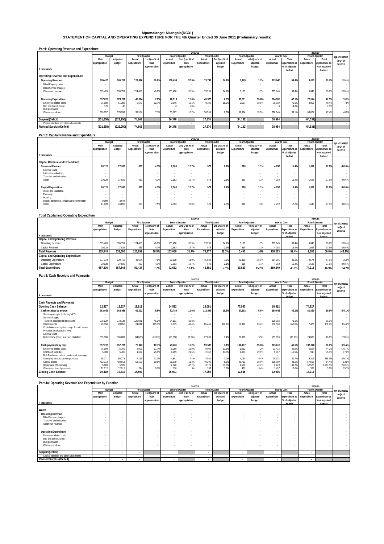## **Mpumalanga: Nkangala(DC31) STATEMENT OF CAPITAL AND OPERATING EXPENDITURE FOR THE 4th Quarter Ended 30 June 2011 (Preliminary results)**

| Part1: Operating Revenue and Expenditure |  |
|------------------------------------------|--|
|                                          |  |

|                                                               |               | 2010/11                                              |                                    |                      |             |                       |                      |               |                |               |             |                         |               | 2009/10                 |               |
|---------------------------------------------------------------|---------------|------------------------------------------------------|------------------------------------|----------------------|-------------|-----------------------|----------------------|---------------|----------------|---------------|-------------|-------------------------|---------------|-------------------------|---------------|
|                                                               | Budget        |                                                      |                                    | <b>First Quarter</b> |             | <b>Second Quarter</b> | <b>Third Quarter</b> |               | Fourth Quarter |               |             | Year to Date            |               | Fourth Quarter          | Q4 of 2009/10 |
|                                                               | Main          | Adjusted                                             | Actual                             | 1st Q as % of        | Actual      | 2nd Q as % of         | Actual               | 3rd Q as % of | Actual         | 4th Q as % of | Actual      | Total                   | Actual        | Total                   | to Q4 of      |
|                                                               | appropriation | Budget                                               | Expenditure                        | Main                 | Expenditure | Main                  | Expenditure          | adjusted      | Expenditure    | adjusted      | Expenditure | Expenditure as          | Expenditure   | Expenditure as          | 2010/11       |
| R thousands                                                   |               |                                                      |                                    | appropriation        |             | appropriation         |                      | budget        |                | budget        |             | % of adjusted<br>hudget |               | % of adjusted<br>hudget |               |
|                                                               |               |                                                      |                                    |                      |             |                       |                      |               |                |               |             |                         |               |                         |               |
| Operating Revenue and Expenditure                             |               |                                                      |                                    |                      |             |                       |                      |               |                |               |             |                         |               |                         |               |
| <b>Operating Revenue</b>                                      | 305.420       | 305.759                                              | 124.466                            | 40.8%                | 100.496     | 32.9%                 | 73.799               | 24.1%         | 5.179          | 1.7%          | 303.940     | 99.4%                   | 8.043         | 60.7%                   | (35.6%)       |
| <b>Billed Property rates</b><br><b>Billed Service charges</b> |               | $\overline{\phantom{a}}$<br>$\overline{\phantom{a}}$ | $\overline{\phantom{a}}$<br>$\sim$ | $\sim$               |             |                       |                      | $\sim$        |                |               |             |                         | $\sim$<br>. . | . .                     |               |
| Other own revenue                                             | 305,420       | 305,759                                              | 124.466                            | 40.8%                | 100,496     | 32.9%                 | 73,799               | 24.1%         | 5.179          | 1.7%          | 303.940     | 99.4%                   | 8.043         | 60.7%                   | (35.6%)       |
| <b>Operating Expenditure</b>                                  | 637,078       | 629.710                                              | 49,604                             | 7.8%                 | 70,118      | 11.0%                 | 45.923               | 7.3%          | 99,311         | 15.8%         | 264.956     | 42.1%                   | 72,574        | 47.5%                   | 36.8%         |
| Employee related costs                                        | 76.100        | 51.382                                               | 9.679                              | 12.7%                | 9.946       | 13.1%                 | 9.329                | 18.2%         | 9.657          | 18.8%         | 38.610      | 75.1%                   | 8.953         | 48.4%                   | 7.9%          |
| Bad and doubtful debt                                         | 120           | 40                                                   |                                    |                      |             | 5.0%                  |                      |               |                |               |             | 14.9%                   |               | 7.8%                    |               |
| <b>Bulk purchases</b>                                         |               |                                                      |                                    |                      |             |                       |                      |               |                |               |             |                         |               |                         |               |
| Other expenditure                                             | 560,857       | 578.288                                              | 39.924                             | 7.1%                 | 60.167      | 10.7%                 | 36.595               | 6.3%          | 89.654         | 15.5%         | 226.340     | 39.1%                   | 63.621        | 47.4%                   | 40.9%         |
| Surplus/(Deficit)                                             | (331, 658)    | (323,950)                                            | 74.863                             |                      | 30.378      |                       | 27.876               |               | (94, 132)      |               | 38.984      |                         | (64, 531)     |                         |               |
| Capital transfers and other adjustments                       |               |                                                      |                                    |                      |             |                       |                      |               |                |               |             |                         |               |                         |               |
| <b>Revised Surplus/(Deficit)</b>                              | (331, 658)    | (323,950)                                            | 74,863                             |                      | 30,378      |                       | 27,876               |               | (94, 132)      |               | 38,984      |                         | (64, 531)     |                         |               |

#### **Part 2: Capital Revenue and Expenditure**

|                                           |               |                          |                          |                      |             |                       | 2010/11              |               |             |                |             |                |             | 2009/10        |               |
|-------------------------------------------|---------------|--------------------------|--------------------------|----------------------|-------------|-----------------------|----------------------|---------------|-------------|----------------|-------------|----------------|-------------|----------------|---------------|
|                                           |               | Budget                   |                          | <b>First Quarter</b> |             | <b>Second Quarter</b> | <b>Third Quarter</b> |               |             | Fourth Quarter |             | Year to Date   |             | Fourth Quarter | Q4 of 2009/10 |
|                                           | Main          | Adjusted                 | Actual                   | 1st Q as % of        | Actual      | 2nd Q as % of         | Actual               | 3rd Q as % of | Actual      | 4th Q as % of  | Actual      | Total          | Actual      | Total          | to Q4 of      |
|                                           | appropriation | Budget                   | Expenditure              | Main                 | Expenditure | Main                  | Expenditure          | adjusted      | Expenditure | adjusted       | Expenditure | Expenditure as | Expenditure | Expenditure as | 2010/11       |
|                                           |               |                          |                          | appropriation        |             | appropriation         |                      | budget        |             | budget         |             | % of adjusted  |             | % of adjusted  |               |
| R thousands                               |               |                          |                          |                      |             |                       |                      |               |             |                |             | hudget         |             | hudget         |               |
|                                           |               |                          |                          |                      |             |                       |                      |               |             |                |             |                |             |                |               |
| Capital Revenue and Expenditure           |               |                          |                          |                      |             |                       |                      |               |             |                |             |                |             |                |               |
| Source of Finance                         | 20.128        | 27.835                   | 833                      | 4.1%                 | 2.563       | 12.7%                 | 578                  | 2.1%          | 318         | 1.1%           | 4.292       | 15.4%          | 1.642       | 27.6%          | (80.6%)       |
| External loans                            |               | $\sim$                   | $\overline{\phantom{a}}$ |                      |             |                       |                      |               |             | $\sim$         | $\sim$      |                |             |                |               |
| Internal contributions                    |               | $\sim$                   | $\overline{\phantom{a}}$ |                      |             |                       |                      |               |             |                | $\sim$      |                |             | $\sim$         |               |
| Transfers and subsidies                   |               | $\overline{\phantom{a}}$ | $\overline{\phantom{a}}$ |                      |             |                       |                      |               | . .         |                | $\sim$      |                |             |                |               |
| Other                                     | 20.128        | 27.835                   | 833                      | 4.1%                 | 2.563       | 12.7%                 | 578                  | 2.1%          | 318         | 1.1%           | 4.292       | 15.4%          | 1.642       | 27.6%          | (80.6%)       |
|                                           |               |                          |                          |                      |             |                       |                      |               |             |                |             |                |             |                |               |
| Capital Expenditure                       | 20.128        | 27.835                   | 833                      | 4.1%                 | 2.563       | 12.7%                 | 578                  | 2.1%          | 318         | 1.1%           | 4.292       | 15.4%          | 1.642       | 27.6%          | (80.6%)       |
| Water and Sanitation                      |               | $\sim$                   | $\overline{\phantom{a}}$ |                      |             |                       |                      |               | . .         |                | $\sim$      |                |             |                |               |
| Electricity                               |               | $\sim$                   | $\overline{\phantom{a}}$ |                      |             |                       |                      |               | $\sim$      |                | $\sim$      |                |             | $\sim$         |               |
| Housing                                   |               | $\sim$                   | $\overline{\phantom{a}}$ |                      |             |                       |                      |               | $\sim$      |                | $\sim$      |                |             |                |               |
| Roads, pavements, bridges and storm water | 9,000         | 2.944                    | $\sim$                   |                      |             |                       |                      |               |             |                | $\sim$      |                |             |                |               |
| Other                                     | 11.128        | 24,892                   | 833                      | 7.5%                 | 2.563       | 23.0%                 | 578                  | 2.3%          | 318         | 1.3%           | 4.292       | 17.2%          | 1.642       | 27.6%          | (80.6%)       |
|                                           |               |                          |                          |                      |             |                       |                      |               |             |                |             |                |             |                |               |

### **Total Capital and Operating Expenditure**

|                                   |               | 2010/11  |                      |               |                |               |               |               |                |               |             |                       |             | 2009/10               |               |
|-----------------------------------|---------------|----------|----------------------|---------------|----------------|---------------|---------------|---------------|----------------|---------------|-------------|-----------------------|-------------|-----------------------|---------------|
|                                   | Budget        |          | <b>First Quarter</b> |               | Second Quarter |               | Third Quarter |               | Fourth Ouarter |               |             | Year to Date          |             | Fourth Quarter        | Q4 of 2009/10 |
|                                   | Mair          | Adjusted | Actual               | 1st Q as % of | Actual         | 2nd Q as % of | Actual        | 3rd Q as % of | Actual         | 4th Q as % of | Actual      | Total                 | Actual      | Total                 | to Q4 of      |
|                                   | appropriation | Budget   | Expenditure          | Main          | Expenditure    | Main          | Expenditure   | adjusted      | Expenditure    | adiusted      | Expenditure | <b>Expenditure as</b> | Expenditure | <b>Expenditure as</b> | 2010/11       |
|                                   |               |          |                      | appropriation |                | appropriation |               | budget        |                | budget        |             | % of adjusted         |             | % of adjusted         |               |
| R thousands                       |               |          |                      |               |                |               |               |               |                |               |             | hudget                |             | hudget                |               |
| Capital and Operating Revenue     |               |          |                      |               |                |               |               |               |                |               |             |                       |             |                       |               |
| Operating Revenue                 | 305.420       | 305.759  | 124.466              | 40.8%         | 100.496        | 32.99         | 73.799        | 24.1%         | 5.179          | 1.7%          | 303.940     | 99.4%                 | 8.043       | 60.7%                 | (35.6%)       |
| Capital Revenue                   | 20.128        | 27.835   | 833                  | 4.19          | 2.563          | 12.7%         | 578           | 2.1%          | 318            | 11%           | 4.292       | 15.4%                 | 1.642       | 27.6%                 | (80.6%        |
| <b>Total Revenue</b>              | 325.548       | 333.595  | 125.299              | 38.5%         | 103.060        | 31.7%         | 74.377        | 22.3%         | 5.497          | 1.6%          | 308.233     | 92.4%                 | 9.685       | 59.8%                 | (43.2%)       |
| Capital and Operating Expenditure |               |          |                      |               |                |               |               |               |                |               |             |                       |             |                       |               |
| Operating Expenditure             | 637.078       | 629.710  | 49.604               | 7.8%          | 70.118         | 11.0%         | 45.923        | 7.3%          | 99.31          | 15.8%         | 264.956     | 42.1%                 | 72.574      | 47.5%                 | 36.8%         |
| Capital Expenditure               | 20.128        | 27.835   | 833                  | 4.19          | 2.563          | 12.7%         | 578           | 2.1%          | 318            | 1 1%          | 4.292       | 15.4%                 | 1.642       | 27.6%                 | (80.6%)       |
| <b>Total Expenditure</b>          | 657.206       | 657.545  | 50.437               | 7.7%          | 72.682         | 11.1%         | 46,501        | 7.1%          | 99.629         | 15.2%         | 269.249     | 40.9%                 | 74.216      | 46.9%                 | 34.2%         |
|                                   |               |          |                      |               |                |               |               |               |                |               |             |                       |             |                       |               |

#### **Part 3: Cash Receipts and Payments**

|                                                 |               |                          |                          |               |             | 2010/11               |                      |               |             |                |             |                       |             | 2009/10        |               |
|-------------------------------------------------|---------------|--------------------------|--------------------------|---------------|-------------|-----------------------|----------------------|---------------|-------------|----------------|-------------|-----------------------|-------------|----------------|---------------|
|                                                 |               | Budget                   | <b>First Quarter</b>     |               |             | <b>Second Quarter</b> | <b>Third Quarter</b> |               |             | Fourth Quarter |             | Year to Date          |             | Fourth Quarter | Q4 of 2009/10 |
|                                                 | Main          | Adjusted                 | Actual                   | 1st Q as % of | Actual      | 2nd Q as % of         | Actual               | 3rd Q as % of | Actual      | 4th Q as % of  | Actual      | Total                 | Actual      | Total          | to Q4 of      |
|                                                 | appropriation | Budget                   | Expenditure              | Main          | Expenditure | Main                  | Expenditure          | adiusted      | Expenditure | adiusted       | Expenditure | <b>Expenditure as</b> | Expenditure | Expenditure as | 2010/11       |
|                                                 |               |                          |                          | appropriation |             | appropriation         |                      | budget        |             | budget         |             | % of adjusted         |             | % of adjusted  |               |
| R thousands                                     |               |                          |                          |               |             |                       |                      |               |             |                |             | hudget                |             | hudget         |               |
|                                                 |               |                          |                          |               |             |                       |                      |               |             |                |             |                       |             |                |               |
| <b>Cash Receipts and Payments</b>               |               |                          |                          |               |             |                       |                      |               |             |                |             |                       |             |                |               |
| <b>Opening Cash Balance</b>                     | 12,527        | 12,527                   | 18.912                   |               | 14,592      |                       | 25,091               |               | 77.950      |                | 18.912      |                       | 74.827      |                |               |
| Cash receipts by source                         | 663,989       | 663.989                  | 66,022                   | 9.9%          | 83,780      | 12.6%                 | 112.448              | 16.9%         | 37.392      | 5.6%           | 299.642     | 45.1%                 | 81,426      | 69.6%          | $(54.1\%)$    |
| Statutory receipts (including VAT)              | . .           |                          |                          |               |             |                       |                      |               |             |                |             |                       |             |                |               |
| Service charges                                 | . .           | $\overline{\phantom{a}}$ |                          |               |             |                       |                      |               |             | $\sim$         |             |                       | $\sim$      |                |               |
| Transfers (operational and capital)             | 278,139       | 278,139                  | 125,981                  | 45.3%         | 94,101      | 33.8%                 |                      |               |             | $\sim$         | 220,082     | 79.1%                 |             | 96.9%          |               |
| Other receipts                                  | 20.850        | 20.850                   | 24.041                   | 115.3%        | 9.679       | 46.4%                 | 85.448               | 409.8%        | 17.392      | 83.4%          | 136.560     | 655.09                | 7.426       | 131.4%         | 134.2%        |
| Contributions recognised - cap. & contr. assets | . .           |                          |                          |               |             |                       |                      |               |             |                |             |                       |             |                |               |
| Proceeds on disposal of PPE                     |               | $\overline{\phantom{a}}$ | $\overline{\phantom{a}}$ |               |             | $\sim$                |                      |               |             |                |             |                       |             |                |               |
| <b>External Inans</b>                           |               |                          |                          |               |             |                       |                      |               |             |                |             |                       |             |                |               |
| Net increase (decr.) in assets / liabilities    | 365,000       | 365,000                  | (84,000)                 | (23.0%)       | (20,000)    | (5.5%                 | 27,000               | 7.4%          | 20,000      | 5.5%           | (57,000)    | (15.6%                | 74,000      | 16.1%          | $(73.0\%)$    |
|                                                 |               |                          |                          |               |             |                       |                      |               |             |                |             |                       |             |                |               |
| Cash payments by type                           | 657.205       | 657.205                  | 70,343                   | 10.7%         | 73.281      | 11.2%                 | 59.589               | 9.1%          | 102.407     | 15.6%          | 305.619     | 46.5%                 | 137.340     | 66.0%          | (25.4%)       |
| Employee related costs                          | 76,100        | 76,100                   | 8.906                    | 11.7%         | 9.060       | 11.9%                 | 9.005                | 11.8%         | 5.462       | 7.2%           | 32.433      | 42.6%                 | 6.557       | 44.7%          | (16.7%)       |
| Grant and subsidies                             | 5.400         | 5.400                    | 1.377                    | 25.5%         | 1.159       | 21.5%                 | 2.357                | 43.7%         | 1.074       | 19.9%          | 5.967       | 110.5%                | 918         | 35.8%          | 17.0%         |
| Bulk Purchases - electr., water and sewerage    |               |                          |                          |               |             |                       |                      |               |             |                |             | $\sim$                |             |                |               |
| Other payments to service providers             | 65.271        | 65.271                   | 7.157                    | 11.0%         | 4.841       | 74%                   | 4.551                | 7.0%          | 4.164       | 6.4%           | 20.713      | 31.7%                 | 9.314       | 238.7%         | (55.3%)       |
| Capital assets                                  | 492,013       | 492,013                  | 52,159                   | 10.6%         | 55,578      | 11.3%                 | 40.292               | 8.2%          | 88.751      | 18.0%          | 236.780     | 48.1%                 | 57.652      | 54.4%          | 53.9%         |
| Repayment of borrowing                          | 5.909         | 5.909                    | $\overline{\phantom{a}}$ | $\sim$        | 2.526       | 42.7%                 | 3.178                | 53.8%         | 2.526       | 42.7%          | 8.229       | 139.2%                | 62,526      | 1,173.5%       | $(96.0\%)$    |
| Other cash flows / payments                     | 12.512        | 12.512                   | 744                      | 5.9%          | 118         | 9%                    | 206                  | 1.6%          | 429         | 3 4%           | 1.497       | 12.0%                 | 373         | 3.5%           | 15.1%         |
| <b>Closing Cash Balance</b>                     | 19,310        | 19.310                   | 14,592                   |               | 25,091      |                       | 77.950               |               | 12.935      |                | 12.935      |                       | 18.913      |                |               |
|                                                 |               |                          |                          |               |             |                       |                      |               |             |                |             |                       |             |                |               |

|                                         |               | 2010/11<br>Second Quarter<br><b>Third Quarter</b><br>Fourth Quarter<br><b>First Quarter</b><br>Budget |                          |               |                          |               |             |               |             |               |             |                |             | 2009/10               |               |
|-----------------------------------------|---------------|-------------------------------------------------------------------------------------------------------|--------------------------|---------------|--------------------------|---------------|-------------|---------------|-------------|---------------|-------------|----------------|-------------|-----------------------|---------------|
|                                         |               |                                                                                                       |                          |               |                          |               |             |               |             |               |             | Year to Date   |             | Fourth Quarter        | Q4 of 2009/10 |
|                                         | Main          | Adjusted                                                                                              | Actual                   | 1st Q as % of | Actual                   | 2nd Q as % of | Actual      | 3rd Q as % of | Actual      | 4th Q as % of | Actual      | Total          | Actual      | Total                 | to Q4 of      |
|                                         | appropriation | Budget                                                                                                | Expenditure              | Main          | Expenditure              | Main          | Expenditure | adjusted      | Expenditure | adjusted      | Expenditure | Expenditure as | Expenditure | <b>Expenditure as</b> | 2010/11       |
|                                         |               |                                                                                                       |                          | appropriation |                          | appropriation |             | budget        |             | budget        |             | % of adjusted  |             | % of adjusted         |               |
| R thousands                             |               |                                                                                                       |                          |               |                          |               |             |               |             |               |             | hudoot         |             | hudoot                |               |
|                                         |               |                                                                                                       |                          |               |                          |               |             |               |             |               |             |                |             |                       |               |
| Water                                   |               |                                                                                                       |                          |               |                          |               |             |               |             |               |             |                |             |                       |               |
| <b>Operating Revenue</b>                | ٠             |                                                                                                       |                          |               |                          |               |             |               |             |               |             | ٠              |             |                       |               |
| <b>Billed Service charges</b>           |               |                                                                                                       |                          |               |                          |               |             |               | $\sim$      |               |             | ٠              |             | $\sim$                |               |
| Transfers and subsidies                 |               |                                                                                                       |                          |               |                          |               |             |               | $\sim$      |               |             |                |             | $\sim$                |               |
| Other own revenue                       |               |                                                                                                       |                          |               |                          |               |             |               |             |               |             |                |             |                       |               |
|                                         |               |                                                                                                       |                          |               |                          |               |             |               |             |               |             |                |             |                       |               |
| <b>Operating Expenditure</b>            | ٠             |                                                                                                       |                          |               |                          |               |             |               | ٠           |               |             | ٠              |             |                       |               |
| Employee related costs                  |               |                                                                                                       |                          |               |                          |               |             |               |             |               |             |                |             | $\sim$                |               |
| Bad and doubtful debt                   |               |                                                                                                       |                          |               |                          |               |             |               | $\sim$      |               |             | ٠              |             | $\sim$                |               |
| <b>Bulk purchases</b>                   |               |                                                                                                       |                          |               |                          |               |             |               |             |               |             |                |             |                       |               |
| Other expenditure                       |               |                                                                                                       |                          |               |                          |               |             |               |             |               |             |                |             |                       |               |
|                                         |               |                                                                                                       |                          |               |                          |               |             |               |             |               |             |                |             |                       |               |
| Surplus/(Deficit)                       | $\sim$        | ۰                                                                                                     | $\overline{\phantom{a}}$ |               | $\overline{\phantom{a}}$ |               | ٠           |               | $\sim$      |               | . .         |                | $\sim$      |                       |               |
| Capital transfers and other adjustments |               |                                                                                                       |                          |               |                          |               |             |               |             |               |             |                |             |                       |               |
| <b>Revised Surplus/(Deficit)</b>        | $\sim$        | $\overline{\phantom{a}}$                                                                              | $\overline{\phantom{a}}$ |               | ٠                        |               | ۰           |               | $\sim$      |               | $\sim$      |                | $\sim$      |                       |               |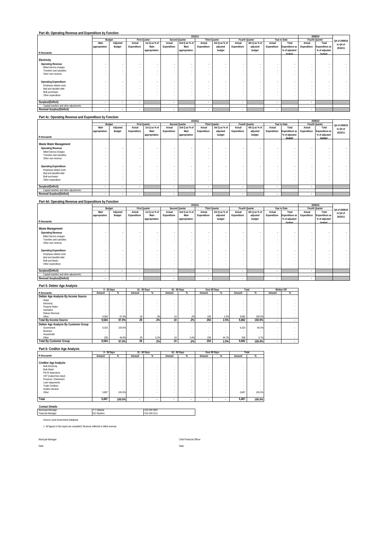|                                         |                          | 2010/11                  |                          |                      |                          |                          |             |               |             |                          |                          |                |             |                |               |
|-----------------------------------------|--------------------------|--------------------------|--------------------------|----------------------|--------------------------|--------------------------|-------------|---------------|-------------|--------------------------|--------------------------|----------------|-------------|----------------|---------------|
|                                         |                          | Budget                   |                          | <b>First Quarter</b> |                          | Second Quarter           |             | Third Quarter |             | Fourth Quarter           |                          | Year to Date   |             | Fourth Quarter | Q4 of 2009/10 |
|                                         | Main                     | Adjusted                 | Actual                   | 1st Q as % of        | Actual                   | 2nd Q as % of            | Actual      | 3rd Q as % of | Actual      | 4th Q as % of            | Actual                   | Total          | Actual      | Total          | to Q4 of      |
|                                         | appropriation            | Budget                   | Expenditure              | Main                 | Expenditure              | Main                     | Expenditure | adjusted      | Expenditure | adjusted                 | Expenditure              | Expenditure as | Expenditure | Expenditure as | 2010/11       |
|                                         |                          |                          |                          | appropriation        |                          | appropriation            |             | budget        |             | budget                   |                          | % of adjusted  |             | % of adjusted  |               |
| R thousands                             |                          |                          |                          |                      |                          |                          |             |               |             |                          |                          | hudget         |             | hudget         |               |
|                                         |                          |                          |                          |                      |                          |                          |             |               |             |                          |                          |                |             |                |               |
| Electricity                             |                          |                          |                          |                      |                          |                          |             |               |             |                          |                          |                |             |                |               |
| <b>Operating Revenue</b>                |                          | $\overline{a}$           | $\overline{a}$           |                      |                          | $\overline{\phantom{a}}$ |             |               |             | ٠                        |                          |                |             | ٠              |               |
| <b>Billed Service charges</b>           | $\sim$                   | $\overline{\phantom{a}}$ | $\overline{\phantom{a}}$ |                      |                          |                          |             |               |             | $\overline{\phantom{a}}$ | $\sim$                   |                |             | $\sim$         |               |
| Transfers and subsidies                 |                          | ٠.                       |                          |                      |                          |                          |             |               |             | $\overline{\phantom{a}}$ |                          |                |             | $\sim$         |               |
| Other own revenue                       |                          |                          |                          |                      |                          |                          |             |               |             |                          |                          |                |             | $\sim$         |               |
|                                         |                          |                          |                          |                      |                          |                          |             |               |             |                          |                          |                |             |                |               |
| <b>Operating Expenditure</b>            |                          | $\overline{a}$           | $\mathbf{r}$             |                      |                          | $\overline{\phantom{a}}$ |             |               | ٠           | ٠                        |                          |                |             | ٠              |               |
| Employee related costs                  |                          |                          |                          |                      |                          |                          |             |               |             |                          |                          |                |             |                |               |
| Bad and doubtful debt                   | $\sim$                   | $\overline{\phantom{a}}$ | $\sim$                   |                      |                          |                          |             |               | $\sim$      | $\overline{\phantom{a}}$ |                          |                |             | $\sim$         |               |
| <b>Bulk purchases</b>                   |                          | ٠.                       |                          |                      |                          |                          |             |               |             | ٠.                       |                          |                |             | $\sim$         |               |
| Other expenditure                       | $\overline{\phantom{a}}$ | ٠.                       |                          |                      |                          |                          |             |               |             |                          |                          |                |             | $\sim$         |               |
|                                         |                          |                          |                          |                      |                          |                          |             |               |             |                          |                          |                |             |                |               |
| Surplus/(Deficit)                       | $\overline{\phantom{a}}$ | ۰                        | $\sim$                   |                      | $\overline{\phantom{a}}$ |                          | ٠           |               | $\sim$      |                          | $\overline{\phantom{a}}$ |                | ٠           |                |               |
| Capital transfers and other adjustments |                          |                          |                          |                      |                          | ٠.                       |             |               |             |                          |                          |                |             |                |               |
| <b>Revised Surplus/(Deficit)</b>        | $\sim$                   | ۰                        | $\overline{\phantom{a}}$ |                      | $\overline{\phantom{a}}$ |                          | $\sim$      |               |             |                          | $\sim$                   |                | $\sim$      |                |               |
|                                         |                          |                          |                          |                      |                          |                          |             |               |             |                          |                          |                |             |                |               |

#### **Part 4c: Operating Revenue and Expenditure by Function**

|                                         |               |                          |                          |                      |                          |                | 2010/11     |                      |             |                |             |                       |                          | 2009/10               |               |
|-----------------------------------------|---------------|--------------------------|--------------------------|----------------------|--------------------------|----------------|-------------|----------------------|-------------|----------------|-------------|-----------------------|--------------------------|-----------------------|---------------|
|                                         |               | Budget                   |                          | <b>First Quarter</b> |                          | Second Quarter |             | <b>Third Quarter</b> |             | Fourth Quarter |             | Year to Date          |                          | Fourth Quarter        | Q4 of 2009/10 |
|                                         | Main          | Adjusted                 | Actual                   | 1st Q as % of        | Actual                   | 2nd Q as % of  | Actual      | 3rd Q as % of        | Actual      | 4th Q as % of  | Actual      | Total                 | Actual                   | Total                 | to Q4 of      |
|                                         | appropriation | Budget                   | Expenditure              | Main                 | Expenditure              | Main           | Expenditure | adjusted             | Expenditure | adjusted       | Expenditure | <b>Expenditure as</b> | Expenditure              | <b>Expenditure as</b> | 2010/11       |
|                                         |               |                          |                          | appropriation        |                          | appropriation  |             | budget               |             | budget         |             | % of adjusted         |                          | % of adjusted         |               |
| R thousands                             |               |                          |                          |                      |                          |                |             |                      |             |                |             | hudget                |                          | hudget                |               |
|                                         |               |                          |                          |                      |                          |                |             |                      |             |                |             |                       |                          |                       |               |
| Waste Water Management                  |               |                          |                          |                      |                          |                |             |                      |             |                |             |                       |                          |                       |               |
| <b>Operating Revenue</b>                |               | $\overline{a}$           | $\sim$                   |                      |                          | ٠              |             | $\mathbf{r}$         |             | $\mathbf{r}$   |             | ٠                     | $\mathbf{r}$             |                       |               |
| <b>Billed Service charges</b>           |               |                          |                          |                      |                          |                |             |                      |             | $\sim$         |             |                       |                          | $\sim$                |               |
| Transfers and subsidies                 |               | $\overline{\phantom{a}}$ |                          |                      |                          |                |             |                      |             | $\sim$         |             | ۰                     | $\overline{\phantom{a}}$ |                       | $\sim$        |
| Other own revenue                       |               |                          |                          |                      |                          |                |             |                      |             | ۰              |             |                       |                          | $\sim$                |               |
|                                         |               |                          |                          |                      |                          |                |             |                      |             |                |             |                       |                          |                       |               |
| <b>Operating Expenditure</b>            |               | ٠                        | $\sim$                   |                      |                          |                |             |                      |             | $\mathbf{r}$   |             |                       |                          |                       | $\mathbf{r}$  |
| Employee related costs                  |               | $\overline{\phantom{a}}$ |                          |                      |                          |                |             | $\sim$               |             | $\sim$         |             |                       |                          | $\sim$                |               |
| Bad and doubtful debt                   |               |                          |                          |                      |                          |                |             |                      |             | $\sim$         |             |                       |                          | $\sim$                |               |
| <b>Bulk purchases</b>                   |               |                          |                          |                      |                          |                |             |                      |             |                |             |                       |                          |                       |               |
| Other expenditure                       |               |                          |                          |                      |                          |                |             |                      |             |                |             |                       |                          | $\sim$                |               |
|                                         |               |                          |                          |                      |                          |                |             |                      |             |                |             |                       |                          |                       |               |
| Surplus/(Deficit)                       | ٠             | $\cdot$                  | $\overline{\phantom{a}}$ |                      | $\overline{\phantom{a}}$ |                | ٠           |                      | ۰           |                | ۰           |                       | $\overline{\phantom{a}}$ |                       |               |
| Capital transfers and other adjustments |               |                          |                          |                      |                          |                |             |                      |             |                |             |                       |                          |                       | . .           |
| <b>Revised Surplus/(Deficit)</b>        | $\sim$        | $\overline{\phantom{a}}$ | $\cdot$                  |                      |                          |                |             |                      |             |                | $\sim$      |                       |                          |                       |               |

### **Part 4d: Operating Revenue and Expenditure by Function**

|                                         |                          | 2010/11                  |                          |               |                          |                |                      |               |             |                |             |                       |             |                       |               |
|-----------------------------------------|--------------------------|--------------------------|--------------------------|---------------|--------------------------|----------------|----------------------|---------------|-------------|----------------|-------------|-----------------------|-------------|-----------------------|---------------|
|                                         |                          | Budget                   | <b>First Quarter</b>     |               |                          | Second Quarter | <b>Third Quarter</b> |               |             | Fourth Quarter |             | Year to Date          |             | Fourth Quarter        | Q4 of 2009/10 |
|                                         | Main                     | Adjusted                 | Actual                   | 1st Q as % of | Actual                   | 2nd Q as % of  | Actual               | 3rd Q as % of | Actual      | 4th Q as % of  | Actual      | Total                 | Actual      | Total                 | to Q4 of      |
|                                         | appropriation            | Budget                   | Expenditure              | Main          | Expenditure              | Main           | Expenditure          | adjusted      | Expenditure | adjusted       | Expenditure | <b>Expenditure as</b> | Expenditure | <b>Expenditure as</b> | 2010/11       |
|                                         |                          |                          |                          | appropriation |                          | appropriation  |                      | budget        |             | budget         |             | % of adjusted         |             | % of adjusted         |               |
| R thousands                             |                          |                          |                          |               |                          |                |                      |               |             |                |             | hudget                |             | hudget                |               |
|                                         |                          |                          |                          |               |                          |                |                      |               |             |                |             |                       |             |                       |               |
| Waste Management                        |                          |                          |                          |               |                          |                |                      |               |             |                |             |                       |             |                       |               |
| <b>Operating Revenue</b>                |                          | ٠                        |                          |               |                          |                |                      |               |             |                |             |                       |             | ٠                     |               |
| <b>Billed Service charges</b>           |                          | $\overline{\phantom{a}}$ |                          |               |                          |                |                      | $\sim$        |             | $\sim$         |             |                       |             |                       | $\sim$        |
| Transfers and subsidies                 |                          | $\overline{\phantom{a}}$ |                          |               |                          |                |                      | $\sim$        |             | $\sim$         |             |                       |             |                       |               |
| Other own revenue                       |                          | $\sim$                   |                          |               |                          |                |                      |               |             |                |             |                       |             |                       |               |
|                                         |                          |                          |                          |               |                          |                |                      |               |             |                |             |                       |             |                       |               |
| <b>Operating Expenditure</b>            |                          | ٠                        |                          |               |                          |                |                      | ٠             |             | ٠              |             |                       | ٠           |                       |               |
| Employee related costs                  |                          |                          |                          |               |                          |                |                      |               |             | $\sim$         |             |                       |             |                       |               |
| Bad and doubtful debt                   |                          |                          |                          |               |                          |                |                      |               |             | $\sim$         |             |                       |             | $\sim$                |               |
| <b>Bulk purchases</b>                   |                          |                          |                          |               |                          |                |                      |               |             | $\sim$         |             |                       |             |                       | $\sim$        |
| Other expenditure                       |                          |                          |                          |               |                          |                |                      |               |             |                |             |                       |             | $\sim$                |               |
|                                         |                          |                          |                          |               |                          |                |                      |               |             |                |             |                       |             |                       |               |
| Surplus/(Deficit)                       |                          | $\cdot$                  | $\overline{\phantom{a}}$ |               |                          |                | ٠                    |               |             |                |             |                       | ٠           |                       |               |
| Capital transfers and other adjustments |                          |                          |                          |               |                          |                |                      |               |             |                |             |                       |             |                       |               |
| <b>Revised Surplus/(Deficit)</b>        | $\overline{\phantom{a}}$ | $\cdot$                  | $\cdot$                  |               | $\overline{\phantom{a}}$ |                | ۰                    |               | ۰           |                | $\sim$      |                       |             |                       |               |

## **Part 5: Debtor Age Analysis**

|                                       | $0 - 30$ Days |        | 31 - 60 Days |      | 61 - 90 Days |      | Over 90 Days |       | Total  |        |        | Written Off |
|---------------------------------------|---------------|--------|--------------|------|--------------|------|--------------|-------|--------|--------|--------|-------------|
| R thousands                           | Amount        | %      | Amount       | %    | Amount       | %    | Amount       | %     | Amount | %      | Amount | %           |
| Debtor Age Analysis By Income Source  |               |        |              |      |              |      |              |       |        |        |        |             |
| Water                                 |               |        |              |      |              |      |              |       |        |        |        |             |
| Electricity                           |               |        |              |      |              |      |              |       |        |        |        |             |
| Property Rates                        |               |        |              |      |              |      |              |       |        |        |        |             |
| Sanitation                            |               |        |              |      |              |      |              |       |        |        |        |             |
| Refuse Removal                        |               |        |              |      |              |      |              |       |        |        |        |             |
| Other                                 | 9.584         | 97.0%  | 29           | .3%  | 19           | .2%  | 250          | 2.5%  | 9,882  | 100.0% | $\sim$ |             |
| <b>Total By Income Source</b>         | 9.584         | 97.0%  | 29           | .3%  | 19           | .2%  | 250          | 2.5%  | 9.882  | 100.0% | $\sim$ |             |
| Debtor Age Analysis By Customer Group |               |        |              |      |              |      |              |       |        |        |        |             |
| Government                            | 9.323         | 100.0% |              |      |              |      |              |       | 9.323  | 94.3%  |        |             |
| <b>Business</b>                       |               |        |              |      |              |      |              |       |        |        |        |             |
| <b>Households</b>                     |               |        |              |      |              |      |              |       |        |        |        |             |
| Other                                 | 260           | 46.6%  | 29           | 5.2% | 19           | 3.4% | 250          | 44.7% | 558    | 5.7%   | $\sim$ |             |
| <b>Total By Customer Group</b>        | 9.584         | 97.0%  | 29           | .3%  | 19           | .2%  | 250          | 2.5%  | 9.882  | 100.0% | ۰      | . .         |

#### **Part 6: Creditor Age Analysis**

|                              |        | 0 - 30 Days      |                          | 31 - 60 Days     |                          | 61 - 90 Days             |        | Over 90 Days     | Total  |        |
|------------------------------|--------|------------------|--------------------------|------------------|--------------------------|--------------------------|--------|------------------|--------|--------|
| R thousands                  | Amount | %                | Amount                   | %                | Amount                   | %                        | Amount | %                | Amount | %      |
|                              |        |                  |                          |                  |                          |                          |        |                  |        |        |
| <b>Creditor Age Analysis</b> |        |                  |                          |                  |                          |                          |        |                  |        |        |
| <b>Bulk Electricity</b>      | $\sim$ | ٠                | $\sim$                   | $\sim$           | ٠                        | $\sim$                   | ۰      |                  |        |        |
| <b>Bulk Water</b>            |        | ٠                | $\sim$                   | ٠                | ٠                        | $\sim$                   |        | ٠                |        | ٠      |
| PAYE deductions              |        | $\sim$           | $\sim$                   | ٠                | $\sim$                   | $\sim$                   | $\sim$ |                  |        |        |
| VAT (output less input)      |        | ٠                | $\sim$                   | ٠                | ٠                        | $\sim$                   |        |                  |        |        |
| Pensions / Retirement        |        | ٠                | $\sim$                   | <b>The Story</b> | ٠                        | $\sim$                   |        | ٠                |        |        |
| Loan repayments              |        | <b>The Story</b> | $\sim$                   | <b>The Story</b> | ٠                        | $\sim$                   |        | <b>The Story</b> |        |        |
| <b>Trade Creditors</b>       |        | ٠                | $\sim$                   | ٠                | ٠                        | $\sim$                   |        | ٠                |        |        |
| Auditor-General              |        | $\sim$           | $\sim$                   | $\sim$           | ٠                        | $\sim$                   | ٠      |                  |        |        |
| Other                        | 5.887  | 100.0%           | $\sim$                   | ٠                |                          |                          |        |                  | 5.887  | 100.0% |
|                              |        |                  |                          |                  |                          |                          |        |                  |        |        |
| Total                        | 5,887  | 100.0%           | $\overline{\phantom{a}}$ | ٠                | $\overline{\phantom{a}}$ | $\overline{\phantom{a}}$ |        |                  | 5,887  | 100.0% |

#### **Contact Details**

| Contact Details                  |            |              |  |
|----------------------------------|------------|--------------|--|
| Municipal Manager                | C. Makola  | 013 249 2007 |  |
| <b>Financial Manager</b>         | MJ Strvdom | 013 249 2111 |  |
|                                  |            |              |  |
| Source Local Government Database |            |              |  |

1. All figures in this report are unaudited. Revenue reflected is billed revenue

Municpal Manager: Chief Financial Officer:

Date: Date: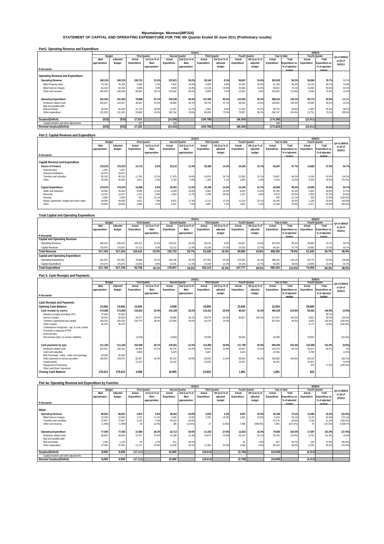## **Mpumalanga: Nkomazi(MP324) STATEMENT OF CAPITAL AND OPERATING EXPENDITURE FOR THE 4th Quarter Ended 30 June 2011 (Preliminary results)**

| Part1: Operating Revenue and Expenditure |
|------------------------------------------|
|------------------------------------------|

|                                         |               | 2010/11  |             |                      |             |                       |                      |               |                |               |             |                |             | 2009/10        |               |
|-----------------------------------------|---------------|----------|-------------|----------------------|-------------|-----------------------|----------------------|---------------|----------------|---------------|-------------|----------------|-------------|----------------|---------------|
|                                         | Budget        |          |             | <b>First Quarter</b> |             | <b>Second Quarter</b> | <b>Third Quarter</b> |               | Fourth Quarter |               |             | Year to Date   |             | Fourth Quarter | Q4 of 2009/10 |
|                                         | Main          | Adjusted | Actual      | 1st Q as % of        | Actual      | 2nd Q as % of         | Actual               | 3rd Q as % of | Actual         | 4th Q as % of | Actual      | Total          | Actual      | Total          | to Q4 of      |
|                                         | appropriation | Budget   | Expenditure | Main                 | Expenditure | Main                  | Expenditure          | adjusted      | Expenditure    | adjusted      | Expenditure | Expenditure as | Expenditure | Expenditure as | 2010/11       |
|                                         |               |          |             | appropriation        |             | appropriation         |                      | budget        |                | budget        |             | % of adjusted  |             | % of adjusted  |               |
| R thousands                             |               |          |             |                      |             |                       |                      |               |                |               |             | hudget         |             | hudget         |               |
| Operating Revenue and Expenditure       | 340.519       | 340.519  | 105.701     | 31.0%                | 133.521     | 39.2%                 | 28.140               | 8.3%          | 56.667         | 16.69         | 324.029     | 95.2%          | 36.860      | 78.7%          | 53.7%         |
| <b>Operating Revenue</b>                |               |          |             |                      |             |                       |                      |               |                |               |             |                |             |                |               |
| <b>Billed Property rates</b>            | 70.756        | 70.756   | 3.698       | 5.2%                 | 7.652       | 10.8%                 | 6.903                | 9.8%          | 22.943         | 32.4%         | 41.196      | 58.2%          | 13.122      | 83.7%          | 74.8%         |
| <b>Billed Service charges</b>           | 64.234        | 64.234   | 6.069       | 9.4%                 | 9.809       | 15.3%                 | 12.138               | 18.9%         | 20.893         | 32.5%         | 48.910      | 76.1%          | 14.693      | 80.6%          | 42.2%         |
| Other own revenue                       | 205,529       | 205.529  | 95.934      | 46.7%                | 116,060     | 56.5%                 | 9.099                | 4 4%          | 12.831         | 6.2%          | 233.923     | 113.8%         | 9.046       | 76.3%          | 41.8%         |
|                                         |               |          |             |                      |             |                       |                      |               |                |               |             |                |             |                |               |
| <b>Operating Expenditure</b>            | 341,052       | 341.052  | 78,688      | 23.1%                | 158,106     | 46.4%                 | 137.926              | 40.4%         | 123.593        | 36.2%         | 498.314     | 146.1%         | 59,772      | 83.5%          | 106.8%        |
| Employee related costs                  | 163.437       | 163.437  | 40.661      | 24.9%                | 45.885      | 28.1%                 | 38.756               | 23.7%         | 38.550         | 23.6%         | 163.852     | 100.3%         | 32.080      | 99.2%          | 20.2%         |
| Bad and doubtful debt                   |               |          |             |                      |             |                       |                      |               |                |               |             |                |             |                |               |
| <b>Bulk purchases</b>                   | 46.295        | 46.295   | 14.179      | 30.6%                | 11.427      | 24.7%                 | 2.902                | 6.3%          | 11.206         | 24.2%         | 39.715      | 85.8%          | 5.940       | 55.4%          | 88.7%         |
| Other expenditure                       | 131.320       | 131.320  | 23.848      | 18.2%                | 100.794     | 76.8%                 | 96.269               | 73.3%         | 73.837         | 56.2%         | 294.747     | 224.4%         | 21.751      | 75.2%          | 239.5%        |
|                                         |               |          |             |                      |             |                       |                      |               |                |               |             |                |             |                |               |
| Surplus/(Deficit)                       | (533)         | (533)    | 27.013      |                      | (24, 585)   |                       | (109, 786)           |               | (66, 926)      |               | (174, 285)  |                | (22, 911)   |                |               |
| Capital transfers and other adjustments |               |          | 307         |                      | 153         |                       |                      |               |                |               | 460         |                |             |                |               |
| <b>Revised Surplus/(Deficit)</b>        | (533)         | (533)    | 27,320      |                      | (24, 432)   |                       | (109, 786)           |               | (66, 926)      |               | (173, 825)  |                | (22, 911)   |                |               |

#### **Part 2: Capital Revenue and Expenditure**

|                                           |               |          |             |                      |             | 2010/11               |                      |                          |             |                          |             |                |             | 2009/10               |               |
|-------------------------------------------|---------------|----------|-------------|----------------------|-------------|-----------------------|----------------------|--------------------------|-------------|--------------------------|-------------|----------------|-------------|-----------------------|---------------|
|                                           |               | Budget   |             | <b>First Quarter</b> |             | <b>Second Quarter</b> | <b>Third Quarter</b> |                          |             | Fourth Quarter           |             | Year to Date   |             | Fourth Quarter        | Q4 of 2009/10 |
|                                           | Main          | Adiusted | Actual      | 1st Q as % of        | Actual      | 2nd Q as % of         | Actual               | 3rd Q as % of            | Actual      | 4th Q as % of            | Actual      | Total          | Actual      | Total                 | to Q4 of      |
|                                           | appropriation | Budget   | Expenditure | Main                 | Expenditure | Main                  | Expenditure          | adjusted                 | Expenditure | adjusted                 | Expenditure | Expenditure as | Expenditure | <b>Expenditure as</b> | 2010/11       |
|                                           |               |          |             | appropriation        |             | appropriation         |                      | budget                   |             | budget                   |             | % of adjusted  |             | % of adjusted         |               |
| R thousands                               |               |          |             |                      |             |                       |                      |                          |             |                          |             | hudget         |             | hudget                |               |
|                                           |               |          |             |                      |             |                       |                      |                          |             |                          |             |                |             |                       |               |
| Capital Revenue and Expenditure           |               |          |             |                      |             |                       |                      |                          |             |                          |             |                |             |                       |               |
| Source of Finance                         | 176.675       | 176.675  | 14.713      | 8.3%                 | 20.212      | 11.4%                 | 25.189               | 14.3%                    | 24.183      | 13.7%                    | 84.297      | 47.7%          | 14.683      | 37.6%                 | 64.7%         |
| External loans                            | 1.057         | 1.057    | $\sim$      | $\sim$               |             |                       |                      | $\overline{\phantom{a}}$ |             | $\sim$                   | $\sim$      | ۰.             |             | $\sim$                | $\sim$        |
| Internal contributions                    | 29.974        | 29.974   | $\sim$      |                      |             |                       |                      | $\overline{\phantom{a}}$ |             | $\overline{\phantom{a}}$ | $\sim$      | ۰.             |             |                       | $\sim$        |
| Transfers and subsidies                   | 90.152        | 90.152   | 11.796      | 13.1%                | 17.479      | 19.4%                 | 24.029               | 26.7%                    | 22.583      | 25.1%                    | 75.887      | 84.2%          | 9.249       | 50.0%                 | 144.2%        |
| Other                                     | 55.493        | 55.493   | 2.917       | 5.3%                 | 2.733       | 4 9%                  | 1.160                | 21%                      | 1.600       | 2.9%                     | 8.410       | 15.2%          | 5.434       | 28.8%                 | (70.5%)       |
|                                           |               |          |             |                      |             |                       |                      |                          |             |                          |             |                |             |                       |               |
| Capital Expenditure                       | 176,675       | 176,675  | 15,068      | 8.5%                 | 20,401      | 11.5%                 | 25.189               | 14.3%                    | 24.183      | 13.7%                    | 84.840      | 48.0%          | 14.683      | 43.4%                 | 64.7%         |
| Water and Sanitation                      | 55,590        | 55.590   | 6.090       | 11.0%                | 6.069       | 10.9%                 | 9.982                | 18.0%                    | 8.644       | 15.6%                    | 30.785      | 55.4%          | 5.502       | 48.8%                 | 57.1%         |
| Electricity                               | 14.257        | 14.257   | 1,231       | 8.69                 | 1.664       | 11.7%                 | 5.198                | 36.5%                    | 1.222       | 8.6%                     | 9.315       | 65.3%          | 1.309       | 40.7%                 | (6.6%)        |
| Housing                                   | 2.050         | 2.050    | 432         | 21.1%                |             | $\sim$                | $\sim$               | . .                      |             | $\overline{\phantom{a}}$ | 432         | 21.1%          | 352         | 22.9%                 | (100.0%       |
| Roads, pavements, bridges and storm water | 49,930        | 49,930   | 3,921       | 7.9%                 | 8.631       | 17.3%                 | 6.112                | 12.2%                    | 11.516      | 23.1%                    | 30,180      | 60.4%          | 1,148       | 35.9%                 | 902.8%        |
| Other                                     | 54.849        | 54.849   | 3.394       | 6.2%                 | 4.037       | 74%                   | 3.897                | 7.1%                     | 2.801       | 5.1%                     | 14.128      | 25.8%          | 6.371       | 40.3%                 | (56.0%        |
|                                           |               |          |             |                      |             |                       |                      |                          |             |                          |             |                |             |                       |               |

### **Total Capital and Operating Expenditure**

|                                          |               |          |                      |               |             | 2010/11        |                      |               |                |               |             |                       |             | 2009/10               |               |
|------------------------------------------|---------------|----------|----------------------|---------------|-------------|----------------|----------------------|---------------|----------------|---------------|-------------|-----------------------|-------------|-----------------------|---------------|
|                                          | Budget        |          | <b>First Quarter</b> |               |             | Second Quarter | <b>Third Quarter</b> |               | Fourth Quarter |               |             | Year to Date          |             | Fourth Quarter        | Q4 of 2009/10 |
|                                          | Main          | Adiusted | Actual               | 1st Q as % of | Actual      | 2nd Q as % of  | Actual               | 3rd Q as % of | Actual         | 4th Q as % of | Actual      | Total                 | Actual      | Total                 | to Q4 of      |
|                                          | appropriation | Budget   | Expenditure          | Main          | Expenditure | Main           | Expenditure          | adiusted      | Expenditure    | adjusted      | Expenditure | <b>Expenditure as</b> | Expenditure | <b>Expenditure as</b> | 2010/11       |
|                                          |               |          |                      | appropriation |             | appropriation  |                      | budget        |                | budget        |             | % of adjusted         |             | % of adjusted         |               |
| R thousands                              |               |          |                      |               |             |                |                      |               |                |               |             | hudget                |             | hudget                |               |
| <b>Capital and Operating Revenue</b>     |               |          |                      |               |             |                |                      |               |                |               |             |                       |             |                       |               |
| Operating Revenue                        | 340.519       | 340.519  | 105.701              | 31.0%         | 133.521     | 39.2%          | 28.140               | 8.3%          | 56.667         | 16.6%         | 324.029     | 95.29                 | 36.860      | 78.7%                 | 53.7%         |
| Capital Revenue                          | 176.675       | 176.675  | 14.713               | 8.3%          | 20,212      | 11.4%          | 25.189               | 14.3%         | 24.183         | 13.7%         | 84.297      | 47.79                 | 14.683      | 37.6%                 | 64.7%         |
| Total Revenue                            | 517.194       | 517.194  | 120.414              | 23.3%         | 153,733     | 29.7%          | 53.328               | 10.3%         | 80.850         | 15.6%         | 408.326     | 79.0%                 | 51.543      | 64.7%                 | 56.9%         |
| <b>Capital and Operating Expenditure</b> |               |          |                      |               |             |                |                      |               |                |               |             |                       |             |                       |               |
| Operating Expenditure                    | 341.052       | 341.052  | 78.688               | 23.1%         | 158.106     | 46.4%          | 137.926              | 40.4%         | 123.593        | 36.2%         | 498.314     | 146.19                | 59.772      | 83.5%                 | 106.8%        |
| Capital Expenditure                      | 176.675       | 176.675  | 15.068               | 8.5%          | 20.401      | 11.5%          | 25.189               | 14.3%         | 24.183         | 13.7%         | 84.840      | 48.0%                 | 14.683      | 43.4%                 | 64.7%         |
| <b>Total Expenditure</b>                 | 517,728       | 517.728  | 93,756               | 18.1%         | 178.507     | 34.5%          | 163.115              | 31.5%         | 147.777        | 28.5%         | 583.154     | 112.6%                | 74.454      | 69.3%                 | 98.5%         |
|                                          |               |          |                      |               |             |                |                      |               |                |               |             |                       |             |                       |               |

| Part 3: Cash Receipts and Payments |  |  |  |  |
|------------------------------------|--|--|--|--|
|                                    |  |  |  |  |

|                                                 |               |          |                          |                      |             | 2010/11        |                      |               |                |                          |             |                          |             | 2009/10                  |               |
|-------------------------------------------------|---------------|----------|--------------------------|----------------------|-------------|----------------|----------------------|---------------|----------------|--------------------------|-------------|--------------------------|-------------|--------------------------|---------------|
|                                                 | Budget        |          |                          | <b>First Quarter</b> |             | Second Quarter | <b>Third Quarter</b> |               | Fourth Quarter |                          |             | Year to Date             |             | Fourth Quarter           | Q4 of 2009/10 |
|                                                 | Main          | Adjusted | Actual                   | 1st Q as % of        | Actual      | 2nd Q as % of  | Actual               | 3rd Q as % of | Actual         | 4th Q as % of            | Actual      | Total                    | Actual      | Total                    | to Q4 of      |
|                                                 | appropriation | Budget   | Expenditure              | Main                 | Expenditure | Main           | Expenditure          | adjusted      | Expenditure    | adjusted                 | Expenditure | Expenditure as           | Expenditure | <b>Expenditure as</b>    | 2010/11       |
|                                                 |               |          |                          | appropriation        |             | appropriation  |                      | budget        |                | budget                   |             | % of adjusted            |             | % of adjusted            |               |
| R thousands                                     |               |          |                          |                      |             |                |                      |               |                |                          |             | hudget                   |             | hudget                   |               |
| <b>Cash Receipts and Payments</b>               |               |          |                          |                      |             |                |                      |               |                |                          |             |                          |             |                          |               |
|                                                 |               |          |                          |                      |             |                |                      |               |                |                          |             |                          |             |                          |               |
| Opening Cash Balance                            | 13,934        | 13.934   | 13,934                   |                      | 4,908       |                | 18,805               |               | 22,842         |                          | 13,934      |                          | 28,669      |                          |               |
| Cash receipts by source                         | 473,805       | 473,805  | 143,923                  | 30.4%                | 143,158     | 30.2%          | 118,421              | 25.0%         | 90,837         | 19.2%                    | 496,339     | 104.8%                   | 95,563      | 140.8%                   | (4.9%         |
| Statutory receipts (including VAT)              | 37.663        | 37.663   | $\sim$                   | $\sim$               |             |                |                      |               |                | $\sim$                   |             | $\overline{\phantom{a}}$ | $\sim$      | 90.7%                    |               |
| Service charges                                 | 60.534        | 60.534   | 18.377                   | 30.4%                | 33,966      | 56.1%          | 34.078               | 56.3%         | 60.837         | 100.5%                   | 147.257     | 243.3%                   | 9.822       | 39.3%                    | 519.4%        |
| Transfers (operational and capital)             | 339.229       | 339.229  | 128.775                  | 38.0%                | 113.994     | 33.6%          | 64.276               | 18 9%         |                | ۰.                       | 307.044     | 90.5%                    | 3.565       | 155.4%                   | (100.0%       |
| Other receipts                                  | 36,378        | 36.378   |                          |                      |             |                |                      |               |                |                          |             |                          | 4.172       | 52.5%                    | (100.0%       |
| Contributions recognised - cap. & contr. assets |               |          | $\overline{\phantom{a}}$ | ٠.                   |             |                |                      |               |                |                          |             |                          |             |                          |               |
| Proceeds on disposal of PPE                     |               | $\sim$   | $\overline{\phantom{a}}$ | $\sim$               |             |                |                      |               |                |                          |             |                          |             |                          |               |
| <b>External Inans</b>                           |               | $\sim$   |                          | $\sim$               |             |                |                      |               |                | $\overline{\phantom{a}}$ |             |                          |             |                          |               |
| Net increase (decr.) in assets / liabilities    |               |          | (3.229)                  |                      | (4,801)     |                | 20.068               |               | 30.000         |                          | 42.038      |                          | 78.004      |                          | (61.5%)       |
| Cash payments by type                           | 311,226       | 311,226  | 152,949                  | 49.1%                | 129,261     | 41.5%          | 114,384              | 36.8%         | 111.798        | 35.9%                    | 508,393     | 163.4%                   | 123,588     | 151.9%                   | (9.5%         |
| Employee related costs                          | 155,261       | 155.261  | 34,399                   | 22.2%                | 40,720      | 26.2%          | 33.916               | 21.8%         | 34.087         | 22.0%                    | 143.123     | 92.2%                    | 34.021      | 90.7%                    | .2%           |
| Grant and subsidies                             |               |          | 4.859                    | $\sim$               | 5,229       |                | 4.647                |               | 4.614          | $\sim$                   | 19.350      |                          | 3.788       |                          | 21.8%         |
| Bulk Purchases - electr., water and sewerage    | 46.295        | 46.295   |                          |                      |             |                |                      |               |                |                          |             |                          |             |                          |               |
| Other payments to service providers             | 109,670       | 109.670  | 92.467                   | 84.3%                | 65,210      | 59.5%          | 56,593               | 51.6%         | 49.630         | 45.3%                    | 263.900     | 240.6%                   | 69.103      | $\overline{\phantom{a}}$ | (28.2%)       |
| Capital assets                                  |               | $\sim$   | 21.224                   | $\sim$               | 18.102      |                | 19.228               | $\sim$        | 23.467         | $\sim$                   | 82.020      |                          | 16.301      |                          | 44.0%         |
| Repayment of borrowing                          |               | $\sim$   | ٠.                       | $\sim$               |             |                |                      |               |                |                          |             |                          | 375         | 17.3%                    | (100.0%       |
| Other cash flows / payments                     |               |          | $\sim$                   | $\sim$               |             |                |                      |               |                |                          |             |                          |             |                          |               |
| <b>Closing Cash Balance</b>                     | 176,513       | 176,513  | 4.908                    |                      | 18,805      |                | 22,842               |               | 1.881          |                          | 1.881       |                          | 643         |                          |               |
|                                                 |               |          |                          |                      |             |                |                      |               |                |                          |             |                          |             |                          |               |

Other expenditure 37,505 37,505 11,171 29.8% 11,033 29.4% 11,360 30.3% 2,599 6.9% 36,163 96.4% 8,783 95.3% (70.4%)

Capital transfers and other adjustments - - - - - - -

 **Actual Expenditure** 

 **Total Expenditure as % of adjusted budget** 

 **Q4 of 2009/10 to Q4 of 2010/11** 

#### **Part 4a: Operating Revenue and Expenditure by Function R thousands Main appropriation Adjusted Budget Actual Expenditure 1st Q as % of Main appropriation Actual Expenditure 2nd Q as % of Main appropriation Actual Expenditure 3rd Q as % of adjusted budget Actual Expenditure 4th Q as % of adjusted budget Expenditure Expenditure as** <br> **1** % of adjusted budget **budget Water**<br> **Operating Revenue**<br> **Billed Service charges<br>
Transfers and subsidies<br>
Other own revenue Operating Revenue 86,651 86,651 4,872 5.6% 46,602 53.8% 2,819 3.3% 9,057 10.5% 63,349 73.1% 13,384 43.4% (32.3%)** Billed Service charges 15,284 15,284 1,707 11.2% 2,260 14.8% 2,792 18.3% 1,661 10.9% 8,420 55.1% 6,176 94.4% (73.1%) Transfers and subsidies 72,847 | 72,847 | 3,132 | 4,3% | 4,143 | 60.6% | - | - | - | - | 47,275 | 64.9% | 7,130 | 31.2% | (100.0%) Other own revenue (1,480) (1,480) 33 (2.2%) 199 (13.5%) 27 (1.8%) 7,396 (499.8%) 7,655 (517.3%) 78 (10.1%) 9,339.7% **Operating Expenditure 77,593 77,593 21,983 28.3% 23,712 30.6% 21,433 27.6% 12,823 16.5% 79,950 103.0% 17,697 101.9% (27.5%)** Employee related costs 38,925 38,925 10,757 27.6% 12,168 31.3% 10,073 25.9% 10,142 26.1% 43,140 110.8% 8,732 111.2% 16.2% Bad and doubtful debt - - - - - - - - - - - - - - - Bulk purchases 1,163 1,163 55 4.7% 511 44.0% - - 81 7.0% 647 55.7% 182 57.8% (55.4%)  **2010/11 2009/10 Budget** | First Quarter | Second Quarter | Third Quarter | Fourth Quarter | Year to Date | Fourth Quarter

**Surplus/(Deficit) 9,059 9,059 (17,111) 22,890 (18,614) (3,766) (16,600) (4,313)** 

**Revised Surplus/(Deficit) 9,059 9,059 (17,111) 22,890 (18,614) (3,766) (16,600) (4,313)**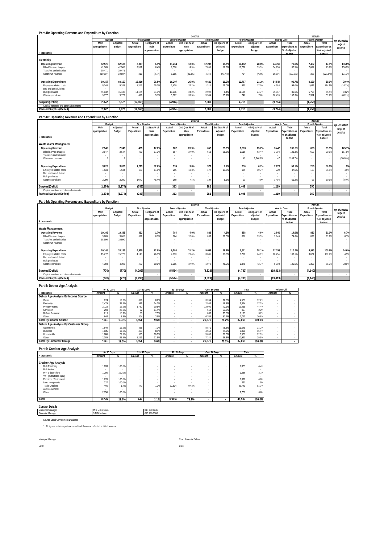|                          |                                        |                                                  |               |                                                                                             |                          |                                                                                    |                                                      |                                       |                             |                                                                     |               |                                                                                                                                                         |                                | Q4 of 2009/10                                                                                                               |
|--------------------------|----------------------------------------|--------------------------------------------------|---------------|---------------------------------------------------------------------------------------------|--------------------------|------------------------------------------------------------------------------------|------------------------------------------------------|---------------------------------------|-----------------------------|---------------------------------------------------------------------|---------------|---------------------------------------------------------------------------------------------------------------------------------------------------------|--------------------------------|-----------------------------------------------------------------------------------------------------------------------------|
| Main                     | Adjusted                               | Actual                                           | 1st Q as % of | Actual                                                                                      | 2nd Q as % of            | Actual                                                                             | 3rd Q as % of                                        | Actual                                | 4th Q as % of               | Actual                                                              | Total         | Actual                                                                                                                                                  | Total                          | to Q4 of                                                                                                                    |
| appropriation            | Budget                                 | Expenditure                                      | Main          | Expenditure                                                                                 | Main                     | Expenditure                                                                        | adjusted                                             | Expenditure                           | adjusted                    | Expenditure                                                         |               | Expenditure                                                                                                                                             |                                | 2010/11                                                                                                                     |
|                          |                                        |                                                  | appropriation |                                                                                             | appropriation            |                                                                                    | budget                                               |                                       | budget                      |                                                                     | % of adjusted |                                                                                                                                                         | % of adjusted                  |                                                                                                                             |
|                          |                                        |                                                  |               |                                                                                             |                          |                                                                                    |                                                      |                                       |                             |                                                                     | hudget        |                                                                                                                                                         | hudget                         |                                                                                                                             |
|                          |                                        |                                                  |               |                                                                                             |                          |                                                                                    |                                                      |                                       |                             |                                                                     |               |                                                                                                                                                         |                                |                                                                                                                             |
| 62.529                   | 62,529                                 | 3.807                                            | 6.1%          |                                                                                             |                          | 12.208                                                                             | 19.5%                                                | 17.482                                | 28.0%                       |                                                                     |               | 7.407                                                                                                                                                   |                                | 136.0%                                                                                                                      |
| 42,565                   | 42.565                                 | 3.591                                            | 8.4%          | 6.078                                                                                       | 14.3%                    | 7.858                                                                              | 18.5%                                                | 16.728                                | 39.3%                       |                                                                     | 80.5%         | 7.081                                                                                                                                                   | 73.2%                          | 136.2%                                                                                                                      |
|                          |                                        |                                                  |               |                                                                                             |                          |                                                                                    |                                                      |                                       |                             |                                                                     |               |                                                                                                                                                         |                                |                                                                                                                             |
|                          |                                        | 216                                              |               |                                                                                             |                          |                                                                                    | (41.4%)                                              |                                       |                             |                                                                     |               |                                                                                                                                                         |                                | 131.1%                                                                                                                      |
| 60,157                   | 60,157                                 |                                                  | 26.5%         | 16,207                                                                                      |                          | 9.600                                                                              | 16.0%                                                | 12.767                                | 21.2%                       |                                                                     |               | 9.160                                                                                                                                                   |                                | 39.4%                                                                                                                       |
| 5.248                    | 5.248                                  |                                                  | 25.7%         | 1.429                                                                                       | 27.2%                    | 1.314                                                                              | 25.0%                                                |                                       |                             | 4.984                                                               |               | 1.049                                                                                                                                                   |                                | (14.7%)                                                                                                                     |
| $\overline{\phantom{a}}$ | $\sim$                                 |                                                  |               |                                                                                             |                          |                                                                                    |                                                      |                                       | $\overline{\phantom{a}}$    |                                                                     |               |                                                                                                                                                         | $\sim$                         |                                                                                                                             |
|                          |                                        |                                                  |               |                                                                                             |                          |                                                                                    |                                                      |                                       |                             |                                                                     |               |                                                                                                                                                         |                                | 93.2%                                                                                                                       |
|                          |                                        |                                                  |               |                                                                                             |                          |                                                                                    |                                                      |                                       |                             |                                                                     |               |                                                                                                                                                         |                                | (68.2%)                                                                                                                     |
| 2,372                    | 2.372                                  |                                                  |               |                                                                                             |                          | 2.608                                                                              |                                                      |                                       |                             |                                                                     |               |                                                                                                                                                         |                                |                                                                                                                             |
|                          |                                        |                                                  |               |                                                                                             |                          |                                                                                    |                                                      |                                       |                             |                                                                     |               |                                                                                                                                                         | $\sim$                         |                                                                                                                             |
| 2,372                    | 2.372                                  |                                                  |               |                                                                                             |                          | 2,608                                                                              |                                                      |                                       |                             |                                                                     |               |                                                                                                                                                         |                                |                                                                                                                             |
|                          | 30.471<br>(10, 507)<br>45,132<br>9.777 | Budget<br>30.471<br>(10, 507)<br>45.132<br>9.777 | 14,124<br>499 | <b>First Quarter</b><br>(2.1%<br>15.969<br>1,346<br>31.3%<br>5.1%<br>(12, 163)<br>(12, 163) | 5.185<br>10.916<br>3.862 | <b>Second Quarter</b><br>11.264<br>(49.3%)<br>24.2%<br>39.5%<br>(4,944)<br>(4,944) | 2010/11<br>18.0%<br>4.349<br>26.9%<br>2.902<br>5.384 | <b>Third Quarter</b><br>6.4%<br>55.1% | 754<br>895<br>11.125<br>748 | Fourth Quarter<br>(7.2%<br>17.0%<br>24.7%<br>7.6%<br>4.715<br>4,715 | 39.067        | Year to Date<br>Expenditure as<br>71.6%<br>44.760<br>34.256<br>10.504<br>(100.0%<br>54.544<br>95.0%<br>86.6%<br>107.3%<br>10.493<br>(9, 784)<br>(9,784) | 326<br>90.7%<br>5.758<br>2.354 | 2009/10<br>Fourth Quarter<br>Expenditure as<br>47.9%<br>(221.5%)<br>59.0%<br>114.1%<br>55.4%<br>51.7%<br>(1,753)<br>(1,753) |

#### **Part 4c: Operating Revenue and Expenditure by Function**

|                                         |               |                          |             |                      |             | 2010/11               |                      |               |             |                |             |                |             | 2009/10                  |               |
|-----------------------------------------|---------------|--------------------------|-------------|----------------------|-------------|-----------------------|----------------------|---------------|-------------|----------------|-------------|----------------|-------------|--------------------------|---------------|
|                                         | Budget        |                          |             | <b>First Quarter</b> |             | <b>Second Quarter</b> | <b>Third Quarter</b> |               |             | Fourth Quarter |             | Year to Date   |             | Fourth Quarter           | Q4 of 2009/10 |
|                                         | Main          | Adjusted                 | Actual      | 1st Q as % of        | Actual      | 2nd Q as % of         | Actual               | 3rd Q as % of | Actual      | 4th Q as % of  | Actual      | Total          | Actual      | Total                    | to Q4 of      |
|                                         | appropriation | Budget                   | Expenditure | Main                 | Expenditure | Main                  | Expenditure          | adjusted      | Expenditure | adjusted       | Expenditure | Expenditure as | Expenditure | Expenditure as           | 2010/11       |
|                                         |               |                          |             | appropriation        |             | appropriation         |                      | budget        |             | budget         |             | % of adjusted  |             | % of adjusted            |               |
| R thousands                             |               |                          |             |                      |             |                       |                      |               |             |                |             | budget         |             | budget                   |               |
| Waste Water Management                  |               |                          |             |                      |             |                       |                      |               |             |                |             |                |             |                          |               |
| <b>Operating Revenue</b>                | 2,549         | 2.549                    | 439         | 17.2%                | 687         | 26.9%                 | 653                  | 25.6%         | 1.663       | 65.2%          | 3.442       | 135.0%         | 603         | 99.5%                    | 175.7%        |
| <b>Billed Service charges</b>           | 2.547         | 2.547                    | 439         | 17.3%                | 687         | 27.0%                 | 653                  | 25.6%         | 1.616       | 63.4%          | 3.394       | 133.3%         | 603         | 99.6%                    | 167.8%        |
| Transfers and subsidies                 |               |                          |             |                      |             |                       |                      |               |             |                |             |                |             |                          | $\sim$        |
| Other own revenue                       |               |                          |             |                      |             |                       |                      |               | 47          | 2.246.7%       | 47          | 2.246.7%       |             | $\overline{\phantom{a}}$ | (100.0%       |
|                                         |               |                          |             |                      |             |                       |                      |               |             |                |             |                |             |                          |               |
| <b>Operating Expenditure</b>            | 3,823         | 3,823                    | 1,223       | 32.0%                | 374         | 9.8%                  | 371                  | 9.7%          | 256         | 6.7%           | 2.223       | 58.1%          | 253         | 56.0%                    | .9%           |
| Employee related costs                  | 1.534         | 1.534                    | 183         | 11.9%                | 205         | 13.3%                 | 177                  | 11.5%         | 165         | 10.7%          | 729         | 47.5%          | 158         | 86.5%                    | 4.5%          |
| Bad and doubtful debt                   |               | $\overline{\phantom{a}}$ |             |                      |             |                       |                      |               |             |                |             |                |             |                          | $\sim$        |
| <b>Bulk purchases</b>                   |               | $\sim$                   |             |                      |             |                       |                      |               |             |                |             |                |             |                          | $\sim$        |
| Other expenditure                       | 2.290         | 2.290                    | 1.040       | 45.4%                | 169         | 7.49                  | 194                  | 8.5%          | 91          | 4.0%           | 1.494       | 65.2%          | 96          | 50.5%                    | (4.9%)        |
|                                         |               |                          |             |                      |             |                       |                      |               |             |                |             |                |             |                          |               |
| Surplus/(Deficit)                       | (1, 274)      | (1, 274)                 | (783)       |                      | 313         |                       | 282                  |               | 1.408       |                | 1.219       |                | 350         |                          |               |
| Capital transfers and other adjustments |               |                          |             |                      |             |                       |                      |               |             |                |             |                |             |                          | $\sim$        |
| <b>Revised Surplus/(Deficit)</b>        | (1, 274)      | (1, 274)                 | (783)       |                      | 313         |                       | 282                  |               | 1,408       |                | 1,219       |                | 350         |                          |               |

### **Part 4d: Operating Revenue and Expenditure by Function**

|                                         |               | 2010/11                  |             |                      |             |                       |             |                      |                |               |             |                |             | 2009/10        |               |
|-----------------------------------------|---------------|--------------------------|-------------|----------------------|-------------|-----------------------|-------------|----------------------|----------------|---------------|-------------|----------------|-------------|----------------|---------------|
|                                         |               | Budget                   |             | <b>First Quarter</b> |             | <b>Second Quarter</b> |             | <b>Third Quarter</b> | Fourth Quarter |               |             | Year to Date   |             | Fourth Quarter | Q4 of 2009/10 |
|                                         | Main          | Adjusted                 | Actual      | 1st Q as % of        | Actual      | 2nd Q as % of         | Actual      | 3rd Q as % of        | Actual         | 4th Q as % of | Actual      | Total          | Actual      | Total          | to Q4 of      |
|                                         | appropriation | Budget                   | Expenditure | Main                 | Expenditure | Main                  | Expenditure | adjusted             | Expenditure    | adjusted      | Expenditure | Expenditure as | Expenditure | Expenditure as | 2010/11       |
|                                         |               |                          |             | appropriation        |             | appropriation         |             | budget               |                | budget        |             | % of adjusted  |             | % of adjusted  |               |
| R thousands                             |               |                          |             |                      |             |                       |             |                      |                |               |             | hudget         |             | hudget         |               |
| Waste Management                        |               |                          |             |                      |             |                       |             |                      |                |               |             |                |             |                |               |
| <b>Operating Revenue</b>                | 19,395        | 19,395                   | 332         | 1.7%                 | 784         | 4.0%                  | 836         | 4.3%                 | 888            | 4.6%          | 2.840       | 14.6%          | 833         | 21.0%          | 6.7%          |
| <b>Billed Service charges</b>           | 3.805         | 3.805                    | 332         | 8.7%                 | 784         | 20.6%                 | 836         | 22.0%                | 888            | 23.3%         | 2.840       | 74.6%          | 833         | 91.2%          | 6.7%          |
| Transfers and subsidies                 | 15.590        | 15.590                   | $\sim$      |                      |             |                       |             |                      |                |               |             |                |             |                | $\sim$        |
| Other own revenue                       |               |                          |             |                      |             |                       |             |                      |                |               |             |                |             |                |               |
|                                         |               |                          |             |                      |             |                       |             |                      |                |               |             |                |             |                |               |
| <b>Operating Expenditure</b>            | 20,165        | 20,165                   | 4,625       | 22.9%                | 6.298       | 31.2%                 | 5.659       | 28.1%                | 5.671          | 28.1%         | 22,253      | 110.4%         | 4.973       | 100.6%         | 14.0%         |
| Employee related costs                  | 15.772        | 15.772                   | 4.145       | 26.3%                | 4.633       | 29.4%                 | 3.681       | 23.3%                | 3.796          | 24.1%         | 16.254      | 103.1%         | 3.621       | 108.4%         | 4.9%          |
| Bad and doubtful debt                   |               | ٠                        |             |                      |             |                       |             |                      |                |               |             |                |             |                |               |
| <b>Bulk purchases</b>                   |               | $\overline{\phantom{a}}$ | $\sim$      |                      |             |                       |             |                      |                |               |             |                |             |                |               |
| Other expenditure                       | 4,393         | 4.393                    | 480         | 10.9%                | 1.665       | 37.9%                 | 1.978       | 45.0%                | 1.875          | 42.7%         | 5.998       | 136.69         | 1,352       | 75.0%          | 38.6%         |
| Surplus/(Deficit)                       | (770)         | (770)                    | (4, 293)    |                      | (5, 514)    |                       | (4,823)     |                      | (4, 783)       |               | (19, 413)   |                | (4, 140)    |                |               |
| Capital transfers and other adjustments |               |                          |             |                      |             |                       |             |                      |                |               |             |                |             |                |               |
| <b>Revised Surplus/(Deficit)</b>        | (770)         | (770)                    | (4,293)     |                      | (5, 514)    |                       | (4,823)     |                      | (4,783)        |               | (19, 413)   |                | (4, 140)    |                |               |

### **Part 5: Debtor Age Analysis**

|                                       |        | 0 - 30 Days |        | 31 - 60 Days |        | 61 - 90 Days | Over 90 Days |       | Total  |        | Written Off |   |
|---------------------------------------|--------|-------------|--------|--------------|--------|--------------|--------------|-------|--------|--------|-------------|---|
| R thousands                           | Amount | %           | Amount | %            | Amount | %            | Amount       | %     | Amount | %      | Amount      | % |
| Debtor Age Analysis By Income Source  |        |             |        |              |        |              |              |       |        |        |             |   |
| Water                                 | 874    | 19.3%       | 399    | 8.8%         |        |              | 3.264        | 72.0% | 4.537  | 12.2%  |             |   |
| Electricity                           | 2.479  | 38.9%       | 939    | 14.7%        |        |              | 2.956        | 46.4% | 6.374  | 17.2%  |             |   |
| <b>Property Rates</b>                 | 2.723  | 16.5%       | 1.730  | 10.5%        |        |              | 12.006       | 72.9% | 16.459 | 44.4%  |             |   |
| Sanitation                            | 203    | 25.2%       | 92     | 11.4%        |        |              | 512          | 63.5% | 80     | 2.2%   |             |   |
| Refuse Removal                        | 219    | 18.7%       | 88     | 7.5%         |        |              | 866          | 73.8% | 1.173  | 3.2%   |             |   |
| Other                                 | 644    | 8.3%        | 304    | 3.9%         |        |              | 6,766        | 87.7% | 7.713  | 20.8%  |             |   |
| <b>Total By Income Source</b>         | 7.141  | 19.3%       | 3.551  | 9.6%         |        |              | 26.371       | 71.2% | 37.063 | 100.0% |             |   |
| Debtor Age Analysis By Customer Group |        |             |        |              |        |              |              |       |        |        |             |   |
| Government                            | 1.840  | 15.9%       | 838    | 7.3%         |        |              | 8.871        | 76.8% | 11.549 | 31.2%  |             |   |
| <b>Business</b>                       | 1.035  | 17.0%       | 493    | 8.1%         |        |              | 4.563        | 74.9% | 6.091  | 16.4%  |             |   |
| Households                            | 1.880  | 22.1%       | 925    | 10.9%        |        |              | 5.696        | 67.0% | 8.501  | 22.9%  |             |   |
| Other                                 | 2.385  | 21.8%       | 1.296  | 11.9%        |        |              | 7.240        | 66.3% | 10.921 | 29.5%  |             |   |
| <b>Total By Customer Group</b>        | 7.141  | 19.3%       | 3.551  | 9.6%         |        |              | 26.371       | 71.2% | 37.063 | 100.0% |             |   |

## **Part 6: Creditor Age Analysis**

|                              | 0 - 30 Days |        | 31 - 60 Days |        | 61 - 90 Days |       |        | Over 90 Days | Total  |        |
|------------------------------|-------------|--------|--------------|--------|--------------|-------|--------|--------------|--------|--------|
| R thousands                  | Amount      | %      | Amount       | %      | Amount       | %     | Amount | %            | Amount | %      |
|                              |             |        |              |        |              |       |        |              |        |        |
| <b>Creditor Age Analysis</b> |             |        |              |        |              |       |        |              |        |        |
| <b>Bulk Electricity</b>      | 1.833       | 100.0% |              |        | $\sim$       |       | $\sim$ |              | 1.833  | 4.4%   |
| <b>Bulk Water</b>            |             | $\sim$ | $\sim$       |        | $\sim$       | ٠     | $\sim$ | ۰            |        |        |
| PAYE deductions              | 1,286       | 100.0% |              |        | $\sim$       |       |        |              | 1,286  | 3.1%   |
| VAT (output less input)      |             | $\sim$ | $\sim$       |        | $\sim$       | ٠     | $\sim$ |              |        |        |
| Pensions / Retirement        | 1,670       | 100.0% |              |        | $\sim$       | ٠     |        | ۰            | 1.670  | 4.0%   |
| Loan repayments              | 227         | 100.0% |              | $\sim$ | $\sim$       | ٠     |        |              | 227    | .5%    |
| <b>Trade Creditors</b>       | 460         | 1.4%   | 447          | 1.3%   | 32.834       | 97.3% |        |              | 33.741 | 81.3%  |
| Auditor-General              |             | $\sim$ |              |        | $\sim$       | ٠     |        |              |        |        |
| Other                        | 2.750       | 100.0% |              |        | $\sim$       | ٠     |        |              | 2.750  | 6.6%   |
| Total                        | 8,226       | 19.8%  | 447          | 1.1%   | 32.834       | 79.1% |        |              | 41,507 | 100.0% |

#### **Contact Details**

| <b>Contact Details</b>           |               |              |
|----------------------------------|---------------|--------------|
| Municipal Manager                | M R Mkhatshwa | 013 790 0245 |
| <b>Financial Manager</b>         | S N N Mahaso  | 013 790 0386 |
| Source Local Government Database |               |              |

1. All figures in this report are unaudited. Revenue reflected is billed revenue

Date: Date: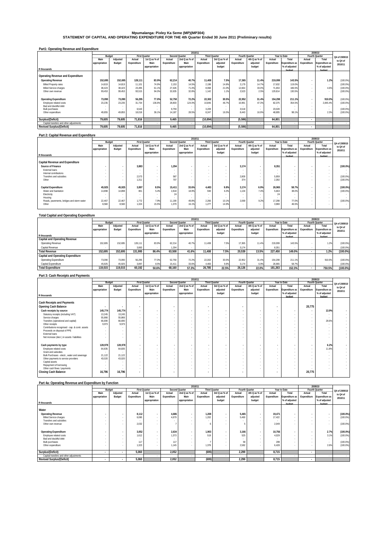Mpumalanga: Pixley Ka Seme (MP)(MP304)<br>STATEMENT OF CAPITAL AND OPERATING EXPENDITURE FOR THE 4th Quarter Ended 30 June 2011 (Preliminary results)

### **Part1: Operating Revenue and Expenditure**

|                                                               |                  | 2010/11          |                      |                |                 |                |                      |                |                 |                |                  |                  |             | 2009/10        |                            |
|---------------------------------------------------------------|------------------|------------------|----------------------|----------------|-----------------|----------------|----------------------|----------------|-----------------|----------------|------------------|------------------|-------------|----------------|----------------------------|
|                                                               | Budget           |                  | <b>First Quarter</b> |                |                 | Second Quarter | <b>Third Quarter</b> |                | Fourth Quarter  |                |                  | Year to Date     |             | Fourth Quarter | Q4 of 2009/10              |
|                                                               | Main             | Adjusted         | Actual               | 1st Q as % of  | Actual          | 2nd Q as % of  | Actual               | 3rd Q as % of  | Actual          | 4th Q as % of  | Actual           | Total            | Actual      | Total          | to Q4 of                   |
|                                                               | appropriation    | Budget           | Expenditure          | Main           | Expenditure     | Main           | Expenditure          | adjusted       | Expenditure     | adjusted       | Expenditure      | Expenditure as   | Expenditure | Expenditure as | 2010/11                    |
|                                                               |                  |                  |                      | appropriation  |                 | appropriation  |                      | budget         |                 | budget         |                  | % of adjusted    |             | % of adjusted  |                            |
| R thousands                                                   |                  |                  |                      |                |                 |                |                      |                |                 |                |                  | hudget           |             | hudget         |                            |
| Operating Revenue and Expenditure<br><b>Operating Revenue</b> | 152.695          | 152.695          | 128,111              | 83.9%          | 62.214          | 40.7%          | 11.408               | 7.5%           | 17.365          | 11.4%          | 219.099          | 143.5%           |             | 1.2%           | (100.0%                    |
| <b>Billed Property rates</b><br><b>Billed Service charges</b> | 14.819<br>38,423 | 14.819<br>38,423 | 11.101<br>23,495     | 74.9%<br>61.1% | 2.153<br>27,426 | 14.5%<br>71.4% | 2.198<br>8.068       | 14.8%<br>21.0% | 2.179<br>12.664 | 14.7%<br>33.0% | 17.632<br>71.653 | 119.0%<br>186.5% |             | 4.6%           | $(100.0\%)$<br>$(100.0\%)$ |
| Other own revenue                                             | 99,453           | 99.453           | 93.515               | 94.0%          | 32,635          | 32.8%          | 1.142                | 1 1%           | 2.523           | 2.5%           | 129.814          | 130.5%           |             |                | $(100.0\%)$                |
| <b>Operating Expenditure</b>                                  | 73.090           | 73.090           | 56.295               | 77.0%          | 52.750          | 72.2%          | 22.302               | 30.5%          | 22.952          | 31.4%          | 154.298          | 211.1%           |             | 910.0%         | (100.0%                    |
| Employee related costs                                        | 23.235           | 23.235           | 31.734               | 136.6%         | 28.803          | 124.0%         | 10.846               | 46.7%          | 10.991          | 47.3%          | 82.375           | 354.59           | $\sim$      | 2.845.4%       | $(100.0\%)$                |
| Bad and doubtful debt                                         |                  |                  |                      |                |                 |                |                      | $\sim$         |                 |                |                  | $\sim$           | $\sim$      |                |                            |
| <b>Bulk purchases</b>                                         |                  |                  | 6.543                |                | 9.759           |                | 3,209                |                | 3.518           |                | 23.028           |                  |             |                | (100.0%                    |
| Other expenditure                                             | 49.855           | 49.855           | 18.018               | 36.1%          | 14.187          | 28.5%          | 8.247                | 16.5%          | 8.443           | 16.9%          | 48.895           | 98.19            |             | 2.3%           | (100.0%                    |
| Surplus/(Deficit)                                             | 79.605           | 79.605           | 71.816               |                | 9,465           |                | (10, 894)            |                | (5,586)         |                | 64.801           |                  | ۰           |                |                            |
| Capital transfers and other adjustments                       |                  |                  |                      |                |                 |                |                      |                |                 |                |                  |                  |             |                |                            |
| <b>Revised Surplus/(Deficit)</b>                              | 79,605           | 79,605           | 71,816               |                | 9,465           |                | (10, 894)            |                | (5,586)         |                | 64,801           |                  |             |                |                            |

#### **Part 2: Capital Revenue and Expenditure**

|                                           |               | 2010/11                  |                          |                          |             |                       |                      |               |                |               |             |                          |                          | 2009/10        |               |
|-------------------------------------------|---------------|--------------------------|--------------------------|--------------------------|-------------|-----------------------|----------------------|---------------|----------------|---------------|-------------|--------------------------|--------------------------|----------------|---------------|
|                                           |               | Budget                   |                          | <b>First Quarter</b>     |             | <b>Second Quarter</b> | <b>Third Quarter</b> |               | Fourth Quarter |               |             | Year to Date             |                          | Fourth Quarter | Q4 of 2009/10 |
|                                           | Main          | Adjusted                 | Actual                   | 1st Q as % of            | Actual      | 2nd Q as % of         | Actual               | 3rd Q as % of | Actual         | 4th Q as % of | Actual      | Total                    | Actual                   | Total          | to Q4 of      |
|                                           | appropriation | Budget                   | Expenditure              | Main                     | Expenditure | Main                  | Expenditure          | adjusted      | Expenditure    | adjusted      | Expenditure | <b>Expenditure as</b>    | Expenditure              | Expenditure as | 2010/11       |
|                                           |               |                          |                          | appropriation            |             | appropriation         |                      | budget        |                | budget        |             | % of adjusted            |                          | % of adjusted  |               |
| R thousands                               |               |                          |                          |                          |             |                       |                      |               |                |               |             | hudget                   |                          | hudget         |               |
|                                           |               |                          |                          |                          |             |                       |                      |               |                |               |             |                          |                          |                |               |
| <b>Capital Revenue and Expenditure</b>    |               |                          |                          |                          |             |                       |                      |               |                |               |             |                          |                          |                |               |
| Source of Finance                         |               |                          | 3.883                    | $\sim$                   | 1.294       |                       |                      |               | 3.174          |               | 8.351       |                          |                          |                | $(100.0\%)$   |
| External loans                            |               |                          | $\sim$                   | $\overline{\phantom{a}}$ |             |                       |                      | $\sim$        |                |               |             | $\overline{\phantom{a}}$ | $\overline{\phantom{a}}$ |                |               |
| Internal contributions                    |               |                          | $\sim$                   | $\sim$                   |             |                       |                      | $\sim$        |                |               |             | ۰.                       |                          | $\sim$         |               |
| <b>Transfers and subsidies</b>            |               | ۰                        | 2,573                    | $\overline{\phantom{a}}$ | 587         |                       |                      |               | 2.800          |               | 5.959       | $\overline{\phantom{a}}$ |                          | $\sim$         | (100.0%       |
| Other                                     |               |                          | 1.311                    |                          | 707         |                       |                      |               | 374            |               | 2.392       |                          |                          |                | (100.0%       |
|                                           |               |                          |                          |                          |             |                       |                      |               |                |               |             |                          |                          |                |               |
| Capital Expenditure                       | 45,925        | 45,925                   | 3.897                    | 8.5%                     | 15,411      | 33.6%                 | 4.483                | 9.8%          | 3.174          | 6.9%          | 26,965      | 58.7%                    |                          | $\sim$         | $(100.0\%)$   |
| Water and Sanitation                      | 14.898        | 14.898                   | 801                      | 5.4%                     | 2.818       | 18.9%                 | 940                  | 6.3%          | 1.104          | 7.4%          | 5.663       | 38.0%                    |                          | $\sim$         | (100.0%       |
| Electricity                               |               | $\overline{\phantom{a}}$ | $\overline{\phantom{a}}$ |                          |             |                       |                      |               |                |               | 24          | ۰.                       |                          |                | $\sim$        |
| Housing                                   |               | $\sim$                   | $\overline{\phantom{a}}$ |                          |             |                       |                      | $\sim$        |                | $\sim$        |             |                          | $\sim$                   | $\sim$         | $\sim$        |
| Roads, pavements, bridges and storm water | 22,467        | 22,467                   | 1,772                    | 7.9%                     | 11,190      | 49.8%                 | 2.266                | 10.1%         | 2.069          | 9.2%          | 17,298      | 77.0%                    |                          | $\sim$         | (100.0%       |
| Other                                     | 8.560         | 8.560                    | 1.324                    | 15.5%                    | 1.379       | 16.1%                 | 1.277                | 14.9%         |                |               | 3.980       | 46.5%                    |                          | $\sim$         |               |
|                                           |               |                          |                          |                          |             |                       |                      |               |                |               |             |                          |                          |                |               |

### **Total Capital and Operating Expenditure**

|                                          |               |          |                      |               |             | 2010/11        |                      |               |                |               |             |                       |             | 2009/10               |               |
|------------------------------------------|---------------|----------|----------------------|---------------|-------------|----------------|----------------------|---------------|----------------|---------------|-------------|-----------------------|-------------|-----------------------|---------------|
|                                          | Budget        |          | <b>First Quarter</b> |               |             | Second Quarter | <b>Third Quarter</b> |               | Fourth Quarter |               |             | Year to Date          |             | Fourth Quarter        | Q4 of 2009/10 |
|                                          | Main          | Adiusted | Actual               | 1st Q as % of | Actual      | 2nd Q as % of  | Actual               | 3rd Q as % of | Actual         | 4th Q as % of | Actual      | Total                 | Actual      | Total                 | to Q4 of      |
|                                          | appropriation | Budget   | Expenditure          | Main          | Expenditure | Main           | Expenditure          | adiusted      | Expenditure    | adjusted      | Expenditure | <b>Expenditure as</b> | Expenditure | <b>Expenditure as</b> | 2010/11       |
|                                          |               |          |                      | appropriation |             | appropriation  |                      | budget        |                | budget        |             | % of adjusted         |             | % of adjusted         |               |
| R thousands                              |               |          |                      |               |             |                |                      |               |                |               |             | hudget                |             | hudget                |               |
| <b>Capital and Operating Revenue</b>     |               |          |                      |               |             |                |                      |               |                |               |             |                       |             |                       |               |
| Operating Revenue                        | 152.695       | 152.695  | 128.111              | 83.9%         | 62.214      | 40.7%          | 11.408               | 7.5%          | 17.365         | 11.4%         | 219.099     | 143.5%                |             | 1.2%                  | (100.0%       |
| Capital Revenue                          |               |          | 3,883                |               | 1.294       |                |                      |               | 3.174          |               | 8.351       |                       |             |                       | $(100.0\%)$   |
| <b>Total Revenue</b>                     | 152.695       | 152.695  | 131.995              | 86.4%         | 63.508      | 41.6%          | 11.408               | 7.5%          | 20.539         | 13.5%         | 227.450     | 149.0%                |             | 1.2%                  | $(100.0\%)$   |
| <b>Capital and Operating Expenditure</b> |               |          |                      |               |             |                |                      |               |                |               |             |                       |             |                       |               |
| Operating Expenditure                    | 73.090        | 73.090   | 56.295               | 77.0%         | 52.750      | 72.2%          | 22.302               | 30.5%         | 22.952         | 31.4%         | 154.298     | 211.1%                |             | 910.0%                | (100.0%       |
| Capital Expenditure                      | 45.925        | 45.925   | 3.897                | 8.5%          | 15.411      | 33.6%          | 4.483                | 9.8%          | 3.174          | 6.9%          | 26.965      | 58.79                 |             |                       | (100.0%       |
| <b>Total Expenditure</b>                 | 119,015       | 119.015  | 60.192               | 50.6%         | 68.160      | 57.3%          | 26.785               | 22.5%         | 26.126         | 22.0%         | 181.263     | 152.3%                |             | 750.5%                | $(100.0\%)$   |
|                                          |               |          |                      |               |             |                |                      |               |                |               |             |                       |             |                       |               |

### **Part 3: Cash Receipts and Payments**

|                                                 |                          |                          |                      |               |             | 2010/11        |                      |               |             |                |             |                |                          | 2009/10        |               |
|-------------------------------------------------|--------------------------|--------------------------|----------------------|---------------|-------------|----------------|----------------------|---------------|-------------|----------------|-------------|----------------|--------------------------|----------------|---------------|
|                                                 |                          | Budget                   | <b>First Quarter</b> |               |             | Second Quarter | <b>Third Quarter</b> |               |             | Fourth Quarter |             | Year to Date   |                          | Fourth Quarter | Q4 of 2009/10 |
|                                                 | Main                     | Adjusted                 | Actual               | 1st Q as % of | Actual      | 2nd Q as % of  | Actual               | 3rd Q as % of | Actual      | 4th Q as % of  | Actual      | Total          | Actual                   | Total          | to Q4 of      |
|                                                 | appropriation            | Budget                   | Expenditure          | Main          | Expenditure | Main           | Expenditure          | adjusted      | Expenditure | adjusted       | Expenditure | Expenditure as | Expenditure              | Expenditure as | 2010/11       |
|                                                 |                          |                          |                      | appropriation |             | appropriation  |                      | budget        |             | budget         |             | % of adjusted  |                          | % of adjusted  |               |
| R thousands                                     |                          |                          |                      |               |             |                |                      |               |             |                |             | hudget         |                          | hudoot         |               |
|                                                 |                          |                          |                      |               |             |                |                      |               |             |                |             |                |                          |                |               |
| <b>Cash Receipts and Payments</b>               |                          |                          |                      |               |             |                |                      |               |             |                |             |                |                          |                |               |
| <b>Opening Cash Balance</b>                     | $\overline{\phantom{a}}$ | $\cdot$                  | ٠                    |               |             |                |                      |               |             |                |             |                | 20,775                   |                |               |
| Cash receipts by source                         | 145,774                  | 145,774                  | $\cdot$              |               | ٠           | $\mathbf{r}$   |                      |               |             |                | ٠           | ٠              |                          | 13.9%          |               |
| Statutory receipts (including VAT)              | 13,245                   | 13,245                   | $\sim$               |               |             |                |                      |               | $\sim$      |                |             | $\sim$         |                          |                |               |
| Service charges                                 | 55,866                   | 55,866                   | $\sim$               |               |             |                |                      |               |             |                |             | ۰.             |                          |                |               |
| Transfers (operational and capital)             | 66,690                   | 66,690                   | $\sim$               |               |             |                |                      |               |             |                |             | $\sim$         |                          | 28.6%          |               |
| Other receipts                                  | 9.973                    | 9.973                    | $\sim$               |               |             |                |                      |               | $\sim$      |                |             | ۰.             |                          |                |               |
| Contributions recognised - cap. & contr. assets | <b>.</b>                 |                          |                      |               |             |                |                      |               |             |                |             | ۰.             |                          |                |               |
| Proceeds on disposal of PPE                     |                          | ٠                        |                      |               |             |                |                      |               |             |                |             | ۰.             |                          |                |               |
| External loans                                  |                          |                          |                      |               |             |                |                      |               |             |                |             |                |                          |                |               |
| Net increase (decr.) in assets / liabilities    |                          |                          |                      |               |             |                |                      |               |             |                |             |                |                          |                |               |
|                                                 |                          |                          |                      |               |             |                |                      |               |             |                |             |                |                          |                |               |
| Cash payments by type                           | 128,978                  | 128,978                  | $\mathbf{r}$         |               |             | $\mathbf{r}$   |                      |               |             |                |             |                | $\overline{\phantom{a}}$ | 6.2%           |               |
| Employee related costs                          | 64,835                   | 64,835                   | $\sim$               |               |             |                |                      |               |             |                |             | ۰.             |                          | 11.8%          |               |
| Grant and subsidies                             | <b>.</b>                 |                          | $\sim$               |               |             |                |                      |               |             |                |             |                |                          |                |               |
| Bulk Purchases - electr., water and sewerage    | 21,122                   | 21,122                   | $\sim$               |               |             |                |                      |               |             |                |             |                |                          |                |               |
| Other payments to service providers             | 43,020                   | 43,020                   | ٠.                   |               |             |                |                      |               |             |                |             |                |                          |                |               |
| Capital assets                                  |                          |                          | $\sim$               |               |             |                |                      |               |             |                |             | ۰.             |                          |                |               |
| Repayment of borrowing                          |                          | $\overline{\phantom{a}}$ | $\sim$               |               |             |                |                      |               |             |                |             | $\sim$         |                          |                |               |
| Other cash flows / payments                     |                          |                          | $\sim$               |               |             |                |                      |               |             |                |             |                |                          |                |               |
| Closing Cash Balance                            | 16,796                   | 16,796                   | ٠                    |               | $\sim$      |                |                      |               |             |                |             |                | 20,775                   |                |               |
|                                                 |                          |                          |                      |               |             |                |                      |               |             |                |             |                |                          |                |               |
|                                                 |                          |                          |                      |               |             |                |                      |               |             |                |             |                |                          |                |               |

|                                         |                          |                          |             |                      |             |                |             | 2009/10              |             |                |             |                |                          |                |               |
|-----------------------------------------|--------------------------|--------------------------|-------------|----------------------|-------------|----------------|-------------|----------------------|-------------|----------------|-------------|----------------|--------------------------|----------------|---------------|
|                                         |                          | Budget                   |             | <b>First Quarter</b> |             | Second Quarter |             | <b>Third Quarter</b> |             | Fourth Quarter |             | Year to Date   |                          | Fourth Quarter | Q4 of 2009/10 |
|                                         | Main                     | Adjusted                 | Actual      | 1st Q as % of        | Actual      | 2nd Q as % of  | Actual      | 3rd Q as % of        | Actual      | 4th Q as % of  | Actual      | Total          | Actual                   | Total          | to Q4 of      |
|                                         | appropriation            | Budget                   | Expenditure | Main                 | Expenditure | Main           | Expenditure | adjusted             | Expenditure | adjusted       | Expenditure | Expenditure as | Expenditure              | Expenditure as | 2010/11       |
|                                         |                          |                          |             | appropriation        |             | appropriation  |             | budget               |             | budget         |             | % of adjusted  |                          | % of adjusted  |               |
| R thousands                             |                          |                          |             |                      |             |                |             |                      |             |                |             | budget         |                          | budget         |               |
| Water                                   |                          |                          |             |                      |             |                |             |                      |             |                |             |                |                          |                |               |
| <b>Operating Revenue</b>                | ٠                        | $\overline{a}$           | 8,112       | $\sim$               | 4.686       | ٠              | 1.208       |                      | 5.465       |                | 19,471      |                | ٠                        |                | $(100.0\%)$   |
| <b>Billed Service charges</b>           |                          | $\sim$                   | 6,080       |                      | 4.679       |                | 1.202       |                      | 5.460       |                | 17.422      |                | $\overline{\phantom{a}}$ |                | (100.0%       |
| Transfers and subsidies                 |                          |                          |             |                      |             |                |             |                      |             |                |             | ۰.             |                          |                |               |
| Other own revenue                       |                          | $\sim$                   | 2.032       |                      |             |                |             |                      |             |                | 2.049       |                |                          |                | (100.0%       |
|                                         |                          |                          |             |                      |             |                |             |                      |             |                |             |                |                          |                |               |
| <b>Operating Expenditure</b>            | ٠                        | $\mathbf{r}$             | 3.052       | $\mathbf{r}$         | 2.634       |                | 1.903       |                      | 3.166       |                | 10.756      |                | ٠                        | 2.7%           | $(100.0\%)$   |
| Employee related costs                  | $\sim$                   | $\sim$                   | 1.612       |                      | 1.373       |                | 519         |                      | 525         |                | 4.029       |                |                          | 3.1%           | (100.0%       |
| Bad and doubtful debt                   | ۰                        | $\sim$                   |             |                      |             |                |             |                      |             |                |             | ۰.             | $\overline{\phantom{a}}$ |                |               |
| <b>Bulk purchases</b>                   | ٠                        | $\overline{\phantom{a}}$ | 117         |                      | 117         |                |             |                      | 59          |                | 299         | ۰.             |                          |                | (100.0%       |
| Other expenditure                       | $\sim$                   |                          | 1.323       |                      | 1.145       |                | 1.378       |                      | 2.582       |                | 6.428       |                |                          | 2.6%           | (100.0%       |
|                                         |                          |                          |             |                      |             |                |             |                      |             |                |             |                |                          |                |               |
| Surplus/(Deficit)                       | $\overline{\phantom{a}}$ |                          | 5,060       |                      | 2,052       |                | (695)       |                      | 2.299       |                | 8,715       |                | . .                      |                |               |
| Capital transfers and other adjustments |                          |                          |             |                      |             |                |             |                      |             |                |             |                |                          |                |               |
| <b>Revised Surplus/(Deficit)</b>        | $\sim$                   | $\sim$                   | 5,060       |                      | 2,052       |                | (695)       |                      | 2,299       |                | 8,715       |                | $\sim$                   |                |               |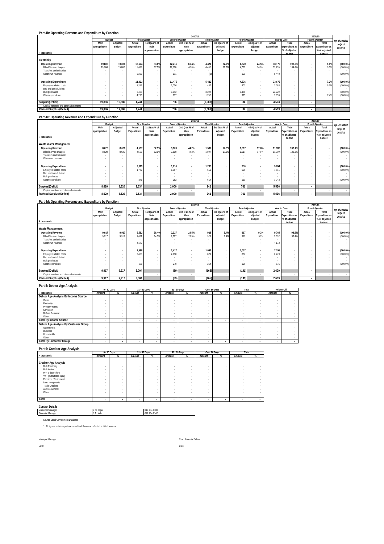|                                         |               |                          |             |                          |             |                       | 2010/11     |                      |             |                |             |                          |                          | 2009/10               |               |
|-----------------------------------------|---------------|--------------------------|-------------|--------------------------|-------------|-----------------------|-------------|----------------------|-------------|----------------|-------------|--------------------------|--------------------------|-----------------------|---------------|
|                                         |               | Budget                   |             | <b>First Quarter</b>     |             | <b>Second Quarter</b> |             | <b>Third Quarter</b> |             | Fourth Quarter |             | Year to Date             |                          | Fourth Quarter        | Q4 of 2009/10 |
|                                         | Main          | Adjusted                 | Actual      | 1st Q as % of            | Actual      | 2nd Q as % of         | Actual      | 3rd Q as % of        | Actual      | 4th Q as % of  | Actual      | Total                    | Actual                   | Total                 | to Q4 of      |
|                                         | appropriation | Budget                   | Expenditure | Main                     | Expenditure | Main                  | Expenditure | adjusted             | Expenditure | adjusted       | Expenditure | <b>Expenditure as</b>    | Expenditure              | <b>Expenditure as</b> | 2010/11       |
|                                         |               |                          |             | appropriation            |             | appropriation         |             | budget               |             | budget         |             | % of adjusted            |                          | % of adjusted         |               |
| R thousands                             |               |                          |             |                          |             |                       |             |                      |             |                |             | hudget                   |                          | hudget                |               |
| Electricity                             |               |                          |             |                          |             |                       |             |                      |             |                |             |                          |                          |                       |               |
| <b>Operating Revenue</b>                | 19,886        | 19,886                   | 16,674      | 83.8%                    | 12.211      | 61.4%                 | 4.424       | 22.2%                | 4.870       | 24.5%          | 38.179      | 192.0%                   | $\mathbf{r}$             | 6.6%                  | $(100.0\%)$   |
| <b>Billed Service charges</b>           | 19.886        | 19.886                   | 11.438      | 57.5%                    | 12.100      | 60.8%                 | 4.432       | 22.3%                | 4.769       | 24.0%          | 32.739      | 164.6%                   | $\overline{\phantom{a}}$ | 9.3%                  | (100.0%       |
| Transfers and subsidies                 |               | $\overline{\phantom{a}}$ |             |                          |             |                       |             |                      |             | $\sim$         |             |                          | $\overline{\phantom{a}}$ | $\sim$                |               |
| Other own revenue                       |               | $\overline{\phantom{a}}$ | 5.236       |                          | 111         |                       |             |                      | 101         |                | 5.440       |                          |                          | $\sim$                | $(100.0\%)$   |
|                                         |               |                          |             |                          |             |                       |             |                      |             |                |             |                          |                          |                       |               |
| <b>Operating Expenditure</b>            |               | $\overline{a}$           | 11,933      | $\overline{a}$           | 11.475      |                       | 5.432       | $\mathbf{r}$         | 4.836       | $\mathbf{r}$   | 33,676      | ٠                        | ٠                        | 7.2%                  | $(100.0\%)$   |
| Employee related costs                  |               | $\overline{\phantom{a}}$ | 1.212       | $\overline{\phantom{a}}$ | 1.036       |                       | 437         | $\sim$               | 403         | $\sim$         | 3.088       | $\overline{\phantom{a}}$ |                          | 5.7%                  | (100.0%       |
| Bad and doubtful debt                   |               | $\overline{\phantom{a}}$ |             |                          |             |                       |             |                      |             |                |             |                          | $\sim$                   |                       |               |
| <b>Bulk purchases</b>                   |               | $\overline{\phantom{a}}$ | 6,426       |                          | 9.642       |                       | 3.202       |                      | 3.459       |                | 22,729      | ۰                        | $\sim$                   | $\sim$                | (100.0%       |
| Other expenditure                       |               | $\overline{\phantom{a}}$ | 4.295       |                          | 797         |                       | 1.792       | $\sim$               | 975         |                | 7.859       |                          |                          | 7.4%                  | (100.0%       |
|                                         |               |                          |             |                          |             |                       |             |                      |             |                |             |                          |                          |                       |               |
| Surplus/(Deficit)                       | 19,886        | 19,886                   | 4,741       |                          | 736         |                       | (1,008)     |                      | 34          |                | 4,503       |                          | $\overline{\phantom{a}}$ |                       |               |
| Capital transfers and other adjustments |               |                          |             | $\overline{\phantom{a}}$ |             |                       |             |                      |             | $\sim$         |             |                          |                          | $\sim$                | $\sim$        |
| <b>Revised Surplus/(Deficit)</b>        | 19,886        | 19,886                   | 4,741       |                          | 736         |                       | (1,008)     |                      | 34          |                | 4,503       |                          |                          |                       |               |
|                                         |               |                          |             |                          |             |                       |             |                      |             |                |             |                          |                          |                       |               |

#### **Part 4c: Operating Revenue and Expenditure by Function**

|                                                 |               | 2010/11                  |                  |                                    |             |                |                          |                      |                |               |             |                |                          | 2009/10                  |               |
|-------------------------------------------------|---------------|--------------------------|------------------|------------------------------------|-------------|----------------|--------------------------|----------------------|----------------|---------------|-------------|----------------|--------------------------|--------------------------|---------------|
|                                                 |               | Budget                   |                  | <b>First Quarter</b>               |             | Second Quarter |                          | <b>Third Quarter</b> | Fourth Quarter |               |             | Year to Date   |                          | Fourth Quarter           | Q4 of 2009/10 |
|                                                 | Main          | Adjusted                 | Actual           | 1st Q as % of                      | Actual      | 2nd Q as % of  | Actual                   | 3rd Q as % of        | Actual         | 4th Q as % of | Actual      | Total          | Actual                   | Total                    | to Q4 of      |
|                                                 | appropriation | Budget                   | Expenditure      | Main                               | Expenditure | Main           | Expenditure              | adjusted             | Expenditure    | adjusted      | Expenditure | Expenditure as | Expenditure              | <b>Expenditure as</b>    | 2010/11       |
|                                                 |               |                          |                  | appropriation                      |             | appropriation  |                          | budget               |                | budget        |             | % of adjusted  |                          | % of adjusted            |               |
| R thousands                                     |               |                          |                  |                                    |             |                |                          |                      |                |               |             | budget         |                          | hudget                   |               |
| Waste Water Management                          |               |                          |                  |                                    |             |                |                          |                      |                |               |             |                |                          |                          |               |
| <b>Operating Revenue</b>                        | 8,620         | 8.620                    | 4.557            | 52.9%                              | 3.809       | 44.2%          | 1.507                    | 17.5%                | 1.517          | 17.6%         | 11.390      | 132.1%         | ٠                        |                          | $(100.0\%)$   |
| <b>Billed Service charges</b>                   | 8.620         | 8.620                    | 4.557            | 52.9%                              | 3.809       | 44.2%          | 1.507                    | 17.5%                | 1.517          | 17.6%         | 11.390      | 132.1%         |                          | $\overline{\phantom{a}}$ | (100.0%       |
| Transfers and subsidies                         | . .           | $\overline{\phantom{a}}$ | $\sim$           |                                    |             |                |                          |                      |                |               |             |                |                          |                          |               |
| Other own revenue                               |               | ۰                        |                  |                                    |             |                |                          |                      |                |               | $\sim$      |                |                          |                          |               |
|                                                 |               |                          | 2,023            |                                    | 1.810       |                | 1.265                    |                      | 756            |               | 5,854       |                |                          |                          | $(100.0\%)$   |
| <b>Operating Expenditure</b>                    |               | ٠                        | 1.777            | $\sim$                             | 1.557       |                | 651                      |                      | 626            |               | 4.611       |                |                          |                          |               |
| Employee related costs<br>Bad and doubtful debt |               | ۰                        |                  | $\sim$                             |             |                |                          |                      |                |               |             |                |                          |                          | (100.0%       |
| <b>Bulk purchases</b>                           |               | ۰                        | $\sim$<br>$\sim$ | $\sim$<br>$\overline{\phantom{a}}$ |             |                | $\overline{\phantom{a}}$ |                      |                |               |             |                |                          |                          |               |
| Other expenditure                               |               | ٠                        | 246              |                                    | 252         |                | 614                      |                      | 131            |               | 1.243       |                |                          |                          | (100.0%       |
|                                                 |               |                          |                  |                                    |             |                |                          |                      |                |               |             |                |                          |                          |               |
| Surplus/(Deficit)                               | 8.620         | 8.620                    | 2,534            |                                    | 2,000       |                | 242                      |                      | 761            |               | 5,536       |                | . .                      |                          |               |
| Capital transfers and other adjustments         |               |                          |                  |                                    |             |                |                          |                      |                |               |             |                |                          |                          |               |
| <b>Revised Surplus/(Deficit)</b>                | 8.620         | 8.620                    | 2.534            |                                    | 2.000       |                | 242                      |                      | 761            |               | 5.536       |                | $\overline{\phantom{a}}$ |                          |               |

### **Part 4d: Operating Revenue and Expenditure by Function**

|                                         |               |                          |             |                      |             |                | 2009/10              |               |             |                |             |                |                          |                       |               |
|-----------------------------------------|---------------|--------------------------|-------------|----------------------|-------------|----------------|----------------------|---------------|-------------|----------------|-------------|----------------|--------------------------|-----------------------|---------------|
|                                         |               | Budget                   |             | <b>First Quarter</b> |             | Second Quarter | <b>Third Quarter</b> |               |             | Fourth Quarter |             | Year to Date   |                          | Fourth Quarter        | Q4 of 2009/10 |
|                                         | Main          | Adjusted                 | Actual      | 1st Q as % of        | Actual      | 2nd Q as % of  | Actual               | 3rd Q as % of | Actual      | 4th Q as % of  | Actual      | Total          | Actual                   | Total                 | to Q4 of      |
|                                         | appropriation | Budget                   | Expenditure | Main                 | Expenditure | Main           | Expenditure          | adjusted      | Expenditure | adjusted       | Expenditure | Expenditure as | Expenditure              | <b>Expenditure as</b> | 2010/11       |
|                                         |               |                          |             | appropriation        |             | appropriation  |                      | budget        |             | budget         |             | % of adjusted  |                          | % of adjusted         |               |
| R thousands                             |               |                          |             |                      |             |                |                      |               |             |                |             | hudget         |                          | hudget                |               |
| Waste Management                        |               |                          |             |                      |             |                |                      |               |             |                |             |                |                          |                       |               |
| <b>Operating Revenue</b>                | 9,917         | 9.917                    | 5.592       | 56.4%                | 2.327       | 23.5%          | 928                  | 9.4%          | 917         | 9.2%           | 9.764       | 98.5%          | ٠                        |                       | $(100.0\%)$   |
| <b>Billed Service charges</b>           | 9.917         | 9.917                    | 1.421       | 14.3%                | 2.327       | 23.5%          | 928                  | 9.4%          | 917         | 9.2%           | 5.592       | 56.4%          |                          |                       | (100.0%       |
| Transfers and subsidies                 | $\sim$        | $\overline{\phantom{a}}$ |             |                      |             |                |                      |               |             |                |             | $\sim$         | $\sim$                   |                       |               |
| Other own revenue                       |               | $\overline{\phantom{a}}$ | 4.172       |                      |             |                |                      |               |             |                | 4.172       |                |                          |                       |               |
|                                         |               |                          |             |                      |             |                |                      |               |             |                |             |                |                          |                       |               |
| <b>Operating Expenditure</b>            |               | $\overline{\phantom{a}}$ | 2,588       | ٠                    | 2.417       |                | 1.092                |               | 1.057       |                | 7,155       |                | ٠                        |                       | $(100.0\%)$   |
| Employee related costs                  |               | $\overline{\phantom{a}}$ | 2,400       |                      | 2.138       |                | 879                  |               | 862         |                | 6.279       |                |                          |                       | (100.0%       |
| Bad and doubtful debt                   |               | $\overline{\phantom{a}}$ |             |                      |             |                |                      |               |             |                |             |                |                          |                       |               |
| <b>Bulk purchases</b>                   |               | $\sim$                   |             |                      |             |                |                      |               |             |                |             | ۰.             |                          |                       |               |
| Other expenditure                       |               | $\overline{\phantom{a}}$ | 188         |                      | 279         |                | 214                  |               | 196         |                | 876         |                |                          |                       | (100.0%       |
|                                         |               |                          |             |                      |             |                |                      |               |             |                |             |                |                          |                       |               |
| Surplus/(Deficit)                       | 9.917         | 9,917                    | 3,004       |                      | (89)        |                | (165)                |               | (141)       |                | 2,609       |                | . .                      |                       |               |
| Capital transfers and other adjustments |               |                          |             |                      |             |                |                      |               |             |                |             |                |                          |                       |               |
| <b>Revised Surplus/(Deficit)</b>        | 9.917         | 9.917                    | 3.004       |                      | (89)        |                | (165)                |               | (141)       |                | 2.609       |                | $\overline{\phantom{a}}$ |                       |               |

 $\overline{\phantom{a}}$ 

### **Part 5: Debtor Age Analysis**

|                                       |        | 0 - 30 Days              |        | 31 - 60 Days | 61 - 90 Days             |        |        | Over 90 Days |        | Total |        | Written Off |
|---------------------------------------|--------|--------------------------|--------|--------------|--------------------------|--------|--------|--------------|--------|-------|--------|-------------|
| R thousands                           | Amount | %                        | Amount | %            | Amount                   | %      | Amount | %            | Amount | %     | Amount | %           |
| Debtor Age Analysis By Income Source  |        |                          |        |              |                          |        |        |              |        |       |        |             |
| Water                                 |        | $\sim$                   |        |              |                          |        |        |              |        |       |        |             |
| Electricity                           |        |                          |        |              |                          |        |        |              |        |       |        |             |
| Property Rates                        |        | $\sim$                   |        |              |                          |        |        |              |        |       |        |             |
| Sanitation                            |        |                          |        |              |                          |        |        |              |        |       |        |             |
| Refuse Removal                        |        | $\sim$                   |        |              |                          |        |        |              |        |       |        |             |
| Other                                 |        |                          |        |              |                          | $\sim$ |        |              |        |       | $\sim$ |             |
| <b>Total By Income Source</b>         |        |                          |        | $\sim$       |                          |        |        | . .          |        |       |        |             |
| Debtor Age Analysis By Customer Group |        |                          |        |              |                          |        |        |              |        |       |        |             |
| Government                            |        | $\sim$                   |        |              |                          |        |        |              |        |       |        |             |
| Business                              |        |                          |        |              |                          |        |        |              |        |       |        |             |
| Households                            |        | $\sim$                   |        |              |                          |        |        |              |        |       |        |             |
| Other                                 |        | $\sim$                   |        |              | $\sim$                   | $\sim$ |        |              | $\sim$ |       | $\sim$ |             |
| <b>Total By Customer Group</b>        |        | $\overline{\phantom{a}}$ | $\sim$ | $\sim$       | $\overline{\phantom{a}}$ |        |        | . .          |        |       |        |             |

### **Part 6: Creditor Age Analysis**

|                              |                          | 0 - 30 Days              | 31 - 60 Days    |                          |                          | 61 - 90 Days |        | Over 90 Days | Total  |   |
|------------------------------|--------------------------|--------------------------|-----------------|--------------------------|--------------------------|--------------|--------|--------------|--------|---|
| R thousands                  | Amount                   | %                        | Amount          | %                        | Amount                   | %            | Amount | %            | Amount | % |
|                              |                          |                          |                 |                          |                          |              |        |              |        |   |
| <b>Creditor Age Analysis</b> |                          |                          |                 |                          |                          |              |        |              |        |   |
| <b>Bulk Electricity</b>      | ۰                        | $\sim$                   |                 | ٠                        | $\sim$                   | ۰            |        |              | ٠      |   |
| <b>Bulk Water</b>            | ۰                        | $\sim$                   | <b>Contract</b> | ٠                        | $\sim$                   | ٠            | ٠      |              |        |   |
| PAYE deductions              | <b>START</b>             |                          |                 | ٠                        | $\sim$                   |              |        |              |        |   |
| VAT (output less input)      |                          |                          |                 | ٠                        |                          |              |        |              |        |   |
| Pensions / Retirement        | ۰                        | $\sim$                   |                 | ٠                        | $\sim$                   | $\sim$       | ٠      | $\sim$       |        |   |
| Loan repayments              |                          |                          |                 | ٠                        |                          |              |        | $\sim$       |        |   |
| <b>Trade Creditors</b>       | ۰                        | $\sim$                   |                 | ٠                        | $\sim$                   |              | ٠      | $\sim$       |        |   |
| Auditor-General              |                          |                          |                 | ٠                        | $\sim$                   | ٠            |        |              |        |   |
| Other                        | $\sim$                   | $\sim$                   |                 | ٠                        | $\sim$                   | ٠            |        |              |        |   |
|                              |                          |                          |                 |                          |                          |              |        |              |        |   |
| Total                        | $\overline{\phantom{a}}$ | $\overline{\phantom{a}}$ | $\sim$          | $\overline{\phantom{a}}$ | $\overline{\phantom{a}}$ | ۰            |        |              |        |   |

#### **Contact Details**

| Contact Details                  |            |              |
|----------------------------------|------------|--------------|
| Municipal Manager                | L de Jager | 017 734 6100 |
| <b>Financial Manager</b>         | J A Linde  | 017 734 6142 |
| Source Local Government Database |            |              |

1. All figures in this report are unaudited. Revenue reflected is billed revenue

Date: Date: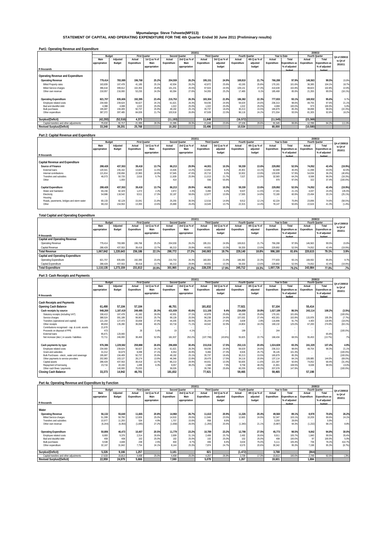#### **Mpumalanga: Steve Tshwete(MP313)**

#### **STATEMENT OF CAPITAL AND OPERATING EXPENDITURE FOR THE 4th Quarter Ended 30 June 2011 (Preliminary results)**

|  |  |  |  | Part1: Operating Revenue and Expenditure |
|--|--|--|--|------------------------------------------|
|--|--|--|--|------------------------------------------|

|                                         |               | 2010/11   |             |                      |             |                       |             |                      |                |               |             |                | 2009/10     |                       |               |
|-----------------------------------------|---------------|-----------|-------------|----------------------|-------------|-----------------------|-------------|----------------------|----------------|---------------|-------------|----------------|-------------|-----------------------|---------------|
|                                         |               | Budget    |             | <b>First Quarter</b> |             | <b>Second Quarter</b> |             | <b>Third Quarter</b> | Fourth Quarter |               |             | Year to Date   |             | Fourth Quarter        | Q4 of 2009/10 |
|                                         | Main          | Adjusted  | Actual      | 1st Q as % of        | Actual      | 2nd Q as % of         | Actual      | 3rd Q as % of        | Actual         | 4th Q as % of | Actual      | Total          | Actual      | Total                 | to Q4 of      |
|                                         | appropriation | Budget    | Expenditure | Main                 | Expenditure | Main                  | Expenditure | adjusted             | Expenditure    | adjusted      | Expenditure | Expenditure as | Expenditure | <b>Expenditure as</b> | 2010/11       |
|                                         |               |           |             | appropriation        |             | appropriation         |             | budget               |                | budget        |             | % of adjusted  |             | % of adjusted         |               |
| R thousands                             |               |           |             |                      |             |                       |             |                      |                |               |             | hudget         |             | hudget                |               |
|                                         |               |           |             |                      |             |                       |             |                      |                |               |             |                |             |                       |               |
| Operating Revenue and Expenditure       |               |           |             |                      |             |                       |             |                      |                |               |             |                |             |                       |               |
| <b>Operating Revenue</b>                | 779.414       | 783.089   | 196,768     | 25.2%                | 204,559     | 26.2%                 | 195,151     | 24.9%                | 169.810        | 21.7%         | 766.288     | 97.9%          | 146.563     | 99.5%                 | 15.9%         |
| <b>Billed Property rates</b>            | 163.839       | 167.478   | 41.185      | 25.1%                | 42.934      | 26.2%                 | 42.872      | 25.6%                | 43.190         | 25.8%         | 170.181     | 101.6%         | 36.385      | 104.1%                | 18.7%         |
| <b>Billed Service charges</b>           | 396,618       | 399.612   | 102.353     | 25.8%                | 101,231     | 25.5%                 | 97.924      | 24.5%                | 109.131        | 27.3%         | 410.639     | 102.8%         | 88.823      | 102.8%                | 22.9%         |
| Other own revenue                       | 218.957       | 216.000   | 53.230      | 24.3%                | 60.394      | 27.6%                 | 54.355      | 25.2%                | 17.489         | 8 1%          | 185.468     | 85.9%          | 21.355      | 89.5%                 | (18.1%)       |
|                                         |               |           |             |                      |             |                       |             |                      |                |               |             |                |             |                       |               |
| <b>Operating Expenditure</b>            | 821.707       | 835.606   | 192,395     | 23.4%                | 215,753     | 26.3%                 | 183,304     | 21.9%                | 186.382        | 22.3%         | 777.833     | 93.1%          | 169.932     | 95.6%                 | 9.7%          |
| Employee related costs                  | 234.560       | 239.624   | 56.627      | 24.1%                | 61.621      | 26.3%                 | 59.036      | 24.6%                | 59.029         | 24.6%         | 236.313     | 98.6%          | 48.755      | 97.6%                 | 21.1%         |
| Bad and doubtful debt                   | 4.088         | 4.088     | 1.022       | 25.0%                | 1.022       | 25.0%                 | 1.022       | 25.0%                | 1.022          | 25.0%         | 4.088       | 100.0%         | 973         | 100.0%                | 5.0%          |
| <b>Bulk purchases</b>                   | 195.687       | 194.409   | 50.737      | 25.9%                | 49.192      | 25.1%                 | 35.737      | 18.4%                | 30.213         | 15.5%         | 165.879     | 85.3%          | 38.898      | 98.6%                 | (22.3%)       |
| Other expenditure                       | 387.372       | 397.485   | 84.009      | 21.7%                | 103.918     | 26.8%                 | 87.509      | 22.0%                | 96.118         | 24.2%         | 371.554     | 93.5%          | 81.305      | 92.8%                 | 18.2%         |
|                                         |               |           |             |                      |             |                       |             |                      |                |               |             |                |             |                       |               |
| Surplus/(Deficit)                       | (42, 293)     | (52, 516) | 4,373       |                      | (11, 193)   |                       | 11,848      |                      | (16, 572)      |               | (11, 545)   |                | (23, 369)   |                       |               |
| Capital transfers and other adjustments | 75.632        | 91.717    | 21,395      | 28.3%                | 21,395      | 28.3%                 | 21.648      | 23.6%                | 27.106         | 29.6%         | 91.545      | 99.8%          | 12.789      | 94.2%                 | 111.9%        |
| <b>Revised Surplus/(Deficit)</b>        | 33,340        | 39,201    | 25,768      |                      | 10.202      |                       | 33,496      |                      | 10,534         |               | 80.000      |                | (10, 580)   |                       |               |

#### **Part 2: Capital Revenue and Expenditure**

|                                           |               | 2010/11  |                          |               |             |                |                      |               |                |               |             |                |             | 2009/10        |               |  |
|-------------------------------------------|---------------|----------|--------------------------|---------------|-------------|----------------|----------------------|---------------|----------------|---------------|-------------|----------------|-------------|----------------|---------------|--|
|                                           | Budget        |          | <b>First Quarter</b>     |               |             | Second Quarter | <b>Third Quarter</b> |               | Fourth Quarter |               |             | Year to Date   |             | Fourth Quarter | Q4 of 2009/10 |  |
|                                           | Main          | Adjusted | Actual                   | 1st Q as % of | Actual      | 2nd Q as % of  | Actual               | 3rd Q as % of | Actual         | 4th Q as % of | Actual      | Total          | Actual      | Total          | to Q4 of      |  |
|                                           | appropriation | Budget   | Expenditure              | Main          | Expenditure | Main           | Expenditure          | adjusted      | Expenditure    | adjusted      | Expenditure | Expenditure as | Expenditure | Expenditure as | 2010/11       |  |
|                                           |               |          |                          | appropriation |             | appropriation  |                      | budget        |                | budget        |             | % of adjusted  |             | % of adjusted  |               |  |
| R thousands                               |               |          |                          |               |             |                |                      |               |                |               |             | hudget         |             | hudget         |               |  |
| Capital Revenue and Expenditure           |               |          |                          |               |             |                |                      |               |                |               |             |                |             |                |               |  |
| Source of Finance                         | 288.428       | 437.553  | 39.418                   | 13.7%         | 86.213      | 29.9%          | 44.931               | 10.3%         | 59.330         | 13.6%         | 229.892     | 52.5%          | 74.052      | 42.4%          | (19.9%        |  |
| External loans                            | 120.541       | 155.162  | 13.820                   | 11.5%         | 15.926      | 13.2%          | 12.652               | 8.2%          | 20.301         | 13.1%         | 62.699      | 40.4%          | 11.098      | 43.0%          | 82.9%         |  |
| Internal contributions                    | 121.814       | 230.656  | 22.983                   | 18.9%         | 57.945      | 47.6%          | 20.710               | 9.0%          | 32.002         | 13.9%         | 133.639     | 57.9%          | 54.034      | 36.2%          | (40.8%)       |  |
| Transfers and subsidies                   | 46.073        | 50.735   | 2.616                    | 5.7%          | 11.928      | 25.9%          | 11.013               | 21.7%         | 7.027          | 13.9%         | 32.583      | 64.2%          | 8.598       | 96.0%          | (18.3%)       |  |
| Other                                     |               | 1.000    | $\overline{\phantom{a}}$ |               | 414         |                | 556                  | 55.6%         |                |               | 970         | 97.0%          | 322         | 37.4%          | $(100.0\%)$   |  |
|                                           |               |          |                          |               |             |                |                      |               |                |               |             |                |             |                |               |  |
| Capital Expenditure                       | 288.428       | 437.553  | 39,418                   | 13.7%         | 86,213      | 29.9%          | 44.931               | 10.3%         | 59.330         | 13.6%         | 229.892     | 52.5%          | 74,052      | 42.4%          | (19.9%        |  |
| Water and Sanitation                      | 66,156        | 82.329   | 1.472                    | 2.2%          | 2.872       | 4.3%           | 3.490                | 4.2%          | 9.507          | 11.5%         | 17.341      | 21.1%          | 4.037       | 24.4%          | 135.5%        |  |
| Electricity                               | 54.986        | 118.542  | 9.511                    | 17.3%         | 32.197      | 58.6%          | 12.877               | 10.9%         | 17.595         | 14.8%         | 72.180      | 60.9%          | 23,494      | 33.1%          | (25.1%)       |  |
| Housing                                   |               |          | $\sim$                   |               |             |                |                      |               |                | . .           |             | $\sim$         |             |                | . .           |  |
| Roads, pavements, bridges and storm water | 69,133        | 82.128   | 15.041                   | 21.8%         | 25,255      | 36.5%          | 12.016               | 14.6%         | 9.912          | 12.1%         | 62.224      | 75.8%          | 23,896      | 74.6%          | (58.5%)       |  |
| Other                                     | 98.153        | 154.553  | 13.393                   | 13.6%         | 25.889      | 26.49          | 16.549               | 10.7%         | 22.315         | 14.4%         | 78.147      | 50.6%          | 22,624      | 41.3%          | (1.4%)        |  |
|                                           |               |          |                          |               |             |                |                      |               |                |               |             |                |             |                |               |  |

### **Total Capital and Operating Expenditure**

|                                          |               |          |             |                      |             |                       | 2009/10              |               |                |               |             |                       |             |                       |               |
|------------------------------------------|---------------|----------|-------------|----------------------|-------------|-----------------------|----------------------|---------------|----------------|---------------|-------------|-----------------------|-------------|-----------------------|---------------|
|                                          | Budget        |          |             | <b>First Quarter</b> |             | <b>Second Quarter</b> | <b>Third Quarter</b> |               | Fourth Ouarter |               |             | Year to Date          |             | Fourth Quarter        | Q4 of 2009/10 |
|                                          | Main          | Adjusted | Actual      | 1st Q as % of        | Actual      | 2nd Q as % of         | Actual               | 3rd Q as % of | Actual         | 4th Q as % of | Actual      | Total                 | Actual      | Total                 | to Q4 of      |
|                                          | appropriation | Budget   | Expenditure | Main                 | Expenditure | Main                  | Expenditure          | adiusted      | Expenditure    | adjusted      | Expenditure | <b>Expenditure as</b> | Expenditure | <b>Expenditure as</b> | 2010/11       |
|                                          |               |          |             | appropriation        |             | appropriation         |                      | budget        |                | budget        |             | % of adjusted         |             | % of adjusted         |               |
| R thousands                              |               |          |             |                      |             |                       |                      |               |                |               |             | hudget                |             | hudget                |               |
| <b>Capital and Operating Revenue</b>     |               |          |             |                      |             |                       |                      |               |                |               |             |                       |             |                       |               |
| Operating Revenue                        | 779.414       | 783.089  | 196.768     | 25.2%                | 204.559     | 26.2%                 | 195.151              | 24.9%         | 169.810        | 21.7%         | 766.288     | 97.9%                 | 146.563     | 99.5%                 | 15.9%         |
| Capital Revenue                          | 288.428       | 437.553  | 39.418      | 13.7%                | 86.213      | 29.9%                 | 44.931               | 10.3%         | 59.330         | 13.6%         | 229.892     | 52.5%                 | 74.052      | 42.4%                 | (19.9%        |
| <b>Total Revenue</b>                     | 1.067.842     | .220.643 | 236.186     | 22.1%                | 290.772     | 27.2%                 | 240.083              | 19.7%         | 229.140        | 18.8%         | 996.180     | 81.6%                 | 220.615     | 79.1%                 | 3.9%          |
| <b>Capital and Operating Expenditure</b> |               |          |             |                      |             |                       |                      |               |                |               |             |                       |             |                       |               |
| Operating Expenditure                    | 821.707       | 835.606  | 192.395     | 23.4%                | 215.753     | 26.3%                 | 183.304              | 21.9%         | 186.382        | 22.3%         | 777.833     | 93.1%                 | 169.932     | 95.6%                 | 9.7%          |
| Capital Expenditure                      | 288.428       | 437.553  | 39.418      | 13.7%                | 86.213      | 29.9%                 | 44.931               | 10.3%         | 59.330         | 13.6%         | 229.892     | 52.5%                 | 74.052      | 42.4%                 | (19.9%        |
| <b>Total Expenditure</b>                 | 110,135       | .273.159 | 231,813     | 20.9%                | 301.965     | 27.2%                 | 228,235              | 17.9%         | 245.712        | 19.3%         | 1.007.726   | 79.2%                 | 243.984     | 77.0%                 | .7%           |
|                                          |               |          |             |                      |             |                       |                      |               |                |               |             |                       |             |                       |               |
| Part 3: Cash Receipts and Payments       |               |          |             |                      |             |                       |                      |               |                |               |             |                       |             |                       |               |

|                                                 |               | 2010/11   |                      |               |             |                |             |                      |                       |               | 2009/10     |                |             |                |               |
|-------------------------------------------------|---------------|-----------|----------------------|---------------|-------------|----------------|-------------|----------------------|-----------------------|---------------|-------------|----------------|-------------|----------------|---------------|
|                                                 |               | Budget    | <b>First Quarter</b> |               |             | Second Quarter |             | <b>Third Quarter</b> | <b>Fourth Quarter</b> |               |             | Year to Date   |             | Fourth Quarter | 04 of 2009/10 |
|                                                 | Main          | Adjusted  | Actual               | 1st Q as % of | Actual      | 2nd Q as % of  | Actual      | 3rd Q as % of        | Actual                | 4th Q as % of | Actual      | Total          | Actual      | Total          | to 04 of      |
|                                                 | appropriation | Budget    | Expenditure          | Main          | Expenditure | Main           | Expenditure | adjusted             | Expenditure           | adiusted      | Expenditure | Expenditure as | Expenditure | Expenditure as | 2010/11       |
|                                                 |               |           |                      | appropriation |             | appropriation  |             | budget               |                       | budget        |             | % of adjusted  |             | % of adjusted  |               |
| R thousands                                     |               |           |                      |               |             |                |             |                      |                       |               |             | hudget         |             | hudget         |               |
|                                                 |               |           |                      |               |             |                |             |                      |                       |               |             |                |             |                |               |
| <b>Cash Receipts and Payments</b>               |               |           |                      |               |             |                |             |                      |                       |               |             |                |             |                |               |
| Opening Cash Balance                            | 61.490        | 57.104    | 57.104               |               | 46.701      |                | 181,832     |                      | 77.921                |               | 57,104      |                | 55,414      |                |               |
| Cash receipts by source                         | 948,269       | 1.187.419 | 249.485              | 26.3%         | 431.939     | 45.6%          | 111.106     | 9.4%                 | 234.659               | 19.8%         | 1,027,189   | 86.5%          | 243.114     | 108.2%         | (3.5%)        |
| Statutory receipts (including VAT)              | 158.413       | 167.478   | 41.182               | 26.0%         | 42.931      | 27.1%          | 42.878      | 25.6%                | 43.190                | 25.8%         | 170.181     | 101.6%         |             | $\sim$         | (100.0%       |
| Service charges                                 | 388.524       | 391 189   | 99.903               | 25.7%         | 99.128      | 25.5%          | 96.238      | 24.6%                | 107.032               | 27.4%         | 402.301     | 102.8%         | 115,978     | 105.3%         | (7.7%         |
| Transfers (operational and capital)             | 121.154       | 127.473   | 33.838               | 27.9%         | 44.205      | 36.5%          | 35.244      | 27.6%                | 3.609                 | 2.8%          | 116.896     | 91 7%          | 4.400       | 118.9%         | $(18.0\%)$    |
| Other receipts                                  | 89.653        | 135.280   | 36.068               | 40.2%         | 63.718      | 71.1%          | 44.542      | 32 9%                | 24.804                | 18.3%         | 169,132     | 125.0%         | 67,283      | 274.9%         | (63.1%)       |
| Contributions recognised - cap. & contr. assets | 21,670        | ÷.        |                      |               |             |                |             |                      |                       |               |             |                |             | $\sim$         |               |
| Proceeds on disposal of PPE                     | 473           |           | 26                   | 5.4%          | 19          | 4.1%           |             |                      | 199                   |               | 244         |                |             | $\sim$         | (100.0%       |
| <b>External Inans</b>                           | 95.671        | 120,000   |                      |               |             |                |             | $\sim$               | . .                   | $\sim$        |             |                |             | 65.8%          |               |
| Net increase (decr.) in assets / liabilities    | 72.711        | 246.000   | 38.469               | 52.9%         | 181.937     | 250.2%         | (107, 796)  | (43.8%)              | 55.825                | 22.7%         | 168.434     | 68.5%          | 55.453      | (13.7%         | .7%           |
|                                                 |               |           |                      |               |             |                |             |                      |                       |               |             |                |             |                |               |
| Cash payments by type                           | 976,386       | 1,229,582 | 259.888              | 26.6%         | 296.808     | 30.4%          | 215.016     | 17.5%                | 253.115               | 20.6%         | 1,024,828   | 83.3%          | 241.329     | 107.4%         | 4.9%          |
| Employee related costs                          | 234.560       | 239.624   | 56.627               | 24.1%         | 61.621      | 26.3%          | 59.036      | 24.6%                | 59.029                | 24.6%         | 236.313     | 98.6%          | 48.754      | 98.3%          | 21.1%         |
| Grant and subsidies                             | 31.012        | 34.679    | 8.399                | 27.1%         | 8.354       | 26.9%          | 9.466       | 27.3%                | 8.926                 | 25.7%         | 35.145      | 101.3%         |             | $\sim$         | (100.0%       |
| Bulk Purchases - electr., water and sewerage    | 195.687       | 194.409   | 50.737               | 25.9%         | 49.192      | 25.1%          | 35.737      | 18.4%                | 30.213                | 15.5%         | 165.879     | 85.3%          |             | $\sim$         | (100.0%       |
| Other payments to service providers             | 202.983       | 163.127   | 28.174               | 13.9%         | 46.346      | 22.8%          | 28.479      | 17.5%                | 34.116                | 20.9%         | 137.114     | 84.1%          | 109.885     | 144.0%         | (69.0%        |
| Capital assets                                  | 288.428       | 437.553   | 39.418               | 13.7%         | 86.213      | 29.9%          | 44.931      | 10.3%                | 50.835                | 11.6%         | 221,397     | 50.6%          | 74.052      | 68.4%          | (31.4%)       |
| Repayment of borrowing                          | 23.716        | 20.190    | 1.499                | 6.3%          | 9.057       | 38.2%          | 1.588       | 7.9%                 | 9.758                 | 48.3%         | 21.901      | 108.5%         | 8.638       | 98.5%          | 13.0%         |
| Other cash flows / payments                     |               | 140,000   | 75,033               |               | 36,026      |                | 35,780      | 25.6%                | 60,239                | 43.0%         | 207,078     | 147.9%         |             | $\sim$         | (100.0%       |
| <b>Closing Cash Balance</b>                     | 33.373        | 14.942    | 46,701               |               | 181,832     |                | 77,921      |                      | 59.465                |               | 59.465      |                | 57,198      |                |               |
|                                                 |               |           |                      |               |             |                |             |                      |                       |               |             |                |             |                |               |

#### **Part 4a: Operating Revenue and Expenditure by Function R thousands Main appropriation Adjusted Budget Actual Expenditure 1st Q as % of Main appropriation Actual Expenditure 2nd Q as % of Main appropriation Actual Expenditure 3rd Q as % of adjusted budget Actual Expenditure 4th Q as % of adjusted budget Expenditure Expenditure as** <br> **1** % of adjusted budget **budget Actual Expenditure Total Expenditure as % of adjusted budget Water**<br> **Operating Revenue**<br> **Billed Service charges<br>
Transfers and subsidies<br>
Other own revenue Operating Revenue 56,132 55,640 11,665 20.8% 14,960 26.7% 11,610 20.9% 11,326 20.4% 49,560 89.1% 8,978 70.6% 26.2%** Billed Service charges 51,399 50,790 12,826 25.0% 14,910 29.0% 11,946 23.5% 12,665 24.9% 52,347 103.1% 10,209 99.6% 24.1% Transfers and subsidies 10,977 | 11,200 | 534 4.9% | 1,707 | 15.6% | 958 | 8.6% - | - | 3,200 | 28.6% | - | 5.9% -Other own revenue (6,244) (6,350) (1,695) 27.2% (1,658) 26.5% (1,294) 20.4% (1,340) 21.1% (5,987) 94.3% (1,232) 98.1% 8.8% **Operating Expenditure 50,806 46,473 10,407 20.5% 11,779 23.2% 10,789 23.2% 12,798 27.5% 45,773 98.5% 9,842 94.8% 30.0%** Employee related costs 8,693 9,376 2,314 26.6% 2,699 31.1% 2,406 25.7% 2,492 26.6% 9,911 105.7% 1,840 99.5% 35.4% Bad and doubtful debt 408 408 102 25.0% 102 25.0% 102 25.0% 102 25.0% 408 100.0% 97 100.0% 5.0% Bulk purchases 9,538 4,848 238 2.5% 833 8.7% 406 8.4% 3,634 75.0% 5,111 105.4% 706 78.2% 414.7% Other expenditure 32,167 31,842 7,754 24.1% 8,144 25.3% 7,874 24.7% 6,570 20.6% 30,342 95.3% 7,198 95.3% (8.7%) **Surplus/(Deficit) 5,326 9,166 1,257 3,181 821 (1,472) 3,788 (864)**  Capital transfers and other adjustments 17,633 15,813 4,408 25.0% 4,408 25.0% 4,257 26.9% 2,739 17.3% 15,813 100.0% 2,749 92.5% (.3%) Revised Surplus/(Deficit) 22,959 | 24,979 | 5,666 | | 7,590 | | 5,078 | | 1,267 | | 1,9601 | | 1,884  **2010/11 2009/10 Q4 of 2009/10 to Q4 of 2010/11 Budget** | First Quarter | Second Quarter | Third Quarter | Fourth Quarter | Year to Date | Fourth Quarter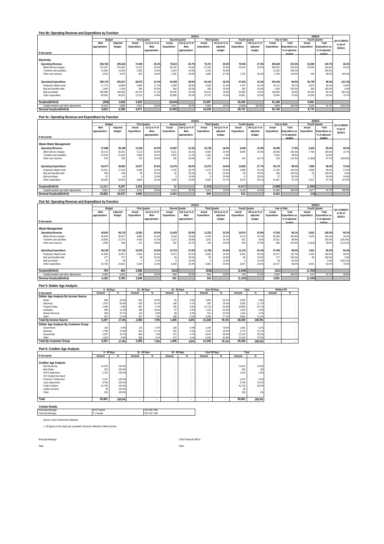|                                         |               | 2010/11<br>2009/10 |             |                      |             |                       |                      |               |                |               |             |                |             |                |               |
|-----------------------------------------|---------------|--------------------|-------------|----------------------|-------------|-----------------------|----------------------|---------------|----------------|---------------|-------------|----------------|-------------|----------------|---------------|
|                                         |               | Budget             |             | <b>First Quarter</b> |             | <b>Second Quarter</b> | <b>Third Quarter</b> |               | Fourth Quarter |               |             | Year to Date   |             | Fourth Quarter | Q4 of 2009/10 |
|                                         | Main          | Adjusted           | Actual      | 1st Q as % of        | Actual      | 2nd Q as % of         | Actual               | 3rd Q as % of | Actual         | 4th Q as % of | Actual      | Total          | Actual      | Total          | to Q4 of      |
|                                         | appropriation | Budget             | Expenditure | Main                 | Expenditure | Main                  | Expenditure          | adjusted      | Expenditure    | adjusted      | Expenditure | Expenditure as | Expenditure | Expenditure as | 2010/11       |
|                                         |               |                    |             | appropriation        |             | appropriation         |                      | budget        |                | budget        |             | % of adjusted  |             | % of adjusted  |               |
| R thousands                             |               |                    |             |                      |             |                       |                      |               |                |               |             | hudget         |             | hudget         |               |
|                                         |               |                    |             |                      |             |                       |                      |               |                |               |             |                |             |                |               |
| Electricity                             |               |                    |             |                      |             |                       |                      |               |                |               |             |                |             |                |               |
| <b>Operating Revenue</b>                | 294.782       | 295.634            | 74.493      | 25.3%                | 75.812      | 25.7%                 | 75.371               | 25.5%         | 79.945         | 27.0%         | 305,620     | 103.4%         | 63.350      | 103.7%         | 26.2%         |
| <b>Billed Service charges</b>           | 275.167       | 276.464            | 71.515      | 26.0%                | 68.152      | 24.8%                 | 67.766               | 24.5%         | 78.193         | 28.3%         | 285.625     | 103.3%         | 62.946      | 104.0%         | 24.2%         |
| Transfers and subsidies                 | 14,600        | 14.200             | 2.026       | 13.9%                | 6.424       | 44.0%                 | 5.750                | 40.5%         |                | $\sim$        | 14.200      | 100.0%         |             | 100.0%         | . .           |
| Other own revenue                       | 5.016         | 4.970              | 952         | 19.0%                | 1.235       | 24 6%                 | 1.856                | 37.3%         | 1.752          | 35.3%         | 5.795       | 116.6%         | 403         | 88.2%          | 334.3%        |
|                                         |               |                    |             |                      |             |                       |                      |               |                |               |             |                |             |                |               |
| <b>Operating Expenditure</b>            | 295.176       | 293.817            | 68.973      | 23.4%                | 84.455      | 28.6%                 | 53.415               | 18.2%         | 47.610         | 16.2%         | 254.453     | 86.6%          | 56.759      | 98.3%          | (16.1%        |
| Employee related costs                  | 17.774        | 18.890             | 4.808       | 27.1%                | 5.069       | 28.5%                 | 4.039                | 21.4%         | 4.797          | 25.4%         | 18.712      | 99.1%          | 3.874       | 98.4%          | 23.8%         |
| Bad and doubtful debt                   | 1.454         | 1.454              | 364         | 25.0%                | 364         | 25.0%                 | 364                  | 25.0%         | 364            | 25.0%         | 1.454       | 100.0%         | 346         | 100.0%         | 5.0%          |
| <b>Bulk purchases</b>                   | 185.998       | 189.450            | 50.479      | 27.1%                | 48.335      | 26.0%                 | 35.311               | 18.6%         | 26.558         | 14.0%         | 160.683     | 84.8%          | 38.180      | 99.1%          | (30.4%)       |
| Other expenditure                       | 89.950        | 84.022             | 13,322      | 14.8%                | 30.689      | 34 1%                 | 13.702               | 16.3%         | 15.891         | 18.9%         | 73.604      | 87.6%          | 14.359      | 95.9%          | 10.7%         |
|                                         |               |                    |             |                      |             |                       |                      |               |                |               |             |                |             |                |               |
| Surplus/(Deficit)                       | (394)         | 1.818              | 5,520       |                      | (8,644)     |                       | 21.957               |               | 32.335         |               | 51.168      |                | 6.591       |                |               |
| Capital transfers and other adjustments | 10.204        | 4.580              | 2.551       | 25.0%                | 2.551       | 25.0%                 | 2.082                | 45.5%         | (2.605)        | (56.9%)       | 4.580       | 100.0%         | 2.185       | 91.7%          | (219.2%)      |
| <b>Revised Surplus/(Deficit)</b>        | 9.810         | 6,398              | 8.071       |                      | (6,092)     |                       | 24.039               |               | 29.731         |               | 55.748      |                | 8,776       |                |               |
|                                         |               |                    |             |                      |             |                       |                      |               |                |               |             |                |             |                |               |

#### **Part 4c: Operating Revenue and Expenditure by Function**

|                                         |               | 2010/11  |             |                      |             |                       |                      |               |             |                |             |                       | 2009/10     |                |               |
|-----------------------------------------|---------------|----------|-------------|----------------------|-------------|-----------------------|----------------------|---------------|-------------|----------------|-------------|-----------------------|-------------|----------------|---------------|
|                                         |               | Budget   |             | <b>First Quarter</b> |             | <b>Second Quarter</b> | <b>Third Quarter</b> |               |             | Fourth Quarter |             | Year to Date          |             | Fourth Quarter | Q4 of 2009/10 |
|                                         | Main          | Adjusted | Actual      | 1st Q as % of        | Actual      | 2nd Q as % of         | Actual               | 3rd Q as % of | Actual      | 4th Q as % of  | Actual      | Total                 | Actual      | Total          | to Q4 of      |
|                                         | appropriation | Budget   | Expenditure | Main                 | Expenditure | Main                  | Expenditure          | adjusted      | Expenditure | adjusted       | Expenditure | <b>Expenditure as</b> | Expenditure | Expenditure as | 2010/11       |
|                                         |               |          |             | appropriation        |             | appropriation         |                      | budget        |             | budget         |             | % of adjusted         |             | % of adjusted  |               |
| R thousands                             |               |          |             |                      |             |                       |                      |               |             |                |             | hudget                |             | hudget         |               |
| Waste Water Management                  |               |          |             |                      |             |                       |                      |               |             |                |             |                       |             |                |               |
| <b>Operating Revenue</b>                | 57.688        | 58.198   | 13.230      | 22.9%                | 12.087      | 21.0%                 | 10.738               | 18.5%         | 9.236       | 15.9%          | 45.292      | 77.8%                 | 6.304       | 89.4%          | 46.5%         |
| <b>Billed Service charges</b>           | 35,119        | 36.401   | 9.113       | 25.9%                | 9.151       | 26.1%                 | 9.050                | 24.9%         | 9.094       | 25.0%          | 36.408      | 100.0%                | 7.790       | 100.6%         | 16.7%         |
| <b>Transfers and subsidies</b>          | 22,045        | 21,265   | 3.983       | 18.1%                | 2.801       | 12.7%                 | 1.481                | 7.0%          |             |                | 8.265       | 38.9%                 |             | 62.8%          |               |
| Other own revenue                       | 525           | 532      | 134         | 25.6%                | 135         | 25.8%                 | 207                  | 38 9%         | 142         | 26.7%          | 619         | 116.3%                | (1,485)     | 97.7%          | (109.6%)      |
| <b>Operating Expenditure</b>            | 46.477        | 49.991   | 10.977      | 23.6%                | 12.075      | 26.0%                 | 12.273               | 24.6%         | 13.853      | 27.7%          | 49.179      | 98.4%                 | 7.994       | 96.6%          | 73.3%         |
| Employee related costs                  | 16.521        | 17.134   | 4.009       | 24.3%                | 4.735       | 28.7%                 | 4.173                | 24.4%         | 4.309       | 25.1%          | 17.226      | 100.5%                | 3.368       | 96.0%          | 27.9%         |
| Bad and doubtful debt                   | 260           | 260      | 65          | 25.0%                | 65          | 25.0%                 |                      | 25.0%         |             | 25.0%          | 260         | 100.0%                | 62          | 100.0%         | 5.0%          |
| <b>Bulk purchases</b>                   | 67            | 44       |             | 13.6%                |             | 14.0%                 |                      | 20.9%         |             | 20.6%          | 37          | 83.0%                 |             | 60.9%          | 24.5%         |
| Other expenditure                       | 29.629        | 32.553   | 6.894       | 23.3%                | 7.266       | 24.5%                 | 8.026                | 24 7%         | 9.470       | 29.1%          | 31.657      | 97.2%                 | 4.557       | 97.2%          | 107.8%        |
| Surplus/(Deficit)                       | 11.211        | 8,207    | 2,253       |                      | 12          |                       | (1,535)              |               | (4,617)     |                | (3,888)     |                       | (1,690)     |                |               |
| Capital transfers and other adjustments | 9.651         | 12.330   | 2.413       | 25.0%                | 2.413       | 25.0%                 | 2.375                | 19.3%         | 5,130       | 41.6%          | 12,330      | 100.0%                | 1.677       | 91.7%          | 205.9%        |
| <b>Revised Surplus/(Deficit)</b>        | 20.862        | 20.537   | 4.666       |                      | 2.424       |                       | 840                  |               | 512         |                | 8.442       |                       | (13)        |                |               |

### **Part 4d: Operating Revenue and Expenditure by Function**

|                                         |               | 2010/11  |              |                      |             |                       |             |                      |             |                |             |                |             |                       |               |
|-----------------------------------------|---------------|----------|--------------|----------------------|-------------|-----------------------|-------------|----------------------|-------------|----------------|-------------|----------------|-------------|-----------------------|---------------|
|                                         |               | Budget   |              | <b>First Quarter</b> |             | <b>Second Quarter</b> |             | <b>Third Quarter</b> |             | Fourth Quarter |             | Year to Date   |             | Fourth Quarter        | Q4 of 2009/10 |
|                                         | Main          | Adjusted | Actual       | 1st Q as % of        | Actual      | 2nd Q as % of         | Actual      | 3rd Q as % of        | Actual      | 4th Q as % of  | Actual      | Total          | Actual      | Total                 | to Q4 of      |
|                                         | appropriation | Budget   | Expenditure  | Main                 | Expenditure | Main                  | Expenditure | adjusted             | Expenditure | adjusted       | Expenditure | Expenditure as | Expenditure | <b>Expenditure as</b> | 2010/11       |
|                                         |               |          |              | appropriation        |             | appropriation         |             | budget               |             | budget         |             | % of adjusted  |             | % of adjusted         |               |
| R thousands                             |               |          |              |                      |             |                       |             |                      |             |                |             | budget         |             | hudgot                |               |
| Waste Management                        |               |          |              |                      |             |                       |             |                      |             |                |             |                |             |                       |               |
| <b>Operating Revenue</b>                | 46.843        | 48.178   | 13.561       | 28.9%                | 12.403      | 26.5%                 | 11.223      | 23.3%                | 10.074      | 20.9%          | 47.262      | 98.1%          | 6.061       | 100.5%                | 66.2%         |
| <b>Billed Service charges</b>           | 34.934        | 35.957   | 8.899        | 25.5%                | 9.018       | 25.8%                 | 9.163       | 25.5%                | 9.179       | 25.5%          | 36.258      | 100.8%         | 7.878       | 100.4%                | 16.5%         |
| <b>Transfers and subsidies</b>          | 10,850        | 11.274   | 4.452        | 41.0%                | 3.124       | 28.8%                 | 1.814       | 16.1%                | 631         | 5.6%           | 10.021      | 88.9%          |             | 100.0%                | (100.0%       |
| Other own revenue                       | 1.059         | 946      | $21^{\circ}$ | 19.9%                | 262         | 24.7%                 | 246         | 26.0%                | 264         | 27.9%          | 982         | 103.9%         | (1.818)     | 99.6%                 | $(114.5\%)$   |
| <b>Operating Expenditure</b>            | 46,138        | 47.716   | 10,875       | 23.6%                | 12.715      | 27.6%                 | 11.760      | 24.6%                | 12.143      | 25.4%          | 47.493      | 99.5%          | 7.821       | 96.2%                 | 55.3%         |
| Employee related costs                  | 21,082        | 22.847   | 5.463        | 25.9%                | 6.372       | 30.2%                 | 5.605       | 24.5%                | 6.032       | 26.4%          | 23.471      | 102.7%         | 4.324       | 100.0%                | 39.5%         |
| Bad and doubtful debt                   | 277           | 277      | 69           | 25.0%                | 69          | 25.0%                 | 69          | 25.0%                |             | 25.0%          | 277         | 100.0%         | 66          | 100.0%                | 5.0%          |
| <b>Bulk purchases</b>                   | 41            | 29       |              | 9.7%                 |             | 14.2%                 |             | 13.6%                |             | 15.3%          | 18          | 63.2%          |             | 9.4%                  | (100.0%       |
| Other expenditure                       | 24,738        | 24.564   | 5.340        | 21.6%                | 6.269       | 25.3%                 | 6.082       | 24.8%                | 6.037       | 24.6%          | 23.727      | 96.6%          | 3.431       | 92.0%                 | 76.0%         |
| Surplus/(Deficit)                       | 704           | 461      | 2,686        |                      | (312)       |                       | (536)       |                      | (2,069)     |                | (231)       |                | (1,760)     |                       |               |
| Capital transfers and other adjustments | 3.450         | 3.322    | 863          | 25.0%                | 863         | 25.0%                 | 852         | 25.6%                | 745         | 22.4%          | 3.322       | 100.0%         | 570         | 91.7%                 | 30.6%         |
| <b>Revised Surplus/(Deficit)</b>        | 4.155         | 3,783    | 3.548        |                      | 551         |                       | 316         |                      | 1,323)      |                | 3.091       |                | (1, 190)    |                       |               |

J.

### **Part 5: Debtor Age Analysis**

|                                       |        | 0 - 30 Days |        | 31 - 60 Days | 61 - 90 Days |      | Over 90 Days |       | Total  |        | Written Off |      |
|---------------------------------------|--------|-------------|--------|--------------|--------------|------|--------------|-------|--------|--------|-------------|------|
| R thousands                           | Amount |             | Amount | %            | Amount       | %    | Amount       | %     | Amount | %      | Amount      | $\%$ |
| Debtor Age Analysis By Income Source  |        |             |        |              |              |      |              |       |        |        |             |      |
| Water                                 | 688    | 25.8%       | 281    | 10.5%        | 96           | 3.6% | 1.605        | 60.1% | 2.669  | 8.8%   |             |      |
| Electricity                           | 1.974  | 55.6%       | 520    | 14.7%        | 168          | 4.7% | 887          | 25.0% | 3.550  | 11.7%  |             |      |
| <b>Property Rates</b>                 | 1.490  | 8.8%        | 967    | 5.7%         | 788          | 4.6% | 13.713       | 80.9% | 16.958 | 55.7%  |             |      |
| Sanitation                            | 389    | 21.2%       | 195    | 10.6%        | 97           | 5.3% | 1.152        | 62.9% | 1.833  | 6.0%   |             |      |
| Refuse Removal                        | 299    | 20.7%       | 142    | 9.8%         | 89           | 6.2% | 914          | 63.3% | 1.444  | 4.7%   |             |      |
| Other                                 | 457    | 11.5%       | 287    | 7.2%         | 168          | 4.2% | 3.069        | 77.1% | 3.981  | 13.1%  |             |      |
| <b>Total By Income Source</b>         | 5.297  | 17.4%       | 2.393  | 7.9%         | .405         | 4.6% | 21.340       | 70.1% | 30.435 | 100.0% |             |      |
| Debtor Age Analysis By Customer Group |        |             |        |              |              |      |              |       |        |        |             |      |
| Government                            | 165    | 9.0%        | 124    | 6.7%         | 109          | 5.9% | 1.444        | 78.4% | 1.842  | 6.1%   |             |      |
| <b>Business</b>                       | 1.795  | 37.6%       | 819    | 17.1%        | 252          | 5.3% | 1.910        | 40.0% | 4.776  | 15.7%  |             |      |
| Households                            | 2.297  | 18.7%       | 864    | 7.0%         | 573          | 4.7% | 8.544        | 69.6% | 12.278 | 40.3%  |             |      |
| Other                                 | 1.040  | 9.0%        | 586    | 5.1%         | 472          | 4.1% | 9.442        | 81.8% | 11.540 | 37.9%  | $\sim$      |      |
| <b>Total By Customer Group</b>        | 5.297  | 17.4%       | 2.393  | 7.9%         | <b>.405</b>  | 4.6% | 21.340       | 70.1% | 30.435 | 100.0% |             |      |

**Part 6: Creditor Age Analysis**

|                              | 0 - 30 Days |        | 31 - 60 Days |                          | 61 - 90 Days             |   | Over 90 Days |   | Total  |        |
|------------------------------|-------------|--------|--------------|--------------------------|--------------------------|---|--------------|---|--------|--------|
| R thousands                  | Amount      | %      | Amount       | %                        | Amount                   | % | Amount       | % | Amount | %      |
|                              |             |        |              |                          |                          |   |              |   |        |        |
| <b>Creditor Age Analysis</b> |             |        |              |                          |                          |   |              |   |        |        |
| <b>Bulk Electricity</b>      | 14.678      | 100.0% |              | ٠                        |                          |   |              |   | 14.678 | 15.8%  |
| <b>Bulk Water</b>            | 325         | 100.0% |              | ٠                        |                          |   |              |   | 325    | .3%    |
| PAYE deductions              | 2.754       | 100.0% |              | ٠                        |                          |   |              |   | 2.754  | 3.0%   |
| VAT (output less input)      | $\sim$      |        |              | ٠                        |                          |   |              |   |        |        |
| Pensions / Retirement        | 3,197       | 100.0% |              | ٠                        |                          |   |              |   | 3,197  | 3.4%   |
| Loan repayments              | 9.758       | 100.0% |              | ٠                        |                          |   |              |   | 9.758  | 10.5%  |
| <b>Trade Creditors</b>       | 61,728      | 100.0% |              | ٠                        | $\sim$                   |   | ٠            |   | 61.728 | 66.5%  |
| Auditor-General              | 36          | 100.0% |              | ٠                        |                          |   |              |   | 36     |        |
| Other                        | 326         | 100.0% |              | ٠                        |                          |   |              |   | 326    | .4%    |
|                              |             |        |              |                          |                          |   |              |   |        |        |
| Total                        | 92.801      | 100.0% | $\sim$       | $\overline{\phantom{a}}$ | $\overline{\phantom{a}}$ | ۰ |              |   | 92,801 | 100.0% |

#### **Contact Details**

| <b>Contact Details</b>           |            |              |
|----------------------------------|------------|--------------|
| Municipal Manager                | W D Fouche | 013 249 7264 |
| <b>Financial Manager</b>         | F J Naude  | 013 249 7108 |
| Source Local Government Database |            |              |

1. All figures in this report are unaudited. Revenue reflected is billed revenue

Date: Date: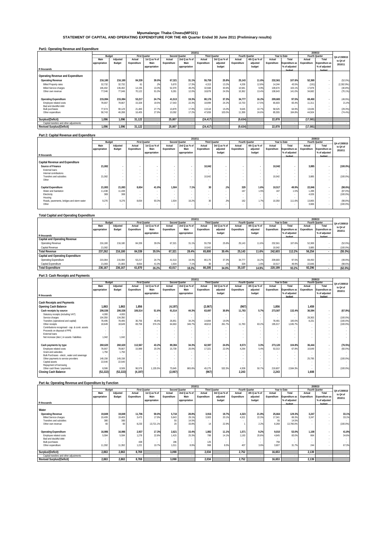## **Mpumalanga: Thaba Chweu(MP321) STATEMENT OF CAPITAL AND OPERATING EXPENDITURE FOR THE 4th Quarter Ended 30 June 2011 (Preliminary results)**

| Part1: Operating Revenue and Expenditure |  |
|------------------------------------------|--|
|                                          |  |

|                                         |               | 2010/11  |                      |               |             |                       |                      |               |                |               |             |                |                | 2009/10        |               |
|-----------------------------------------|---------------|----------|----------------------|---------------|-------------|-----------------------|----------------------|---------------|----------------|---------------|-------------|----------------|----------------|----------------|---------------|
|                                         | Budget        |          | <b>First Quarter</b> |               |             | <b>Second Quarter</b> | <b>Third Quarter</b> |               | Fourth Quarter |               |             | Year to Date   | Fourth Quarter |                | Q4 of 2009/10 |
|                                         | Main          | Adjusted | Actual               | 1st Q as % of | Actual      | 2nd Q as % of         | Actual               | 3rd Q as % of | Actual         | 4th Q as % of | Actual      | Total          | Actual         | Total          | to Q4 of      |
|                                         | appropriation | Budget   | Expenditure          | Main          | Expenditure | Main                  | Expenditure          | adjusted      | Expenditure    | adjusted      | Expenditure | Expenditure as | Expenditure    | Expenditure as | 2010/11       |
|                                         |               |          |                      | appropriation |             | appropriation         |                      | budget        |                | budget        |             | % of adjusted  |                | % of adjusted  |               |
| R thousands                             |               |          |                      |               |             |                       |                      |               |                |               |             | hudget         |                | hudget         |               |
|                                         |               |          |                      |               |             |                       |                      |               |                |               |             |                |                |                |               |
| Operating Revenue and Expenditure       |               |          |                      |               |             |                       |                      |               |                |               |             |                |                |                |               |
| <b>Operating Revenue</b>                | 216.180       | 216.180  | 84.339               | 39.0%         | 67.321      | 31.1%                 | 55.759               | 25.8%         | 25.143         | 11.6%         | 232.561     | 107.6%         | 52.369         |                | $(52.0\%)$    |
| <b>Billed Property rates</b>            | 32.732        | 32.732   | 61                   | .2%           | 5.670       | 17.3%                 | 4.313                | 13.2%         | 4.200          | 12.8%         | 14.244      | 43.5%          | (191)          | $\sim$         | (2,302.9%     |
| <b>Billed Service charges</b>           | 106,402       | 106.402  | 14.155               | 13.3%         | 52,370      | 49.2%                 | 32.568               | 30.6%         | 10.581         | 9.9%          | 109.674     | 103.1%         | 17.878         | . .            | (40.8%)       |
| Other own revenue                       | 77,046        | 77.046   | 70.122               | 91.0%         | 9.281       | 12.0%                 | 18.878               | 24.5%         | 10,362         | 13.4%         | 108.643     | 141.0%         | 34.682         |                | (70.1%)       |
|                                         |               |          |                      |               |             |                       |                      |               |                |               |             |                |                |                |               |
| <b>Operating Expenditure</b>            | 215,084       | 215.084  | 53,217               | 24.7%         | 41,513      | 19.3%                 | 80.176               | 37.3%         | 34.777         | 16.2%         | 209.683     | 97.5%          | 69,450         | ٠              | (49.9%)       |
| Employee related costs                  | 78.667        | 78.667   | 15.328               | 19.5%         | 17.543      | 22.3%                 | 18.999               | 24.2%         | 13.733         | 17.5%         | 65.603      | 83.4%          | 11.311         |                | 21.4%         |
| Bad and doubtful debt                   |               |          |                      |               |             |                       |                      |               |                |               |             |                |                |                |               |
| <b>Bulk purchases</b>                   | 77.674        | 90.129   | 21.483               | 27.7%         | 13.879      | 17.9%                 | 13.518               | 15.0%         | 9.645          | 10.7%         | 58.525      | 64.9%          | 13.636         |                | (29.3%)       |
| Other expenditure                       | 58.743        | 46.288   | 16.405               | 27.9%         | 10.092      | 17.2%                 | 47.659               | 103.0%        | 11.399         | 24.6%         | 85.555      | 184.8%         | 44.504         |                | (74.4%)       |
|                                         |               |          |                      |               |             |                       |                      |               |                |               |             |                |                |                |               |
| Surplus/(Deficit)                       | 1,096         | 1.096    | 31.122               |               | 25.807      |                       | (24, 417)            |               | (9,634)        |               | 22.878      |                | (17,081)       |                |               |
| Capital transfers and other adjustments |               |          |                      |               |             |                       |                      |               |                |               |             |                |                |                |               |
| <b>Revised Surplus/(Deficit)</b>        | 1.096         | 1,096    | 31,122               |               | 25,807      |                       | (24, 417)            |               | (9,634)        |               | 22.878      |                | (17,081)       |                |               |

#### **Part 2: Capital Revenue and Expenditure**

| . a. . E. Sapha. Rovenao ana Exponanta o  |               |              |                          |                      |             |                       |             |                      |             |                |             |                       |             |                          |               |
|-------------------------------------------|---------------|--------------|--------------------------|----------------------|-------------|-----------------------|-------------|----------------------|-------------|----------------|-------------|-----------------------|-------------|--------------------------|---------------|
|                                           |               |              |                          |                      |             |                       | 2010/11     |                      |             |                |             |                       |             | 2009/10                  |               |
|                                           |               | Budget       |                          | <b>First Quarter</b> |             | <b>Second Quarter</b> |             | <b>Third Quarter</b> |             | Fourth Quarter |             | Year to Date          |             | Fourth Quarter           | Q4 of 2009/10 |
|                                           | Main          | Adjusted     | Actual                   | 1st Q as % of        | Actual      | 2nd Q as % of         | Actual      | 3rd Q as % of        | Actual      | 4th Q as % of  | Actual      | Total                 | Actual      | Total                    | to Q4 of      |
|                                           | appropriation | Budget       | Expenditure              | Main                 | Expenditure | Main                  | Expenditure | adjusted             | Expenditure | adjusted       | Expenditure | <b>Expenditure as</b> | Expenditure | <b>Expenditure as</b>    | 2010/11       |
|                                           |               |              |                          | appropriation        |             | appropriation         |             | budget               |             | budget         |             | % of adjusted         |             | % of adjusted            |               |
| R thousands                               |               |              |                          |                      |             |                       |             |                      |             |                |             | hudget                |             | hudget                   |               |
|                                           |               |              |                          |                      |             |                       |             |                      |             |                |             |                       |             |                          |               |
| Capital Revenue and Expenditure           |               |              |                          |                      |             |                       |             |                      |             |                |             |                       |             |                          |               |
| Source of Finance                         | 21,082        | $\mathbf{r}$ | ٠                        |                      |             |                       | 10,042      |                      |             |                | 10.042      |                       | 3,885       |                          | $(100.0\%)$   |
| External loans                            |               | $\sim$       | $\overline{\phantom{a}}$ |                      |             |                       |             |                      | $\sim$      |                |             |                       |             |                          |               |
| Internal contributions                    |               | $\sim$       | $\overline{\phantom{a}}$ |                      |             |                       |             |                      |             |                |             |                       |             |                          |               |
| Transfers and subsidies                   | 21,082        |              |                          |                      |             |                       | 10,042      |                      | $\sim$      |                | 10.042      |                       | 3,885       | $\overline{\phantom{a}}$ | (100.0%       |
| Other                                     |               |              |                          |                      |             |                       |             |                      |             |                |             |                       |             |                          |               |
|                                           |               |              |                          |                      |             |                       |             |                      |             |                |             |                       |             |                          |               |
| Capital Expenditure                       | 21,083        | 21.083       | 8.654                    | 41.0%                | 1.504       | 7.1%                  | 30          | .1%                  | 329         | 1.6%           | 10.517      | 49.9%                 | 22,846      |                          | (98.6%)       |
| Water and Sanitation                      | 11,438        | 11.438       | $\sim$                   |                      |             |                       |             |                      | 167         | 1.5%           | 167         | 1.5%                  | 1.288       | $\sim$                   | (87.0%)       |
| Electricity                               | 369           | 369          | $\sim$                   | . .                  |             |                       |             |                      |             |                |             |                       | 4.026       | $\sim$                   | $(100.0\%)$   |
| Housing                                   |               | $\sim$       | $\sim$                   |                      |             |                       |             |                      | . .         |                |             |                       |             | $\sim$                   | . .           |
| Roads, pavements, bridges and storm water | 9.276         | 9.276        | 8.654                    | 93.3%                | 1.504       | 16.2%                 | 30          | .3%                  | 162         | 1.7%           | 10.350      | 111.6%                | 13,865      | $\sim$                   | (98.8%)       |
| Other                                     |               | $\sim$       | $\overline{\phantom{a}}$ |                      |             |                       |             |                      |             |                |             |                       | 3.666       |                          | (100.0%       |
|                                           |               |              |                          |                      |             |                       |             |                      |             |                |             |                       |             |                          |               |

### **Total Capital and Operating Expenditure**

|               |          |             |               |                                       |       |                                                  |               |               |               |                |                       |              |                  | Q4 of 2009/10                                      |
|---------------|----------|-------------|---------------|---------------------------------------|-------|--------------------------------------------------|---------------|---------------|---------------|----------------|-----------------------|--------------|------------------|----------------------------------------------------|
| Main          | Adiusted | Actual      | 1st Q as % of | Actual                                |       | Actual                                           | 3rd Q as % of | Actual        | 4th Q as % of | Actual         | Total                 | Actual       | Total            | to Q4 of                                           |
| appropriation | Budget   | Expenditure | Main          | Expenditure                           | Main  | Expenditure                                      | adjusted      | Expenditure   | adiusted      | Expenditure    | <b>Expenditure as</b> | Expenditure  |                  | 2010/11                                            |
|               |          |             |               |                                       |       |                                                  | budget        |               | budget        |                | % of adjusted         |              | % of adjusted    |                                                    |
|               |          |             |               |                                       |       |                                                  |               |               |               |                | hudget                |              | hudget           |                                                    |
|               |          |             |               |                                       |       |                                                  |               |               |               |                |                       |              |                  |                                                    |
| 216.180       | 216.180  | 84.339      | 39.0%         | 67.321                                | 31.1% | 55.759                                           | 25.8%         | 25.143        | 11.6%         | 232.561        | 107.6%                | 52.369       |                  | (52.0%                                             |
| 21.082        |          |             |               |                                       |       | 10.042                                           |               |               |               | 10.042         |                       | 3.885        |                  | (100.0%                                            |
| 237.262       | 216.180  | 84.339      | 35.5%         | 67.321                                | 28.4% | 65.800                                           | 30.4%         | 25.143        |               | 242.603        | 112.2%                | 56.254       |                  | (55.3%)                                            |
|               |          |             |               |                                       |       |                                                  |               |               |               |                |                       |              |                  |                                                    |
| 215.084       | 215.084  | 53.217      | 24.7%         | 41.513                                | 19.3% | 80.176                                           | 37.3%         | 34.777        | 16.2%         | 209.683        | 97.5%                 | 69.450       |                  | (49.9%                                             |
| 21.083        | 21.083   | 8.654       | 41.0%         | 1.504                                 | 7.1%  | 30                                               |               | 329           |               | 10.517         | 49.9%                 | 22.846       |                  | (98.6%                                             |
| 236,167       | 236.167  | 61,870      | 26.2%         | 43,017                                |       | 80,205                                           | 34.0%         | 35.107        | 14.9%         | 220.199        |                       | 92.296       |                  | $(62.0\%)$                                         |
|               |          | Budget      |               | <b>First Quarter</b><br>appropriation |       | Second Quarter<br>2nd Q as % of<br>appropriation | 18.2%         | Third Quarter |               | Fourth Quarter | 11.6%<br>1.6%         | Year to Date | 2010/11<br>93.2% | 2009/10<br>Fourth Quarter<br><b>Expenditure as</b> |

#### **Part 3: Cash Receipts and Payments**

|                                                 | 2010/11       |                 |                          |               |                       |               |                      |               |                |               | 2009/10     |                |                          |                       |               |
|-------------------------------------------------|---------------|-----------------|--------------------------|---------------|-----------------------|---------------|----------------------|---------------|----------------|---------------|-------------|----------------|--------------------------|-----------------------|---------------|
|                                                 | Budget        |                 | <b>First Quarter</b>     |               | <b>Second Quarter</b> |               | <b>Third Ouarter</b> |               | Fourth Quarter |               |             | Year to Date   |                          | Fourth Quarter        | Q4 of 2009/10 |
|                                                 | Main          | Adjusted        | Actual                   | 1st Q as % of | Actual                | 2nd Q as % of | Actual               | 3rd Q as % of | Actual         | 4th Q as % of | Actual      | Total          | Actual                   | Total                 | to Q4 of      |
|                                                 | appropriation | Budget          | Expenditure              | Main          | Expenditure           | Main          | Expenditure          | adjusted      | Expenditure    | adiusted      | Expenditure | Expenditure as | Expenditure              | <b>Expenditure as</b> | 2010/11       |
|                                                 |               |                 |                          | appropriation |                       | appropriation |                      | budget        |                | budget        |             | % of adjusted  |                          | % of adjusted         |               |
| R thousands                                     |               |                 |                          |               |                       |               |                      |               |                |               |             | hudget         |                          | hudoot                |               |
| <b>Cash Receipts and Payments</b>               |               |                 |                          |               |                       |               |                      |               |                |               |             |                |                          |                       |               |
| <b>Opening Cash Balance</b>                     | 1.863         | 1,863           | 1,856                    |               | (4, 197)              |               | (2,067)              |               | (967)          |               | 1.856       |                | 1,459                    |                       |               |
| Cash receipts by source                         | 206,536       | 206,536         | 106,514                  | 51.6%         | 91,514                | 44.3%         | 63,697               | 30.8%         | 11.783         | 5.7%          | 273,507     | 132.4%         | 36,594                   |                       | (67.8%)       |
| Statutory receipts (including VAT)              | 4.000         | 4.000           | $\sim$                   |               |                       |               |                      | $\sim$        |                |               |             | - 1            | $\overline{\phantom{a}}$ | - 1                   |               |
| Service charges                                 | 104,350       | 104,350         | $\overline{\phantom{a}}$ |               |                       |               |                      |               |                |               |             |                | 28,363                   | $\sim$                | (100.0%       |
| Transfers (operational and capital)             | 78.495        | 78.495          | 36,756                   | 46.8%         | 26.851                | 34.2%         | 14.884               | 19.0%         |                |               | 78.491      | 100.0%         | 8.231                    |                       | (100.0%       |
| Other receipts                                  | 18.649        | 18.649          | 69,758                   | 374.1%        | 64,663                | 346.7%        | 48.813               | 261.7%        | 11.783         | 63.2%         | 195.017     | 1.045.7%       |                          |                       | (100.0%       |
| Contributions recognised - cap. & contr. assets | $\sim$        | $\sim$          | $\overline{\phantom{a}}$ |               |                       |               |                      |               |                |               |             |                |                          |                       |               |
| Proceeds on disposal of PPE                     |               | $\sim$          | $\overline{\phantom{a}}$ |               |                       |               |                      |               |                |               |             |                |                          |                       |               |
| <b>External Inans</b>                           | . .           | $\sim$          | $\overline{\phantom{a}}$ |               |                       |               |                      |               |                |               |             |                |                          |                       |               |
| Net increase (decr.) in assets / liabilities    | 1.042         | 1.042           |                          |               |                       |               |                      |               |                |               |             |                |                          |                       |               |
|                                                 |               |                 |                          |               |                       |               |                      |               |                |               |             |                |                          |                       |               |
| Cash payments by type                           | 260,620       | 260,620         | 112,567                  | 43.2%         | 89.384                | 34.3%         | 62,597               | 24.0%         | 8.573          | 3.3%          | 273.120     | 104.8%         | 36.444                   | $\sim$                | (76.5%)       |
| Employee related costs                          | 78.667        | 78.667          | 15.989                   | 20.3%         | 15.739                | 20.0%         | 17.321               | 22.0%         | 4.264          | 5.4%          | 53.313      | 67.8%          | 10.649                   |                       | (60.0%        |
| Grant and subsidies                             | 1.750         | 1.750           | $\overline{\phantom{a}}$ |               |                       |               |                      |               |                |               |             |                |                          |                       |               |
| Bulk Purchases - electr., water and sewerage    |               | $\sim$          | $\overline{\phantom{a}}$ |               |                       |               |                      |               |                |               |             |                |                          |                       |               |
| Other payments to service providers             | 149.158       | 149.158         | $\overline{\phantom{a}}$ |               |                       |               |                      |               |                |               |             |                | 25.795                   | $\sim$                | (100.0%       |
| Capital assets                                  | 22,540        | 22,540          | $\overline{\phantom{a}}$ |               |                       |               |                      |               |                |               |             |                |                          |                       |               |
| Repayment of borrowing                          | . .<br>8.506  | $\sim$<br>8.506 | 96,578                   | 1.135.5%      | 73,645                | 865.8%        | 45,275               | 532.3%        | 4.309          | 50.7%         | 219,807     | 2.584.3%       | $\overline{\phantom{a}}$ |                       | (100.0%       |
| Other cash flows / payments                     |               |                 |                          |               |                       |               | (967)                |               |                |               |             |                |                          |                       |               |
| <b>Closing Cash Balance</b>                     | (52, 222)     | (52, 222)       | (4, 197)                 |               | (2,067)               |               |                      |               | 2.243          |               | 2.243       |                | 1.608                    |                       |               |
|                                                 |               |                 |                          |               |                       |               |                      |               |                |               |             |                |                          |                       |               |

|                                         |               | 2010/11                  |             |                      |             |                       |                      |               |                |               |             |                |             | 2009/10                  |               |
|-----------------------------------------|---------------|--------------------------|-------------|----------------------|-------------|-----------------------|----------------------|---------------|----------------|---------------|-------------|----------------|-------------|--------------------------|---------------|
|                                         |               | Budget                   |             | <b>First Quarter</b> |             | <b>Second Quarter</b> | <b>Third Quarter</b> |               | Fourth Quarter |               |             | Year to Date   |             | Fourth Quarter           | Q4 of 2009/10 |
|                                         | Main          | Adjusted                 | Actual      | 1st Q as % of        | Actual      | 2nd Q as % of         | Actual               | 3rd Q as % of | Actual         | 4th Q as % of | Actual      | Total          | Actual      | Total                    | to Q4 of      |
|                                         | appropriation | Budget                   | Expenditure | Main                 | Expenditure | Main                  | Expenditure          | adiusted      | Expenditure    | adjusted      | Expenditure | Expenditure as | Expenditure | <b>Expenditure as</b>    | 2010/11       |
|                                         |               |                          |             | appropriation        |             | appropriation         |                      | budget        |                | budget        |             | % of adjusted  |             | % of adjusted            |               |
| R thousands                             |               |                          |             |                      |             |                       |                      |               |                |               |             | budget         |             | budget                   |               |
|                                         |               |                          |             |                      |             |                       |                      |               |                |               |             |                |             |                          |               |
| Water                                   |               |                          |             |                      |             |                       |                      |               |                |               |             |                |             |                          |               |
| <b>Operating Revenue</b>                | 19,849        | 19,849                   | 11,706      | 59.0%                | 5.718       | 28.8%                 | 3.916                | 19.7%         | 4.323          | 21.8%         | 25,664      | 129.3%         | 3.247       | $\overline{\phantom{a}}$ | 33.1%         |
| <b>Billed Service charges</b>           | 19.409        | 19.409                   | 3.473       | 17.9%                | 5.643       | 29.1%                 | 3.903                | 20.1%         | 4.321          | 22.3%         | 17.341      | 89.3%          | 3.247       |                          | 33.1%         |
| Transfers and subsidies                 | 380           | 380                      |             |                      | 55          | 14.5%                 |                      |               |                |               | 55          | 14.5%          |             |                          |               |
| Other own revenue                       | 60            | 60                       | 8.233       | 13.721.1%            | 20          | 33.8%                 |                      | 22.9%         |                | 2.2%          | 8.268       | 13.780.0%      |             | $\sim$                   | (100.0%       |
|                                         |               |                          |             |                      |             |                       |                      |               |                |               |             |                |             |                          |               |
| <b>Operating Expenditure</b>            | 16.986        | 16.986                   | 2.937       | 17.3%                | 2.621       | 15.4%                 | 1.882                | 11.1%         | 1.571          | 9.2%          | 9.010       | 53.0%          | 1.108       | $\overline{\phantom{a}}$ | 41.8%         |
| Employee related costs                  | 5.594         | 5.594                    | 1.278       | 22.8%                | 1.415       | 25.3%                 | 789                  | 14.1%         | 1.163          | 20.8%         | 4.645       | 83.0%          | 864         | $\sim$                   | 34.6%         |
| Bad and doubtful debt                   | <b>.</b>      | $\overline{\phantom{a}}$ |             |                      |             |                       |                      |               |                |               |             |                |             |                          |               |
| <b>Bulk purchases</b>                   |               | $\overline{\phantom{a}}$ | 438         |                      | 196         | $\sim$                | 125                  |               |                |               | 759         |                |             | . .                      |               |
| Other expenditure                       | 11,392        | 11.392                   | 1.221       | 10.7%                | 1.01        | 8.9%                  | 968                  | 8.5%          | 407            | 3.6%          | 3.607       | 31.7%          | 244         |                          | 67.3%         |
|                                         |               |                          |             |                      |             |                       |                      |               |                |               |             |                |             |                          |               |
| Surplus/(Deficit)                       | 2.863         | 2.863                    | 8.769       |                      | 3.098       |                       | 2.034                |               | 2.752          |               | 16,653      |                | 2,139       |                          |               |
| Capital transfers and other adjustments |               |                          |             |                      |             |                       |                      |               |                |               |             |                |             |                          |               |
| <b>Revised Surplus/(Deficit)</b>        | 2,863         | 2,863                    | 8,769       |                      | 3,098       |                       | 2,034                |               | 2,752          |               | 16,653      |                | 2,139       |                          |               |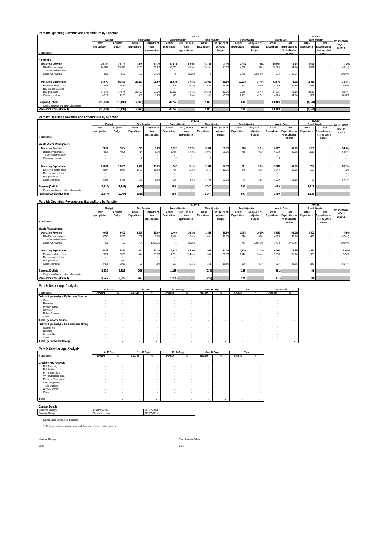|                                         |               |           |                      |               |             | 2009/10               |                      |               |                |               |             |                |             |                       |               |
|-----------------------------------------|---------------|-----------|----------------------|---------------|-------------|-----------------------|----------------------|---------------|----------------|---------------|-------------|----------------|-------------|-----------------------|---------------|
|                                         | Budget        |           | <b>First Quarter</b> |               |             | <b>Second Quarter</b> | <b>Third Quarter</b> |               | Fourth Quarter |               |             | Year to Date   |             | Fourth Quarter        | Q4 of 2009/10 |
|                                         | Main          | Adjusted  | Actual               | 1st Q as % of | Actual      | 2nd Q as % of         | Actual               | 3rd Q as % of | Actual         | 4th Q as % of | Actual      | Total          | Actual      | Total                 | to Q4 of      |
|                                         | appropriation | Budget    | Expenditure          | Main          | Expenditure | Main                  | Expenditure          | adjusted      | Expenditure    | adjusted      | Expenditure | Expenditure as | Expenditure | <b>Expenditure as</b> | 2010/11       |
|                                         |               |           |                      | appropriation |             | appropriation         |                      | budget        |                | budget        |             | % of adjusted  |             | % of adjusted         |               |
| R thousands                             |               |           |                      |               |             |                       |                      |               |                |               |             | hudget         |             | hudget                |               |
| Electricity                             |               |           |                      |               |             |                       |                      |               |                |               |             |                |             |                       |               |
| <b>Operating Revenue</b>                | 70.738        | 70,738    | 9.399                | 13.3%         | 43.813      | 61.9%                 | 15.101               | 21.3%         | 12.584         | 17.8%         | 80.896      | 114.4%         | 9.574       |                       | 31.4%         |
| <b>Billed Service charges</b>           | 70.188        | 70.188    | 9.266                | 13.2%         | 43.857      | 62.5%                 | 15.101               | 21.5%         | 4.798          | 6.8%          | 73.023      | 104.0%         | 9.574       | $\sim$                | (49.9%)       |
| Transfers and subsidies                 |               |           |                      |               |             |                       |                      |               |                |               |             |                |             |                       |               |
| Other own revenue                       | 550           | 550       | 133                  | 24.1%         | (45)        | (8.1%                 |                      |               | 7.785          | 1.415.5%      | 7.874       | 1.431.6%       |             |                       | (100.0%       |
|                                         |               |           |                      |               |             |                       |                      |               |                |               |             |                |             |                       |               |
| <b>Operating Expenditure</b>            | 85,870        | 85,870    | 22,261               | 25.9%         | 15,038      | 17.5%                 | 12,940               | 15.1%         | 12.338         | 14.4%         | 62.578      | 72.9%          | 14,418      | $\mathbf{r}$          | (14.4%)       |
| Employee related costs                  | 3.484         | 3.484     | 757                  | 21.7%         | 930         | 26.7%                 | 680                  | 19.5%         | 692            | 19.9%         | 3.059       | 87.8%          | 431         |                       | 60.5%         |
| Bad and doubtful debt                   |               |           |                      |               |             |                       |                      |               |                | $\sim$        |             |                |             |                       | . .           |
| <b>Bulk purchases</b>                   | 77.674        | 77.674    | 21,139               | 27.2%         | 13.683      | 17.6%                 | 10.128               | 13.0%         | 9.645          | 12.4%         | 54.595      | 70.3%          | 13,636      |                       | (29.3%)       |
| Other expenditure                       | 4.713         | 4.713     | 366                  | 7.8%          | 425         | 9.0%                  | 2.132                | 45.2%         | 2.001          | 42.5%         | 4.924       | 104.5%         | 351         |                       | 470.2%        |
| Surplus/(Deficit)                       | (15, 133)     | (15, 133) | (12, 863)            |               | 28.774      |                       |                      |               | 246            |               | 18.319      |                |             |                       |               |
|                                         |               |           |                      |               |             |                       | 2,161                |               |                |               |             |                | (4, 844)    |                       |               |
| Capital transfers and other adjustments |               |           |                      |               |             |                       |                      |               |                | $\sim$        |             |                |             |                       | $\sim$        |
| <b>Revised Surplus/(Deficit)</b>        | (15, 133)     | (15, 133) | (12, 863)            |               | 28,774      |                       | 2,161                |               | 246            |               | 18,319      |                | (4, 844)    |                       |               |

#### **Part 4c: Operating Revenue and Expenditure by Function**

|                                         |               |                          |             |                      |             |                | 2010/11     |                      |             |                |             |                       |             | 2009/10               |               |
|-----------------------------------------|---------------|--------------------------|-------------|----------------------|-------------|----------------|-------------|----------------------|-------------|----------------|-------------|-----------------------|-------------|-----------------------|---------------|
|                                         |               | Budget                   |             | <b>First Quarter</b> |             | Second Quarter |             | <b>Third Quarter</b> |             | Fourth Quarter |             | Year to Date          |             | Fourth Quarter        | Q4 of 2009/10 |
|                                         | Main          | Adjusted                 | Actual      | 1st Q as % of        | Actual      | 2nd Q as % of  | Actual      | 3rd Q as % of        | Actual      | 4th Q as % of  | Actual      | Total                 | Actual      | Total                 | to Q4 of      |
|                                         | appropriation | Budget                   | Expenditure | Main                 | Expenditure | Main           | Expenditure | adjusted             | Expenditure | adjusted       | Expenditure | <b>Expenditure as</b> | Expenditure | <b>Expenditure as</b> | 2010/11       |
|                                         |               |                          |             | appropriation        |             | appropriation  |             | budget               |             | budget         |             | % of adjusted         |             | % of adjusted         |               |
| R thousands                             |               |                          |             |                      |             |                |             |                      |             |                |             | hudget                |             | hudget                |               |
| Waste Water Management                  |               |                          |             |                      |             |                |             |                      |             |                |             |                       |             |                       |               |
| <b>Operating Revenue</b>                | 7,854         | 7.854                    | 721         | 9.2%                 | 1.392       | 17.7%          | 3.991       | 50.8%                | 718         | 9.1%           | 6.822       | 86.9%                 | 1.588       | $\mathbf{r}$          | (54.8%)       |
| <b>Billed Service charges</b>           | 7.854         | 7.854                    | 714         | 9.1%                 | 1.400       | 17.8%          | 3.991       | 50.8%                | 718         | 9.1%           | 6.822       | 86.9%                 | 1.588       |                       | (54.8%)       |
| Transfers and subsidies                 |               | $\sim$                   |             |                      |             |                |             |                      |             |                |             |                       |             |                       | $\sim$        |
| Other own revenue                       |               | $\sim$                   |             |                      | (7)         |                |             |                      |             |                |             |                       |             | $\sim$                | $\sim$        |
| <b>Operating Expenditure</b>            | 10,801        | 10,801                   | 1.682       | 15.6%                | 547         | 5.1%           | 2.944       | 27.3%                | 211         | 2.0%           | 5.383       | 49.8%                 | 264         | $\sim$                | (20.2%)       |
| Employee related costs                  | 8.097         | 8.097                    | 1.503       | 18.6%                | 430         | 5.3%           | 1.541       | 19.0%                | 170         | 2.1%           | 3.644       | 45.0%                 | 168         |                       | 1.2%          |
| Bad and doubtful debt                   |               | $\overline{\phantom{a}}$ |             |                      |             |                |             |                      |             |                |             |                       |             | $\sim$                | $\sim$        |
| <b>Bulk purchases</b>                   |               | $\overline{\phantom{a}}$ |             |                      |             |                |             |                      |             |                |             |                       |             | $\sim$                | $\sim$        |
| Other expenditure                       | 2.704         | 2.704                    | 179         | 6.6%                 | 116         | 4.3%           | 1.403       | 51.9%                | 41          | 1.5%           | 1.739       | 64.3%                 | 97          |                       | (57.3%)       |
| Surplus/(Deficit)                       | (2,947)       | (2,947)                  | (961)       |                      | 846         |                | 1.047       |                      | 507         |                | 1,439       |                       | 1,324       |                       |               |
| Capital transfers and other adjustments |               |                          |             |                      |             |                |             |                      |             |                |             |                       |             |                       |               |
|                                         |               |                          |             |                      |             |                |             |                      |             | $\sim$         |             |                       |             |                       |               |
| <b>Revised Surplus/(Deficit)</b>        | (2,947)       | (2.947)                  | (961)       |                      | 846         |                | 1.047       |                      | 507         |                | 1.439       |                       | 1,324       |                       |               |

### **Part 4d: Operating Revenue and Expenditure by Function**

|                                         |               | 2010/11                  |             |                      |             |                       |             |                      |                |               |             |                |             | 2009/10                  |               |
|-----------------------------------------|---------------|--------------------------|-------------|----------------------|-------------|-----------------------|-------------|----------------------|----------------|---------------|-------------|----------------|-------------|--------------------------|---------------|
|                                         |               | Budget                   |             | <b>First Quarter</b> |             | <b>Second Quarter</b> |             | <b>Third Quarter</b> | Fourth Quarter |               |             | Year to Date   |             | Fourth Quarter           | Q4 of 2009/10 |
|                                         | Main          | Adjusted                 | Actual      | 1st Q as % of        | Actual      | 2nd Q as % of         | Actual      | 3rd Q as % of        | Actual         | 4th Q as % of | Actual      | Total          | Actual      | Total                    | to Q4 of      |
|                                         | appropriation | Budget                   | Expenditure | Main                 | Expenditure | Main                  | Expenditure | adjusted             | Expenditure    | adjusted      | Expenditure | Expenditure as | Expenditure | Expenditure as           | 2010/11       |
|                                         |               |                          |             | appropriation        |             | appropriation         |             | budget               |                | budget        |             | % of adjusted  |             | % of adjusted            |               |
| R thousands                             |               |                          |             |                      |             |                       |             |                      |                |               |             | hudget         |             | hudget                   |               |
| Waste Management                        |               |                          |             |                      |             |                       |             |                      |                |               |             |                |             |                          |               |
| <b>Operating Revenue</b>                | 9,002         | 9.002                    | 1.435       | 15.9%                | 1.469       | 16.3%                 | 1.461       | 16.2%                | 1.484          | 16.5%         | 5.850       | 65.0%          | 1.402       |                          | 5.9%          |
| <b>Billed Service charges</b>           | 8.952         | 8.952                    | 702         | 7.8%                 | 1.470       | 16.4%                 | 1.461       | 16.3%                | 744            | 8.3%          | 4.376       | 48.9%          | 1.402       | $\overline{\phantom{a}}$ | $(47.0\%)$    |
| Transfers and subsidies                 |               |                          | $\sim$      |                      |             |                       |             |                      |                |               |             |                |             | $\sim$                   |               |
| Other own revenue                       | 50            | 50                       | 734         | 1.467.2%             |             | (2.0%                 |             |                      | 741            | 1.481.6%      | 1.473       | 2.946.9%       |             |                          | (100.0%       |
|                                         |               |                          |             |                      |             |                       |             |                      |                |               |             |                |             |                          |               |
| <b>Operating Expenditure</b>            | 5,477         | 5,477                    | 671         | 12.2%                | 2.624       | 47.9%                 | 1.697       | 31.0%                | 1.709          | 31.2%         | 6.700       | 122.3%         | 1,321       |                          | 29.4%         |
| Employee related costs                  | 2,020         | 2.020                    | 644         | 31.9%                | 2.311       | 114.4%                | 1.384       | 68.5%                | 1.544          | 76.4%         | 5.883       | 291.3%         | 980         |                          | 57.4%         |
| Bad and doubtful debt                   |               | $\overline{\phantom{a}}$ | $\sim$      |                      |             |                       |             |                      |                |               |             |                |             |                          |               |
| <b>Bulk purchases</b>                   | <b>.</b>      | 1.550                    |             |                      |             |                       | $\sim$      |                      |                |               |             |                |             |                          | . .           |
| Other expenditure                       | 3.458         | 1.908                    | 26          | .8%                  | 313         | 9.1%                  | 313         | 16.4%                | 166            | 8.7%          | 817         | 42.9%          | 340         |                          | (51.4%)       |
|                                         |               |                          |             |                      |             |                       |             |                      |                |               |             |                |             |                          |               |
| Surplus/(Deficit)                       | 3.525         | 3.525                    | 765         |                      | (1, 155)    |                       | (236)       |                      | (225)          |               | (851)       |                | 81          |                          |               |
| Capital transfers and other adjustments |               |                          |             |                      |             |                       |             |                      |                |               |             |                |             |                          |               |
| <b>Revised Surplus/(Deficit)</b>        | 3.525         | 3,525                    | 765         |                      | (1, 155)    |                       | (236)       |                      | (225)          |               | (851)       |                | 81          |                          |               |

 $\overline{\phantom{a}}$ 

### **Part 5: Debtor Age Analysis**

|                                       |        | $0 - 30$ Davs            |        | 31 - 60 Days             | 61 - 90 Days |                          | Over 90 Days |     |        | Total  | Written Off |   |
|---------------------------------------|--------|--------------------------|--------|--------------------------|--------------|--------------------------|--------------|-----|--------|--------|-------------|---|
| R thousands                           | Amount | %                        | Amount | %                        | Amount       | %                        | Amount       | %   | Amount | %      | Amount      | % |
| Debtor Age Analysis By Income Source  |        |                          |        |                          |              |                          |              |     |        |        |             |   |
| Water                                 |        |                          |        |                          |              |                          |              |     |        |        |             |   |
| Electricity                           |        |                          |        |                          |              |                          |              |     |        |        |             |   |
| Property Rates                        |        | $\sim$                   |        |                          |              |                          |              |     |        |        |             |   |
| Sanitation                            |        |                          |        |                          |              |                          |              |     |        |        |             |   |
| Refuse Removal                        |        |                          |        | ۰                        |              |                          |              |     |        |        |             |   |
| Other                                 |        |                          |        |                          |              |                          | $\sim$       | . . | $\sim$ | $\sim$ |             |   |
| <b>Total By Income Source</b>         | $\sim$ | $\overline{\phantom{a}}$ |        |                          |              | $\overline{\phantom{a}}$ |              |     | . .    |        | $\sim$      |   |
| Debtor Age Analysis By Customer Group |        |                          |        |                          |              |                          |              |     |        |        |             |   |
| Government                            |        |                          | $\sim$ |                          |              |                          |              |     |        |        |             |   |
| Business                              |        |                          |        |                          |              |                          |              |     |        |        |             |   |
| Households                            |        |                          |        |                          |              |                          |              |     |        |        |             |   |
| Other                                 | $\sim$ | . .                      |        | $\sim$                   |              | $\sim$                   | $\sim$       | . . | $\sim$ | $\sim$ |             |   |
| <b>Total By Customer Group</b>        | $\sim$ | $\overline{\phantom{a}}$ |        | $\overline{\phantom{a}}$ |              | $\overline{\phantom{a}}$ |              |     |        |        | . .         |   |

### **Part 6: Creditor Age Analysis**

|                              |               | 0 - 30 Days      |        | 31 - 60 Days             |                          | 61 - 90 Days             |        | Over 90 Days | Total  |   |
|------------------------------|---------------|------------------|--------|--------------------------|--------------------------|--------------------------|--------|--------------|--------|---|
| R thousands                  | Amount        | %                | Amount | %                        | Amount                   | %                        | Amount | %            | Amount | % |
|                              |               |                  |        |                          |                          |                          |        |              |        |   |
| <b>Creditor Age Analysis</b> |               |                  |        |                          |                          |                          |        |              |        |   |
| <b>Bulk Electricity</b>      |               |                  |        |                          | ٠                        | $\sim$                   |        |              |        |   |
| <b>Bulk Water</b>            | <b>County</b> | <b>The Story</b> | $\sim$ | ۰                        | ٠                        | $\sim$                   |        |              |        |   |
| PAYE deductions              | $\sim$        | $\sim$           | $\sim$ | ۰                        | ٠                        | $\sim$                   | $\sim$ |              | ٠      |   |
| VAT (output less input)      |               | ٠                | $\sim$ | ۰                        | ٠                        | $\sim$                   |        |              | ٠      |   |
| Pensions / Retirement        |               | ٠                | $\sim$ |                          | ٠                        | $\sim$                   |        | ٠            |        |   |
| Loan repayments              | $\sim$        | $\sim$           | $\sim$ | ۰                        | ٠                        | $\sim$                   | $\sim$ | $\sim$       | ٠      |   |
| <b>Trade Creditors</b>       |               | ٠                | $\sim$ |                          |                          | $\sim$                   |        |              |        |   |
| Auditor-General              |               |                  |        |                          | ٠                        | $\sim$                   |        | ٠            |        |   |
| Other                        |               |                  |        | ٠                        | ٠                        | $\sim$                   |        |              |        |   |
|                              |               |                  |        |                          |                          |                          |        |              |        |   |
| Total                        | ۰             | ۰                | ٠      | $\overline{\phantom{a}}$ | $\overline{\phantom{a}}$ | $\overline{\phantom{a}}$ |        | $\sim$       | ۰      |   |

#### **Contact Details**

| Terence Mokale  | 013 235 7004 |
|-----------------|--------------|
| Gerhard Landman | 013 235 7071 |
|                 |              |
|                 |              |

1. All figures in this report are unaudited. Revenue reflected is billed revenue

Date: Date: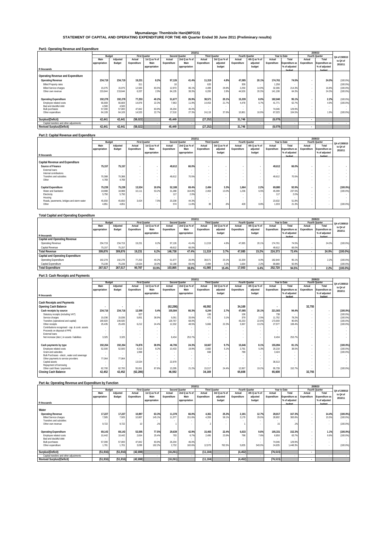## Mpumalanga: Thembisile Hani(MP315)<br>STATEMENT OF CAPITAL AND OPERATING EXPENDITURE FOR THE 4th Quarter Ended 30 June 2011 (Preliminary results)

| Part1: Operating Revenue and Expenditure |  |
|------------------------------------------|--|
|                                          |  |

|                                                               |                   |                   |                                    |                      |                 | 2010/11               |                      |                |                   |               |                   |                       |                          | 2009/10               |                            |
|---------------------------------------------------------------|-------------------|-------------------|------------------------------------|----------------------|-----------------|-----------------------|----------------------|----------------|-------------------|---------------|-------------------|-----------------------|--------------------------|-----------------------|----------------------------|
|                                                               | Budget            |                   |                                    | <b>First Quarter</b> |                 | <b>Second Quarter</b> | <b>Third Quarter</b> |                | Fourth Quarter    |               |                   | Year to Date          |                          | Fourth Quarter        | Q4 of 2009/10              |
|                                                               | Main              | Adjusted          | Actual                             | 1st Q as % of        | Actual          | 2nd Q as % of         | Actual               | 3rd Q as % of  | Actual            | 4th Q as % of | Actual            | Total                 | Actual                   | Total                 | to Q4 of                   |
|                                                               | appropriation     | Budget            | Expenditure                        | Main                 | Expenditure     | Main                  | Expenditure          | adjusted       | Expenditure       | adjusted      | Expenditure       | <b>Expenditure as</b> | Expenditure              | <b>Expenditure as</b> | 2010/11                    |
|                                                               |                   |                   |                                    | appropriation        |                 | appropriation         |                      | budget         |                   | budget        |                   | % of adjusted         |                          | % of adjusted         |                            |
| R thousands                                                   |                   |                   |                                    |                      |                 |                       |                      |                |                   |               |                   | hudget                |                          | hudget                |                            |
| Operating Revenue and Expenditure<br><b>Operating Revenue</b> | 234.719           | 234.719           | 19.231                             | 8.2%                 | 97,126          | 41.4%                 | 11.319               | 4.8%           | 47.085            | 20.1%         | 174.761           | 74.5%                 |                          | 24.0%                 | (100.0%                    |
| <b>Billed Property rates</b><br><b>Billed Service charges</b> | 15,075            | 15.075            | 311<br>12.583                      | 83.5%                | 18<br>12,973    | 86.1%                 | 620<br>4.499         | 29.8%          | 309<br>2.250      | 14.9%         | 1.258<br>32.306   | 214.3%                |                          | . .<br>16.8%          | $(100.0\%)$<br>$(100.0\%)$ |
| Other own revenue                                             | 219.644           | 219.644           | 6.337                              | 2.9%                 | 84,135          | 38.3%                 | 6.200                | 2.8%           | 44.526            | 20.3%         | 141.198           | 64.3%                 |                          | 24.3%                 | (100.0%                    |
| <b>Operating Expenditure</b><br>Employee related costs        | 192,278<br>66,669 | 192.278<br>66.669 | 77.253<br>14.878                   | 40.2%<br>22.3%       | 51,677<br>7.963 | 26.9%<br>11.9%        | 38.571<br>14.453     | 20.1%<br>21 7% | 15.339<br>4 4 7 8 | 8.0%<br>6.7%  | 182.840<br>41.771 | 95.1%<br>62.7%        |                          | 2.2%<br>4.9%          | (100.0%<br>$(100.0\%)$     |
| Bad and doubtful debt<br><b>Bulk purchases</b>                | 4.500<br>57,000   | 4.500<br>57.000   | $\overline{\phantom{a}}$<br>47.842 | 83.9%                | 26,204          | 46.0%                 |                      |                |                   |               | 74.046            | 129.9%                |                          |                       |                            |
| Other expenditure                                             | 64.109            | 64.109            | 14.533                             | 22.7%                | 17.510          | 27.3%                 | 24.119               | 37.6%          | 10.861            | 16.9%         | 67.023            | 104.5%                |                          | 1.9%                  | (100.0%                    |
| Surplus/(Deficit)                                             | 42.441            | 42.441            | (58, 022)                          |                      | 45.449          |                       | (27, 252)            |                | 31.746            |               | (8,079)           |                       | $\overline{\phantom{a}}$ |                       |                            |
| Capital transfers and other adjustments                       |                   |                   |                                    |                      |                 |                       |                      |                |                   |               |                   |                       |                          |                       |                            |
| <b>Revised Surplus/(Deficit)</b>                              | 42.441            | 42,441            | (58, 022)                          |                      | 45,449          |                       | (27, 252)            |                | 31,746            |               | (8,079)           |                       | ٠                        |                       |                            |

#### **Part 2: Capital Revenue and Expenditure**

|                                           |               |                          |                      |                          |             | 2010/11               |                      |               |                |               |             |                |                          | 2009/10        |               |
|-------------------------------------------|---------------|--------------------------|----------------------|--------------------------|-------------|-----------------------|----------------------|---------------|----------------|---------------|-------------|----------------|--------------------------|----------------|---------------|
|                                           |               | Budget                   | <b>First Quarter</b> |                          |             | <b>Second Quarter</b> | <b>Third Quarter</b> |               | Fourth Quarter |               |             | Year to Date   |                          | Fourth Quarter | Q4 of 2009/10 |
|                                           | Main          | Adjusted                 | Actual               | 1st Q as % of            | Actual      | 2nd Q as % of         | Actual               | 3rd Q as % of | Actual         | 4th Q as % of | Actual      | Total          | Actual                   | Total          | to Q4 of      |
|                                           | appropriation | Budget                   | Expenditure          | Main                     | Expenditure | Main                  | Expenditure          | adjusted      | Expenditure    | adjusted      | Expenditure | Expenditure as | Expenditure              | Expenditure as | 2010/11       |
|                                           |               |                          |                      | appropriation            |             | appropriation         |                      | budget        |                | budget        |             | % of adjusted  |                          | % of adjusted  |               |
| R thousands                               |               |                          |                      |                          |             |                       |                      |               |                |               |             | hudget         |                          | hudget         |               |
|                                           |               |                          |                      |                          |             |                       |                      |               |                |               |             |                |                          |                |               |
| Capital Revenue and Expenditure           |               |                          |                      |                          |             |                       |                      |               |                |               |             |                |                          |                |               |
| Source of Finance                         | 75,157        | 75.157                   | $\overline{a}$       | $\sim$                   | 49,612      | 66.0%                 |                      |               |                |               | 49.612      | 66.0%          |                          |                |               |
| External loans                            |               | $\overline{\phantom{a}}$ | $\sim$               | $\overline{\phantom{a}}$ |             | $\sim$                |                      | $\sim$        |                |               |             |                |                          | $\sim$         |               |
| Internal contributions                    |               | $\sim$                   | $\sim$               | $\sim$                   |             | $\sim$                | $\sim$               | $\sim$        |                |               | $\sim$      | ۰.             | $\overline{\phantom{a}}$ |                |               |
| <b>Transfers and subsidies</b>            | 70.388        | 70.388                   | $\sim$               | $\overline{\phantom{a}}$ | 49.612      | 70.5%                 |                      | $\sim$        |                |               | 49.612      | 70.5%          |                          |                |               |
| Other                                     | 4.769         | 4.769                    | $\sim$               |                          |             |                       |                      |               |                |               |             |                |                          |                | . .           |
|                                           |               |                          |                      |                          |             |                       |                      |               |                |               |             |                |                          |                |               |
| Capital Expenditure                       | 75,239        | 75.239                   | 13.534               | 18.0%                    | 52,188      | 69.4%                 | 2.494                | 3.3%          | 1.664          | 2.2%          | 69.880      | 92.9%          | ٠                        | $\sim$         | $(100.0\%)$   |
| Water and Sanitation                      | 18,988        | 18.988                   | 10.111               | 53.2%                    | 31,288      | 164.8%                | 2.463                | 13.0%         | 1.236          | 6.5%          | 45.099      | 237.5%         |                          |                | (100.0%       |
| Electricity                               | 5.750         | 5.750                    | $\sim$               |                          | 117         | 2.0%                  |                      |               |                |               | 117         | 2.0%           | $\sim$                   | $\sim$         | $\sim$        |
| Housing                                   |               |                          |                      | $\sim$                   |             |                       |                      | $\sim$        |                |               |             |                |                          | $\sim$         | . .           |
| Roads, pavements, bridges and storm water | 45,650        | 45,650                   | 3.424                | 7.5%                     | 20,208      | 44.3%                 |                      |               |                | $\sim$        | 23,632      | 51.8%          |                          |                |               |
| Other                                     | 4.851         | 4.851                    |                      |                          | 574         | 11.8%                 | 30                   | .6%           | 428            | 8.8%          | 1,033       | 21.3%          |                          | $\sim$         | (100.0%       |
|                                           |               |                          |                      |                          |             |                       |                      |               |                |               |             |                |                          |                |               |

### **Total Capital and Operating Expenditure**

|                                          |               | 2010/11  |                      |               |                |               |                      |               |                |               |             |                       |             | 2009/10               |               |
|------------------------------------------|---------------|----------|----------------------|---------------|----------------|---------------|----------------------|---------------|----------------|---------------|-------------|-----------------------|-------------|-----------------------|---------------|
|                                          | Budget        |          | <b>First Ouarter</b> |               | Second Quarter |               | <b>Third Ouarter</b> |               | Fourth Quarter |               |             | Year to Date          |             | Fourth Ouarter        | Q4 of 2009/10 |
|                                          | Main          | Adiusted | Actual               | 1st Q as % of | Actual         | 2nd Q as % of | Actual               | 3rd Q as % of | Actual         | 4th Q as % of | Actual      | Total                 | Actual      | Total                 | to Q4 of      |
|                                          | appropriation | Budget   | Expenditure          | Main          | Expenditure    | Main          | Expenditure          | adiusted      | Expenditure    | adjusted      | Expenditure | <b>Expenditure as</b> | Expenditure | <b>Expenditure as</b> | 2010/11       |
|                                          |               |          |                      | appropriation |                | appropriation |                      | budget        |                | budget        |             | % of adjusted         |             | % of adjusted         |               |
| R thousands                              |               |          |                      |               |                |               |                      |               |                |               |             | hudget                |             | hudget                |               |
| <b>Capital and Operating Revenue</b>     |               |          |                      |               |                |               |                      |               |                |               |             |                       |             |                       |               |
| Operating Revenue                        | 234.719       | 234.719  | 19.231               | 8.2%          | 97.126         | 41.4%         | 11.319               | 4.8%          | 47.085         | 20.1%         | 174.761     | 74.5%                 |             | 24.0%                 | (100.0%       |
| Capital Revenue                          | 75.157        | 75.157   | $\sim$               |               | 49.612         | 66.0%         |                      |               |                |               | 49.612      | 66.09                 |             |                       |               |
| <b>Total Revenue</b>                     | 309.876       | 309.876  | 19.231               | 6.2%          | 146.738        | 47.4%         | 11.319               | 3.7%          | 47.085         | 15.2%         | 224.373     | 72.4%                 |             | 24.0%                 | $(100.0\%)$   |
| <b>Capital and Operating Expenditure</b> |               |          |                      |               |                |               |                      |               |                |               |             |                       |             |                       |               |
| Operating Expenditure                    | 192.278       | 192.278  | 77.253               | 40.2%         | 51,677         | 26.9%         | 38.571               | 20.1%         | 15.339         | 8.0%          | 182.840     | 95.19                 |             | 2.2%                  | $(100.0\%)$   |
| Capital Expenditure                      | 75,239        | 75.239   | 13.534               | 18.0%         | 52.188         | 69.4%         | 2.494                | 3.3%          | 1.664          | 2.2%          | 69.880      | 92.9%                 |             |                       | $(100.0\%)$   |
| <b>Total Expenditure</b>                 | 267.517       | 267.517  | 90.787               | 33.9%         | 103.865        | 38.8%         | 41.065               | 15.4%         | 17.003         | 6.4%          | 252.720     | 94.5%                 |             | 2.2%                  | $(100.0\%)$   |
|                                          |               |          |                      |               |                |               |                      |               |                |               |             |                       |             |                       |               |

### **Part 3: Cash Receipts and Payments**

|                                                       |               |                          |                          |               |             | 2010/11        |                      |               |                |               |             |                |              | 2009/10                  |               |
|-------------------------------------------------------|---------------|--------------------------|--------------------------|---------------|-------------|----------------|----------------------|---------------|----------------|---------------|-------------|----------------|--------------|--------------------------|---------------|
|                                                       | Budget        |                          | <b>First Quarter</b>     |               |             | Second Quarter | <b>Third Quarter</b> |               | Fourth Quarter |               |             | Year to Date   |              | Fourth Quarter           | Q4 of 2009/10 |
|                                                       | Main          | Adjusted                 | Actual                   | 1st Q as % of | Actual      | 2nd Q as % of  | Actual               | 3rd Q as % of | Actual         | 4th Q as % of | Actual      | Total          | Actual       | Total                    | to Q4 of      |
|                                                       | appropriation | Budget                   | Expenditure              | Main          | Expenditure | Main           | Expenditure          | adjusted      | Expenditure    | adjusted      | Expenditure | Expenditure as | Expenditure  | Expenditure as           | 2010/11       |
|                                                       |               |                          |                          | appropriation |             | appropriation  |                      | budget        |                | budget        |             | % of adjusted  |              | % of adjusted            |               |
| R thousands                                           |               |                          |                          |               |             |                |                      |               |                |               |             | hudget         |              | hudget                   |               |
| <b>Cash Receipts and Payments</b>                     |               |                          |                          |               |             |                |                      |               |                |               |             |                |              |                          |               |
| <b>Opening Cash Balance</b>                           |               | $\overline{\phantom{a}}$ | $\cdot$                  |               | (62, 286)   |                | 46,592               |               | 34,169         |               |             |                | 32,755       |                          |               |
| Cash receipts by source                               | 234,716       | 234,716                  | 12,590                   | 5.4%          | 155,584     | 66.3%          | 6.244                | 2.7%          | 47,085         | 20.19         | 221,503     | 94.4%          | $\mathbf{r}$ |                          | $(100.0\%)$   |
| Statutory receipts (including VAT)                    |               | $\sim$                   | 527                      |               |             |                | 106                  |               | 106            |               | 738         |                |              | $\overline{\phantom{a}}$ | (100.0%       |
| Service charges                                       | 15.036        | 15.036                   | 5.851                    | 38.9%         | 5.051       | 33.6%          | 471                  | 3 1%          | 379            | 2.5%          | 11.752      | 78.2%          |              | ۰.                       | (100.0%       |
| Transfers (operational and capital)                   | 190,920       | 190.920                  | $\sim$                   | $\sim$        | 129,767     | 68.0%          |                      | $\sim$        | 43.233         | 22.6%         | 173.000     | 90.6%          |              |                          | $(100.0\%)$   |
| Other receipts                                        | 25.435        | 25,435                   | 6.212                    | 24.4%         | 12,332      | 48.5%          | 5.666                | 22.3%         | 3.367          | 13.2%         | 27.577      | 108.4%         | $\sim$       | . .                      | (100.0%       |
| Contributions recognised - cap. & contr. assets       |               |                          | $\overline{\phantom{a}}$ |               |             |                |                      |               |                |               |             |                |              |                          |               |
| Proceeds on disposal of PPE                           |               | $\overline{\phantom{a}}$ | $\overline{\phantom{a}}$ |               |             |                |                      |               |                |               |             |                |              |                          |               |
| <b>External Inans</b>                                 |               | $\sim$                   | $\overline{\phantom{a}}$ |               |             |                |                      |               |                |               |             |                |              |                          |               |
| Net increase (decr.) in assets / liabilities          | 3.325         | 3.325                    |                          |               | 8.434       | 253.7%         |                      |               |                |               | 8.434       | 253.7%         |              |                          |               |
|                                                       |               |                          |                          |               |             |                |                      |               |                |               |             |                |              |                          |               |
| Cash payments by type                                 | 192,264       | 192,264                  | 74,876                   | 38.9%         | 46,706      | 24.3%          | 18,667               | 9.7%          | 15,646         | 8.1%          | 155,894     | 81.1%          |              |                          | $(100.0\%)$   |
| Employee related costs                                | 52,500        | 52,500                   | 4.313                    | 8.2%          | 10.433      | 19.9%          | 2.682                | 5.1%          | 2.791          | 5.3%          | 20.218      | 38.5%          | $\sim$       | $\sim$                   | (100.0%       |
| Grant and subsidies                                   |               | $\overline{\phantom{a}}$ | 1.968                    |               |             |                | 668                  |               | 789            |               | 3.424       |                |              |                          | (100.0%       |
| Bulk Purchases - electr., water and sewerage          | 77.064        | $\sim$<br>77.064         | $\sim$                   |               |             |                |                      |               |                |               |             |                | $\sim$       |                          |               |
| Other payments to service providers<br>Capital assets |               |                          | 13,534                   | $\sim$        | 22,979      |                |                      |               |                |               | 36,513      |                |              |                          |               |
| Repayment of borrowing                                |               | $\sim$<br>$\sim$         |                          | $\sim$        |             |                |                      |               |                |               |             |                |              |                          |               |
| Other cash flows / payments                           | 62,700        | 62,700                   | 55,061                   | 87.8%         | 13,295      | 21.2%          | 15,317               | 24.4%         | 12,067         | 19.2%         | 95,739      | 152.7%         |              |                          | (100.0%       |
| <b>Closing Cash Balance</b>                           | 42,452        | 42,452                   | (62, 286)                |               | 46,592      |                | 34,169               |               | 65,608         |               | 65,608      |                | 32,755       |                          |               |
|                                                       |               |                          |                          |               |             |                |                      |               |                |               |             |                |              |                          |               |
|                                                       |               |                          |                          |               |             |                |                      |               |                |               |             |                |              |                          |               |

|                                         |               |           |             |                      |             |                | 2010/11     |                      |             |                |             |                       |             | 2009/10        |               |
|-----------------------------------------|---------------|-----------|-------------|----------------------|-------------|----------------|-------------|----------------------|-------------|----------------|-------------|-----------------------|-------------|----------------|---------------|
|                                         |               | Budget    |             | <b>First Quarter</b> |             | Second Quarter |             | <b>Third Quarter</b> |             | Fourth Quarter |             | Year to Date          |             | Fourth Quarter | Q4 of 2009/10 |
|                                         | Main          | Adjusted  | Actual      | 1st Q as % of        | Actual      | 2nd Q as % of  | Actual      | 3rd Q as % of        | Actual      | 4th Q as % of  | Actual      | Total                 | Actual      | Total          | to Q4 of      |
|                                         | appropriation | Budget    | Expenditure | Main                 | Expenditure | Main           | Expenditure | adjusted             | Expenditure | adjusted       | Expenditure | <b>Expenditure as</b> | Expenditure | Expenditure as | 2010/11       |
|                                         |               |           |             | appropriation        |             | appropriation  |             | budget               |             | budget         |             | % of adjusted         |             | % of adjusted  |               |
| R thousands                             |               |           |             |                      |             |                |             |                      |             |                |             | hudaot                |             | <b>budoot</b>  |               |
|                                         |               |           |             |                      |             |                |             |                      |             |                |             |                       |             |                |               |
| Water                                   |               |           |             |                      |             |                |             |                      |             |                |             |                       |             |                |               |
| <b>Operating Revenue</b>                | 17,227        | 17,227    | 10,897      | 63.3%                | 11.378      | 66.0%          | 4.361       | 25.3%                | 2.181       | 12.7%          | 28.817      | 167.3%                |             | 14.4%          | $(100.0\%)$   |
| <b>Billed Service charges</b>           | 7.505         | 7.505     | 10.887      | 145.1%               | 11.377      | 151.6%         | 4.359       | 58.1%                | 2.179       | 29.0%          | 28.802      | 383.8%                |             | 15.5%          | (100.0%       |
| Transfers and subsidies                 |               |           |             |                      |             |                |             |                      |             |                |             |                       |             |                |               |
| Other own revenue                       | 9.722         | 9.722     | 10          | .1%                  |             |                |             |                      |             |                |             |                       |             | $\sim$         | $(100.0\%)$   |
|                                         |               |           |             |                      |             |                |             |                      |             |                |             |                       |             |                |               |
| <b>Operating Expenditure</b>            | 69.143        | 69,143    | 53,595      | 77.5%                | 29.639      | 42.9%          | 15.465      | 22.4%                | 6.633       | 9.6%           | 105.331     | 152.3%                |             | 1.1%           | $(100.0\%)$   |
| Employee related costs                  | 10.442        | 10.442    | 2.654       | 25.4%                | 703         | 6.7%           | 2.495       | 23.9%                | 798         | 7.6%           | 6.650       | 63.7%                 |             | 6.6%           | $(100.0\%)$   |
| Bad and doubtful debt                   |               |           |             |                      |             |                |             |                      |             |                |             |                       |             |                | $\sim$        |
| <b>Bulk purchases</b>                   | 57,000        | 57,000    | 47,842      | 83.9%                | 26,204      | 46.0%          |             |                      |             | $\sim$         | 74.046      | 129.9%                |             |                | $\sim$        |
| Other expenditure                       | 1.701         | 1.701     | 3.099       | 182.29               | 2.732       | 160.6%         | 12.970      | 762.5%               | 5.835       | 343.0%         | 24.635      | 1.448.3%              |             |                | (100.0%       |
|                                         |               |           |             |                      |             |                |             |                      |             |                |             |                       |             |                |               |
| Surplus/(Deficit)                       | (51, 916)     | (51, 916) | (42,698)    |                      | (18, 261)   |                | (11, 104)   |                      | (4, 452)    |                | (76, 515)   |                       |             |                |               |
| Capital transfers and other adjustments |               |           |             |                      |             |                |             |                      |             |                |             |                       |             |                |               |
| <b>Revised Surplus/(Deficit)</b>        | (51, 916)     | (51, 916) | (42,698)    |                      | (18, 261)   |                | (11, 104)   |                      | (4, 452)    |                | (76, 515)   |                       |             |                |               |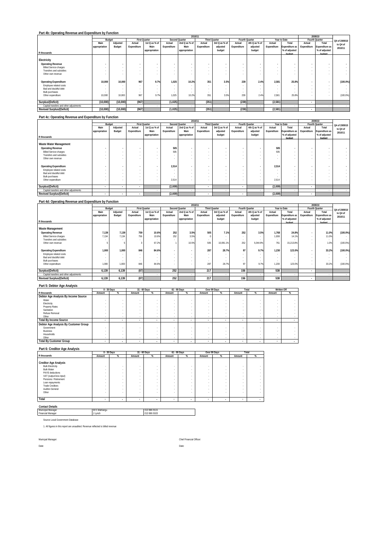|                                         |               |                          |             |                          |             | 2010/11               |             |                      |             |                |             |                |                          | 2009/10                  |               |
|-----------------------------------------|---------------|--------------------------|-------------|--------------------------|-------------|-----------------------|-------------|----------------------|-------------|----------------|-------------|----------------|--------------------------|--------------------------|---------------|
|                                         |               | Budget                   |             | <b>First Quarter</b>     |             | <b>Second Quarter</b> |             | <b>Third Quarter</b> |             | Fourth Quarter |             | Year to Date   |                          | Fourth Quarter           | Q4 of 2009/10 |
|                                         | Main          | Adjusted                 | Actual      | 1st Q as % of            | Actual      | 2nd Q as % of         | Actual      | 3rd Q as % of        | Actual      | 4th Q as % of  | Actual      | Total          | Actual                   | Total                    | to Q4 of      |
|                                         | appropriation | Budget                   | Expenditure | Main                     | Expenditure | Main                  | Expenditure | adjusted             | Expenditure | adjusted       | Expenditure | Expenditure as | Expenditure              | <b>Expenditure as</b>    | 2010/11       |
|                                         |               |                          |             | appropriation            |             | appropriation         |             | budget               |             | budget         |             | % of adjusted  |                          | % of adjusted            |               |
| R thousands                             |               |                          |             |                          |             |                       |             |                      |             |                |             | hudget         |                          | hudget                   |               |
| Electricity                             |               |                          |             |                          |             |                       |             |                      |             |                |             |                |                          |                          |               |
| <b>Operating Revenue</b>                | ٠             | $\mathbf{r}$             |             | ٠                        | $\sim$      |                       |             |                      |             |                |             | $\sim$         |                          |                          |               |
| <b>Billed Service charges</b>           | ٠             | $\sim$                   |             | $\overline{\phantom{a}}$ | $\sim$      |                       |             |                      |             | $\sim$         | ۰.          | ۰              | $\sim$                   |                          | $\sim$        |
| Transfers and subsidies                 | ٠             | $\sim$                   |             |                          |             |                       |             |                      |             | $\sim$         | ۰.          | ۰              |                          |                          |               |
| Other own revenue                       |               | ٠.                       |             |                          |             |                       |             |                      |             | $\sim$         |             |                |                          | ۰                        | . .           |
|                                         |               |                          |             |                          |             |                       |             |                      |             |                |             |                |                          |                          |               |
| <b>Operating Expenditure</b>            | 10,000        | 10,000                   | 967         | 9.7%                     | 1.025       | 10.2%                 | 351         | 3.5%                 | 239         | 2.4%           | 2.581       | 25.8%          |                          | $\sim$                   | $(100.0\%)$   |
| Employee related costs                  | $\sim$        | $\sim$                   |             |                          |             |                       |             |                      |             |                |             |                |                          |                          | . .           |
| Bad and doubtful debt                   | $\sim$        | $\overline{\phantom{a}}$ |             | $\overline{\phantom{a}}$ |             |                       |             |                      |             |                | $\sim$      | ۰              | $\sim$                   |                          | . .           |
| <b>Bulk purchases</b>                   |               |                          |             |                          |             |                       |             |                      |             |                | . .         |                | $\sim$                   |                          | $\sim$        |
| Other expenditure                       | 10,000        | 10,000                   | 967         | 9.7%                     | 1.025       | 10.29                 | 351         | 3.5%                 | 239         | 2.4%           | 2.581       | 25.8%          | $\sim$                   |                          | (100.0%       |
|                                         |               |                          |             |                          |             |                       |             |                      |             |                |             |                |                          |                          |               |
| Surplus/(Deficit)                       | (10,000)      | (10,000)                 | (967)       |                          | (1,025)     |                       | (351)       |                      | (239)       |                | (2,581)     |                | $\overline{\phantom{a}}$ |                          |               |
| Capital transfers and other adjustments |               |                          |             | $\sim$                   |             |                       |             |                      |             |                |             | ۰              |                          | $\overline{\phantom{a}}$ | $\sim$        |
| <b>Revised Surplus/(Deficit)</b>        | (10,000)      | (10,000)                 | (967)       |                          | (1,025)     |                       | (351)       |                      | (239)       |                | (2,581)     |                | $\overline{\phantom{a}}$ |                          |               |
|                                         |               |                          |             |                          |             |                       |             |                      |             |                |             |                |                          |                          |               |

#### **Part 4c: Operating Revenue and Expenditure by Function**

|                                         |               |                          |                          |                      |             |                | 2010/11     |                      |             |                |             |                       |                          | 2009/10               |               |
|-----------------------------------------|---------------|--------------------------|--------------------------|----------------------|-------------|----------------|-------------|----------------------|-------------|----------------|-------------|-----------------------|--------------------------|-----------------------|---------------|
|                                         |               | Budget                   |                          | <b>First Quarter</b> |             | Second Quarter |             | <b>Third Quarter</b> |             | Fourth Quarter |             | Year to Date          |                          | Fourth Quarter        | Q4 of 2009/10 |
|                                         | Main          | Adjusted                 | Actual                   | 1st Q as % of        | Actual      | 2nd Q as % of  | Actual      | 3rd Q as % of        | Actual      | 4th Q as % of  | Actual      | Total                 | Actual                   | Total                 | to Q4 of      |
|                                         | appropriation | Budget                   | Expenditure              | Main                 | Expenditure | Main           | Expenditure | adjusted             | Expenditure | adjusted       | Expenditure | <b>Expenditure as</b> | Expenditure              | <b>Expenditure as</b> | 2010/11       |
|                                         |               |                          |                          | appropriation        |             | appropriation  |             | budget               |             | budget         |             | % of adjusted         |                          | % of adjusted         |               |
| R thousands                             |               |                          |                          |                      |             |                |             |                      |             |                |             | hudget                |                          | hudget                |               |
| Waste Water Management                  |               |                          |                          |                      |             |                |             |                      |             |                |             |                       |                          |                       |               |
| <b>Operating Revenue</b>                |               | $\overline{a}$           | $\sim$                   |                      | 505         | ٠              |             |                      |             |                | 505         | ٠                     |                          |                       |               |
| <b>Billed Service charges</b>           |               |                          |                          |                      | 505         |                |             |                      |             | $\sim$         | 505         |                       |                          |                       |               |
| Transfers and subsidies                 |               | $\overline{\phantom{a}}$ |                          |                      |             |                |             |                      |             | $\sim$         |             |                       | $\overline{\phantom{a}}$ |                       |               |
| Other own revenue                       |               |                          |                          |                      |             |                |             |                      |             | ۰              |             |                       |                          | $\sim$                |               |
|                                         |               |                          |                          |                      |             |                |             |                      |             |                |             |                       |                          |                       |               |
| <b>Operating Expenditure</b>            |               | ٠                        |                          | $\mathbf{r}$         | 2.514       | ٠              |             |                      |             |                | 2,514       |                       |                          |                       | $\mathbf{r}$  |
| Employee related costs                  |               | $\overline{\phantom{a}}$ |                          |                      |             |                |             | $\sim$               |             | $\sim$         |             |                       |                          | $\sim$                |               |
| Bad and doubtful debt                   |               |                          |                          |                      |             |                |             |                      |             | $\sim$         |             |                       |                          | $\sim$                |               |
| <b>Bulk purchases</b>                   |               |                          |                          |                      |             |                |             |                      |             |                |             |                       |                          |                       |               |
| Other expenditure                       |               |                          |                          |                      | 2.514       |                |             |                      |             |                | 2.514       |                       |                          | $\sim$                |               |
|                                         |               |                          |                          |                      |             |                |             |                      |             |                |             |                       |                          |                       |               |
| Surplus/(Deficit)                       | $\sim$        | $\cdot$                  | $\overline{\phantom{a}}$ |                      | (2,009)     |                | ٠           |                      | ۰           |                | (2,009)     |                       | $\overline{\phantom{a}}$ |                       |               |
| Capital transfers and other adjustments |               |                          |                          |                      |             |                |             |                      |             |                |             |                       |                          |                       | . .           |
| <b>Revised Surplus/(Deficit)</b>        | $\sim$        | $\overline{\phantom{a}}$ | $\cdot$                  |                      | (2,009)     |                | $\sim$      |                      | $\sim$      |                | (2,009)     |                       |                          |                       |               |

### **Part 4d: Operating Revenue and Expenditure by Function**

|                                         |               |          |             |                      |             |                | 2010/11     |                      |             |                |             |                |             | 2009/10                  |               |
|-----------------------------------------|---------------|----------|-------------|----------------------|-------------|----------------|-------------|----------------------|-------------|----------------|-------------|----------------|-------------|--------------------------|---------------|
|                                         |               | Budget   |             | <b>First Quarter</b> |             | Second Quarter |             | <b>Third Quarter</b> |             | Fourth Quarter |             | Year to Date   |             | Fourth Quarter           | Q4 of 2009/10 |
|                                         | Main          | Adjusted | Actual      | 1st Q as % of        | Actual      | 2nd Q as % of  | Actual      | 3rd Q as % of        | Actual      | 4th Q as % of  | Actual      | Total          | Actual      | Total                    | to Q4 of      |
|                                         | appropriation | Budget   | Expenditure | Main                 | Expenditure | Main           | Expenditure | adjusted             | Expenditure | adjusted       | Expenditure | Expenditure as | Expenditure | <b>Expenditure as</b>    | 2010/11       |
|                                         |               |          |             | appropriation        |             | appropriation  |             | budget               |             | budget         |             | % of adjusted  |             | % of adjusted            |               |
| R thousands                             |               |          |             |                      |             |                |             |                      |             |                |             | hudget         |             | hudget                   |               |
| <b>Waste Management</b>                 |               |          |             |                      |             |                |             |                      |             |                |             |                |             |                          |               |
| <b>Operating Revenue</b>                | 7.139         | 7.139    | 759         | 10.6%                | 252         | 3.5%           | 505         | 7.1%                 | 252         | 3.5%           | 1.768       | 24.8%          |             | 11.0%                    | $(100.0\%)$   |
| <b>Billed Service charges</b>           | 7.134         | 7.134    | 756         | 10.6%                | 252         | 3.5%           |             |                      |             |                | 1.008       | 14.1%          |             | 11.0%                    |               |
| Transfers and subsidies                 |               |          |             |                      |             |                |             |                      |             |                |             |                |             | $\sim$                   | . .           |
| Other own revenue                       |               |          |             | 67.2%                |             | 10.5%          | 505         | 10.091.1%            | 252         | 5.044.9%       | 761         | 15.213.8%      |             | 1.0%                     | (100.0%       |
|                                         |               |          |             |                      |             |                |             |                      |             |                |             |                |             |                          |               |
| <b>Operating Expenditure</b>            | 1,000         | 1.000    | 846         | 84.6%                |             |                | 287         | 28.7%                | 97          | 9.7%           | 1.230       | 123.0%         | ٠           | 33.2%                    | $(100.0\%)$   |
| Employee related costs                  |               |          |             |                      |             |                |             |                      |             |                |             |                |             |                          | $\sim$        |
| Bad and doubtful debt                   |               | $\sim$   |             |                      |             |                |             |                      |             |                |             |                |             | $\overline{\phantom{a}}$ | $\sim$        |
| <b>Bulk purchases</b>                   |               |          |             |                      |             |                |             |                      |             |                | . .         |                |             | $\sim$                   | $\sim$        |
| Other expenditure                       | 1.000         | 1,000    | 846         | 84.6%                |             |                | 287         | 28.7%                | 97          | 9.7%           | 1.230       | 123.0%         |             | 33.2%                    | (100.0%       |
|                                         |               |          |             |                      |             |                |             |                      |             |                |             |                |             |                          |               |
| Surplus/(Deficit)                       | 6.139         | 6,139    | (87)        |                      | 252         |                | 217         |                      | 156         |                | 538         |                |             |                          |               |
| Capital transfers and other adjustments |               |          |             |                      |             |                |             |                      |             |                |             |                |             |                          |               |
| <b>Revised Surplus/(Deficit)</b>        | 6.139         | 6.139    | (87)        |                      | 252         |                | 217         |                      | 156         |                | 538         |                |             |                          |               |

### **Part 5: Debtor Age Analysis**

|                                       |                          | 0 - 30 Days |        | 31 - 60 Days             |                          | 61 - 90 Davs |        | Over 90 Days |        | Total  |        | Written Off |
|---------------------------------------|--------------------------|-------------|--------|--------------------------|--------------------------|--------------|--------|--------------|--------|--------|--------|-------------|
| R thousands                           | Amount                   | %           | Amount | %                        | Amount                   | %            | Amount | %            | Amount | %      | Amount | %           |
| Debtor Age Analysis By Income Source  |                          |             |        |                          |                          |              |        |              |        |        |        |             |
| Water                                 |                          |             |        |                          |                          |              |        |              |        |        |        |             |
| Electricity                           |                          |             |        |                          |                          |              |        |              |        |        |        |             |
| <b>Property Rates</b>                 |                          |             |        |                          |                          |              |        |              |        |        |        |             |
| Sanitation                            |                          |             |        |                          |                          |              |        |              |        |        |        |             |
| Refuse Removal                        |                          |             |        |                          |                          |              |        |              |        |        |        |             |
| Other                                 |                          | $\sim$      | ۰      |                          |                          |              |        | $\sim$       |        |        |        |             |
| <b>Total By Income Source</b>         | $\overline{\phantom{a}}$ | ۰           |        | $\overline{\phantom{a}}$ | $\overline{\phantom{a}}$ | $\sim$       |        |              | $\sim$ |        | $\sim$ |             |
| Debtor Age Analysis By Customer Group |                          |             |        |                          |                          |              |        |              |        |        |        |             |
| Government                            |                          |             |        |                          |                          |              |        |              |        |        |        |             |
| Business                              |                          |             |        |                          |                          |              |        |              |        |        |        |             |
| Households                            |                          |             |        |                          |                          |              |        |              |        |        |        |             |
| Other                                 |                          | $\sim$      | ۰      | $\sim$                   |                          |              |        | $\sim$       |        | $\sim$ |        |             |
| <b>Total By Customer Group</b>        |                          | ۰           |        | $\overline{\phantom{a}}$ |                          | $\sim$       |        |              |        |        | $\sim$ |             |

#### **Part 6: Creditor Age Analysis**

|                              |        | 0 - 30 Days              |                          | 31 - 60 Days             |        | 61 - 90 Days             |                          | Over 90 Days | Total             |        |
|------------------------------|--------|--------------------------|--------------------------|--------------------------|--------|--------------------------|--------------------------|--------------|-------------------|--------|
| R thousands                  | Amount | %                        | Amount                   | %                        | Amount | %                        | Amount                   | %            | Amount            | %      |
|                              |        |                          |                          |                          |        |                          |                          |              |                   |        |
| <b>Creditor Age Analysis</b> |        |                          |                          |                          |        |                          |                          |              |                   |        |
| <b>Bulk Electricity</b>      | $\sim$ |                          | ٠                        |                          |        | ۰                        | ٠                        | $\sim$       | ٠                 |        |
| <b>Bulk Water</b>            | ٠      |                          | ٠                        |                          |        | ۰                        | ٠                        |              | ٠                 |        |
| PAYE deductions              | ٠      |                          | ٠                        | $\sim$                   |        | ۰                        | ٠                        |              | ٠                 |        |
| VAT (output less input)      | $\sim$ |                          | $\sim$                   | $\sim$                   |        | ۰                        | $\sim$                   | $\sim$       |                   |        |
| Pensions / Retirement        | $\sim$ |                          | ٠                        | $\sim$                   |        | ۰                        | ٠                        | $\sim$       | ٠                 |        |
| Loan repayments              |        | $\sim$                   | ٠                        | $\sim$                   |        | ۰                        | $\sim$                   | $\sim$       |                   | ٠      |
| <b>Trade Creditors</b>       |        |                          | $\sim$                   |                          |        | ۰                        | $\sim$                   |              | <b>CONTRACTOR</b> | $\sim$ |
| Auditor-General              | ٠      |                          | ٠                        | $\sim$                   |        | ۰                        | ٠                        |              | ٠                 | ٠      |
| Other                        |        | $\overline{\phantom{a}}$ | $\overline{\phantom{a}}$ | $\sim$                   | $\sim$ | ۰                        | $\overline{\phantom{a}}$ |              |                   |        |
|                              |        |                          |                          |                          |        |                          |                          |              |                   |        |
| Total                        | ٠      | $\overline{\phantom{a}}$ | $\overline{\phantom{a}}$ | $\overline{\phantom{a}}$ |        | $\overline{\phantom{a}}$ |                          |              | $\sim$            |        |

#### **Contact Details**

| Contact Details                  |              |              |
|----------------------------------|--------------|--------------|
| Municipal Manager                | W K Mahlangu | 013 986 9115 |
| <b>Financial Manager</b>         | J Lynch      | 013 986 9103 |
| Source Local Government Database |              |              |
|                                  |              |              |

1. All figures in this report are unaudited. Revenue reflected is billed revenue

Date: Date: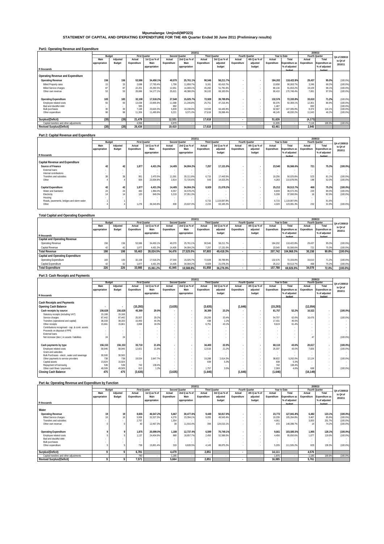## **Mpumalanga: Umjindi(MP323) STATEMENT OF CAPITAL AND OPERATING EXPENDITURE FOR THE 4th Quarter Ended 30 June 2011 (Preliminary results)**

### **Part1: Operating Revenue and Expenditure**

|                                         |               |          |                      |               |             | 2010/11        |                      |               |             |                |             |                       |             | 2009/10        |               |
|-----------------------------------------|---------------|----------|----------------------|---------------|-------------|----------------|----------------------|---------------|-------------|----------------|-------------|-----------------------|-------------|----------------|---------------|
|                                         | Budget        |          | <b>First Quarter</b> |               |             | Second Quarter | <b>Third Quarter</b> |               |             | Fourth Quarter |             | Year to Date          |             | Fourth Quarter | Q4 of 2009/10 |
|                                         | Main          | Adjusted | Actual               | 1st Q as % of | Actual      | 2nd Q as % of  | Actual               | 3rd Q as % of | Actual      | 4th Q as % of  | Actual      | Total                 | Actual      | Total          | to Q4 of      |
|                                         | appropriation | Budget   | Expenditure          | Main          | Expenditure | Main           | Expenditure          | adjusted      | Expenditure | adjusted       | Expenditure | <b>Expenditure as</b> | Expenditure | Expenditure as | 2010/11       |
|                                         |               |          |                      | appropriation |             | appropriation  |                      | budget        |             | budget         |             | % of adjusted         |             | % of adjusted  |               |
| R thousands                             |               |          |                      |               |             |                |                      |               |             |                |             | hudget                |             | hudget         |               |
| Operating Revenue and Expenditure       |               |          |                      |               |             |                |                      |               |             |                |             |                       |             |                |               |
| <b>Operating Revenue</b>                | 156           | 156      | 53,586               | 34.450.1%     | 40,070      | 25.761.1%      | 90.546               | 58.211.7%     | ٠           |                | 184.202     | 118.422.8%            | 29.437      | 95.0%          | (100.0%       |
| <b>Billed Property rates</b>            | 15            | 15       | 2.698                | 17.793.4%     | 1.799       | 11.859.7%      | 9.161                | 60.410.7%     | . .         |                | 13.658      | 90.063.7%             | 3.246       | 68.2%          | $(100.0\%)$   |
| <b>Billed Service charges</b>           | 87            | 87       | 22.201               | 25.392.5%     | 12.651      | 14.469.1%      | 45.282               | 51.791.6%     | . .         |                | 80.134      | 91.653.29             | 19.109      | 98.1%          | $(100.0\%)$   |
| Other own revenue                       | 53            | 53       | 28.686               | 54.177.1%     | 25,621      | 48,388.3%      | 36,102               | 68,183.0%     |             |                | 90.410      | 170.748.4%            | 7.081       | 97.5%          | $(100.0\%)$   |
|                                         |               |          |                      |               |             |                |                      |               |             |                |             |                       |             |                |               |
| <b>Operating Expenditure</b>            | 183           | 183      | 32.108               | 17.518.2%     | 27,540      | 15.025.7%      | 72.928               | 39.789.9%     |             |                | 132.576     | 72.333.8%             | 33.610      | 71.2%          | $(100.0\%)$   |
| Employee related costs                  | 55            | 55       | 13,038               | 23.905.9%     | 11,588      | 21.246.8%      | 25.751               | 47.216.4%     |             |                | 50.376      | 92.369.19             | 12.301      | 86.9%          | (100.0%       |
| Bad and doubtful debt                   |               |          | 595                  |               | 892         |                |                      |               |             |                | 1.487       |                       | 892         |                | $(100.0\%)$   |
| <b>Bulk purchases</b>                   | 30            | 30       | 7.169                | 23.620.3%     | 5.839       | 19.238.9%      | 19.559               | 64.445.9%     | $\sim$      |                | 32.567      | 107.305.0%            | 9.374       | 116.1%         | $(100.0\%)$   |
| Other expenditure                       | 98            | 98       | 11.306               | 11.490.8%     | 9.221       | 9.371.0%       | 27.618               | 28.068.4%     |             |                | 48.145      | 48.930.29             | 11.043      | 46.2%          | (100.0%       |
|                                         |               |          |                      |               |             |                |                      |               |             |                |             |                       |             |                |               |
| Surplus/(Deficit)                       | (28)          | (28)     | 21.478               |               | 12.531      |                | 17.618               |               | . .         |                | 51.626      |                       | (4, 173)    |                |               |
| Capital transfers and other adjustments |               |          | 4.956                |               | 6.879       |                |                      |               |             |                | 11.835      |                       | 7.118       | 100.3%         | (100.0%       |
| <b>Revised Surplus/(Deficit)</b>        | (28)          | (28)     | 26.434               |               | 19.410      |                | 17,618               |               |             |                | 63,461      |                       | 2,945       |                |               |

#### **Part 2: Capital Revenue and Expenditure**

|                                           |               |                          |             |                      |             | 2010/11        |                      |               |             |                |             |                |             | 2009/10        |               |
|-------------------------------------------|---------------|--------------------------|-------------|----------------------|-------------|----------------|----------------------|---------------|-------------|----------------|-------------|----------------|-------------|----------------|---------------|
|                                           |               | Budget                   |             | <b>First Quarter</b> |             | Second Quarter | <b>Third Quarter</b> |               |             | Fourth Quarter |             | Year to Date   |             | Fourth Quarter | Q4 of 2009/10 |
|                                           | Main          | Adjusted                 | Actual      | 1st Q as % of        | Actual      | 2nd Q as % of  | Actual               | 3rd Q as % of | Actual      | 4th Q as % of  | Actual      | Total          | Actual      | Total          | to Q4 of      |
|                                           | appropriation | Budget                   | Expenditure | Main                 | Expenditure | Main           | Expenditure          | adjusted      | Expenditure | adjusted       | Expenditure | Expenditure as | Expenditure | Expenditure as | 2010/11       |
|                                           |               |                          |             | appropriation        |             | appropriation  |                      | budget        |             | budget         |             | % of adjusted  |             | % of adjusted  |               |
| R thousands                               |               |                          |             |                      |             |                |                      |               |             |                |             | hudget         |             | hudget         |               |
|                                           |               |                          |             |                      |             |                |                      |               |             |                |             |                |             |                |               |
| <b>Capital Revenue and Expenditure</b>    |               |                          |             |                      |             |                |                      |               |             |                |             |                |             |                |               |
| Source of Finance                         | 42            | 42                       | 1.877       | 4.431.3%             | 14,405      | 34.004.2%      | 7.257                | 17.131.0%     |             | ٠              | 23,540      | 55.566.6%      | 721         | 75.3%          | $(100.0\%)$   |
| External loans                            |               | ٠                        |             |                      |             |                |                      |               |             |                |             |                |             |                |               |
| Internal contributions                    |               | $\overline{\phantom{a}}$ | $\sim$      |                      |             |                |                      |               |             |                | $\sim$      |                |             | $\sim$         | $\sim$        |
| <b>Transfers and subsidies</b>            | 38            | 38                       | 951         | 2.470.5%             | 11.591      | 30.111.8%      | 6.715                | 17.443.5%     |             |                | 19.256      | 50.025.8%      | 523         | 81.1%          | (100.0%       |
| Other                                     |               |                          | 926         | 23.934.8%            | 2.814       | 72.720.6%      | 543                  | 14.023.2%     |             |                | 4.283       | 110.678.5%     | 198         | 52.0%          | (100.0%       |
|                                           |               |                          |             |                      |             |                |                      |               |             |                |             |                |             |                |               |
| Capital Expenditure                       | 42            | 42                       | 1.877       | 4.431.3%             | 14.405      | 34.004.2%      | 8.929                | 21.078.2%     |             |                | 25,212      | 59.513.7%      | 468         | 75.2%          | $(100.0\%)$   |
| Water and Sanitation                      | 24            | 24                       | 482         | 1.994.0%             | 8.357       | 34.578.2%      | $\sim$               | $\sim$        |             |                | 8.839       | 36.572.3%      | 220         | 89.3%          | (100.0%       |
| Electricity                               |               | 14                       | 120         | 849.5%               | 5.219       | 37,051.3%      |                      |               |             |                | 5.338       | 37.900.9%      | 16          | 82.9%          | (100.0%       |
| Housing                                   |               |                          | $\sim$      |                      |             |                |                      |               |             |                |             |                | . .         | $\sim$         |               |
| Roads, pavements, bridges and storm water |               |                          |             |                      |             |                | 6.715                | 1.119.087.8%  |             |                | 6.715       | 1.119.087.8%   | $\sim$      | 91.6%          |               |
| Other                                     |               |                          | 1.276       | 36.343.8%            | 830         | 23.637.3%      | 2.215                | 63.100.2%     |             |                | 4.320       | 123.081.3%     | 232         | 31.9%          | (100.0%       |
|                                           |               |                          |             |                      |             |                |                      |               |             |                |             |                |             |                |               |

### **Total Capital and Operating Expenditure**

|                                          |               | 2010/11  |                      |               |                |               |               |               |                |               |             |                       | 2009/10        |                       |               |
|------------------------------------------|---------------|----------|----------------------|---------------|----------------|---------------|---------------|---------------|----------------|---------------|-------------|-----------------------|----------------|-----------------------|---------------|
|                                          | Budget        |          | <b>First Quarter</b> |               | Second Quarter |               | Third Quarter |               | Fourth Ouarter |               |             | Year to Date          | Fourth Quarter |                       | Q4 of 2009/10 |
|                                          | Main          | Adjusted | Actual               | 1st Q as % of | Actual         | 2nd Q as % of | Actual        | 3rd Q as % of | Actual         | 4th Q as % of | Actual      | Total                 | Actual         | Total                 | to Q4 of      |
|                                          | appropriation | Budget   | Expenditure          | Main          | Expenditure    | Main          | Expenditure   | adjusted      | Expenditure    | adiusted      | Expenditure | <b>Expenditure as</b> | Expenditure    | <b>Expenditure as</b> | 2010/11       |
|                                          |               |          |                      | appropriation |                | appropriation |               | budget        |                | budget        |             | % of adjusted         |                | % of adjusted         |               |
| R thousands                              |               |          |                      |               |                |               |               |               |                |               |             | hudget                |                | hudget                |               |
| Capital and Operating Revenue            |               |          |                      |               |                |               |               |               |                |               |             |                       |                |                       |               |
| <b>Operating Revenue</b>                 | 156           | 156      | 53.586               | 34.450.1%     | 40.070         | 25.761.1%     | 90.546        | 58.211.7%     |                |               | 184.202     | 118.422.8%            | 29.437         | 95.0%                 | (100.0%       |
| Capital Revenue                          | 42            | 42       | 1.877                | 4.431.3%      | 14.405         | 34.004.2%     | 7.257         | 17.131.0%     |                |               | 23.540      | 55.566.6%             | 721            | 75.3%                 | (100.0%       |
| <b>Total Revenue</b>                     | 198           | 198      | 55.463               | 28.024.5%     | 54.476         | 27.525.5%     | 97.803        | 49.418.3%     |                |               | 207.742     | 104.968.3%            | 30.158         | 90.8%                 | (100.0%)      |
| <b>Capital and Operating Expenditure</b> |               |          |                      |               |                |               |               |               |                |               |             |                       |                |                       |               |
| Operating Expenditure                    | 183           | 183      | 32.108               | 17.518.2%     | 27,540         | 15.025.7%     | 72.928        | 39.789.9%     |                |               | 132.576     | 72.333.8%             | 33.610         | 71.2%                 | $(100.0\%)$   |
| Capital Expenditure                      | 42            | 42       | 1.877                | 4.431.3%      | 14,405         | 34.004.2%     | 8.929         | 21.078.2%     |                |               | 25.212      | 59.513.7%             | 468            | 75.2%                 | (100.0%       |
| <b>Total Expenditure</b>                 | 226           | 226      | 33.985               | 15.061.2%     | 41.945         | 18.588.8%     | 81.858        | 36.276.9%     |                |               | 157.788     | 69.926.9%             | 34.078         | 72.0%                 | $(100.0\%)$   |
|                                          |               |          |                      |               |                |               |               |               |                |               |             |                       |                |                       |               |

#### **Part 3: Cash Receipts and Payments**

|                                                 |                          |                          |                          |               |                          | 2010/11        |             |                          |                |                          |             |                |             | 2009/10               |               |
|-------------------------------------------------|--------------------------|--------------------------|--------------------------|---------------|--------------------------|----------------|-------------|--------------------------|----------------|--------------------------|-------------|----------------|-------------|-----------------------|---------------|
|                                                 |                          | Budget                   | <b>First Quarter</b>     |               |                          | Second Quarter |             | <b>Third Quarter</b>     | Fourth Quarter |                          |             | Year to Date   |             | Fourth Quarter        | Q4 of 2009/10 |
|                                                 | Main                     | Adjusted                 | Actual                   | 1st Q as % of | Actual                   | 2nd Q as % of  | Actual      | 3rd Q as % of            | Actual         | 4th Q as % of            | Actual      | Total          | Actual      | Total                 | to Q4 of      |
|                                                 | appropriation            | Budget                   | Expenditure              | Main          | Expenditure              | Main           | Expenditure | adjusted                 | Expenditure    | adjusted                 | Expenditure | Expenditure as | Expenditure | <b>Expenditure as</b> | 2010/11       |
|                                                 |                          |                          |                          | appropriation |                          | appropriation  |             | budget                   |                | budget                   |             | % of adjusted  |             | % of adjusted         |               |
| R thousands                                     |                          |                          |                          |               |                          |                |             |                          |                |                          |             | hudget         |             | hudoot                |               |
| <b>Cash Receipts and Payments</b>               |                          |                          |                          |               |                          |                |             |                          |                |                          |             |                |             |                       |               |
| <b>Opening Cash Balance</b>                     | $\overline{\phantom{a}}$ | $\cdot$                  | (15, 293)                |               | (3,635)                  |                | (3,635)     |                          | (1,646)        |                          | (15, 293)   |                | (12,054)    |                       |               |
| Cash receipts by source                         | 156,628                  | 156,628                  | 45,369                   | 29.0%         | $\overline{\phantom{a}}$ | $\overline{a}$ | 36,389      | 23.2%                    |                | $\overline{\phantom{a}}$ | 81,757      | 52.2%          | 16,522      | ٠.                    | $(100.0\%)$   |
| Statutory receipts (including VAT)              | 15,168                   | 15,168                   | $\sim$                   |               | $\overline{\phantom{a}}$ |                |             |                          |                | $\sim$                   |             | $\sim$         | $\sim$      | . .                   |               |
| Service charges                                 | 87.442                   | 87.442                   | 25.507                   | 29.2%         | $\sim$                   |                | 29.200      | 33.4%                    |                |                          | 54.707      | 62.6%          | 16.476      |                       | (100.0%       |
| Transfers (operational and capital)             | 38,333                   | 38,333                   | 16,993                   | 44.3%         |                          |                | 438         | 1.1%                     |                | ٠                        | 17.431      | 45.5%          |             |                       |               |
| Other receipts                                  | 15.661                   | 15.661                   | 2.868                    | 18.3%         | $\sim$                   |                | 6.751       | 43.1%                    |                |                          | 9.619       | 61.4%          | $\sim$      |                       |               |
| Contributions recognised - cap. & contr. assets |                          |                          | $\overline{\phantom{a}}$ |               |                          |                |             |                          |                |                          |             |                |             |                       |               |
| Proceeds on disposal of PPE                     |                          | $\overline{\phantom{a}}$ | $\sim$                   | $\sim$        | $\overline{\phantom{a}}$ |                |             | $\overline{\phantom{a}}$ |                |                          |             |                | $\sim$      |                       |               |
| <b>External Inans</b>                           |                          |                          | $\overline{\phantom{a}}$ |               |                          |                |             |                          |                |                          |             |                |             |                       |               |
| Net increase (decr.) in assets / liabilities    | 24                       | 24                       |                          |               |                          |                |             |                          |                |                          |             |                | 47          |                       | (100.0%       |
| Cash payments by type                           | 156,153                  | 156,153                  | 33,710                   | 21.6%         | $\mathbf{r}$             |                | 34,400      | 22.0%                    |                |                          | 68,110      | 43.6%          | 20,617      |                       | $(100.0\%)$   |
|                                                 |                          |                          | 12.821                   | 21.8%         |                          | $\overline{a}$ |             | 21.2%                    |                |                          | 25.337      | 43.0%          | 7.826       | $\sim$                |               |
| Employee related costs<br>Grant and subsidies   | 58,946                   | 58,946                   | $\overline{\phantom{a}}$ |               | $\sim$                   |                | 12,516      |                          |                |                          |             |                |             |                       | (100.0%       |
| Bulk Purchases - electr., water and sewerage    | 30,500                   | 30,500                   | $\sim$                   |               | $\overline{\phantom{a}}$ |                |             |                          |                | $\sim$                   |             |                |             |                       |               |
| Other payments to service providers             | 738                      | 738                      | 19,534                   | 2,647.7%      |                          |                | 19.288      | 2.614.3%                 |                |                          | 38.822      | 5,262.0%       | 12.124      | . .                   | (100.0%       |
| Capital assets                                  | 15,924                   | 15,924                   | $\sim$                   |               | $\sim$                   |                | 839         | 5.3%                     |                |                          | 839         | 5.3%           |             |                       |               |
| Repayment of borrowing                          | 536                      | 536                      | 742                      | 138.4%        |                          |                |             |                          |                |                          | 742         | 138.4%         |             |                       |               |
| Other cash flows / payments                     | 49,509                   | 49,509                   | 613                      | 1.2%          |                          |                | 1.757       | 3.5%                     |                |                          | 2.369       | 4.8%           | 668         |                       | (100.0%       |
| <b>Closing Cash Balance</b>                     | 475                      | 475                      | (3,635)                  |               | (3,635)                  |                | (1,646)     |                          | (1,646)        |                          | (1,646)     |                | (16, 149)   |                       |               |
|                                                 |                          |                          |                          |               |                          |                |             |                          |                |                          |             |                |             |                       |               |
|                                                 |                          |                          |                          |               |                          |                |             |                          |                |                          |             |                |             |                       |               |

|                                         |               |          |             |                      |             | 2010/11               |             |                      |             |                       |             |                |             | 2009/10               |               |
|-----------------------------------------|---------------|----------|-------------|----------------------|-------------|-----------------------|-------------|----------------------|-------------|-----------------------|-------------|----------------|-------------|-----------------------|---------------|
|                                         |               | Budget   |             | <b>First Quarter</b> |             | <b>Second Quarter</b> |             | <b>Third Quarter</b> |             | <b>Fourth Quarter</b> |             | Year to Date   |             | Fourth Quarter        | Q4 of 2009/10 |
|                                         | Main          | Adjusted | Actual      | 1st Q as % of        | Actual      | 2nd Q as % of         | Actual      | 3rd Q as % of        | Actual      | 4th Q as % of         | Actual      | Total          | Actual      | Total                 | to Q4 of      |
|                                         | appropriation | Budget   | Expenditure | Main                 | Expenditure | Main                  | Expenditure | adjusted             | Expenditure | adjusted              | Expenditure | Expenditure as | Expenditure | <b>Expenditure as</b> | 2010/11       |
|                                         |               |          |             | appropriation        |             | appropriation         |             | budget               |             | budget                |             | % of adjusted  |             | % of adjusted         |               |
| R thousands                             |               |          |             |                      |             |                       |             |                      |             |                       |             | budget         |             | <b>buildrest</b>      |               |
|                                         |               |          |             |                      |             |                       |             |                      |             |                       |             |                |             |                       |               |
| Water                                   |               |          |             |                      |             |                       |             |                      |             |                       |             |                |             |                       |               |
| <b>Operating Revenue</b>                | 19            | 19       | 8.655       | 46.547.2%            | 5.667       | 30.477.6%             | 9.449       | 50.817.0%            |             | ٠                     | 23,772      | 127.841.8%     | 6.482       | 123.1%                | $(100.0\%)$   |
| <b>Billed Service charges</b>           | 18            | 18       | 5.908       | 32.327.3%            | 4.276       | 23.394.1%             | 9.055       | 49.543.4%            |             |                       | 19.239      | 105.264.8%     | 3.467       | 85.8%                 | (100.0%       |
| Transfers and subsidies                 |               |          | 2.707       |                      | 1.354       |                       |             |                      |             |                       | 4.061       |                | 3.000       | 201.7%                | (100.0%       |
| Other own revenue                       |               |          | 40          | 12.467.3%            | 38          | 11.916.4%             | 394         | 124.015.1%           |             |                       | 472         | 148.398.7%     | 14          | 74.2%                 | (100.0%       |
|                                         |               |          |             |                      |             |                       |             |                      |             |                       |             |                |             |                       |               |
| <b>Operating Expenditure</b>            |               |          | 1.875       | 20.099.0%            | 1.188       | 12.737.4%             | 6.599       | 70.749.1%            |             |                       | 9.661       | 103.585.5%     | 1.905       | 128.1%                | $(100.0\%)$   |
| Employee related costs                  |               |          | 1,137       | 24.404.9%            | 869         | 18.657.7%             | 2.450       | 52.588.0%            |             |                       | 4.456       | 95.650.6%      | 1.077       | 119.0%                | (100.0%       |
| Bad and doubtful debt                   |               |          |             |                      |             |                       |             |                      |             |                       |             |                |             |                       |               |
| <b>Bulk purchases</b>                   |               |          |             |                      |             |                       |             |                      |             |                       |             |                |             |                       | $\sim$        |
| Other expenditure                       |               |          | 738         | 15.801.4%            | 319         | 6.828.5%              | 4.149       | 88.875.2%            |             |                       | 5.205       | 111.505.2%     | 829         | 139.3%                | (100.0%       |
|                                         |               |          |             |                      |             |                       |             |                      |             |                       |             |                |             |                       |               |
| Surplus/(Deficit)                       |               |          | 6,781       |                      | 4,479       |                       | 2.851       |                      |             |                       | 14.111      |                | 4,576       |                       |               |
| Capital transfers and other adjustments |               |          | 790         |                      | 1.185       |                       |             |                      |             |                       | 1.975       |                | 1.185       | 100.0%                | (100.0%       |
| <b>Revised Surplus/(Deficit)</b>        |               |          | 7,571       |                      | 5,664       |                       | 2,851       |                      |             |                       | 16.085      |                | 5,761       |                       |               |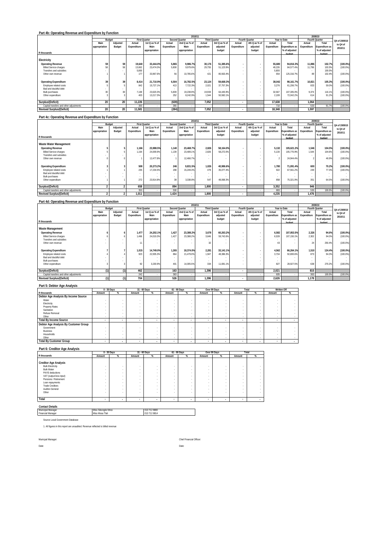|                                         |               |          |             |                      |             |                       | 2010/11     |                      |             |                |             |                       |             | 2009/10               |               |
|-----------------------------------------|---------------|----------|-------------|----------------------|-------------|-----------------------|-------------|----------------------|-------------|----------------|-------------|-----------------------|-------------|-----------------------|---------------|
|                                         |               | Budget   |             | <b>First Quarter</b> |             | <b>Second Quarter</b> |             | <b>Third Quarter</b> |             | Fourth Quarter |             | Year to Date          |             | Fourth Quarter        | Q4 of 2009/10 |
|                                         | Main          | Adjusted | Actual      | 1st Q as % of        | Actual      | 2nd Q as % of         | Actual      | 3rd Q as % of        | Actual      | 4th Q as % of  | Actual      | Total                 | Actual      | Total                 | to Q4 of      |
|                                         | appropriation | Budget   | Expenditure | Main                 | Expenditure | Main                  | Expenditure | adjusted             | Expenditure | adjusted       | Expenditure | <b>Expenditure as</b> | Expenditure | <b>Expenditure as</b> | 2010/11       |
|                                         |               |          |             | appropriation        |             | appropriation         |             | budget               |             | budget         |             | % of adjusted         |             | % of adjusted         |               |
| R thousands                             |               |          |             |                      |             |                       |             |                      |             |                |             | hudget                |             | hudget                |               |
|                                         |               |          |             |                      |             |                       |             |                      |             |                |             |                       |             |                       |               |
| Electricity                             |               |          |             |                      |             |                       |             |                      |             |                |             |                       |             |                       |               |
| <b>Operating Revenue</b>                | 59            | 59       | 19,640      | 33.444.0%            | 5.865       | 9.986.7%              | 30.176      | 51.385.6%            |             | ٠              | 55,680      | 94.816.3%             | 11.886      | 102.7%                | $(100.0\%)$   |
| <b>Billed Service charges</b>           | 58            | 58       | 13.662      | 23.474.0%            | 5.808       | 9.979.6%              | 29.755      | 51.123.9%            |             |                | 49.226      | 84.577.4%             | 11.796      | 103.3%                | $(100.0\%)$   |
| Transfers and subsidies                 |               |          | 5.800       |                      |             |                       |             |                      |             |                | 5.800       |                       |             | 100.0%                |               |
| Other own revenue                       |               |          | 177         | 33.967.6%            | 56          | 10.785.6%             | 421         | 80.563.4%            |             |                | 654         | 125.316.7%            | 89          | 102.4%                | (100.0%       |
|                                         |               |          |             |                      |             |                       |             |                      |             |                |             |                       |             |                       |               |
| <b>Operating Expenditure</b>            | 39            | 39       | 8.414       | 21.710.9%            | 6.504       | 16.782.5%             | 23,124      | 59.668.3%            |             |                | 38,042      | 98.161.7%             | 10,821      | 105.3%                | $(100.0\%)$   |
| Employee related costs                  |               |          | 842         | 15.727.1%            | 413         | 7.722.3%              | 2.021       | 37.757.3%            |             |                | 3.276       | 61.206.7%             | 833         | 59.0%                 | $(100.0\%)$   |
| Bad and doubtful debt                   |               |          |             |                      |             |                       |             |                      |             |                |             |                       |             |                       | $\sim$        |
| <b>Bulk purchases</b>                   | 30            | 30       | 7,169       | 23.620.3%            | 5.839       | 19.238.9%             | 19.559      | 64.445.9%            |             |                | 32.567      | 107.305.0%            | 9.374       | 116.1%                | $(100.0\%)$   |
| Other expenditure                       |               |          | 403         | 13.217.3%            | 252         | 8.242.9%              | 1.544       | 50.582.1%            |             |                | 2.199       | 72.042.2%             | 614         | 91.2%                 | $(100.0\%)$   |
|                                         |               |          |             |                      |             |                       |             |                      |             |                |             |                       |             |                       |               |
| Surplus/(Deficit)                       | 20            | 20       | 11.226      |                      | (639)       |                       | 7.052       |                      | $\sim$      |                | 17,638      |                       | 1,064       |                       |               |
| Capital transfers and other adjustments |               |          | 355         |                      | 355         |                       |             | $\sim$               |             |                | 710         | . .                   | 533         | 91.7%                 | $(100.0\%)$   |
| <b>Revised Surplus/(Deficit)</b>        | 20            | 20       | 11,581      |                      | (284)       |                       | 7.052       |                      |             |                | 18,348      |                       | 1,597       |                       |               |
|                                         |               |          |             |                      |             |                       |             |                      |             |                |             |                       |             |                       |               |

#### **Part 4c: Operating Revenue and Expenditure by Function**

|                                         |               |          |             |                      |             |                       | 2010/11     |                      |              |                |             |                       |             | 2009/10               |               |
|-----------------------------------------|---------------|----------|-------------|----------------------|-------------|-----------------------|-------------|----------------------|--------------|----------------|-------------|-----------------------|-------------|-----------------------|---------------|
|                                         |               | Budget   |             | <b>First Quarter</b> |             | <b>Second Quarter</b> |             | <b>Third Quarter</b> |              | Fourth Quarter |             | Year to Date          |             | Fourth Quarter        | Q4 of 2009/10 |
|                                         | Main          | Adjusted | Actual      | 1st Q as % of        | Actual      | 2nd Q as % of         | Actual      | 3rd Q as % of        | Actual       | 4th Q as % of  | Actual      | Total                 | Actual      | Total                 | to Q4 of      |
|                                         | appropriation | Budget   | Expenditure | Main                 | Expenditure | Main                  | Expenditure | adjusted             | Expenditure  | adjusted       | Expenditure | <b>Expenditure as</b> | Expenditure | <b>Expenditure as</b> | 2010/11       |
|                                         |               |          |             | appropriation        |             | appropriation         |             | budget               |              | budget         |             | % of adjusted         |             | % of adjusted         |               |
| R thousands                             |               |          |             |                      |             |                       |             |                      |              |                |             | hudget                |             | hudget                |               |
|                                         |               |          |             |                      |             |                       |             |                      |              |                |             |                       |             |                       |               |
| Waste Water Management                  |               |          |             |                      |             |                       |             |                      |              |                |             |                       |             |                       |               |
| <b>Operating Revenue</b>                |               |          | 1,166       | 23.988.5%            | 1.140       | 23.468.7%             | 2.826       | 58.164.0%            |              |                | 5.132       | 105.621.2%            | 1.546       | 104.5%                | $(100.0\%)$   |
| <b>Billed Service charges</b>           |               |          | 1,164       | 24.009.9%            | 1.139       | 23.489.1%             | 2.826       | 58.272.0%            |              |                | 5.130       | 105.770.9%            | 1.544       | 104.6%                | (100.0%       |
| Transfers and subsidies                 |               |          |             |                      |             |                       |             |                      |              | $\sim$         |             |                       |             | $\sim$                |               |
| Other own revenue                       |               |          |             | 12.477.8%            |             | 12.466.7%             |             |                      |              | $\sim$         |             | 24.944.4%             | $\Delta$    | 46.9%                 | (100.0%       |
|                                         |               |          |             |                      |             |                       |             |                      |              |                |             |                       |             |                       |               |
| <b>Operating Expenditure</b>            |               |          | 508         | 20.273.2%            | 246         | 9,831.5%              | 1.026       | 40.986.6%            | $\mathbf{r}$ | ٠              | 1,780       | 71.091.4%             | 600         | 70.2%                 | $(100.0\%)$   |
| Employee related costs                  |               |          | 235         | 17.234.5%            | 208         | 15.249.3%             | 479         | 35.077.4%            |              | $\sim$         | 922         | 67.561.2%             | 249         | 77.3%                 | (100.0%       |
| Bad and doubtful debt                   |               |          |             |                      |             |                       |             |                      |              |                |             |                       |             |                       |               |
| <b>Bulk purchases</b>                   |               |          |             |                      |             |                       |             |                      |              |                |             |                       |             | $\sim$                | $\sim$        |
| Other expenditure                       |               |          | 272         | 23.914.8%            | 38          | 3.338.8%              | 547         | 48.068.3%            |              |                | 858         | 75.321.9%             | 351         | 64.5%                 | (100.0%       |
|                                         |               |          |             |                      |             |                       |             |                      |              |                |             |                       |             |                       |               |
| Surplus/(Deficit)                       |               |          | 658         |                      | 894         |                       | 1.800       |                      | ٠            |                | 3,352       |                       | 946         |                       |               |
| Capital transfers and other adjustments |               |          | 353         |                      | 530         |                       |             |                      |              |                | 883         |                       | 530         | 100.0%                | (100.0%       |
| <b>Revised Surplus/(Deficit)</b>        |               |          | 1.011       |                      | 1.424       |                       | 1.800       |                      |              |                | 4.235       |                       | 1.476       |                       |               |

### **Part 4d: Operating Revenue and Expenditure by Function**

|                                         |               |          |             |                      |             | 2010/11        |                      |               |             |                |             |                |             | 2009/10        |               |
|-----------------------------------------|---------------|----------|-------------|----------------------|-------------|----------------|----------------------|---------------|-------------|----------------|-------------|----------------|-------------|----------------|---------------|
|                                         |               | Budget   |             | <b>First Quarter</b> |             | Second Quarter | <b>Third Quarter</b> |               |             | Fourth Quarter |             | Year to Date   |             | Fourth Quarter | Q4 of 2009/10 |
|                                         | Main          | Adjusted | Actual      | 1st Q as % of        | Actual      | 2nd Q as % of  | Actual               | 3rd Q as % of | Actual      | 4th Q as % of  | Actual      | Total          | Actual      | Total          | to Q4 of      |
|                                         | appropriation | Budget   | Expenditure | Main                 | Expenditure | Main           | Expenditure          | adjusted      | Expenditure | adjusted       | Expenditure | Expenditure as | Expenditure | Expenditure as | 2010/11       |
|                                         |               |          |             | appropriation        |             | appropriation  |                      | budget        |             | budget         |             | % of adjusted  |             | % of adjusted  |               |
| R thousands                             |               |          |             |                      |             |                |                      |               |             |                |             | hudget         |             | hudget         |               |
| Waste Management                        |               |          |             |                      |             |                |                      |               |             |                |             |                |             |                |               |
| <b>Operating Revenue</b>                |               |          | 1,477       | 24.202.1%            | 1.427       | 23.388.2%      | 3.678                | 60.263.2%     |             |                | 6.582       | 107.853.5%     | 2.326       | 94.6%          | $(100.0\%)$   |
| <b>Billed Service charges</b>           |               |          | 1,466       | 24.019.3%            | 1.427       | 23.388.2%      | 3.646                | 59.742.6%     |             |                | 6.539       | 107.150.1%     | 2.302       | 94.0%          | (100.0%       |
| <b>Transfers and subsidies</b>          |               |          |             |                      |             |                |                      |               |             |                |             |                |             |                |               |
| Other own revenue                       |               |          | 11          |                      |             |                | 32                   |               |             |                | 43          |                | 24          | 250.4%         | (100.0%       |
|                                         |               |          |             |                      |             |                |                      |               |             |                |             |                |             |                |               |
| <b>Operating Expenditure</b>            |               |          | 1,015       | 14.749.0%            | 1.265       | 18.374.0%      | 2.281                | 33.141.1%     |             |                | 4.562       | 66.264.1%      | 1.510       | 124.4%         | $(100.0\%)$   |
| Employee related costs                  |               |          | 923         | 22.935.3%            | 864         | 21.479.0%      | 1.947                | 48.386.3%     |             |                | 3.734       | 92.800.6%      | 873         | 94.3%          | (100.0%       |
| Bad and doubtful debt                   |               |          |             |                      |             |                |                      |               |             |                |             |                |             |                |               |
| <b>Bulk purchases</b>                   |               |          |             |                      |             |                |                      |               |             |                |             |                |             |                |               |
| Other expenditure                       |               |          | 92          | 3.230.9%             | 401         | 14.005.5%      | 334                  | 11.691.1%     |             |                | 827         | 28.927.5%      | 638         | 270.2%         | (100.0%       |
|                                         |               |          |             |                      |             |                |                      |               |             |                |             |                |             |                |               |
| Surplus/(Deficit)                       | (1)           | (1)      | 462         |                      | 163         |                | 1.396                |               | ٠           |                | 2,021       |                | 815         |                |               |
| Capital transfers and other adjustments |               |          | 242         |                      | 363         |                |                      |               |             |                | 605         |                | 363         | 100.0%         | (100.0%       |
| <b>Revised Surplus/(Deficit)</b>        | (1)           | (1)      | 704         |                      | 526         |                | 1,396                |               |             |                | 2.626       |                | 1.178       |                |               |

 $\overline{\phantom{a}}$ 

### **Part 5: Debtor Age Analysis**

|                                       |                          | $0 - 30$ Days            | 31 - 60 Days             |                          | 61 - 90 Davs |        |        | Over 90 Days |        | Total  | Written Off |   |
|---------------------------------------|--------------------------|--------------------------|--------------------------|--------------------------|--------------|--------|--------|--------------|--------|--------|-------------|---|
| R thousands                           | Amount                   | %                        | Amount                   | %                        | Amount       | %      | Amount | %            | Amount | %      | Amount      | % |
| Debtor Age Analysis By Income Source  |                          |                          |                          |                          |              |        |        |              |        |        |             |   |
| Water                                 |                          |                          | ٠                        |                          |              |        |        |              |        |        |             |   |
| Electricity                           |                          |                          |                          |                          |              |        |        |              |        |        |             |   |
| <b>Property Rates</b>                 |                          |                          |                          |                          |              |        |        |              |        |        |             |   |
| Sanitation                            |                          |                          |                          |                          |              |        |        |              |        |        |             |   |
| Refuse Removal                        |                          |                          | ٠                        |                          |              |        |        |              |        |        |             |   |
| Other                                 | $\sim$                   |                          | $\overline{\phantom{a}}$ |                          | $\sim$       |        | $\sim$ | $\sim$       |        |        |             |   |
| <b>Total By Income Source</b>         | $\overline{\phantom{a}}$ | ۰                        | $\sim$                   | $\overline{\phantom{a}}$ | $\sim$       |        |        |              |        |        | $\sim$      |   |
| Debtor Age Analysis By Customer Group |                          |                          |                          |                          |              |        |        |              |        |        |             |   |
| Government                            |                          |                          | ٠                        |                          |              |        |        |              |        |        |             |   |
| Business                              |                          |                          |                          |                          |              |        |        |              |        |        |             |   |
| Households                            |                          |                          |                          |                          |              |        |        |              |        |        |             |   |
| Other                                 |                          | $\sim$                   | $\overline{\phantom{a}}$ | $\sim$                   | $\sim$       | $\sim$ | $\sim$ | $\sim$       |        | $\sim$ |             |   |
| <b>Total By Customer Group</b>        |                          | $\overline{\phantom{a}}$ |                          | $\overline{\phantom{a}}$ | $\sim$       | $\sim$ |        |              |        |        | $\sim$      |   |

#### **Part 6: Creditor Age Analysis**

|                              |                          | $0 - 30$ Days            |                          | 31 - 60 Days             |        | 61 - 90 Days             |                          | Over 90 Days | Total             |   |
|------------------------------|--------------------------|--------------------------|--------------------------|--------------------------|--------|--------------------------|--------------------------|--------------|-------------------|---|
| R thousands                  | Amount                   | %                        | Amount                   | %                        | Amount | %                        | Amount                   | %            | Amount            | % |
|                              |                          |                          |                          |                          |        |                          |                          |              |                   |   |
| <b>Creditor Age Analysis</b> |                          |                          |                          |                          |        |                          |                          |              |                   |   |
| <b>Bulk Electricity</b>      | ٠                        |                          | $\overline{\phantom{a}}$ |                          |        | ۰                        | ٠                        |              | $\sim$            |   |
| <b>Bulk Water</b>            | $\sim$                   | $\overline{\phantom{a}}$ | ٠                        | $\sim$                   |        | ۰                        | $\overline{\phantom{a}}$ |              |                   | ٠ |
| PAYE deductions              | ٠                        |                          | ٠                        | $\overline{\phantom{a}}$ |        | ۰                        | ٠                        |              | ٠                 | ٠ |
| VAT (output less input)      | $\sim$                   |                          | $\overline{\phantom{a}}$ | $\overline{\phantom{a}}$ |        | ۰                        | ٠                        |              | <b>CONTRACTOR</b> | ٠ |
| Pensions / Retirement        |                          | <b>The Story</b>         | ٠                        | $\sim$                   |        | ۰                        | $\overline{\phantom{a}}$ | $\sim$       |                   |   |
| Loan repayments              | $\sim$                   |                          | ٠                        | $\overline{\phantom{a}}$ |        | ۰                        | ٠                        | $\sim$       | ٠                 |   |
| <b>Trade Creditors</b>       |                          |                          | ٠                        | $\sim$                   | $\sim$ | ۰                        | $\overline{\phantom{a}}$ | $\sim$       |                   | ٠ |
| Auditor-General              | $\sim$                   | $\overline{\phantom{a}}$ | ٠                        | $\sim$                   |        | ۰                        | $\overline{\phantom{a}}$ |              |                   |   |
| Other                        | ٠                        |                          | ٠                        | $\overline{\phantom{a}}$ |        | ٠                        |                          |              |                   |   |
|                              |                          |                          |                          |                          |        |                          |                          |              |                   |   |
| Total                        | $\overline{\phantom{a}}$ | $\overline{\phantom{a}}$ | $\overline{\phantom{a}}$ |                          | ٠      | $\overline{\phantom{a}}$ |                          |              | $\sim$            |   |

### **Contact Details**

| Contact Details                  |                      |              |
|----------------------------------|----------------------|--------------|
| Municipal Manager                | Miss Sibonaile Mnisi | 013 712 8800 |
| <b>Financial Manager</b>         | Miss Mosa Tlali      | 013 712 8814 |
| Source Local Government Database |                      |              |
|                                  |                      |              |

1. All figures in this report are unaudited. Revenue reflected is billed revenue

Date: Date: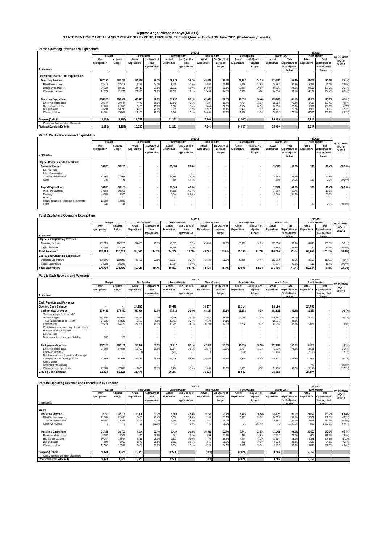## Mpumalanga: Victor Khanye(MP311)<br>STATEMENT OF CAPITAL AND OPERATING EXPENDITURE FOR THE 4th Quarter Ended 30 June 2011 (Preliminary results)

| Part1: Operating Revenue and Expenditure |  |
|------------------------------------------|--|
|                                          |  |

|                                         |               |          |             |                      |             | 2010/11               |                      |               |                |               |             |                       |                | 2009/10               |               |
|-----------------------------------------|---------------|----------|-------------|----------------------|-------------|-----------------------|----------------------|---------------|----------------|---------------|-------------|-----------------------|----------------|-----------------------|---------------|
|                                         | Budget        |          |             | <b>First Quarter</b> |             | <b>Second Quarter</b> | <b>Third Quarter</b> |               | Fourth Quarter |               |             | Year to Date          | Fourth Quarter |                       | Q4 of 2009/10 |
|                                         | Main          | Adjusted | Actual      | 1st Q as % of        | Actual      | 2nd Q as % of         | Actual               | 3rd Q as % of | Actual         | 4th Q as % of | Actual      | Total                 | Actual         | Total                 | to Q4 of      |
|                                         | appropriation | Budget   | Expenditure | Main                 | Expenditure | Main                  | Expenditure          | adjusted      | Expenditure    | adjusted      | Expenditure | <b>Expenditure as</b> | Expenditure    | <b>Expenditure as</b> | 2010/11       |
|                                         |               |          |             | appropriation        |             | appropriation         |                      | budget        |                | budget        |             | % of adjusted         |                | % of adjusted         |               |
| R thousands                             |               |          |             |                      |             |                       |                      |               |                |               |             | budget                |                | hudget                |               |
| Operating Revenue and Expenditure       |               |          |             |                      |             |                       |                      |               |                |               |             |                       |                |                       |               |
| <b>Operating Revenue</b>                | 187,320       | 187.320  | 54.466      | 29.1%                | 49,079      | 26.2%                 | 49.683               | 26.5%         | 26.352         | 14.1%         | 179.580     | 95.9%                 | 64.045         | 130.0%                | (58.9%)       |
| <b>Billed Property rates</b>            | 27,418        | 27.418   | 6.778       | 24.7%                | 8.475       | 30.9%                 | 5.563                | 20.3%         | 4.066          | 14.8%         | 24.882      | 90.8%                 | 5.245          | 93.2%                 | (22.5%)       |
| <b>Billed Service charges</b>           | 88,729        | 88.729   | 24.413      | 27.5%                | 21.212      | 23.9%                 | 26.684               | 30.1%         | 18.291         | 20.6%         | 90.601      | 102.1%                | 24.619         | 108.0%                | (25.7%)       |
| Other own revenue                       | 71,173        | 71.173   | 23.276      | 32.7%                | 19.392      | 27.2%                 | 17.436               | 24.5%         | 3.995          | 5.6%          | 64.098      | 90.1%                 | 34.181         | 194.4%                | (88.3%)       |
|                                         |               |          |             |                      |             |                       |                      |               |                |               |             |                       |                |                       |               |
| <b>Operating Expenditure</b>            | 188,506       | 188.506  | 42.427      | 22.5%                | 37.897      | 20.1%                 | 42.438               | 22.5%         | 30.899         | 16.4%         | 153.662     | 81.5%                 | 60.108         | 113.0%                | (48.6%)       |
| Employee related costs                  | 39.647        | 39.647   | 7.646       | 19.3%                | 13.142      | 33.1%                 | 4.237                | 10.7%         | 4.784          | 12.1%         | 29.810      | 75.2%                 | 8.616          | 107.4%                | (44.5%)       |
| Bad and doubtful debt                   | 21.200        | 21.200   | 5.300       | 25.0%                | 5.300       | 25.0%                 | 7.800                | 36.8%         | 8.534          | 40.3%         | 26.933      | 127.0%                | 5.997          | 108.3%                | 42.3%         |
| <b>Bulk purchases</b>                   | 53,798        | 53.798   | 14.496      | 26.9%                | 9.815       | 18.2%                 | 9912                 | 18.4%         | 6.493          | 12.1%         | 40.717      | 75.7%                 | 8.913          | 84.5%                 | (27.2%)       |
| Other expenditure                       | 73.861        | 73.861   | 14.985      | 20.3%                | 9.640       | 13 1%                 | 20.489               | 27.7%         | 11.088         | 15.0%         | 56.202      | 76.1%                 | 36.582         | 133.1%                | (69.7%)       |
|                                         |               |          |             |                      |             |                       |                      |               |                |               |             |                       |                |                       |               |
| Surplus/(Deficit)                       | (1, 186)      | (1, 186) | 12.039      |                      | 11.181      |                       | 7,246                |               | (4,547)        |               | 25.919      |                       | 3.937          |                       |               |
| Capital transfers and other adjustments |               |          |             |                      |             |                       |                      |               |                |               |             |                       |                |                       |               |
| <b>Revised Surplus/(Deficit)</b>        | (1, 186)      | (1, 186) | 12,039      |                      | 11,181      |                       | 7,246                |               | (4,547)        |               | 25.919      |                       | 3,937          |                       |               |

#### **Part 2: Capital Revenue and Expenditure**

| . and Endorsement and and Experience of   |               |                          |                |                      |             |                |                      |               |             |                |             |                       |             |                |               |
|-------------------------------------------|---------------|--------------------------|----------------|----------------------|-------------|----------------|----------------------|---------------|-------------|----------------|-------------|-----------------------|-------------|----------------|---------------|
|                                           |               |                          |                |                      |             | 2010/11        |                      |               |             |                |             |                       |             | 2009/10        |               |
|                                           |               | Budget                   |                | <b>First Quarter</b> |             | Second Quarter | <b>Third Quarter</b> |               |             | Fourth Quarter |             | Year to Date          |             | Fourth Quarter | Q4 of 2009/10 |
|                                           | Main          | Adjusted                 | Actual         | 1st Q as % of        | Actual      | 2nd Q as % of  | Actual               | 3rd Q as % of | Actual      | 4th Q as % of  | Actual      | Total                 | Actual      | Total          | to Q4 of      |
|                                           | appropriation | Budget                   | Expenditure    | Main                 | Expenditure | Main           | Expenditure          | adjusted      | Expenditure | adjusted       | Expenditure | <b>Expenditure as</b> | Expenditure | Expenditure as | 2010/11       |
|                                           |               |                          |                | appropriation        |             | appropriation  |                      | budget        |             | budget         |             | % of adjusted         |             | % of adjusted  |               |
| R thousands                               |               |                          |                |                      |             |                |                      |               |             |                |             | hudget                |             | hudget         |               |
|                                           |               |                          |                |                      |             |                |                      |               |             |                |             |                       |             |                |               |
| Capital Revenue and Expenditure           |               |                          |                |                      |             |                |                      |               |             |                |             |                       |             |                |               |
| Source of Finance                         | 38,203        | 38,203                   | $\overline{a}$ |                      | 15,189      | 39.8%          |                      |               |             |                | 15.189      | 39.8%                 | 119         | 11.4%          | $(100.0\%)$   |
| External loans                            |               | $\overline{\phantom{a}}$ |                |                      |             |                |                      |               |             |                |             | $\sim$                |             |                |               |
| Internal contributions                    |               | $\overline{\phantom{a}}$ | $\sim$         |                      |             |                |                      |               | $\sim$      |                |             | ٠.                    | $\sim$      |                |               |
| <b>Transfers and subsidies</b>            | 37,462        | 37,462                   | $\sim$         |                      | 14,689      | 39.2%          |                      |               | $\sim$      |                | 14.689      | 39.2%                 | $\sim$      | 21.8%          |               |
| Other                                     | 741           | 741                      |                |                      | 500         | 67.5%          |                      |               |             |                | 500         | 67.5%                 | 119         | 2.9%           | (100.0%       |
|                                           |               |                          |                |                      |             |                |                      |               |             |                |             |                       |             |                |               |
| Capital Expenditure                       | 38,203        | 38.203                   | $\sim$         |                      | 17,904      | 46.9%          |                      |               |             |                | 17.904      | 46.9%                 | 119         | 11.4%          | $(100.0\%)$   |
| Water and Sanitation                      | 22,162        | 22,162                   | $\sim$         | $\sim$               | 14,560      | 65.7%          |                      |               |             |                | 14,560      | 65.7%                 | $\sim$      | 16.2%          |               |
| Electricity                               | 3.300         | 3.300                    | $\sim$         |                      | 3.344       | 101.3%         |                      |               |             |                | 3.344       | 101.3%                |             | 58.1%          |               |
| Housing                                   |               | $\overline{\phantom{a}}$ | $\sim$         |                      |             |                |                      |               | $\sim$      |                |             | $\sim$                | . .         |                |               |
| Roads, pavements, bridges and storm water | 12,000        | 12.000                   | $\sim$         |                      |             |                |                      |               |             |                |             |                       |             |                |               |
| Other                                     | 741           | 741                      |                |                      |             |                |                      |               |             |                |             |                       | 119         | 2.9%           | (100.0%       |
|                                           |               |                          |                |                      |             |                |                      |               |             |                |             |                       |             |                |               |

### **Total Capital and Operating Expenditure**

|                                          |               | 2010/11  |             |                      |             |                |             |               |                |               |             |                       |                | 2009/10               |               |
|------------------------------------------|---------------|----------|-------------|----------------------|-------------|----------------|-------------|---------------|----------------|---------------|-------------|-----------------------|----------------|-----------------------|---------------|
|                                          | Budget        |          |             | <b>First Quarter</b> |             | Second Quarter |             | Third Ouarter | Fourth Ouarter |               |             | Year to Date          | Fourth Quarter |                       | Q4 of 2009/10 |
|                                          | Main          | Adjusted | Actual      | 1st Q as % of        | Actual      | 2nd Q as % of  | Actual      | 3rd Q as % of | Actual         | 4th Q as % of | Actual      | Total                 | Actual         | Total                 | to Q4 of      |
|                                          | appropriation | Budget   | Expenditure | Main                 | Expenditure | Main           | Expenditure | adjusted      | Expenditure    | adjusted      | Expenditure | <b>Expenditure as</b> | Expenditure    | <b>Expenditure as</b> | 2010/11       |
|                                          |               |          |             | appropriation        |             | appropriation  |             | budget        |                | budget        |             | % of adjusted         |                | % of adjusted         |               |
| R thousands                              |               |          |             |                      |             |                |             |               |                |               |             | hudget                |                | hudget                |               |
| <b>Capital and Operating Revenue</b>     |               |          |             |                      |             |                |             |               |                |               |             |                       |                |                       |               |
| Operating Revenue                        | 187.320       | 187.320  | 54.466      | 29.1%                | 49.079      | 26.2%          | 49.683      | 26.59         | 26.352         | 14.1%         | 179.580     | 95.9%                 | 64.045         | 130.0%                | (58.9%        |
| Capital Revenue                          | 38.203        | 38.203   |             |                      | 15.189      | 39.8%          |             |               |                |               | 15.189      | 39.8%                 | 119            | 11.4%                 | (100.0%       |
| <b>Total Revenue</b>                     | 225.523       | 225.523  | 54.466      | 24.2%                | 64.268      | 28.5%          | 49.683      | 22.0%         | 26.352         | 11.7%         | 194.770     | 86.4%                 | 64.164         | 103.2%                | (58.9%        |
| <b>Capital and Operating Expenditure</b> |               |          |             |                      |             |                |             |               |                |               |             |                       |                |                       |               |
| Operating Expenditure                    | 188.506       | 188,506  | 42.427      | 22.5%                | 37.897      | 20.1%          | 42.438      | 22.5%         | 30.899         | 16.4%         | 153.662     | 81.5%                 | 60.108         | 113.0%                | (48.6%)       |
| Capital Expenditure                      | 38.203        | 38.203   |             |                      | 17.904      | 46.9%          |             |               |                |               | 17.904      | 46.9%                 | 119            | 11.4%                 | (100.0%)      |
| <b>Total Expenditure</b>                 | 226.709       | 226.709  | 42.427      | 18.7%                | 55,802      | 24.6%          | 42.438      | 18.7%         | 30.899         | 13.6%         | 171.566     | 75.7%                 | 60.227         | 90.0%                 | (48.7%)       |
|                                          |               |          |             |                      |             |                |             |               |                |               |             |                       |                |                       |               |

### **Part 3: Cash Receipts and Payments**

|                                                 |                       |          |                          |               |             | 2010/11               |                      |               |                |               |             |                       |                          | 2009/10               |               |
|-------------------------------------------------|-----------------------|----------|--------------------------|---------------|-------------|-----------------------|----------------------|---------------|----------------|---------------|-------------|-----------------------|--------------------------|-----------------------|---------------|
|                                                 |                       | Budget   | <b>First Quarter</b>     |               |             | <b>Second Quarter</b> | <b>Third Quarter</b> |               | Fourth Quarter |               |             | Year to Date          |                          | Fourth Quarter        | Q4 of 2009/10 |
|                                                 | Main                  | Adjusted | Actual                   | 1st Q as % of | Actual      | 2nd Q as % of         | Actual               | 3rd Q as % of | Actual         | 4th Q as % of | Actual      | Total                 | Actual                   | Total                 | to Q4 of      |
|                                                 | appropriation         | Budget   | Expenditure              | Main          | Expenditure | Main                  | Expenditure          | adjusted      | Expenditure    | adjusted      | Expenditure | <b>Expenditure as</b> | Expenditure              | <b>Expenditure as</b> | 2010/11       |
|                                                 |                       |          |                          | appropriation |             | appropriation         |                      | budget        |                | budget        |             | % of adjusted         |                          | % of adjusted         |               |
| R thousands                                     |                       |          |                          |               |             |                       |                      |               |                |               |             | hudget                |                          | hudget                |               |
| <b>Cash Receipts and Payments</b>               |                       |          |                          |               |             |                       |                      |               |                |               |             |                       |                          |                       |               |
| <b>Opening Cash Balance</b>                     | $\tilde{\phantom{a}}$ | $\cdot$  | 24,196                   |               | 25,478      |                       | 30,377               |               | 31,314         |               | 24,196      |                       | 24,750                   |                       |               |
| Cash receipts by source                         | 279,481               | 279,481  | 60,930                   | 21.8%         | 57,516      | 20.6%                 | 48,254               | 17.3%         | 25,923         | 9.3%          | 192,623     | 68.9%                 | 31,127                   |                       | (16.7%)       |
| Statutory receipts (including VAT)              | . .                   | $\sim$   | $\overline{\phantom{a}}$ |               |             |                       |                      | $\sim$        |                |               |             | $\sim$                |                          | $\sim$                |               |
| Service charges                                 | 154.604               | 154.604  | 26.229                   | 17.0%         | 25,306      | 16.4%                 | 28.934               | 18.7%         | 20.199         | 13.1%         | 100.667     | 65.1%                 | 25,300                   |                       | (20.2%)       |
| Transfers (operational and capital)             | 64,836                | 64,836   | 5.500                    | 8.5%          | 13.421      | 20.7%                 | 9.130                | 14.1%         | $\sim$         | $\sim$        | 28.051      | 43.3%                 |                          |                       |               |
| Other receipts                                  | 59.279                | 59,279   | 29,201                   | 49.3%         | 18.789      | 31.7%                 | 10.190               | 17.2%         | 5.724          | 9 7%          | 63.905      | 107.8%                | 5.827                    |                       | (1.8%         |
| Contributions recognised - cap. & contr. assets | . .                   | $\sim$   | $\overline{\phantom{a}}$ |               |             |                       |                      |               |                |               |             |                       |                          |                       |               |
| Proceeds on disposal of PPE                     |                       | $\sim$   | $\overline{\phantom{a}}$ |               |             |                       |                      |               |                |               |             |                       |                          |                       |               |
| <b>External Inans</b>                           | . .                   | $\sim$   | $\overline{\phantom{a}}$ |               |             |                       |                      |               |                |               |             |                       |                          |                       |               |
| Net increase (decr.) in assets / liabilities    | 762                   | 762      |                          |               |             |                       |                      |               |                |               |             |                       |                          |                       |               |
|                                                 |                       |          |                          |               |             |                       |                      |               |                |               |             |                       |                          |                       |               |
| Cash payments by type                           | 187.158               | 187,158  | 59,648                   | 31.9%         | 52,617      | 28.1%                 | 47.317               | 25.3%         | 31.655         | 16.9%         | 191,237     | 102.2%                | 31,681                   | $\sim$                | (.1%)         |
| Employee related costs                          | 57.604                | 57,604   | 11.490                   | 19.9%         | 12.144      | 21.1%                 | 12.374               | 21.5%         | 6.724          | 11.7%         | 42.733      | 74.2%                 | 10.601                   | и.                    | (36.6%)       |
| Grant and subsidies                             |                       | $\sim$   | (181)                    |               | (733)       |                       | 18                   |               | (590)          |               | (1,486)     |                       | (2.162)                  |                       | (72.7%)       |
| Bulk Purchases - electr., water and sewerage    |                       |          | $\overline{\phantom{a}}$ |               |             |                       |                      | $\sim$        |                |               |             | $\sim$                | $\overline{\phantom{a}}$ |                       |               |
| Other payments to service providers             | 51,665                | 51,665   | 40,486                   | 78.4%         | 33,006      | 63.9%                 | 25,865               | 50.1%         | 18.915         | 36.6%         | 118.271     | 228.9%                | 31,618                   |                       | (40.2%)       |
| Capital assets                                  | . .                   | $\sim$   | $\overline{\phantom{a}}$ |               |             |                       |                      |               |                |               |             |                       |                          | $\sim$                |               |
| Repayment of borrowing                          |                       |          | $\overline{\phantom{a}}$ |               |             |                       |                      |               |                |               |             |                       | 772                      |                       | (100.0%       |
| Other cash flows / payments                     | 77.889                | 77.889   | 7.853                    | 10.1%         | 8.200       | 10.5%                 | 9.059                | 11.6%         | 6.605          | 8.5%          | 31,718      | 40.7%                 | (9, 148)                 |                       | (172.2%)      |
| <b>Closing Cash Balance</b>                     | 92,323                | 92,323   | 25,478                   |               | 30,377      |                       | 31,314               |               | 25,582         |               | 25,582      |                       | 24,197                   |                       |               |
|                                                 |                       |          |                          |               |             |                       |                      |               |                |               |             |                       |                          |                       |               |

|                                         |               |          |             |                      |             | 2010/11        |                      |               |             |                |             |                |             | 2009/10        |               |
|-----------------------------------------|---------------|----------|-------------|----------------------|-------------|----------------|----------------------|---------------|-------------|----------------|-------------|----------------|-------------|----------------|---------------|
|                                         |               | Budget   |             | <b>First Quarter</b> |             | Second Quarter | <b>Third Quarter</b> |               |             | Fourth Quarter |             | Year to Date   |             | Fourth Quarter | Q4 of 2009/10 |
|                                         | Main          | Adjusted | Actual      | 1st Q as % of        | Actual      | 2nd Q as % of  | Actual               | 3rd Q as % of | Actual      | 4th Q as % of  | Actual      | Total          | Actual      | Total          | to Q4 of      |
|                                         | appropriation | Budget   | Expenditure | Main                 | Expenditure | Main           | Expenditure          | adjusted      | Expenditure | adjusted       | Expenditure | Expenditure as | Expenditure | Expenditure as | 2010/11       |
|                                         |               |          |             | appropriation        |             | appropriation  |                      | budget        |             | budget         |             | % of adjusted  |             | % of adjusted  |               |
| R thousands                             |               |          |             |                      |             |                |                      |               |             |                |             | hudoot         |             | <b>budoot</b>  |               |
|                                         |               |          |             |                      |             |                |                      |               |             |                |             |                |             |                |               |
| Water                                   |               |          |             |                      |             |                |                      |               |             |                |             |                |             |                |               |
| <b>Operating Revenue</b>                | 32.798        | 32.798   | 10,936      | 33.3%                | 8.969       | 27.3%          | 9.757                | 29.7%         | 5.415       | 16.5%          | 35,078      | 106.9%         | 29.077      | 136.7%         | (81.4%)       |
| <b>Billed Service charges</b>           | 22.605        | 22.605   | 6.653       | 29.4%                | 5.570       | 24.6%          | 7.205                | 31.9%         | 5.391       | 23.8%          | 24.819      | 109.8%         | 9.574       | 101.0%         | (43.7%)       |
| Transfers and subsidies                 | 10.187        | 10.187   | 4.245       | 41.7%                | 3.396       | 33.3%          | 2.547                | 25.0%         |             | $\sim$         | 10.187      | 100.0%         | 18.541      | 184.5%         | (100.0%       |
| Other own revenue                       |               |          | 38          | 612.1%               |             | 48.8%          |                      | 95.8%         | 24          | 384.4%         | 71          | 1.141.1%       | 962         | 1.059.5%       | (97.5%)       |
|                                         |               |          |             |                      |             |                |                      |               |             |                |             |                |             |                |               |
| <b>Operating Expenditure</b>            | 31.721        | 31.721   | 7.116       | 22.4%                | 6.419       | 20.2%          | 10.385               | 32.7%         | 7.441       | 23.5%          | 31.361      | 98.9%          | 21.522      | 149.3%         | (65.4%)       |
| Employee related costs                  | 3.307         | 3.307    | 622         | 18.8%                | 701         | 21.2%          | 699                  | 21.1%         | 489         | 14.8%          | 2.512       | 76.0%          | 604         | 111.6%         | (18.9%)       |
| Bad and doubtful debt                   | 10.047        | 10.047   | 2.511       | 25.0%                | 2.512       | 25.0%          | 3.896                | 38.8%         | 4.444       | 44.2%          | 13.364      | 133.0%         | 3.323       | 108.3%         | 33.7%         |
| <b>Bulk purchases</b>                   | 6.000         | 6.000    | 1.548       | 25.8%                | 1.592       | 26.5%          | 1.561                | 26.0%         | 832         | 13.9%          | 5.533       | 92.2%          | 1.548       | 84.1%          | (46.3%)       |
| Other expenditure                       | 12.367        | 12.367   | 2.435       | 19.7%                | 1.614       | 13.1%          | 4.228                | 34 2%         | 1.675       | 13.5%          | 9.952       | 80.5%          | 16,046      | 222.8%         | (89.6%)       |
|                                         |               |          |             |                      |             |                |                      |               |             |                |             |                |             |                |               |
| Surplus/(Deficit)                       | 1,078         | 1.078    | 3,820       |                      | 2,550       |                | (628)                |               | (2,026)     |                | 3.716       |                | 7,556       |                |               |
| Capital transfers and other adjustments |               |          |             |                      |             |                |                      |               |             | $\sim$         |             | ۰.             |             |                |               |
| <b>Revised Surplus/(Deficit)</b>        | 1,078         | 1,078    | 3,820       |                      | 2,550       |                | (628)                |               | (2,026)     |                | 3,716       |                | 7,556       |                |               |